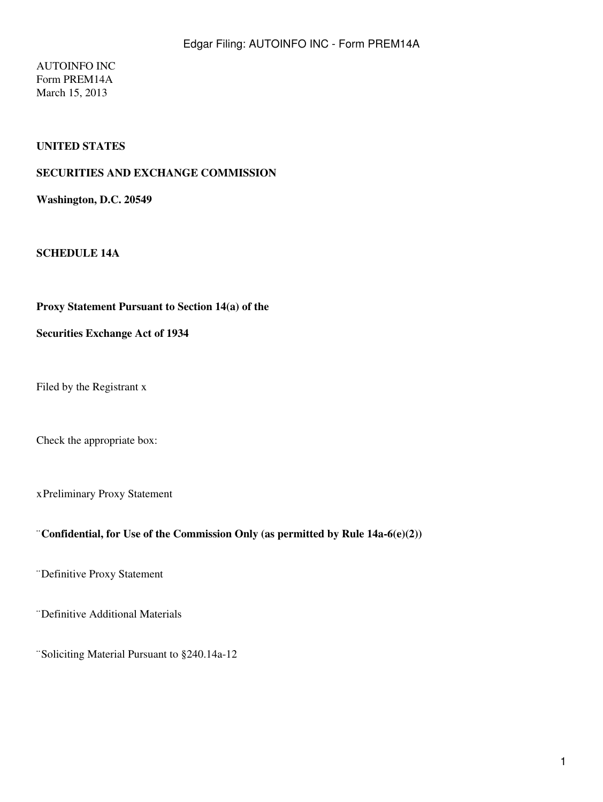AUTOINFO INC Form PREM14A March 15, 2013

#### **UNITED STATES**

## **SECURITIES AND EXCHANGE COMMISSION**

**Washington, D.C. 20549**

**SCHEDULE 14A**

#### **Proxy Statement Pursuant to Section 14(a) of the**

**Securities Exchange Act of 1934**

Filed by the Registrant x

Check the appropriate box:

xPreliminary Proxy Statement

#### ¨**Confidential, for Use of the Commission Only (as permitted by Rule 14a-6(e)(2))**

¨Definitive Proxy Statement

¨Definitive Additional Materials

¨Soliciting Material Pursuant to §240.14a-12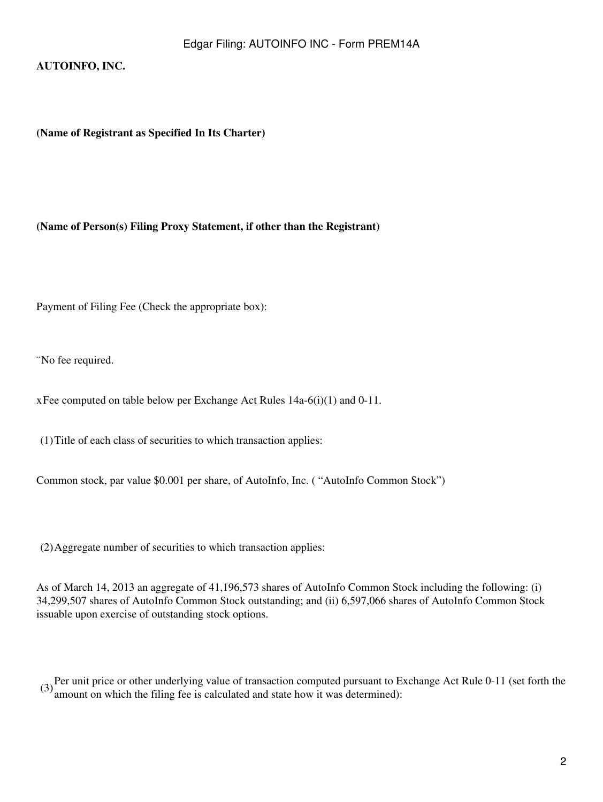#### **AUTOINFO, INC.**

**(Name of Registrant as Specified In Its Charter)**

#### **(Name of Person(s) Filing Proxy Statement, if other than the Registrant)**

Payment of Filing Fee (Check the appropriate box):

¨No fee required.

xFee computed on table below per Exchange Act Rules 14a-6(i)(1) and 0-11.

(1)Title of each class of securities to which transaction applies:

Common stock, par value \$0.001 per share, of AutoInfo, Inc. ( "AutoInfo Common Stock")

(2)Aggregate number of securities to which transaction applies:

As of March 14, 2013 an aggregate of 41,196,573 shares of AutoInfo Common Stock including the following: (i) 34,299,507 shares of AutoInfo Common Stock outstanding; and (ii) 6,597,066 shares of AutoInfo Common Stock issuable upon exercise of outstanding stock options.

(3) Per unit price or other underlying value of transaction computed pursuant to Exchange Act Rule 0-11 (set forth the amount on which the filing fee is calculated and state how it was determined):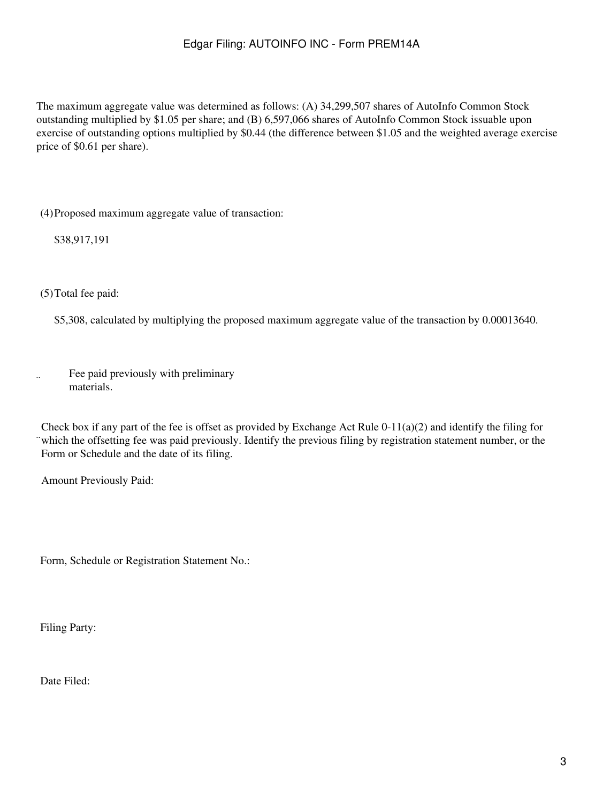The maximum aggregate value was determined as follows: (A) 34,299,507 shares of AutoInfo Common Stock outstanding multiplied by \$1.05 per share; and (B) 6,597,066 shares of AutoInfo Common Stock issuable upon exercise of outstanding options multiplied by \$0.44 (the difference between \$1.05 and the weighted average exercise price of \$0.61 per share).

(4)Proposed maximum aggregate value of transaction:

\$38,917,191

(5)Total fee paid:

\$5,308, calculated by multiplying the proposed maximum aggregate value of the transaction by 0.00013640.

¨ Fee paid previously with preliminary materials.

¨ which the offsetting fee was paid previously. Identify the previous filing by registration statement number, or the Check box if any part of the fee is offset as provided by Exchange Act Rule 0-11(a)(2) and identify the filing for Form or Schedule and the date of its filing.

Amount Previously Paid:

Form, Schedule or Registration Statement No.:

Filing Party:

Date Filed: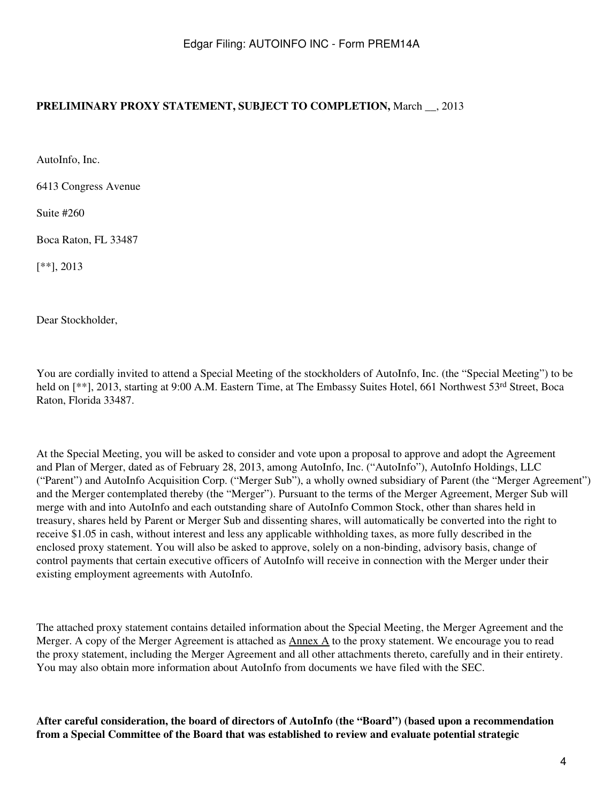# **PRELIMINARY PROXY STATEMENT, SUBJECT TO COMPLETION,** March \_\_, 2013

AutoInfo, Inc.

6413 Congress Avenue

Suite #260

Boca Raton, FL 33487

[\*\*], 2013

Dear Stockholder,

You are cordially invited to attend a Special Meeting of the stockholders of AutoInfo, Inc. (the "Special Meeting") to be held on [\*\*], 2013, starting at 9:00 A.M. Eastern Time, at The Embassy Suites Hotel, 661 Northwest 53<sup>rd</sup> Street, Boca Raton, Florida 33487.

At the Special Meeting, you will be asked to consider and vote upon a proposal to approve and adopt the Agreement and Plan of Merger, dated as of February 28, 2013, among AutoInfo, Inc. ("AutoInfo"), AutoInfo Holdings, LLC ("Parent") and AutoInfo Acquisition Corp. ("Merger Sub"), a wholly owned subsidiary of Parent (the "Merger Agreement") and the Merger contemplated thereby (the "Merger"). Pursuant to the terms of the Merger Agreement, Merger Sub will merge with and into AutoInfo and each outstanding share of AutoInfo Common Stock, other than shares held in treasury, shares held by Parent or Merger Sub and dissenting shares, will automatically be converted into the right to receive \$1.05 in cash, without interest and less any applicable withholding taxes, as more fully described in the enclosed proxy statement. You will also be asked to approve, solely on a non-binding, advisory basis, change of control payments that certain executive officers of AutoInfo will receive in connection with the Merger under their existing employment agreements with AutoInfo.

The attached proxy statement contains detailed information about the Special Meeting, the Merger Agreement and the Merger. A copy of the Merger Agreement is attached as Annex A to the proxy statement. We encourage you to read the proxy statement, including the Merger Agreement and all other attachments thereto, carefully and in their entirety. You may also obtain more information about AutoInfo from documents we have filed with the SEC.

**After careful consideration, the board of directors of AutoInfo (the "Board") (based upon a recommendation from a Special Committee of the Board that was established to review and evaluate potential strategic**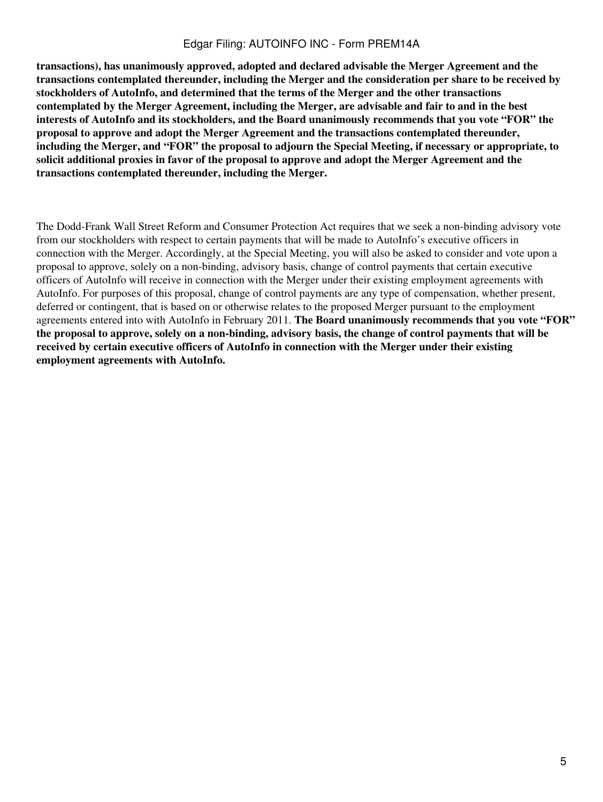**transactions), has unanimously approved, adopted and declared advisable the Merger Agreement and the transactions contemplated thereunder, including the Merger and the consideration per share to be received by stockholders of AutoInfo, and determined that the terms of the Merger and the other transactions contemplated by the Merger Agreement, including the Merger, are advisable and fair to and in the best interests of AutoInfo and its stockholders, and the Board unanimously recommends that you vote "FOR" the proposal to approve and adopt the Merger Agreement and the transactions contemplated thereunder, including the Merger, and "FOR" the proposal to adjourn the Special Meeting, if necessary or appropriate, to solicit additional proxies in favor of the proposal to approve and adopt the Merger Agreement and the transactions contemplated thereunder, including the Merger.**

The Dodd-Frank Wall Street Reform and Consumer Protection Act requires that we seek a non-binding advisory vote from our stockholders with respect to certain payments that will be made to AutoInfo's executive officers in connection with the Merger. Accordingly, at the Special Meeting, you will also be asked to consider and vote upon a proposal to approve, solely on a non-binding, advisory basis, change of control payments that certain executive officers of AutoInfo will receive in connection with the Merger under their existing employment agreements with AutoInfo. For purposes of this proposal, change of control payments are any type of compensation, whether present, deferred or contingent, that is based on or otherwise relates to the proposed Merger pursuant to the employment agreements entered into with AutoInfo in February 2011. **The Board unanimously recommends that you vote "FOR" the proposal to approve, solely on a non-binding, advisory basis, the change of control payments that will be received by certain executive officers of AutoInfo in connection with the Merger under their existing employment agreements with AutoInfo.**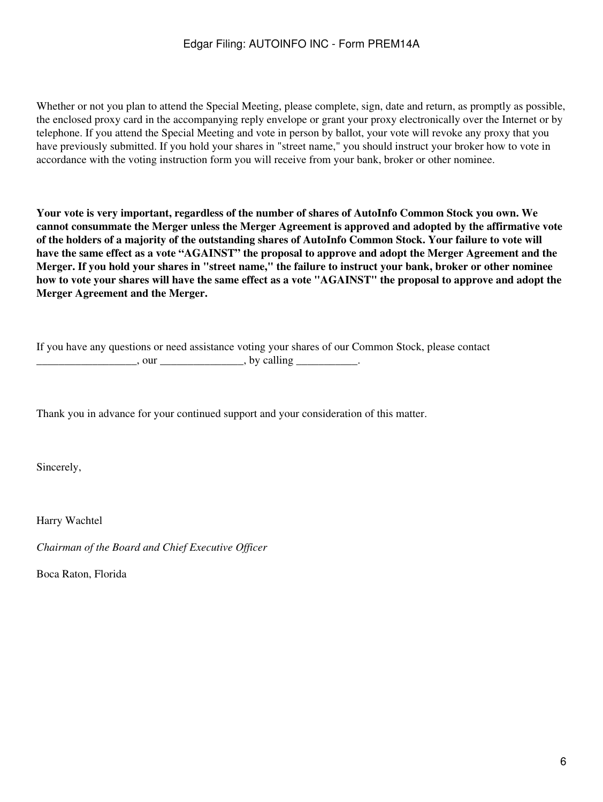Whether or not you plan to attend the Special Meeting, please complete, sign, date and return, as promptly as possible, the enclosed proxy card in the accompanying reply envelope or grant your proxy electronically over the Internet or by telephone. If you attend the Special Meeting and vote in person by ballot, your vote will revoke any proxy that you have previously submitted. If you hold your shares in "street name," you should instruct your broker how to vote in accordance with the voting instruction form you will receive from your bank, broker or other nominee.

**Your vote is very important, regardless of the number of shares of AutoInfo Common Stock you own. We cannot consummate the Merger unless the Merger Agreement is approved and adopted by the affirmative vote of the holders of a majority of the outstanding shares of AutoInfo Common Stock. Your failure to vote will have the same effect as a vote "AGAINST" the proposal to approve and adopt the Merger Agreement and the Merger. If you hold your shares in "street name," the failure to instruct your bank, broker or other nominee how to vote your shares will have the same effect as a vote "AGAINST" the proposal to approve and adopt the Merger Agreement and the Merger.**

If you have any questions or need assistance voting your shares of our Common Stock, please contact \_\_\_\_\_\_\_\_\_\_\_\_\_\_\_\_\_\_\_\_\_\_\_\_, our \_\_\_\_\_\_\_\_\_\_\_\_\_\_\_\_\_\_\_\_, by calling \_\_\_\_\_\_\_\_\_\_\_\_\_.

Thank you in advance for your continued support and your consideration of this matter.

Sincerely,

Harry Wachtel

*Chairman of the Board and Chief Executive Officer*

Boca Raton, Florida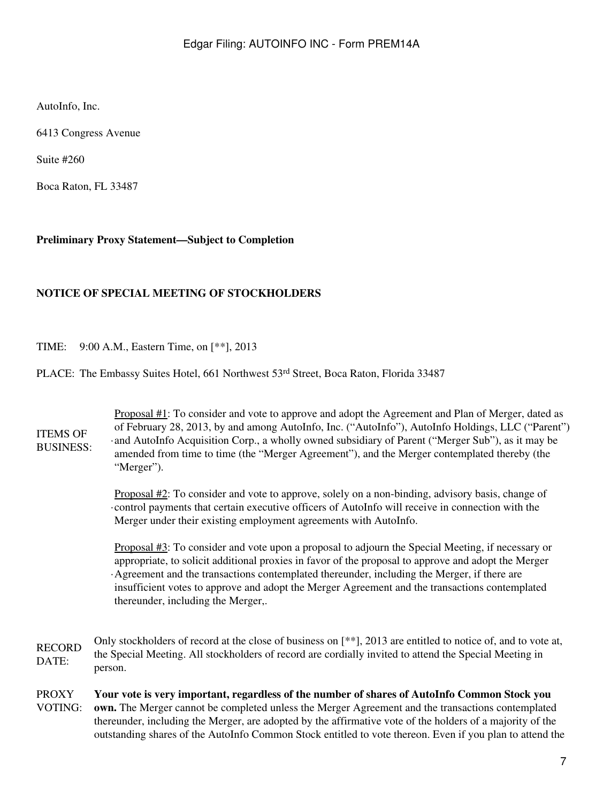AutoInfo, Inc.

6413 Congress Avenue

Suite #260

Boca Raton, FL 33487

# **Preliminary Proxy Statement—Subject to Completion**

#### **NOTICE OF SPECIAL MEETING OF STOCKHOLDERS**

TIME: 9:00 A.M., Eastern Time, on [\*\*], 2013

PLACE: The Embassy Suites Hotel, 661 Northwest 53rd Street, Boca Raton, Florida 33487

| <b>ITEMS OF</b><br><b>BUSINESS:</b> | Proposal #1: To consider and vote to approve and adopt the Agreement and Plan of Merger, dated as<br>of February 28, 2013, by and among AutoInfo, Inc. ("AutoInfo"), AutoInfo Holdings, LLC ("Parent")<br>and AutoInfo Acquisition Corp., a wholly owned subsidiary of Parent ("Merger Sub"), as it may be<br>amended from time to time (the "Merger Agreement"), and the Merger contemplated thereby (the<br>"Merger").                                            |
|-------------------------------------|---------------------------------------------------------------------------------------------------------------------------------------------------------------------------------------------------------------------------------------------------------------------------------------------------------------------------------------------------------------------------------------------------------------------------------------------------------------------|
|                                     | <u>Proposal <math>#2</math></u> : To consider and vote to approve, solely on a non-binding, advisory basis, change of<br>control payments that certain executive officers of AutoInfo will receive in connection with the<br>Merger under their existing employment agreements with AutoInfo.                                                                                                                                                                       |
|                                     | <u>Proposal <math>#3</math></u> : To consider and vote upon a proposal to adjourn the Special Meeting, if necessary or<br>appropriate, to solicit additional proxies in favor of the proposal to approve and adopt the Merger<br>Agreement and the transactions contemplated thereunder, including the Merger, if there are<br>insufficient votes to approve and adopt the Merger Agreement and the transactions contemplated<br>thereunder, including the Merger,. |
| <b>RECORD</b><br>DATE:              | Only stockholders of record at the close of business on [**], 2013 are entitled to notice of, and to vote at,<br>the Special Meeting. All stockholders of record are cordially invited to attend the Special Meeting in<br>person.                                                                                                                                                                                                                                  |
| <b>PROXY</b><br>VOTING:             | Your vote is very important, regardless of the number of shares of AutoInfo Common Stock you<br><b>own.</b> The Merger cannot be completed unless the Merger Agreement and the transactions contemplated<br>thereunder including the Merger, are edented by the effirmative yets of the holders of a majority of the                                                                                                                                                |

thereunder, including the Merger, are adopted by the affirmative vote of the holders of a majority of the outstanding shares of the AutoInfo Common Stock entitled to vote thereon. Even if you plan to attend the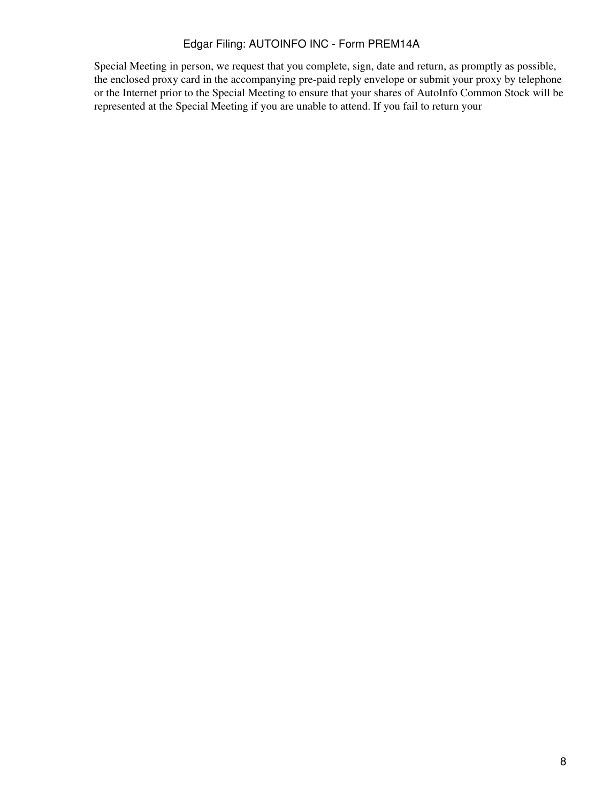Special Meeting in person, we request that you complete, sign, date and return, as promptly as possible, the enclosed proxy card in the accompanying pre-paid reply envelope or submit your proxy by telephone or the Internet prior to the Special Meeting to ensure that your shares of AutoInfo Common Stock will be represented at the Special Meeting if you are unable to attend. If you fail to return your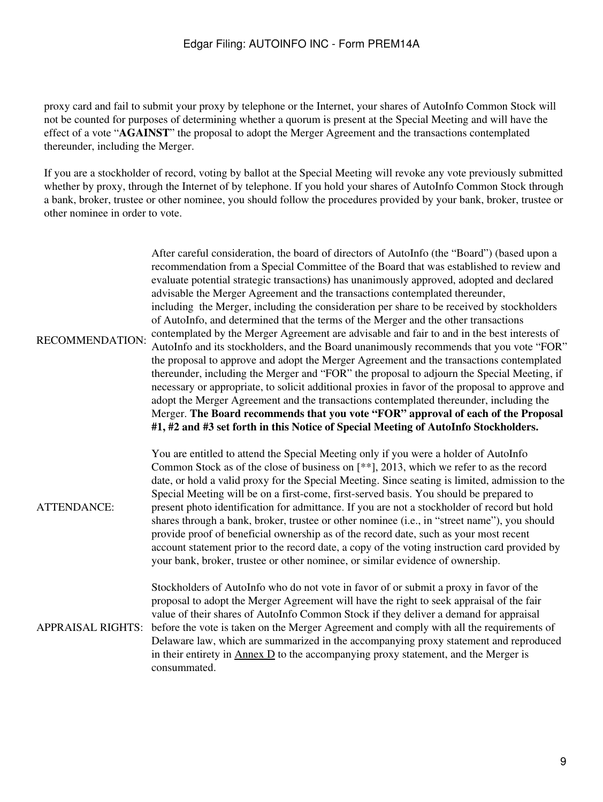proxy card and fail to submit your proxy by telephone or the Internet, your shares of AutoInfo Common Stock will not be counted for purposes of determining whether a quorum is present at the Special Meeting and will have the effect of a vote "**AGAINST**" the proposal to adopt the Merger Agreement and the transactions contemplated thereunder, including the Merger.

If you are a stockholder of record, voting by ballot at the Special Meeting will revoke any vote previously submitted whether by proxy, through the Internet of by telephone. If you hold your shares of AutoInfo Common Stock through a bank, broker, trustee or other nominee, you should follow the procedures provided by your bank, broker, trustee or other nominee in order to vote.

RECOMMENDATION: After careful consideration, the board of directors of AutoInfo (the "Board") (based upon a recommendation from a Special Committee of the Board that was established to review and evaluate potential strategic transactions**)** has unanimously approved, adopted and declared advisable the Merger Agreement and the transactions contemplated thereunder, including the Merger, including the consideration per share to be received by stockholders of AutoInfo, and determined that the terms of the Merger and the other transactions contemplated by the Merger Agreement are advisable and fair to and in the best interests of AutoInfo and its stockholders, and the Board unanimously recommends that you vote "FOR" the proposal to approve and adopt the Merger Agreement and the transactions contemplated thereunder, including the Merger and "FOR" the proposal to adjourn the Special Meeting, if necessary or appropriate, to solicit additional proxies in favor of the proposal to approve and adopt the Merger Agreement and the transactions contemplated thereunder, including the Merger. **The Board recommends that you vote "FOR" approval of each of the Proposal #1, #2 and #3 set forth in this Notice of Special Meeting of AutoInfo Stockholders.** ATTENDANCE: You are entitled to attend the Special Meeting only if you were a holder of AutoInfo Common Stock as of the close of business on [\*\*], 2013, which we refer to as the record date, or hold a valid proxy for the Special Meeting. Since seating is limited, admission to the Special Meeting will be on a first-come, first-served basis. You should be prepared to present photo identification for admittance. If you are not a stockholder of record but hold shares through a bank, broker, trustee or other nominee (i.e., in "street name"), you should provide proof of beneficial ownership as of the record date, such as your most recent account statement prior to the record date, a copy of the voting instruction card provided by your bank, broker, trustee or other nominee, or similar evidence of ownership. APPRAISAL RIGHTS: Stockholders of AutoInfo who do not vote in favor of or submit a proxy in favor of the proposal to adopt the Merger Agreement will have the right to seek appraisal of the fair value of their shares of AutoInfo Common Stock if they deliver a demand for appraisal before the vote is taken on the Merger Agreement and comply with all the requirements of Delaware law, which are summarized in the accompanying proxy statement and reproduced in their entirety in Annex D to the accompanying proxy statement, and the Merger is consummated.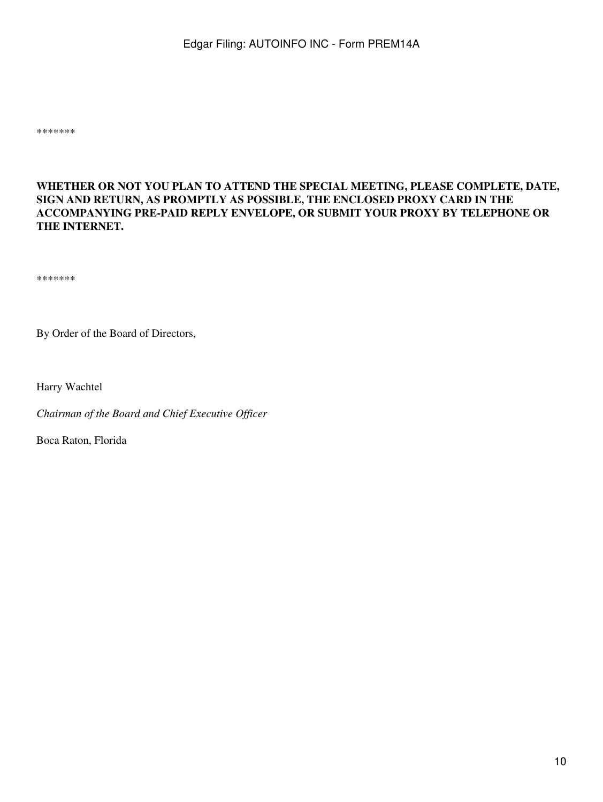\*\*\*\*\*\*\*

# **WHETHER OR NOT YOU PLAN TO ATTEND THE SPECIAL MEETING, PLEASE COMPLETE, DATE, SIGN AND RETURN, AS PROMPTLY AS POSSIBLE, THE ENCLOSED PROXY CARD IN THE ACCOMPANYING PRE-PAID REPLY ENVELOPE, OR SUBMIT YOUR PROXY BY TELEPHONE OR THE INTERNET.**

\*\*\*\*\*\*\*

By Order of the Board of Directors,

Harry Wachtel

*Chairman of the Board and Chief Executive Officer*

Boca Raton, Florida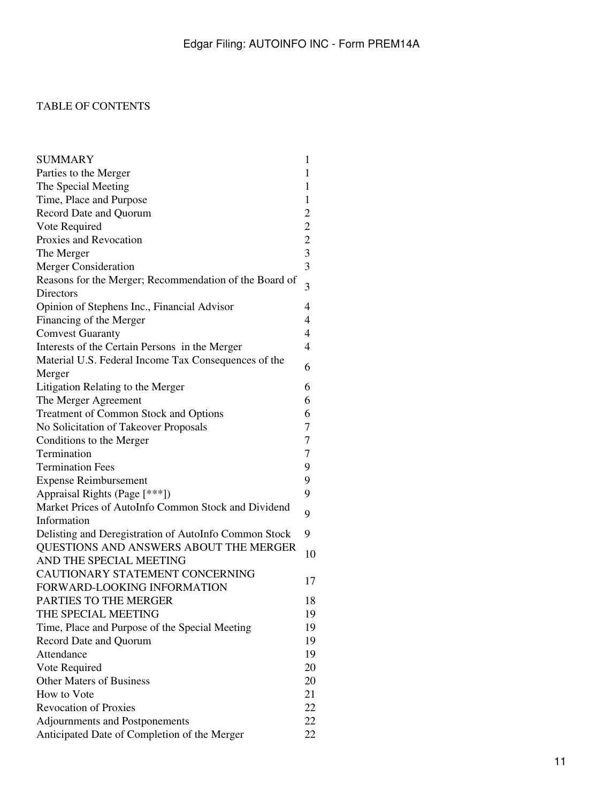# TABLE OF CONTENTS

| <b>SUMMARY</b>                                         | 1                       |
|--------------------------------------------------------|-------------------------|
| Parties to the Merger                                  | 1                       |
| The Special Meeting                                    | 1                       |
| Time, Place and Purpose                                | 1                       |
| Record Date and Quorum                                 | $\overline{c}$          |
| Vote Required                                          | $\overline{c}$          |
| Proxies and Revocation                                 | $\overline{c}$          |
| The Merger                                             | $\overline{\mathbf{3}}$ |
| <b>Merger Consideration</b>                            | $\overline{3}$          |
| Reasons for the Merger; Recommendation of the Board of |                         |
| Directors                                              | 3                       |
| Opinion of Stephens Inc., Financial Advisor            | 4                       |
| Financing of the Merger                                | 4                       |
| <b>Comvest Guaranty</b>                                | 4                       |
| Interests of the Certain Persons in the Merger         | 4                       |
| Material U.S. Federal Income Tax Consequences of the   |                         |
| Merger                                                 | 6                       |
| Litigation Relating to the Merger                      | 6                       |
| The Merger Agreement                                   | 6                       |
| Treatment of Common Stock and Options                  | 6                       |
| No Solicitation of Takeover Proposals                  | 7                       |
| Conditions to the Merger                               | $\boldsymbol{7}$        |
| Termination                                            | $\overline{7}$          |
| <b>Termination Fees</b>                                | 9                       |
| <b>Expense Reimbursement</b>                           | 9                       |
| Appraisal Rights (Page [***])                          | 9                       |
| Market Prices of AutoInfo Common Stock and Dividend    |                         |
| Information                                            | 9                       |
| Delisting and Deregistration of AutoInfo Common Stock  | 9                       |
| QUESTIONS AND ANSWERS ABOUT THE MERGER                 |                         |
| AND THE SPECIAL MEETING                                | 10                      |
| CAUTIONARY STATEMENT CONCERNING                        |                         |
| FORWARD-LOOKING INFORMATION                            | 17                      |
| PARTIES TO THE MERGER                                  | 18                      |
| THE SPECIAL MEETING                                    | 19                      |
| Time, Place and Purpose of the Special Meeting         | 19                      |
| Record Date and Quorum                                 | 19                      |
| Attendance                                             | 19                      |
| Vote Required                                          | 20                      |
| <b>Other Maters of Business</b>                        | 20                      |
| How to Vote                                            | 21                      |
| <b>Revocation of Proxies</b>                           | 22                      |
| <b>Adjournments and Postponements</b>                  | 22                      |
| Anticipated Date of Completion of the Merger           | 22                      |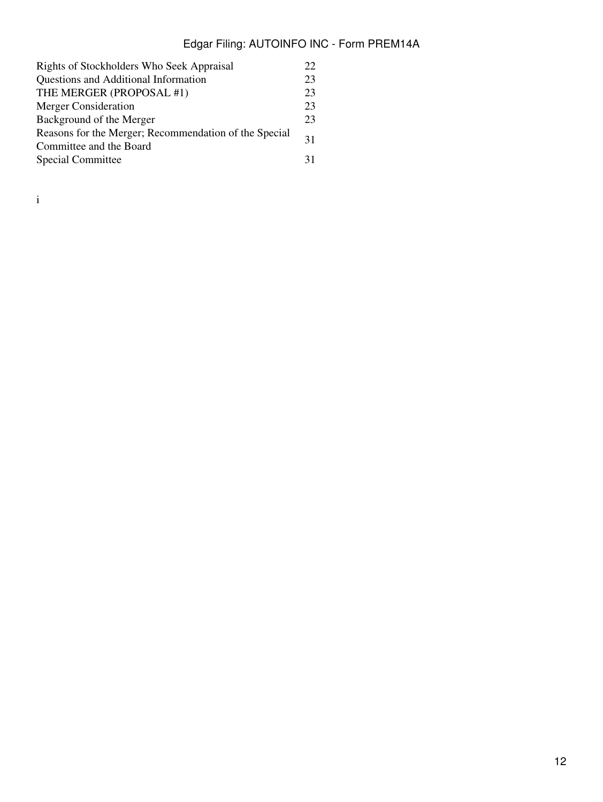12

| Rights of Stockholders Who Seek Appraisal                                        | 22 |
|----------------------------------------------------------------------------------|----|
| Questions and Additional Information                                             | 23 |
| THE MERGER (PROPOSAL #1)                                                         | 23 |
| <b>Merger Consideration</b>                                                      | 23 |
| Background of the Merger                                                         | 23 |
| Reasons for the Merger; Recommendation of the Special<br>Committee and the Board | 31 |
| <b>Special Committee</b>                                                         | 31 |

i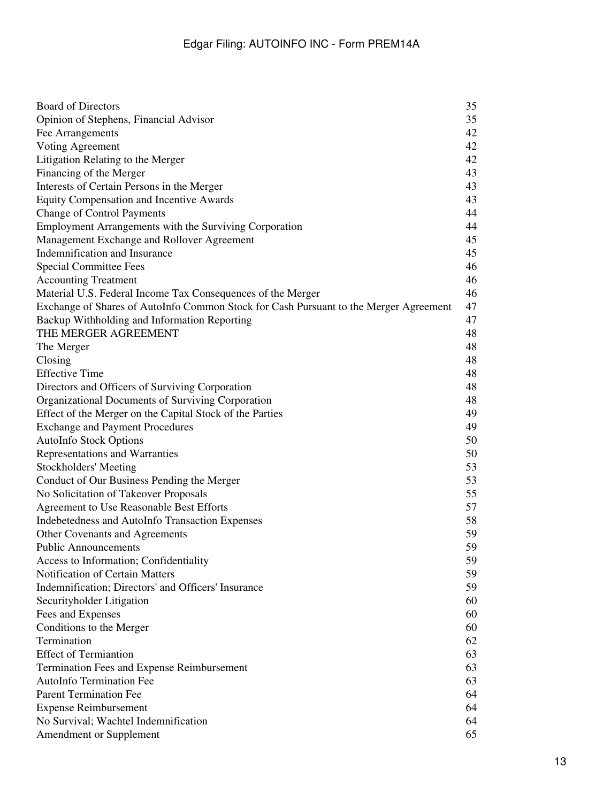| <b>Board of Directors</b>                                                             | 35 |
|---------------------------------------------------------------------------------------|----|
| Opinion of Stephens, Financial Advisor                                                | 35 |
| Fee Arrangements                                                                      | 42 |
| Voting Agreement                                                                      | 42 |
| Litigation Relating to the Merger                                                     | 42 |
| Financing of the Merger                                                               | 43 |
| Interests of Certain Persons in the Merger                                            | 43 |
| Equity Compensation and Incentive Awards                                              | 43 |
| <b>Change of Control Payments</b>                                                     | 44 |
| Employment Arrangements with the Surviving Corporation                                | 44 |
| Management Exchange and Rollover Agreement                                            | 45 |
| Indemnification and Insurance                                                         | 45 |
| <b>Special Committee Fees</b>                                                         | 46 |
| <b>Accounting Treatment</b>                                                           | 46 |
| Material U.S. Federal Income Tax Consequences of the Merger                           | 46 |
| Exchange of Shares of AutoInfo Common Stock for Cash Pursuant to the Merger Agreement | 47 |
| Backup Withholding and Information Reporting                                          | 47 |
| THE MERGER AGREEMENT                                                                  | 48 |
| The Merger                                                                            | 48 |
| Closing                                                                               | 48 |
| <b>Effective Time</b>                                                                 | 48 |
| Directors and Officers of Surviving Corporation                                       | 48 |
| Organizational Documents of Surviving Corporation                                     | 48 |
| Effect of the Merger on the Capital Stock of the Parties                              | 49 |
| <b>Exchange and Payment Procedures</b>                                                | 49 |
| <b>AutoInfo Stock Options</b>                                                         | 50 |
| Representations and Warranties                                                        | 50 |
| <b>Stockholders' Meeting</b>                                                          | 53 |
| Conduct of Our Business Pending the Merger                                            | 53 |
| No Solicitation of Takeover Proposals                                                 | 55 |
| Agreement to Use Reasonable Best Efforts                                              | 57 |
| Indebetedness and AutoInfo Transaction Expenses                                       | 58 |
| Other Covenants and Agreements                                                        | 59 |
| <b>Public Announcements</b>                                                           | 59 |
| Access to Information; Confidentiality                                                | 59 |
| Notification of Certain Matters                                                       | 59 |
| Indemnification; Directors' and Officers' Insurance                                   | 59 |
| Securityholder Litigation                                                             | 60 |
| Fees and Expenses                                                                     | 60 |
| Conditions to the Merger                                                              | 60 |
| Termination                                                                           | 62 |
| <b>Effect of Termiantion</b>                                                          | 63 |
| Termination Fees and Expense Reimbursement                                            | 63 |
| <b>AutoInfo Termination Fee</b>                                                       | 63 |
| <b>Parent Termination Fee</b>                                                         | 64 |
| <b>Expense Reimbursement</b>                                                          | 64 |
| No Survival; Wachtel Indemnification                                                  | 64 |
| <b>Amendment or Supplement</b>                                                        | 65 |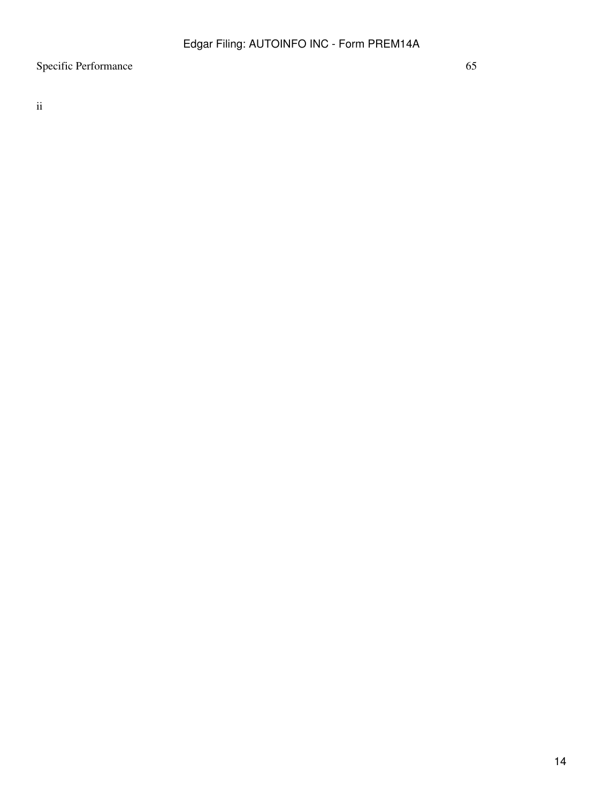# Specific Performance 65

ii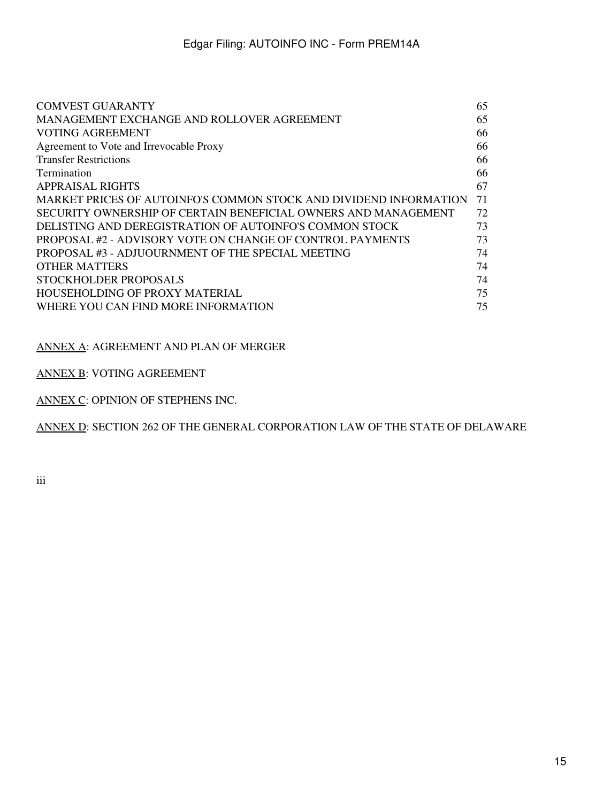| <b>COMVEST GUARANTY</b>                                           | 65 |
|-------------------------------------------------------------------|----|
| MANAGEMENT EXCHANGE AND ROLLOVER AGREEMENT                        | 65 |
| <b>VOTING AGREEMENT</b>                                           | 66 |
| Agreement to Vote and Irrevocable Proxy                           | 66 |
| <b>Transfer Restrictions</b>                                      | 66 |
| Termination                                                       | 66 |
| <b>APPRAISAL RIGHTS</b>                                           | 67 |
| MARKET PRICES OF AUTOINFO'S COMMON STOCK AND DIVIDEND INFORMATION | 71 |
| SECURITY OWNERSHIP OF CERTAIN BENEFICIAL OWNERS AND MANAGEMENT    | 72 |
| DELISTING AND DEREGISTRATION OF AUTOINFO'S COMMON STOCK           | 73 |
| PROPOSAL #2 - ADVISORY VOTE ON CHANGE OF CONTROL PAYMENTS         | 73 |
| PROPOSAL #3 - ADJUOURNMENT OF THE SPECIAL MEETING                 | 74 |
| <b>OTHER MATTERS</b>                                              | 74 |
| STOCKHOLDER PROPOSALS                                             | 74 |
| <b>HOUSEHOLDING OF PROXY MATERIAL</b>                             | 75 |
| WHERE YOU CAN FIND MORE INFORMATION                               | 75 |
|                                                                   |    |

ANNEX A: AGREEMENT AND PLAN OF MERGER

ANNEX B: VOTING AGREEMENT

ANNEX C: OPINION OF STEPHENS INC.

ANNEX D: SECTION 262 OF THE GENERAL CORPORATION LAW OF THE STATE OF DELAWARE

iii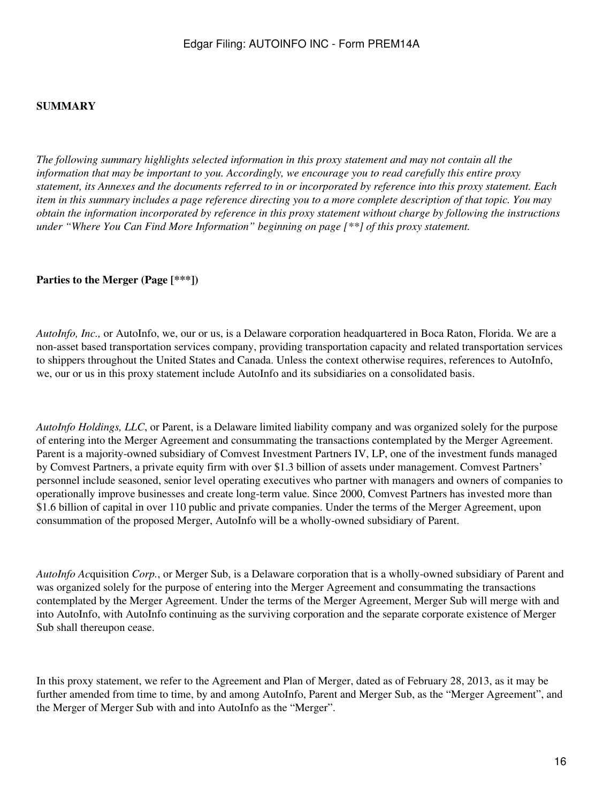#### **SUMMARY**

*The following summary highlights selected information in this proxy statement and may not contain all the information that may be important to you. Accordingly, we encourage you to read carefully this entire proxy statement, its Annexes and the documents referred to in or incorporated by reference into this proxy statement. Each item in this summary includes a page reference directing you to a more complete description of that topic. You may obtain the information incorporated by reference in this proxy statement without charge by following the instructions under "Where You Can Find More Information" beginning on page [\*\*] of this proxy statement.*

**Parties to the Merger (Page [\*\*\*])**

*AutoInfo, Inc.,* or AutoInfo, we, our or us, is a Delaware corporation headquartered in Boca Raton, Florida. We are a non-asset based transportation services company, providing transportation capacity and related transportation services to shippers throughout the United States and Canada. Unless the context otherwise requires, references to AutoInfo, we, our or us in this proxy statement include AutoInfo and its subsidiaries on a consolidated basis.

*AutoInfo Holdings, LLC*, or Parent, is a Delaware limited liability company and was organized solely for the purpose of entering into the Merger Agreement and consummating the transactions contemplated by the Merger Agreement. Parent is a majority-owned subsidiary of Comvest Investment Partners IV, LP, one of the investment funds managed by Comvest Partners, a private equity firm with over \$1.3 billion of assets under management. Comvest Partners' personnel include seasoned, senior level operating executives who partner with managers and owners of companies to operationally improve businesses and create long-term value. Since 2000, Comvest Partners has invested more than \$1.6 billion of capital in over 110 public and private companies. Under the terms of the Merger Agreement, upon consummation of the proposed Merger, AutoInfo will be a wholly-owned subsidiary of Parent.

*AutoInfo Ac*quisition *Corp.*, or Merger Sub, is a Delaware corporation that is a wholly-owned subsidiary of Parent and was organized solely for the purpose of entering into the Merger Agreement and consummating the transactions contemplated by the Merger Agreement. Under the terms of the Merger Agreement, Merger Sub will merge with and into AutoInfo, with AutoInfo continuing as the surviving corporation and the separate corporate existence of Merger Sub shall thereupon cease.

In this proxy statement, we refer to the Agreement and Plan of Merger, dated as of February 28, 2013, as it may be further amended from time to time, by and among AutoInfo, Parent and Merger Sub, as the "Merger Agreement", and the Merger of Merger Sub with and into AutoInfo as the "Merger".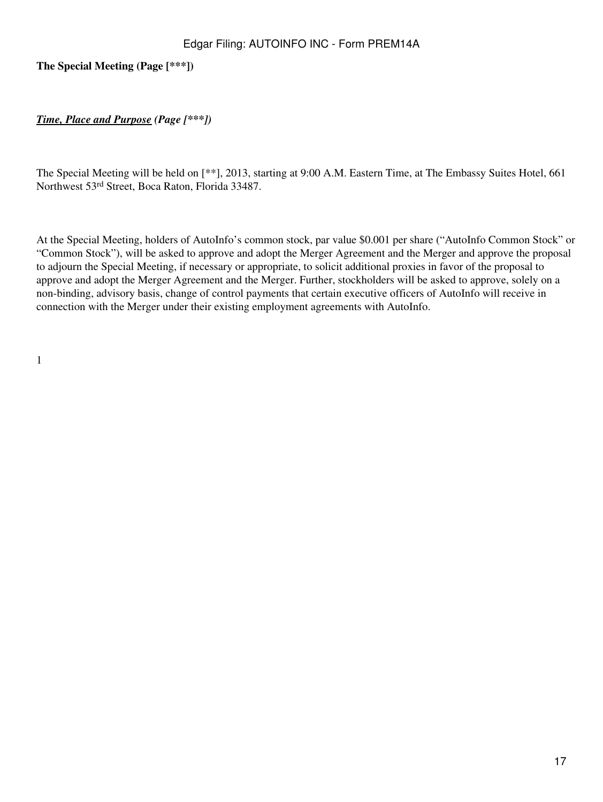**The Special Meeting (Page [\*\*\*])**

# *Time, Place and Purpose (Page [\*\*\*])*

The Special Meeting will be held on [\*\*], 2013, starting at 9:00 A.M. Eastern Time, at The Embassy Suites Hotel, 661 Northwest 53rd Street, Boca Raton, Florida 33487.

At the Special Meeting, holders of AutoInfo's common stock, par value \$0.001 per share ("AutoInfo Common Stock" or "Common Stock"), will be asked to approve and adopt the Merger Agreement and the Merger and approve the proposal to adjourn the Special Meeting, if necessary or appropriate, to solicit additional proxies in favor of the proposal to approve and adopt the Merger Agreement and the Merger. Further, stockholders will be asked to approve, solely on a non-binding, advisory basis, change of control payments that certain executive officers of AutoInfo will receive in connection with the Merger under their existing employment agreements with AutoInfo.

1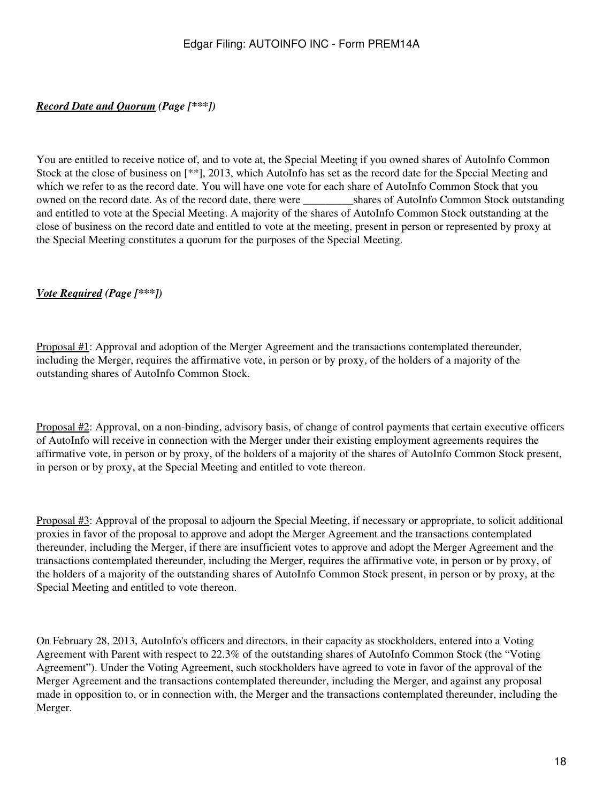# *Record Date and Quorum (Page [\*\*\*])*

You are entitled to receive notice of, and to vote at, the Special Meeting if you owned shares of AutoInfo Common Stock at the close of business on [\*\*], 2013, which AutoInfo has set as the record date for the Special Meeting and which we refer to as the record date. You will have one vote for each share of AutoInfo Common Stock that you owned on the record date. As of the record date, there were shares of AutoInfo Common Stock outstanding and entitled to vote at the Special Meeting. A majority of the shares of AutoInfo Common Stock outstanding at the close of business on the record date and entitled to vote at the meeting, present in person or represented by proxy at the Special Meeting constitutes a quorum for the purposes of the Special Meeting.

#### *Vote Required (Page [\*\*\*])*

Proposal #1: Approval and adoption of the Merger Agreement and the transactions contemplated thereunder, including the Merger, requires the affirmative vote, in person or by proxy, of the holders of a majority of the outstanding shares of AutoInfo Common Stock.

Proposal #2: Approval, on a non-binding, advisory basis, of change of control payments that certain executive officers of AutoInfo will receive in connection with the Merger under their existing employment agreements requires the affirmative vote, in person or by proxy, of the holders of a majority of the shares of AutoInfo Common Stock present, in person or by proxy, at the Special Meeting and entitled to vote thereon.

Proposal #3: Approval of the proposal to adjourn the Special Meeting, if necessary or appropriate, to solicit additional proxies in favor of the proposal to approve and adopt the Merger Agreement and the transactions contemplated thereunder, including the Merger, if there are insufficient votes to approve and adopt the Merger Agreement and the transactions contemplated thereunder, including the Merger, requires the affirmative vote, in person or by proxy, of the holders of a majority of the outstanding shares of AutoInfo Common Stock present, in person or by proxy, at the Special Meeting and entitled to vote thereon.

On February 28, 2013, AutoInfo's officers and directors, in their capacity as stockholders, entered into a Voting Agreement with Parent with respect to 22.3% of the outstanding shares of AutoInfo Common Stock (the "Voting Agreement"). Under the Voting Agreement, such stockholders have agreed to vote in favor of the approval of the Merger Agreement and the transactions contemplated thereunder, including the Merger, and against any proposal made in opposition to, or in connection with, the Merger and the transactions contemplated thereunder, including the Merger.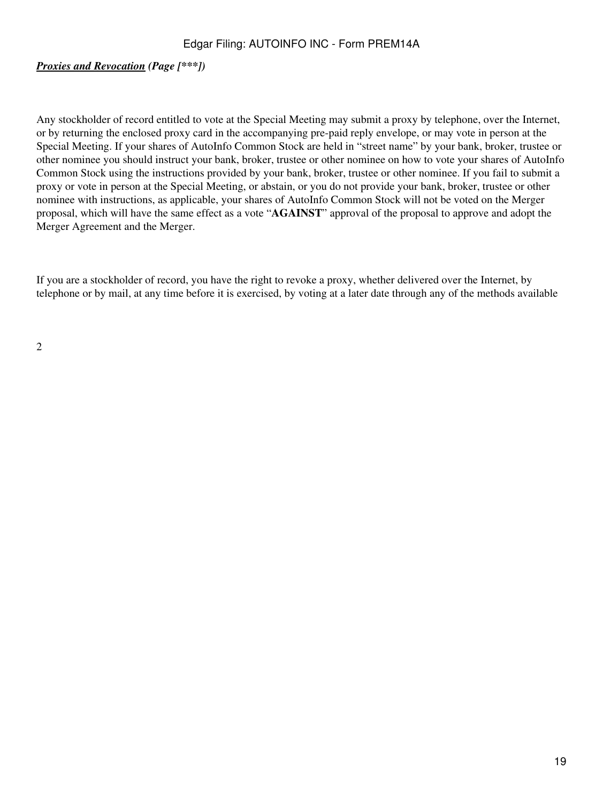# *Proxies and Revocation (Page [\*\*\*])*

Any stockholder of record entitled to vote at the Special Meeting may submit a proxy by telephone, over the Internet, or by returning the enclosed proxy card in the accompanying pre-paid reply envelope, or may vote in person at the Special Meeting. If your shares of AutoInfo Common Stock are held in "street name" by your bank, broker, trustee or other nominee you should instruct your bank, broker, trustee or other nominee on how to vote your shares of AutoInfo Common Stock using the instructions provided by your bank, broker, trustee or other nominee. If you fail to submit a proxy or vote in person at the Special Meeting, or abstain, or you do not provide your bank, broker, trustee or other nominee with instructions, as applicable, your shares of AutoInfo Common Stock will not be voted on the Merger proposal, which will have the same effect as a vote "**AGAINST**" approval of the proposal to approve and adopt the Merger Agreement and the Merger.

If you are a stockholder of record, you have the right to revoke a proxy, whether delivered over the Internet, by telephone or by mail, at any time before it is exercised, by voting at a later date through any of the methods available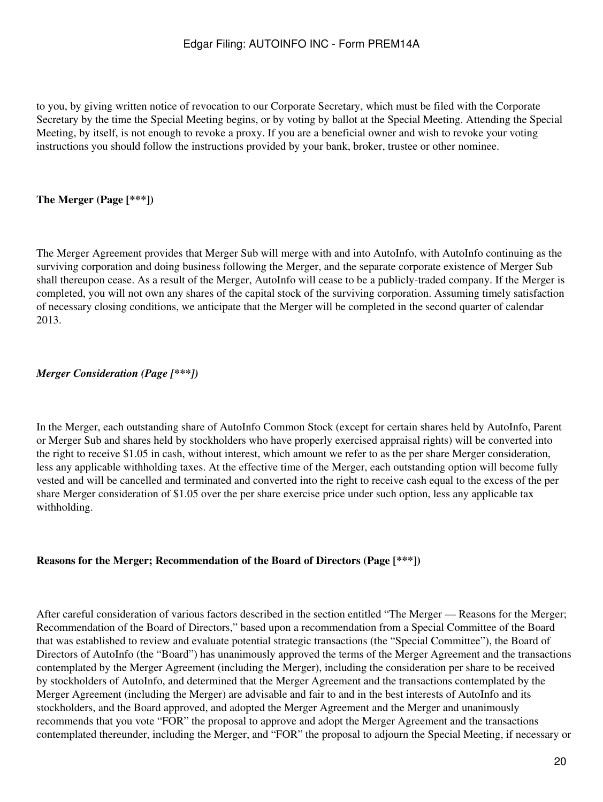to you, by giving written notice of revocation to our Corporate Secretary, which must be filed with the Corporate Secretary by the time the Special Meeting begins, or by voting by ballot at the Special Meeting. Attending the Special Meeting, by itself, is not enough to revoke a proxy. If you are a beneficial owner and wish to revoke your voting instructions you should follow the instructions provided by your bank, broker, trustee or other nominee.

#### **The Merger (Page [\*\*\*])**

The Merger Agreement provides that Merger Sub will merge with and into AutoInfo, with AutoInfo continuing as the surviving corporation and doing business following the Merger, and the separate corporate existence of Merger Sub shall thereupon cease. As a result of the Merger, AutoInfo will cease to be a publicly-traded company. If the Merger is completed, you will not own any shares of the capital stock of the surviving corporation. Assuming timely satisfaction of necessary closing conditions, we anticipate that the Merger will be completed in the second quarter of calendar 2013.

#### *Merger Consideration (Page [\*\*\*])*

In the Merger, each outstanding share of AutoInfo Common Stock (except for certain shares held by AutoInfo, Parent or Merger Sub and shares held by stockholders who have properly exercised appraisal rights) will be converted into the right to receive \$1.05 in cash, without interest, which amount we refer to as the per share Merger consideration, less any applicable withholding taxes. At the effective time of the Merger, each outstanding option will become fully vested and will be cancelled and terminated and converted into the right to receive cash equal to the excess of the per share Merger consideration of \$1.05 over the per share exercise price under such option, less any applicable tax withholding.

#### **Reasons for the Merger; Recommendation of the Board of Directors (Page [\*\*\*])**

After careful consideration of various factors described in the section entitled "The Merger — Reasons for the Merger; Recommendation of the Board of Directors," based upon a recommendation from a Special Committee of the Board that was established to review and evaluate potential strategic transactions (the "Special Committee"), the Board of Directors of AutoInfo (the "Board") has unanimously approved the terms of the Merger Agreement and the transactions contemplated by the Merger Agreement (including the Merger), including the consideration per share to be received by stockholders of AutoInfo, and determined that the Merger Agreement and the transactions contemplated by the Merger Agreement (including the Merger) are advisable and fair to and in the best interests of AutoInfo and its stockholders, and the Board approved, and adopted the Merger Agreement and the Merger and unanimously recommends that you vote "FOR" the proposal to approve and adopt the Merger Agreement and the transactions contemplated thereunder, including the Merger, and "FOR" the proposal to adjourn the Special Meeting, if necessary or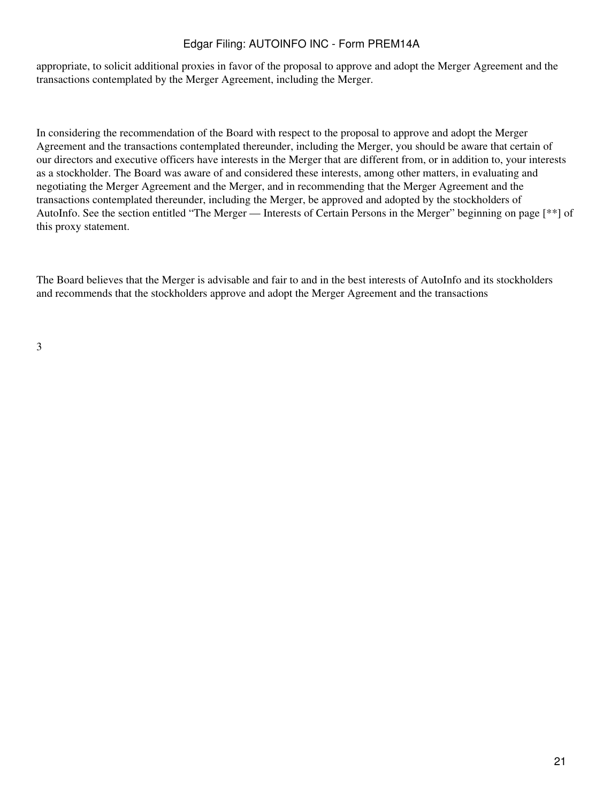appropriate, to solicit additional proxies in favor of the proposal to approve and adopt the Merger Agreement and the transactions contemplated by the Merger Agreement, including the Merger.

In considering the recommendation of the Board with respect to the proposal to approve and adopt the Merger Agreement and the transactions contemplated thereunder, including the Merger, you should be aware that certain of our directors and executive officers have interests in the Merger that are different from, or in addition to, your interests as a stockholder. The Board was aware of and considered these interests, among other matters, in evaluating and negotiating the Merger Agreement and the Merger, and in recommending that the Merger Agreement and the transactions contemplated thereunder, including the Merger, be approved and adopted by the stockholders of AutoInfo. See the section entitled "The Merger — Interests of Certain Persons in the Merger" beginning on page [\*\*] of this proxy statement.

The Board believes that the Merger is advisable and fair to and in the best interests of AutoInfo and its stockholders and recommends that the stockholders approve and adopt the Merger Agreement and the transactions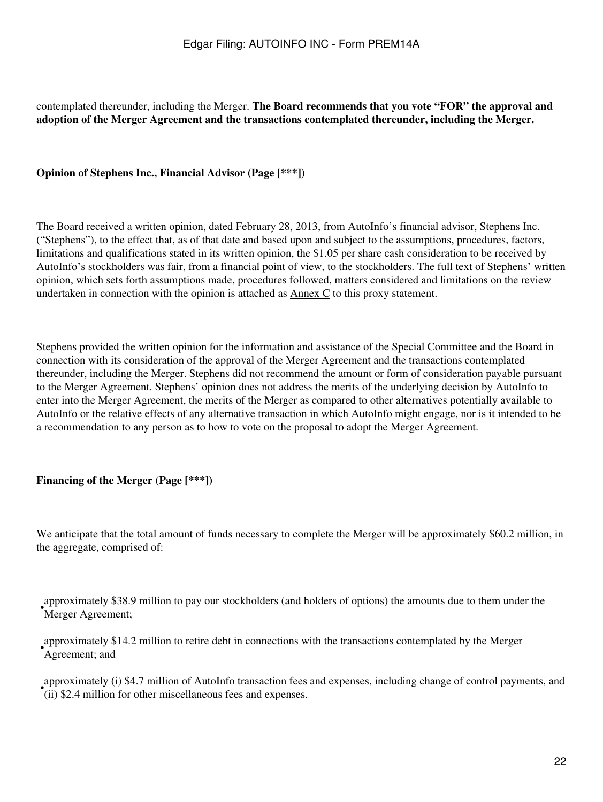contemplated thereunder, including the Merger. **The Board recommends that you vote "FOR" the approval and adoption of the Merger Agreement and the transactions contemplated thereunder, including the Merger.**

#### **Opinion of Stephens Inc., Financial Advisor (Page [\*\*\*])**

The Board received a written opinion, dated February 28, 2013, from AutoInfo's financial advisor, Stephens Inc. ("Stephens"), to the effect that, as of that date and based upon and subject to the assumptions, procedures, factors, limitations and qualifications stated in its written opinion, the \$1.05 per share cash consideration to be received by AutoInfo's stockholders was fair, from a financial point of view, to the stockholders. The full text of Stephens' written opinion, which sets forth assumptions made, procedures followed, matters considered and limitations on the review undertaken in connection with the opinion is attached as Annex C to this proxy statement.

Stephens provided the written opinion for the information and assistance of the Special Committee and the Board in connection with its consideration of the approval of the Merger Agreement and the transactions contemplated thereunder, including the Merger. Stephens did not recommend the amount or form of consideration payable pursuant to the Merger Agreement. Stephens' opinion does not address the merits of the underlying decision by AutoInfo to enter into the Merger Agreement, the merits of the Merger as compared to other alternatives potentially available to AutoInfo or the relative effects of any alternative transaction in which AutoInfo might engage, nor is it intended to be a recommendation to any person as to how to vote on the proposal to adopt the Merger Agreement.

#### **Financing of the Merger (Page [\*\*\*])**

We anticipate that the total amount of funds necessary to complete the Merger will be approximately \$60.2 million, in the aggregate, comprised of:

Merger Agreement; approximately \$38.9 million to pay our stockholders (and holders of options) the amounts due to them under the

 $A$ greement; and approximately \$14.2 million to retire debt in connections with the transactions contemplated by the Merger

 $\bullet$  (ii) \$2.4 million for other miscellaneous fees and expenses. approximately (i) \$4.7 million of AutoInfo transaction fees and expenses, including change of control payments, and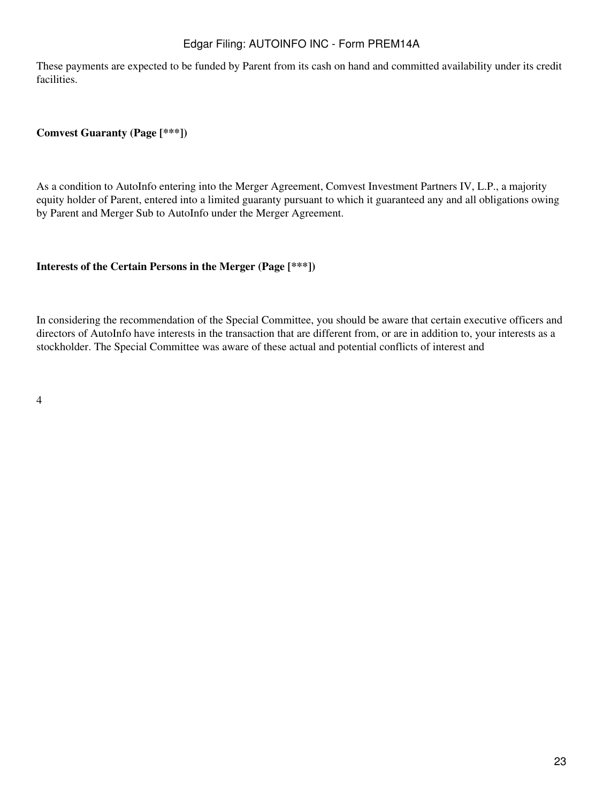These payments are expected to be funded by Parent from its cash on hand and committed availability under its credit facilities.

#### **Comvest Guaranty (Page [\*\*\*])**

As a condition to AutoInfo entering into the Merger Agreement, Comvest Investment Partners IV, L.P., a majority equity holder of Parent, entered into a limited guaranty pursuant to which it guaranteed any and all obligations owing by Parent and Merger Sub to AutoInfo under the Merger Agreement.

#### **Interests of the Certain Persons in the Merger (Page [\*\*\*])**

In considering the recommendation of the Special Committee, you should be aware that certain executive officers and directors of AutoInfo have interests in the transaction that are different from, or are in addition to, your interests as a stockholder. The Special Committee was aware of these actual and potential conflicts of interest and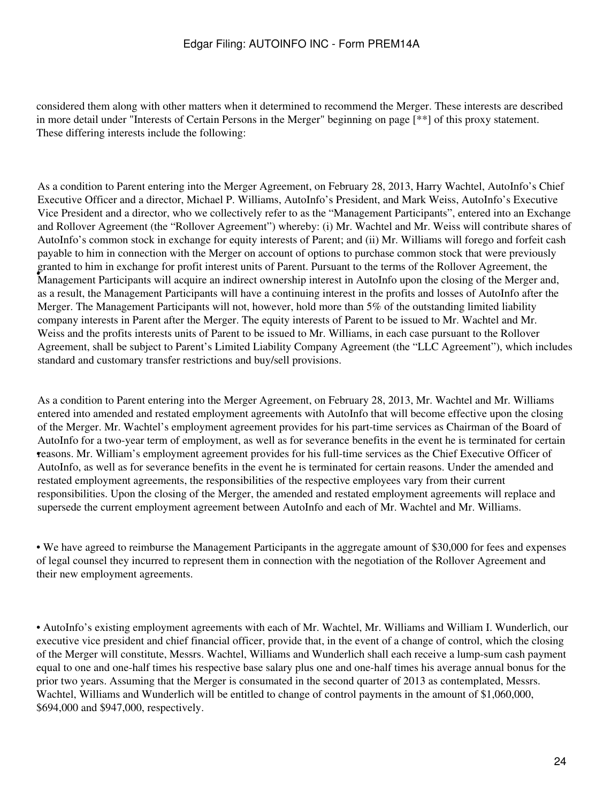considered them along with other matters when it determined to recommend the Merger. These interests are described in more detail under "Interests of Certain Persons in the Merger" beginning on page [\*\*] of this proxy statement. These differing interests include the following:

France to min in exeminge for profit interest aims of Farent. I also ant to the terms of the Ronover Agreement, the<br>Management Participants will acquire an indirect ownership interest in AutoInfo upon the closing of the Me As a condition to Parent entering into the Merger Agreement, on February 28, 2013, Harry Wachtel, AutoInfo's Chief Executive Officer and a director, Michael P. Williams, AutoInfo's President, and Mark Weiss, AutoInfo's Executive Vice President and a director, who we collectively refer to as the "Management Participants", entered into an Exchange and Rollover Agreement (the "Rollover Agreement") whereby: (i) Mr. Wachtel and Mr. Weiss will contribute shares of AutoInfo's common stock in exchange for equity interests of Parent; and (ii) Mr. Williams will forego and forfeit cash payable to him in connection with the Merger on account of options to purchase common stock that were previously granted to him in exchange for profit interest units of Parent. Pursuant to the terms of the Rollover Agreement, the as a result, the Management Participants will have a continuing interest in the profits and losses of AutoInfo after the Merger. The Management Participants will not, however, hold more than 5% of the outstanding limited liability company interests in Parent after the Merger. The equity interests of Parent to be issued to Mr. Wachtel and Mr. Weiss and the profits interests units of Parent to be issued to Mr. Williams, in each case pursuant to the Rollover Agreement, shall be subject to Parent's Limited Liability Company Agreement (the "LLC Agreement"), which includes standard and customary transfer restrictions and buy/sell provisions.

• reasons. Mr. William's employment agreement provides for his full-time services as the Chief Executive Officer of As a condition to Parent entering into the Merger Agreement, on February 28, 2013, Mr. Wachtel and Mr. Williams entered into amended and restated employment agreements with AutoInfo that will become effective upon the closing of the Merger. Mr. Wachtel's employment agreement provides for his part-time services as Chairman of the Board of AutoInfo for a two-year term of employment, as well as for severance benefits in the event he is terminated for certain AutoInfo, as well as for severance benefits in the event he is terminated for certain reasons. Under the amended and restated employment agreements, the responsibilities of the respective employees vary from their current responsibilities. Upon the closing of the Merger, the amended and restated employment agreements will replace and supersede the current employment agreement between AutoInfo and each of Mr. Wachtel and Mr. Williams.

• We have agreed to reimburse the Management Participants in the aggregate amount of \$30,000 for fees and expenses of legal counsel they incurred to represent them in connection with the negotiation of the Rollover Agreement and their new employment agreements.

• AutoInfo's existing employment agreements with each of Mr. Wachtel, Mr. Williams and William I. Wunderlich, our executive vice president and chief financial officer, provide that, in the event of a change of control, which the closing of the Merger will constitute, Messrs. Wachtel, Williams and Wunderlich shall each receive a lump-sum cash payment equal to one and one-half times his respective base salary plus one and one-half times his average annual bonus for the prior two years. Assuming that the Merger is consumated in the second quarter of 2013 as contemplated, Messrs. Wachtel, Williams and Wunderlich will be entitled to change of control payments in the amount of \$1,060,000, \$694,000 and \$947,000, respectively.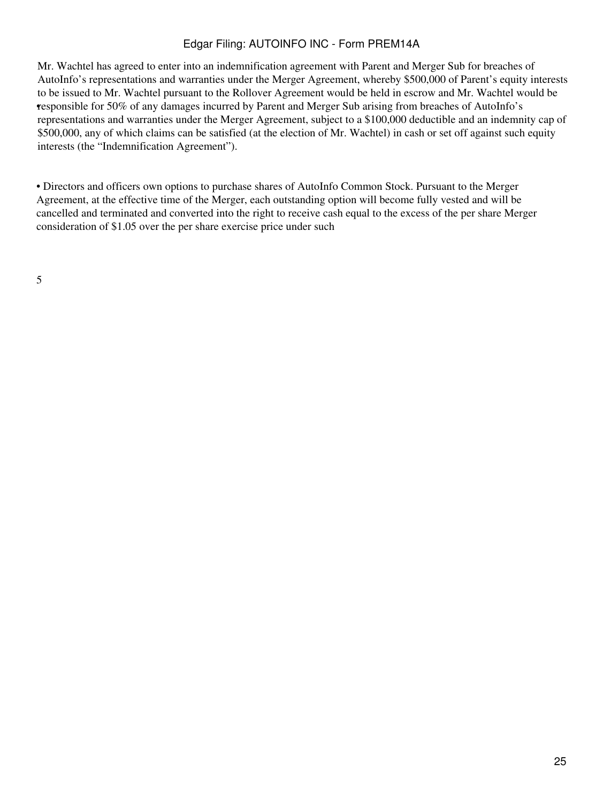• responsible for 50% of any damages incurred by Parent and Merger Sub arising from breaches of AutoInfo's Mr. Wachtel has agreed to enter into an indemnification agreement with Parent and Merger Sub for breaches of AutoInfo's representations and warranties under the Merger Agreement, whereby \$500,000 of Parent's equity interests to be issued to Mr. Wachtel pursuant to the Rollover Agreement would be held in escrow and Mr. Wachtel would be representations and warranties under the Merger Agreement, subject to a \$100,000 deductible and an indemnity cap of \$500,000, any of which claims can be satisfied (at the election of Mr. Wachtel) in cash or set off against such equity interests (the "Indemnification Agreement").

• Directors and officers own options to purchase shares of AutoInfo Common Stock. Pursuant to the Merger Agreement, at the effective time of the Merger, each outstanding option will become fully vested and will be cancelled and terminated and converted into the right to receive cash equal to the excess of the per share Merger consideration of \$1.05 over the per share exercise price under such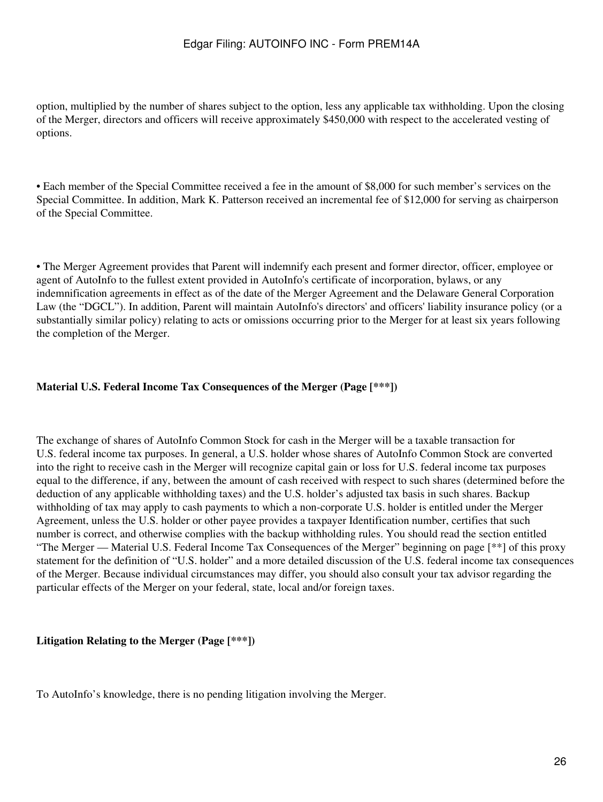option, multiplied by the number of shares subject to the option, less any applicable tax withholding. Upon the closing of the Merger, directors and officers will receive approximately \$450,000 with respect to the accelerated vesting of options.

• Each member of the Special Committee received a fee in the amount of \$8,000 for such member's services on the Special Committee. In addition, Mark K. Patterson received an incremental fee of \$12,000 for serving as chairperson of the Special Committee.

• The Merger Agreement provides that Parent will indemnify each present and former director, officer, employee or agent of AutoInfo to the fullest extent provided in AutoInfo's certificate of incorporation, bylaws, or any indemnification agreements in effect as of the date of the Merger Agreement and the Delaware General Corporation Law (the "DGCL"). In addition, Parent will maintain AutoInfo's directors' and officers' liability insurance policy (or a substantially similar policy) relating to acts or omissions occurring prior to the Merger for at least six years following the completion of the Merger.

#### **Material U.S. Federal Income Tax Consequences of the Merger (Page [\*\*\*])**

The exchange of shares of AutoInfo Common Stock for cash in the Merger will be a taxable transaction for U.S. federal income tax purposes. In general, a U.S. holder whose shares of AutoInfo Common Stock are converted into the right to receive cash in the Merger will recognize capital gain or loss for U.S. federal income tax purposes equal to the difference, if any, between the amount of cash received with respect to such shares (determined before the deduction of any applicable withholding taxes) and the U.S. holder's adjusted tax basis in such shares. Backup withholding of tax may apply to cash payments to which a non-corporate U.S. holder is entitled under the Merger Agreement, unless the U.S. holder or other payee provides a taxpayer Identification number, certifies that such number is correct, and otherwise complies with the backup withholding rules. You should read the section entitled "The Merger — Material U.S. Federal Income Tax Consequences of the Merger" beginning on page [\*\*] of this proxy statement for the definition of "U.S. holder" and a more detailed discussion of the U.S. federal income tax consequences of the Merger. Because individual circumstances may differ, you should also consult your tax advisor regarding the particular effects of the Merger on your federal, state, local and/or foreign taxes.

#### **Litigation Relating to the Merger (Page [\*\*\*])**

To AutoInfo's knowledge, there is no pending litigation involving the Merger.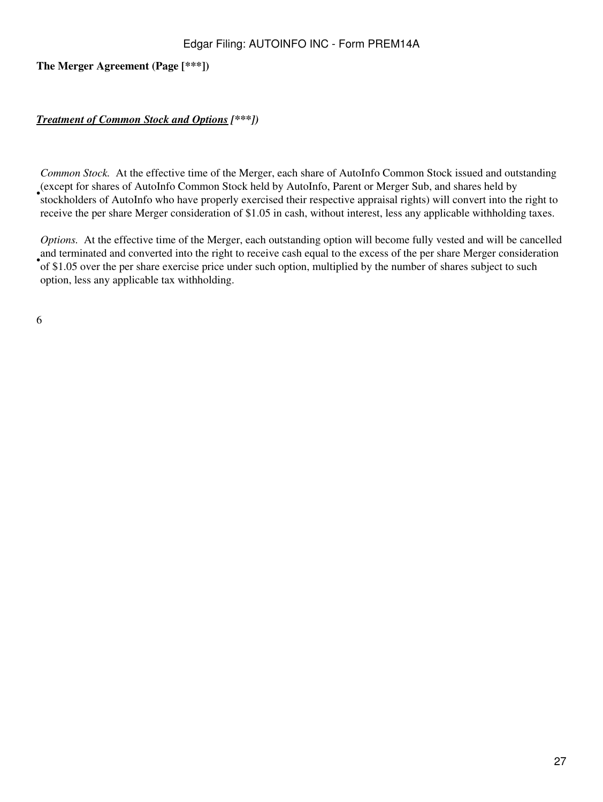# **The Merger Agreement (Page [\*\*\*])**

# *Treatment of Common Stock and Options [\*\*\*])*

• (except for shares of AutoInfo Common Stock held by AutoInfo, Parent or Merger Sub, and shares held by *Common Stock.* At the effective time of the Merger, each share of AutoInfo Common Stock issued and outstanding stockholders of AutoInfo who have properly exercised their respective appraisal rights) will convert into the right to receive the per share Merger consideration of \$1.05 in cash, without interest, less any applicable withholding taxes.

If the number of \$1.05 over the per share exercise price under such option, multiplied by the number of shares subject to such  $\frac{1}{2}$ *Options.* At the effective time of the Merger, each outstanding option will become fully vested and will be cancelled and terminated and converted into the right to receive cash equal to the excess of the per share Merger consideration option, less any applicable tax withholding.

6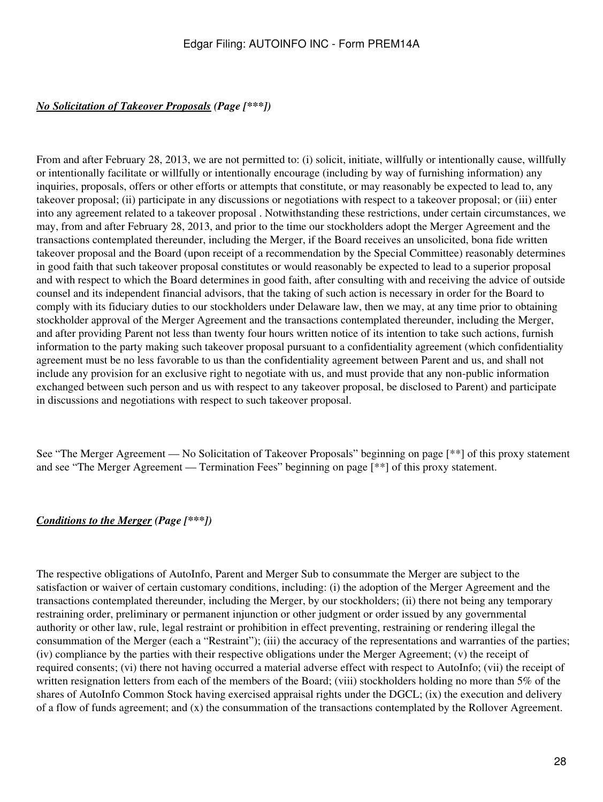#### *No Solicitation of Takeover Proposals (Page [\*\*\*])*

From and after February 28, 2013, we are not permitted to: (i) solicit, initiate, willfully or intentionally cause, willfully or intentionally facilitate or willfully or intentionally encourage (including by way of furnishing information) any inquiries, proposals, offers or other efforts or attempts that constitute, or may reasonably be expected to lead to, any takeover proposal; (ii) participate in any discussions or negotiations with respect to a takeover proposal; or (iii) enter into any agreement related to a takeover proposal . Notwithstanding these restrictions, under certain circumstances, we may, from and after February 28, 2013, and prior to the time our stockholders adopt the Merger Agreement and the transactions contemplated thereunder, including the Merger, if the Board receives an unsolicited, bona fide written takeover proposal and the Board (upon receipt of a recommendation by the Special Committee) reasonably determines in good faith that such takeover proposal constitutes or would reasonably be expected to lead to a superior proposal and with respect to which the Board determines in good faith, after consulting with and receiving the advice of outside counsel and its independent financial advisors, that the taking of such action is necessary in order for the Board to comply with its fiduciary duties to our stockholders under Delaware law, then we may, at any time prior to obtaining stockholder approval of the Merger Agreement and the transactions contemplated thereunder, including the Merger, and after providing Parent not less than twenty four hours written notice of its intention to take such actions, furnish information to the party making such takeover proposal pursuant to a confidentiality agreement (which confidentiality agreement must be no less favorable to us than the confidentiality agreement between Parent and us, and shall not include any provision for an exclusive right to negotiate with us, and must provide that any non-public information exchanged between such person and us with respect to any takeover proposal, be disclosed to Parent) and participate in discussions and negotiations with respect to such takeover proposal.

See "The Merger Agreement — No Solicitation of Takeover Proposals" beginning on page [\*\*] of this proxy statement and see "The Merger Agreement — Termination Fees" beginning on page [\*\*] of this proxy statement.

#### *Conditions to the Merger (Page [\*\*\*])*

The respective obligations of AutoInfo, Parent and Merger Sub to consummate the Merger are subject to the satisfaction or waiver of certain customary conditions, including: (i) the adoption of the Merger Agreement and the transactions contemplated thereunder, including the Merger, by our stockholders; (ii) there not being any temporary restraining order, preliminary or permanent injunction or other judgment or order issued by any governmental authority or other law, rule, legal restraint or prohibition in effect preventing, restraining or rendering illegal the consummation of the Merger (each a "Restraint"); (iii) the accuracy of the representations and warranties of the parties; (iv) compliance by the parties with their respective obligations under the Merger Agreement; (v) the receipt of required consents; (vi) there not having occurred a material adverse effect with respect to AutoInfo; (vii) the receipt of written resignation letters from each of the members of the Board; (viii) stockholders holding no more than 5% of the shares of AutoInfo Common Stock having exercised appraisal rights under the DGCL; (ix) the execution and delivery of a flow of funds agreement; and (x) the consummation of the transactions contemplated by the Rollover Agreement.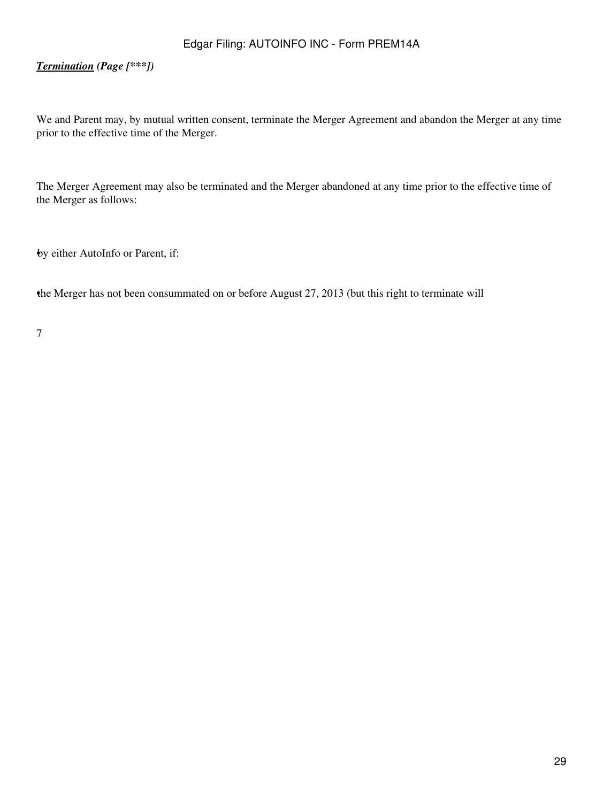*Termination (Page [\*\*\*])*

We and Parent may, by mutual written consent, terminate the Merger Agreement and abandon the Merger at any time prior to the effective time of the Merger.

The Merger Agreement may also be terminated and the Merger abandoned at any time prior to the effective time of the Merger as follows:

•by either AutoInfo or Parent, if:

•the Merger has not been consummated on or before August 27, 2013 (but this right to terminate will

7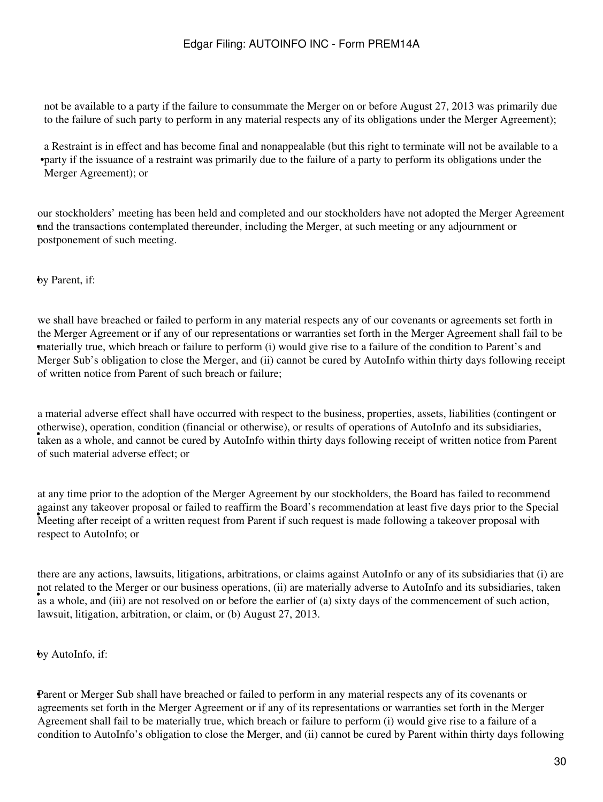not be available to a party if the failure to consummate the Merger on or before August 27, 2013 was primarily due to the failure of such party to perform in any material respects any of its obligations under the Merger Agreement);

• party if the issuance of a restraint was primarily due to the failure of a party to perform its obligations under the a Restraint is in effect and has become final and nonappealable (but this right to terminate will not be available to a Merger Agreement); or

• and the transactions contemplated thereunder, including the Merger, at such meeting or any adjournment or our stockholders' meeting has been held and completed and our stockholders have not adopted the Merger Agreement postponement of such meeting.

•by Parent, if:

• materially true, which breach or failure to perform (i) would give rise to a failure of the condition to Parent's and we shall have breached or failed to perform in any material respects any of our covenants or agreements set forth in the Merger Agreement or if any of our representations or warranties set forth in the Merger Agreement shall fail to be Merger Sub's obligation to close the Merger, and (ii) cannot be cured by AutoInfo within thirty days following receipt of written notice from Parent of such breach or failure;

• taken as a whole, and cannot be cured by AutoInfo within thirty days following receipt of written notice from Parent a material adverse effect shall have occurred with respect to the business, properties, assets, liabilities (contingent or otherwise), operation, condition (financial or otherwise), or results of operations of AutoInfo and its subsidiaries, of such material adverse effect; or

against any takeover proposal or ranea to rearring the Board's recommendation at least five days prior to the spe<br>Meeting after receipt of a written request from Parent if such request is made following a takeover proposal at any time prior to the adoption of the Merger Agreement by our stockholders, the Board has failed to recommend against any takeover proposal or failed to reaffirm the Board's recommendation at least five days prior to the Special respect to AutoInfo; or

as a whole, and (iii) are not resolved on or before the earlier of (a) sixty days of the commencement of such action, there are any actions, lawsuits, litigations, arbitrations, or claims against AutoInfo or any of its subsidiaries that (i) are not related to the Merger or our business operations, (ii) are materially adverse to AutoInfo and its subsidiaries, taken lawsuit, litigation, arbitration, or claim, or (b) August 27, 2013.

•by AutoInfo, if:

•Parent or Merger Sub shall have breached or failed to perform in any material respects any of its covenants or agreements set forth in the Merger Agreement or if any of its representations or warranties set forth in the Merger Agreement shall fail to be materially true, which breach or failure to perform (i) would give rise to a failure of a condition to AutoInfo's obligation to close the Merger, and (ii) cannot be cured by Parent within thirty days following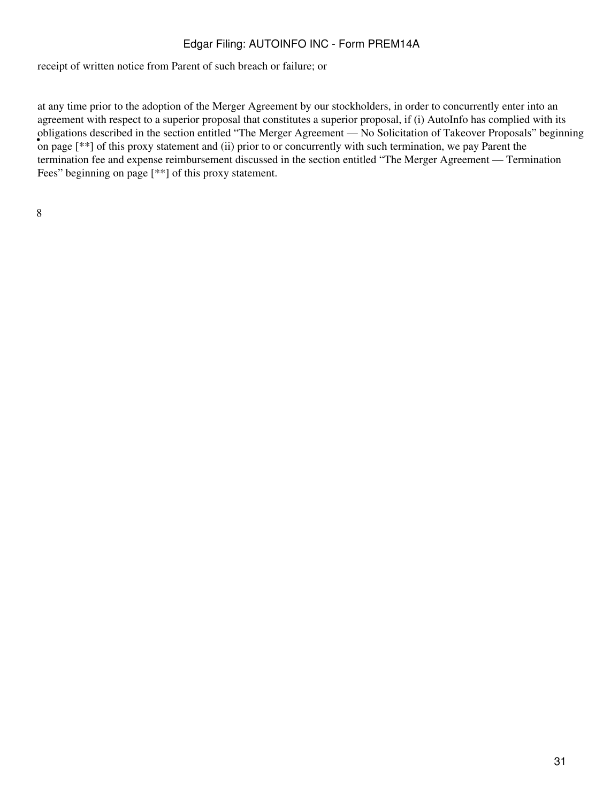receipt of written notice from Parent of such breach or failure; or

on page [\*\*] of this proxy statement and (ii) prior to or concurrently with such termination, we pay Parent the at any time prior to the adoption of the Merger Agreement by our stockholders, in order to concurrently enter into an agreement with respect to a superior proposal that constitutes a superior proposal, if (i) AutoInfo has complied with its obligations described in the section entitled "The Merger Agreement — No Solicitation of Takeover Proposals" beginning termination fee and expense reimbursement discussed in the section entitled "The Merger Agreement — Termination Fees" beginning on page [\*\*] of this proxy statement.

8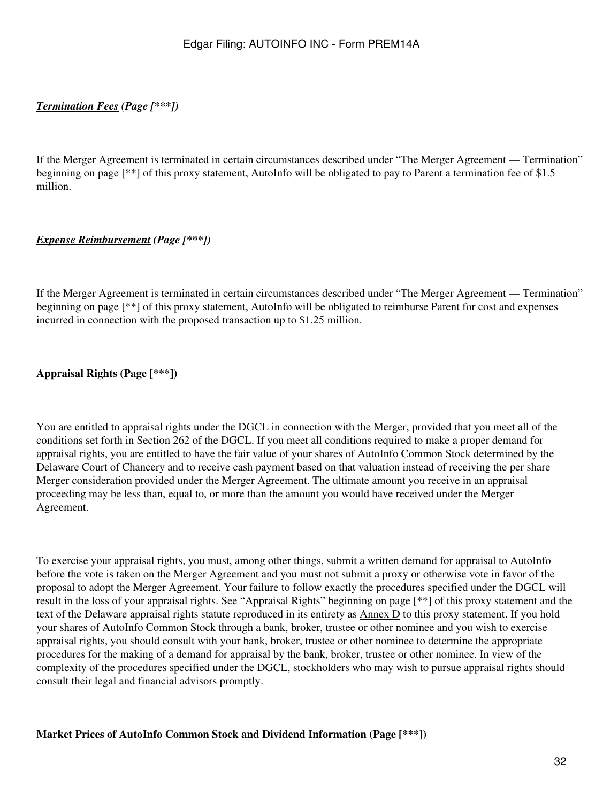# *Termination Fees (Page [\*\*\*])*

If the Merger Agreement is terminated in certain circumstances described under "The Merger Agreement — Termination" beginning on page [\*\*] of this proxy statement, AutoInfo will be obligated to pay to Parent a termination fee of \$1.5 million.

#### *Expense Reimbursement (Page [\*\*\*])*

If the Merger Agreement is terminated in certain circumstances described under "The Merger Agreement — Termination" beginning on page [\*\*] of this proxy statement, AutoInfo will be obligated to reimburse Parent for cost and expenses incurred in connection with the proposed transaction up to \$1.25 million.

#### **Appraisal Rights (Page [\*\*\*])**

You are entitled to appraisal rights under the DGCL in connection with the Merger, provided that you meet all of the conditions set forth in Section 262 of the DGCL. If you meet all conditions required to make a proper demand for appraisal rights, you are entitled to have the fair value of your shares of AutoInfo Common Stock determined by the Delaware Court of Chancery and to receive cash payment based on that valuation instead of receiving the per share Merger consideration provided under the Merger Agreement. The ultimate amount you receive in an appraisal proceeding may be less than, equal to, or more than the amount you would have received under the Merger Agreement.

To exercise your appraisal rights, you must, among other things, submit a written demand for appraisal to AutoInfo before the vote is taken on the Merger Agreement and you must not submit a proxy or otherwise vote in favor of the proposal to adopt the Merger Agreement. Your failure to follow exactly the procedures specified under the DGCL will result in the loss of your appraisal rights. See "Appraisal Rights" beginning on page [\*\*] of this proxy statement and the text of the Delaware appraisal rights statute reproduced in its entirety as Annex D to this proxy statement. If you hold your shares of AutoInfo Common Stock through a bank, broker, trustee or other nominee and you wish to exercise appraisal rights, you should consult with your bank, broker, trustee or other nominee to determine the appropriate procedures for the making of a demand for appraisal by the bank, broker, trustee or other nominee. In view of the complexity of the procedures specified under the DGCL, stockholders who may wish to pursue appraisal rights should consult their legal and financial advisors promptly.

**Market Prices of AutoInfo Common Stock and Dividend Information (Page [\*\*\*])**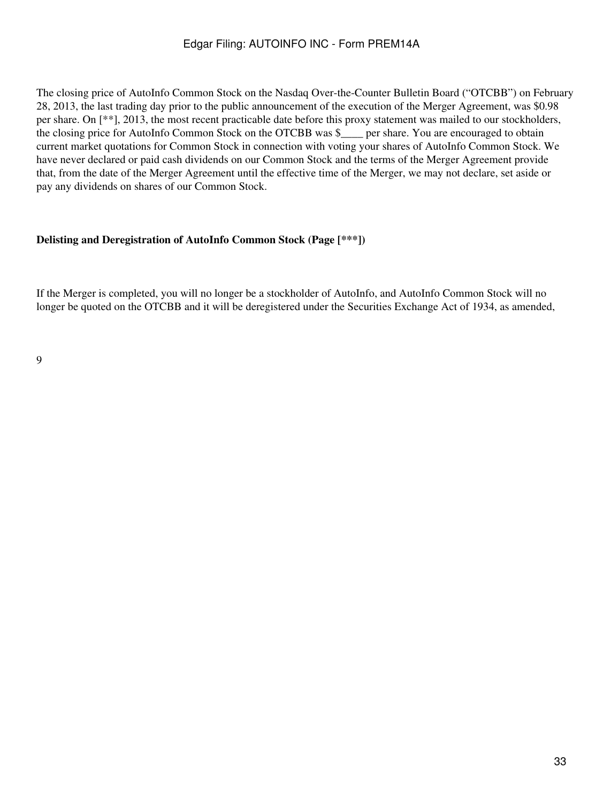The closing price of AutoInfo Common Stock on the Nasdaq Over-the-Counter Bulletin Board ("OTCBB") on February 28, 2013, the last trading day prior to the public announcement of the execution of the Merger Agreement, was \$0.98 per share. On [\*\*], 2013, the most recent practicable date before this proxy statement was mailed to our stockholders, the closing price for AutoInfo Common Stock on the OTCBB was \$\_\_\_\_ per share. You are encouraged to obtain current market quotations for Common Stock in connection with voting your shares of AutoInfo Common Stock. We have never declared or paid cash dividends on our Common Stock and the terms of the Merger Agreement provide that, from the date of the Merger Agreement until the effective time of the Merger, we may not declare, set aside or pay any dividends on shares of our Common Stock.

#### **Delisting and Deregistration of AutoInfo Common Stock (Page [\*\*\*])**

If the Merger is completed, you will no longer be a stockholder of AutoInfo, and AutoInfo Common Stock will no longer be quoted on the OTCBB and it will be deregistered under the Securities Exchange Act of 1934, as amended,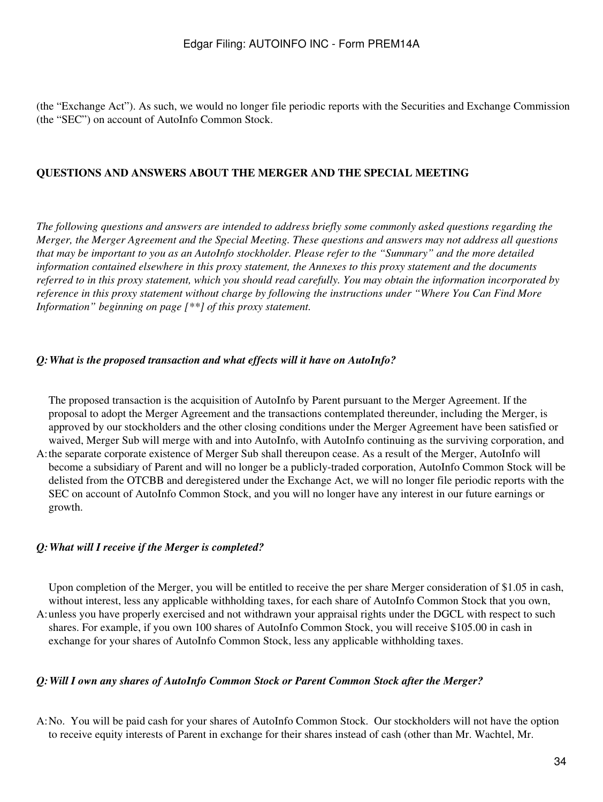(the "Exchange Act"). As such, we would no longer file periodic reports with the Securities and Exchange Commission (the "SEC") on account of AutoInfo Common Stock.

#### **QUESTIONS AND ANSWERS ABOUT THE MERGER AND THE SPECIAL MEETING**

*The following questions and answers are intended to address briefly some commonly asked questions regarding the Merger, the Merger Agreement and the Special Meeting. These questions and answers may not address all questions that may be important to you as an AutoInfo stockholder. Please refer to the "Summary" and the more detailed information contained elsewhere in this proxy statement, the Annexes to this proxy statement and the documents referred to in this proxy statement, which you should read carefully. You may obtain the information incorporated by reference in this proxy statement without charge by following the instructions under "Where You Can Find More Information" beginning on page [\*\*] of this proxy statement.*

#### *Q:What is the proposed transaction and what effects will it have on AutoInfo?*

A: the separate corporate existence of Merger Sub shall thereupon cease. As a result of the Merger, AutoInfo will The proposed transaction is the acquisition of AutoInfo by Parent pursuant to the Merger Agreement. If the proposal to adopt the Merger Agreement and the transactions contemplated thereunder, including the Merger, is approved by our stockholders and the other closing conditions under the Merger Agreement have been satisfied or waived, Merger Sub will merge with and into AutoInfo, with AutoInfo continuing as the surviving corporation, and become a subsidiary of Parent and will no longer be a publicly-traded corporation, AutoInfo Common Stock will be delisted from the OTCBB and deregistered under the Exchange Act, we will no longer file periodic reports with the SEC on account of AutoInfo Common Stock, and you will no longer have any interest in our future earnings or growth.

#### *Q:What will I receive if the Merger is completed?*

A: unless you have properly exercised and not withdrawn your appraisal rights under the DGCL with respect to such Upon completion of the Merger, you will be entitled to receive the per share Merger consideration of \$1.05 in cash, without interest, less any applicable withholding taxes, for each share of AutoInfo Common Stock that you own, shares. For example, if you own 100 shares of AutoInfo Common Stock, you will receive \$105.00 in cash in exchange for your shares of AutoInfo Common Stock, less any applicable withholding taxes.

#### *Q:Will I own any shares of AutoInfo Common Stock or Parent Common Stock after the Merger?*

A:No. You will be paid cash for your shares of AutoInfo Common Stock. Our stockholders will not have the option to receive equity interests of Parent in exchange for their shares instead of cash (other than Mr. Wachtel, Mr.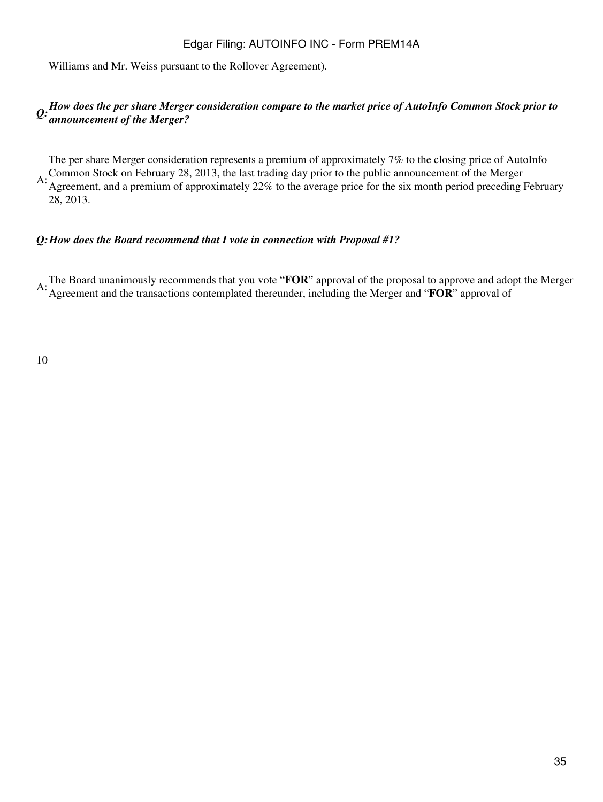Williams and Mr. Weiss pursuant to the Rollover Agreement).

# *Q:How does the per share Merger consideration compare to the market price of AutoInfo Common Stock prior to announcement of the Merger?*

A: Common Stock on February 28, 2013, the last trading day prior to the public announcement of the Merger The per share Merger consideration represents a premium of approximately 7% to the closing price of AutoInfo Agreement, and a premium of approximately 22% to the average price for the six month period preceding February 28, 2013.

#### *Q:How does the Board recommend that I vote in connection with Proposal #1?*

A:The Board unanimously recommends that you vote "**FOR**" approval of the proposal to approve and adopt the Merger Agreement and the transactions contemplated thereunder, including the Merger and "**FOR**" approval of

10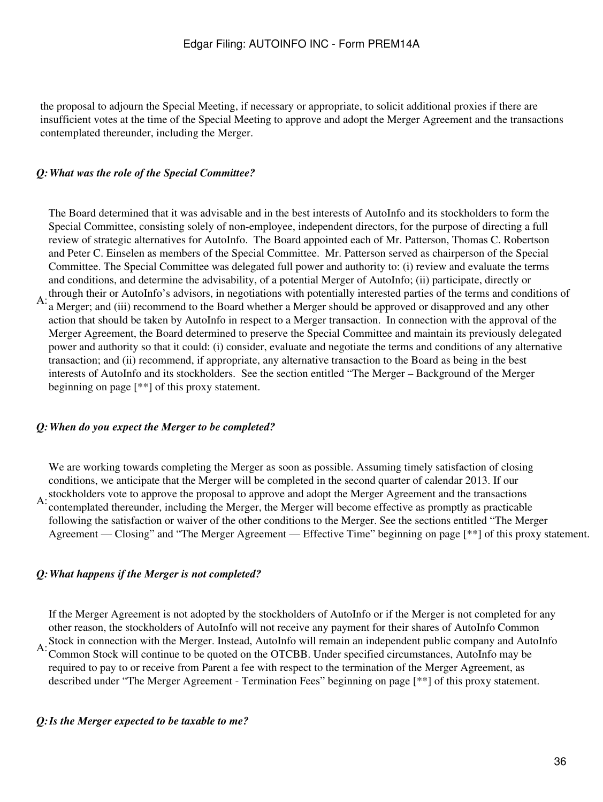the proposal to adjourn the Special Meeting, if necessary or appropriate, to solicit additional proxies if there are insufficient votes at the time of the Special Meeting to approve and adopt the Merger Agreement and the transactions contemplated thereunder, including the Merger.

#### *Q:What was the role of the Special Committee?*

A: through their or AutoInfo's advisors, in negotiations with potentially interested parties of the terms and conditions of A: a Margar and (iii) recommend to the Board whether a Margar should be enriqued and disconnected The Board determined that it was advisable and in the best interests of AutoInfo and its stockholders to form the Special Committee, consisting solely of non-employee, independent directors, for the purpose of directing a full review of strategic alternatives for AutoInfo. The Board appointed each of Mr. Patterson, Thomas C. Robertson and Peter C. Einselen as members of the Special Committee. Mr. Patterson served as chairperson of the Special Committee. The Special Committee was delegated full power and authority to: (i) review and evaluate the terms and conditions, and determine the advisability, of a potential Merger of AutoInfo; (ii) participate, directly or a Merger; and (iii) recommend to the Board whether a Merger should be approved or disapproved and any other action that should be taken by AutoInfo in respect to a Merger transaction. In connection with the approval of the Merger Agreement, the Board determined to preserve the Special Committee and maintain its previously delegated power and authority so that it could: (i) consider, evaluate and negotiate the terms and conditions of any alternative transaction; and (ii) recommend, if appropriate, any alternative transaction to the Board as being in the best interests of AutoInfo and its stockholders. See the section entitled "The Merger – Background of the Merger beginning on page [\*\*] of this proxy statement.

#### *Q:When do you expect the Merger to be completed?*

A: stockholders vote to approve the proposal to approve and adopt the Merger Agreement and the transactions A:<br>A: contemplated thereunder including the Merger, the Merger will become effective as groundly as provided We are working towards completing the Merger as soon as possible. Assuming timely satisfaction of closing conditions, we anticipate that the Merger will be completed in the second quarter of calendar 2013. If our contemplated thereunder, including the Merger, the Merger will become effective as promptly as practicable following the satisfaction or waiver of the other conditions to the Merger. See the sections entitled "The Merger Agreement — Closing" and "The Merger Agreement — Effective Time" beginning on page [\*\*] of this proxy statement.

#### *Q:What happens if the Merger is not completed?*

A: If the Merger Agreement is not adopted by the stockholders of AutoInfo or if the Merger is not completed for any other reason, the stockholders of AutoInfo will not receive any payment for their shares of AutoInfo Common Stock in connection with the Merger. Instead, AutoInfo will remain an independent public company and AutoInfo Common Stock will continue to be quoted on the OTCBB. Under specified circumstances, AutoInfo may be required to pay to or receive from Parent a fee with respect to the termination of the Merger Agreement, as described under "The Merger Agreement - Termination Fees" beginning on page [\*\*] of this proxy statement.

#### *Q:Is the Merger expected to be taxable to me?*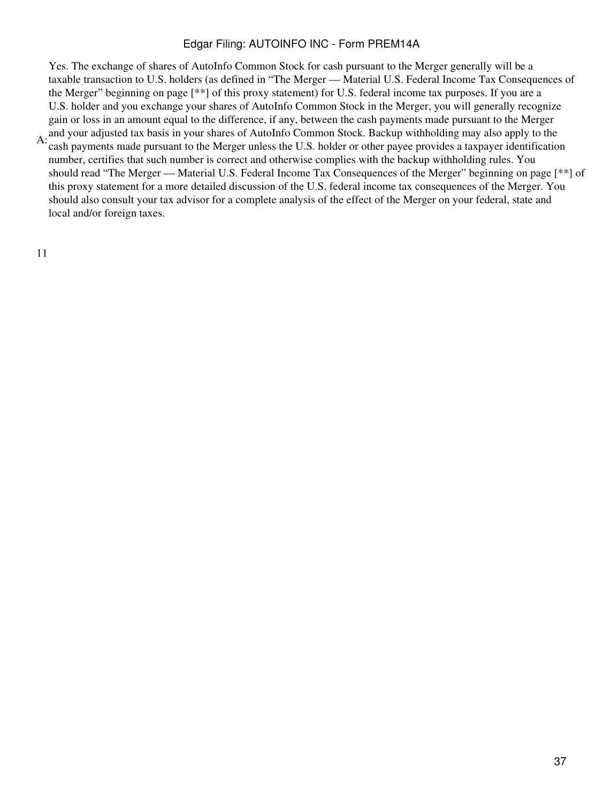Yes. The exchange of shares of AutoInfo Common Stock for cash pursuant to the Merger generally will be a taxable transaction to U.S. holders (as defined in "The Merger — Material U.S. Federal Income Tax Consequences of the Merger" beginning on page [\*\*] of this proxy statement) for U.S. federal income tax purposes. If you are a U.S. holder and you exchange your shares of AutoInfo Common Stock in the Merger, you will generally recognize gain or loss in an amount equal to the difference, if any, between the cash payments made pursuant to the Merger

A: and your adjusted tax basis in your shares of AutoInfo Common Stock. Backup withholding may also apply to the<br>A: seek novements made nursuant to the Margarunless the U.S. holder or other naves nevides a terms in dentifi cash payments made pursuant to the Merger unless the U.S. holder or other payee provides a taxpayer identification number, certifies that such number is correct and otherwise complies with the backup withholding rules. You should read "The Merger — Material U.S. Federal Income Tax Consequences of the Merger" beginning on page [\*\*] of this proxy statement for a more detailed discussion of the U.S. federal income tax consequences of the Merger. You should also consult your tax advisor for a complete analysis of the effect of the Merger on your federal, state and local and/or foreign taxes.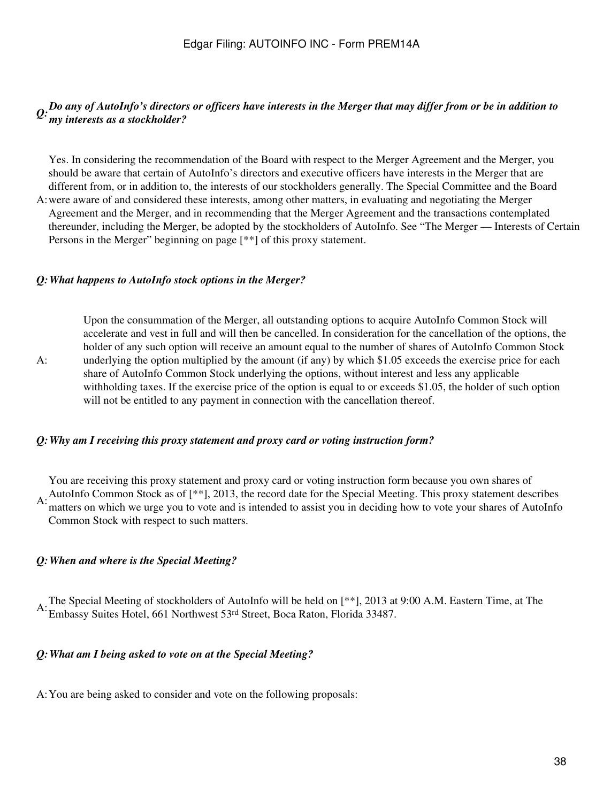# *Q:Do any of AutoInfo's directors or officers have interests in the Merger that may differ from or be in addition to my interests as a stockholder?*

A: were aware of and considered these interests, among other matters, in evaluating and negotiating the Merger Yes. In considering the recommendation of the Board with respect to the Merger Agreement and the Merger, you should be aware that certain of AutoInfo's directors and executive officers have interests in the Merger that are different from, or in addition to, the interests of our stockholders generally. The Special Committee and the Board Agreement and the Merger, and in recommending that the Merger Agreement and the transactions contemplated thereunder, including the Merger, be adopted by the stockholders of AutoInfo. See "The Merger — Interests of Certain Persons in the Merger" beginning on page [\*\*] of this proxy statement.

#### *Q:What happens to AutoInfo stock options in the Merger?*

Upon the consummation of the Merger, all outstanding options to acquire AutoInfo Common Stock will accelerate and vest in full and will then be cancelled. In consideration for the cancellation of the options, the holder of any such option will receive an amount equal to the number of shares of AutoInfo Common Stock underlying the option multiplied by the amount (if any) by which \$1.05 exceeds the exercise price for each share of AutoInfo Common Stock underlying the options, without interest and less any applicable withholding taxes. If the exercise price of the option is equal to or exceeds \$1.05, the holder of such option will not be entitled to any payment in connection with the cancellation thereof.

#### *Q:Why am I receiving this proxy statement and proxy card or voting instruction form?*

A: AutoInfo Common Stock as of [\*\*], 2013, the record date for the Special Meeting. This proxy statement describes<br>A: metters on which we was you to yote and is intended to sociative in desiding how to yote your shares of You are receiving this proxy statement and proxy card or voting instruction form because you own shares of matters on which we urge you to vote and is intended to assist you in deciding how to vote your shares of AutoInfo Common Stock with respect to such matters.

#### *Q:When and where is the Special Meeting?*

A:

A: The Special Meeting of stockholders of AutoInfo will be held on [\*\*], 2013 at 9:00 A.M. Eastern Time, at The Embassy Suites Hotel, 661 Northwest 53<sup>rd</sup> Street, Boca Raton, Florida 33487.

#### *Q:What am I being asked to vote on at the Special Meeting?*

A:You are being asked to consider and vote on the following proposals: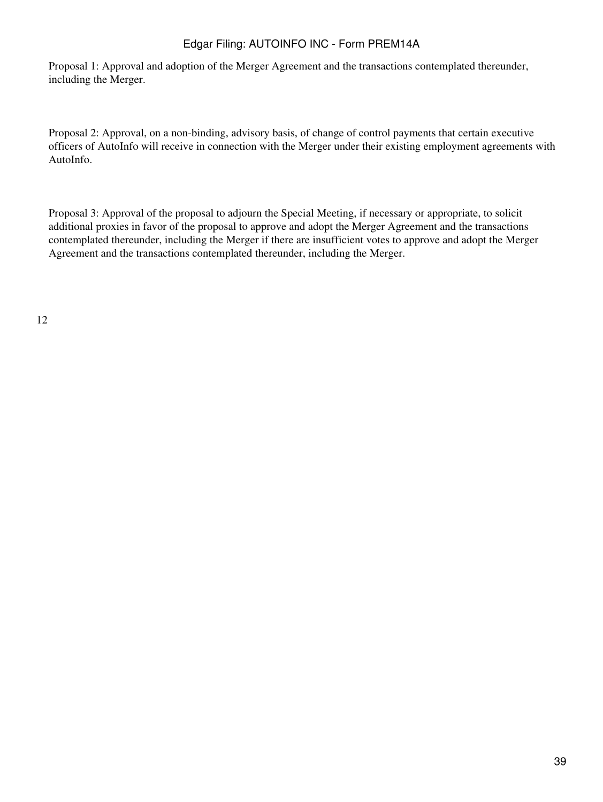Proposal 1: Approval and adoption of the Merger Agreement and the transactions contemplated thereunder, including the Merger.

Proposal 2: Approval, on a non-binding, advisory basis, of change of control payments that certain executive officers of AutoInfo will receive in connection with the Merger under their existing employment agreements with AutoInfo.

Proposal 3: Approval of the proposal to adjourn the Special Meeting, if necessary or appropriate, to solicit additional proxies in favor of the proposal to approve and adopt the Merger Agreement and the transactions contemplated thereunder, including the Merger if there are insufficient votes to approve and adopt the Merger Agreement and the transactions contemplated thereunder, including the Merger.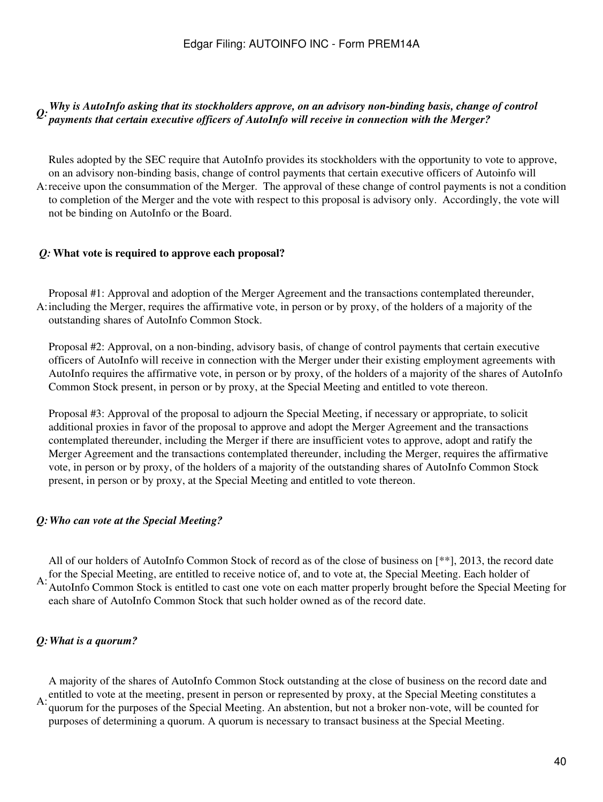# $\varrho$ . Why is AutoInfo asking that its stockholders approve, on an advisory non-binding basis, change of control<br>Pipayments that certain executive officers of AutoInfo will receive in connection with the Merger?

A: receive upon the consummation of the Merger. The approval of these change of control payments is not a condition Rules adopted by the SEC require that AutoInfo provides its stockholders with the opportunity to vote to approve, on an advisory non-binding basis, change of control payments that certain executive officers of Autoinfo will to completion of the Merger and the vote with respect to this proposal is advisory only. Accordingly, the vote will not be binding on AutoInfo or the Board.

#### *Q:* **What vote is required to approve each proposal?**

A: including the Merger, requires the affirmative vote, in person or by proxy, of the holders of a majority of the Proposal #1: Approval and adoption of the Merger Agreement and the transactions contemplated thereunder, outstanding shares of AutoInfo Common Stock.

Proposal #2: Approval, on a non-binding, advisory basis, of change of control payments that certain executive officers of AutoInfo will receive in connection with the Merger under their existing employment agreements with AutoInfo requires the affirmative vote, in person or by proxy, of the holders of a majority of the shares of AutoInfo Common Stock present, in person or by proxy, at the Special Meeting and entitled to vote thereon.

Proposal #3: Approval of the proposal to adjourn the Special Meeting, if necessary or appropriate, to solicit additional proxies in favor of the proposal to approve and adopt the Merger Agreement and the transactions contemplated thereunder, including the Merger if there are insufficient votes to approve, adopt and ratify the Merger Agreement and the transactions contemplated thereunder, including the Merger, requires the affirmative vote, in person or by proxy, of the holders of a majority of the outstanding shares of AutoInfo Common Stock present, in person or by proxy, at the Special Meeting and entitled to vote thereon.

#### *Q:Who can vote at the Special Meeting?*

A: for the Special Meeting, are entitled to receive notice of, and to vote at, the Special Meeting. Each holder of A: AutoInfo Common Steels is entitled to east ane yets an each metter meansly heaven't before the Special M All of our holders of AutoInfo Common Stock of record as of the close of business on [\*\*], 2013, the record date AutoInfo Common Stock is entitled to cast one vote on each matter properly brought before the Special Meeting for each share of AutoInfo Common Stock that such holder owned as of the record date.

#### *Q:What is a quorum?*

A: entitled to vote at the meeting, present in person or represented by proxy, at the Special Meeting constitutes a<br>A: enormy for the numerous of the Special Meeting. An electrotion, but not a hydrog non-vote, will be coun A majority of the shares of AutoInfo Common Stock outstanding at the close of business on the record date and quorum for the purposes of the Special Meeting. An abstention, but not a broker non-vote, will be counted for purposes of determining a quorum. A quorum is necessary to transact business at the Special Meeting.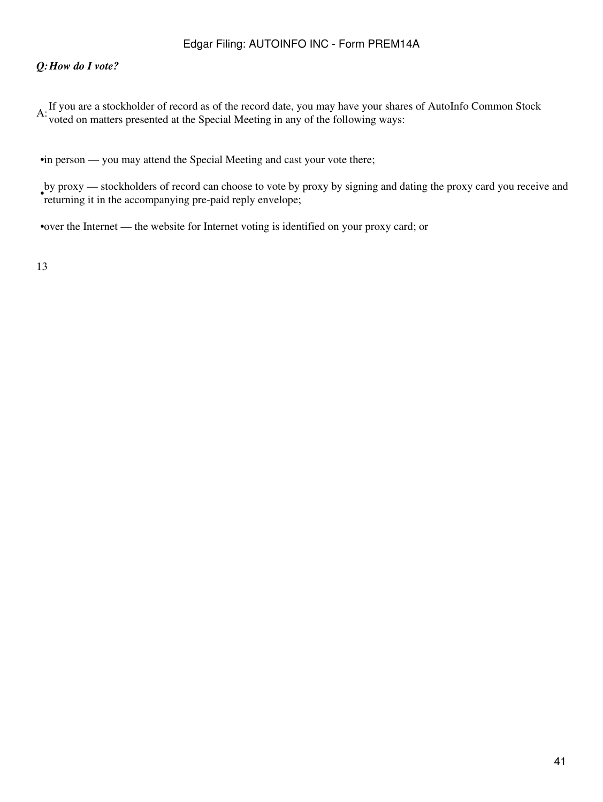#### *Q:How do I vote?*

A: If you are a stockholder of record as of the record date, you may have your shares of AutoInfo Common Stock voted on matters presented at the Special Meeting in any of the following ways:

•in person — you may attend the Special Meeting and cast your vote there;

by proxy — stockholders of record can choose to vote by proxy by signing and dating the proxy card you receive and<br>entry in the accompanying are neid really envolved. returning it in the accompanying pre-paid reply envelope;

•over the Internet — the website for Internet voting is identified on your proxy card; or

13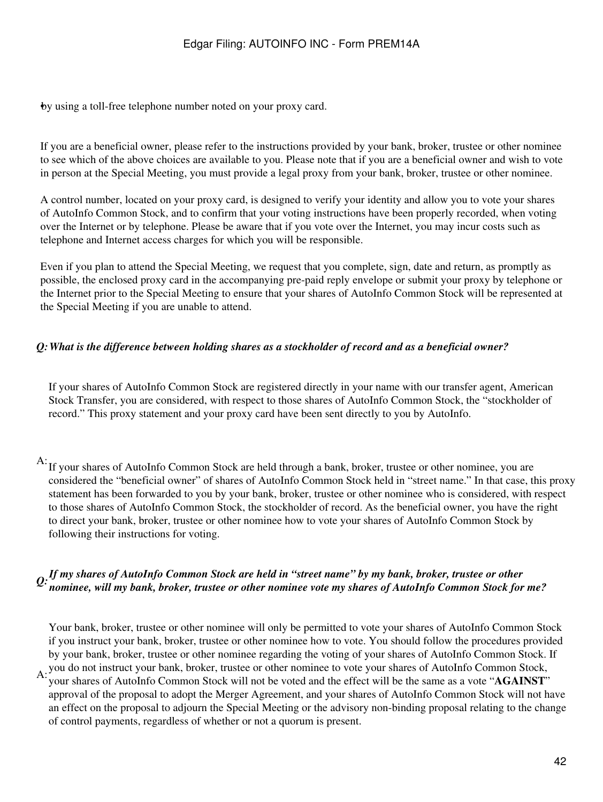•by using a toll-free telephone number noted on your proxy card.

If you are a beneficial owner, please refer to the instructions provided by your bank, broker, trustee or other nominee to see which of the above choices are available to you. Please note that if you are a beneficial owner and wish to vote in person at the Special Meeting, you must provide a legal proxy from your bank, broker, trustee or other nominee.

A control number, located on your proxy card, is designed to verify your identity and allow you to vote your shares of AutoInfo Common Stock, and to confirm that your voting instructions have been properly recorded, when voting over the Internet or by telephone. Please be aware that if you vote over the Internet, you may incur costs such as telephone and Internet access charges for which you will be responsible.

Even if you plan to attend the Special Meeting, we request that you complete, sign, date and return, as promptly as possible, the enclosed proxy card in the accompanying pre-paid reply envelope or submit your proxy by telephone or the Internet prior to the Special Meeting to ensure that your shares of AutoInfo Common Stock will be represented at the Special Meeting if you are unable to attend.

#### *Q:What is the difference between holding shares as a stockholder of record and as a beneficial owner?*

If your shares of AutoInfo Common Stock are registered directly in your name with our transfer agent, American Stock Transfer, you are considered, with respect to those shares of AutoInfo Common Stock, the "stockholder of record." This proxy statement and your proxy card have been sent directly to you by AutoInfo.

A: If your shares of AutoInfo Common Stock are held through a bank, broker, trustee or other nominee, you are considered the "beneficial owner" of shares of AutoInfo Common Stock held in "street name." In that case, this proxy statement has been forwarded to you by your bank, broker, trustee or other nominee who is considered, with respect to those shares of AutoInfo Common Stock, the stockholder of record. As the beneficial owner, you have the right to direct your bank, broker, trustee or other nominee how to vote your shares of AutoInfo Common Stock by following their instructions for voting.

# Q: If my shares of AutoInfo Common Stock are held in "street name" by my bank, broker, trustee or other<br>P: nominee, will my bank, broker, trustee or other nominee vote my shares of AutoInfo Common Stock for me?

Your bank, broker, trustee or other nominee will only be permitted to vote your shares of AutoInfo Common Stock if you instruct your bank, broker, trustee or other nominee how to vote. You should follow the procedures provided by your bank, broker, trustee or other nominee regarding the voting of your shares of AutoInfo Common Stock. If

A: you do not instruct your bank, broker, trustee or other nominee to vote your shares of AutoInfo Common Stock,<br>A: your shares of AutoInfo Common Stock will not be yoted and the effect will be the same as a yote "ACAINST" your shares of AutoInfo Common Stock will not be voted and the effect will be the same as a vote "**AGAINST**" approval of the proposal to adopt the Merger Agreement, and your shares of AutoInfo Common Stock will not have an effect on the proposal to adjourn the Special Meeting or the advisory non-binding proposal relating to the change of control payments, regardless of whether or not a quorum is present.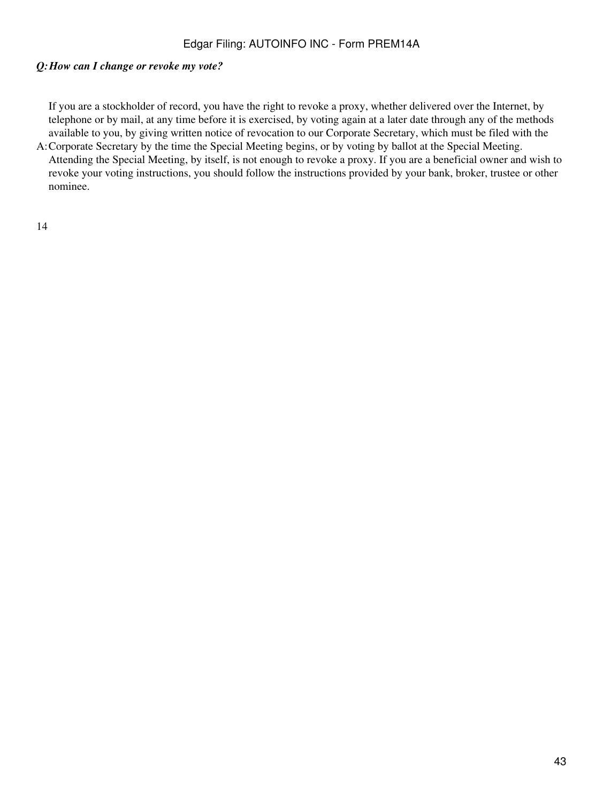#### *Q:How can I change or revoke my vote?*

If you are a stockholder of record, you have the right to revoke a proxy, whether delivered over the Internet, by telephone or by mail, at any time before it is exercised, by voting again at a later date through any of the methods available to you, by giving written notice of revocation to our Corporate Secretary, which must be filed with the

A: Corporate Secretary by the time the Special Meeting begins, or by voting by ballot at the Special Meeting. Attending the Special Meeting, by itself, is not enough to revoke a proxy. If you are a beneficial owner and wish to revoke your voting instructions, you should follow the instructions provided by your bank, broker, trustee or other nominee.

14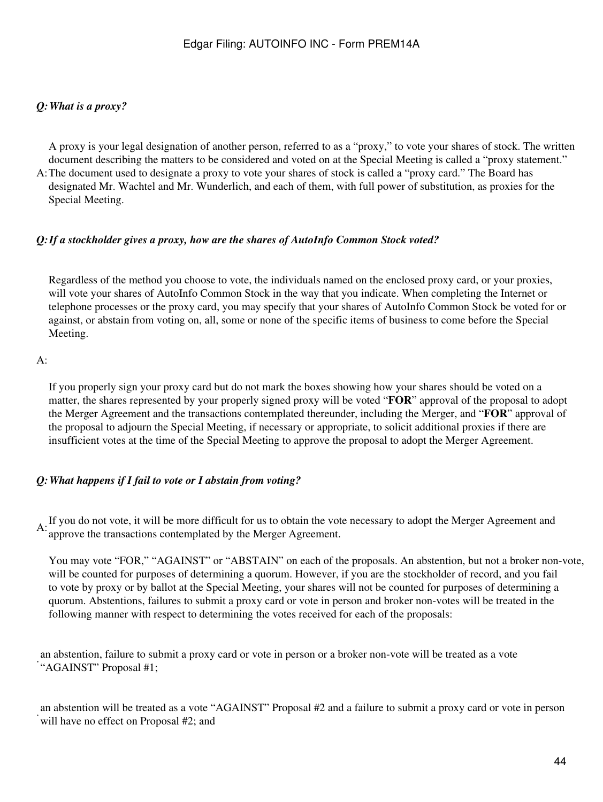# *Q:What is a proxy?*

A: The document used to designate a proxy to vote your shares of stock is called a "proxy card." The Board has A proxy is your legal designation of another person, referred to as a "proxy," to vote your shares of stock. The written document describing the matters to be considered and voted on at the Special Meeting is called a "proxy statement."

designated Mr. Wachtel and Mr. Wunderlich, and each of them, with full power of substitution, as proxies for the Special Meeting.

#### *Q:If a stockholder gives a proxy, how are the shares of AutoInfo Common Stock voted?*

Regardless of the method you choose to vote, the individuals named on the enclosed proxy card, or your proxies, will vote your shares of AutoInfo Common Stock in the way that you indicate. When completing the Internet or telephone processes or the proxy card, you may specify that your shares of AutoInfo Common Stock be voted for or against, or abstain from voting on, all, some or none of the specific items of business to come before the Special Meeting.

A:

If you properly sign your proxy card but do not mark the boxes showing how your shares should be voted on a matter, the shares represented by your properly signed proxy will be voted "**FOR**" approval of the proposal to adopt the Merger Agreement and the transactions contemplated thereunder, including the Merger, and "**FOR**" approval of the proposal to adjourn the Special Meeting, if necessary or appropriate, to solicit additional proxies if there are insufficient votes at the time of the Special Meeting to approve the proposal to adopt the Merger Agreement.

#### *Q:What happens if I fail to vote or I abstain from voting?*

A:<sup>If</sup> you do not vote, it will be more difficult for us to obtain the vote necessary to adopt the Merger Agreement and approve the transactions contemplated by the Merger Agreement.

You may vote "FOR," "AGAINST" or "ABSTAIN" on each of the proposals. An abstention, but not a broker non-vote, will be counted for purposes of determining a quorum. However, if you are the stockholder of record, and you fail to vote by proxy or by ballot at the Special Meeting, your shares will not be counted for purposes of determining a quorum. Abstentions, failures to submit a proxy card or vote in person and broker non-votes will be treated in the following manner with respect to determining the votes received for each of the proposals:

· "AGAINST" Proposal #1; an abstention, failure to submit a proxy card or vote in person or a broker non-vote will be treated as a vote

will have no effect on Proposal #2; and an abstention will be treated as a vote "AGAINST" Proposal #2 and a failure to submit a proxy card or vote in person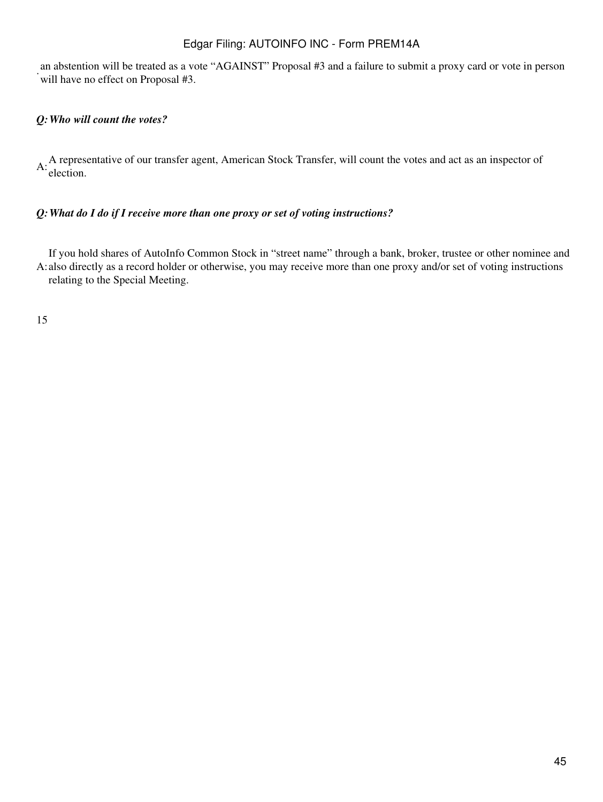will have no effect on Proposal #3. an abstention will be treated as a vote "AGAINST" Proposal #3 and a failure to submit a proxy card or vote in person

# *Q:Who will count the votes?*

A:A representative of our transfer agent, American Stock Transfer, will count the votes and act as an inspector of election.

#### *Q:What do I do if I receive more than one proxy or set of voting instructions?*

A: also directly as a record holder or otherwise, you may receive more than one proxy and/or set of voting instructions If you hold shares of AutoInfo Common Stock in "street name" through a bank, broker, trustee or other nominee and relating to the Special Meeting.

15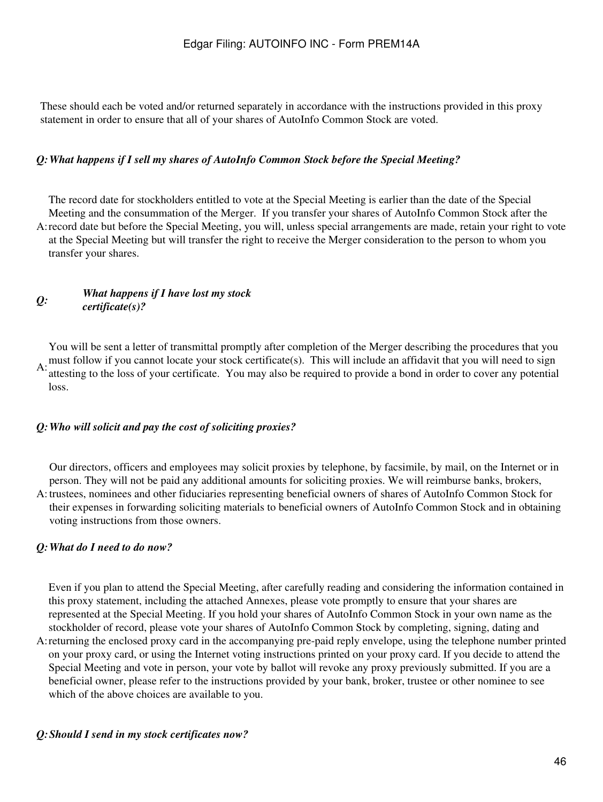These should each be voted and/or returned separately in accordance with the instructions provided in this proxy statement in order to ensure that all of your shares of AutoInfo Common Stock are voted.

#### *Q:What happens if I sell my shares of AutoInfo Common Stock before the Special Meeting?*

A: record date but before the Special Meeting, you will, unless special arrangements are made, retain your right to vote The record date for stockholders entitled to vote at the Special Meeting is earlier than the date of the Special Meeting and the consummation of the Merger. If you transfer your shares of AutoInfo Common Stock after the at the Special Meeting but will transfer the right to receive the Merger consideration to the person to whom you transfer your shares.

#### *Q: What happens if I have lost my stock certificate(s)?*

A: must follow if you cannot locate your stock certificate(s). This will include an affidavit that you will need to sign<br>A: ettering to the less of your equilisate. You may also be required to provide a bond in order to so You will be sent a letter of transmittal promptly after completion of the Merger describing the procedures that you attesting to the loss of your certificate. You may also be required to provide a bond in order to cover any potential loss.

#### *Q:Who will solicit and pay the cost of soliciting proxies?*

A: trustees, nominees and other fiduciaries representing beneficial owners of shares of AutoInfo Common Stock for Our directors, officers and employees may solicit proxies by telephone, by facsimile, by mail, on the Internet or in person. They will not be paid any additional amounts for soliciting proxies. We will reimburse banks, brokers, their expenses in forwarding soliciting materials to beneficial owners of AutoInfo Common Stock and in obtaining voting instructions from those owners.

#### *Q:What do I need to do now?*

Even if you plan to attend the Special Meeting, after carefully reading and considering the information contained in this proxy statement, including the attached Annexes, please vote promptly to ensure that your shares are represented at the Special Meeting. If you hold your shares of AutoInfo Common Stock in your own name as the stockholder of record, please vote your shares of AutoInfo Common Stock by completing, signing, dating and

A: returning the enclosed proxy card in the accompanying pre-paid reply envelope, using the telephone number printed on your proxy card, or using the Internet voting instructions printed on your proxy card. If you decide to attend the Special Meeting and vote in person, your vote by ballot will revoke any proxy previously submitted. If you are a beneficial owner, please refer to the instructions provided by your bank, broker, trustee or other nominee to see which of the above choices are available to you.

#### *Q:Should I send in my stock certificates now?*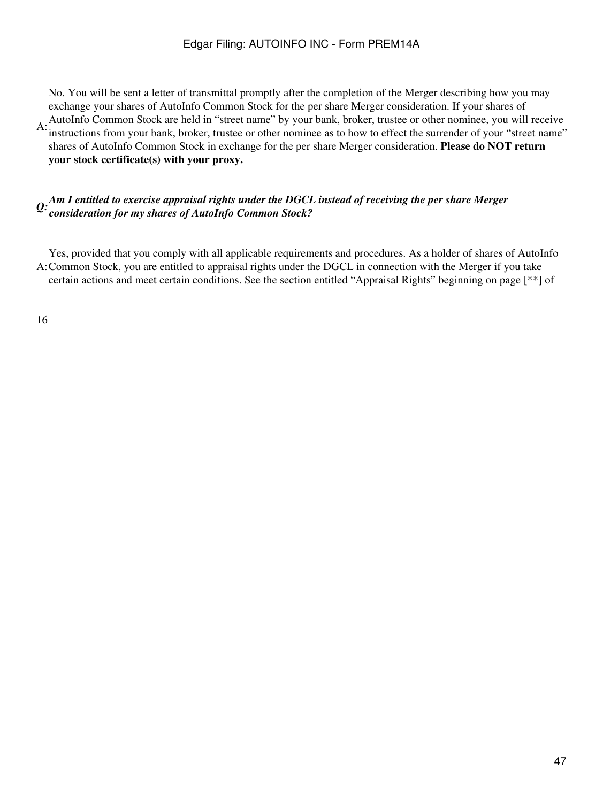No. You will be sent a letter of transmittal promptly after the completion of the Merger describing how you may exchange your shares of AutoInfo Common Stock for the per share Merger consideration. If your shares of

A: AutoInfo Common Stock are held in "street name" by your bank, broker, trustee or other nominee, you will receive instructions from your bank, broker, trustee or other nominee as to how to effect the surrender of your "street name" shares of AutoInfo Common Stock in exchange for the per share Merger consideration. **Please do NOT return your stock certificate(s) with your proxy.**

# *Q:* Am I entitled to exercise appraisal rights under the DGCL instead of receiving the per share Merger *consideration for my shares of AutoInfo Common Stock?*

A: Common Stock, you are entitled to appraisal rights under the DGCL in connection with the Merger if you take Yes, provided that you comply with all applicable requirements and procedures. As a holder of shares of AutoInfo certain actions and meet certain conditions. See the section entitled "Appraisal Rights" beginning on page [\*\*] of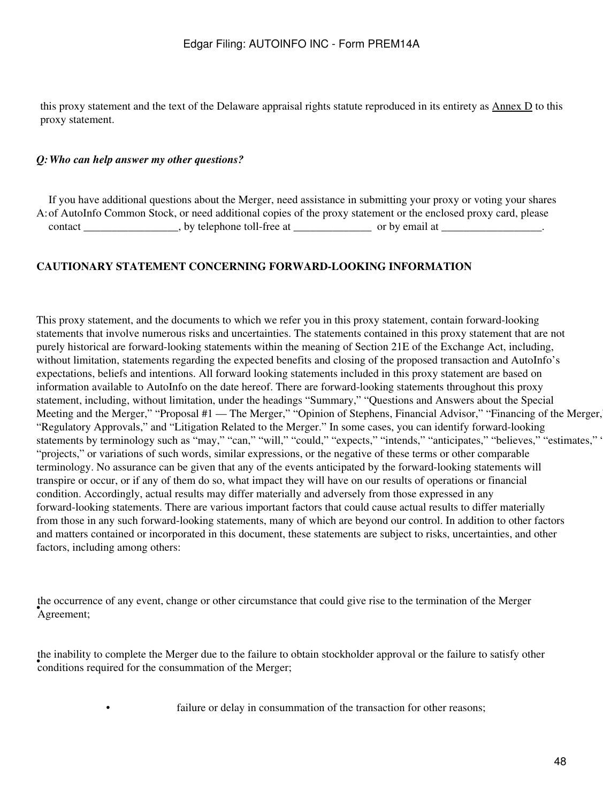this proxy statement and the text of the Delaware appraisal rights statute reproduced in its entirety as Annex D to this proxy statement.

#### *Q:Who can help answer my other questions?*

A: of AutoInfo Common Stock, or need additional copies of the proxy statement or the enclosed proxy card, please If you have additional questions about the Merger, need assistance in submitting your proxy or voting your shares contact \_\_\_\_\_\_\_\_\_\_\_\_\_\_\_\_\_, by telephone toll-free at \_\_\_\_\_\_\_\_\_\_\_\_\_\_ or by email at \_\_\_\_\_\_\_\_\_\_\_\_\_\_\_\_\_\_.

#### **CAUTIONARY STATEMENT CONCERNING FORWARD-LOOKING INFORMATION**

This proxy statement, and the documents to which we refer you in this proxy statement, contain forward-looking statements that involve numerous risks and uncertainties. The statements contained in this proxy statement that are not purely historical are forward-looking statements within the meaning of Section 21E of the Exchange Act, including, without limitation, statements regarding the expected benefits and closing of the proposed transaction and AutoInfo's expectations, beliefs and intentions. All forward looking statements included in this proxy statement are based on information available to AutoInfo on the date hereof. There are forward-looking statements throughout this proxy statement, including, without limitation, under the headings "Summary," "Questions and Answers about the Special Meeting and the Merger," "Proposal #1 — The Merger," "Opinion of Stephens, Financial Advisor," "Financing of the Merger, "Regulatory Approvals," and "Litigation Related to the Merger." In some cases, you can identify forward-looking statements by terminology such as "may," "can," "will," "could," "expects," "intends," "anticipates," "believes," "estimates," " "projects," or variations of such words, similar expressions, or the negative of these terms or other comparable terminology. No assurance can be given that any of the events anticipated by the forward-looking statements will transpire or occur, or if any of them do so, what impact they will have on our results of operations or financial condition. Accordingly, actual results may differ materially and adversely from those expressed in any forward-looking statements. There are various important factors that could cause actual results to differ materially from those in any such forward-looking statements, many of which are beyond our control. In addition to other factors and matters contained or incorporated in this document, these statements are subject to risks, uncertainties, and other factors, including among others:

Agreement; the occurrence of any event, change or other circumstance that could give rise to the termination of the Merger

**EXECUTE THE CONDUCT CONSUMER CONSUMER** FOR CONDITIONS TO CONSUMING THE CONSUMINUES. the inability to complete the Merger due to the failure to obtain stockholder approval or the failure to satisfy other

failure or delay in consummation of the transaction for other reasons;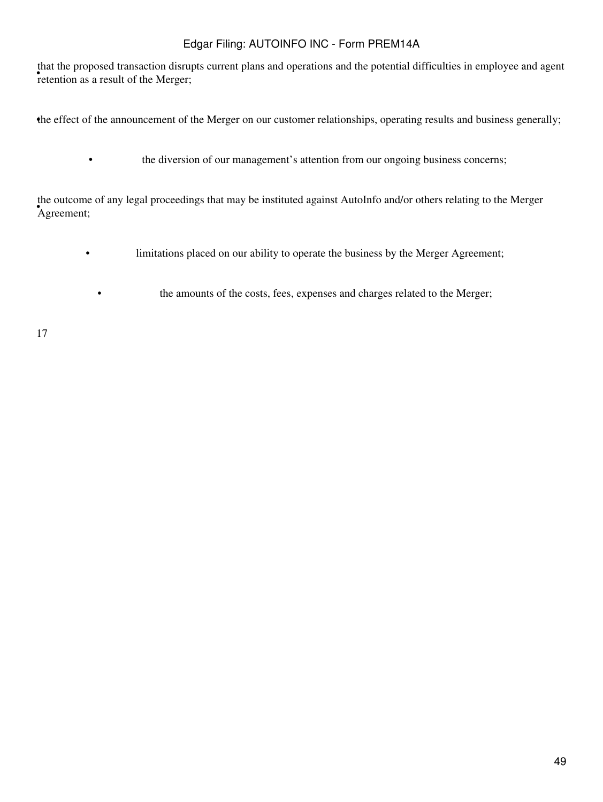• **retention as a result of the Merger;** that the proposed transaction disrupts current plans and operations and the potential difficulties in employee and agent

•the effect of the announcement of the Merger on our customer relationships, operating results and business generally;

• the diversion of our management's attention from our ongoing business concerns;

Agreement; the outcome of any legal proceedings that may be instituted against AutoInfo and/or others relating to the Merger

- limitations placed on our ability to operate the business by the Merger Agreement;
	- the amounts of the costs, fees, expenses and charges related to the Merger;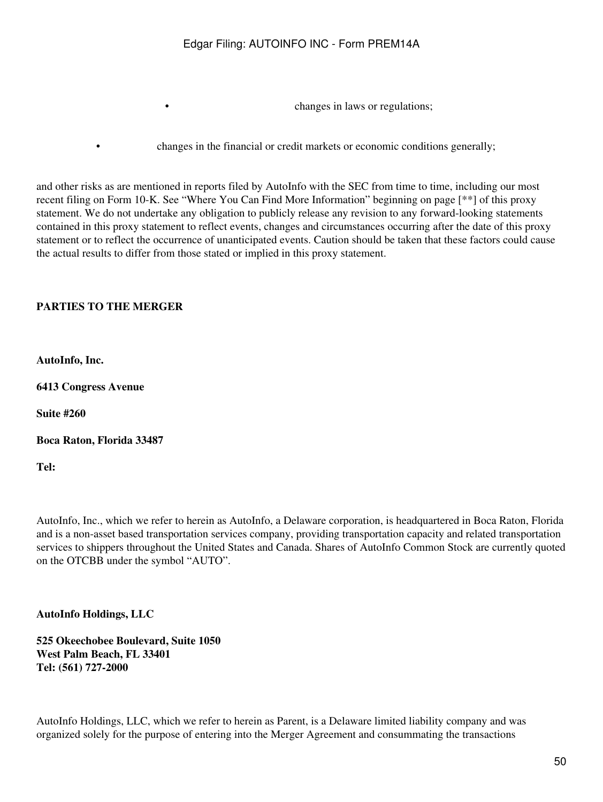• changes in laws or regulations;

• changes in the financial or credit markets or economic conditions generally;

and other risks as are mentioned in reports filed by AutoInfo with the SEC from time to time, including our most recent filing on Form 10-K. See "Where You Can Find More Information" beginning on page [\*\*] of this proxy statement. We do not undertake any obligation to publicly release any revision to any forward-looking statements contained in this proxy statement to reflect events, changes and circumstances occurring after the date of this proxy statement or to reflect the occurrence of unanticipated events. Caution should be taken that these factors could cause the actual results to differ from those stated or implied in this proxy statement.

#### **PARTIES TO THE MERGER**

**AutoInfo, Inc.**

**6413 Congress Avenue**

**Suite #260**

**Boca Raton, Florida 33487**

**Tel:**

AutoInfo, Inc., which we refer to herein as AutoInfo, a Delaware corporation, is headquartered in Boca Raton, Florida and is a non-asset based transportation services company, providing transportation capacity and related transportation services to shippers throughout the United States and Canada. Shares of AutoInfo Common Stock are currently quoted on the OTCBB under the symbol "AUTO".

**AutoInfo Holdings, LLC**

**525 Okeechobee Boulevard, Suite 1050 West Palm Beach, FL 33401 Tel: (561) 727-2000**

AutoInfo Holdings, LLC, which we refer to herein as Parent, is a Delaware limited liability company and was organized solely for the purpose of entering into the Merger Agreement and consummating the transactions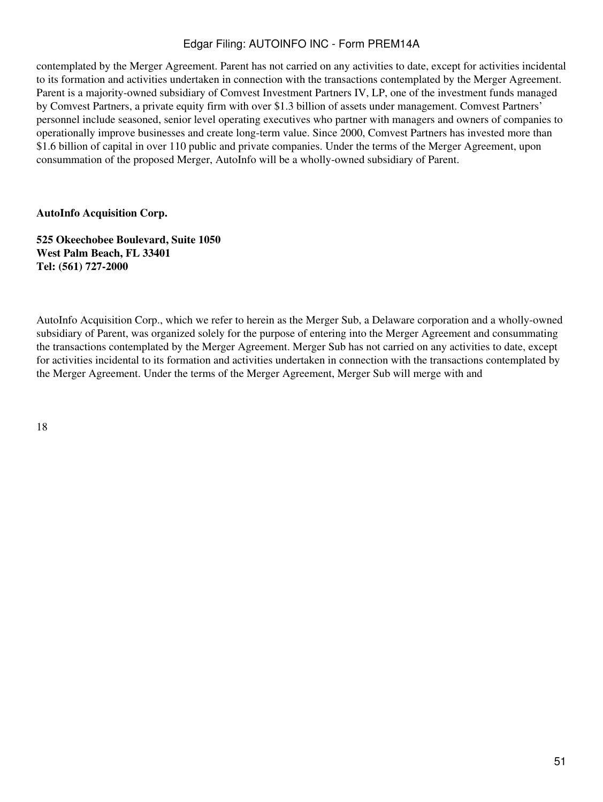contemplated by the Merger Agreement. Parent has not carried on any activities to date, except for activities incidental to its formation and activities undertaken in connection with the transactions contemplated by the Merger Agreement. Parent is a majority-owned subsidiary of Comvest Investment Partners IV, LP, one of the investment funds managed by Comvest Partners, a private equity firm with over \$1.3 billion of assets under management. Comvest Partners' personnel include seasoned, senior level operating executives who partner with managers and owners of companies to operationally improve businesses and create long-term value. Since 2000, Comvest Partners has invested more than \$1.6 billion of capital in over 110 public and private companies. Under the terms of the Merger Agreement, upon consummation of the proposed Merger, AutoInfo will be a wholly-owned subsidiary of Parent.

**AutoInfo Acquisition Corp.**

**525 Okeechobee Boulevard, Suite 1050 West Palm Beach, FL 33401 Tel: (561) 727-2000**

AutoInfo Acquisition Corp., which we refer to herein as the Merger Sub, a Delaware corporation and a wholly-owned subsidiary of Parent, was organized solely for the purpose of entering into the Merger Agreement and consummating the transactions contemplated by the Merger Agreement. Merger Sub has not carried on any activities to date, except for activities incidental to its formation and activities undertaken in connection with the transactions contemplated by the Merger Agreement. Under the terms of the Merger Agreement, Merger Sub will merge with and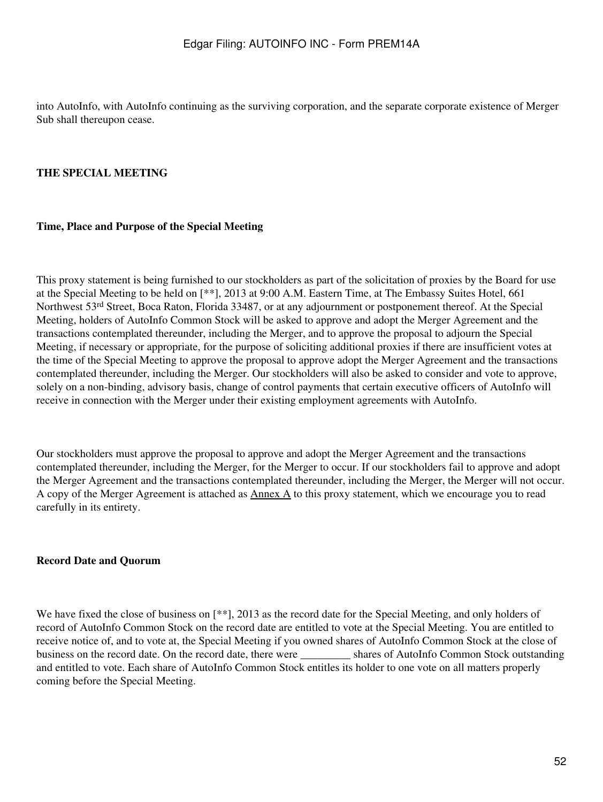into AutoInfo, with AutoInfo continuing as the surviving corporation, and the separate corporate existence of Merger Sub shall thereupon cease.

#### **THE SPECIAL MEETING**

#### **Time, Place and Purpose of the Special Meeting**

This proxy statement is being furnished to our stockholders as part of the solicitation of proxies by the Board for use at the Special Meeting to be held on [\*\*], 2013 at 9:00 A.M. Eastern Time, at The Embassy Suites Hotel, 661 Northwest 53rd Street, Boca Raton, Florida 33487, or at any adjournment or postponement thereof. At the Special Meeting, holders of AutoInfo Common Stock will be asked to approve and adopt the Merger Agreement and the transactions contemplated thereunder, including the Merger, and to approve the proposal to adjourn the Special Meeting, if necessary or appropriate, for the purpose of soliciting additional proxies if there are insufficient votes at the time of the Special Meeting to approve the proposal to approve adopt the Merger Agreement and the transactions contemplated thereunder, including the Merger. Our stockholders will also be asked to consider and vote to approve, solely on a non-binding, advisory basis, change of control payments that certain executive officers of AutoInfo will receive in connection with the Merger under their existing employment agreements with AutoInfo.

Our stockholders must approve the proposal to approve and adopt the Merger Agreement and the transactions contemplated thereunder, including the Merger, for the Merger to occur. If our stockholders fail to approve and adopt the Merger Agreement and the transactions contemplated thereunder, including the Merger, the Merger will not occur. A copy of the Merger Agreement is attached as Annex A to this proxy statement, which we encourage you to read carefully in its entirety.

#### **Record Date and Quorum**

We have fixed the close of business on [\*\*], 2013 as the record date for the Special Meeting, and only holders of record of AutoInfo Common Stock on the record date are entitled to vote at the Special Meeting. You are entitled to receive notice of, and to vote at, the Special Meeting if you owned shares of AutoInfo Common Stock at the close of business on the record date. On the record date, there were shares of AutoInfo Common Stock outstanding and entitled to vote. Each share of AutoInfo Common Stock entitles its holder to one vote on all matters properly coming before the Special Meeting.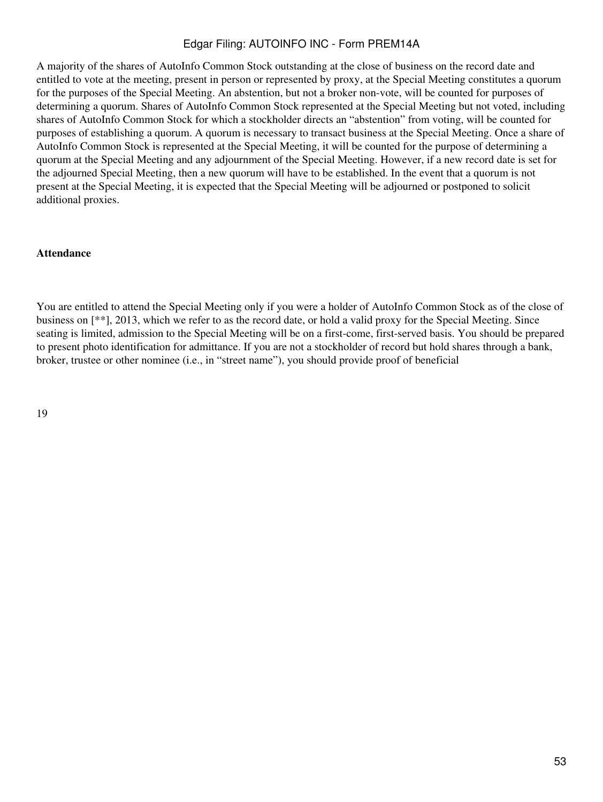A majority of the shares of AutoInfo Common Stock outstanding at the close of business on the record date and entitled to vote at the meeting, present in person or represented by proxy, at the Special Meeting constitutes a quorum for the purposes of the Special Meeting. An abstention, but not a broker non-vote, will be counted for purposes of determining a quorum. Shares of AutoInfo Common Stock represented at the Special Meeting but not voted, including shares of AutoInfo Common Stock for which a stockholder directs an "abstention" from voting, will be counted for purposes of establishing a quorum. A quorum is necessary to transact business at the Special Meeting. Once a share of AutoInfo Common Stock is represented at the Special Meeting, it will be counted for the purpose of determining a quorum at the Special Meeting and any adjournment of the Special Meeting. However, if a new record date is set for the adjourned Special Meeting, then a new quorum will have to be established. In the event that a quorum is not present at the Special Meeting, it is expected that the Special Meeting will be adjourned or postponed to solicit additional proxies.

#### **Attendance**

You are entitled to attend the Special Meeting only if you were a holder of AutoInfo Common Stock as of the close of business on [\*\*], 2013, which we refer to as the record date, or hold a valid proxy for the Special Meeting. Since seating is limited, admission to the Special Meeting will be on a first-come, first-served basis. You should be prepared to present photo identification for admittance. If you are not a stockholder of record but hold shares through a bank, broker, trustee or other nominee (i.e., in "street name"), you should provide proof of beneficial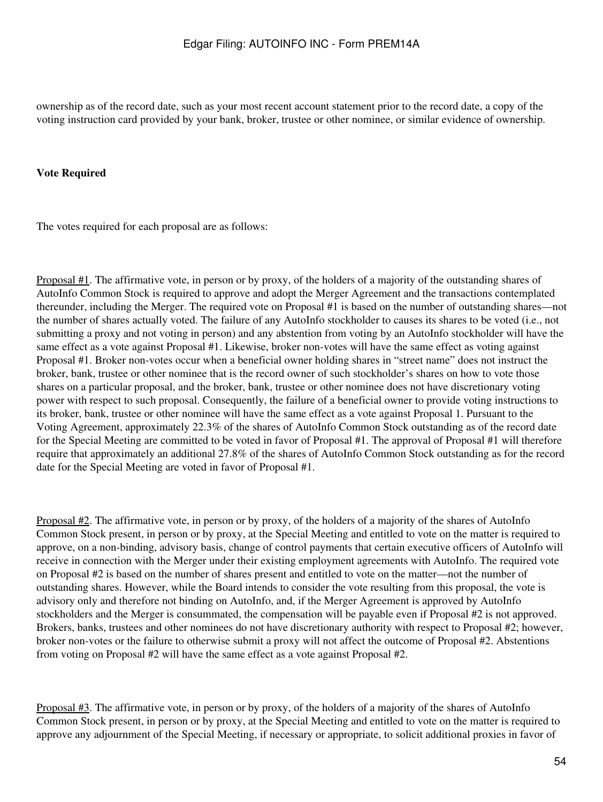ownership as of the record date, such as your most recent account statement prior to the record date, a copy of the voting instruction card provided by your bank, broker, trustee or other nominee, or similar evidence of ownership.

#### **Vote Required**

The votes required for each proposal are as follows:

Proposal #1. The affirmative vote, in person or by proxy, of the holders of a majority of the outstanding shares of AutoInfo Common Stock is required to approve and adopt the Merger Agreement and the transactions contemplated thereunder, including the Merger. The required vote on Proposal #1 is based on the number of outstanding shares—not the number of shares actually voted. The failure of any AutoInfo stockholder to causes its shares to be voted (i.e., not submitting a proxy and not voting in person) and any abstention from voting by an AutoInfo stockholder will have the same effect as a vote against Proposal #1. Likewise, broker non-votes will have the same effect as voting against Proposal #1. Broker non-votes occur when a beneficial owner holding shares in "street name" does not instruct the broker, bank, trustee or other nominee that is the record owner of such stockholder's shares on how to vote those shares on a particular proposal, and the broker, bank, trustee or other nominee does not have discretionary voting power with respect to such proposal. Consequently, the failure of a beneficial owner to provide voting instructions to its broker, bank, trustee or other nominee will have the same effect as a vote against Proposal 1. Pursuant to the Voting Agreement, approximately 22.3% of the shares of AutoInfo Common Stock outstanding as of the record date for the Special Meeting are committed to be voted in favor of Proposal #1. The approval of Proposal #1 will therefore require that approximately an additional 27.8% of the shares of AutoInfo Common Stock outstanding as for the record date for the Special Meeting are voted in favor of Proposal #1.

Proposal #2. The affirmative vote, in person or by proxy, of the holders of a majority of the shares of AutoInfo Common Stock present, in person or by proxy, at the Special Meeting and entitled to vote on the matter is required to approve, on a non-binding, advisory basis, change of control payments that certain executive officers of AutoInfo will receive in connection with the Merger under their existing employment agreements with AutoInfo. The required vote on Proposal #2 is based on the number of shares present and entitled to vote on the matter—not the number of outstanding shares. However, while the Board intends to consider the vote resulting from this proposal, the vote is advisory only and therefore not binding on AutoInfo, and, if the Merger Agreement is approved by AutoInfo stockholders and the Merger is consummated, the compensation will be payable even if Proposal #2 is not approved. Brokers, banks, trustees and other nominees do not have discretionary authority with respect to Proposal #2; however, broker non-votes or the failure to otherwise submit a proxy will not affect the outcome of Proposal #2. Abstentions from voting on Proposal #2 will have the same effect as a vote against Proposal #2.

Proposal #3. The affirmative vote, in person or by proxy, of the holders of a majority of the shares of AutoInfo Common Stock present, in person or by proxy, at the Special Meeting and entitled to vote on the matter is required to approve any adjournment of the Special Meeting, if necessary or appropriate, to solicit additional proxies in favor of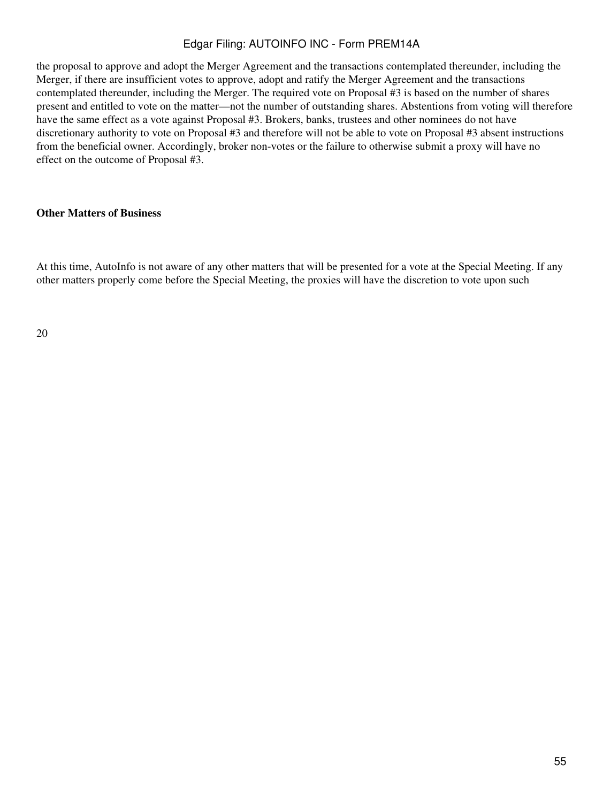the proposal to approve and adopt the Merger Agreement and the transactions contemplated thereunder, including the Merger, if there are insufficient votes to approve, adopt and ratify the Merger Agreement and the transactions contemplated thereunder, including the Merger. The required vote on Proposal #3 is based on the number of shares present and entitled to vote on the matter—not the number of outstanding shares. Abstentions from voting will therefore have the same effect as a vote against Proposal #3. Brokers, banks, trustees and other nominees do not have discretionary authority to vote on Proposal #3 and therefore will not be able to vote on Proposal #3 absent instructions from the beneficial owner. Accordingly, broker non-votes or the failure to otherwise submit a proxy will have no effect on the outcome of Proposal #3.

#### **Other Matters of Business**

At this time, AutoInfo is not aware of any other matters that will be presented for a vote at the Special Meeting. If any other matters properly come before the Special Meeting, the proxies will have the discretion to vote upon such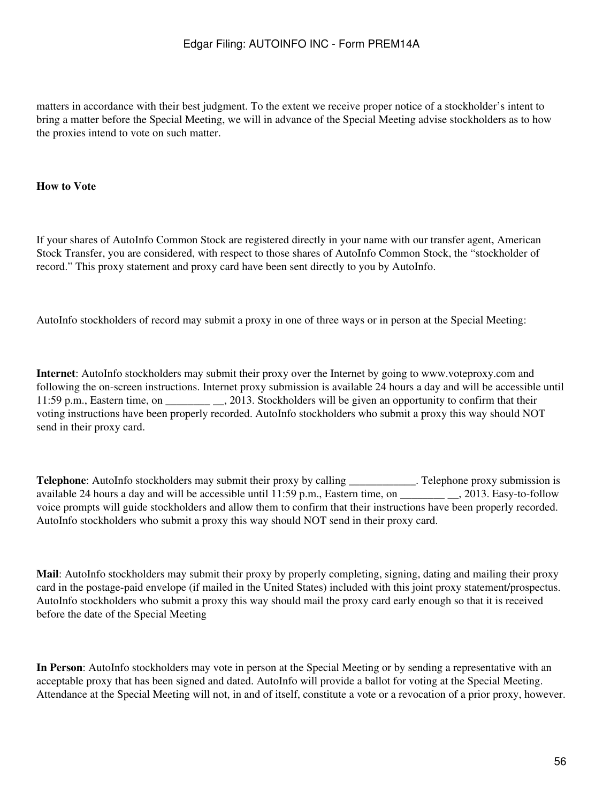matters in accordance with their best judgment. To the extent we receive proper notice of a stockholder's intent to bring a matter before the Special Meeting, we will in advance of the Special Meeting advise stockholders as to how the proxies intend to vote on such matter.

#### **How to Vote**

If your shares of AutoInfo Common Stock are registered directly in your name with our transfer agent, American Stock Transfer, you are considered, with respect to those shares of AutoInfo Common Stock, the "stockholder of record." This proxy statement and proxy card have been sent directly to you by AutoInfo.

AutoInfo stockholders of record may submit a proxy in one of three ways or in person at the Special Meeting:

**Internet**: AutoInfo stockholders may submit their proxy over the Internet by going to www.voteproxy.com and following the on-screen instructions. Internet proxy submission is available 24 hours a day and will be accessible until 11:59 p.m., Eastern time, on \_\_\_\_\_\_\_\_ \_\_, 2013. Stockholders will be given an opportunity to confirm that their voting instructions have been properly recorded. AutoInfo stockholders who submit a proxy this way should NOT send in their proxy card.

**Telephone**: AutoInfo stockholders may submit their proxy by calling \_\_\_\_\_\_\_\_\_\_\_\_. Telephone proxy submission is available 24 hours a day and will be accessible until 11:59 p.m., Eastern time, on \_\_\_\_\_\_\_\_ \_\_, 2013. Easy-to-follow voice prompts will guide stockholders and allow them to confirm that their instructions have been properly recorded. AutoInfo stockholders who submit a proxy this way should NOT send in their proxy card.

**Mail**: AutoInfo stockholders may submit their proxy by properly completing, signing, dating and mailing their proxy card in the postage-paid envelope (if mailed in the United States) included with this joint proxy statement/prospectus. AutoInfo stockholders who submit a proxy this way should mail the proxy card early enough so that it is received before the date of the Special Meeting

**In Person**: AutoInfo stockholders may vote in person at the Special Meeting or by sending a representative with an acceptable proxy that has been signed and dated. AutoInfo will provide a ballot for voting at the Special Meeting. Attendance at the Special Meeting will not, in and of itself, constitute a vote or a revocation of a prior proxy, however.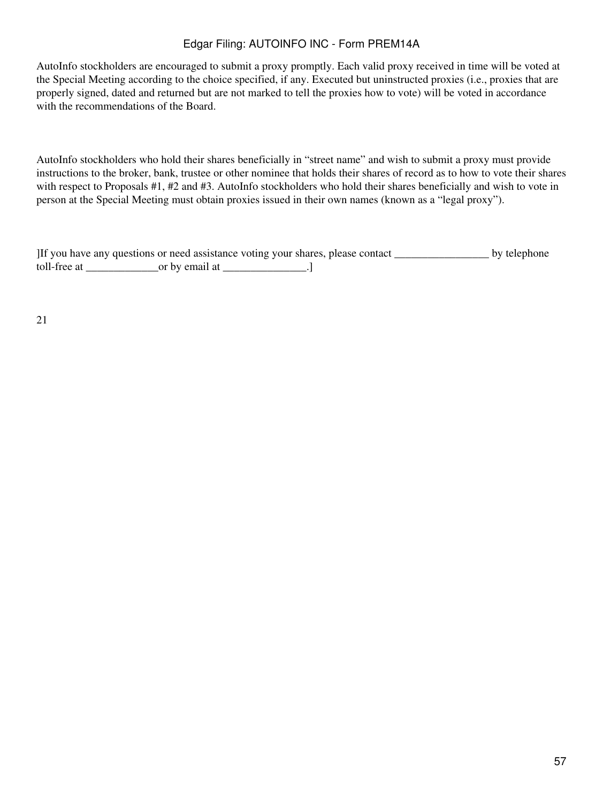AutoInfo stockholders are encouraged to submit a proxy promptly. Each valid proxy received in time will be voted at the Special Meeting according to the choice specified, if any. Executed but uninstructed proxies (i.e., proxies that are properly signed, dated and returned but are not marked to tell the proxies how to vote) will be voted in accordance with the recommendations of the Board.

AutoInfo stockholders who hold their shares beneficially in "street name" and wish to submit a proxy must provide instructions to the broker, bank, trustee or other nominee that holds their shares of record as to how to vote their shares with respect to Proposals #1, #2 and #3. AutoInfo stockholders who hold their shares beneficially and wish to vote in person at the Special Meeting must obtain proxies issued in their own names (known as a "legal proxy").

|              | If you have any questions or need assistance voting your shares, please contact | by telephone |
|--------------|---------------------------------------------------------------------------------|--------------|
| toll-free at | or by email at                                                                  |              |

21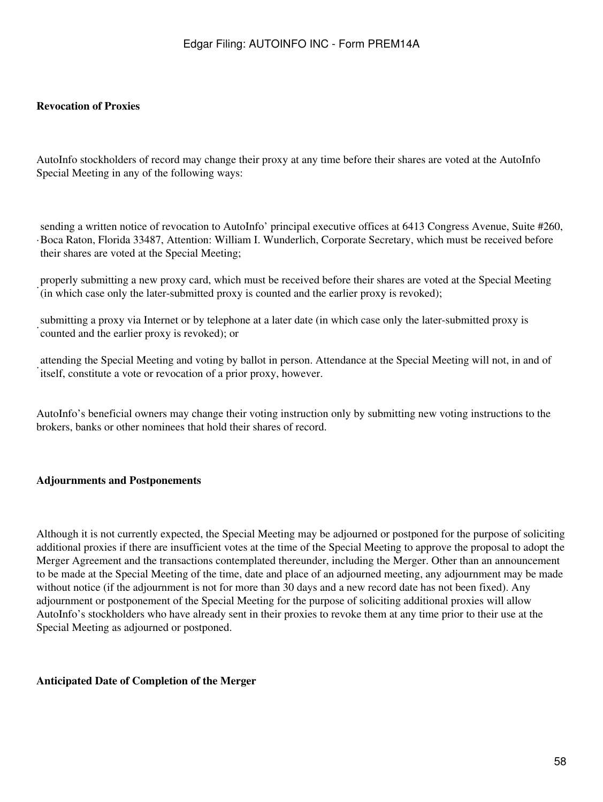#### **Revocation of Proxies**

AutoInfo stockholders of record may change their proxy at any time before their shares are voted at the AutoInfo Special Meeting in any of the following ways:

· Boca Raton, Florida 33487, Attention: William I. Wunderlich, Corporate Secretary, which must be received before sending a written notice of revocation to AutoInfo' principal executive offices at 6413 Congress Avenue, Suite #260, their shares are voted at the Special Meeting;

properly submitting a new proxy card, which must be received before their shares are voted at the Special Meeting<br>in which associate the later submitted neary is counted and the esplice neary is revolted): (in which case only the later-submitted proxy is counted and the earlier proxy is revoked);

· counted and the earlier proxy is revoked); or submitting a proxy via Internet or by telephone at a later date (in which case only the later-submitted proxy is

itself, constitute a vote or revocation of a prior proxy, however. attending the Special Meeting and voting by ballot in person. Attendance at the Special Meeting will not, in and of

AutoInfo's beneficial owners may change their voting instruction only by submitting new voting instructions to the brokers, banks or other nominees that hold their shares of record.

#### **Adjournments and Postponements**

Although it is not currently expected, the Special Meeting may be adjourned or postponed for the purpose of soliciting additional proxies if there are insufficient votes at the time of the Special Meeting to approve the proposal to adopt the Merger Agreement and the transactions contemplated thereunder, including the Merger. Other than an announcement to be made at the Special Meeting of the time, date and place of an adjourned meeting, any adjournment may be made without notice (if the adjournment is not for more than 30 days and a new record date has not been fixed). Any adjournment or postponement of the Special Meeting for the purpose of soliciting additional proxies will allow AutoInfo's stockholders who have already sent in their proxies to revoke them at any time prior to their use at the Special Meeting as adjourned or postponed.

#### **Anticipated Date of Completion of the Merger**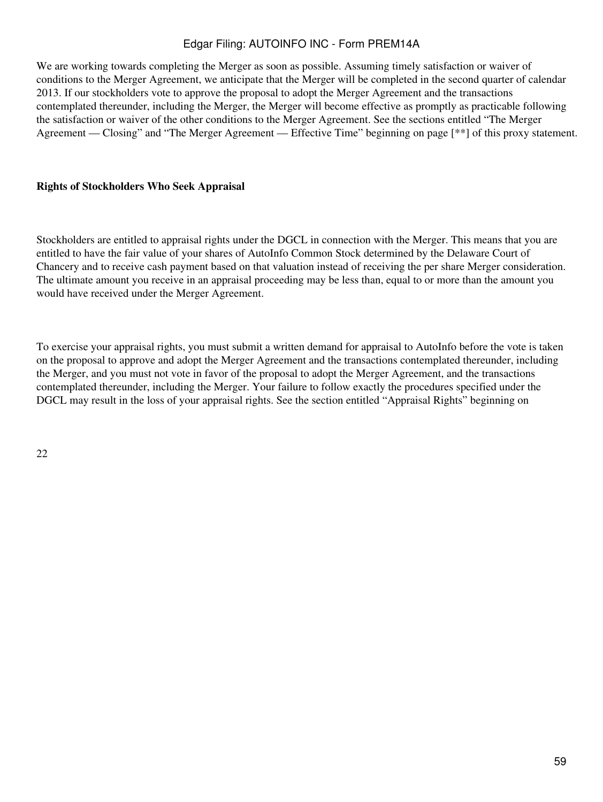We are working towards completing the Merger as soon as possible. Assuming timely satisfaction or waiver of conditions to the Merger Agreement, we anticipate that the Merger will be completed in the second quarter of calendar 2013. If our stockholders vote to approve the proposal to adopt the Merger Agreement and the transactions contemplated thereunder, including the Merger, the Merger will become effective as promptly as practicable following the satisfaction or waiver of the other conditions to the Merger Agreement. See the sections entitled "The Merger Agreement — Closing" and "The Merger Agreement — Effective Time" beginning on page [\*\*] of this proxy statement.

#### **Rights of Stockholders Who Seek Appraisal**

Stockholders are entitled to appraisal rights under the DGCL in connection with the Merger. This means that you are entitled to have the fair value of your shares of AutoInfo Common Stock determined by the Delaware Court of Chancery and to receive cash payment based on that valuation instead of receiving the per share Merger consideration. The ultimate amount you receive in an appraisal proceeding may be less than, equal to or more than the amount you would have received under the Merger Agreement.

To exercise your appraisal rights, you must submit a written demand for appraisal to AutoInfo before the vote is taken on the proposal to approve and adopt the Merger Agreement and the transactions contemplated thereunder, including the Merger, and you must not vote in favor of the proposal to adopt the Merger Agreement, and the transactions contemplated thereunder, including the Merger. Your failure to follow exactly the procedures specified under the DGCL may result in the loss of your appraisal rights. See the section entitled "Appraisal Rights" beginning on

22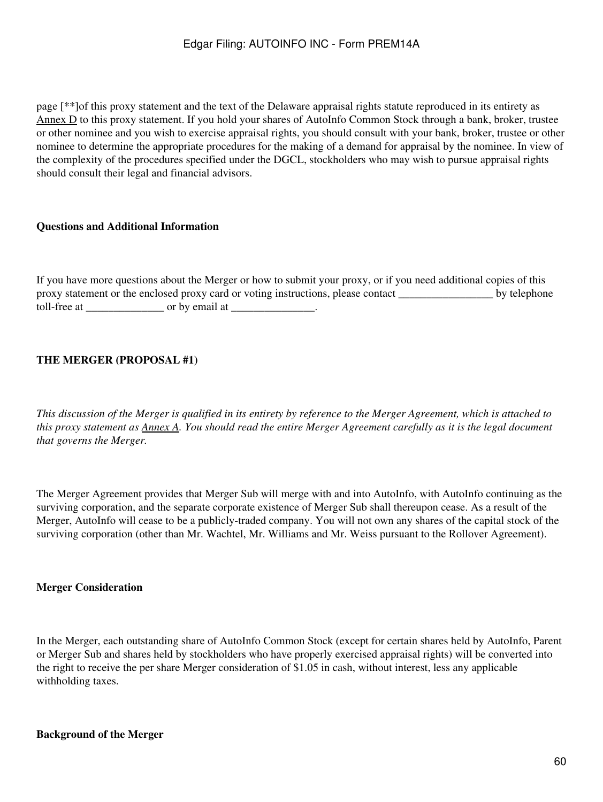page [\*\*]of this proxy statement and the text of the Delaware appraisal rights statute reproduced in its entirety as Annex D to this proxy statement. If you hold your shares of AutoInfo Common Stock through a bank, broker, trustee or other nominee and you wish to exercise appraisal rights, you should consult with your bank, broker, trustee or other nominee to determine the appropriate procedures for the making of a demand for appraisal by the nominee. In view of the complexity of the procedures specified under the DGCL, stockholders who may wish to pursue appraisal rights should consult their legal and financial advisors.

#### **Questions and Additional Information**

If you have more questions about the Merger or how to submit your proxy, or if you need additional copies of this proxy statement or the enclosed proxy card or voting instructions, please contact \_\_\_\_\_\_\_\_\_\_\_\_\_\_\_\_\_ by telephone toll-free at  $\qquad \qquad$  or by email at  $\qquad \qquad$ .

#### **THE MERGER (PROPOSAL #1)**

*This discussion of the Merger is qualified in its entirety by reference to the Merger Agreement, which is attached to this proxy statement as Annex A. You should read the entire Merger Agreement carefully as it is the legal document that governs the Merger.*

The Merger Agreement provides that Merger Sub will merge with and into AutoInfo, with AutoInfo continuing as the surviving corporation, and the separate corporate existence of Merger Sub shall thereupon cease. As a result of the Merger, AutoInfo will cease to be a publicly-traded company. You will not own any shares of the capital stock of the surviving corporation (other than Mr. Wachtel, Mr. Williams and Mr. Weiss pursuant to the Rollover Agreement).

#### **Merger Consideration**

In the Merger, each outstanding share of AutoInfo Common Stock (except for certain shares held by AutoInfo, Parent or Merger Sub and shares held by stockholders who have properly exercised appraisal rights) will be converted into the right to receive the per share Merger consideration of \$1.05 in cash, without interest, less any applicable withholding taxes.

**Background of the Merger**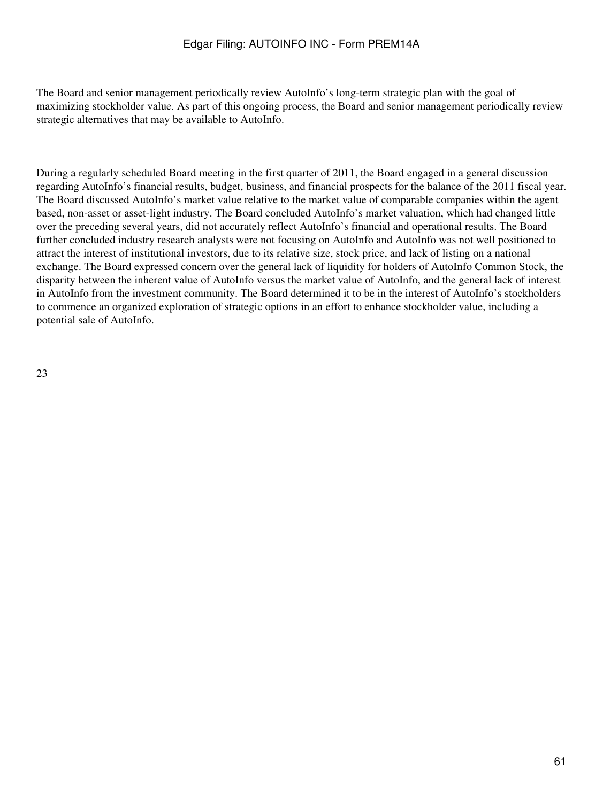The Board and senior management periodically review AutoInfo's long-term strategic plan with the goal of maximizing stockholder value. As part of this ongoing process, the Board and senior management periodically review strategic alternatives that may be available to AutoInfo.

During a regularly scheduled Board meeting in the first quarter of 2011, the Board engaged in a general discussion regarding AutoInfo's financial results, budget, business, and financial prospects for the balance of the 2011 fiscal year. The Board discussed AutoInfo's market value relative to the market value of comparable companies within the agent based, non-asset or asset-light industry. The Board concluded AutoInfo's market valuation, which had changed little over the preceding several years, did not accurately reflect AutoInfo's financial and operational results. The Board further concluded industry research analysts were not focusing on AutoInfo and AutoInfo was not well positioned to attract the interest of institutional investors, due to its relative size, stock price, and lack of listing on a national exchange. The Board expressed concern over the general lack of liquidity for holders of AutoInfo Common Stock, the disparity between the inherent value of AutoInfo versus the market value of AutoInfo, and the general lack of interest in AutoInfo from the investment community. The Board determined it to be in the interest of AutoInfo's stockholders to commence an organized exploration of strategic options in an effort to enhance stockholder value, including a potential sale of AutoInfo.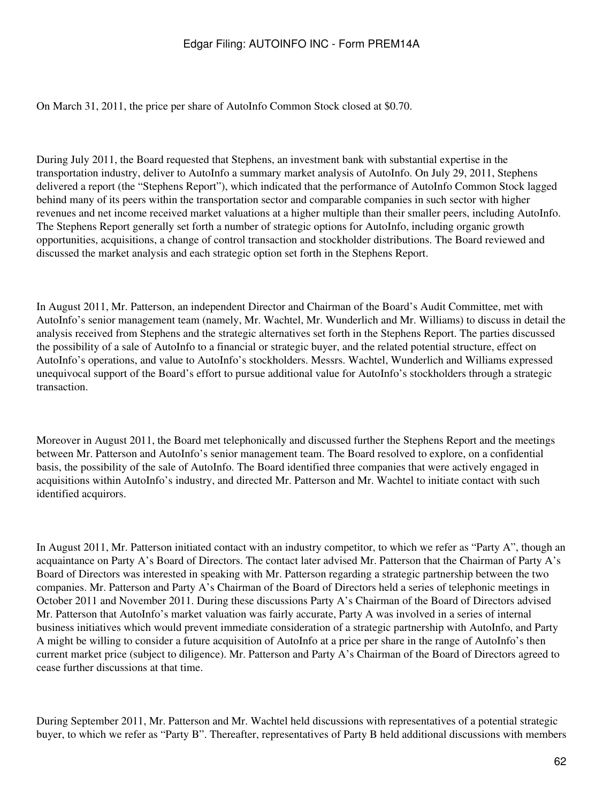On March 31, 2011, the price per share of AutoInfo Common Stock closed at \$0.70.

During July 2011, the Board requested that Stephens, an investment bank with substantial expertise in the transportation industry, deliver to AutoInfo a summary market analysis of AutoInfo. On July 29, 2011, Stephens delivered a report (the "Stephens Report"), which indicated that the performance of AutoInfo Common Stock lagged behind many of its peers within the transportation sector and comparable companies in such sector with higher revenues and net income received market valuations at a higher multiple than their smaller peers, including AutoInfo. The Stephens Report generally set forth a number of strategic options for AutoInfo, including organic growth opportunities, acquisitions, a change of control transaction and stockholder distributions. The Board reviewed and discussed the market analysis and each strategic option set forth in the Stephens Report.

In August 2011, Mr. Patterson, an independent Director and Chairman of the Board's Audit Committee, met with AutoInfo's senior management team (namely, Mr. Wachtel, Mr. Wunderlich and Mr. Williams) to discuss in detail the analysis received from Stephens and the strategic alternatives set forth in the Stephens Report. The parties discussed the possibility of a sale of AutoInfo to a financial or strategic buyer, and the related potential structure, effect on AutoInfo's operations, and value to AutoInfo's stockholders. Messrs. Wachtel, Wunderlich and Williams expressed unequivocal support of the Board's effort to pursue additional value for AutoInfo's stockholders through a strategic transaction.

Moreover in August 2011, the Board met telephonically and discussed further the Stephens Report and the meetings between Mr. Patterson and AutoInfo's senior management team. The Board resolved to explore, on a confidential basis, the possibility of the sale of AutoInfo. The Board identified three companies that were actively engaged in acquisitions within AutoInfo's industry, and directed Mr. Patterson and Mr. Wachtel to initiate contact with such identified acquirors.

In August 2011, Mr. Patterson initiated contact with an industry competitor, to which we refer as "Party A", though an acquaintance on Party A's Board of Directors. The contact later advised Mr. Patterson that the Chairman of Party A's Board of Directors was interested in speaking with Mr. Patterson regarding a strategic partnership between the two companies. Mr. Patterson and Party A's Chairman of the Board of Directors held a series of telephonic meetings in October 2011 and November 2011. During these discussions Party A's Chairman of the Board of Directors advised Mr. Patterson that AutoInfo's market valuation was fairly accurate, Party A was involved in a series of internal business initiatives which would prevent immediate consideration of a strategic partnership with AutoInfo, and Party A might be willing to consider a future acquisition of AutoInfo at a price per share in the range of AutoInfo's then current market price (subject to diligence). Mr. Patterson and Party A's Chairman of the Board of Directors agreed to cease further discussions at that time.

During September 2011, Mr. Patterson and Mr. Wachtel held discussions with representatives of a potential strategic buyer, to which we refer as "Party B". Thereafter, representatives of Party B held additional discussions with members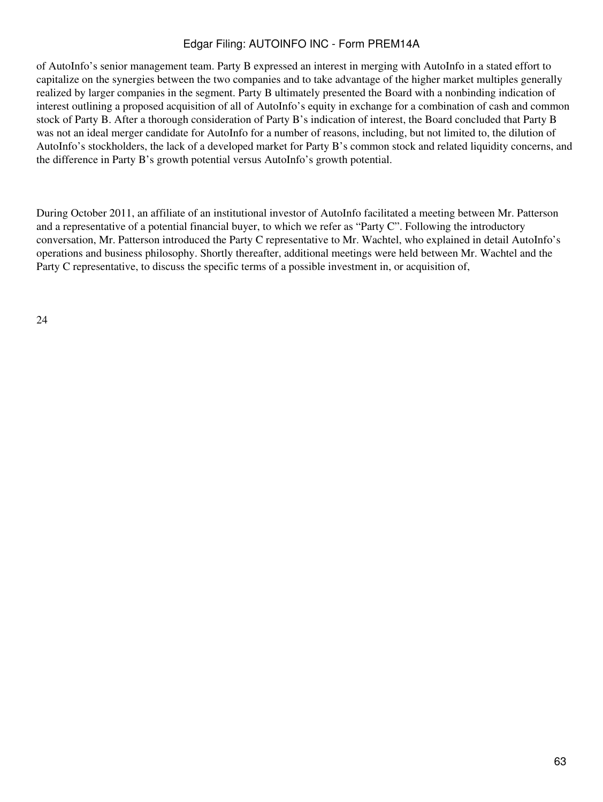of AutoInfo's senior management team. Party B expressed an interest in merging with AutoInfo in a stated effort to capitalize on the synergies between the two companies and to take advantage of the higher market multiples generally realized by larger companies in the segment. Party B ultimately presented the Board with a nonbinding indication of interest outlining a proposed acquisition of all of AutoInfo's equity in exchange for a combination of cash and common stock of Party B. After a thorough consideration of Party B's indication of interest, the Board concluded that Party B was not an ideal merger candidate for AutoInfo for a number of reasons, including, but not limited to, the dilution of AutoInfo's stockholders, the lack of a developed market for Party B's common stock and related liquidity concerns, and the difference in Party B's growth potential versus AutoInfo's growth potential.

During October 2011, an affiliate of an institutional investor of AutoInfo facilitated a meeting between Mr. Patterson and a representative of a potential financial buyer, to which we refer as "Party C". Following the introductory conversation, Mr. Patterson introduced the Party C representative to Mr. Wachtel, who explained in detail AutoInfo's operations and business philosophy. Shortly thereafter, additional meetings were held between Mr. Wachtel and the Party C representative, to discuss the specific terms of a possible investment in, or acquisition of,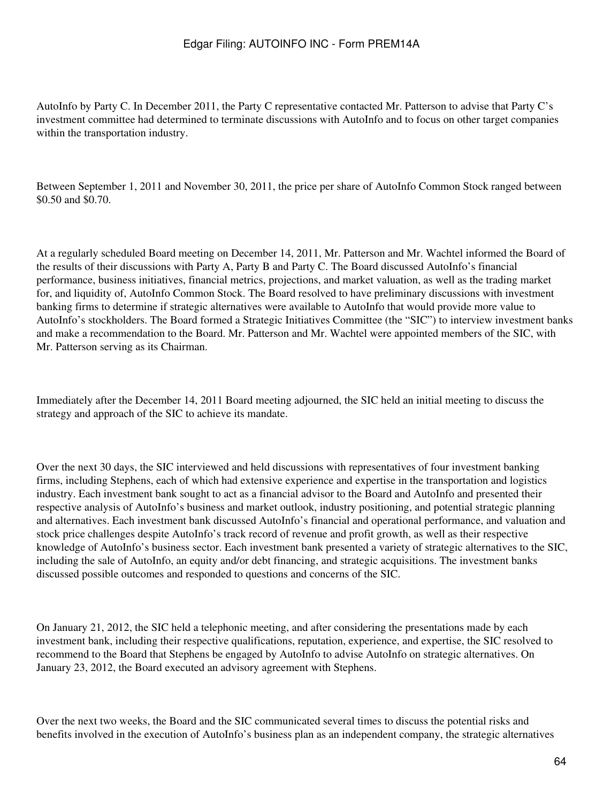AutoInfo by Party C. In December 2011, the Party C representative contacted Mr. Patterson to advise that Party C's investment committee had determined to terminate discussions with AutoInfo and to focus on other target companies within the transportation industry.

Between September 1, 2011 and November 30, 2011, the price per share of AutoInfo Common Stock ranged between \$0.50 and \$0.70.

At a regularly scheduled Board meeting on December 14, 2011, Mr. Patterson and Mr. Wachtel informed the Board of the results of their discussions with Party A, Party B and Party C. The Board discussed AutoInfo's financial performance, business initiatives, financial metrics, projections, and market valuation, as well as the trading market for, and liquidity of, AutoInfo Common Stock. The Board resolved to have preliminary discussions with investment banking firms to determine if strategic alternatives were available to AutoInfo that would provide more value to AutoInfo's stockholders. The Board formed a Strategic Initiatives Committee (the "SIC") to interview investment banks and make a recommendation to the Board. Mr. Patterson and Mr. Wachtel were appointed members of the SIC, with Mr. Patterson serving as its Chairman.

Immediately after the December 14, 2011 Board meeting adjourned, the SIC held an initial meeting to discuss the strategy and approach of the SIC to achieve its mandate.

Over the next 30 days, the SIC interviewed and held discussions with representatives of four investment banking firms, including Stephens, each of which had extensive experience and expertise in the transportation and logistics industry. Each investment bank sought to act as a financial advisor to the Board and AutoInfo and presented their respective analysis of AutoInfo's business and market outlook, industry positioning, and potential strategic planning and alternatives. Each investment bank discussed AutoInfo's financial and operational performance, and valuation and stock price challenges despite AutoInfo's track record of revenue and profit growth, as well as their respective knowledge of AutoInfo's business sector. Each investment bank presented a variety of strategic alternatives to the SIC, including the sale of AutoInfo, an equity and/or debt financing, and strategic acquisitions. The investment banks discussed possible outcomes and responded to questions and concerns of the SIC.

On January 21, 2012, the SIC held a telephonic meeting, and after considering the presentations made by each investment bank, including their respective qualifications, reputation, experience, and expertise, the SIC resolved to recommend to the Board that Stephens be engaged by AutoInfo to advise AutoInfo on strategic alternatives. On January 23, 2012, the Board executed an advisory agreement with Stephens.

Over the next two weeks, the Board and the SIC communicated several times to discuss the potential risks and benefits involved in the execution of AutoInfo's business plan as an independent company, the strategic alternatives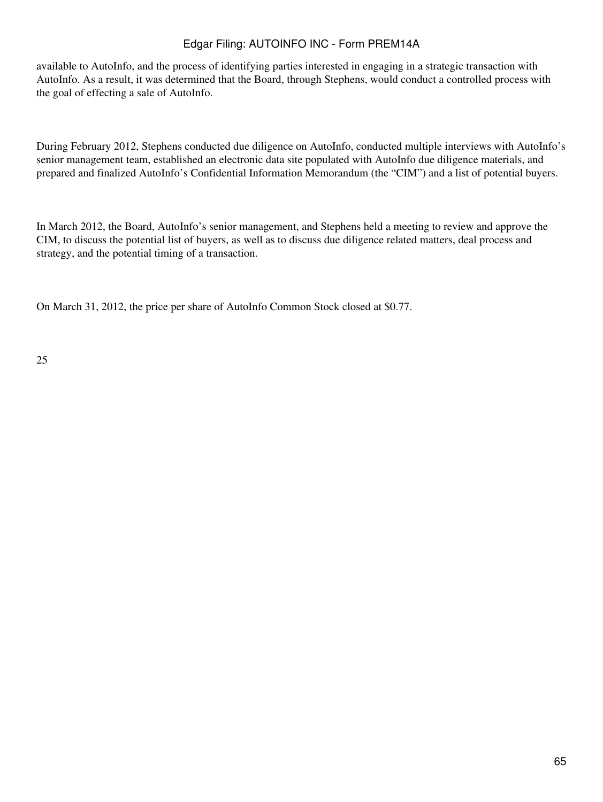available to AutoInfo, and the process of identifying parties interested in engaging in a strategic transaction with AutoInfo. As a result, it was determined that the Board, through Stephens, would conduct a controlled process with the goal of effecting a sale of AutoInfo.

During February 2012, Stephens conducted due diligence on AutoInfo, conducted multiple interviews with AutoInfo's senior management team, established an electronic data site populated with AutoInfo due diligence materials, and prepared and finalized AutoInfo's Confidential Information Memorandum (the "CIM") and a list of potential buyers.

In March 2012, the Board, AutoInfo's senior management, and Stephens held a meeting to review and approve the CIM, to discuss the potential list of buyers, as well as to discuss due diligence related matters, deal process and strategy, and the potential timing of a transaction.

On March 31, 2012, the price per share of AutoInfo Common Stock closed at \$0.77.

25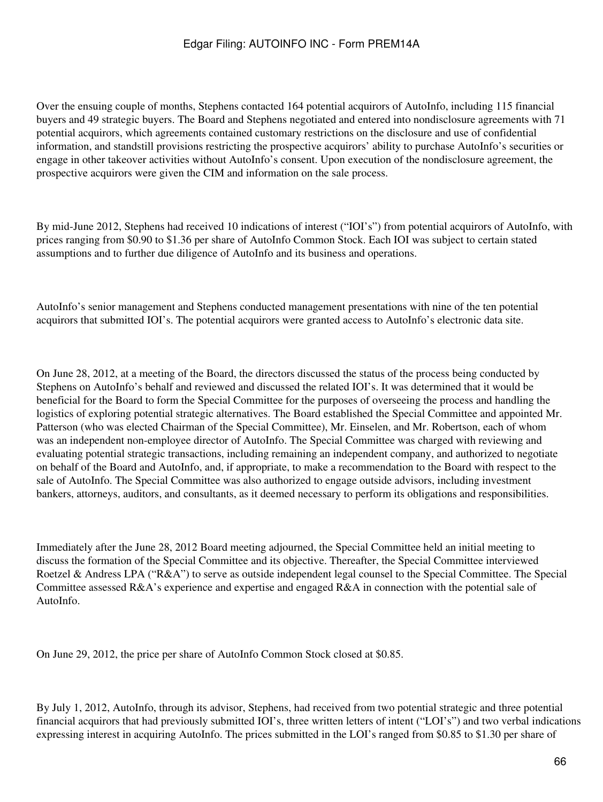Over the ensuing couple of months, Stephens contacted 164 potential acquirors of AutoInfo, including 115 financial buyers and 49 strategic buyers. The Board and Stephens negotiated and entered into nondisclosure agreements with 71 potential acquirors, which agreements contained customary restrictions on the disclosure and use of confidential information, and standstill provisions restricting the prospective acquirors' ability to purchase AutoInfo's securities or engage in other takeover activities without AutoInfo's consent. Upon execution of the nondisclosure agreement, the prospective acquirors were given the CIM and information on the sale process.

By mid-June 2012, Stephens had received 10 indications of interest ("IOI's") from potential acquirors of AutoInfo, with prices ranging from \$0.90 to \$1.36 per share of AutoInfo Common Stock. Each IOI was subject to certain stated assumptions and to further due diligence of AutoInfo and its business and operations.

AutoInfo's senior management and Stephens conducted management presentations with nine of the ten potential acquirors that submitted IOI's. The potential acquirors were granted access to AutoInfo's electronic data site.

On June 28, 2012, at a meeting of the Board, the directors discussed the status of the process being conducted by Stephens on AutoInfo's behalf and reviewed and discussed the related IOI's. It was determined that it would be beneficial for the Board to form the Special Committee for the purposes of overseeing the process and handling the logistics of exploring potential strategic alternatives. The Board established the Special Committee and appointed Mr. Patterson (who was elected Chairman of the Special Committee), Mr. Einselen, and Mr. Robertson, each of whom was an independent non-employee director of AutoInfo. The Special Committee was charged with reviewing and evaluating potential strategic transactions, including remaining an independent company, and authorized to negotiate on behalf of the Board and AutoInfo, and, if appropriate, to make a recommendation to the Board with respect to the sale of AutoInfo. The Special Committee was also authorized to engage outside advisors, including investment bankers, attorneys, auditors, and consultants, as it deemed necessary to perform its obligations and responsibilities.

Immediately after the June 28, 2012 Board meeting adjourned, the Special Committee held an initial meeting to discuss the formation of the Special Committee and its objective. Thereafter, the Special Committee interviewed Roetzel & Andress LPA ("R&A") to serve as outside independent legal counsel to the Special Committee. The Special Committee assessed R&A's experience and expertise and engaged R&A in connection with the potential sale of AutoInfo.

On June 29, 2012, the price per share of AutoInfo Common Stock closed at \$0.85.

By July 1, 2012, AutoInfo, through its advisor, Stephens, had received from two potential strategic and three potential financial acquirors that had previously submitted IOI's, three written letters of intent ("LOI's") and two verbal indications expressing interest in acquiring AutoInfo. The prices submitted in the LOI's ranged from \$0.85 to \$1.30 per share of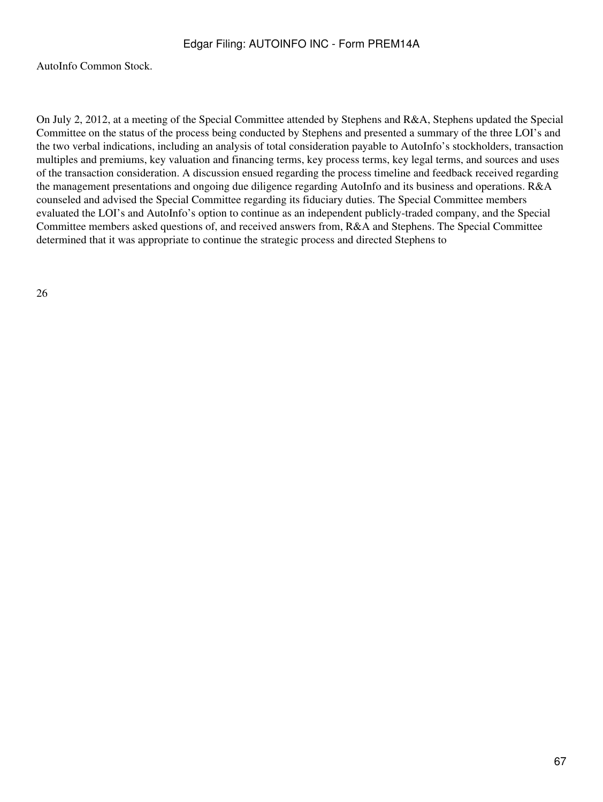AutoInfo Common Stock.

On July 2, 2012, at a meeting of the Special Committee attended by Stephens and R&A, Stephens updated the Special Committee on the status of the process being conducted by Stephens and presented a summary of the three LOI's and the two verbal indications, including an analysis of total consideration payable to AutoInfo's stockholders, transaction multiples and premiums, key valuation and financing terms, key process terms, key legal terms, and sources and uses of the transaction consideration. A discussion ensued regarding the process timeline and feedback received regarding the management presentations and ongoing due diligence regarding AutoInfo and its business and operations. R&A counseled and advised the Special Committee regarding its fiduciary duties. The Special Committee members evaluated the LOI's and AutoInfo's option to continue as an independent publicly-traded company, and the Special Committee members asked questions of, and received answers from, R&A and Stephens. The Special Committee determined that it was appropriate to continue the strategic process and directed Stephens to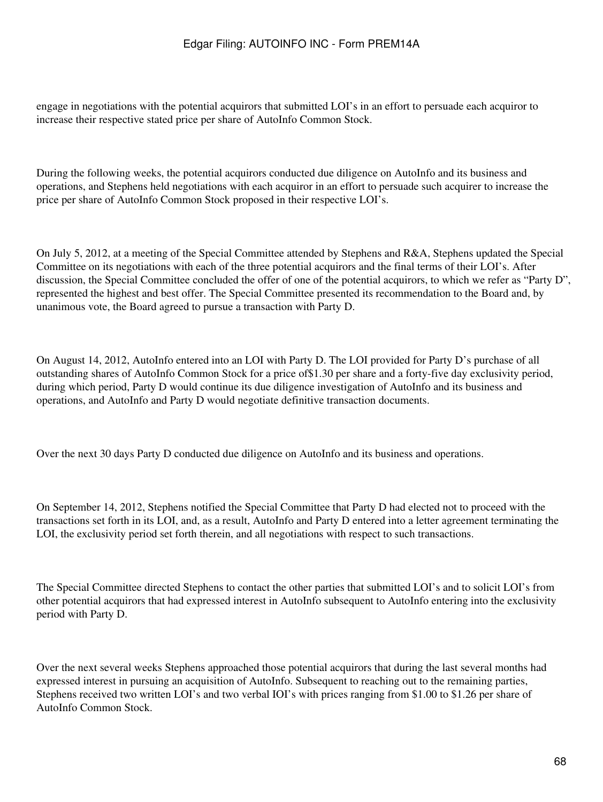engage in negotiations with the potential acquirors that submitted LOI's in an effort to persuade each acquiror to increase their respective stated price per share of AutoInfo Common Stock.

During the following weeks, the potential acquirors conducted due diligence on AutoInfo and its business and operations, and Stephens held negotiations with each acquiror in an effort to persuade such acquirer to increase the price per share of AutoInfo Common Stock proposed in their respective LOI's.

On July 5, 2012, at a meeting of the Special Committee attended by Stephens and R&A, Stephens updated the Special Committee on its negotiations with each of the three potential acquirors and the final terms of their LOI's. After discussion, the Special Committee concluded the offer of one of the potential acquirors, to which we refer as "Party D", represented the highest and best offer. The Special Committee presented its recommendation to the Board and, by unanimous vote, the Board agreed to pursue a transaction with Party D.

On August 14, 2012, AutoInfo entered into an LOI with Party D. The LOI provided for Party D's purchase of all outstanding shares of AutoInfo Common Stock for a price of\$1.30 per share and a forty-five day exclusivity period, during which period, Party D would continue its due diligence investigation of AutoInfo and its business and operations, and AutoInfo and Party D would negotiate definitive transaction documents.

Over the next 30 days Party D conducted due diligence on AutoInfo and its business and operations.

On September 14, 2012, Stephens notified the Special Committee that Party D had elected not to proceed with the transactions set forth in its LOI, and, as a result, AutoInfo and Party D entered into a letter agreement terminating the LOI, the exclusivity period set forth therein, and all negotiations with respect to such transactions.

The Special Committee directed Stephens to contact the other parties that submitted LOI's and to solicit LOI's from other potential acquirors that had expressed interest in AutoInfo subsequent to AutoInfo entering into the exclusivity period with Party D.

Over the next several weeks Stephens approached those potential acquirors that during the last several months had expressed interest in pursuing an acquisition of AutoInfo. Subsequent to reaching out to the remaining parties, Stephens received two written LOI's and two verbal IOI's with prices ranging from \$1.00 to \$1.26 per share of AutoInfo Common Stock.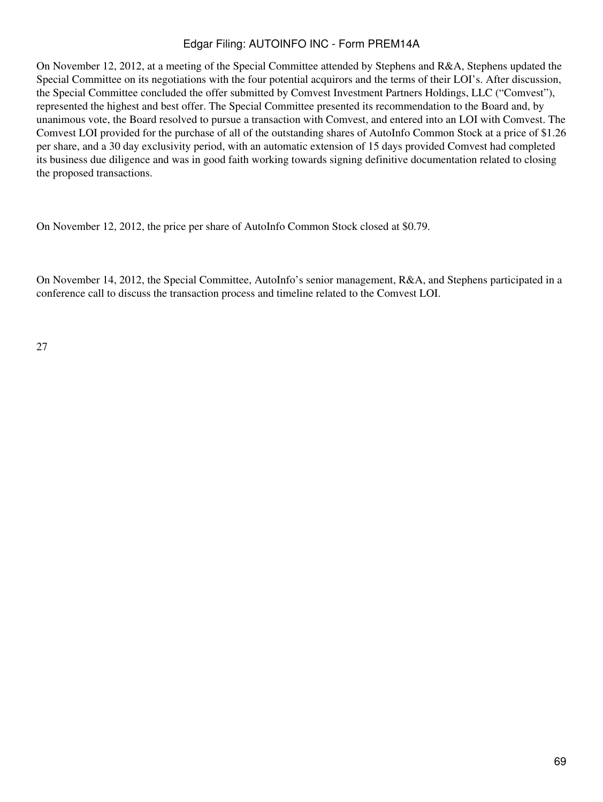On November 12, 2012, at a meeting of the Special Committee attended by Stephens and R&A, Stephens updated the Special Committee on its negotiations with the four potential acquirors and the terms of their LOI's. After discussion, the Special Committee concluded the offer submitted by Comvest Investment Partners Holdings, LLC ("Comvest"), represented the highest and best offer. The Special Committee presented its recommendation to the Board and, by unanimous vote, the Board resolved to pursue a transaction with Comvest, and entered into an LOI with Comvest. The Comvest LOI provided for the purchase of all of the outstanding shares of AutoInfo Common Stock at a price of \$1.26 per share, and a 30 day exclusivity period, with an automatic extension of 15 days provided Comvest had completed its business due diligence and was in good faith working towards signing definitive documentation related to closing the proposed transactions.

On November 12, 2012, the price per share of AutoInfo Common Stock closed at \$0.79.

On November 14, 2012, the Special Committee, AutoInfo's senior management, R&A, and Stephens participated in a conference call to discuss the transaction process and timeline related to the Comvest LOI.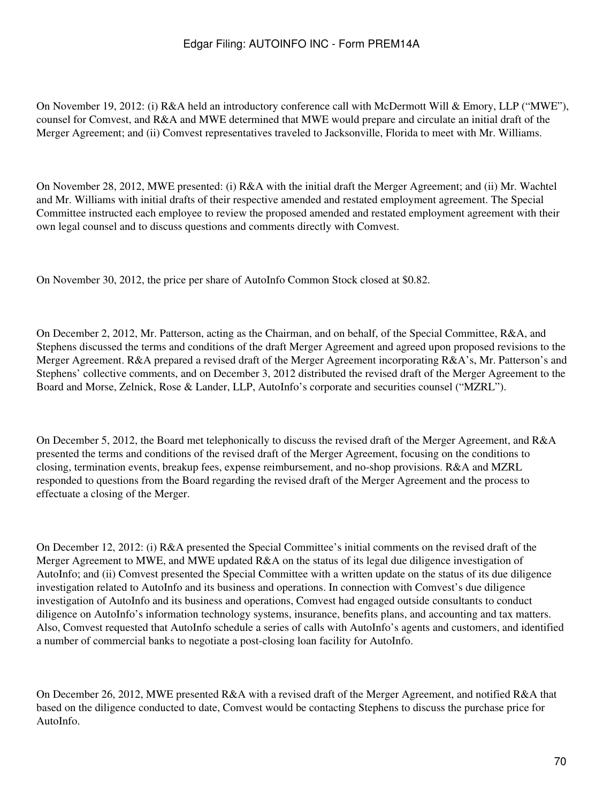On November 19, 2012: (i) R&A held an introductory conference call with McDermott Will & Emory, LLP ("MWE"), counsel for Comvest, and R&A and MWE determined that MWE would prepare and circulate an initial draft of the Merger Agreement; and (ii) Comvest representatives traveled to Jacksonville, Florida to meet with Mr. Williams.

On November 28, 2012, MWE presented: (i) R&A with the initial draft the Merger Agreement; and (ii) Mr. Wachtel and Mr. Williams with initial drafts of their respective amended and restated employment agreement. The Special Committee instructed each employee to review the proposed amended and restated employment agreement with their own legal counsel and to discuss questions and comments directly with Comvest.

On November 30, 2012, the price per share of AutoInfo Common Stock closed at \$0.82.

On December 2, 2012, Mr. Patterson, acting as the Chairman, and on behalf, of the Special Committee, R&A, and Stephens discussed the terms and conditions of the draft Merger Agreement and agreed upon proposed revisions to the Merger Agreement. R&A prepared a revised draft of the Merger Agreement incorporating R&A's, Mr. Patterson's and Stephens' collective comments, and on December 3, 2012 distributed the revised draft of the Merger Agreement to the Board and Morse, Zelnick, Rose & Lander, LLP, AutoInfo's corporate and securities counsel ("MZRL").

On December 5, 2012, the Board met telephonically to discuss the revised draft of the Merger Agreement, and R&A presented the terms and conditions of the revised draft of the Merger Agreement, focusing on the conditions to closing, termination events, breakup fees, expense reimbursement, and no-shop provisions. R&A and MZRL responded to questions from the Board regarding the revised draft of the Merger Agreement and the process to effectuate a closing of the Merger.

On December 12, 2012: (i) R&A presented the Special Committee's initial comments on the revised draft of the Merger Agreement to MWE, and MWE updated R&A on the status of its legal due diligence investigation of AutoInfo; and (ii) Comvest presented the Special Committee with a written update on the status of its due diligence investigation related to AutoInfo and its business and operations. In connection with Comvest's due diligence investigation of AutoInfo and its business and operations, Comvest had engaged outside consultants to conduct diligence on AutoInfo's information technology systems, insurance, benefits plans, and accounting and tax matters. Also, Comvest requested that AutoInfo schedule a series of calls with AutoInfo's agents and customers, and identified a number of commercial banks to negotiate a post-closing loan facility for AutoInfo.

On December 26, 2012, MWE presented R&A with a revised draft of the Merger Agreement, and notified R&A that based on the diligence conducted to date, Comvest would be contacting Stephens to discuss the purchase price for AutoInfo.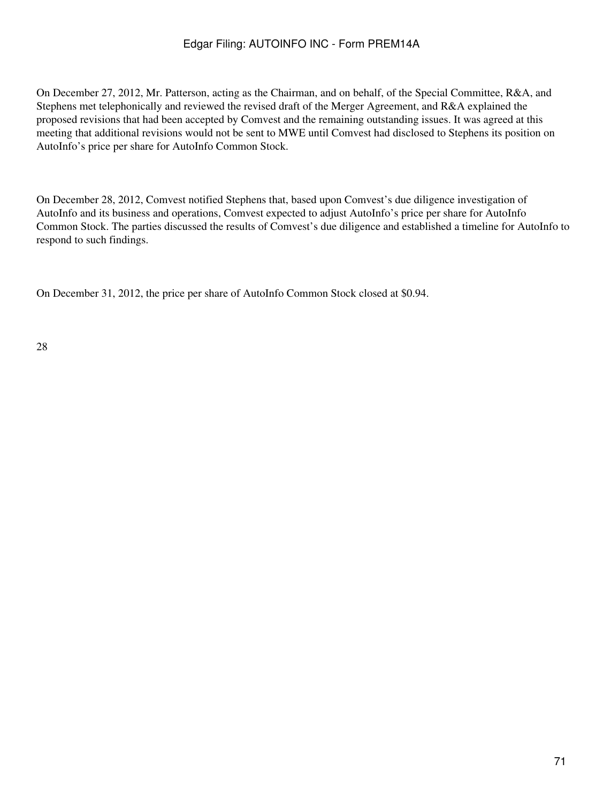On December 27, 2012, Mr. Patterson, acting as the Chairman, and on behalf, of the Special Committee, R&A, and Stephens met telephonically and reviewed the revised draft of the Merger Agreement, and R&A explained the proposed revisions that had been accepted by Comvest and the remaining outstanding issues. It was agreed at this meeting that additional revisions would not be sent to MWE until Comvest had disclosed to Stephens its position on AutoInfo's price per share for AutoInfo Common Stock.

On December 28, 2012, Comvest notified Stephens that, based upon Comvest's due diligence investigation of AutoInfo and its business and operations, Comvest expected to adjust AutoInfo's price per share for AutoInfo Common Stock. The parties discussed the results of Comvest's due diligence and established a timeline for AutoInfo to respond to such findings.

On December 31, 2012, the price per share of AutoInfo Common Stock closed at \$0.94.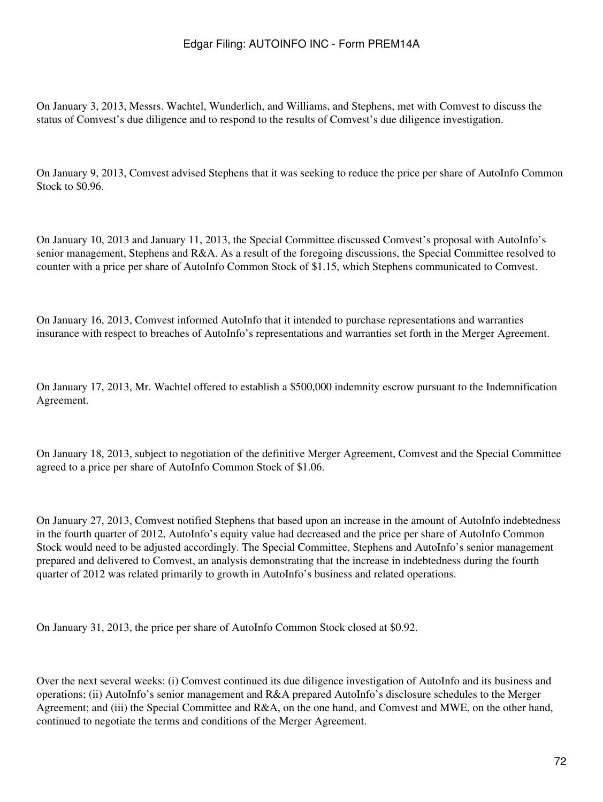On January 3, 2013, Messrs. Wachtel, Wunderlich, and Williams, and Stephens, met with Comvest to discuss the status of Comvest's due diligence and to respond to the results of Comvest's due diligence investigation.

On January 9, 2013, Comvest advised Stephens that it was seeking to reduce the price per share of AutoInfo Common Stock to \$0.96.

On January 10, 2013 and January 11, 2013, the Special Committee discussed Comvest's proposal with AutoInfo's senior management, Stephens and R&A. As a result of the foregoing discussions, the Special Committee resolved to counter with a price per share of AutoInfo Common Stock of \$1.15, which Stephens communicated to Comvest.

On January 16, 2013, Comvest informed AutoInfo that it intended to purchase representations and warranties insurance with respect to breaches of AutoInfo's representations and warranties set forth in the Merger Agreement.

On January 17, 2013, Mr. Wachtel offered to establish a \$500,000 indemnity escrow pursuant to the Indemnification Agreement.

On January 18, 2013, subject to negotiation of the definitive Merger Agreement, Comvest and the Special Committee agreed to a price per share of AutoInfo Common Stock of \$1.06.

On January 27, 2013, Comvest notified Stephens that based upon an increase in the amount of AutoInfo indebtedness in the fourth quarter of 2012, AutoInfo's equity value had decreased and the price per share of AutoInfo Common Stock would need to be adjusted accordingly. The Special Committee, Stephens and AutoInfo's senior management prepared and delivered to Comvest, an analysis demonstrating that the increase in indebtedness during the fourth quarter of 2012 was related primarily to growth in AutoInfo's business and related operations.

On January 31, 2013, the price per share of AutoInfo Common Stock closed at \$0.92.

Over the next several weeks: (i) Comvest continued its due diligence investigation of AutoInfo and its business and operations; (ii) AutoInfo's senior management and R&A prepared AutoInfo's disclosure schedules to the Merger Agreement; and (iii) the Special Committee and R&A, on the one hand, and Comvest and MWE, on the other hand, continued to negotiate the terms and conditions of the Merger Agreement.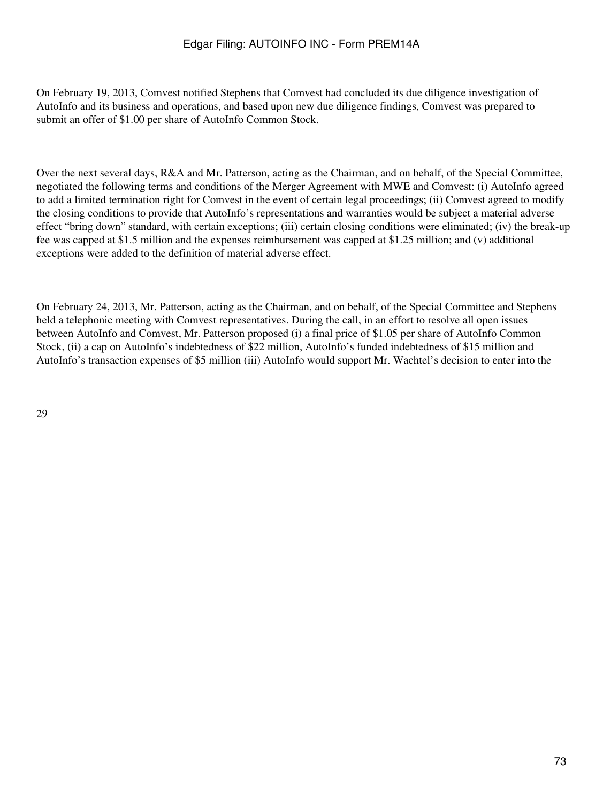On February 19, 2013, Comvest notified Stephens that Comvest had concluded its due diligence investigation of AutoInfo and its business and operations, and based upon new due diligence findings, Comvest was prepared to submit an offer of \$1.00 per share of AutoInfo Common Stock.

Over the next several days, R&A and Mr. Patterson, acting as the Chairman, and on behalf, of the Special Committee, negotiated the following terms and conditions of the Merger Agreement with MWE and Comvest: (i) AutoInfo agreed to add a limited termination right for Comvest in the event of certain legal proceedings; (ii) Comvest agreed to modify the closing conditions to provide that AutoInfo's representations and warranties would be subject a material adverse effect "bring down" standard, with certain exceptions; (iii) certain closing conditions were eliminated; (iv) the break-up fee was capped at \$1.5 million and the expenses reimbursement was capped at \$1.25 million; and (v) additional exceptions were added to the definition of material adverse effect.

On February 24, 2013, Mr. Patterson, acting as the Chairman, and on behalf, of the Special Committee and Stephens held a telephonic meeting with Comvest representatives. During the call, in an effort to resolve all open issues between AutoInfo and Comvest, Mr. Patterson proposed (i) a final price of \$1.05 per share of AutoInfo Common Stock, (ii) a cap on AutoInfo's indebtedness of \$22 million, AutoInfo's funded indebtedness of \$15 million and AutoInfo's transaction expenses of \$5 million (iii) AutoInfo would support Mr. Wachtel's decision to enter into the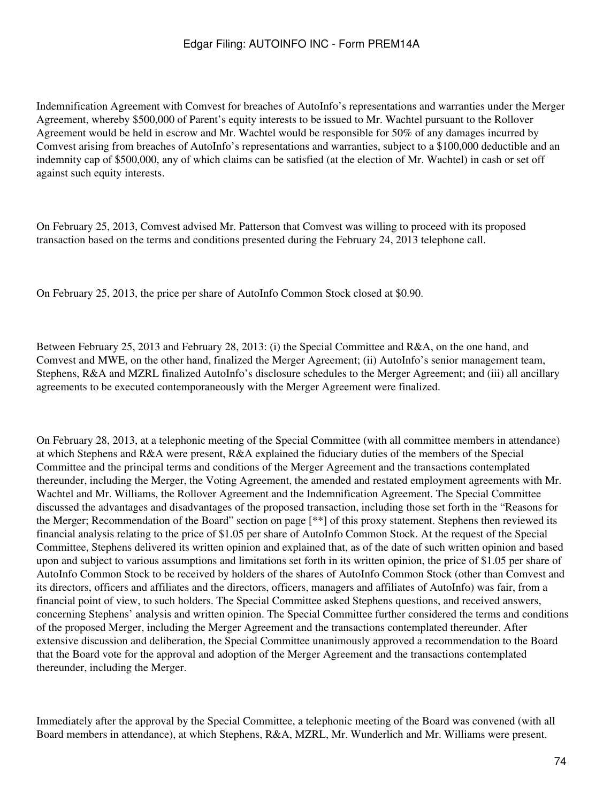Indemnification Agreement with Comvest for breaches of AutoInfo's representations and warranties under the Merger Agreement, whereby \$500,000 of Parent's equity interests to be issued to Mr. Wachtel pursuant to the Rollover Agreement would be held in escrow and Mr. Wachtel would be responsible for 50% of any damages incurred by Comvest arising from breaches of AutoInfo's representations and warranties, subject to a \$100,000 deductible and an indemnity cap of \$500,000, any of which claims can be satisfied (at the election of Mr. Wachtel) in cash or set off against such equity interests.

On February 25, 2013, Comvest advised Mr. Patterson that Comvest was willing to proceed with its proposed transaction based on the terms and conditions presented during the February 24, 2013 telephone call.

On February 25, 2013, the price per share of AutoInfo Common Stock closed at \$0.90.

Between February 25, 2013 and February 28, 2013: (i) the Special Committee and R&A, on the one hand, and Comvest and MWE, on the other hand, finalized the Merger Agreement; (ii) AutoInfo's senior management team, Stephens, R&A and MZRL finalized AutoInfo's disclosure schedules to the Merger Agreement; and (iii) all ancillary agreements to be executed contemporaneously with the Merger Agreement were finalized.

On February 28, 2013, at a telephonic meeting of the Special Committee (with all committee members in attendance) at which Stephens and R&A were present, R&A explained the fiduciary duties of the members of the Special Committee and the principal terms and conditions of the Merger Agreement and the transactions contemplated thereunder, including the Merger, the Voting Agreement, the amended and restated employment agreements with Mr. Wachtel and Mr. Williams, the Rollover Agreement and the Indemnification Agreement. The Special Committee discussed the advantages and disadvantages of the proposed transaction, including those set forth in the "Reasons for the Merger; Recommendation of the Board" section on page [\*\*] of this proxy statement. Stephens then reviewed its financial analysis relating to the price of \$1.05 per share of AutoInfo Common Stock. At the request of the Special Committee, Stephens delivered its written opinion and explained that, as of the date of such written opinion and based upon and subject to various assumptions and limitations set forth in its written opinion, the price of \$1.05 per share of AutoInfo Common Stock to be received by holders of the shares of AutoInfo Common Stock (other than Comvest and its directors, officers and affiliates and the directors, officers, managers and affiliates of AutoInfo) was fair, from a financial point of view, to such holders. The Special Committee asked Stephens questions, and received answers, concerning Stephens' analysis and written opinion. The Special Committee further considered the terms and conditions of the proposed Merger, including the Merger Agreement and the transactions contemplated thereunder. After extensive discussion and deliberation, the Special Committee unanimously approved a recommendation to the Board that the Board vote for the approval and adoption of the Merger Agreement and the transactions contemplated thereunder, including the Merger.

Immediately after the approval by the Special Committee, a telephonic meeting of the Board was convened (with all Board members in attendance), at which Stephens, R&A, MZRL, Mr. Wunderlich and Mr. Williams were present.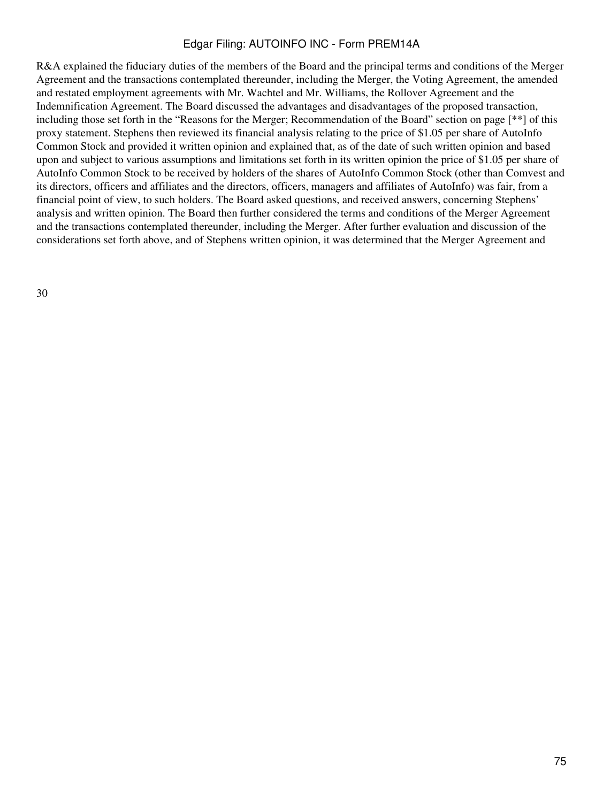R&A explained the fiduciary duties of the members of the Board and the principal terms and conditions of the Merger Agreement and the transactions contemplated thereunder, including the Merger, the Voting Agreement, the amended and restated employment agreements with Mr. Wachtel and Mr. Williams, the Rollover Agreement and the Indemnification Agreement. The Board discussed the advantages and disadvantages of the proposed transaction, including those set forth in the "Reasons for the Merger; Recommendation of the Board" section on page [\*\*] of this proxy statement. Stephens then reviewed its financial analysis relating to the price of \$1.05 per share of AutoInfo Common Stock and provided it written opinion and explained that, as of the date of such written opinion and based upon and subject to various assumptions and limitations set forth in its written opinion the price of \$1.05 per share of AutoInfo Common Stock to be received by holders of the shares of AutoInfo Common Stock (other than Comvest and its directors, officers and affiliates and the directors, officers, managers and affiliates of AutoInfo) was fair, from a financial point of view, to such holders. The Board asked questions, and received answers, concerning Stephens' analysis and written opinion. The Board then further considered the terms and conditions of the Merger Agreement and the transactions contemplated thereunder, including the Merger. After further evaluation and discussion of the considerations set forth above, and of Stephens written opinion, it was determined that the Merger Agreement and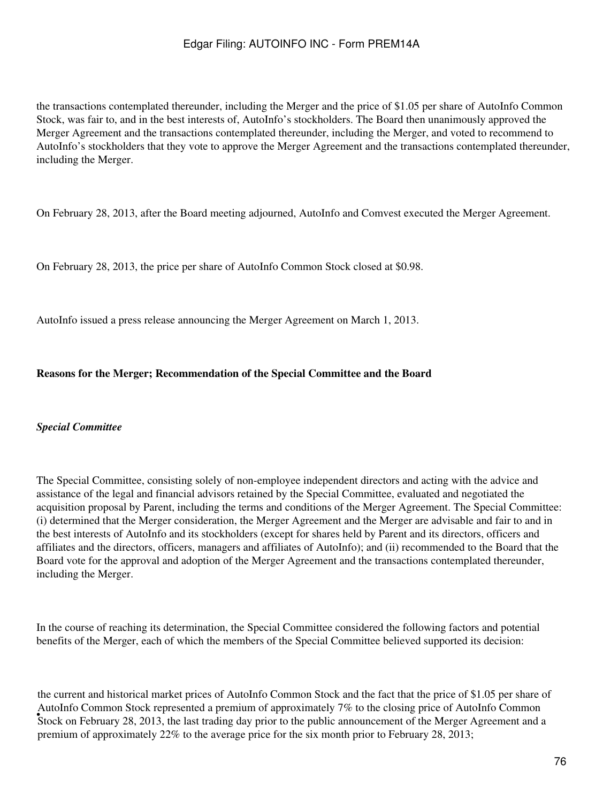the transactions contemplated thereunder, including the Merger and the price of \$1.05 per share of AutoInfo Common Stock, was fair to, and in the best interests of, AutoInfo's stockholders. The Board then unanimously approved the Merger Agreement and the transactions contemplated thereunder, including the Merger, and voted to recommend to AutoInfo's stockholders that they vote to approve the Merger Agreement and the transactions contemplated thereunder, including the Merger.

On February 28, 2013, after the Board meeting adjourned, AutoInfo and Comvest executed the Merger Agreement.

On February 28, 2013, the price per share of AutoInfo Common Stock closed at \$0.98.

AutoInfo issued a press release announcing the Merger Agreement on March 1, 2013.

#### **Reasons for the Merger; Recommendation of the Special Committee and the Board**

#### *Special Committee*

The Special Committee, consisting solely of non-employee independent directors and acting with the advice and assistance of the legal and financial advisors retained by the Special Committee, evaluated and negotiated the acquisition proposal by Parent, including the terms and conditions of the Merger Agreement. The Special Committee: (i) determined that the Merger consideration, the Merger Agreement and the Merger are advisable and fair to and in the best interests of AutoInfo and its stockholders (except for shares held by Parent and its directors, officers and affiliates and the directors, officers, managers and affiliates of AutoInfo); and (ii) recommended to the Board that the Board vote for the approval and adoption of the Merger Agreement and the transactions contemplated thereunder, including the Merger.

In the course of reaching its determination, the Special Committee considered the following factors and potential benefits of the Merger, each of which the members of the Special Committee believed supported its decision:

• Guiding Common Stock represented a premium or approximately 7% to the crosing price of Automo Common Stock on February 28, 2013, the last trading day prior to the public announcement of the Merger Agreement and a the current and historical market prices of AutoInfo Common Stock and the fact that the price of \$1.05 per share of AutoInfo Common Stock represented a premium of approximately 7% to the closing price of AutoInfo Common premium of approximately 22% to the average price for the six month prior to February 28, 2013;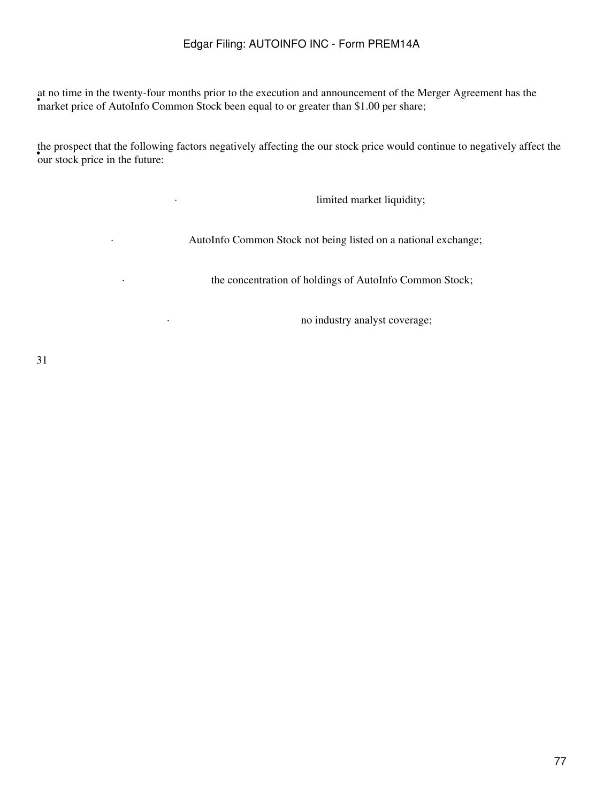which is the three of AutoInfo Common Stock been equal to or greater than \$1.00 per share; at no time in the twenty-four months prior to the execution and announcement of the Merger Agreement has the

The prospect that the following the prospect that the following factors negatively affecting the our stock price would continue to negatively affect the

· limited market liquidity;

· AutoInfo Common Stock not being listed on a national exchange;

· the concentration of holdings of AutoInfo Common Stock;

· no industry analyst coverage;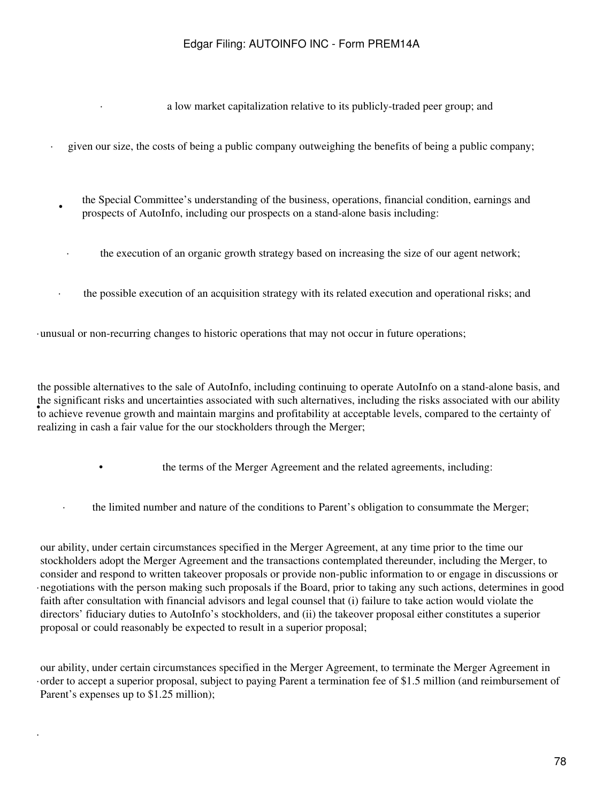a low market capitalization relative to its publicly-traded peer group; and

- given our size, the costs of being a public company outweighing the benefits of being a public company;
- the Special Committee's understanding of the business, operations, financial condition, earnings and prospects of AutoInfo, including our prospects on a stand-alone basis including:
- the execution of an organic growth strategy based on increasing the size of our agent network;
- · the possible execution of an acquisition strategy with its related execution and operational risks; and

·unusual or non-recurring changes to historic operations that may not occur in future operations;

the significant risks and directionness associated with such ditermitives, including the risks associated with our achieve revenue growth and maintain margins and profitability at acceptable levels, compared to the certain the possible alternatives to the sale of AutoInfo, including continuing to operate AutoInfo on a stand-alone basis, and the significant risks and uncertainties associated with such alternatives, including the risks associated with our ability realizing in cash a fair value for the our stockholders through the Merger;

• the terms of the Merger Agreement and the related agreements, including:

· the limited number and nature of the conditions to Parent's obligation to consummate the Merger;

· negotiations with the person making such proposals if the Board, prior to taking any such actions, determines in good our ability, under certain circumstances specified in the Merger Agreement, at any time prior to the time our stockholders adopt the Merger Agreement and the transactions contemplated thereunder, including the Merger, to consider and respond to written takeover proposals or provide non-public information to or engage in discussions or faith after consultation with financial advisors and legal counsel that (i) failure to take action would violate the directors' fiduciary duties to AutoInfo's stockholders, and (ii) the takeover proposal either constitutes a superior proposal or could reasonably be expected to result in a superior proposal;

· order to accept a superior proposal, subject to paying Parent a termination fee of \$1.5 million (and reimbursement of our ability, under certain circumstances specified in the Merger Agreement, to terminate the Merger Agreement in Parent's expenses up to \$1.25 million);

·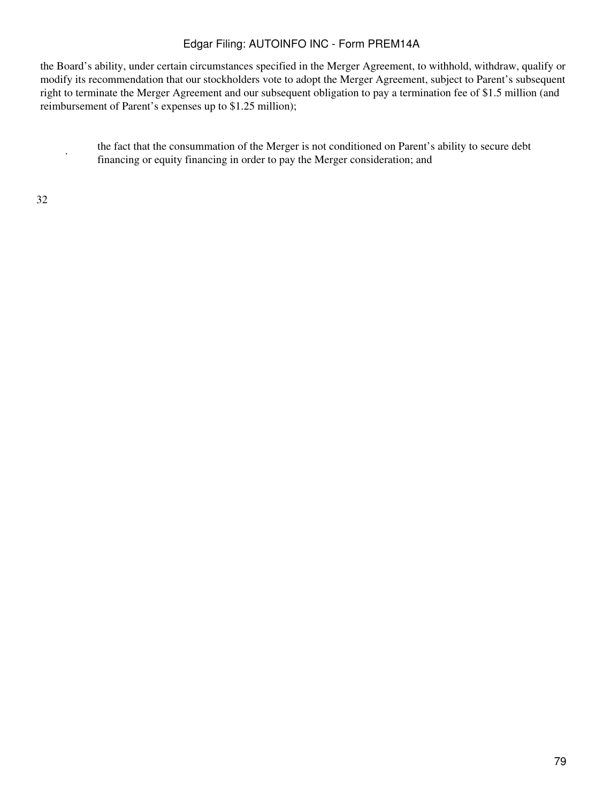the Board's ability, under certain circumstances specified in the Merger Agreement, to withhold, withdraw, qualify or modify its recommendation that our stockholders vote to adopt the Merger Agreement, subject to Parent's subsequent right to terminate the Merger Agreement and our subsequent obligation to pay a termination fee of \$1.5 million (and reimbursement of Parent's expenses up to \$1.25 million);

> the fact that the consummation of the Merger is not conditioned on Parent's ability to secure debt financing or equity financing in order to pay the Merger consideration; and

32

·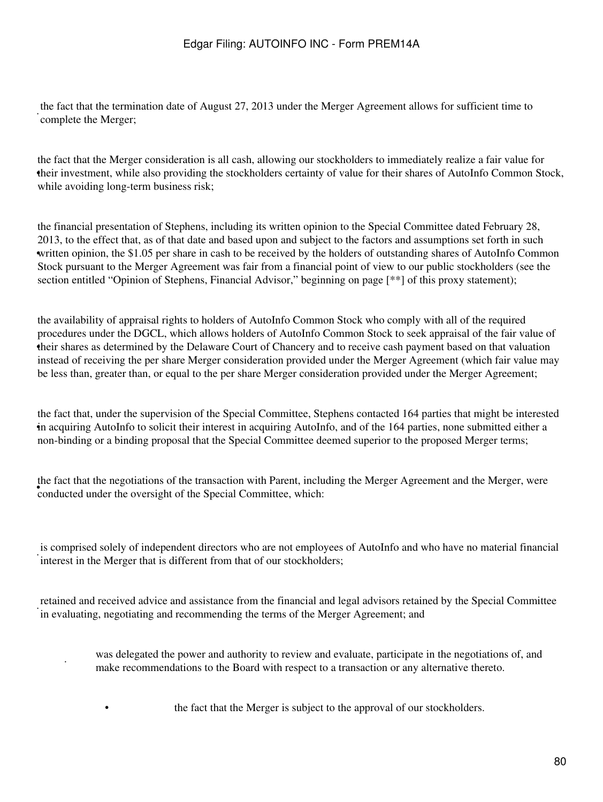· complete the Merger; the fact that the termination date of August 27, 2013 under the Merger Agreement allows for sufficient time to

• their investment, while also providing the stockholders certainty of value for their shares of AutoInfo Common Stock, the fact that the Merger consideration is all cash, allowing our stockholders to immediately realize a fair value for while avoiding long-term business risk;

written opinion, the \$1.05 per share in cash to be received by the holders of outstanding shares of AutoInfo Common the financial presentation of Stephens, including its written opinion to the Special Committee dated February 28, 2013, to the effect that, as of that date and based upon and subject to the factors and assumptions set forth in such Stock pursuant to the Merger Agreement was fair from a financial point of view to our public stockholders (see the section entitled "Opinion of Stephens, Financial Advisor," beginning on page [\*\*] of this proxy statement);

• their shares as determined by the Delaware Court of Chancery and to receive cash payment based on that valuation the availability of appraisal rights to holders of AutoInfo Common Stock who comply with all of the required procedures under the DGCL, which allows holders of AutoInfo Common Stock to seek appraisal of the fair value of instead of receiving the per share Merger consideration provided under the Merger Agreement (which fair value may be less than, greater than, or equal to the per share Merger consideration provided under the Merger Agreement;

• in acquiring AutoInfo to solicit their interest in acquiring AutoInfo, and of the 164 parties, none submitted either a the fact that, under the supervision of the Special Committee, Stephens contacted 164 parties that might be interested non-binding or a binding proposal that the Special Committee deemed superior to the proposed Merger terms;

**EXECUTE THE CONDUCTED STATE OF THE CONDUCTED** Conducted under the oversight of the Special Committee, which: the fact that the negotiations of the transaction with Parent, including the Merger Agreement and the Merger, were

is comprised solely of independent directors who are not employees of AutoInfo and who have no material financial<br>interest in the Marson that is different from that of our stockholders: interest in the Merger that is different from that of our stockholders;

· in evaluating, negotiating and recommending the terms of the Merger Agreement; and retained and received advice and assistance from the financial and legal advisors retained by the Special Committee

·

was delegated the power and authority to review and evaluate, participate in the negotiations of, and make recommendations to the Board with respect to a transaction or any alternative thereto.

• the fact that the Merger is subject to the approval of our stockholders.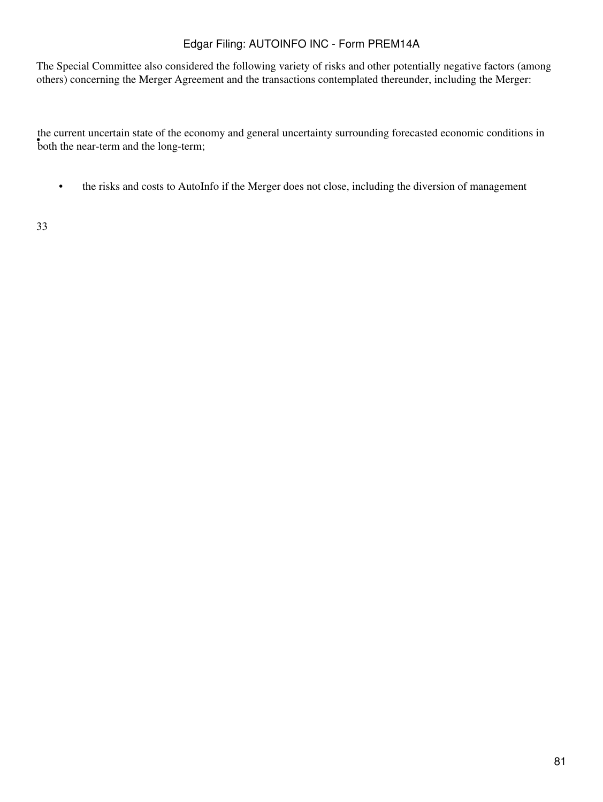The Special Committee also considered the following variety of risks and other potentially negative factors (among others) concerning the Merger Agreement and the transactions contemplated thereunder, including the Merger:

both the near-term and the long-term; the current uncertain state of the economy and general uncertainty surrounding forecasted economic conditions in

• the risks and costs to AutoInfo if the Merger does not close, including the diversion of management

33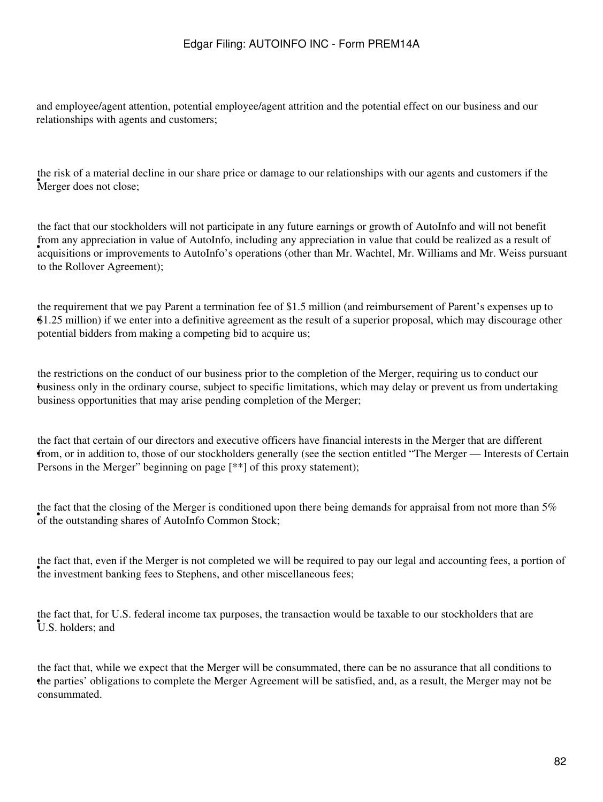and employee/agent attention, potential employee/agent attrition and the potential effect on our business and our relationships with agents and customers;

Merger does not close; the risk of a material decline in our share price or damage to our relationships with our agents and customers if the

From any appreciation in varie of Automio, including any appreciation in varie that could be realized as a result of acquisitions or improvements to AutoInfo's operations (other than Mr. Wachtel, Mr. Williams and Mr. Weiss the fact that our stockholders will not participate in any future earnings or growth of AutoInfo and will not benefit from any appreciation in value of AutoInfo, including any appreciation in value that could be realized as a result of to the Rollover Agreement);

• \$1.25 million) if we enter into a definitive agreement as the result of a superior proposal, which may discourage other the requirement that we pay Parent a termination fee of \$1.5 million (and reimbursement of Parent's expenses up to potential bidders from making a competing bid to acquire us;

• business only in the ordinary course, subject to specific limitations, which may delay or prevent us from undertaking the restrictions on the conduct of our business prior to the completion of the Merger, requiring us to conduct our business opportunities that may arise pending completion of the Merger;

from, or in addition to, those of our stockholders generally (see the section entitled "The Merger — Interests of Certain the fact that certain of our directors and executive officers have financial interests in the Merger that are different Persons in the Merger" beginning on page [\*\*] of this proxy statement);

of the outstanding shares of AutoInfo Common Stock; the fact that the closing of the Merger is conditioned upon there being demands for appraisal from not more than 5%

the fact that, even if the inverger is not completed we will be required to<br>the investment banking fees to Stephens, and other miscellaneous fees; the fact that, even if the Merger is not completed we will be required to pay our legal and accounting fees, a portion of

U.S. holders; and the fact that, for U.S. federal income tax purposes, the transaction would be taxable to our stockholders that are

• the parties' obligations to complete the Merger Agreement will be satisfied, and, as a result, the Merger may not be the fact that, while we expect that the Merger will be consummated, there can be no assurance that all conditions to consummated.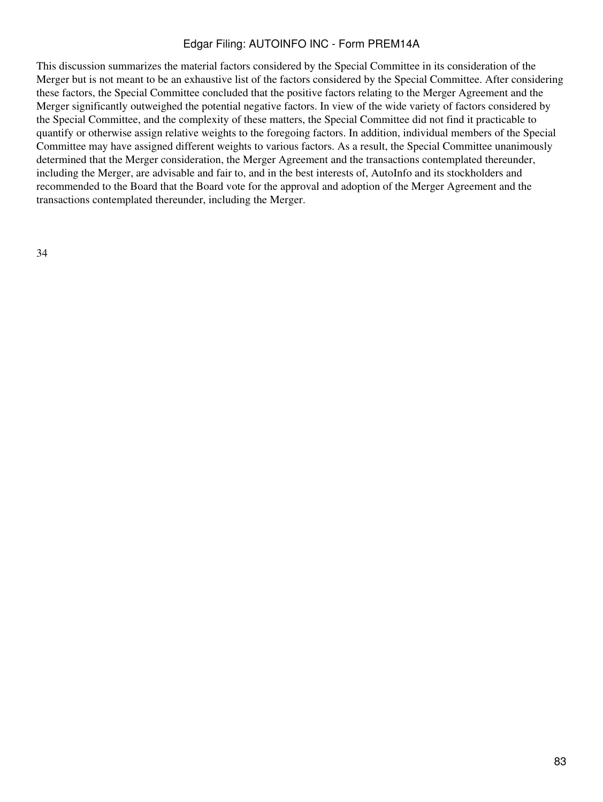This discussion summarizes the material factors considered by the Special Committee in its consideration of the Merger but is not meant to be an exhaustive list of the factors considered by the Special Committee. After considering these factors, the Special Committee concluded that the positive factors relating to the Merger Agreement and the Merger significantly outweighed the potential negative factors. In view of the wide variety of factors considered by the Special Committee, and the complexity of these matters, the Special Committee did not find it practicable to quantify or otherwise assign relative weights to the foregoing factors. In addition, individual members of the Special Committee may have assigned different weights to various factors. As a result, the Special Committee unanimously determined that the Merger consideration, the Merger Agreement and the transactions contemplated thereunder, including the Merger, are advisable and fair to, and in the best interests of, AutoInfo and its stockholders and recommended to the Board that the Board vote for the approval and adoption of the Merger Agreement and the transactions contemplated thereunder, including the Merger.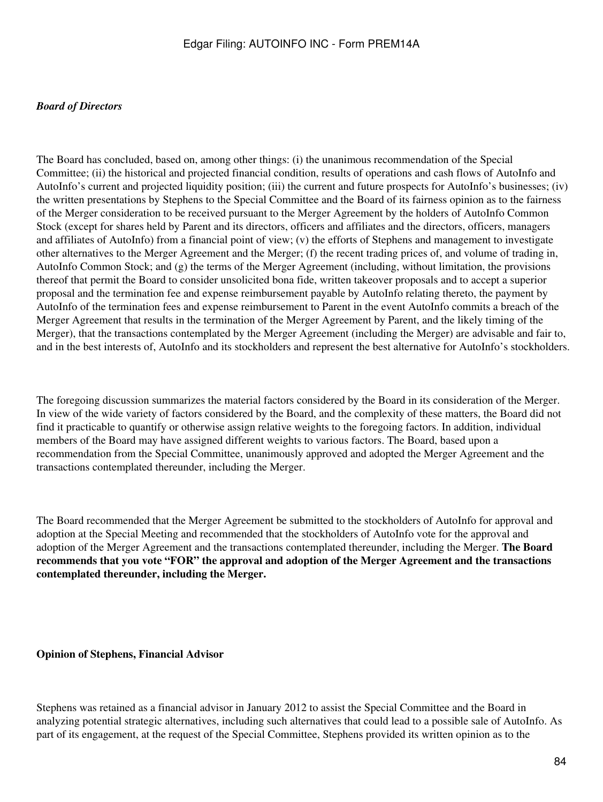#### *Board of Directors*

The Board has concluded, based on, among other things: (i) the unanimous recommendation of the Special Committee; (ii) the historical and projected financial condition, results of operations and cash flows of AutoInfo and AutoInfo's current and projected liquidity position; (iii) the current and future prospects for AutoInfo's businesses; (iv) the written presentations by Stephens to the Special Committee and the Board of its fairness opinion as to the fairness of the Merger consideration to be received pursuant to the Merger Agreement by the holders of AutoInfo Common Stock (except for shares held by Parent and its directors, officers and affiliates and the directors, officers, managers and affiliates of AutoInfo) from a financial point of view; (v) the efforts of Stephens and management to investigate other alternatives to the Merger Agreement and the Merger; (f) the recent trading prices of, and volume of trading in, AutoInfo Common Stock; and (g) the terms of the Merger Agreement (including, without limitation, the provisions thereof that permit the Board to consider unsolicited bona fide, written takeover proposals and to accept a superior proposal and the termination fee and expense reimbursement payable by AutoInfo relating thereto, the payment by AutoInfo of the termination fees and expense reimbursement to Parent in the event AutoInfo commits a breach of the Merger Agreement that results in the termination of the Merger Agreement by Parent, and the likely timing of the Merger), that the transactions contemplated by the Merger Agreement (including the Merger) are advisable and fair to, and in the best interests of, AutoInfo and its stockholders and represent the best alternative for AutoInfo's stockholders.

The foregoing discussion summarizes the material factors considered by the Board in its consideration of the Merger. In view of the wide variety of factors considered by the Board, and the complexity of these matters, the Board did not find it practicable to quantify or otherwise assign relative weights to the foregoing factors. In addition, individual members of the Board may have assigned different weights to various factors. The Board, based upon a recommendation from the Special Committee, unanimously approved and adopted the Merger Agreement and the transactions contemplated thereunder, including the Merger.

The Board recommended that the Merger Agreement be submitted to the stockholders of AutoInfo for approval and adoption at the Special Meeting and recommended that the stockholders of AutoInfo vote for the approval and adoption of the Merger Agreement and the transactions contemplated thereunder, including the Merger. **The Board recommends that you vote "FOR" the approval and adoption of the Merger Agreement and the transactions contemplated thereunder, including the Merger.**

#### **Opinion of Stephens, Financial Advisor**

Stephens was retained as a financial advisor in January 2012 to assist the Special Committee and the Board in analyzing potential strategic alternatives, including such alternatives that could lead to a possible sale of AutoInfo. As part of its engagement, at the request of the Special Committee, Stephens provided its written opinion as to the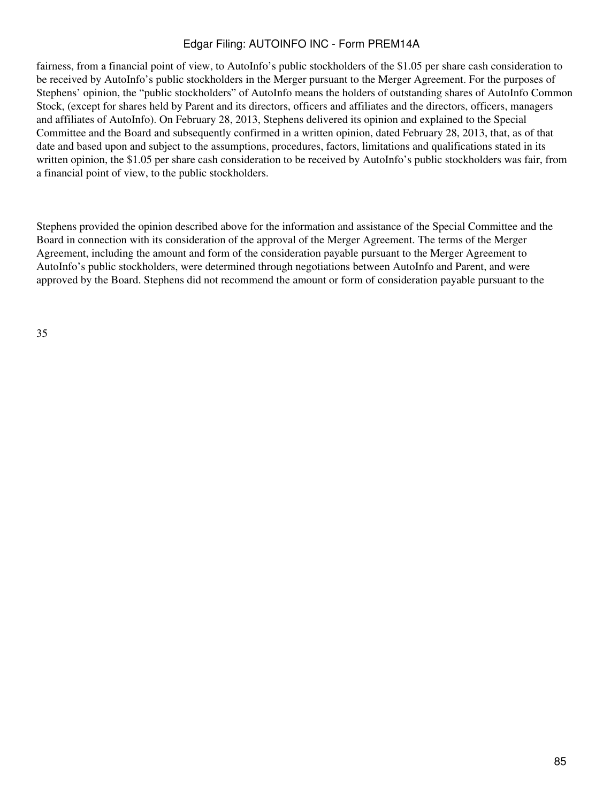fairness, from a financial point of view, to AutoInfo's public stockholders of the \$1.05 per share cash consideration to be received by AutoInfo's public stockholders in the Merger pursuant to the Merger Agreement. For the purposes of Stephens' opinion, the "public stockholders" of AutoInfo means the holders of outstanding shares of AutoInfo Common Stock, (except for shares held by Parent and its directors, officers and affiliates and the directors, officers, managers and affiliates of AutoInfo). On February 28, 2013, Stephens delivered its opinion and explained to the Special Committee and the Board and subsequently confirmed in a written opinion, dated February 28, 2013, that, as of that date and based upon and subject to the assumptions, procedures, factors, limitations and qualifications stated in its written opinion, the \$1.05 per share cash consideration to be received by AutoInfo's public stockholders was fair, from a financial point of view, to the public stockholders.

Stephens provided the opinion described above for the information and assistance of the Special Committee and the Board in connection with its consideration of the approval of the Merger Agreement. The terms of the Merger Agreement, including the amount and form of the consideration payable pursuant to the Merger Agreement to AutoInfo's public stockholders, were determined through negotiations between AutoInfo and Parent, and were approved by the Board. Stephens did not recommend the amount or form of consideration payable pursuant to the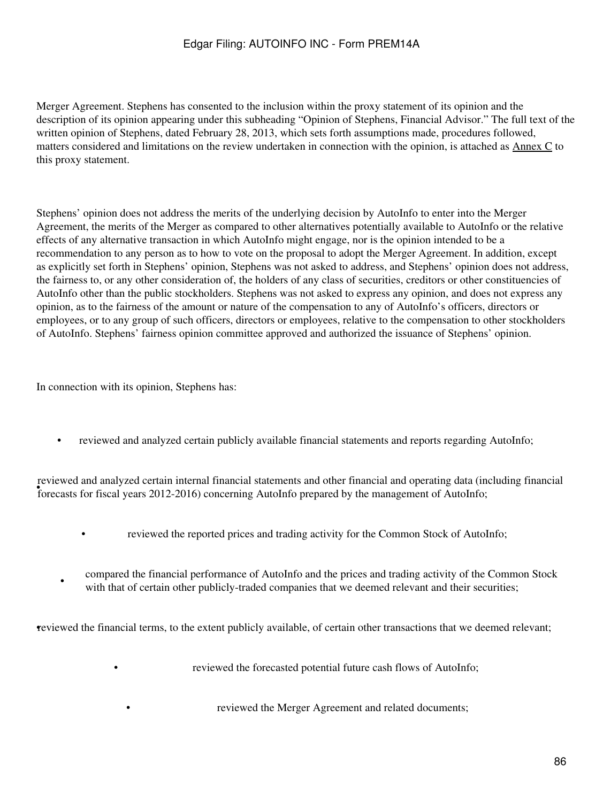Merger Agreement. Stephens has consented to the inclusion within the proxy statement of its opinion and the description of its opinion appearing under this subheading "Opinion of Stephens, Financial Advisor." The full text of the written opinion of Stephens, dated February 28, 2013, which sets forth assumptions made, procedures followed, matters considered and limitations on the review undertaken in connection with the opinion, is attached as Annex C to this proxy statement.

Stephens' opinion does not address the merits of the underlying decision by AutoInfo to enter into the Merger Agreement, the merits of the Merger as compared to other alternatives potentially available to AutoInfo or the relative effects of any alternative transaction in which AutoInfo might engage, nor is the opinion intended to be a recommendation to any person as to how to vote on the proposal to adopt the Merger Agreement. In addition, except as explicitly set forth in Stephens' opinion, Stephens was not asked to address, and Stephens' opinion does not address, the fairness to, or any other consideration of, the holders of any class of securities, creditors or other constituencies of AutoInfo other than the public stockholders. Stephens was not asked to express any opinion, and does not express any opinion, as to the fairness of the amount or nature of the compensation to any of AutoInfo's officers, directors or employees, or to any group of such officers, directors or employees, relative to the compensation to other stockholders of AutoInfo. Stephens' fairness opinion committee approved and authorized the issuance of Stephens' opinion.

In connection with its opinion, Stephens has:

•

reviewed and analyzed certain publicly available financial statements and reports regarding AutoInfo;

• forecasts for fiscal years 2012-2016) concerning AutoInfo prepared by the management of AutoInfo; reviewed and analyzed certain internal financial statements and other financial and operating data (including financial

- reviewed the reported prices and trading activity for the Common Stock of AutoInfo;
- compared the financial performance of AutoInfo and the prices and trading activity of the Common Stock with that of certain other publicly-traded companies that we deemed relevant and their securities;

•reviewed the financial terms, to the extent publicly available, of certain other transactions that we deemed relevant;

• reviewed the forecasted potential future cash flows of AutoInfo;

reviewed the Merger Agreement and related documents;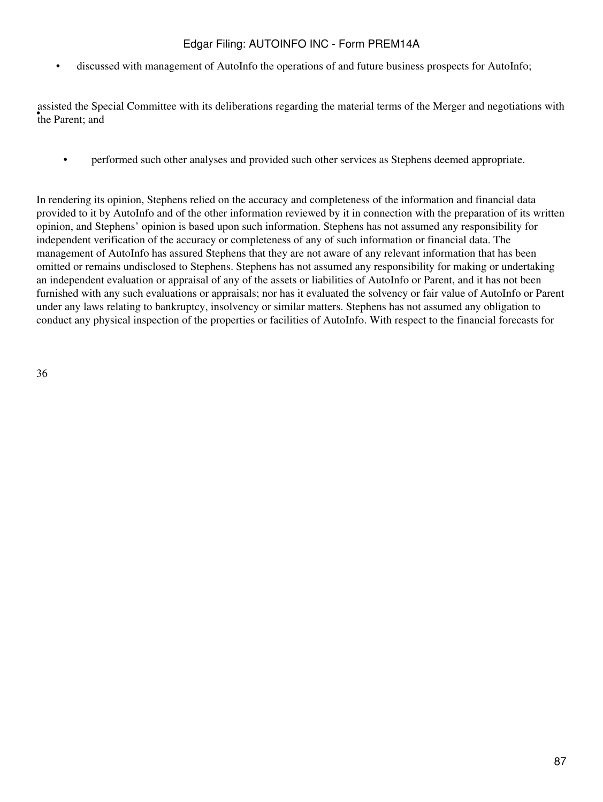• discussed with management of AutoInfo the operations of and future business prospects for AutoInfo;

the Parent; and assisted the Special Committee with its deliberations regarding the material terms of the Merger and negotiations with

• performed such other analyses and provided such other services as Stephens deemed appropriate.

In rendering its opinion, Stephens relied on the accuracy and completeness of the information and financial data provided to it by AutoInfo and of the other information reviewed by it in connection with the preparation of its written opinion, and Stephens' opinion is based upon such information. Stephens has not assumed any responsibility for independent verification of the accuracy or completeness of any of such information or financial data. The management of AutoInfo has assured Stephens that they are not aware of any relevant information that has been omitted or remains undisclosed to Stephens. Stephens has not assumed any responsibility for making or undertaking an independent evaluation or appraisal of any of the assets or liabilities of AutoInfo or Parent, and it has not been furnished with any such evaluations or appraisals; nor has it evaluated the solvency or fair value of AutoInfo or Parent under any laws relating to bankruptcy, insolvency or similar matters. Stephens has not assumed any obligation to conduct any physical inspection of the properties or facilities of AutoInfo. With respect to the financial forecasts for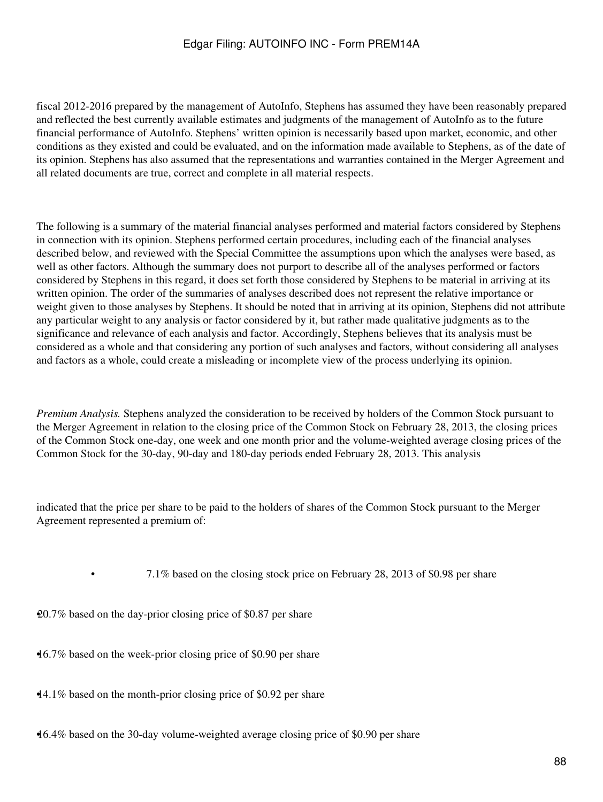fiscal 2012-2016 prepared by the management of AutoInfo, Stephens has assumed they have been reasonably prepared and reflected the best currently available estimates and judgments of the management of AutoInfo as to the future financial performance of AutoInfo. Stephens' written opinion is necessarily based upon market, economic, and other conditions as they existed and could be evaluated, and on the information made available to Stephens, as of the date of its opinion. Stephens has also assumed that the representations and warranties contained in the Merger Agreement and all related documents are true, correct and complete in all material respects.

The following is a summary of the material financial analyses performed and material factors considered by Stephens in connection with its opinion. Stephens performed certain procedures, including each of the financial analyses described below, and reviewed with the Special Committee the assumptions upon which the analyses were based, as well as other factors. Although the summary does not purport to describe all of the analyses performed or factors considered by Stephens in this regard, it does set forth those considered by Stephens to be material in arriving at its written opinion. The order of the summaries of analyses described does not represent the relative importance or weight given to those analyses by Stephens. It should be noted that in arriving at its opinion, Stephens did not attribute any particular weight to any analysis or factor considered by it, but rather made qualitative judgments as to the significance and relevance of each analysis and factor. Accordingly, Stephens believes that its analysis must be considered as a whole and that considering any portion of such analyses and factors, without considering all analyses and factors as a whole, could create a misleading or incomplete view of the process underlying its opinion.

*Premium Analysis.* Stephens analyzed the consideration to be received by holders of the Common Stock pursuant to the Merger Agreement in relation to the closing price of the Common Stock on February 28, 2013, the closing prices of the Common Stock one-day, one week and one month prior and the volume-weighted average closing prices of the Common Stock for the 30-day, 90-day and 180-day periods ended February 28, 2013. This analysis

indicated that the price per share to be paid to the holders of shares of the Common Stock pursuant to the Merger Agreement represented a premium of:

• 7.1% based on the closing stock price on February 28, 2013 of \$0.98 per share

•20.7% based on the day-prior closing price of \$0.87 per share

•16.7% based on the week-prior closing price of \$0.90 per share

•14.1% based on the month-prior closing price of \$0.92 per share

•16.4% based on the 30-day volume-weighted average closing price of \$0.90 per share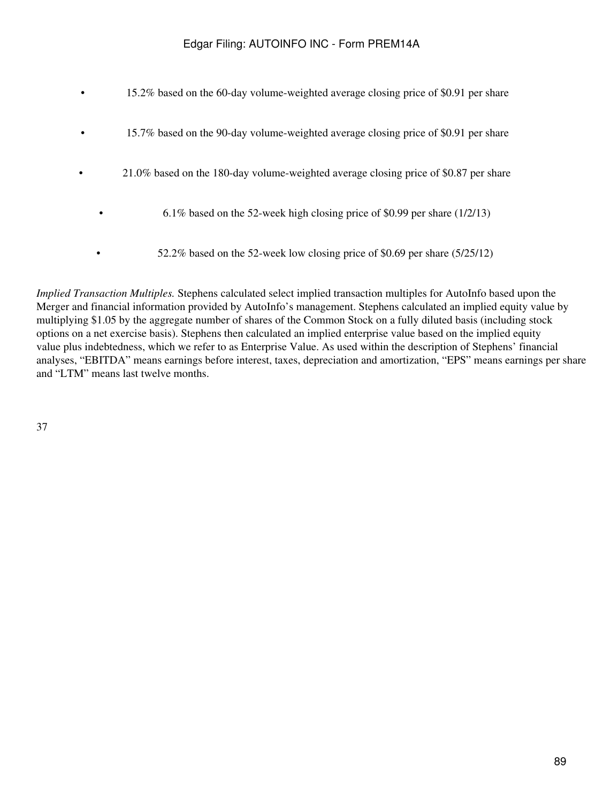- 15.2% based on the 60-day volume-weighted average closing price of \$0.91 per share
- 15.7% based on the 90-day volume-weighted average closing price of \$0.91 per share
- 21.0% based on the 180-day volume-weighted average closing price of \$0.87 per share

• 6.1% based on the 52-week high closing price of \$0.99 per share (1/2/13)

• 52.2% based on the 52-week low closing price of \$0.69 per share (5/25/12)

*Implied Transaction Multiples.* Stephens calculated select implied transaction multiples for AutoInfo based upon the Merger and financial information provided by AutoInfo's management. Stephens calculated an implied equity value by multiplying \$1.05 by the aggregate number of shares of the Common Stock on a fully diluted basis (including stock options on a net exercise basis). Stephens then calculated an implied enterprise value based on the implied equity value plus indebtedness, which we refer to as Enterprise Value. As used within the description of Stephens' financial analyses, "EBITDA" means earnings before interest, taxes, depreciation and amortization, "EPS" means earnings per share and "LTM" means last twelve months.

37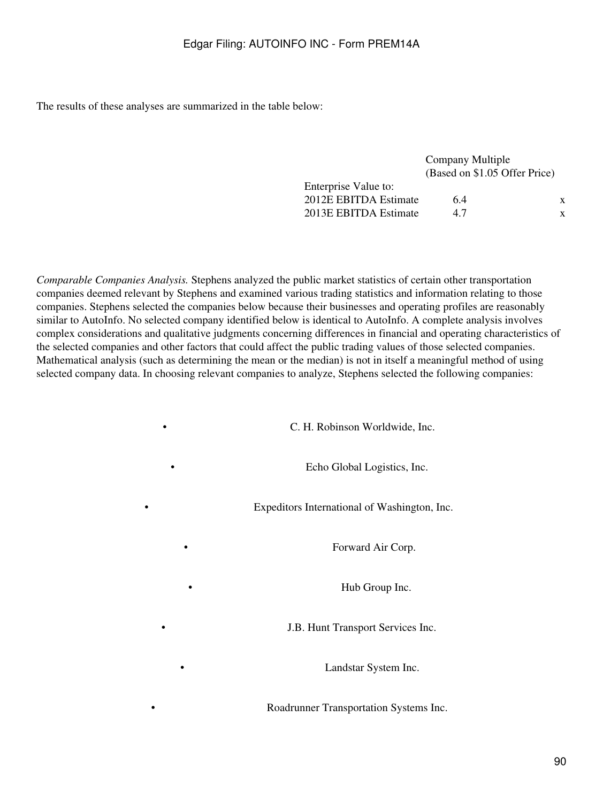Enterprise Value to:

The results of these analyses are summarized in the table below:

# Company Multiple (Based on \$1.05 Offer Price)

| Enterprise Value to:  |    |  |
|-----------------------|----|--|
| 2012E EBITDA Estimate | 64 |  |
| 2013E EBITDA Estimate | 47 |  |

*Comparable Companies Analysis.* Stephens analyzed the public market statistics of certain other transportation companies deemed relevant by Stephens and examined various trading statistics and information relating to those companies. Stephens selected the companies below because their businesses and operating profiles are reasonably similar to AutoInfo. No selected company identified below is identical to AutoInfo. A complete analysis involves complex considerations and qualitative judgments concerning differences in financial and operating characteristics of the selected companies and other factors that could affect the public trading values of those selected companies. Mathematical analysis (such as determining the mean or the median) is not in itself a meaningful method of using selected company data. In choosing relevant companies to analyze, Stephens selected the following companies:

• C. H. Robinson Worldwide, Inc.

• **Echo Global Logistics, Inc.** 

• Expeditors International of Washington, Inc.

• Forward Air Corp.

• Hub Group Inc.

J.B. Hunt Transport Services Inc.

Landstar System Inc.

• Roadrunner Transportation Systems Inc.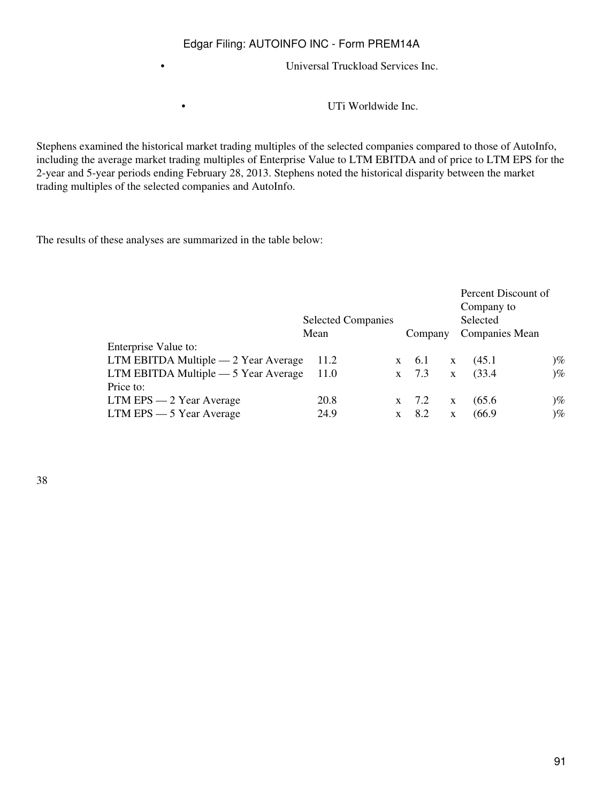• Universal Truckload Services Inc.

• UTi Worldwide Inc.

Stephens examined the historical market trading multiples of the selected companies compared to those of AutoInfo, including the average market trading multiples of Enterprise Value to LTM EBITDA and of price to LTM EPS for the 2-year and 5-year periods ending February 28, 2013. Stephens noted the historical disparity between the market trading multiples of the selected companies and AutoInfo.

The results of these analyses are summarized in the table below:

|                                       |                           |              |         |              | Percent Discount of<br>Company to |       |
|---------------------------------------|---------------------------|--------------|---------|--------------|-----------------------------------|-------|
|                                       | <b>Selected Companies</b> |              |         |              | Selected                          |       |
|                                       | Mean                      |              | Company |              | Companies Mean                    |       |
| Enterprise Value to:                  |                           |              |         |              |                                   |       |
| LTM EBITDA Multiple - 2 Year Average  | 11.2                      | $\mathbf{x}$ | 6.1     | X            | (45.1)                            | $)\%$ |
| LTM EBITDA Multiple $-5$ Year Average | 11.0                      | $\mathbf{x}$ | 7.3     | $\mathbf{X}$ | (33.4)                            | $)\%$ |
| Price to:                             |                           |              |         |              |                                   |       |
| $LTM$ EPS $-2$ Year Average           | 20.8                      | $\mathbf{x}$ | 7.2     | X            | (65.6)                            | $)\%$ |
| $LTM$ EPS $-5$ Year Average           | 24.9                      | X            | 8.2     | X            | (66.9)                            | $)\%$ |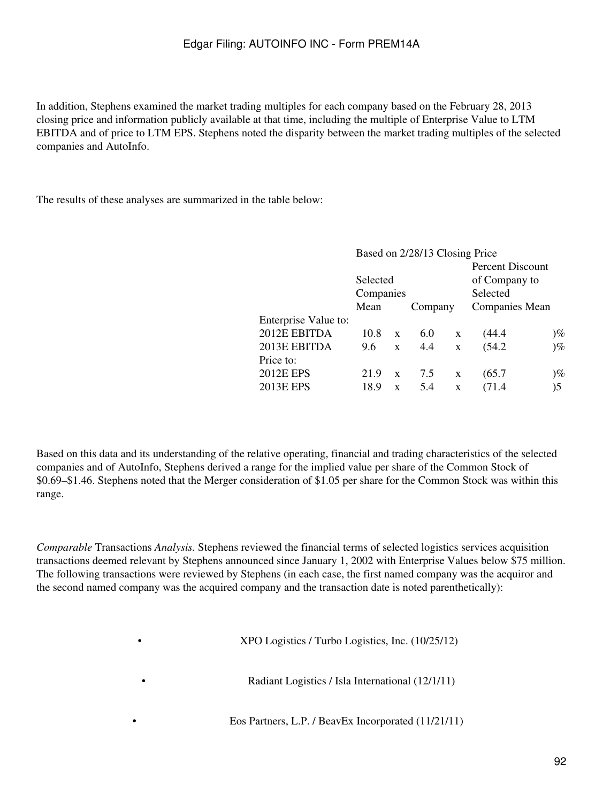In addition, Stephens examined the market trading multiples for each company based on the February 28, 2013 closing price and information publicly available at that time, including the multiple of Enterprise Value to LTM EBITDA and of price to LTM EPS. Stephens noted the disparity between the market trading multiples of the selected companies and AutoInfo.

The results of these analyses are summarized in the table below:

|                      |           |              | Based on 2/28/13 Closing Price |              |                  |             |
|----------------------|-----------|--------------|--------------------------------|--------------|------------------|-------------|
|                      |           |              |                                |              | Percent Discount |             |
|                      | Selected  |              |                                |              | of Company to    |             |
|                      | Companies |              |                                |              | Selected         |             |
|                      | Mean      |              | Company                        |              | Companies Mean   |             |
| Enterprise Value to: |           |              |                                |              |                  |             |
| 2012E EBITDA         | 10.8      | $\mathbf x$  | 6.0                            | $\mathbf{x}$ | (44.4)           | $)\%$       |
| 2013E EBITDA         | 9.6       | $\mathbf x$  | 4.4                            | $\mathbf{x}$ | (54.2)           | $)\%$       |
| Price to:            |           |              |                                |              |                  |             |
| <b>2012E EPS</b>     | 21.9      | $\mathbf{x}$ | 7.5                            | $\mathbf{x}$ | (65.7)           | $)\%$       |
| 2013E EPS            | 18.9      | $\mathbf{x}$ | 5.4                            | $\mathbf x$  | (71.4            | $5^{\circ}$ |

Based on this data and its understanding of the relative operating, financial and trading characteristics of the selected companies and of AutoInfo, Stephens derived a range for the implied value per share of the Common Stock of \$0.69–\$1.46. Stephens noted that the Merger consideration of \$1.05 per share for the Common Stock was within this range.

*Comparable* Transactions *Analysis.* Stephens reviewed the financial terms of selected logistics services acquisition transactions deemed relevant by Stephens announced since January 1, 2002 with Enterprise Values below \$75 million. The following transactions were reviewed by Stephens (in each case, the first named company was the acquiror and the second named company was the acquired company and the transaction date is noted parenthetically):

• XPO Logistics / Turbo Logistics, Inc. (10/25/12)

• Radiant Logistics / Isla International (12/1/11)

• Eos Partners, L.P. / BeavEx Incorporated (11/21/11)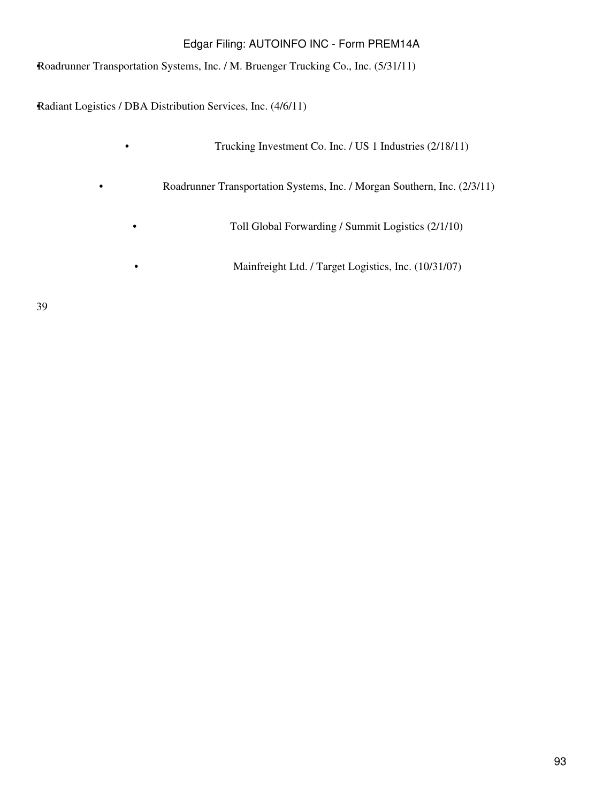•Roadrunner Transportation Systems, Inc. / M. Bruenger Trucking Co., Inc. (5/31/11)

•Radiant Logistics / DBA Distribution Services, Inc. (4/6/11)

• Trucking Investment Co. Inc. / US 1 Industries (2/18/11)

• Roadrunner Transportation Systems, Inc. / Morgan Southern, Inc. (2/3/11)

• Toll Global Forwarding / Summit Logistics (2/1/10)

• Mainfreight Ltd. / Target Logistics, Inc. (10/31/07)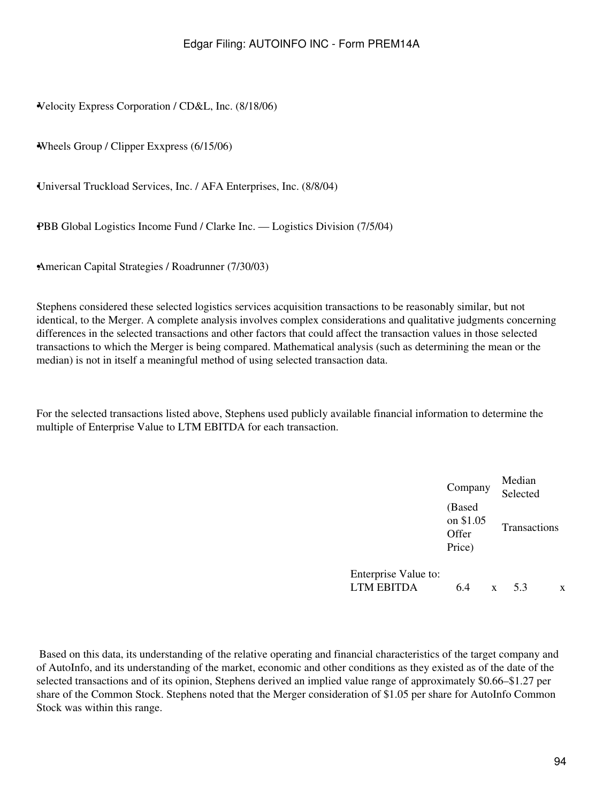•Velocity Express Corporation / CD&L, Inc. (8/18/06)

•Wheels Group / Clipper Exxpress (6/15/06)

•Universal Truckload Services, Inc. / AFA Enterprises, Inc. (8/8/04)

•PBB Global Logistics Income Fund / Clarke Inc. — Logistics Division (7/5/04)

•American Capital Strategies / Roadrunner (7/30/03)

Stephens considered these selected logistics services acquisition transactions to be reasonably similar, but not identical, to the Merger. A complete analysis involves complex considerations and qualitative judgments concerning differences in the selected transactions and other factors that could affect the transaction values in those selected transactions to which the Merger is being compared. Mathematical analysis (such as determining the mean or the median) is not in itself a meaningful method of using selected transaction data.

For the selected transactions listed above, Stephens used publicly available financial information to determine the multiple of Enterprise Value to LTM EBITDA for each transaction.

|                      | Company                                | Median<br>Selected  |   |
|----------------------|----------------------------------------|---------------------|---|
|                      | (Based<br>on \$1.05<br>Offer<br>Price) | <b>Transactions</b> |   |
| Enterprise Value to: |                                        |                     |   |
| LTM EBITDA           | X                                      | 53                  | X |

 Based on this data, its understanding of the relative operating and financial characteristics of the target company and of AutoInfo, and its understanding of the market, economic and other conditions as they existed as of the date of the selected transactions and of its opinion, Stephens derived an implied value range of approximately \$0.66–\$1.27 per share of the Common Stock. Stephens noted that the Merger consideration of \$1.05 per share for AutoInfo Common Stock was within this range.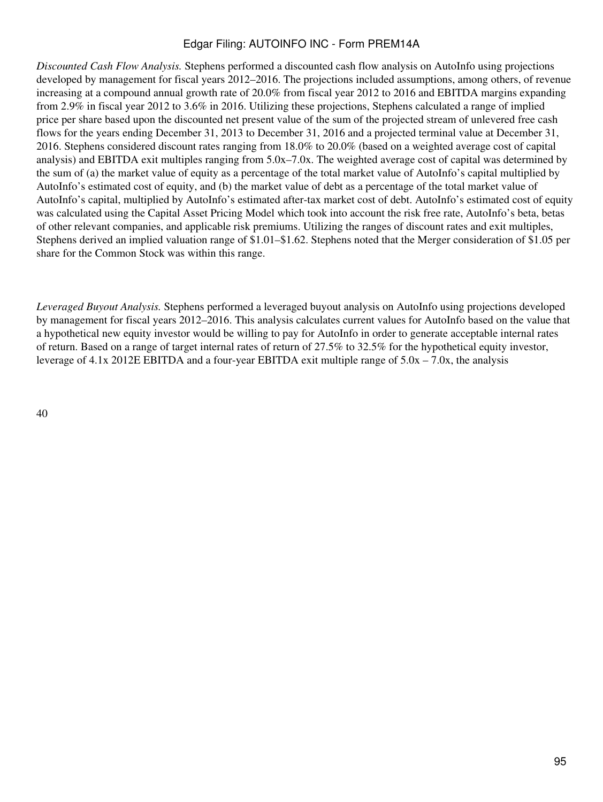*Discounted Cash Flow Analysis.* Stephens performed a discounted cash flow analysis on AutoInfo using projections developed by management for fiscal years 2012–2016. The projections included assumptions, among others, of revenue increasing at a compound annual growth rate of 20.0% from fiscal year 2012 to 2016 and EBITDA margins expanding from 2.9% in fiscal year 2012 to 3.6% in 2016. Utilizing these projections, Stephens calculated a range of implied price per share based upon the discounted net present value of the sum of the projected stream of unlevered free cash flows for the years ending December 31, 2013 to December 31, 2016 and a projected terminal value at December 31, 2016. Stephens considered discount rates ranging from 18.0% to 20.0% (based on a weighted average cost of capital analysis) and EBITDA exit multiples ranging from 5.0x–7.0x. The weighted average cost of capital was determined by the sum of (a) the market value of equity as a percentage of the total market value of AutoInfo's capital multiplied by AutoInfo's estimated cost of equity, and (b) the market value of debt as a percentage of the total market value of AutoInfo's capital, multiplied by AutoInfo's estimated after-tax market cost of debt. AutoInfo's estimated cost of equity was calculated using the Capital Asset Pricing Model which took into account the risk free rate, AutoInfo's beta, betas of other relevant companies, and applicable risk premiums. Utilizing the ranges of discount rates and exit multiples, Stephens derived an implied valuation range of \$1.01–\$1.62. Stephens noted that the Merger consideration of \$1.05 per share for the Common Stock was within this range.

*Leveraged Buyout Analysis.* Stephens performed a leveraged buyout analysis on AutoInfo using projections developed by management for fiscal years 2012–2016. This analysis calculates current values for AutoInfo based on the value that a hypothetical new equity investor would be willing to pay for AutoInfo in order to generate acceptable internal rates of return. Based on a range of target internal rates of return of 27.5% to 32.5% for the hypothetical equity investor, leverage of 4.1x 2012E EBITDA and a four-year EBITDA exit multiple range of 5.0x – 7.0x, the analysis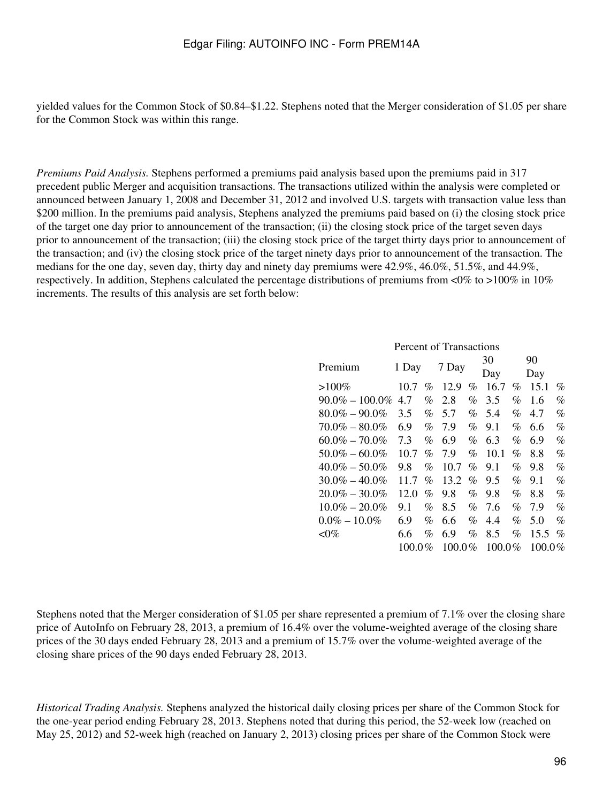yielded values for the Common Stock of \$0.84–\$1.22. Stephens noted that the Merger consideration of \$1.05 per share for the Common Stock was within this range.

*Premiums Paid Analysis.* Stephens performed a premiums paid analysis based upon the premiums paid in 317 precedent public Merger and acquisition transactions. The transactions utilized within the analysis were completed or announced between January 1, 2008 and December 31, 2012 and involved U.S. targets with transaction value less than \$200 million. In the premiums paid analysis, Stephens analyzed the premiums paid based on (i) the closing stock price of the target one day prior to announcement of the transaction; (ii) the closing stock price of the target seven days prior to announcement of the transaction; (iii) the closing stock price of the target thirty days prior to announcement of the transaction; and (iv) the closing stock price of the target ninety days prior to announcement of the transaction. The medians for the one day, seven day, thirty day and ninety day premiums were 42.9%, 46.0%, 51.5%, and 44.9%, respectively. In addition, Stephens calculated the percentage distributions of premiums from <0% to >100% in 10% increments. The results of this analysis are set forth below:

| Percent of Transactions |        |      |        |      |           |      |           |   |
|-------------------------|--------|------|--------|------|-----------|------|-----------|---|
| Premium                 | 1 Day  |      | 7 Day  |      | 30        |      | 90        |   |
|                         |        |      |        |      | Day       |      | Day       |   |
| $>100\%$                | 10.7   | %    | 12.9   | %    | 16.7      | %    | 15.1      | % |
| $90.0\% - 100.0\%$      | 4.7    | $\%$ | 2.8    | $\%$ | 3.5       | $\%$ | 1.6       | % |
| $80.0\% - 90.0\%$       | 3.5    | $\%$ | 5.7    | %    | 5.4       | $\%$ | 4.7       | % |
| $70.0\% - 80.0\%$       | 6.9    | $\%$ | 7.9    | %    | 9.1       | %    | 6.6       | % |
| $60.0\% - 70.0\%$       | 7.3    | %    | 6.9    | %    | 6.3       | %    | 6.9       | % |
| $50.0\% - 60.0\%$       | 10.7   | $\%$ | 7.9    | $\%$ | 10.1      | $\%$ | 8.8       | % |
| $40.0\% - 50.0\%$       | 9.8    | %    | 10.7   | $\%$ | 9.1       | %    | 9.8       | % |
| $30.0\% - 40.0\%$       | 11.7   | %    | 13.2   | $\%$ | 9.5       | %    | 9.1       | % |
| $20.0\% - 30.0\%$       | 12.0   | %    | 9.8    | %    | 9.8       | %    | 8.8       | % |
| $10.0\% - 20.0\%$       | 9.1    | %    | 8.5    | %    | 7.6       | %    | 7.9       | % |
| $0.0\% - 10.0\%$        | 6.9    | $\%$ | 6.6    | %    | 4.4       | $\%$ | 5.0       | % |
| $<\!\!0\%$              | 6.6    | %    | 6.9    | $\%$ | 8.5       | %    | 15.5      | % |
|                         | 100.0% |      | 100.0% |      | $100.0\%$ |      | $100.0\%$ |   |

Stephens noted that the Merger consideration of \$1.05 per share represented a premium of 7.1% over the closing share price of AutoInfo on February 28, 2013, a premium of 16.4% over the volume-weighted average of the closing share prices of the 30 days ended February 28, 2013 and a premium of 15.7% over the volume-weighted average of the closing share prices of the 90 days ended February 28, 2013.

*Historical Trading Analysis.* Stephens analyzed the historical daily closing prices per share of the Common Stock for the one-year period ending February 28, 2013. Stephens noted that during this period, the 52-week low (reached on May 25, 2012) and 52-week high (reached on January 2, 2013) closing prices per share of the Common Stock were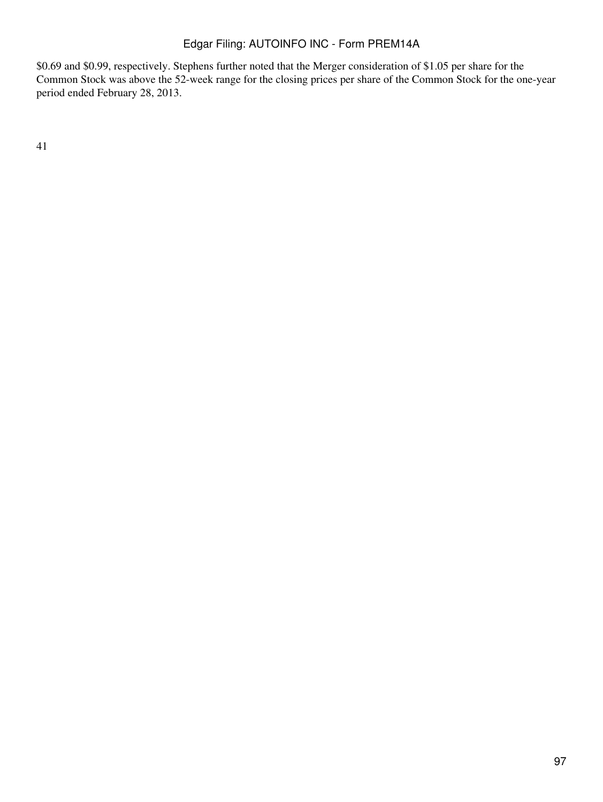\$0.69 and \$0.99, respectively. Stephens further noted that the Merger consideration of \$1.05 per share for the Common Stock was above the 52-week range for the closing prices per share of the Common Stock for the one-year period ended February 28, 2013.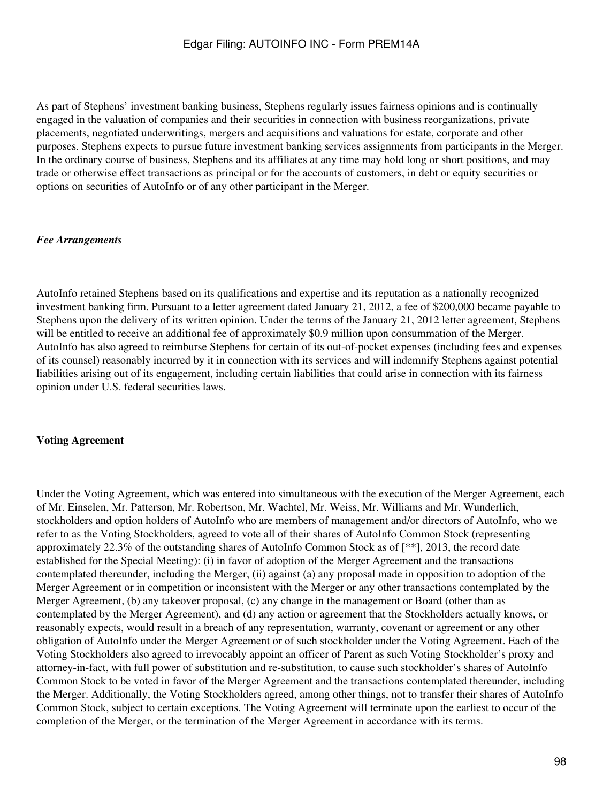As part of Stephens' investment banking business, Stephens regularly issues fairness opinions and is continually engaged in the valuation of companies and their securities in connection with business reorganizations, private placements, negotiated underwritings, mergers and acquisitions and valuations for estate, corporate and other purposes. Stephens expects to pursue future investment banking services assignments from participants in the Merger. In the ordinary course of business, Stephens and its affiliates at any time may hold long or short positions, and may trade or otherwise effect transactions as principal or for the accounts of customers, in debt or equity securities or options on securities of AutoInfo or of any other participant in the Merger.

#### *Fee Arrangements*

AutoInfo retained Stephens based on its qualifications and expertise and its reputation as a nationally recognized investment banking firm. Pursuant to a letter agreement dated January 21, 2012, a fee of \$200,000 became payable to Stephens upon the delivery of its written opinion. Under the terms of the January 21, 2012 letter agreement, Stephens will be entitled to receive an additional fee of approximately \$0.9 million upon consummation of the Merger. AutoInfo has also agreed to reimburse Stephens for certain of its out-of-pocket expenses (including fees and expenses of its counsel) reasonably incurred by it in connection with its services and will indemnify Stephens against potential liabilities arising out of its engagement, including certain liabilities that could arise in connection with its fairness opinion under U.S. federal securities laws.

#### **Voting Agreement**

Under the Voting Agreement, which was entered into simultaneous with the execution of the Merger Agreement, each of Mr. Einselen, Mr. Patterson, Mr. Robertson, Mr. Wachtel, Mr. Weiss, Mr. Williams and Mr. Wunderlich, stockholders and option holders of AutoInfo who are members of management and/or directors of AutoInfo, who we refer to as the Voting Stockholders, agreed to vote all of their shares of AutoInfo Common Stock (representing approximately 22.3% of the outstanding shares of AutoInfo Common Stock as of [\*\*], 2013, the record date established for the Special Meeting): (i) in favor of adoption of the Merger Agreement and the transactions contemplated thereunder, including the Merger, (ii) against (a) any proposal made in opposition to adoption of the Merger Agreement or in competition or inconsistent with the Merger or any other transactions contemplated by the Merger Agreement, (b) any takeover proposal, (c) any change in the management or Board (other than as contemplated by the Merger Agreement), and (d) any action or agreement that the Stockholders actually knows, or reasonably expects, would result in a breach of any representation, warranty, covenant or agreement or any other obligation of AutoInfo under the Merger Agreement or of such stockholder under the Voting Agreement. Each of the Voting Stockholders also agreed to irrevocably appoint an officer of Parent as such Voting Stockholder's proxy and attorney-in-fact, with full power of substitution and re-substitution, to cause such stockholder's shares of AutoInfo Common Stock to be voted in favor of the Merger Agreement and the transactions contemplated thereunder, including the Merger. Additionally, the Voting Stockholders agreed, among other things, not to transfer their shares of AutoInfo Common Stock, subject to certain exceptions. The Voting Agreement will terminate upon the earliest to occur of the completion of the Merger, or the termination of the Merger Agreement in accordance with its terms.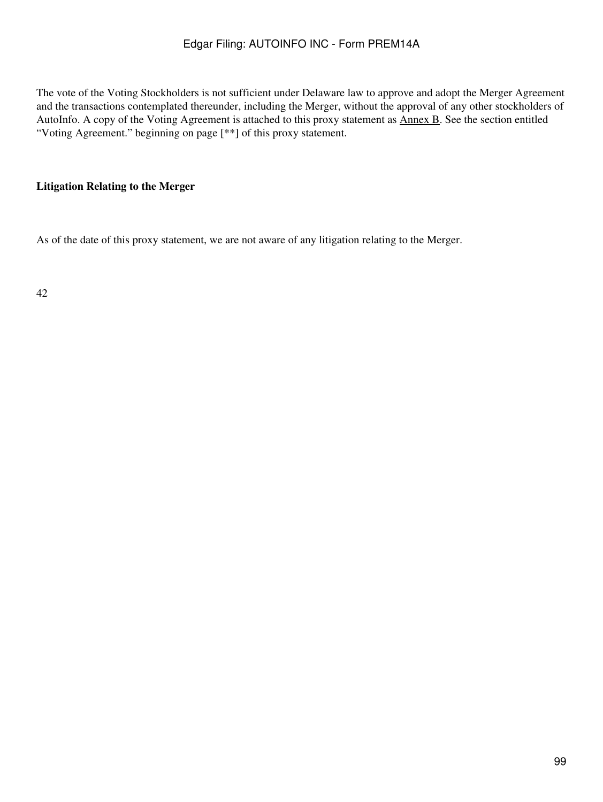The vote of the Voting Stockholders is not sufficient under Delaware law to approve and adopt the Merger Agreement and the transactions contemplated thereunder, including the Merger, without the approval of any other stockholders of AutoInfo. A copy of the Voting Agreement is attached to this proxy statement as Annex B. See the section entitled "Voting Agreement." beginning on page [\*\*] of this proxy statement.

## **Litigation Relating to the Merger**

As of the date of this proxy statement, we are not aware of any litigation relating to the Merger.

42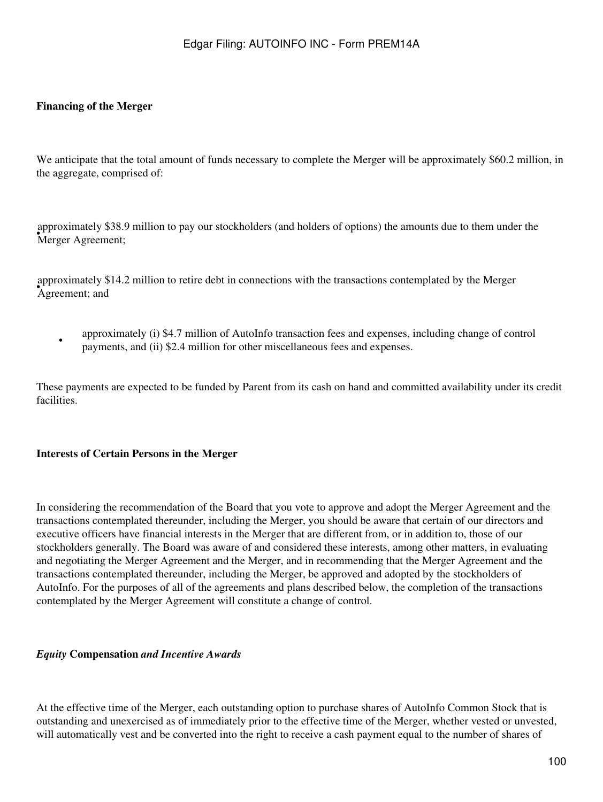#### **Financing of the Merger**

We anticipate that the total amount of funds necessary to complete the Merger will be approximately \$60.2 million, in the aggregate, comprised of:

• Merger Agreement; approximately \$38.9 million to pay our stockholders (and holders of options) the amounts due to them under the

Agreement; and approximately \$14.2 million to retire debt in connections with the transactions contemplated by the Merger

• approximately (i) \$4.7 million of AutoInfo transaction fees and expenses, including change of control payments, and (ii) \$2.4 million for other miscellaneous fees and expenses.

These payments are expected to be funded by Parent from its cash on hand and committed availability under its credit facilities.

#### **Interests of Certain Persons in the Merger**

In considering the recommendation of the Board that you vote to approve and adopt the Merger Agreement and the transactions contemplated thereunder, including the Merger, you should be aware that certain of our directors and executive officers have financial interests in the Merger that are different from, or in addition to, those of our stockholders generally. The Board was aware of and considered these interests, among other matters, in evaluating and negotiating the Merger Agreement and the Merger, and in recommending that the Merger Agreement and the transactions contemplated thereunder, including the Merger, be approved and adopted by the stockholders of AutoInfo. For the purposes of all of the agreements and plans described below, the completion of the transactions contemplated by the Merger Agreement will constitute a change of control.

#### *Equity* **Compensation** *and Incentive Awards*

At the effective time of the Merger, each outstanding option to purchase shares of AutoInfo Common Stock that is outstanding and unexercised as of immediately prior to the effective time of the Merger, whether vested or unvested, will automatically vest and be converted into the right to receive a cash payment equal to the number of shares of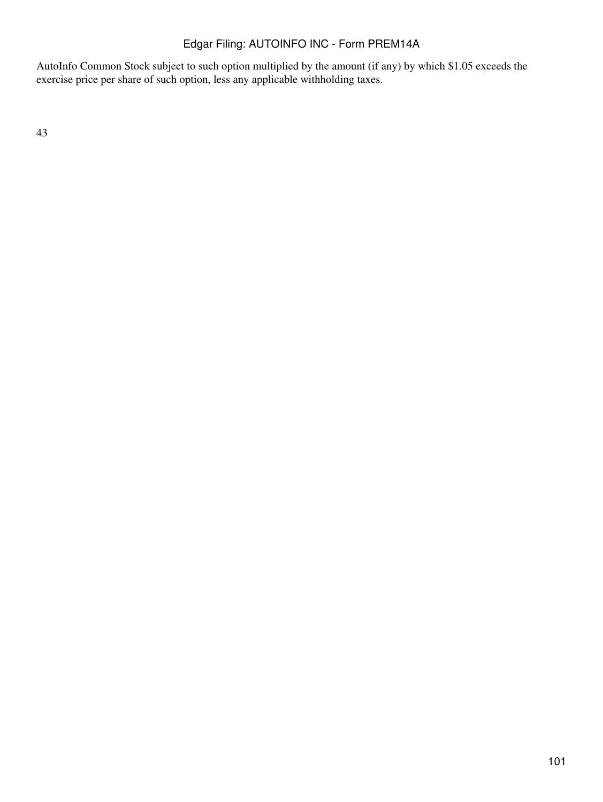AutoInfo Common Stock subject to such option multiplied by the amount (if any) by which \$1.05 exceeds the exercise price per share of such option, less any applicable withholding taxes.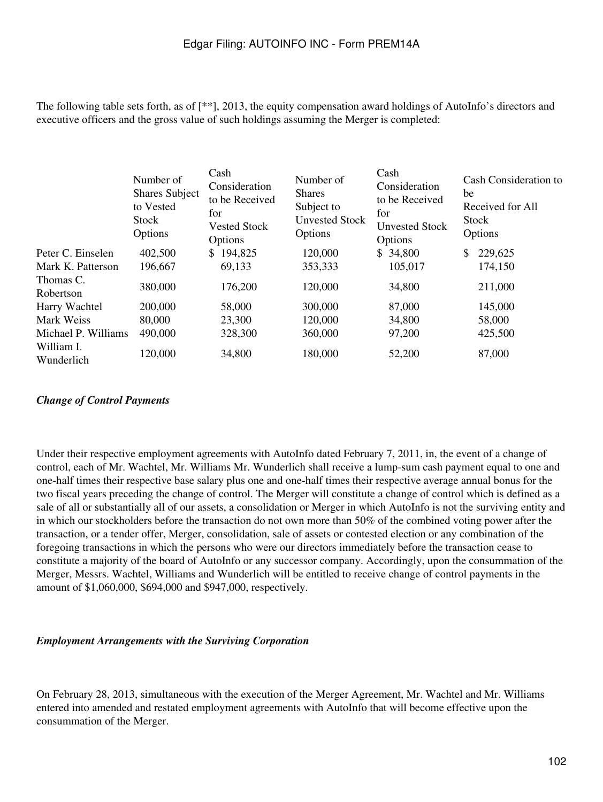The following table sets forth, as of [\*\*], 2013, the equity compensation award holdings of AutoInfo's directors and executive officers and the gross value of such holdings assuming the Merger is completed:

|                          | Number of<br><b>Shares Subject</b><br>to Vested<br>Stock<br>Options | Cash<br>Consideration<br>to be Received<br>for<br><b>Vested Stock</b><br>Options | Number of<br><b>Shares</b><br>Subject to<br><b>Unvested Stock</b><br>Options | Cash<br>Consideration<br>to be Received<br>for<br><b>Unvested Stock</b><br>Options | be | Cash Consideration to<br>Received for All<br><b>Stock</b><br>Options |
|--------------------------|---------------------------------------------------------------------|----------------------------------------------------------------------------------|------------------------------------------------------------------------------|------------------------------------------------------------------------------------|----|----------------------------------------------------------------------|
| Peter C. Einselen        | 402,500                                                             | 194,825<br>S.                                                                    | 120,000                                                                      | \$34,800                                                                           | S. | 229,625                                                              |
| Mark K. Patterson        | 196,667                                                             | 69,133                                                                           | 353,333                                                                      | 105,017                                                                            |    | 174,150                                                              |
| Thomas C.<br>Robertson   | 380,000                                                             | 176,200                                                                          | 120,000                                                                      | 34,800                                                                             |    | 211,000                                                              |
| Harry Wachtel            | 200,000                                                             | 58,000                                                                           | 300,000                                                                      | 87,000                                                                             |    | 145,000                                                              |
| Mark Weiss               | 80,000                                                              | 23,300                                                                           | 120,000                                                                      | 34,800                                                                             |    | 58,000                                                               |
| Michael P. Williams      | 490,000                                                             | 328,300                                                                          | 360,000                                                                      | 97,200                                                                             |    | 425,500                                                              |
| William I.<br>Wunderlich | 120,000                                                             | 34,800                                                                           | 180,000                                                                      | 52,200                                                                             |    | 87,000                                                               |

#### *Change of Control Payments*

Under their respective employment agreements with AutoInfo dated February 7, 2011, in, the event of a change of control, each of Mr. Wachtel, Mr. Williams Mr. Wunderlich shall receive a lump-sum cash payment equal to one and one-half times their respective base salary plus one and one-half times their respective average annual bonus for the two fiscal years preceding the change of control. The Merger will constitute a change of control which is defined as a sale of all or substantially all of our assets, a consolidation or Merger in which AutoInfo is not the surviving entity and in which our stockholders before the transaction do not own more than 50% of the combined voting power after the transaction, or a tender offer, Merger, consolidation, sale of assets or contested election or any combination of the foregoing transactions in which the persons who were our directors immediately before the transaction cease to constitute a majority of the board of AutoInfo or any successor company. Accordingly, upon the consummation of the Merger, Messrs. Wachtel, Williams and Wunderlich will be entitled to receive change of control payments in the amount of \$1,060,000, \$694,000 and \$947,000, respectively.

#### *Employment Arrangements with the Surviving Corporation*

On February 28, 2013, simultaneous with the execution of the Merger Agreement, Mr. Wachtel and Mr. Williams entered into amended and restated employment agreements with AutoInfo that will become effective upon the consummation of the Merger.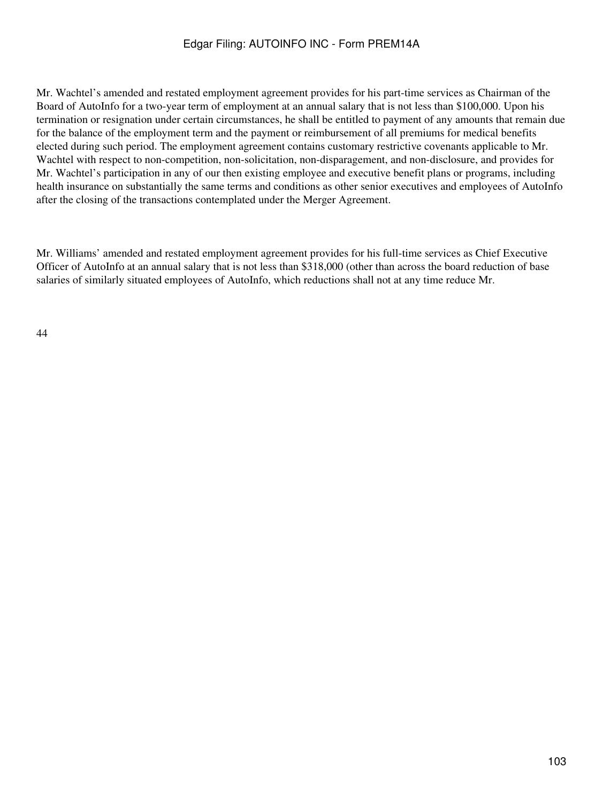Mr. Wachtel's amended and restated employment agreement provides for his part-time services as Chairman of the Board of AutoInfo for a two-year term of employment at an annual salary that is not less than \$100,000. Upon his termination or resignation under certain circumstances, he shall be entitled to payment of any amounts that remain due for the balance of the employment term and the payment or reimbursement of all premiums for medical benefits elected during such period. The employment agreement contains customary restrictive covenants applicable to Mr. Wachtel with respect to non-competition, non-solicitation, non-disparagement, and non-disclosure, and provides for Mr. Wachtel's participation in any of our then existing employee and executive benefit plans or programs, including health insurance on substantially the same terms and conditions as other senior executives and employees of AutoInfo after the closing of the transactions contemplated under the Merger Agreement.

Mr. Williams' amended and restated employment agreement provides for his full-time services as Chief Executive Officer of AutoInfo at an annual salary that is not less than \$318,000 (other than across the board reduction of base salaries of similarly situated employees of AutoInfo, which reductions shall not at any time reduce Mr.

44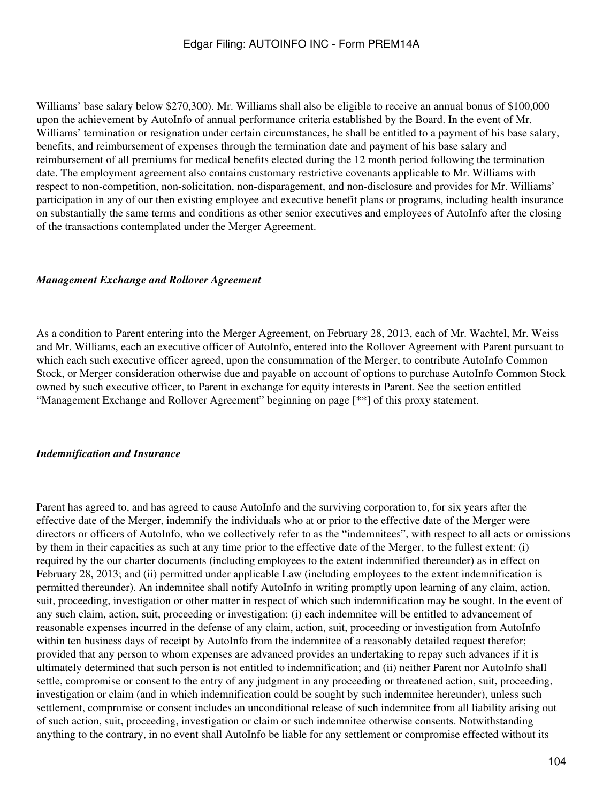Williams' base salary below \$270,300). Mr. Williams shall also be eligible to receive an annual bonus of \$100,000 upon the achievement by AutoInfo of annual performance criteria established by the Board. In the event of Mr. Williams' termination or resignation under certain circumstances, he shall be entitled to a payment of his base salary, benefits, and reimbursement of expenses through the termination date and payment of his base salary and reimbursement of all premiums for medical benefits elected during the 12 month period following the termination date. The employment agreement also contains customary restrictive covenants applicable to Mr. Williams with respect to non-competition, non-solicitation, non-disparagement, and non-disclosure and provides for Mr. Williams' participation in any of our then existing employee and executive benefit plans or programs, including health insurance on substantially the same terms and conditions as other senior executives and employees of AutoInfo after the closing of the transactions contemplated under the Merger Agreement.

#### *Management Exchange and Rollover Agreement*

As a condition to Parent entering into the Merger Agreement, on February 28, 2013, each of Mr. Wachtel, Mr. Weiss and Mr. Williams, each an executive officer of AutoInfo, entered into the Rollover Agreement with Parent pursuant to which each such executive officer agreed, upon the consummation of the Merger, to contribute AutoInfo Common Stock, or Merger consideration otherwise due and payable on account of options to purchase AutoInfo Common Stock owned by such executive officer, to Parent in exchange for equity interests in Parent. See the section entitled "Management Exchange and Rollover Agreement" beginning on page [\*\*] of this proxy statement.

#### *Indemnification and Insurance*

Parent has agreed to, and has agreed to cause AutoInfo and the surviving corporation to, for six years after the effective date of the Merger, indemnify the individuals who at or prior to the effective date of the Merger were directors or officers of AutoInfo, who we collectively refer to as the "indemnitees", with respect to all acts or omissions by them in their capacities as such at any time prior to the effective date of the Merger, to the fullest extent: (i) required by the our charter documents (including employees to the extent indemnified thereunder) as in effect on February 28, 2013; and (ii) permitted under applicable Law (including employees to the extent indemnification is permitted thereunder). An indemnitee shall notify AutoInfo in writing promptly upon learning of any claim, action, suit, proceeding, investigation or other matter in respect of which such indemnification may be sought. In the event of any such claim, action, suit, proceeding or investigation: (i) each indemnitee will be entitled to advancement of reasonable expenses incurred in the defense of any claim, action, suit, proceeding or investigation from AutoInfo within ten business days of receipt by AutoInfo from the indemnitee of a reasonably detailed request therefor; provided that any person to whom expenses are advanced provides an undertaking to repay such advances if it is ultimately determined that such person is not entitled to indemnification; and (ii) neither Parent nor AutoInfo shall settle, compromise or consent to the entry of any judgment in any proceeding or threatened action, suit, proceeding, investigation or claim (and in which indemnification could be sought by such indemnitee hereunder), unless such settlement, compromise or consent includes an unconditional release of such indemnitee from all liability arising out of such action, suit, proceeding, investigation or claim or such indemnitee otherwise consents. Notwithstanding anything to the contrary, in no event shall AutoInfo be liable for any settlement or compromise effected without its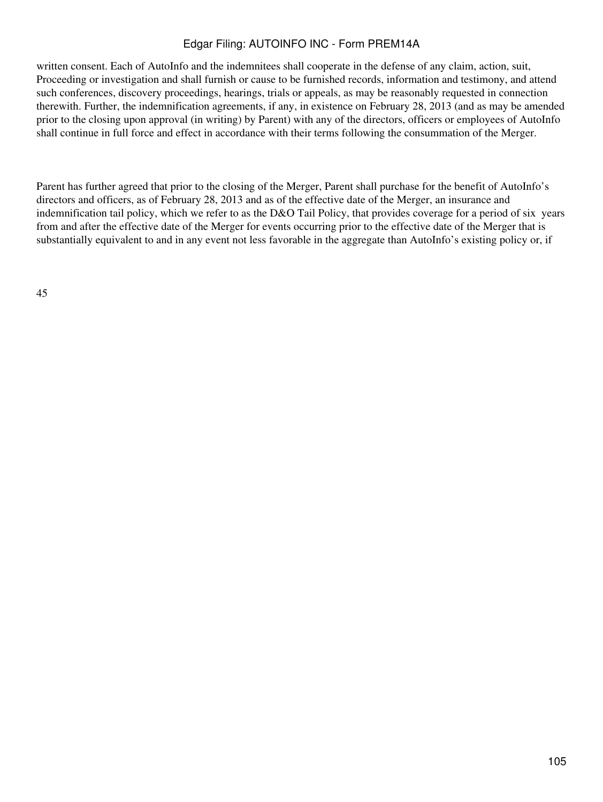written consent. Each of AutoInfo and the indemnitees shall cooperate in the defense of any claim, action, suit, Proceeding or investigation and shall furnish or cause to be furnished records, information and testimony, and attend such conferences, discovery proceedings, hearings, trials or appeals, as may be reasonably requested in connection therewith. Further, the indemnification agreements, if any, in existence on February 28, 2013 (and as may be amended prior to the closing upon approval (in writing) by Parent) with any of the directors, officers or employees of AutoInfo shall continue in full force and effect in accordance with their terms following the consummation of the Merger.

Parent has further agreed that prior to the closing of the Merger, Parent shall purchase for the benefit of AutoInfo's directors and officers, as of February 28, 2013 and as of the effective date of the Merger, an insurance and indemnification tail policy, which we refer to as the D&O Tail Policy, that provides coverage for a period of six years from and after the effective date of the Merger for events occurring prior to the effective date of the Merger that is substantially equivalent to and in any event not less favorable in the aggregate than AutoInfo's existing policy or, if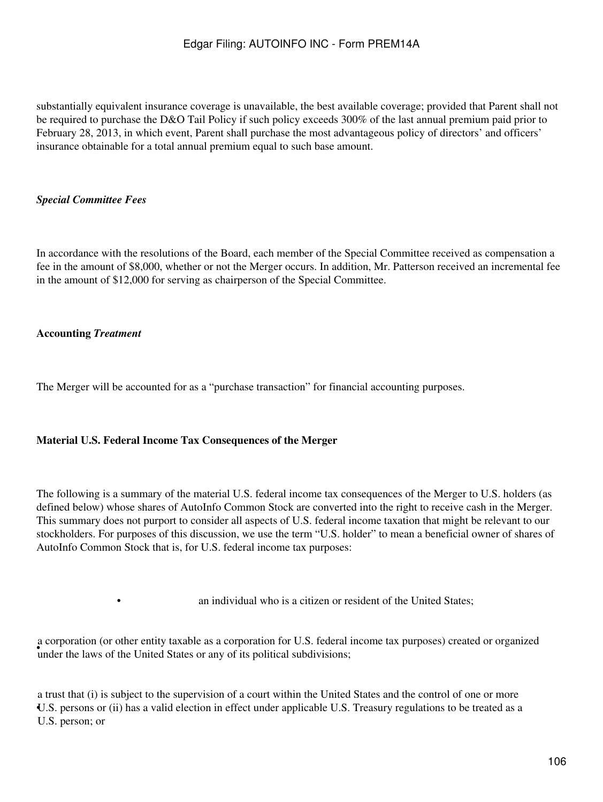substantially equivalent insurance coverage is unavailable, the best available coverage; provided that Parent shall not be required to purchase the D&O Tail Policy if such policy exceeds 300% of the last annual premium paid prior to February 28, 2013, in which event, Parent shall purchase the most advantageous policy of directors' and officers' insurance obtainable for a total annual premium equal to such base amount.

#### *Special Committee Fees*

In accordance with the resolutions of the Board, each member of the Special Committee received as compensation a fee in the amount of \$8,000, whether or not the Merger occurs. In addition, Mr. Patterson received an incremental fee in the amount of \$12,000 for serving as chairperson of the Special Committee.

#### **Accounting** *Treatment*

The Merger will be accounted for as a "purchase transaction" for financial accounting purposes.

#### **Material U.S. Federal Income Tax Consequences of the Merger**

The following is a summary of the material U.S. federal income tax consequences of the Merger to U.S. holders (as defined below) whose shares of AutoInfo Common Stock are converted into the right to receive cash in the Merger. This summary does not purport to consider all aspects of U.S. federal income taxation that might be relevant to our stockholders. For purposes of this discussion, we use the term "U.S. holder" to mean a beneficial owner of shares of AutoInfo Common Stock that is, for U.S. federal income tax purposes:

• **and individual who is a citizen or resident of the United States;** 

a corporation (or other entry taxable as a corporation for 0.5), redetain<br>under the laws of the United States or any of its political subdivisions; a corporation (or other entity taxable as a corporation for U.S. federal income tax purposes) created or organized

U.S. persons or (ii) has a valid election in effect under applicable U.S. Treasury regulations to be treated as a a trust that (i) is subject to the supervision of a court within the United States and the control of one or more U.S. person; or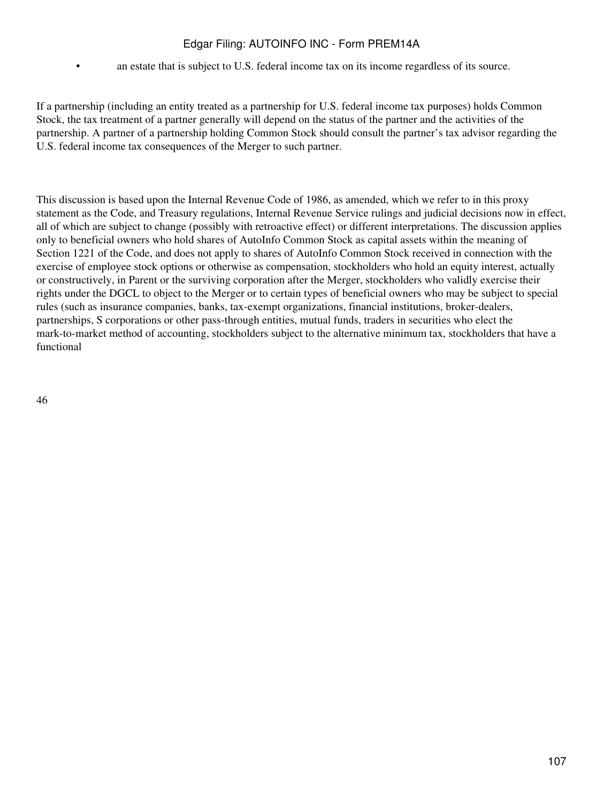• an estate that is subject to U.S. federal income tax on its income regardless of its source.

If a partnership (including an entity treated as a partnership for U.S. federal income tax purposes) holds Common Stock, the tax treatment of a partner generally will depend on the status of the partner and the activities of the partnership. A partner of a partnership holding Common Stock should consult the partner's tax advisor regarding the U.S. federal income tax consequences of the Merger to such partner.

This discussion is based upon the Internal Revenue Code of 1986, as amended, which we refer to in this proxy statement as the Code, and Treasury regulations, Internal Revenue Service rulings and judicial decisions now in effect, all of which are subject to change (possibly with retroactive effect) or different interpretations. The discussion applies only to beneficial owners who hold shares of AutoInfo Common Stock as capital assets within the meaning of Section 1221 of the Code, and does not apply to shares of AutoInfo Common Stock received in connection with the exercise of employee stock options or otherwise as compensation, stockholders who hold an equity interest, actually or constructively, in Parent or the surviving corporation after the Merger, stockholders who validly exercise their rights under the DGCL to object to the Merger or to certain types of beneficial owners who may be subject to special rules (such as insurance companies, banks, tax-exempt organizations, financial institutions, broker-dealers, partnerships, S corporations or other pass-through entities, mutual funds, traders in securities who elect the mark-to-market method of accounting, stockholders subject to the alternative minimum tax, stockholders that have a functional

46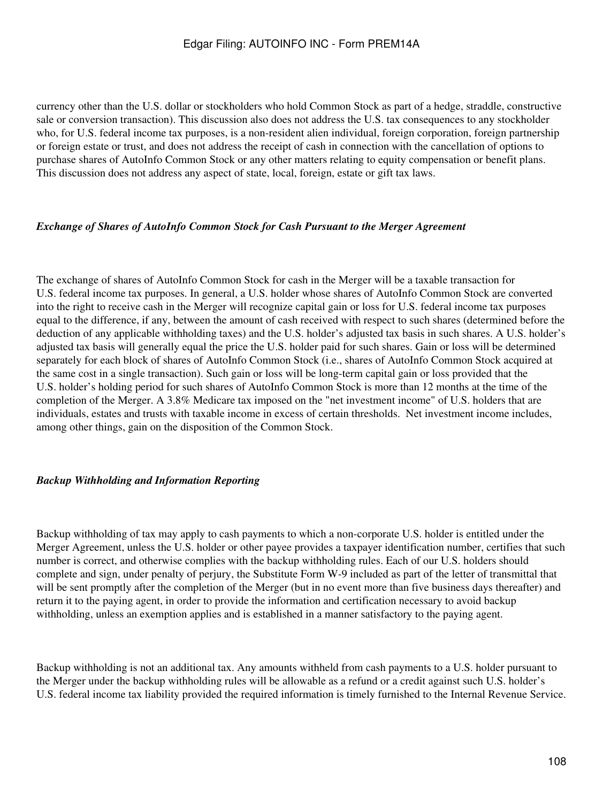currency other than the U.S. dollar or stockholders who hold Common Stock as part of a hedge, straddle, constructive sale or conversion transaction). This discussion also does not address the U.S. tax consequences to any stockholder who, for U.S. federal income tax purposes, is a non-resident alien individual, foreign corporation, foreign partnership or foreign estate or trust, and does not address the receipt of cash in connection with the cancellation of options to purchase shares of AutoInfo Common Stock or any other matters relating to equity compensation or benefit plans. This discussion does not address any aspect of state, local, foreign, estate or gift tax laws.

#### *Exchange of Shares of AutoInfo Common Stock for Cash Pursuant to the Merger Agreement*

The exchange of shares of AutoInfo Common Stock for cash in the Merger will be a taxable transaction for U.S. federal income tax purposes. In general, a U.S. holder whose shares of AutoInfo Common Stock are converted into the right to receive cash in the Merger will recognize capital gain or loss for U.S. federal income tax purposes equal to the difference, if any, between the amount of cash received with respect to such shares (determined before the deduction of any applicable withholding taxes) and the U.S. holder's adjusted tax basis in such shares. A U.S. holder's adjusted tax basis will generally equal the price the U.S. holder paid for such shares. Gain or loss will be determined separately for each block of shares of AutoInfo Common Stock (i.e., shares of AutoInfo Common Stock acquired at the same cost in a single transaction). Such gain or loss will be long-term capital gain or loss provided that the U.S. holder's holding period for such shares of AutoInfo Common Stock is more than 12 months at the time of the completion of the Merger. A 3.8% Medicare tax imposed on the "net investment income" of U.S. holders that are individuals, estates and trusts with taxable income in excess of certain thresholds. Net investment income includes, among other things, gain on the disposition of the Common Stock.

#### *Backup Withholding and Information Reporting*

Backup withholding of tax may apply to cash payments to which a non-corporate U.S. holder is entitled under the Merger Agreement, unless the U.S. holder or other payee provides a taxpayer identification number, certifies that such number is correct, and otherwise complies with the backup withholding rules. Each of our U.S. holders should complete and sign, under penalty of perjury, the Substitute Form W-9 included as part of the letter of transmittal that will be sent promptly after the completion of the Merger (but in no event more than five business days thereafter) and return it to the paying agent, in order to provide the information and certification necessary to avoid backup withholding, unless an exemption applies and is established in a manner satisfactory to the paying agent.

Backup withholding is not an additional tax. Any amounts withheld from cash payments to a U.S. holder pursuant to the Merger under the backup withholding rules will be allowable as a refund or a credit against such U.S. holder's U.S. federal income tax liability provided the required information is timely furnished to the Internal Revenue Service.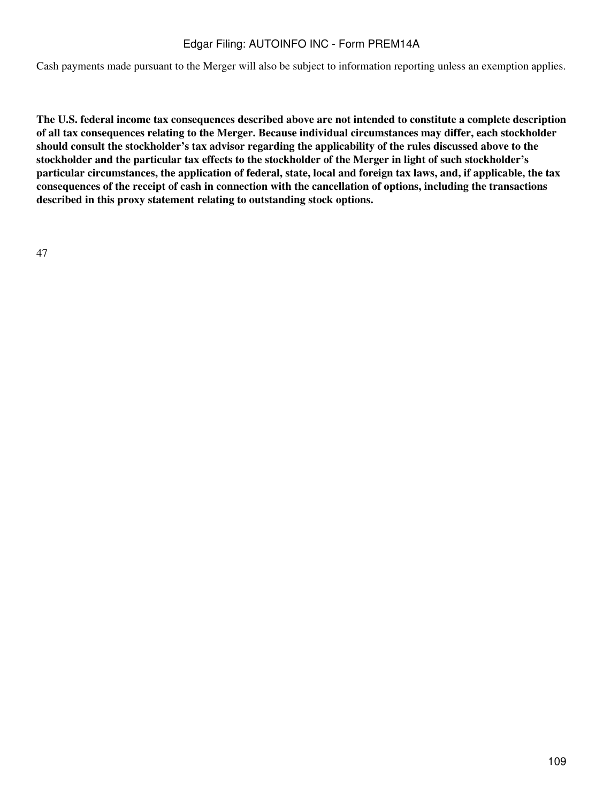Cash payments made pursuant to the Merger will also be subject to information reporting unless an exemption applies.

**The U.S. federal income tax consequences described above are not intended to constitute a complete description of all tax consequences relating to the Merger. Because individual circumstances may differ, each stockholder should consult the stockholder's tax advisor regarding the applicability of the rules discussed above to the stockholder and the particular tax effects to the stockholder of the Merger in light of such stockholder's particular circumstances, the application of federal, state, local and foreign tax laws, and, if applicable, the tax consequences of the receipt of cash in connection with the cancellation of options, including the transactions described in this proxy statement relating to outstanding stock options.**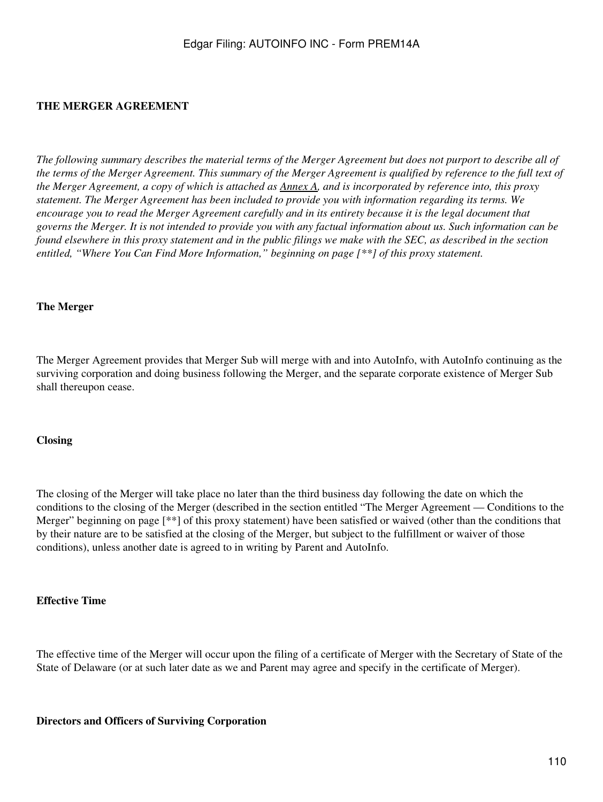### **THE MERGER AGREEMENT**

*The following summary describes the material terms of the Merger Agreement but does not purport to describe all of the terms of the Merger Agreement. This summary of the Merger Agreement is qualified by reference to the full text of the Merger Agreement, a copy of which is attached as Annex A, and is incorporated by reference into, this proxy statement. The Merger Agreement has been included to provide you with information regarding its terms. We encourage you to read the Merger Agreement carefully and in its entirety because it is the legal document that governs the Merger. It is not intended to provide you with any factual information about us. Such information can be found elsewhere in this proxy statement and in the public filings we make with the SEC, as described in the section entitled, "Where You Can Find More Information," beginning on page [\*\*] of this proxy statement.*

#### **The Merger**

The Merger Agreement provides that Merger Sub will merge with and into AutoInfo, with AutoInfo continuing as the surviving corporation and doing business following the Merger, and the separate corporate existence of Merger Sub shall thereupon cease.

#### **Closing**

The closing of the Merger will take place no later than the third business day following the date on which the conditions to the closing of the Merger (described in the section entitled "The Merger Agreement — Conditions to the Merger" beginning on page [\*\*] of this proxy statement) have been satisfied or waived (other than the conditions that by their nature are to be satisfied at the closing of the Merger, but subject to the fulfillment or waiver of those conditions), unless another date is agreed to in writing by Parent and AutoInfo.

### **Effective Time**

The effective time of the Merger will occur upon the filing of a certificate of Merger with the Secretary of State of the State of Delaware (or at such later date as we and Parent may agree and specify in the certificate of Merger).

#### **Directors and Officers of Surviving Corporation**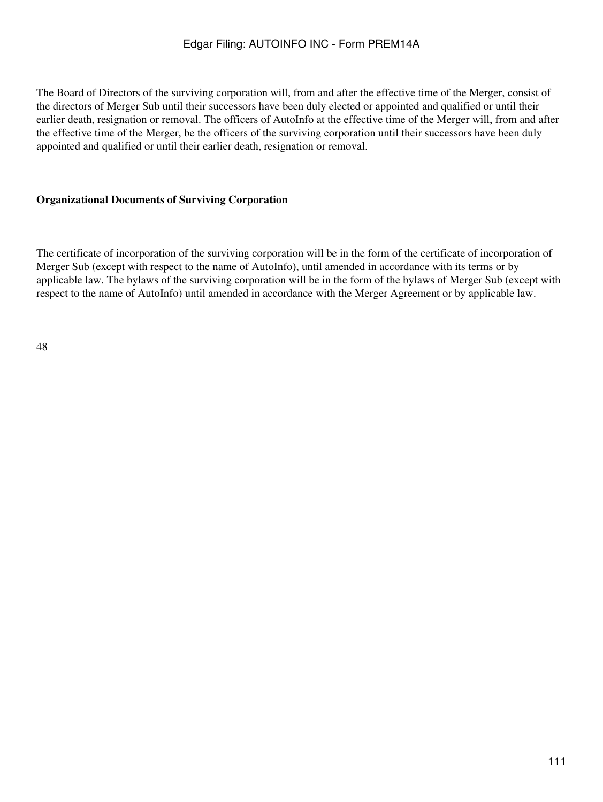The Board of Directors of the surviving corporation will, from and after the effective time of the Merger, consist of the directors of Merger Sub until their successors have been duly elected or appointed and qualified or until their earlier death, resignation or removal. The officers of AutoInfo at the effective time of the Merger will, from and after the effective time of the Merger, be the officers of the surviving corporation until their successors have been duly appointed and qualified or until their earlier death, resignation or removal.

# **Organizational Documents of Surviving Corporation**

The certificate of incorporation of the surviving corporation will be in the form of the certificate of incorporation of Merger Sub (except with respect to the name of AutoInfo), until amended in accordance with its terms or by applicable law. The bylaws of the surviving corporation will be in the form of the bylaws of Merger Sub (except with respect to the name of AutoInfo) until amended in accordance with the Merger Agreement or by applicable law.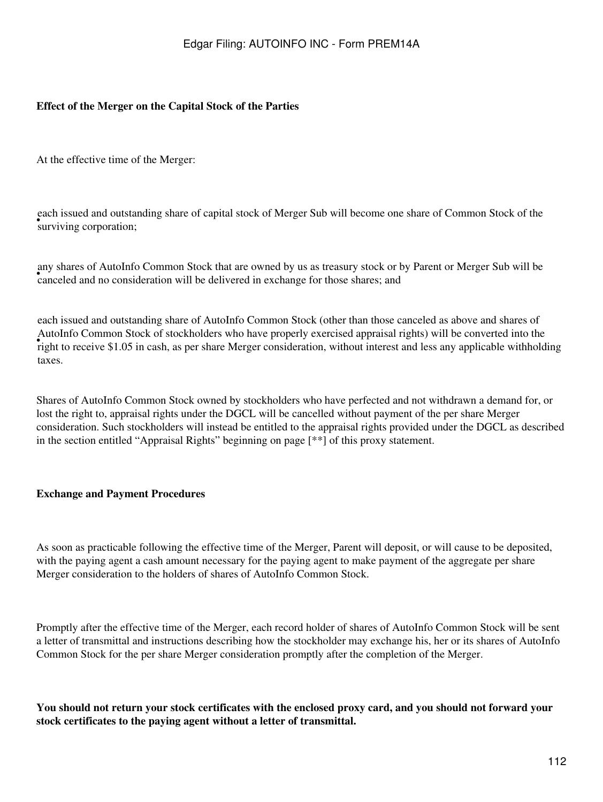## **Effect of the Merger on the Capital Stock of the Parties**

At the effective time of the Merger:

surviving corporation; each issued and outstanding share of capital stock of Merger Sub will become one share of Common Stock of the

emy shares of Addome Common Stock that are owned by as as deasary stock of a canceled and no consideration will be delivered in exchange for those shares; and any shares of AutoInfo Common Stock that are owned by us as treasury stock or by Parent or Merger Sub will be

right to receive \$1.05 in cash, as per share Merger consideration, without interest and less any applicable withholding each issued and outstanding share of AutoInfo Common Stock (other than those canceled as above and shares of AutoInfo Common Stock of stockholders who have properly exercised appraisal rights) will be converted into the taxes.

Shares of AutoInfo Common Stock owned by stockholders who have perfected and not withdrawn a demand for, or lost the right to, appraisal rights under the DGCL will be cancelled without payment of the per share Merger consideration. Such stockholders will instead be entitled to the appraisal rights provided under the DGCL as described in the section entitled "Appraisal Rights" beginning on page [\*\*] of this proxy statement.

#### **Exchange and Payment Procedures**

As soon as practicable following the effective time of the Merger, Parent will deposit, or will cause to be deposited, with the paying agent a cash amount necessary for the paying agent to make payment of the aggregate per share Merger consideration to the holders of shares of AutoInfo Common Stock.

Promptly after the effective time of the Merger, each record holder of shares of AutoInfo Common Stock will be sent a letter of transmittal and instructions describing how the stockholder may exchange his, her or its shares of AutoInfo Common Stock for the per share Merger consideration promptly after the completion of the Merger.

**You should not return your stock certificates with the enclosed proxy card, and you should not forward your stock certificates to the paying agent without a letter of transmittal.**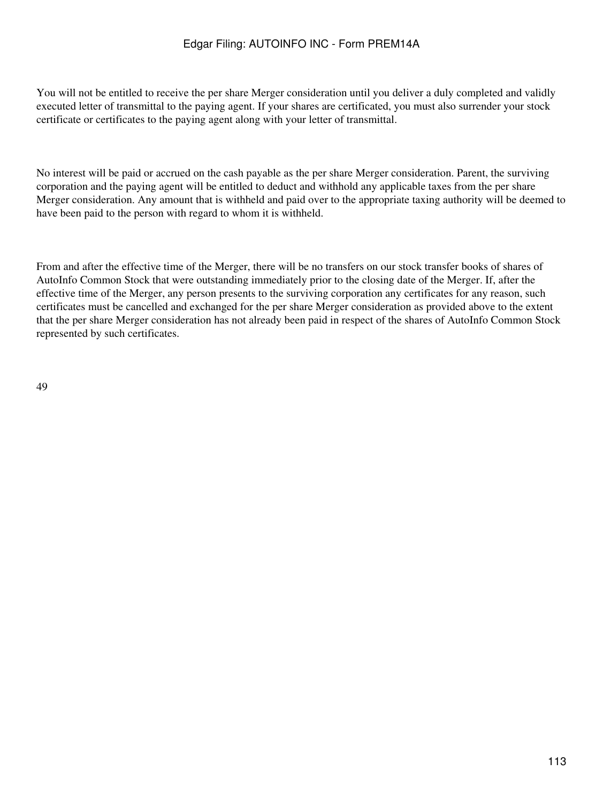You will not be entitled to receive the per share Merger consideration until you deliver a duly completed and validly executed letter of transmittal to the paying agent. If your shares are certificated, you must also surrender your stock certificate or certificates to the paying agent along with your letter of transmittal.

No interest will be paid or accrued on the cash payable as the per share Merger consideration. Parent, the surviving corporation and the paying agent will be entitled to deduct and withhold any applicable taxes from the per share Merger consideration. Any amount that is withheld and paid over to the appropriate taxing authority will be deemed to have been paid to the person with regard to whom it is withheld.

From and after the effective time of the Merger, there will be no transfers on our stock transfer books of shares of AutoInfo Common Stock that were outstanding immediately prior to the closing date of the Merger. If, after the effective time of the Merger, any person presents to the surviving corporation any certificates for any reason, such certificates must be cancelled and exchanged for the per share Merger consideration as provided above to the extent that the per share Merger consideration has not already been paid in respect of the shares of AutoInfo Common Stock represented by such certificates.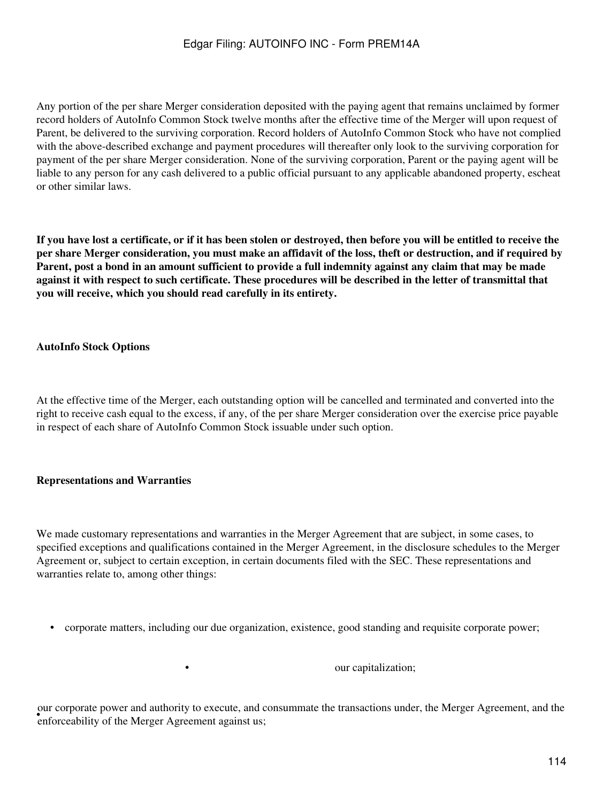Any portion of the per share Merger consideration deposited with the paying agent that remains unclaimed by former record holders of AutoInfo Common Stock twelve months after the effective time of the Merger will upon request of Parent, be delivered to the surviving corporation. Record holders of AutoInfo Common Stock who have not complied with the above-described exchange and payment procedures will thereafter only look to the surviving corporation for payment of the per share Merger consideration. None of the surviving corporation, Parent or the paying agent will be liable to any person for any cash delivered to a public official pursuant to any applicable abandoned property, escheat or other similar laws.

**If you have lost a certificate, or if it has been stolen or destroyed, then before you will be entitled to receive the per share Merger consideration, you must make an affidavit of the loss, theft or destruction, and if required by Parent, post a bond in an amount sufficient to provide a full indemnity against any claim that may be made against it with respect to such certificate. These procedures will be described in the letter of transmittal that you will receive, which you should read carefully in its entirety.**

#### **AutoInfo Stock Options**

At the effective time of the Merger, each outstanding option will be cancelled and terminated and converted into the right to receive cash equal to the excess, if any, of the per share Merger consideration over the exercise price payable in respect of each share of AutoInfo Common Stock issuable under such option.

#### **Representations and Warranties**

We made customary representations and warranties in the Merger Agreement that are subject, in some cases, to specified exceptions and qualifications contained in the Merger Agreement, in the disclosure schedules to the Merger Agreement or, subject to certain exception, in certain documents filed with the SEC. These representations and warranties relate to, among other things:

• corporate matters, including our due organization, existence, good standing and requisite corporate power;

• **our capitalization**;

• enforceability of the Merger Agreement against us; our corporate power and authority to execute, and consummate the transactions under, the Merger Agreement, and the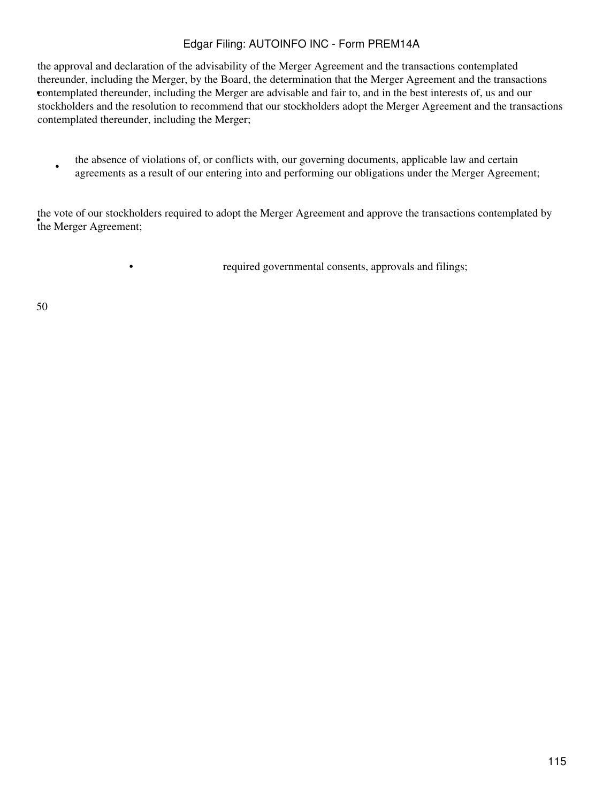• contemplated thereunder, including the Merger are advisable and fair to, and in the best interests of, us and our the approval and declaration of the advisability of the Merger Agreement and the transactions contemplated thereunder, including the Merger, by the Board, the determination that the Merger Agreement and the transactions stockholders and the resolution to recommend that our stockholders adopt the Merger Agreement and the transactions contemplated thereunder, including the Merger;

the absence of violations of, or conflicts with, our governing documents, applicable law and certain agreements as a result of our entering into and performing our obligations under the Merger Agreement;

the Merger Agreement; the vote of our stockholders required to adopt the Merger Agreement and approve the transactions contemplated by

• required governmental consents, approvals and filings;

•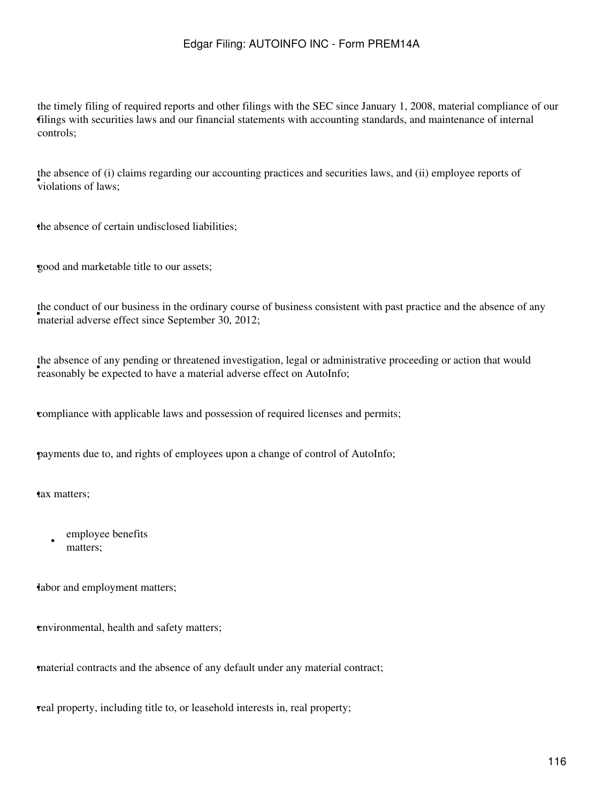filings with securities laws and our financial statements with accounting standards, and maintenance of internal the timely filing of required reports and other filings with the SEC since January 1, 2008, material compliance of our controls;

wiolations of laws; the absence of (i) claims regarding our accounting practices and securities laws, and (ii) employee reports of

•the absence of certain undisclosed liabilities;

•good and marketable title to our assets;

material adverse effect since September 30, 2012; the conduct of our business in the ordinary course of business consistent with past practice and the absence of any

reasonably be expected to have a material adverse effect on AutoInfo; the absence of any pending or threatened investigation, legal or administrative proceeding or action that would

•compliance with applicable laws and possession of required licenses and permits;

•payments due to, and rights of employees upon a change of control of AutoInfo;

tax matters;

• employee benefits matters;

•labor and employment matters;

•environmental, health and safety matters;

•material contracts and the absence of any default under any material contract;

•real property, including title to, or leasehold interests in, real property;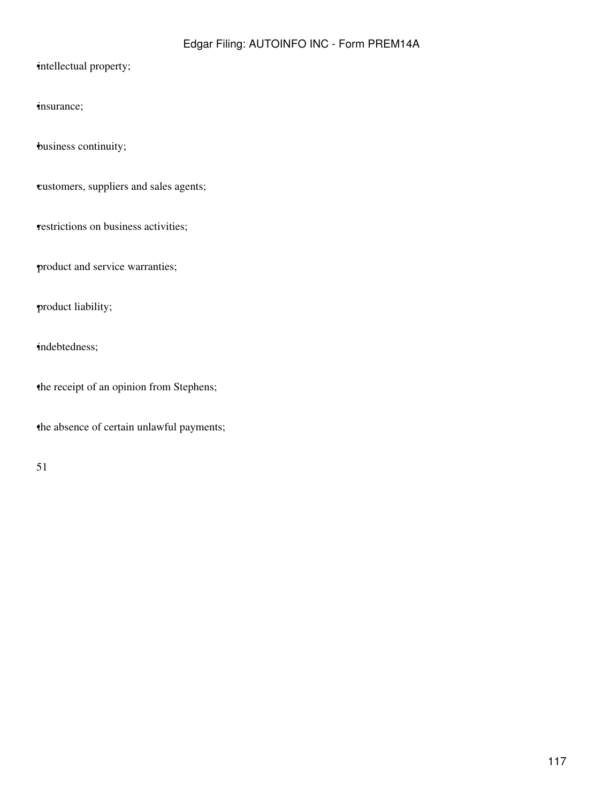intellectual property;

•insurance;

•business continuity;

•customers, suppliers and sales agents;

•restrictions on business activities;

•product and service warranties;

•product liability;

•indebtedness;

•the receipt of an opinion from Stephens;

•the absence of certain unlawful payments;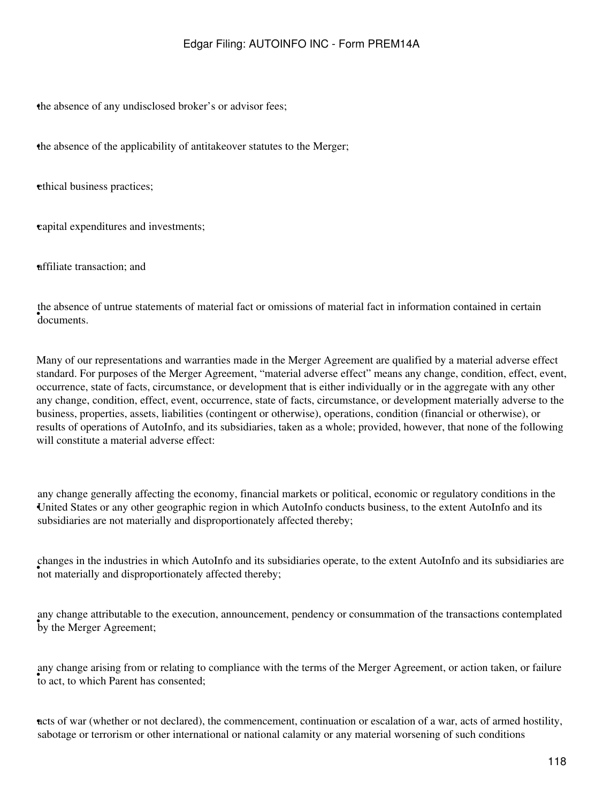•the absence of any undisclosed broker's or advisor fees;

•the absence of the applicability of antitakeover statutes to the Merger;

•ethical business practices;

•capital expenditures and investments;

•affiliate transaction; and

• documents. the absence of untrue statements of material fact or omissions of material fact in information contained in certain

Many of our representations and warranties made in the Merger Agreement are qualified by a material adverse effect standard. For purposes of the Merger Agreement, "material adverse effect" means any change, condition, effect, event, occurrence, state of facts, circumstance, or development that is either individually or in the aggregate with any other any change, condition, effect, event, occurrence, state of facts, circumstance, or development materially adverse to the business, properties, assets, liabilities (contingent or otherwise), operations, condition (financial or otherwise), or results of operations of AutoInfo, and its subsidiaries, taken as a whole; provided, however, that none of the following will constitute a material adverse effect:

• United States or any other geographic region in which AutoInfo conducts business, to the extent AutoInfo and its any change generally affecting the economy, financial markets or political, economic or regulatory conditions in the subsidiaries are not materially and disproportionately affected thereby;

analysis in the measures in which Automo and its such not materially and disproportionately affected thereby; changes in the industries in which AutoInfo and its subsidiaries operate, to the extent AutoInfo and its subsidiaries are

by the Merger Agreement; any change attributable to the execution, announcement, pendency or consummation of the transactions contemplated

to act, to which Parent has consented; any change arising from or relating to compliance with the terms of the Merger Agreement, or action taken, or failure

•acts of war (whether or not declared), the commencement, continuation or escalation of a war, acts of armed hostility, sabotage or terrorism or other international or national calamity or any material worsening of such conditions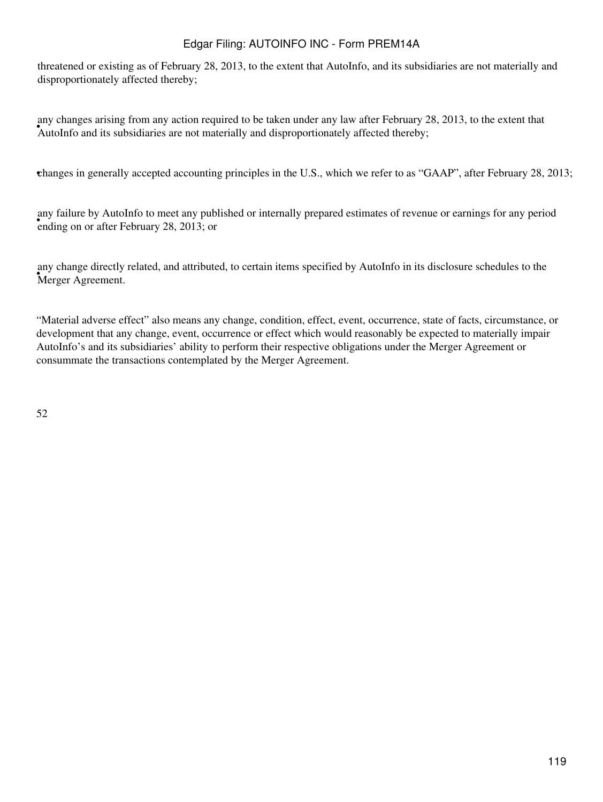threatened or existing as of February 28, 2013, to the extent that AutoInfo, and its subsidiaries are not materially and disproportionately affected thereby;

AutoInfo and its subsidiaries are not materially and disproportionately affected thereby; any changes arising from any action required to be taken under any law after February 28, 2013, to the extent that

•changes in generally accepted accounting principles in the U.S., which we refer to as "GAAP", after February 28, 2013;

ending on or after February 28, 2013; or any failure by AutoInfo to meet any published or internally prepared estimates of revenue or earnings for any period

**Merger Agreement.** any change directly related, and attributed, to certain items specified by AutoInfo in its disclosure schedules to the

"Material adverse effect" also means any change, condition, effect, event, occurrence, state of facts, circumstance, or development that any change, event, occurrence or effect which would reasonably be expected to materially impair AutoInfo's and its subsidiaries' ability to perform their respective obligations under the Merger Agreement or consummate the transactions contemplated by the Merger Agreement.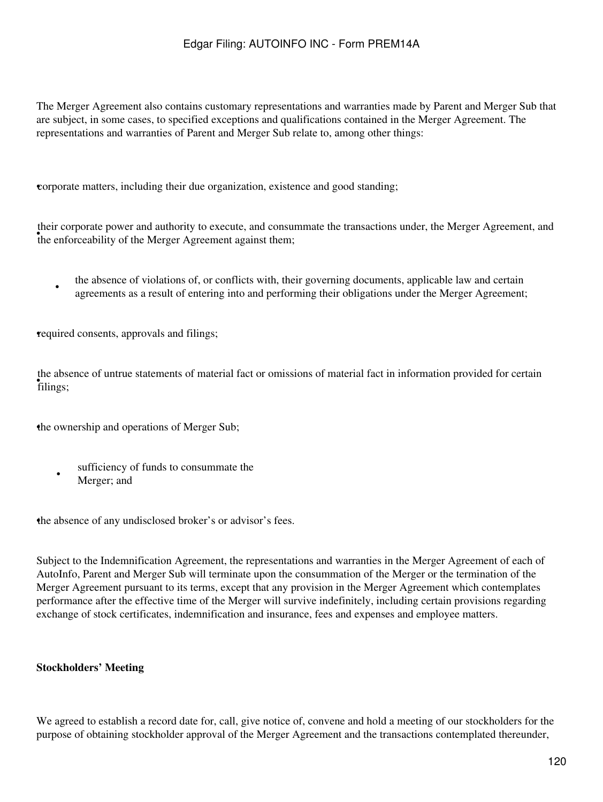The Merger Agreement also contains customary representations and warranties made by Parent and Merger Sub that are subject, in some cases, to specified exceptions and qualifications contained in the Merger Agreement. The representations and warranties of Parent and Merger Sub relate to, among other things:

•corporate matters, including their due organization, existence and good standing;

the enforceability of the Merger Agreement against them; their corporate power and authority to execute, and consummate the transactions under, the Merger Agreement, and

• the absence of violations of, or conflicts with, their governing documents, applicable law and certain agreements as a result of entering into and performing their obligations under the Merger Agreement;

•required consents, approvals and filings;

• filings; the absence of untrue statements of material fact or omissions of material fact in information provided for certain

•the ownership and operations of Merger Sub;

• sufficiency of funds to consummate the Merger; and

•the absence of any undisclosed broker's or advisor's fees.

Subject to the Indemnification Agreement, the representations and warranties in the Merger Agreement of each of AutoInfo, Parent and Merger Sub will terminate upon the consummation of the Merger or the termination of the Merger Agreement pursuant to its terms, except that any provision in the Merger Agreement which contemplates performance after the effective time of the Merger will survive indefinitely, including certain provisions regarding exchange of stock certificates, indemnification and insurance, fees and expenses and employee matters.

#### **Stockholders' Meeting**

We agreed to establish a record date for, call, give notice of, convene and hold a meeting of our stockholders for the purpose of obtaining stockholder approval of the Merger Agreement and the transactions contemplated thereunder,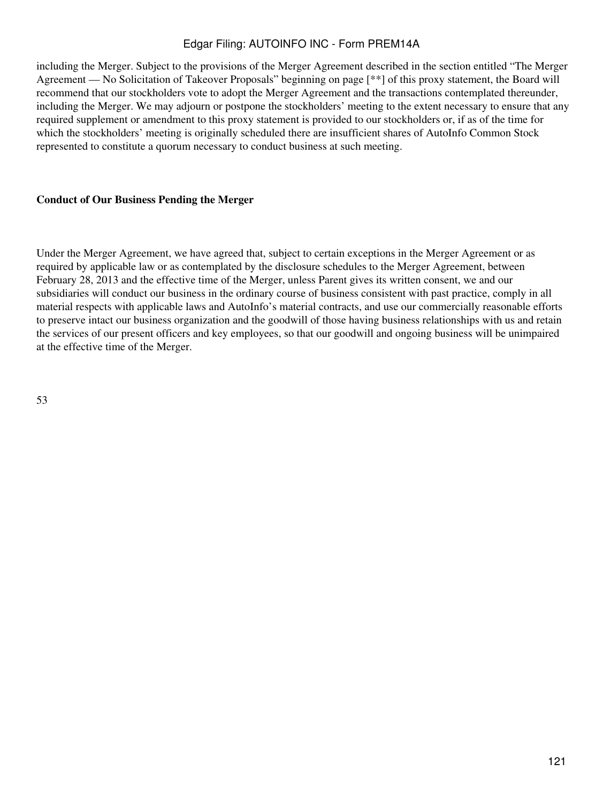including the Merger. Subject to the provisions of the Merger Agreement described in the section entitled "The Merger Agreement — No Solicitation of Takeover Proposals" beginning on page [\*\*] of this proxy statement, the Board will recommend that our stockholders vote to adopt the Merger Agreement and the transactions contemplated thereunder, including the Merger. We may adjourn or postpone the stockholders' meeting to the extent necessary to ensure that any required supplement or amendment to this proxy statement is provided to our stockholders or, if as of the time for which the stockholders' meeting is originally scheduled there are insufficient shares of AutoInfo Common Stock represented to constitute a quorum necessary to conduct business at such meeting.

## **Conduct of Our Business Pending the Merger**

Under the Merger Agreement, we have agreed that, subject to certain exceptions in the Merger Agreement or as required by applicable law or as contemplated by the disclosure schedules to the Merger Agreement, between February 28, 2013 and the effective time of the Merger, unless Parent gives its written consent, we and our subsidiaries will conduct our business in the ordinary course of business consistent with past practice, comply in all material respects with applicable laws and AutoInfo's material contracts, and use our commercially reasonable efforts to preserve intact our business organization and the goodwill of those having business relationships with us and retain the services of our present officers and key employees, so that our goodwill and ongoing business will be unimpaired at the effective time of the Merger.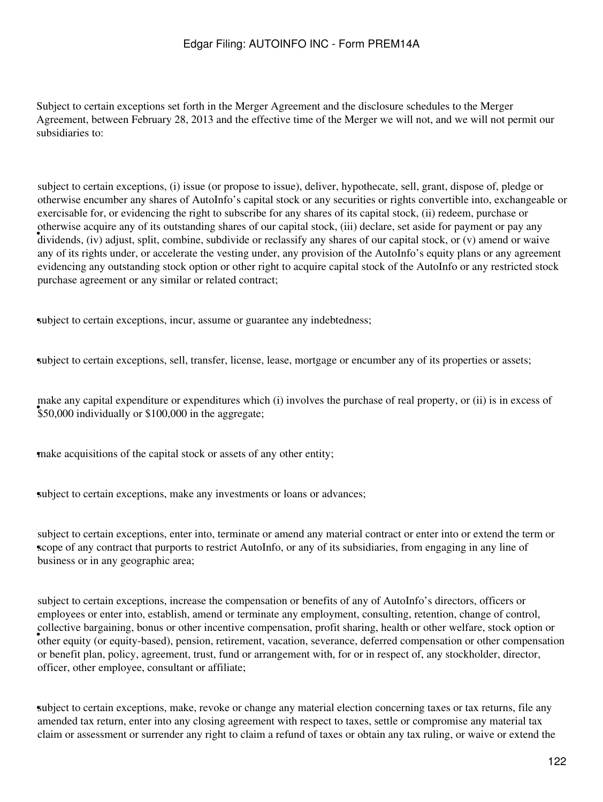Subject to certain exceptions set forth in the Merger Agreement and the disclosure schedules to the Merger Agreement, between February 28, 2013 and the effective time of the Merger we will not, and we will not permit our subsidiaries to:

• dividends, (iv) adjust, split, combine, subdivide or reclassify any shares of our capital stock, or (v) amend or waive subject to certain exceptions, (i) issue (or propose to issue), deliver, hypothecate, sell, grant, dispose of, pledge or otherwise encumber any shares of AutoInfo's capital stock or any securities or rights convertible into, exchangeable or exercisable for, or evidencing the right to subscribe for any shares of its capital stock, (ii) redeem, purchase or otherwise acquire any of its outstanding shares of our capital stock, (iii) declare, set aside for payment or pay any any of its rights under, or accelerate the vesting under, any provision of the AutoInfo's equity plans or any agreement evidencing any outstanding stock option or other right to acquire capital stock of the AutoInfo or any restricted stock purchase agreement or any similar or related contract;

•subject to certain exceptions, incur, assume or guarantee any indebtedness;

subject to certain exceptions, sell, transfer, license, lease, mortgage or encumber any of its properties or assets;

**EXECUTE:** the any capital experience of experiences wine make any capital expenditure or expenditures which (i) involves the purchase of real property, or (ii) is in excess of

•make acquisitions of the capital stock or assets of any other entity;

•subject to certain exceptions, make any investments or loans or advances;

scope of any contract that purports to restrict AutoInfo, or any of its subsidiaries, from engaging in any line of subject to certain exceptions, enter into, terminate or amend any material contract or enter into or extend the term or business or in any geographic area;

• other equity (or equity-based), pension, retirement, vacation, severance, deferred compensation or other compensation subject to certain exceptions, increase the compensation or benefits of any of AutoInfo's directors, officers or employees or enter into, establish, amend or terminate any employment, consulting, retention, change of control, collective bargaining, bonus or other incentive compensation, profit sharing, health or other welfare, stock option or or benefit plan, policy, agreement, trust, fund or arrangement with, for or in respect of, any stockholder, director, officer, other employee, consultant or affiliate;

•subject to certain exceptions, make, revoke or change any material election concerning taxes or tax returns, file any amended tax return, enter into any closing agreement with respect to taxes, settle or compromise any material tax claim or assessment or surrender any right to claim a refund of taxes or obtain any tax ruling, or waive or extend the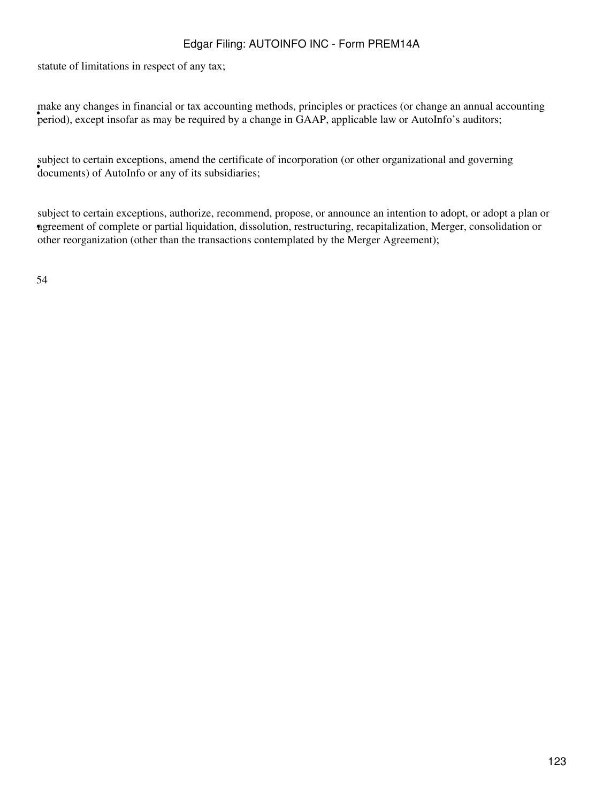statute of limitations in respect of any tax;

period), except insofar as may be required by a change in GAAP, applicable law or AutoInfo's auditors; make any changes in financial or tax accounting methods, principles or practices (or change an annual accounting

subject to certain exceptions, amend the certain documents) of AutoInfo or any of its subsidiaries; subject to certain exceptions, amend the certificate of incorporation (or other organizational and governing

• agreement of complete or partial liquidation, dissolution, restructuring, recapitalization, Merger, consolidation or subject to certain exceptions, authorize, recommend, propose, or announce an intention to adopt, or adopt a plan or other reorganization (other than the transactions contemplated by the Merger Agreement);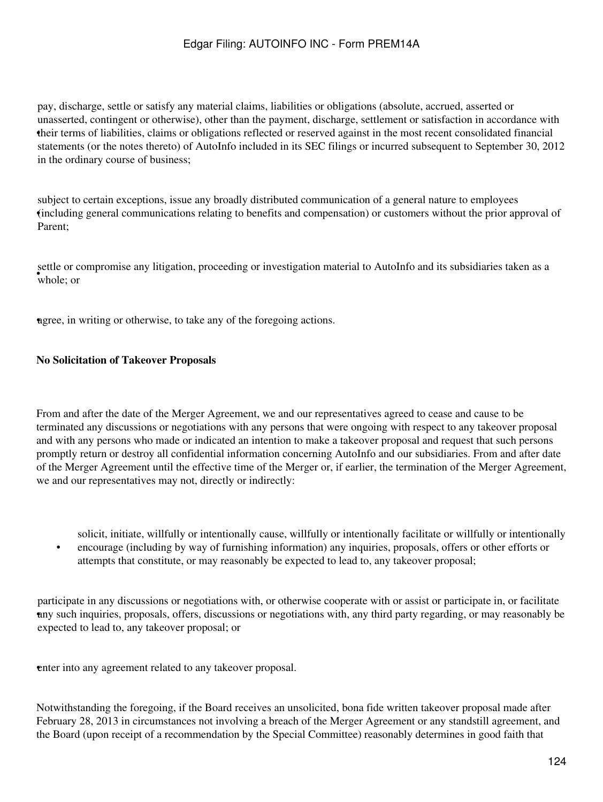• their terms of liabilities, claims or obligations reflected or reserved against in the most recent consolidated financial pay, discharge, settle or satisfy any material claims, liabilities or obligations (absolute, accrued, asserted or unasserted, contingent or otherwise), other than the payment, discharge, settlement or satisfaction in accordance with statements (or the notes thereto) of AutoInfo included in its SEC filings or incurred subsequent to September 30, 2012 in the ordinary course of business;

• (including general communications relating to benefits and compensation) or customers without the prior approval of subject to certain exceptions, issue any broadly distributed communication of a general nature to employees Parent;

whole; or settle or compromise any litigation, proceeding or investigation material to AutoInfo and its subsidiaries taken as a

ngree, in writing or otherwise, to take any of the foregoing actions.

#### **No Solicitation of Takeover Proposals**

From and after the date of the Merger Agreement, we and our representatives agreed to cease and cause to be terminated any discussions or negotiations with any persons that were ongoing with respect to any takeover proposal and with any persons who made or indicated an intention to make a takeover proposal and request that such persons promptly return or destroy all confidential information concerning AutoInfo and our subsidiaries. From and after date of the Merger Agreement until the effective time of the Merger or, if earlier, the termination of the Merger Agreement, we and our representatives may not, directly or indirectly:

• solicit, initiate, willfully or intentionally cause, willfully or intentionally facilitate or willfully or intentionally encourage (including by way of furnishing information) any inquiries, proposals, offers or other efforts or attempts that constitute, or may reasonably be expected to lead to, any takeover proposal;

• any such inquiries, proposals, offers, discussions or negotiations with, any third party regarding, or may reasonably be participate in any discussions or negotiations with, or otherwise cooperate with or assist or participate in, or facilitate expected to lead to, any takeover proposal; or

enter into any agreement related to any takeover proposal.

Notwithstanding the foregoing, if the Board receives an unsolicited, bona fide written takeover proposal made after February 28, 2013 in circumstances not involving a breach of the Merger Agreement or any standstill agreement, and the Board (upon receipt of a recommendation by the Special Committee) reasonably determines in good faith that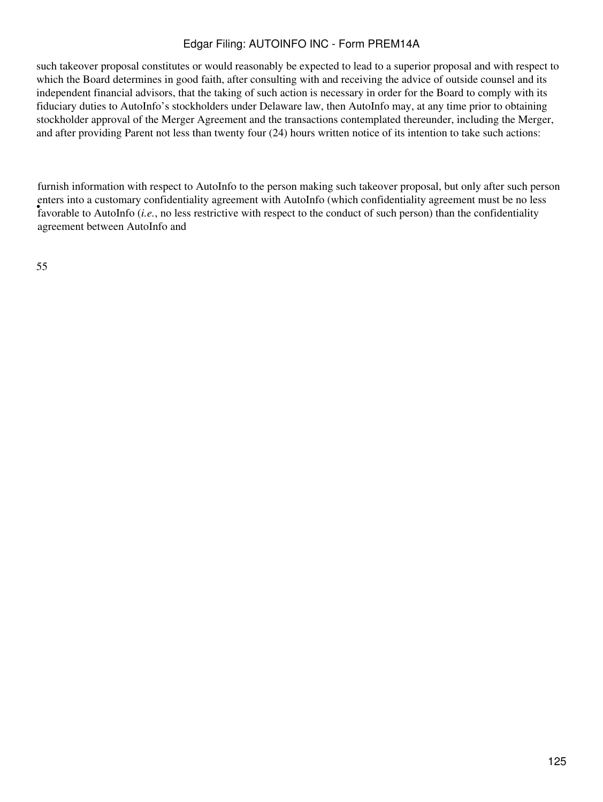such takeover proposal constitutes or would reasonably be expected to lead to a superior proposal and with respect to which the Board determines in good faith, after consulting with and receiving the advice of outside counsel and its independent financial advisors, that the taking of such action is necessary in order for the Board to comply with its fiduciary duties to AutoInfo's stockholders under Delaware law, then AutoInfo may, at any time prior to obtaining stockholder approval of the Merger Agreement and the transactions contemplated thereunder, including the Merger, and after providing Parent not less than twenty four (24) hours written notice of its intention to take such actions:

• favorable to AutoInfo (*i.e.*, no less restrictive with respect to the conduct of such person) than the confidentiality furnish information with respect to AutoInfo to the person making such takeover proposal, but only after such person enters into a customary confidentiality agreement with AutoInfo (which confidentiality agreement must be no less agreement between AutoInfo and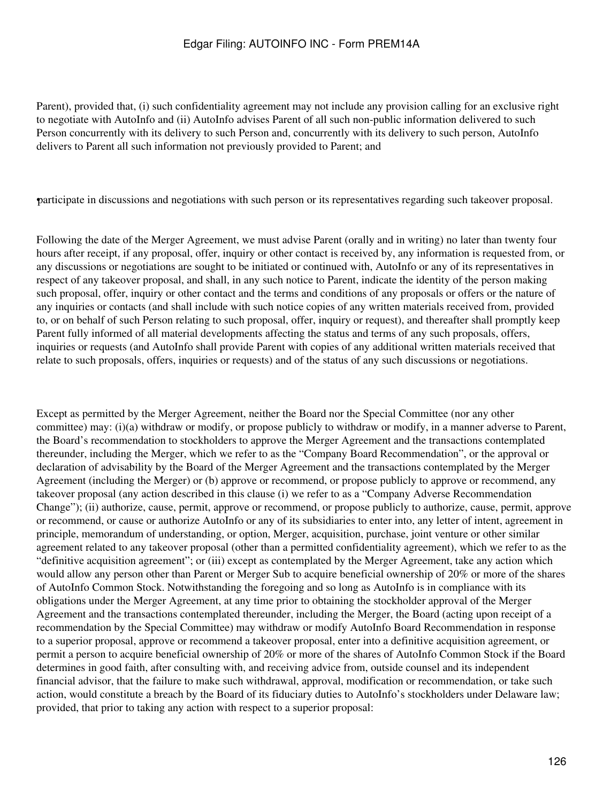Parent), provided that, (i) such confidentiality agreement may not include any provision calling for an exclusive right to negotiate with AutoInfo and (ii) AutoInfo advises Parent of all such non-public information delivered to such Person concurrently with its delivery to such Person and, concurrently with its delivery to such person, AutoInfo delivers to Parent all such information not previously provided to Parent; and

•participate in discussions and negotiations with such person or its representatives regarding such takeover proposal.

Following the date of the Merger Agreement, we must advise Parent (orally and in writing) no later than twenty four hours after receipt, if any proposal, offer, inquiry or other contact is received by, any information is requested from, or any discussions or negotiations are sought to be initiated or continued with, AutoInfo or any of its representatives in respect of any takeover proposal, and shall, in any such notice to Parent, indicate the identity of the person making such proposal, offer, inquiry or other contact and the terms and conditions of any proposals or offers or the nature of any inquiries or contacts (and shall include with such notice copies of any written materials received from, provided to, or on behalf of such Person relating to such proposal, offer, inquiry or request), and thereafter shall promptly keep Parent fully informed of all material developments affecting the status and terms of any such proposals, offers, inquiries or requests (and AutoInfo shall provide Parent with copies of any additional written materials received that relate to such proposals, offers, inquiries or requests) and of the status of any such discussions or negotiations.

Except as permitted by the Merger Agreement, neither the Board nor the Special Committee (nor any other committee) may: (i)(a) withdraw or modify, or propose publicly to withdraw or modify, in a manner adverse to Parent, the Board's recommendation to stockholders to approve the Merger Agreement and the transactions contemplated thereunder, including the Merger, which we refer to as the "Company Board Recommendation", or the approval or declaration of advisability by the Board of the Merger Agreement and the transactions contemplated by the Merger Agreement (including the Merger) or (b) approve or recommend, or propose publicly to approve or recommend, any takeover proposal (any action described in this clause (i) we refer to as a "Company Adverse Recommendation Change"); (ii) authorize, cause, permit, approve or recommend, or propose publicly to authorize, cause, permit, approve or recommend, or cause or authorize AutoInfo or any of its subsidiaries to enter into, any letter of intent, agreement in principle, memorandum of understanding, or option, Merger, acquisition, purchase, joint venture or other similar agreement related to any takeover proposal (other than a permitted confidentiality agreement), which we refer to as the "definitive acquisition agreement"; or (iii) except as contemplated by the Merger Agreement, take any action which would allow any person other than Parent or Merger Sub to acquire beneficial ownership of 20% or more of the shares of AutoInfo Common Stock. Notwithstanding the foregoing and so long as AutoInfo is in compliance with its obligations under the Merger Agreement, at any time prior to obtaining the stockholder approval of the Merger Agreement and the transactions contemplated thereunder, including the Merger, the Board (acting upon receipt of a recommendation by the Special Committee) may withdraw or modify AutoInfo Board Recommendation in response to a superior proposal, approve or recommend a takeover proposal, enter into a definitive acquisition agreement, or permit a person to acquire beneficial ownership of 20% or more of the shares of AutoInfo Common Stock if the Board determines in good faith, after consulting with, and receiving advice from, outside counsel and its independent financial advisor, that the failure to make such withdrawal, approval, modification or recommendation, or take such action, would constitute a breach by the Board of its fiduciary duties to AutoInfo's stockholders under Delaware law; provided, that prior to taking any action with respect to a superior proposal: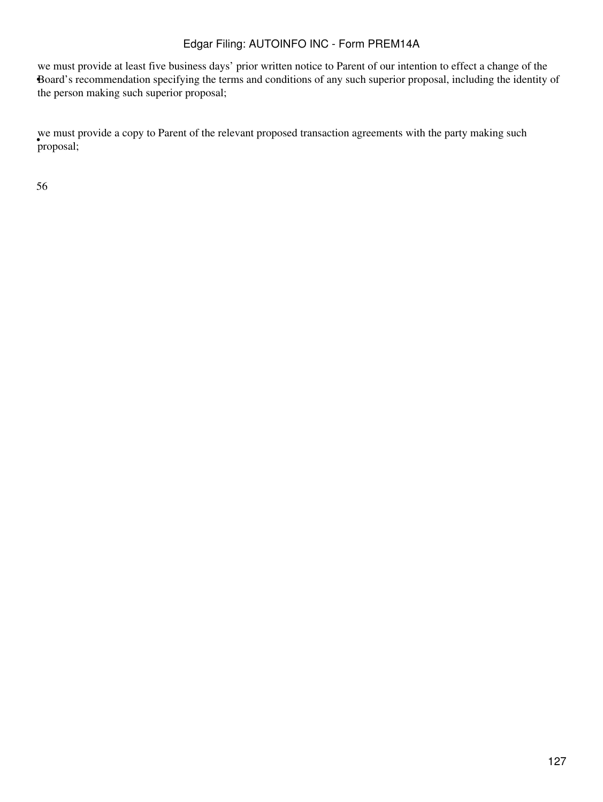Board's recommendation specifying the terms and conditions of any such superior proposal, including the identity of we must provide at least five business days' prior written notice to Parent of our intention to effect a change of the the person making such superior proposal;

• proposal; we must provide a copy to Parent of the relevant proposed transaction agreements with the party making such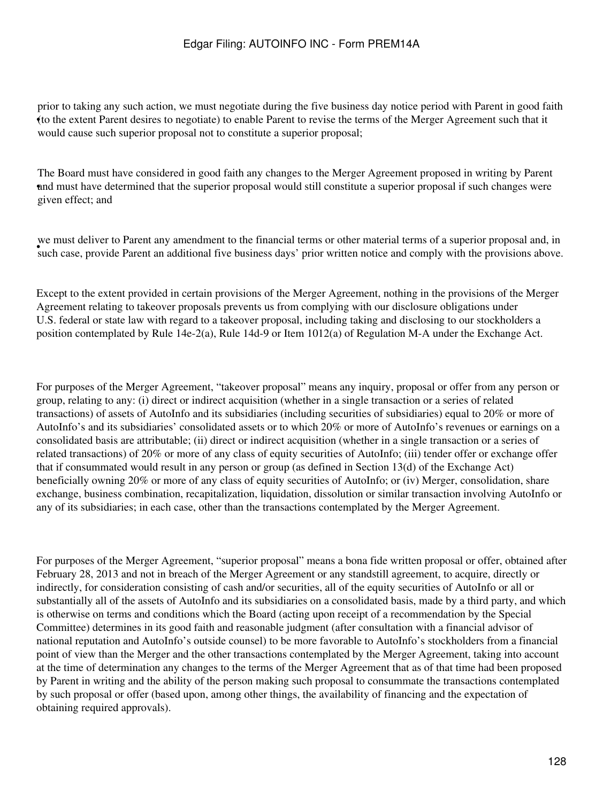• (to the extent Parent desires to negotiate) to enable Parent to revise the terms of the Merger Agreement such that it prior to taking any such action, we must negotiate during the five business day notice period with Parent in good faith would cause such superior proposal not to constitute a superior proposal;

and must have determined that the superior proposal would still constitute a superior proposal if such changes were The Board must have considered in good faith any changes to the Merger Agreement proposed in writing by Parent given effect; and

we must deriver to I arent any amendment to the miancial terms of other material terms of a superior proposar and, in such case, provide Parent an additional five business days' prior written notice and comply with the pro we must deliver to Parent any amendment to the financial terms or other material terms of a superior proposal and, in

Except to the extent provided in certain provisions of the Merger Agreement, nothing in the provisions of the Merger Agreement relating to takeover proposals prevents us from complying with our disclosure obligations under U.S. federal or state law with regard to a takeover proposal, including taking and disclosing to our stockholders a position contemplated by Rule 14e-2(a), Rule 14d-9 or Item 1012(a) of Regulation M-A under the Exchange Act.

For purposes of the Merger Agreement, "takeover proposal" means any inquiry, proposal or offer from any person or group, relating to any: (i) direct or indirect acquisition (whether in a single transaction or a series of related transactions) of assets of AutoInfo and its subsidiaries (including securities of subsidiaries) equal to 20% or more of AutoInfo's and its subsidiaries' consolidated assets or to which 20% or more of AutoInfo's revenues or earnings on a consolidated basis are attributable; (ii) direct or indirect acquisition (whether in a single transaction or a series of related transactions) of 20% or more of any class of equity securities of AutoInfo; (iii) tender offer or exchange offer that if consummated would result in any person or group (as defined in Section 13(d) of the Exchange Act) beneficially owning 20% or more of any class of equity securities of AutoInfo; or (iv) Merger, consolidation, share exchange, business combination, recapitalization, liquidation, dissolution or similar transaction involving AutoInfo or any of its subsidiaries; in each case, other than the transactions contemplated by the Merger Agreement.

For purposes of the Merger Agreement, "superior proposal" means a bona fide written proposal or offer, obtained after February 28, 2013 and not in breach of the Merger Agreement or any standstill agreement, to acquire, directly or indirectly, for consideration consisting of cash and/or securities, all of the equity securities of AutoInfo or all or substantially all of the assets of AutoInfo and its subsidiaries on a consolidated basis, made by a third party, and which is otherwise on terms and conditions which the Board (acting upon receipt of a recommendation by the Special Committee) determines in its good faith and reasonable judgment (after consultation with a financial advisor of national reputation and AutoInfo's outside counsel) to be more favorable to AutoInfo's stockholders from a financial point of view than the Merger and the other transactions contemplated by the Merger Agreement, taking into account at the time of determination any changes to the terms of the Merger Agreement that as of that time had been proposed by Parent in writing and the ability of the person making such proposal to consummate the transactions contemplated by such proposal or offer (based upon, among other things, the availability of financing and the expectation of obtaining required approvals).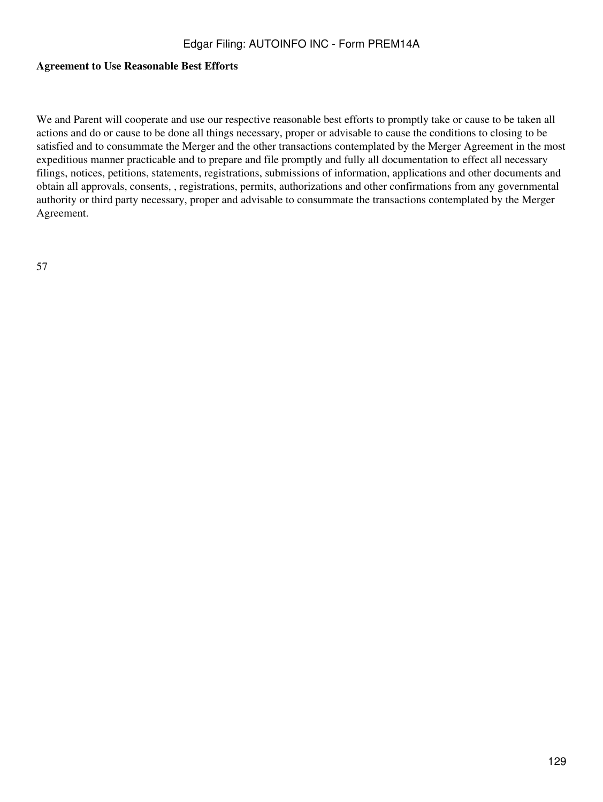### **Agreement to Use Reasonable Best Efforts**

We and Parent will cooperate and use our respective reasonable best efforts to promptly take or cause to be taken all actions and do or cause to be done all things necessary, proper or advisable to cause the conditions to closing to be satisfied and to consummate the Merger and the other transactions contemplated by the Merger Agreement in the most expeditious manner practicable and to prepare and file promptly and fully all documentation to effect all necessary filings, notices, petitions, statements, registrations, submissions of information, applications and other documents and obtain all approvals, consents, , registrations, permits, authorizations and other confirmations from any governmental authority or third party necessary, proper and advisable to consummate the transactions contemplated by the Merger Agreement.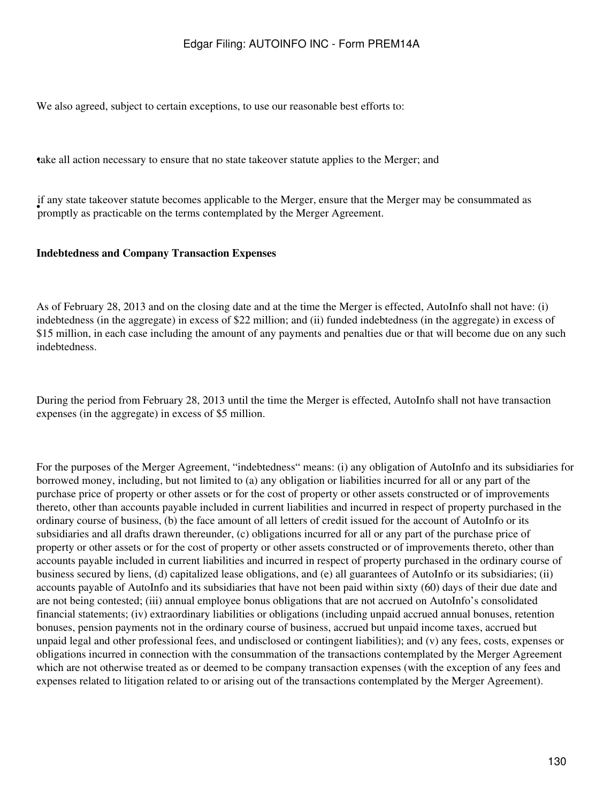We also agreed, subject to certain exceptions, to use our reasonable best efforts to:

•take all action necessary to ensure that no state takeover statute applies to the Merger; and

**•** any state allever statute becomes appreased to the Merger, chistre that the promptly as practicable on the terms contemplated by the Merger Agreement. if any state takeover statute becomes applicable to the Merger, ensure that the Merger may be consummated as

#### **Indebtedness and Company Transaction Expenses**

As of February 28, 2013 and on the closing date and at the time the Merger is effected, AutoInfo shall not have: (i) indebtedness (in the aggregate) in excess of \$22 million; and (ii) funded indebtedness (in the aggregate) in excess of \$15 million, in each case including the amount of any payments and penalties due or that will become due on any such indebtedness.

During the period from February 28, 2013 until the time the Merger is effected, AutoInfo shall not have transaction expenses (in the aggregate) in excess of \$5 million.

For the purposes of the Merger Agreement, "indebtedness" means: (i) any obligation of AutoInfo and its subsidiaries for borrowed money, including, but not limited to (a) any obligation or liabilities incurred for all or any part of the purchase price of property or other assets or for the cost of property or other assets constructed or of improvements thereto, other than accounts payable included in current liabilities and incurred in respect of property purchased in the ordinary course of business, (b) the face amount of all letters of credit issued for the account of AutoInfo or its subsidiaries and all drafts drawn thereunder, (c) obligations incurred for all or any part of the purchase price of property or other assets or for the cost of property or other assets constructed or of improvements thereto, other than accounts payable included in current liabilities and incurred in respect of property purchased in the ordinary course of business secured by liens, (d) capitalized lease obligations, and (e) all guarantees of AutoInfo or its subsidiaries; (ii) accounts payable of AutoInfo and its subsidiaries that have not been paid within sixty (60) days of their due date and are not being contested; (iii) annual employee bonus obligations that are not accrued on AutoInfo's consolidated financial statements; (iv) extraordinary liabilities or obligations (including unpaid accrued annual bonuses, retention bonuses, pension payments not in the ordinary course of business, accrued but unpaid income taxes, accrued but unpaid legal and other professional fees, and undisclosed or contingent liabilities); and (v) any fees, costs, expenses or obligations incurred in connection with the consummation of the transactions contemplated by the Merger Agreement which are not otherwise treated as or deemed to be company transaction expenses (with the exception of any fees and expenses related to litigation related to or arising out of the transactions contemplated by the Merger Agreement).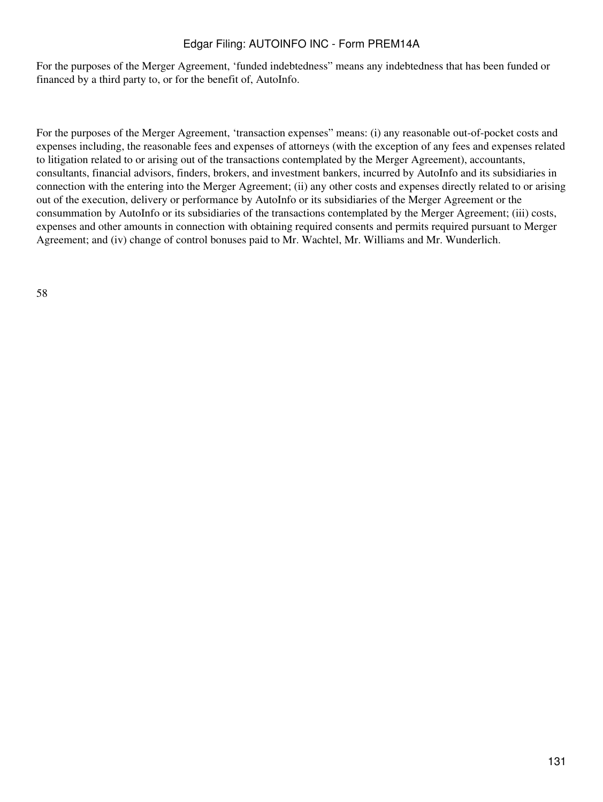For the purposes of the Merger Agreement, 'funded indebtedness" means any indebtedness that has been funded or financed by a third party to, or for the benefit of, AutoInfo.

For the purposes of the Merger Agreement, 'transaction expenses" means: (i) any reasonable out-of-pocket costs and expenses including, the reasonable fees and expenses of attorneys (with the exception of any fees and expenses related to litigation related to or arising out of the transactions contemplated by the Merger Agreement), accountants, consultants, financial advisors, finders, brokers, and investment bankers, incurred by AutoInfo and its subsidiaries in connection with the entering into the Merger Agreement; (ii) any other costs and expenses directly related to or arising out of the execution, delivery or performance by AutoInfo or its subsidiaries of the Merger Agreement or the consummation by AutoInfo or its subsidiaries of the transactions contemplated by the Merger Agreement; (iii) costs, expenses and other amounts in connection with obtaining required consents and permits required pursuant to Merger Agreement; and (iv) change of control bonuses paid to Mr. Wachtel, Mr. Williams and Mr. Wunderlich.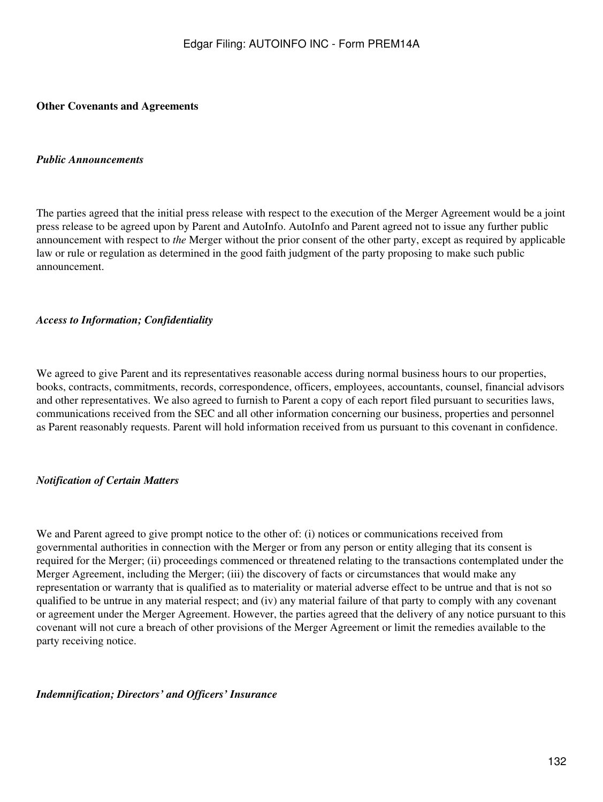#### **Other Covenants and Agreements**

#### *Public Announcements*

The parties agreed that the initial press release with respect to the execution of the Merger Agreement would be a joint press release to be agreed upon by Parent and AutoInfo. AutoInfo and Parent agreed not to issue any further public announcement with respect to *the* Merger without the prior consent of the other party, except as required by applicable law or rule or regulation as determined in the good faith judgment of the party proposing to make such public announcement.

#### *Access to Information; Confidentiality*

We agreed to give Parent and its representatives reasonable access during normal business hours to our properties, books, contracts, commitments, records, correspondence, officers, employees, accountants, counsel, financial advisors and other representatives. We also agreed to furnish to Parent a copy of each report filed pursuant to securities laws, communications received from the SEC and all other information concerning our business, properties and personnel as Parent reasonably requests. Parent will hold information received from us pursuant to this covenant in confidence.

#### *Notification of Certain Matters*

We and Parent agreed to give prompt notice to the other of: (i) notices or communications received from governmental authorities in connection with the Merger or from any person or entity alleging that its consent is required for the Merger; (ii) proceedings commenced or threatened relating to the transactions contemplated under the Merger Agreement, including the Merger; (iii) the discovery of facts or circumstances that would make any representation or warranty that is qualified as to materiality or material adverse effect to be untrue and that is not so qualified to be untrue in any material respect; and (iv) any material failure of that party to comply with any covenant or agreement under the Merger Agreement. However, the parties agreed that the delivery of any notice pursuant to this covenant will not cure a breach of other provisions of the Merger Agreement or limit the remedies available to the party receiving notice.

#### *Indemnification; Directors' and Officers' Insurance*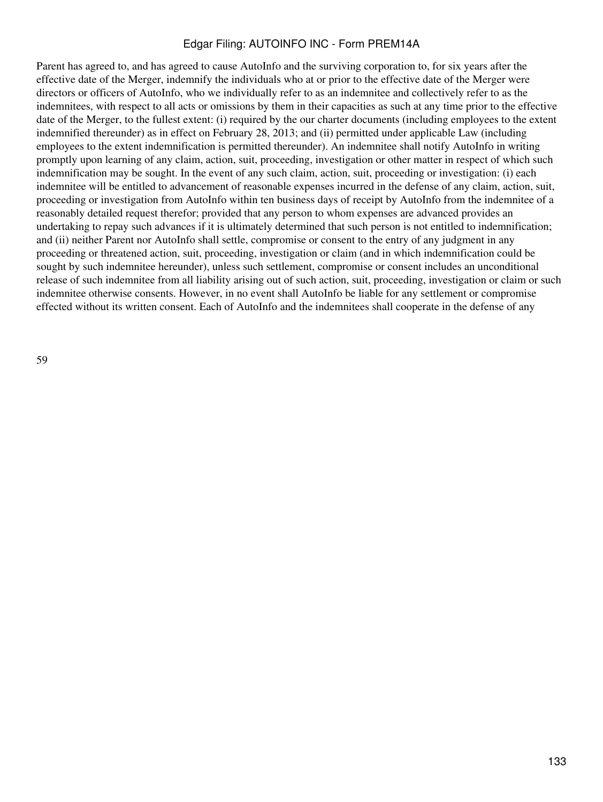Parent has agreed to, and has agreed to cause AutoInfo and the surviving corporation to, for six years after the effective date of the Merger, indemnify the individuals who at or prior to the effective date of the Merger were directors or officers of AutoInfo, who we individually refer to as an indemnitee and collectively refer to as the indemnitees, with respect to all acts or omissions by them in their capacities as such at any time prior to the effective date of the Merger, to the fullest extent: (i) required by the our charter documents (including employees to the extent indemnified thereunder) as in effect on February 28, 2013; and (ii) permitted under applicable Law (including employees to the extent indemnification is permitted thereunder). An indemnitee shall notify AutoInfo in writing promptly upon learning of any claim, action, suit, proceeding, investigation or other matter in respect of which such indemnification may be sought. In the event of any such claim, action, suit, proceeding or investigation: (i) each indemnitee will be entitled to advancement of reasonable expenses incurred in the defense of any claim, action, suit, proceeding or investigation from AutoInfo within ten business days of receipt by AutoInfo from the indemnitee of a reasonably detailed request therefor; provided that any person to whom expenses are advanced provides an undertaking to repay such advances if it is ultimately determined that such person is not entitled to indemnification; and (ii) neither Parent nor AutoInfo shall settle, compromise or consent to the entry of any judgment in any proceeding or threatened action, suit, proceeding, investigation or claim (and in which indemnification could be sought by such indemnitee hereunder), unless such settlement, compromise or consent includes an unconditional release of such indemnitee from all liability arising out of such action, suit, proceeding, investigation or claim or such indemnitee otherwise consents. However, in no event shall AutoInfo be liable for any settlement or compromise effected without its written consent. Each of AutoInfo and the indemnitees shall cooperate in the defense of any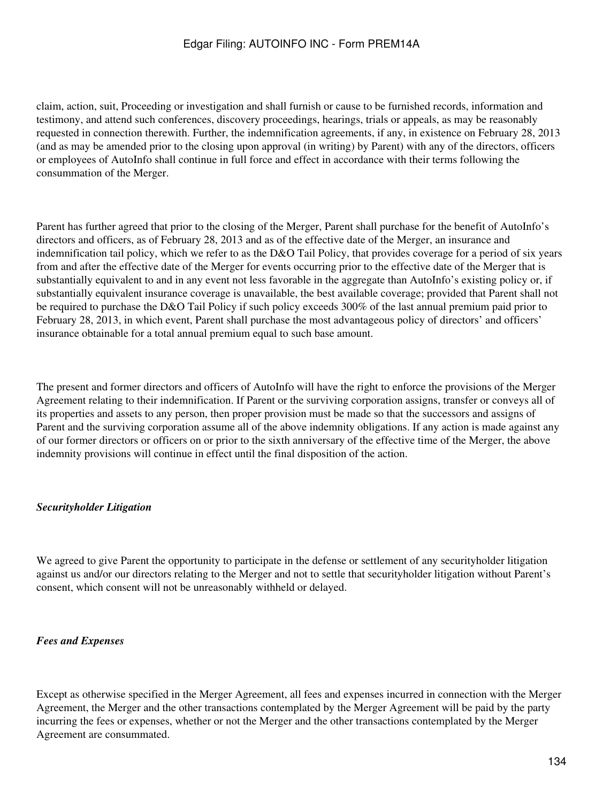claim, action, suit, Proceeding or investigation and shall furnish or cause to be furnished records, information and testimony, and attend such conferences, discovery proceedings, hearings, trials or appeals, as may be reasonably requested in connection therewith. Further, the indemnification agreements, if any, in existence on February 28, 2013 (and as may be amended prior to the closing upon approval (in writing) by Parent) with any of the directors, officers or employees of AutoInfo shall continue in full force and effect in accordance with their terms following the consummation of the Merger.

Parent has further agreed that prior to the closing of the Merger, Parent shall purchase for the benefit of AutoInfo's directors and officers, as of February 28, 2013 and as of the effective date of the Merger, an insurance and indemnification tail policy, which we refer to as the D&O Tail Policy, that provides coverage for a period of six years from and after the effective date of the Merger for events occurring prior to the effective date of the Merger that is substantially equivalent to and in any event not less favorable in the aggregate than AutoInfo's existing policy or, if substantially equivalent insurance coverage is unavailable, the best available coverage; provided that Parent shall not be required to purchase the D&O Tail Policy if such policy exceeds 300% of the last annual premium paid prior to February 28, 2013, in which event, Parent shall purchase the most advantageous policy of directors' and officers' insurance obtainable for a total annual premium equal to such base amount.

The present and former directors and officers of AutoInfo will have the right to enforce the provisions of the Merger Agreement relating to their indemnification. If Parent or the surviving corporation assigns, transfer or conveys all of its properties and assets to any person, then proper provision must be made so that the successors and assigns of Parent and the surviving corporation assume all of the above indemnity obligations. If any action is made against any of our former directors or officers on or prior to the sixth anniversary of the effective time of the Merger, the above indemnity provisions will continue in effect until the final disposition of the action.

## *Securityholder Litigation*

We agreed to give Parent the opportunity to participate in the defense or settlement of any securityholder litigation against us and/or our directors relating to the Merger and not to settle that securityholder litigation without Parent's consent, which consent will not be unreasonably withheld or delayed.

#### *Fees and Expenses*

Except as otherwise specified in the Merger Agreement, all fees and expenses incurred in connection with the Merger Agreement, the Merger and the other transactions contemplated by the Merger Agreement will be paid by the party incurring the fees or expenses, whether or not the Merger and the other transactions contemplated by the Merger Agreement are consummated.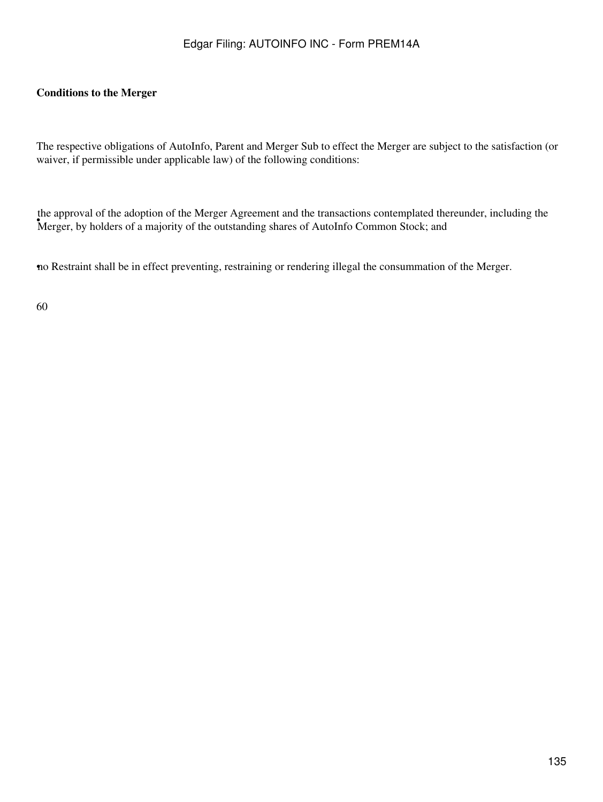## **Conditions to the Merger**

The respective obligations of AutoInfo, Parent and Merger Sub to effect the Merger are subject to the satisfaction (or waiver, if permissible under applicable law) of the following conditions:

Merger, by holders of a majority of the outstanding shares of AutoInfo Common Stock; and the approval of the adoption of the Merger Agreement and the transactions contemplated thereunder, including the

•no Restraint shall be in effect preventing, restraining or rendering illegal the consummation of the Merger.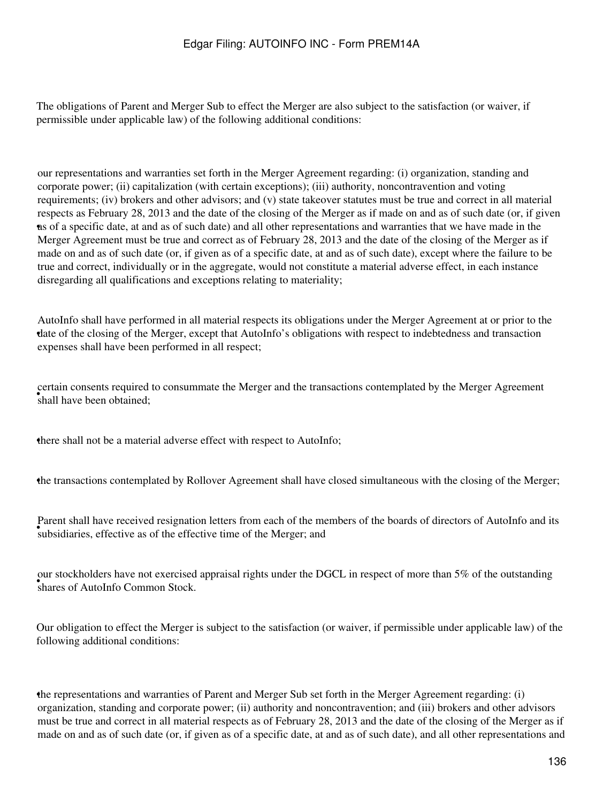The obligations of Parent and Merger Sub to effect the Merger are also subject to the satisfaction (or waiver, if permissible under applicable law) of the following additional conditions:

• as of a specific date, at and as of such date) and all other representations and warranties that we have made in the our representations and warranties set forth in the Merger Agreement regarding: (i) organization, standing and corporate power; (ii) capitalization (with certain exceptions); (iii) authority, noncontravention and voting requirements; (iv) brokers and other advisors; and (v) state takeover statutes must be true and correct in all material respects as February 28, 2013 and the date of the closing of the Merger as if made on and as of such date (or, if given Merger Agreement must be true and correct as of February 28, 2013 and the date of the closing of the Merger as if made on and as of such date (or, if given as of a specific date, at and as of such date), except where the failure to be true and correct, individually or in the aggregate, would not constitute a material adverse effect, in each instance disregarding all qualifications and exceptions relating to materiality;

• date of the closing of the Merger, except that AutoInfo's obligations with respect to indebtedness and transaction AutoInfo shall have performed in all material respects its obligations under the Merger Agreement at or prior to the expenses shall have been performed in all respect;

• shall have been obtained; certain consents required to consummate the Merger and the transactions contemplated by the Merger Agreement

•there shall not be a material adverse effect with respect to AutoInfo;

•the transactions contemplated by Rollover Agreement shall have closed simultaneous with the closing of the Merger;

**•** and shall have received resignation returns from each of the Inc. Parent shall have received resignation letters from each of the members of the boards of directors of AutoInfo and its

• the exercised with stockholders have not exercised our stockholders have not exercised appraisal rights under the DGCL in respect of more than 5% of the outstanding

Our obligation to effect the Merger is subject to the satisfaction (or waiver, if permissible under applicable law) of the following additional conditions:

•the representations and warranties of Parent and Merger Sub set forth in the Merger Agreement regarding: (i) organization, standing and corporate power; (ii) authority and noncontravention; and (iii) brokers and other advisors must be true and correct in all material respects as of February 28, 2013 and the date of the closing of the Merger as if made on and as of such date (or, if given as of a specific date, at and as of such date), and all other representations and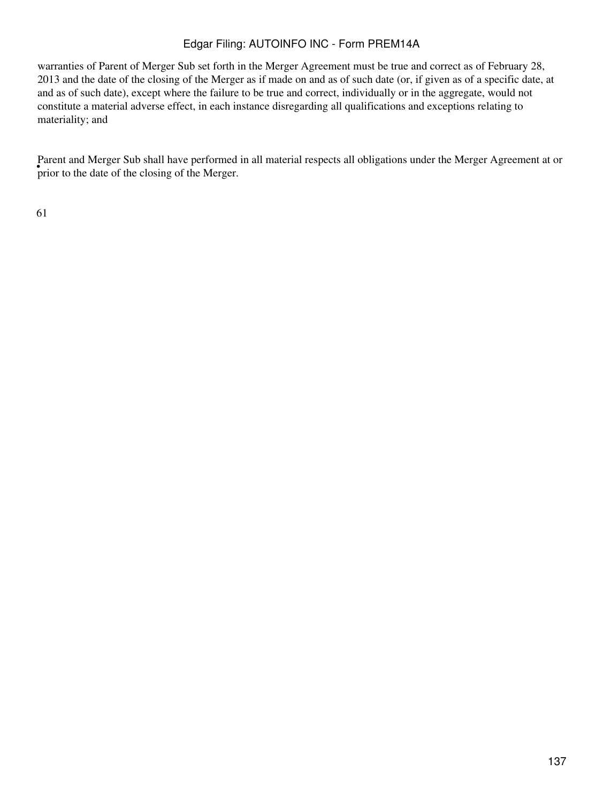warranties of Parent of Merger Sub set forth in the Merger Agreement must be true and correct as of February 28, 2013 and the date of the closing of the Merger as if made on and as of such date (or, if given as of a specific date, at and as of such date), except where the failure to be true and correct, individually or in the aggregate, would not constitute a material adverse effect, in each instance disregarding all qualifications and exceptions relating to materiality; and

prior to the date of the closing of the Merger. Parent and Merger Sub shall have performed in all material respects all obligations under the Merger Agreement at or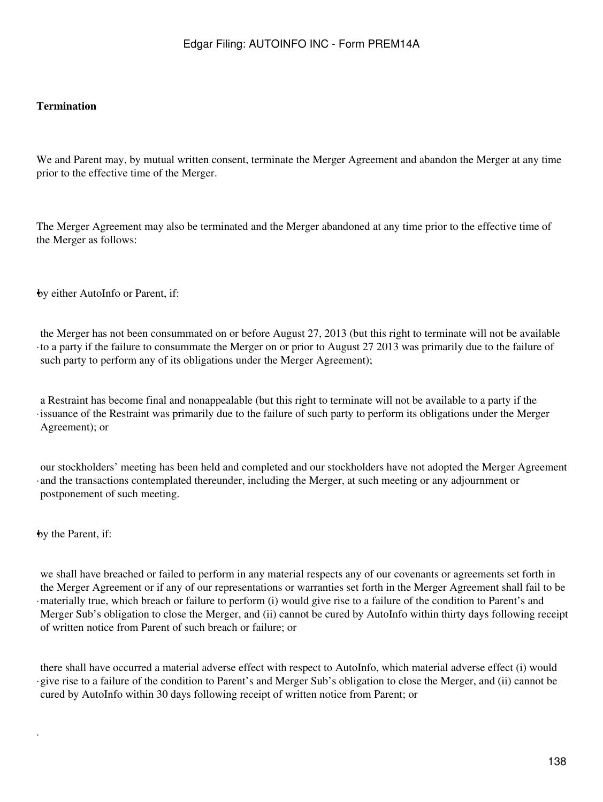## **Termination**

We and Parent may, by mutual written consent, terminate the Merger Agreement and abandon the Merger at any time prior to the effective time of the Merger.

The Merger Agreement may also be terminated and the Merger abandoned at any time prior to the effective time of the Merger as follows:

•by either AutoInfo or Parent, if:

· to a party if the failure to consummate the Merger on or prior to August 27 2013 was primarily due to the failure of the Merger has not been consummated on or before August 27, 2013 (but this right to terminate will not be available such party to perform any of its obligations under the Merger Agreement);

· issuance of the Restraint was primarily due to the failure of such party to perform its obligations under the Merger a Restraint has become final and nonappealable (but this right to terminate will not be available to a party if the Agreement); or

· and the transactions contemplated thereunder, including the Merger, at such meeting or any adjournment or our stockholders' meeting has been held and completed and our stockholders have not adopted the Merger Agreement postponement of such meeting.

•by the Parent, if:

·

· materially true, which breach or failure to perform (i) would give rise to a failure of the condition to Parent's and we shall have breached or failed to perform in any material respects any of our covenants or agreements set forth in the Merger Agreement or if any of our representations or warranties set forth in the Merger Agreement shall fail to be Merger Sub's obligation to close the Merger, and (ii) cannot be cured by AutoInfo within thirty days following receipt of written notice from Parent of such breach or failure; or

· give rise to a failure of the condition to Parent's and Merger Sub's obligation to close the Merger, and (ii) cannot be there shall have occurred a material adverse effect with respect to AutoInfo, which material adverse effect (i) would cured by AutoInfo within 30 days following receipt of written notice from Parent; or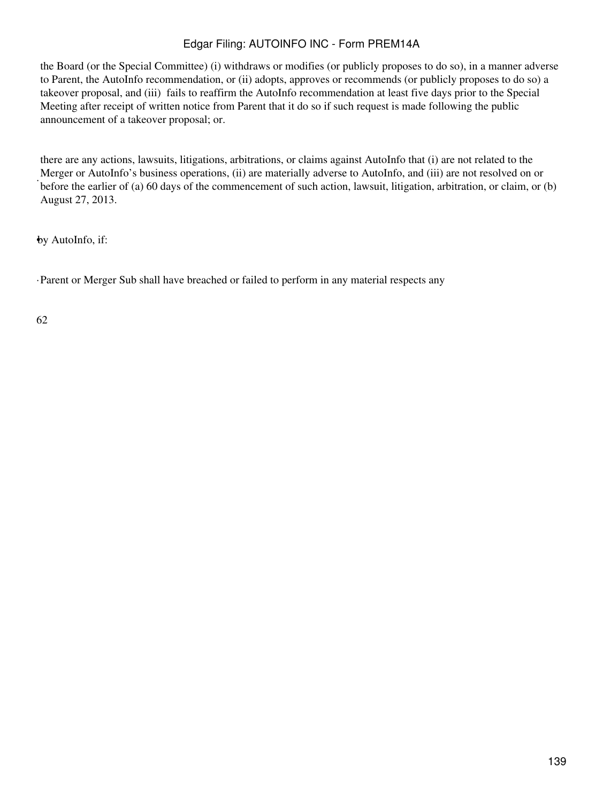the Board (or the Special Committee) (i) withdraws or modifies (or publicly proposes to do so), in a manner adverse to Parent, the AutoInfo recommendation, or (ii) adopts, approves or recommends (or publicly proposes to do so) a takeover proposal, and (iii) fails to reaffirm the AutoInfo recommendation at least five days prior to the Special Meeting after receipt of written notice from Parent that it do so if such request is made following the public announcement of a takeover proposal; or.

before the earlier of (a) 60 days of the commencement of such action, lawsuit, litigation, arbitration, or claim, or (b) there are any actions, lawsuits, litigations, arbitrations, or claims against AutoInfo that (i) are not related to the Merger or AutoInfo's business operations, (ii) are materially adverse to AutoInfo, and (iii) are not resolved on or August 27, 2013.

•by AutoInfo, if:

·Parent or Merger Sub shall have breached or failed to perform in any material respects any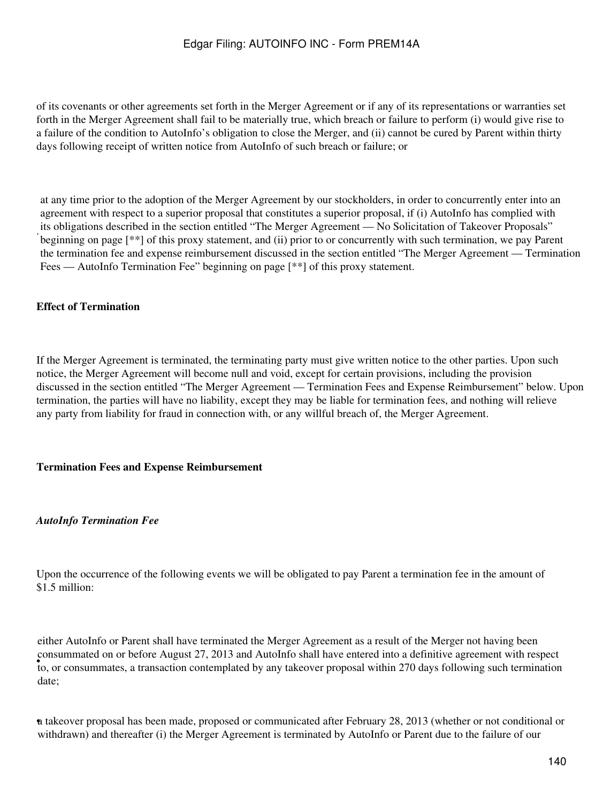of its covenants or other agreements set forth in the Merger Agreement or if any of its representations or warranties set forth in the Merger Agreement shall fail to be materially true, which breach or failure to perform (i) would give rise to a failure of the condition to AutoInfo's obligation to close the Merger, and (ii) cannot be cured by Parent within thirty days following receipt of written notice from AutoInfo of such breach or failure; or

· at any time prior to the adoption of the Merger Agreement by our stockholders, in order to concurrently enter into an agreement with respect to a superior proposal that constitutes a superior proposal, if (i) AutoInfo has complied with its obligations described in the section entitled "The Merger Agreement — No Solicitation of Takeover Proposals" beginning on page [\*\*] of this proxy statement, and (ii) prior to or concurrently with such termination, we pay Parent the termination fee and expense reimbursement discussed in the section entitled "The Merger Agreement — Termination Fees — AutoInfo Termination Fee" beginning on page [\*\*] of this proxy statement.

### **Effect of Termination**

If the Merger Agreement is terminated, the terminating party must give written notice to the other parties. Upon such notice, the Merger Agreement will become null and void, except for certain provisions, including the provision discussed in the section entitled "The Merger Agreement — Termination Fees and Expense Reimbursement" below. Upon termination, the parties will have no liability, except they may be liable for termination fees, and nothing will relieve any party from liability for fraud in connection with, or any willful breach of, the Merger Agreement.

#### **Termination Fees and Expense Reimbursement**

#### *AutoInfo Termination Fee*

Upon the occurrence of the following events we will be obligated to pay Parent a termination fee in the amount of \$1.5 million:

• to, or consummates, a transaction contemplated by any takeover proposal within 270 days following such termination either AutoInfo or Parent shall have terminated the Merger Agreement as a result of the Merger not having been consummated on or before August 27, 2013 and AutoInfo shall have entered into a definitive agreement with respect date;

•a takeover proposal has been made, proposed or communicated after February 28, 2013 (whether or not conditional or withdrawn) and thereafter (i) the Merger Agreement is terminated by AutoInfo or Parent due to the failure of our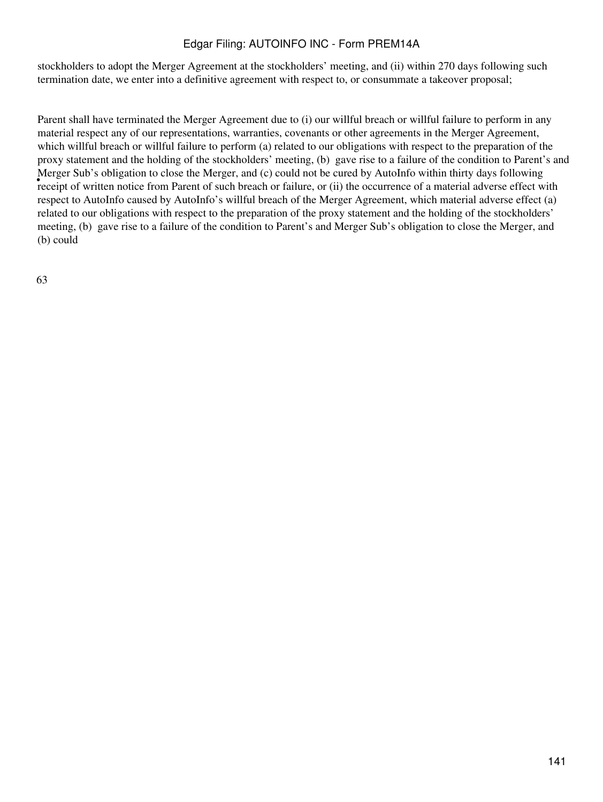stockholders to adopt the Merger Agreement at the stockholders' meeting, and (ii) within 270 days following such termination date, we enter into a definitive agreement with respect to, or consummate a takeover proposal;

receipt of written notice from Parent of such breach or failure, or (ii) the occurrence of a material adverse effect with Parent shall have terminated the Merger Agreement due to (i) our willful breach or willful failure to perform in any material respect any of our representations, warranties, covenants or other agreements in the Merger Agreement, which willful breach or willful failure to perform (a) related to our obligations with respect to the preparation of the proxy statement and the holding of the stockholders' meeting, (b) gave rise to a failure of the condition to Parent's and Merger Sub's obligation to close the Merger, and (c) could not be cured by AutoInfo within thirty days following respect to AutoInfo caused by AutoInfo's willful breach of the Merger Agreement, which material adverse effect (a) related to our obligations with respect to the preparation of the proxy statement and the holding of the stockholders' meeting, (b) gave rise to a failure of the condition to Parent's and Merger Sub's obligation to close the Merger, and (b) could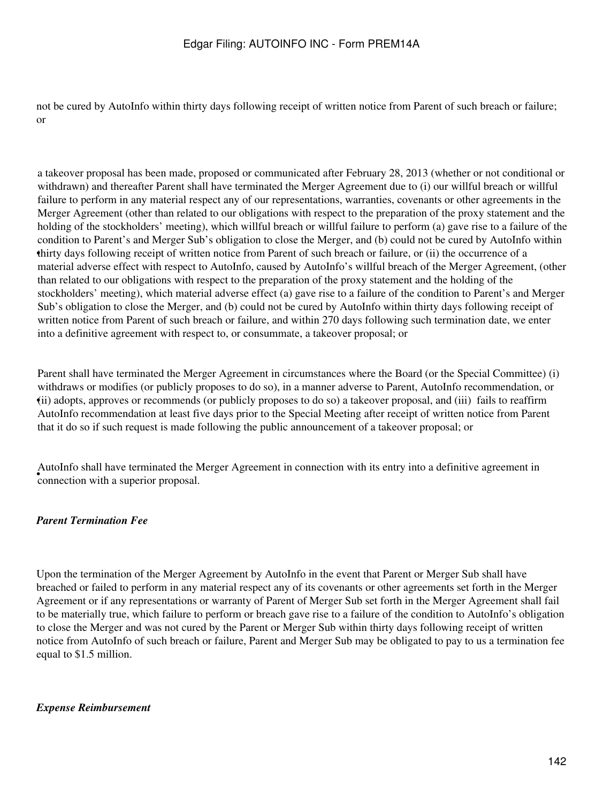not be cured by AutoInfo within thirty days following receipt of written notice from Parent of such breach or failure; or

• thirty days following receipt of written notice from Parent of such breach or failure, or (ii) the occurrence of a a takeover proposal has been made, proposed or communicated after February 28, 2013 (whether or not conditional or withdrawn) and thereafter Parent shall have terminated the Merger Agreement due to (i) our willful breach or willful failure to perform in any material respect any of our representations, warranties, covenants or other agreements in the Merger Agreement (other than related to our obligations with respect to the preparation of the proxy statement and the holding of the stockholders' meeting), which willful breach or willful failure to perform (a) gave rise to a failure of the condition to Parent's and Merger Sub's obligation to close the Merger, and (b) could not be cured by AutoInfo within material adverse effect with respect to AutoInfo, caused by AutoInfo's willful breach of the Merger Agreement, (other than related to our obligations with respect to the preparation of the proxy statement and the holding of the stockholders' meeting), which material adverse effect (a) gave rise to a failure of the condition to Parent's and Merger Sub's obligation to close the Merger, and (b) could not be cured by AutoInfo within thirty days following receipt of written notice from Parent of such breach or failure, and within 270 days following such termination date, we enter into a definitive agreement with respect to, or consummate, a takeover proposal; or

• (ii) adopts, approves or recommends (or publicly proposes to do so) a takeover proposal, and (iii) fails to reaffirm Parent shall have terminated the Merger Agreement in circumstances where the Board (or the Special Committee) (i) withdraws or modifies (or publicly proposes to do so), in a manner adverse to Parent, AutoInfo recommendation, or AutoInfo recommendation at least five days prior to the Special Meeting after receipt of written notice from Parent that it do so if such request is made following the public announcement of a takeover proposal; or

**•** connection with a superior proposal. AutoInfo shall have terminated the Merger Agreement in connection with its entry into a definitive agreement in

## *Parent Termination Fee*

Upon the termination of the Merger Agreement by AutoInfo in the event that Parent or Merger Sub shall have breached or failed to perform in any material respect any of its covenants or other agreements set forth in the Merger Agreement or if any representations or warranty of Parent of Merger Sub set forth in the Merger Agreement shall fail to be materially true, which failure to perform or breach gave rise to a failure of the condition to AutoInfo's obligation to close the Merger and was not cured by the Parent or Merger Sub within thirty days following receipt of written notice from AutoInfo of such breach or failure, Parent and Merger Sub may be obligated to pay to us a termination fee equal to \$1.5 million.

#### *Expense Reimbursement*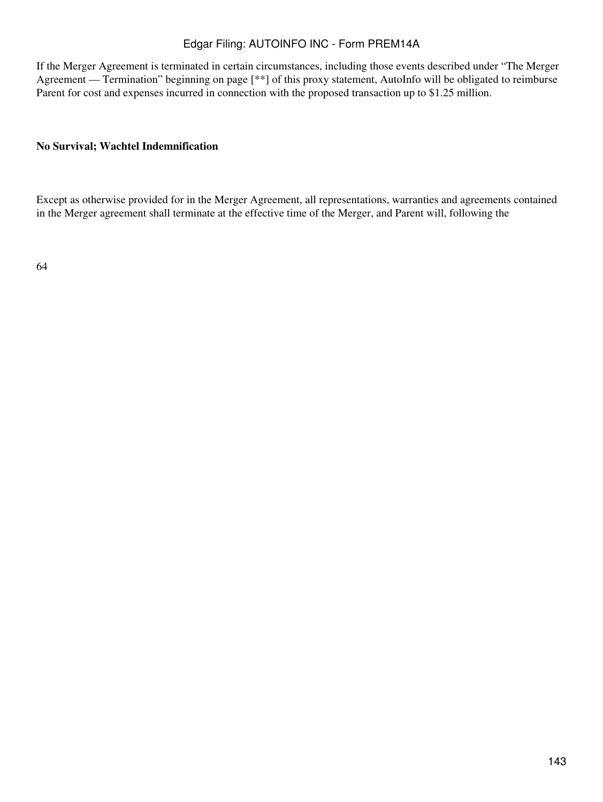If the Merger Agreement is terminated in certain circumstances, including those events described under "The Merger Agreement — Termination" beginning on page [\*\*] of this proxy statement, AutoInfo will be obligated to reimburse Parent for cost and expenses incurred in connection with the proposed transaction up to \$1.25 million.

### **No Survival; Wachtel Indemnification**

Except as otherwise provided for in the Merger Agreement, all representations, warranties and agreements contained in the Merger agreement shall terminate at the effective time of the Merger, and Parent will, following the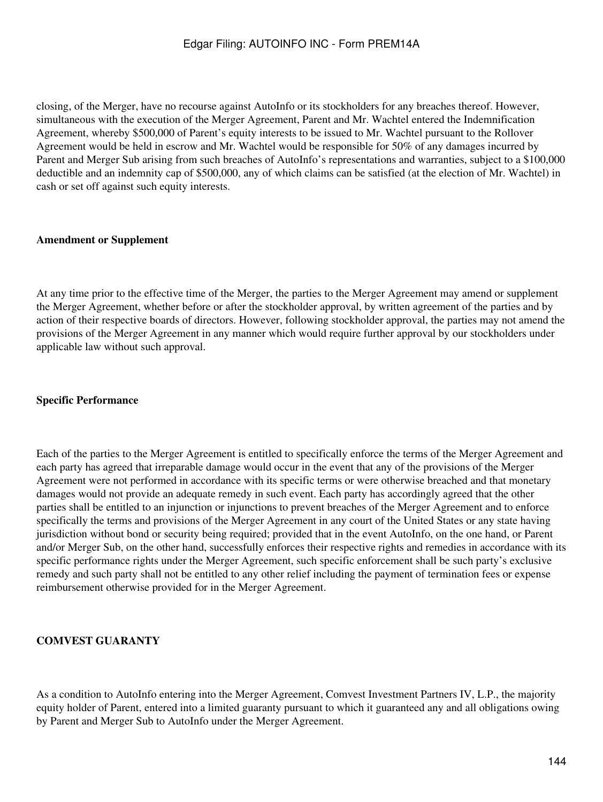closing, of the Merger, have no recourse against AutoInfo or its stockholders for any breaches thereof. However, simultaneous with the execution of the Merger Agreement, Parent and Mr. Wachtel entered the Indemnification Agreement, whereby \$500,000 of Parent's equity interests to be issued to Mr. Wachtel pursuant to the Rollover Agreement would be held in escrow and Mr. Wachtel would be responsible for 50% of any damages incurred by Parent and Merger Sub arising from such breaches of AutoInfo's representations and warranties, subject to a \$100,000 deductible and an indemnity cap of \$500,000, any of which claims can be satisfied (at the election of Mr. Wachtel) in cash or set off against such equity interests.

### **Amendment or Supplement**

At any time prior to the effective time of the Merger, the parties to the Merger Agreement may amend or supplement the Merger Agreement, whether before or after the stockholder approval, by written agreement of the parties and by action of their respective boards of directors. However, following stockholder approval, the parties may not amend the provisions of the Merger Agreement in any manner which would require further approval by our stockholders under applicable law without such approval.

#### **Specific Performance**

Each of the parties to the Merger Agreement is entitled to specifically enforce the terms of the Merger Agreement and each party has agreed that irreparable damage would occur in the event that any of the provisions of the Merger Agreement were not performed in accordance with its specific terms or were otherwise breached and that monetary damages would not provide an adequate remedy in such event. Each party has accordingly agreed that the other parties shall be entitled to an injunction or injunctions to prevent breaches of the Merger Agreement and to enforce specifically the terms and provisions of the Merger Agreement in any court of the United States or any state having jurisdiction without bond or security being required; provided that in the event AutoInfo, on the one hand, or Parent and/or Merger Sub, on the other hand, successfully enforces their respective rights and remedies in accordance with its specific performance rights under the Merger Agreement, such specific enforcement shall be such party's exclusive remedy and such party shall not be entitled to any other relief including the payment of termination fees or expense reimbursement otherwise provided for in the Merger Agreement.

## **COMVEST GUARANTY**

As a condition to AutoInfo entering into the Merger Agreement, Comvest Investment Partners IV, L.P., the majority equity holder of Parent, entered into a limited guaranty pursuant to which it guaranteed any and all obligations owing by Parent and Merger Sub to AutoInfo under the Merger Agreement.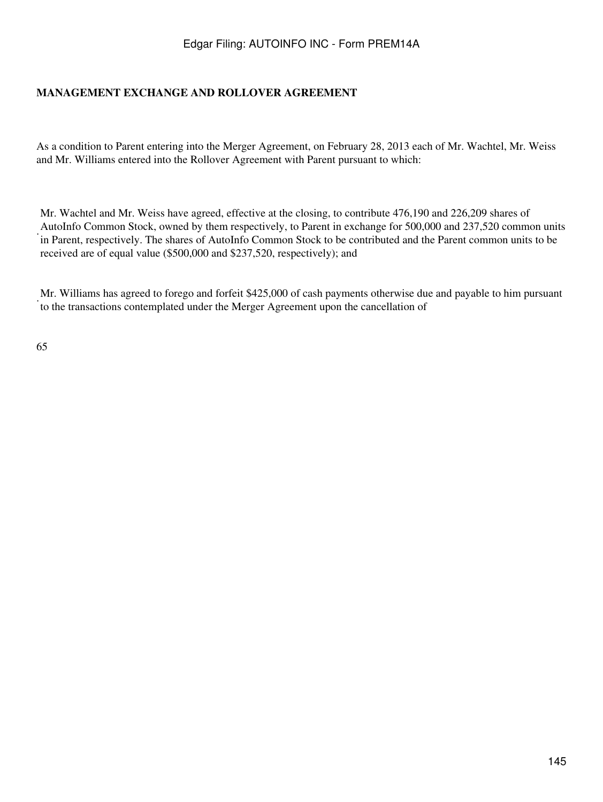#### **MANAGEMENT EXCHANGE AND ROLLOVER AGREEMENT**

As a condition to Parent entering into the Merger Agreement, on February 28, 2013 each of Mr. Wachtel, Mr. Weiss and Mr. Williams entered into the Rollover Agreement with Parent pursuant to which:

In Parent, respectively. The shares of AutoInfo Common Stock to be contributed and the Parent common units to be<br>in Parent, respectively. The shares of AutoInfo Common Stock to be contributed and the Parent common units to Mr. Wachtel and Mr. Weiss have agreed, effective at the closing, to contribute 476,190 and 226,209 shares of AutoInfo Common Stock, owned by them respectively, to Parent in exchange for 500,000 and 237,520 common units received are of equal value (\$500,000 and \$237,520, respectively); and

to the transactions contemplated under the Merger Agreement upon the cancellation of Mr. Williams has agreed to forego and forfeit \$425,000 of cash payments otherwise due and payable to him pursuant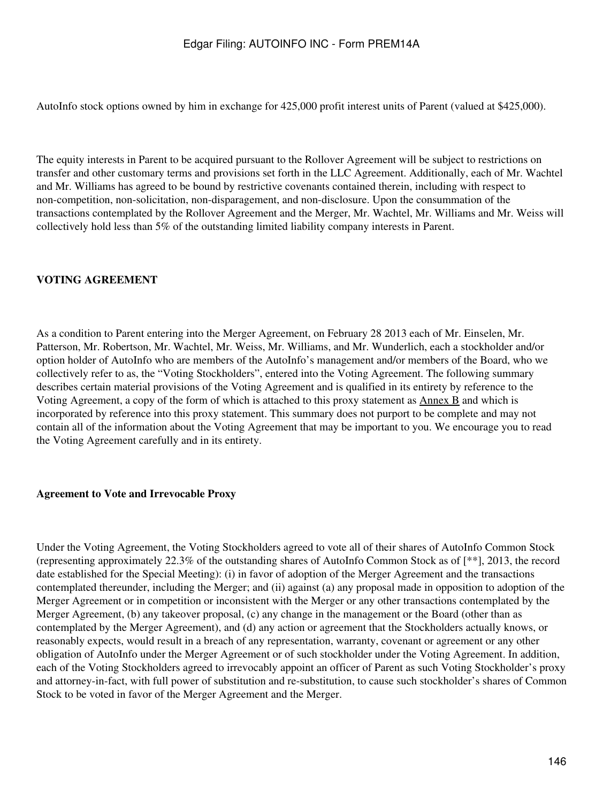AutoInfo stock options owned by him in exchange for 425,000 profit interest units of Parent (valued at \$425,000).

The equity interests in Parent to be acquired pursuant to the Rollover Agreement will be subject to restrictions on transfer and other customary terms and provisions set forth in the LLC Agreement. Additionally, each of Mr. Wachtel and Mr. Williams has agreed to be bound by restrictive covenants contained therein, including with respect to non-competition, non-solicitation, non-disparagement, and non-disclosure. Upon the consummation of the transactions contemplated by the Rollover Agreement and the Merger, Mr. Wachtel, Mr. Williams and Mr. Weiss will collectively hold less than 5% of the outstanding limited liability company interests in Parent.

#### **VOTING AGREEMENT**

As a condition to Parent entering into the Merger Agreement, on February 28 2013 each of Mr. Einselen, Mr. Patterson, Mr. Robertson, Mr. Wachtel, Mr. Weiss, Mr. Williams, and Mr. Wunderlich, each a stockholder and/or option holder of AutoInfo who are members of the AutoInfo's management and/or members of the Board, who we collectively refer to as, the "Voting Stockholders", entered into the Voting Agreement. The following summary describes certain material provisions of the Voting Agreement and is qualified in its entirety by reference to the Voting Agreement, a copy of the form of which is attached to this proxy statement as Annex B and which is incorporated by reference into this proxy statement. This summary does not purport to be complete and may not contain all of the information about the Voting Agreement that may be important to you. We encourage you to read the Voting Agreement carefully and in its entirety.

#### **Agreement to Vote and Irrevocable Proxy**

Under the Voting Agreement, the Voting Stockholders agreed to vote all of their shares of AutoInfo Common Stock (representing approximately 22.3% of the outstanding shares of AutoInfo Common Stock as of [\*\*], 2013, the record date established for the Special Meeting): (i) in favor of adoption of the Merger Agreement and the transactions contemplated thereunder, including the Merger; and (ii) against (a) any proposal made in opposition to adoption of the Merger Agreement or in competition or inconsistent with the Merger or any other transactions contemplated by the Merger Agreement, (b) any takeover proposal, (c) any change in the management or the Board (other than as contemplated by the Merger Agreement), and (d) any action or agreement that the Stockholders actually knows, or reasonably expects, would result in a breach of any representation, warranty, covenant or agreement or any other obligation of AutoInfo under the Merger Agreement or of such stockholder under the Voting Agreement. In addition, each of the Voting Stockholders agreed to irrevocably appoint an officer of Parent as such Voting Stockholder's proxy and attorney-in-fact, with full power of substitution and re-substitution, to cause such stockholder's shares of Common Stock to be voted in favor of the Merger Agreement and the Merger.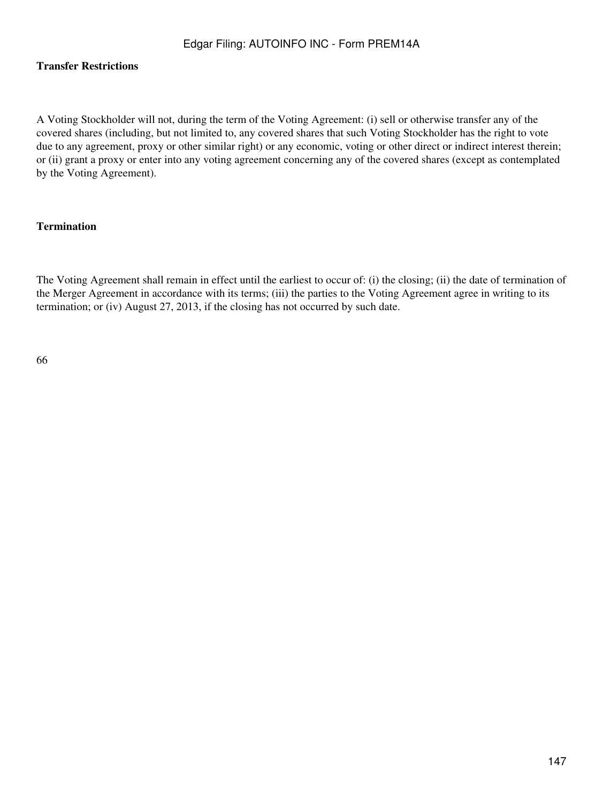#### **Transfer Restrictions**

A Voting Stockholder will not, during the term of the Voting Agreement: (i) sell or otherwise transfer any of the covered shares (including, but not limited to, any covered shares that such Voting Stockholder has the right to vote due to any agreement, proxy or other similar right) or any economic, voting or other direct or indirect interest therein; or (ii) grant a proxy or enter into any voting agreement concerning any of the covered shares (except as contemplated by the Voting Agreement).

#### **Termination**

The Voting Agreement shall remain in effect until the earliest to occur of: (i) the closing; (ii) the date of termination of the Merger Agreement in accordance with its terms; (iii) the parties to the Voting Agreement agree in writing to its termination; or (iv) August 27, 2013, if the closing has not occurred by such date.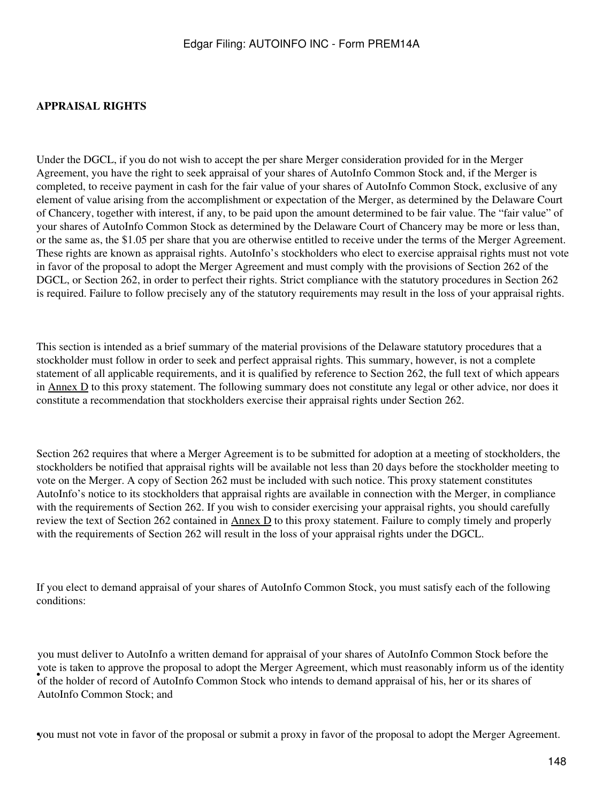#### **APPRAISAL RIGHTS**

Under the DGCL, if you do not wish to accept the per share Merger consideration provided for in the Merger Agreement, you have the right to seek appraisal of your shares of AutoInfo Common Stock and, if the Merger is completed, to receive payment in cash for the fair value of your shares of AutoInfo Common Stock, exclusive of any element of value arising from the accomplishment or expectation of the Merger, as determined by the Delaware Court of Chancery, together with interest, if any, to be paid upon the amount determined to be fair value. The "fair value" of your shares of AutoInfo Common Stock as determined by the Delaware Court of Chancery may be more or less than, or the same as, the \$1.05 per share that you are otherwise entitled to receive under the terms of the Merger Agreement. These rights are known as appraisal rights. AutoInfo's stockholders who elect to exercise appraisal rights must not vote in favor of the proposal to adopt the Merger Agreement and must comply with the provisions of Section 262 of the DGCL, or Section 262, in order to perfect their rights. Strict compliance with the statutory procedures in Section 262 is required. Failure to follow precisely any of the statutory requirements may result in the loss of your appraisal rights.

This section is intended as a brief summary of the material provisions of the Delaware statutory procedures that a stockholder must follow in order to seek and perfect appraisal rights. This summary, however, is not a complete statement of all applicable requirements, and it is qualified by reference to Section 262, the full text of which appears in Annex D to this proxy statement. The following summary does not constitute any legal or other advice, nor does it constitute a recommendation that stockholders exercise their appraisal rights under Section 262.

Section 262 requires that where a Merger Agreement is to be submitted for adoption at a meeting of stockholders, the stockholders be notified that appraisal rights will be available not less than 20 days before the stockholder meeting to vote on the Merger. A copy of Section 262 must be included with such notice. This proxy statement constitutes AutoInfo's notice to its stockholders that appraisal rights are available in connection with the Merger, in compliance with the requirements of Section 262. If you wish to consider exercising your appraisal rights, you should carefully review the text of Section 262 contained in Annex D to this proxy statement. Failure to comply timely and properly with the requirements of Section 262 will result in the loss of your appraisal rights under the DGCL.

If you elect to demand appraisal of your shares of AutoInfo Common Stock, you must satisfy each of the following conditions:

For the holder of record of AutoInfo Common Stock who intends to demand appraisal of his, her or its shares of of the holder of record of AutoInfo Common Stock who intends to demand appraisal of his, her or its shares of you must deliver to AutoInfo a written demand for appraisal of your shares of AutoInfo Common Stock before the vote is taken to approve the proposal to adopt the Merger Agreement, which must reasonably inform us of the identity AutoInfo Common Stock; and

•you must not vote in favor of the proposal or submit a proxy in favor of the proposal to adopt the Merger Agreement.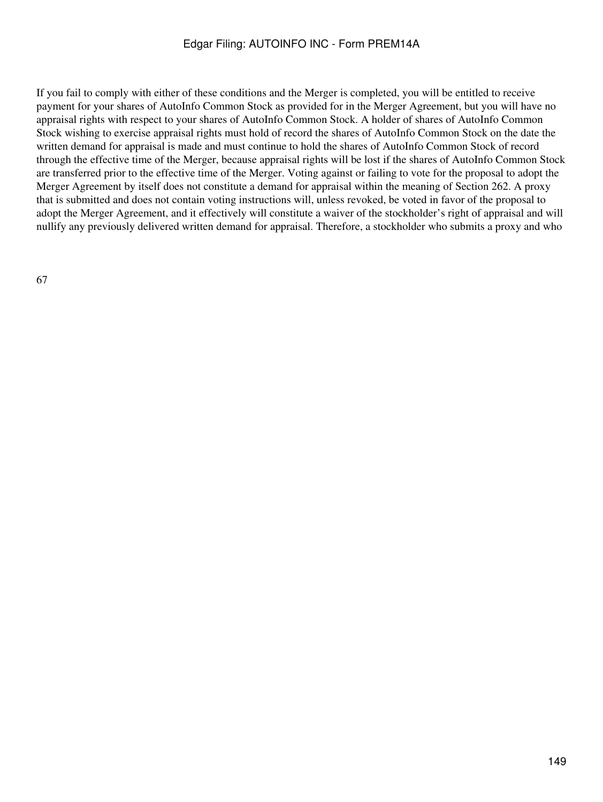If you fail to comply with either of these conditions and the Merger is completed, you will be entitled to receive payment for your shares of AutoInfo Common Stock as provided for in the Merger Agreement, but you will have no appraisal rights with respect to your shares of AutoInfo Common Stock. A holder of shares of AutoInfo Common Stock wishing to exercise appraisal rights must hold of record the shares of AutoInfo Common Stock on the date the written demand for appraisal is made and must continue to hold the shares of AutoInfo Common Stock of record through the effective time of the Merger, because appraisal rights will be lost if the shares of AutoInfo Common Stock are transferred prior to the effective time of the Merger. Voting against or failing to vote for the proposal to adopt the Merger Agreement by itself does not constitute a demand for appraisal within the meaning of Section 262. A proxy that is submitted and does not contain voting instructions will, unless revoked, be voted in favor of the proposal to adopt the Merger Agreement, and it effectively will constitute a waiver of the stockholder's right of appraisal and will nullify any previously delivered written demand for appraisal. Therefore, a stockholder who submits a proxy and who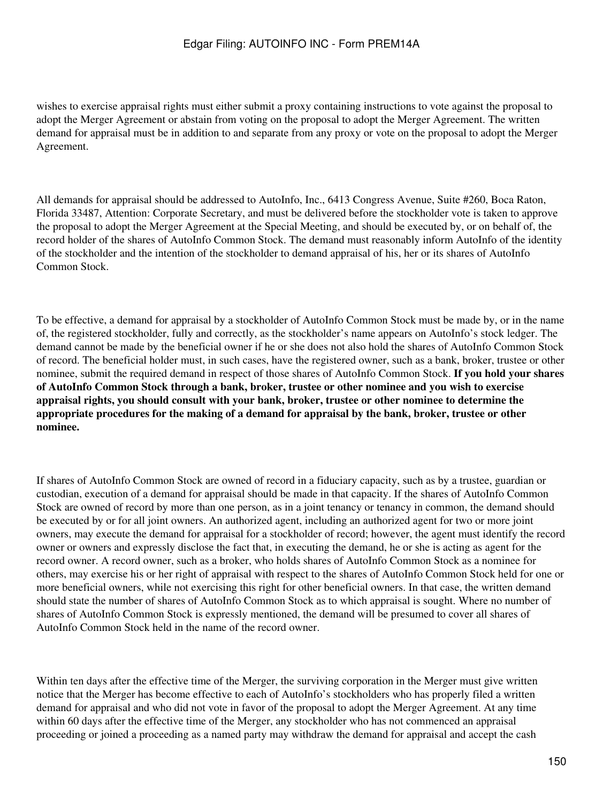wishes to exercise appraisal rights must either submit a proxy containing instructions to vote against the proposal to adopt the Merger Agreement or abstain from voting on the proposal to adopt the Merger Agreement. The written demand for appraisal must be in addition to and separate from any proxy or vote on the proposal to adopt the Merger Agreement.

All demands for appraisal should be addressed to AutoInfo, Inc., 6413 Congress Avenue, Suite #260, Boca Raton, Florida 33487, Attention: Corporate Secretary, and must be delivered before the stockholder vote is taken to approve the proposal to adopt the Merger Agreement at the Special Meeting, and should be executed by, or on behalf of, the record holder of the shares of AutoInfo Common Stock. The demand must reasonably inform AutoInfo of the identity of the stockholder and the intention of the stockholder to demand appraisal of his, her or its shares of AutoInfo Common Stock.

To be effective, a demand for appraisal by a stockholder of AutoInfo Common Stock must be made by, or in the name of, the registered stockholder, fully and correctly, as the stockholder's name appears on AutoInfo's stock ledger. The demand cannot be made by the beneficial owner if he or she does not also hold the shares of AutoInfo Common Stock of record. The beneficial holder must, in such cases, have the registered owner, such as a bank, broker, trustee or other nominee, submit the required demand in respect of those shares of AutoInfo Common Stock. **If you hold your shares of AutoInfo Common Stock through a bank, broker, trustee or other nominee and you wish to exercise appraisal rights, you should consult with your bank, broker, trustee or other nominee to determine the appropriate procedures for the making of a demand for appraisal by the bank, broker, trustee or other nominee.**

If shares of AutoInfo Common Stock are owned of record in a fiduciary capacity, such as by a trustee, guardian or custodian, execution of a demand for appraisal should be made in that capacity. If the shares of AutoInfo Common Stock are owned of record by more than one person, as in a joint tenancy or tenancy in common, the demand should be executed by or for all joint owners. An authorized agent, including an authorized agent for two or more joint owners, may execute the demand for appraisal for a stockholder of record; however, the agent must identify the record owner or owners and expressly disclose the fact that, in executing the demand, he or she is acting as agent for the record owner. A record owner, such as a broker, who holds shares of AutoInfo Common Stock as a nominee for others, may exercise his or her right of appraisal with respect to the shares of AutoInfo Common Stock held for one or more beneficial owners, while not exercising this right for other beneficial owners. In that case, the written demand should state the number of shares of AutoInfo Common Stock as to which appraisal is sought. Where no number of shares of AutoInfo Common Stock is expressly mentioned, the demand will be presumed to cover all shares of AutoInfo Common Stock held in the name of the record owner.

Within ten days after the effective time of the Merger, the surviving corporation in the Merger must give written notice that the Merger has become effective to each of AutoInfo's stockholders who has properly filed a written demand for appraisal and who did not vote in favor of the proposal to adopt the Merger Agreement. At any time within 60 days after the effective time of the Merger, any stockholder who has not commenced an appraisal proceeding or joined a proceeding as a named party may withdraw the demand for appraisal and accept the cash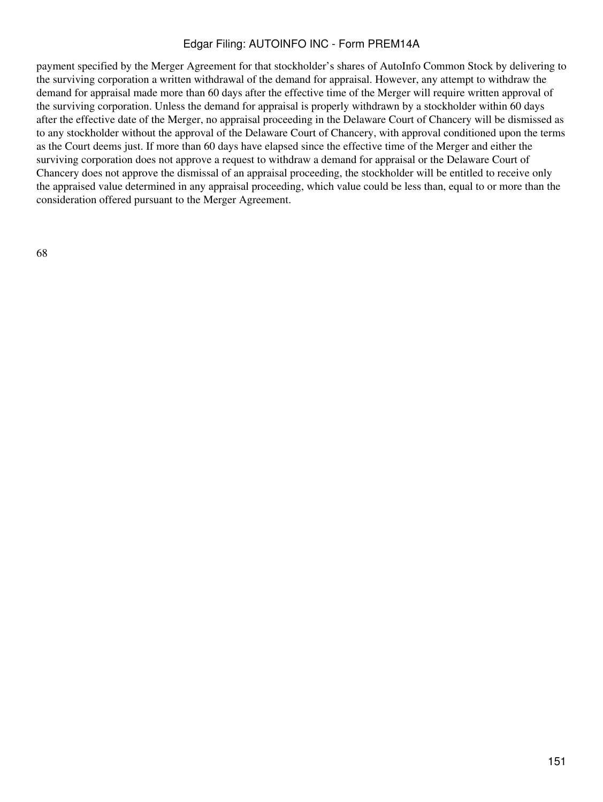payment specified by the Merger Agreement for that stockholder's shares of AutoInfo Common Stock by delivering to the surviving corporation a written withdrawal of the demand for appraisal. However, any attempt to withdraw the demand for appraisal made more than 60 days after the effective time of the Merger will require written approval of the surviving corporation. Unless the demand for appraisal is properly withdrawn by a stockholder within 60 days after the effective date of the Merger, no appraisal proceeding in the Delaware Court of Chancery will be dismissed as to any stockholder without the approval of the Delaware Court of Chancery, with approval conditioned upon the terms as the Court deems just. If more than 60 days have elapsed since the effective time of the Merger and either the surviving corporation does not approve a request to withdraw a demand for appraisal or the Delaware Court of Chancery does not approve the dismissal of an appraisal proceeding, the stockholder will be entitled to receive only the appraised value determined in any appraisal proceeding, which value could be less than, equal to or more than the consideration offered pursuant to the Merger Agreement.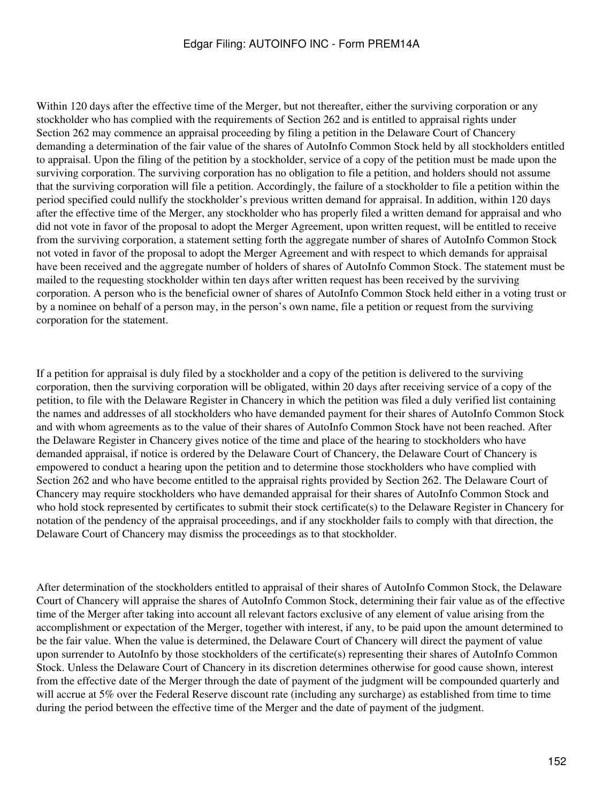Within 120 days after the effective time of the Merger, but not thereafter, either the surviving corporation or any stockholder who has complied with the requirements of Section 262 and is entitled to appraisal rights under Section 262 may commence an appraisal proceeding by filing a petition in the Delaware Court of Chancery demanding a determination of the fair value of the shares of AutoInfo Common Stock held by all stockholders entitled to appraisal. Upon the filing of the petition by a stockholder, service of a copy of the petition must be made upon the surviving corporation. The surviving corporation has no obligation to file a petition, and holders should not assume that the surviving corporation will file a petition. Accordingly, the failure of a stockholder to file a petition within the period specified could nullify the stockholder's previous written demand for appraisal. In addition, within 120 days after the effective time of the Merger, any stockholder who has properly filed a written demand for appraisal and who did not vote in favor of the proposal to adopt the Merger Agreement, upon written request, will be entitled to receive from the surviving corporation, a statement setting forth the aggregate number of shares of AutoInfo Common Stock not voted in favor of the proposal to adopt the Merger Agreement and with respect to which demands for appraisal have been received and the aggregate number of holders of shares of AutoInfo Common Stock. The statement must be mailed to the requesting stockholder within ten days after written request has been received by the surviving corporation. A person who is the beneficial owner of shares of AutoInfo Common Stock held either in a voting trust or by a nominee on behalf of a person may, in the person's own name, file a petition or request from the surviving corporation for the statement.

If a petition for appraisal is duly filed by a stockholder and a copy of the petition is delivered to the surviving corporation, then the surviving corporation will be obligated, within 20 days after receiving service of a copy of the petition, to file with the Delaware Register in Chancery in which the petition was filed a duly verified list containing the names and addresses of all stockholders who have demanded payment for their shares of AutoInfo Common Stock and with whom agreements as to the value of their shares of AutoInfo Common Stock have not been reached. After the Delaware Register in Chancery gives notice of the time and place of the hearing to stockholders who have demanded appraisal, if notice is ordered by the Delaware Court of Chancery, the Delaware Court of Chancery is empowered to conduct a hearing upon the petition and to determine those stockholders who have complied with Section 262 and who have become entitled to the appraisal rights provided by Section 262. The Delaware Court of Chancery may require stockholders who have demanded appraisal for their shares of AutoInfo Common Stock and who hold stock represented by certificates to submit their stock certificate(s) to the Delaware Register in Chancery for notation of the pendency of the appraisal proceedings, and if any stockholder fails to comply with that direction, the Delaware Court of Chancery may dismiss the proceedings as to that stockholder.

After determination of the stockholders entitled to appraisal of their shares of AutoInfo Common Stock, the Delaware Court of Chancery will appraise the shares of AutoInfo Common Stock, determining their fair value as of the effective time of the Merger after taking into account all relevant factors exclusive of any element of value arising from the accomplishment or expectation of the Merger, together with interest, if any, to be paid upon the amount determined to be the fair value. When the value is determined, the Delaware Court of Chancery will direct the payment of value upon surrender to AutoInfo by those stockholders of the certificate(s) representing their shares of AutoInfo Common Stock. Unless the Delaware Court of Chancery in its discretion determines otherwise for good cause shown, interest from the effective date of the Merger through the date of payment of the judgment will be compounded quarterly and will accrue at 5% over the Federal Reserve discount rate (including any surcharge) as established from time to time during the period between the effective time of the Merger and the date of payment of the judgment.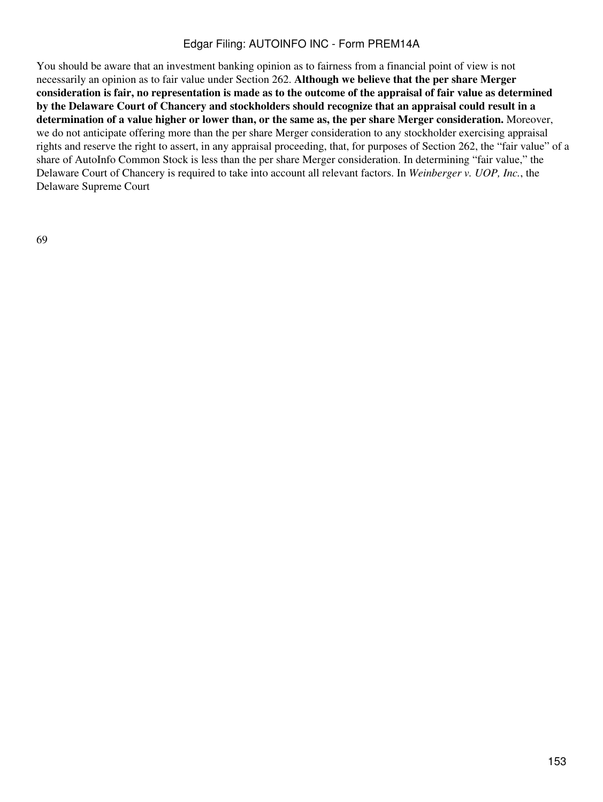You should be aware that an investment banking opinion as to fairness from a financial point of view is not necessarily an opinion as to fair value under Section 262. **Although we believe that the per share Merger consideration is fair, no representation is made as to the outcome of the appraisal of fair value as determined by the Delaware Court of Chancery and stockholders should recognize that an appraisal could result in a determination of a value higher or lower than, or the same as, the per share Merger consideration.** Moreover, we do not anticipate offering more than the per share Merger consideration to any stockholder exercising appraisal rights and reserve the right to assert, in any appraisal proceeding, that, for purposes of Section 262, the "fair value" of a share of AutoInfo Common Stock is less than the per share Merger consideration. In determining "fair value," the Delaware Court of Chancery is required to take into account all relevant factors. In *Weinberger v. UOP, Inc.*, the Delaware Supreme Court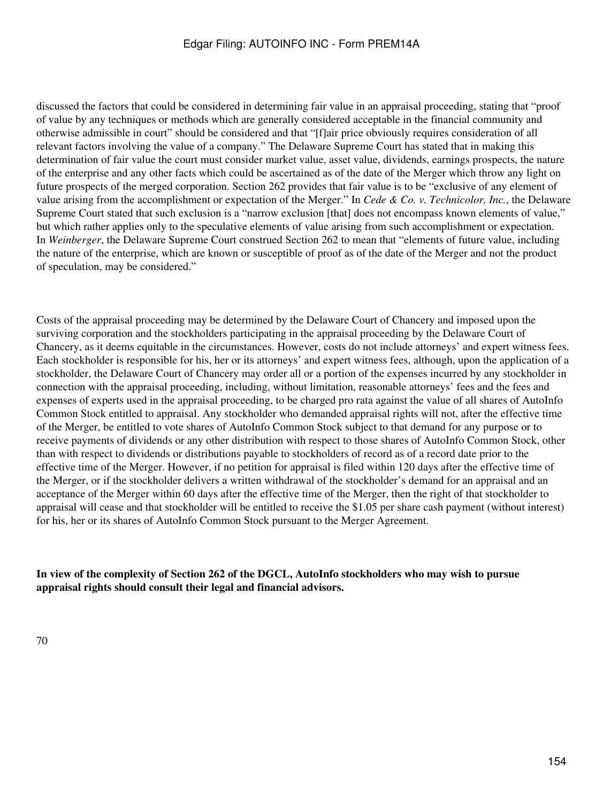discussed the factors that could be considered in determining fair value in an appraisal proceeding, stating that "proof of value by any techniques or methods which are generally considered acceptable in the financial community and otherwise admissible in court" should be considered and that "[f]air price obviously requires consideration of all relevant factors involving the value of a company." The Delaware Supreme Court has stated that in making this determination of fair value the court must consider market value, asset value, dividends, earnings prospects, the nature of the enterprise and any other facts which could be ascertained as of the date of the Merger which throw any light on future prospects of the merged corporation. Section 262 provides that fair value is to be "exclusive of any element of value arising from the accomplishment or expectation of the Merger." In *Cede & Co. v. Technicolor, Inc.*, the Delaware Supreme Court stated that such exclusion is a "narrow exclusion [that] does not encompass known elements of value," but which rather applies only to the speculative elements of value arising from such accomplishment or expectation. In *Weinberger*, the Delaware Supreme Court construed Section 262 to mean that "elements of future value, including the nature of the enterprise, which are known or susceptible of proof as of the date of the Merger and not the product of speculation, may be considered."

Costs of the appraisal proceeding may be determined by the Delaware Court of Chancery and imposed upon the surviving corporation and the stockholders participating in the appraisal proceeding by the Delaware Court of Chancery, as it deems equitable in the circumstances. However, costs do not include attorneys' and expert witness fees. Each stockholder is responsible for his, her or its attorneys' and expert witness fees, although, upon the application of a stockholder, the Delaware Court of Chancery may order all or a portion of the expenses incurred by any stockholder in connection with the appraisal proceeding, including, without limitation, reasonable attorneys' fees and the fees and expenses of experts used in the appraisal proceeding, to be charged pro rata against the value of all shares of AutoInfo Common Stock entitled to appraisal. Any stockholder who demanded appraisal rights will not, after the effective time of the Merger, be entitled to vote shares of AutoInfo Common Stock subject to that demand for any purpose or to receive payments of dividends or any other distribution with respect to those shares of AutoInfo Common Stock, other than with respect to dividends or distributions payable to stockholders of record as of a record date prior to the effective time of the Merger. However, if no petition for appraisal is filed within 120 days after the effective time of the Merger, or if the stockholder delivers a written withdrawal of the stockholder's demand for an appraisal and an acceptance of the Merger within 60 days after the effective time of the Merger, then the right of that stockholder to appraisal will cease and that stockholder will be entitled to receive the \$1.05 per share cash payment (without interest) for his, her or its shares of AutoInfo Common Stock pursuant to the Merger Agreement.

**In view of the complexity of Section 262 of the DGCL, AutoInfo stockholders who may wish to pursue appraisal rights should consult their legal and financial advisors.**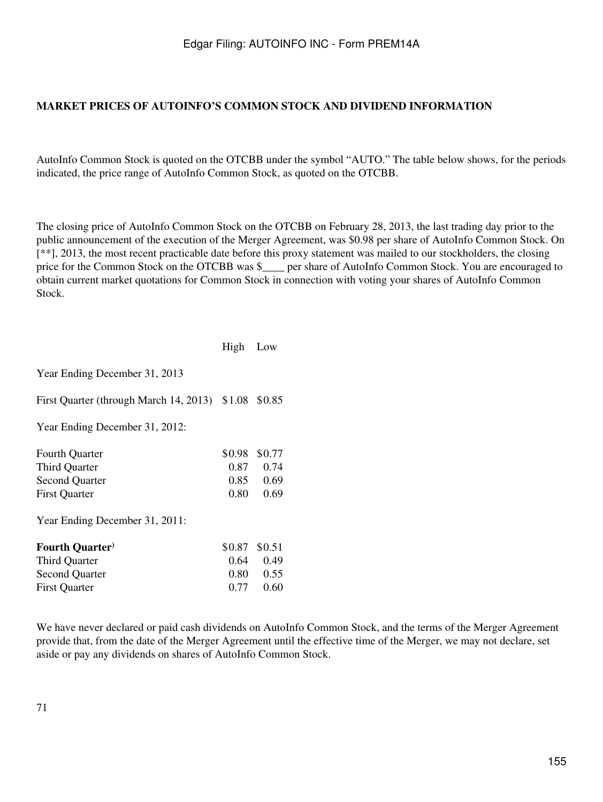#### **MARKET PRICES OF AUTOINFO'S COMMON STOCK AND DIVIDEND INFORMATION**

AutoInfo Common Stock is quoted on the OTCBB under the symbol "AUTO." The table below shows, for the periods indicated, the price range of AutoInfo Common Stock, as quoted on the OTCBB.

The closing price of AutoInfo Common Stock on the OTCBB on February 28, 2013, the last trading day prior to the public announcement of the execution of the Merger Agreement, was \$0.98 per share of AutoInfo Common Stock. On [\*\*], 2013, the most recent practicable date before this proxy statement was mailed to our stockholders, the closing price for the Common Stock on the OTCBB was \$\_\_\_\_ per share of AutoInfo Common Stock. You are encouraged to obtain current market quotations for Common Stock in connection with voting your shares of AutoInfo Common Stock.

|                                                      | High | Low               |
|------------------------------------------------------|------|-------------------|
| Year Ending December 31, 2013                        |      |                   |
| First Quarter (through March 14, 2013) \$1.08 \$0.85 |      |                   |
| Year Ending December 31, 2012:                       |      |                   |
| <b>Fourth Quarter</b>                                |      | \$0.98 \$0.77     |
| <b>Third Quarter</b>                                 |      | $0.87$ 0.74       |
| <b>Second Quarter</b>                                |      | 0.85 0.69         |
| <b>First Quarter</b>                                 |      | $0.80 \quad 0.69$ |
| Year Ending December 31, 2011:                       |      |                   |
| <b>Fourth Quarter</b>                                |      | \$0.87 \$0.51     |
| <b>Third Quarter</b>                                 |      | $0.64$ 0.49       |
| <b>Second Quarter</b>                                |      | $0.80 \quad 0.55$ |
| <b>First Quarter</b>                                 | 0.77 | 0.60              |

We have never declared or paid cash dividends on AutoInfo Common Stock, and the terms of the Merger Agreement provide that, from the date of the Merger Agreement until the effective time of the Merger, we may not declare, set aside or pay any dividends on shares of AutoInfo Common Stock.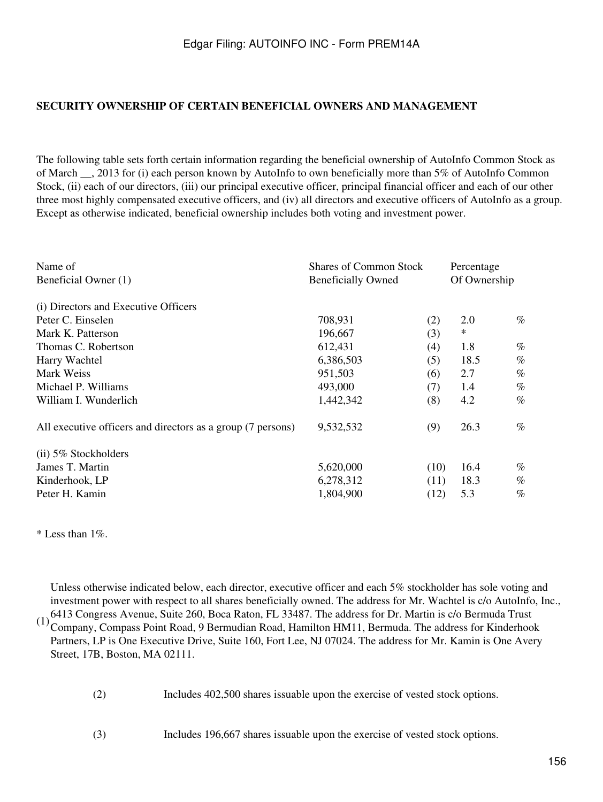#### **SECURITY OWNERSHIP OF CERTAIN BENEFICIAL OWNERS AND MANAGEMENT**

The following table sets forth certain information regarding the beneficial ownership of AutoInfo Common Stock as of March \_\_, 2013 for (i) each person known by AutoInfo to own beneficially more than 5% of AutoInfo Common Stock, (ii) each of our directors, (iii) our principal executive officer, principal financial officer and each of our other three most highly compensated executive officers, and (iv) all directors and executive officers of AutoInfo as a group. Except as otherwise indicated, beneficial ownership includes both voting and investment power.

| Name of                                                     | <b>Shares of Common Stock</b> |      | Percentage   |      |
|-------------------------------------------------------------|-------------------------------|------|--------------|------|
| Beneficial Owner (1)                                        | <b>Beneficially Owned</b>     |      | Of Ownership |      |
| (i) Directors and Executive Officers                        |                               |      |              |      |
| Peter C. Einselen                                           | 708,931                       | (2)  | 2.0          | $\%$ |
| Mark K. Patterson                                           | 196,667                       | (3)  | $\ast$       |      |
| Thomas C. Robertson                                         | 612,431                       | (4)  | 1.8          | $\%$ |
| Harry Wachtel                                               | 6,386,503                     | (5)  | 18.5         | $\%$ |
| Mark Weiss                                                  | 951,503                       | (6)  | 2.7          | $\%$ |
| Michael P. Williams                                         | 493,000                       | (7)  | 1.4          | $\%$ |
| William I. Wunderlich                                       | 1,442,342                     | (8)  | 4.2          | $\%$ |
| All executive officers and directors as a group (7 persons) | 9,532,532                     | (9)  | 26.3         | $\%$ |
| $(ii)$ 5% Stockholders                                      |                               |      |              |      |
| James T. Martin                                             | 5,620,000                     | (10) | 16.4         | $\%$ |
| Kinderhook, LP                                              | 6,278,312                     | (11) | 18.3         | $\%$ |
| Peter H. Kamin                                              | 1,804,900                     | (12) | 5.3          | $\%$ |

 $*$  Less than 1%.

(1) 6413 Congress Avenue, Suite 260, Boca Raton, FL 33487. The address for Dr. Martin is c/o Bermuda Trust Unless otherwise indicated below, each director, executive officer and each 5% stockholder has sole voting and investment power with respect to all shares beneficially owned. The address for Mr. Wachtel is c/o AutoInfo, Inc., Company, Compass Point Road, 9 Bermudian Road, Hamilton HM11, Bermuda. The address for Kinderhook Partners, LP is One Executive Drive, Suite 160, Fort Lee, NJ 07024. The address for Mr. Kamin is One Avery Street, 17B, Boston, MA 02111.

- (2) Includes 402,500 shares issuable upon the exercise of vested stock options.
- (3) Includes 196,667 shares issuable upon the exercise of vested stock options.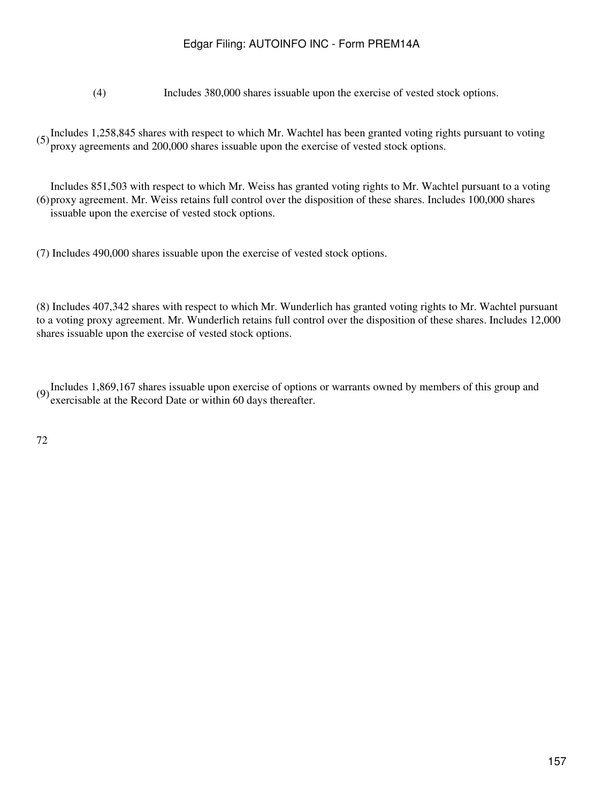(4) Includes 380,000 shares issuable upon the exercise of vested stock options.

(5)Includes 1,258,845 shares with respect to which Mr. Wachtel has been granted voting rights pursuant to voting  $(5)$ proxy agreements and 200,000 shares issuable upon the exercise of vested stock options.

(6) proxy agreement. Mr. Weiss retains full control over the disposition of these shares. Includes 100,000 shares Includes 851,503 with respect to which Mr. Weiss has granted voting rights to Mr. Wachtel pursuant to a voting issuable upon the exercise of vested stock options.

(7) Includes 490,000 shares issuable upon the exercise of vested stock options.

(8) Includes 407,342 shares with respect to which Mr. Wunderlich has granted voting rights to Mr. Wachtel pursuant to a voting proxy agreement. Mr. Wunderlich retains full control over the disposition of these shares. Includes 12,000 shares issuable upon the exercise of vested stock options.

(9) Includes 1,869,167 shares issuable upon exercise of options or warrants owned by members of this group and exercisable at the Record Date or within 60 days thereafter.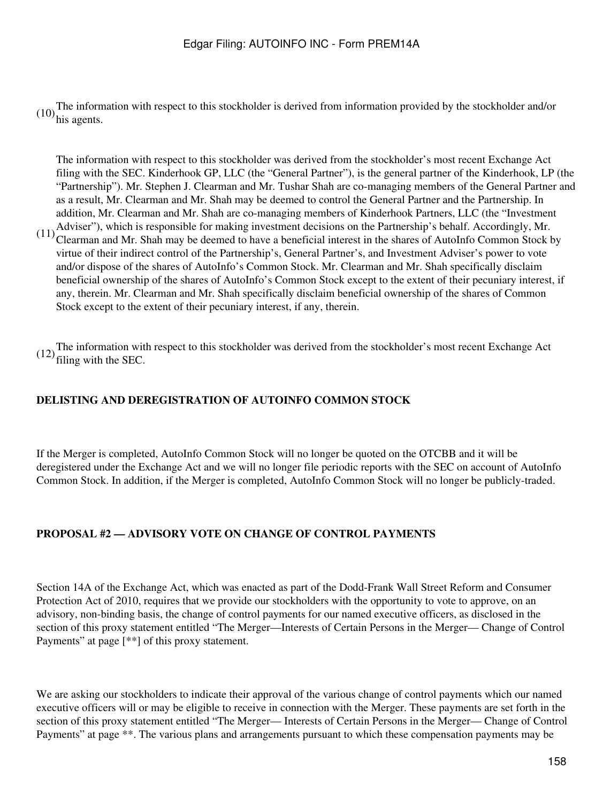(10)The information with respect to this stockholder is derived from information provided by the stockholder and/or his agents.

 $(11)$ Adviser"), which is responsible for making investment decisions on the Partnership's behalf. Accordingly, Mr.  $(11)$ Clearmon and Mr. Shakimav be deemed to have a banaficial interact in the above of AutoInfo Common S The information with respect to this stockholder was derived from the stockholder's most recent Exchange Act filing with the SEC. Kinderhook GP, LLC (the "General Partner"), is the general partner of the Kinderhook, LP (the "Partnership"). Mr. Stephen J. Clearman and Mr. Tushar Shah are co-managing members of the General Partner and as a result, Mr. Clearman and Mr. Shah may be deemed to control the General Partner and the Partnership. In addition, Mr. Clearman and Mr. Shah are co-managing members of Kinderhook Partners, LLC (the "Investment Clearman and Mr. Shah may be deemed to have a beneficial interest in the shares of AutoInfo Common Stock by virtue of their indirect control of the Partnership's, General Partner's, and Investment Adviser's power to vote and/or dispose of the shares of AutoInfo's Common Stock. Mr. Clearman and Mr. Shah specifically disclaim beneficial ownership of the shares of AutoInfo's Common Stock except to the extent of their pecuniary interest, if any, therein. Mr. Clearman and Mr. Shah specifically disclaim beneficial ownership of the shares of Common Stock except to the extent of their pecuniary interest, if any, therein.

(12) The information with respect to this stockholder was derived from the stockholder's most recent Exchange Act  $(12)$   $\text{cm}$  and the SEG filing with the SEC.

#### **DELISTING AND DEREGISTRATION OF AUTOINFO COMMON STOCK**

If the Merger is completed, AutoInfo Common Stock will no longer be quoted on the OTCBB and it will be deregistered under the Exchange Act and we will no longer file periodic reports with the SEC on account of AutoInfo Common Stock. In addition, if the Merger is completed, AutoInfo Common Stock will no longer be publicly-traded.

#### **PROPOSAL #2 — ADVISORY VOTE ON CHANGE OF CONTROL PAYMENTS**

Section 14A of the Exchange Act, which was enacted as part of the Dodd-Frank Wall Street Reform and Consumer Protection Act of 2010, requires that we provide our stockholders with the opportunity to vote to approve, on an advisory, non-binding basis, the change of control payments for our named executive officers, as disclosed in the section of this proxy statement entitled "The Merger—Interests of Certain Persons in the Merger— Change of Control Payments" at page [\*\*] of this proxy statement.

We are asking our stockholders to indicate their approval of the various change of control payments which our named executive officers will or may be eligible to receive in connection with the Merger. These payments are set forth in the section of this proxy statement entitled "The Merger— Interests of Certain Persons in the Merger— Change of Control Payments" at page \*\*. The various plans and arrangements pursuant to which these compensation payments may be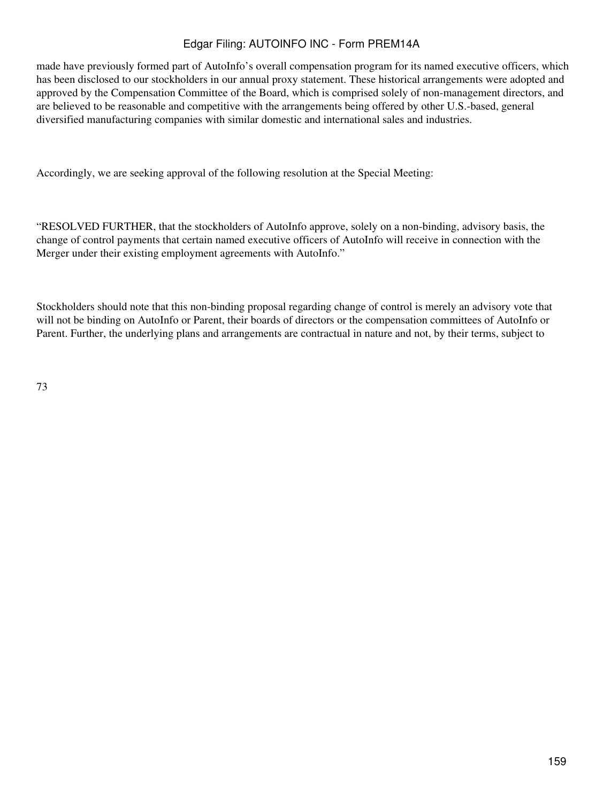made have previously formed part of AutoInfo's overall compensation program for its named executive officers, which has been disclosed to our stockholders in our annual proxy statement. These historical arrangements were adopted and approved by the Compensation Committee of the Board, which is comprised solely of non-management directors, and are believed to be reasonable and competitive with the arrangements being offered by other U.S.-based, general diversified manufacturing companies with similar domestic and international sales and industries.

Accordingly, we are seeking approval of the following resolution at the Special Meeting:

"RESOLVED FURTHER, that the stockholders of AutoInfo approve, solely on a non-binding, advisory basis, the change of control payments that certain named executive officers of AutoInfo will receive in connection with the Merger under their existing employment agreements with AutoInfo."

Stockholders should note that this non-binding proposal regarding change of control is merely an advisory vote that will not be binding on AutoInfo or Parent, their boards of directors or the compensation committees of AutoInfo or Parent. Further, the underlying plans and arrangements are contractual in nature and not, by their terms, subject to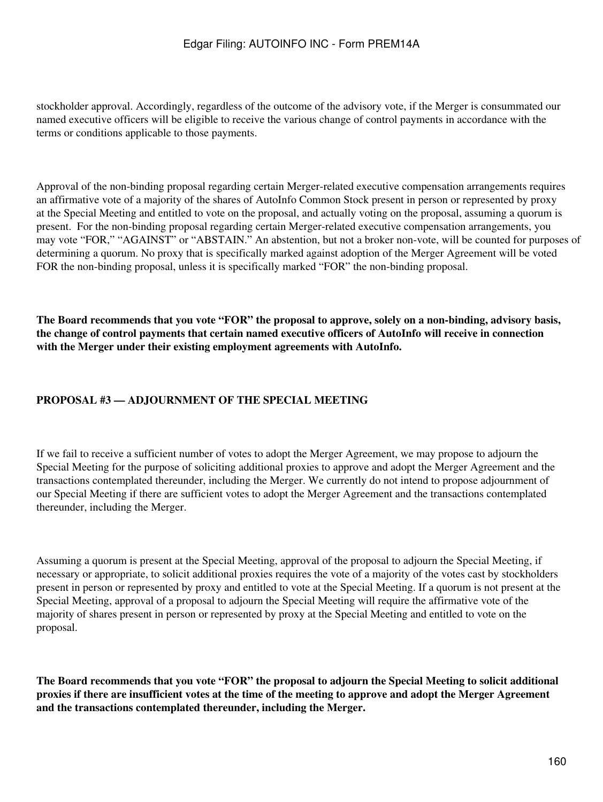stockholder approval. Accordingly, regardless of the outcome of the advisory vote, if the Merger is consummated our named executive officers will be eligible to receive the various change of control payments in accordance with the terms or conditions applicable to those payments.

Approval of the non-binding proposal regarding certain Merger-related executive compensation arrangements requires an affirmative vote of a majority of the shares of AutoInfo Common Stock present in person or represented by proxy at the Special Meeting and entitled to vote on the proposal, and actually voting on the proposal, assuming a quorum is present. For the non-binding proposal regarding certain Merger-related executive compensation arrangements, you may vote "FOR," "AGAINST" or "ABSTAIN." An abstention, but not a broker non-vote, will be counted for purposes of determining a quorum. No proxy that is specifically marked against adoption of the Merger Agreement will be voted FOR the non-binding proposal, unless it is specifically marked "FOR" the non-binding proposal.

**The Board recommends that you vote "FOR" the proposal to approve, solely on a non-binding, advisory basis, the change of control payments that certain named executive officers of AutoInfo will receive in connection with the Merger under their existing employment agreements with AutoInfo.**

# **PROPOSAL #3 — ADJOURNMENT OF THE SPECIAL MEETING**

If we fail to receive a sufficient number of votes to adopt the Merger Agreement, we may propose to adjourn the Special Meeting for the purpose of soliciting additional proxies to approve and adopt the Merger Agreement and the transactions contemplated thereunder, including the Merger. We currently do not intend to propose adjournment of our Special Meeting if there are sufficient votes to adopt the Merger Agreement and the transactions contemplated thereunder, including the Merger.

Assuming a quorum is present at the Special Meeting, approval of the proposal to adjourn the Special Meeting, if necessary or appropriate, to solicit additional proxies requires the vote of a majority of the votes cast by stockholders present in person or represented by proxy and entitled to vote at the Special Meeting. If a quorum is not present at the Special Meeting, approval of a proposal to adjourn the Special Meeting will require the affirmative vote of the majority of shares present in person or represented by proxy at the Special Meeting and entitled to vote on the proposal.

**The Board recommends that you vote "FOR" the proposal to adjourn the Special Meeting to solicit additional proxies if there are insufficient votes at the time of the meeting to approve and adopt the Merger Agreement and the transactions contemplated thereunder, including the Merger.**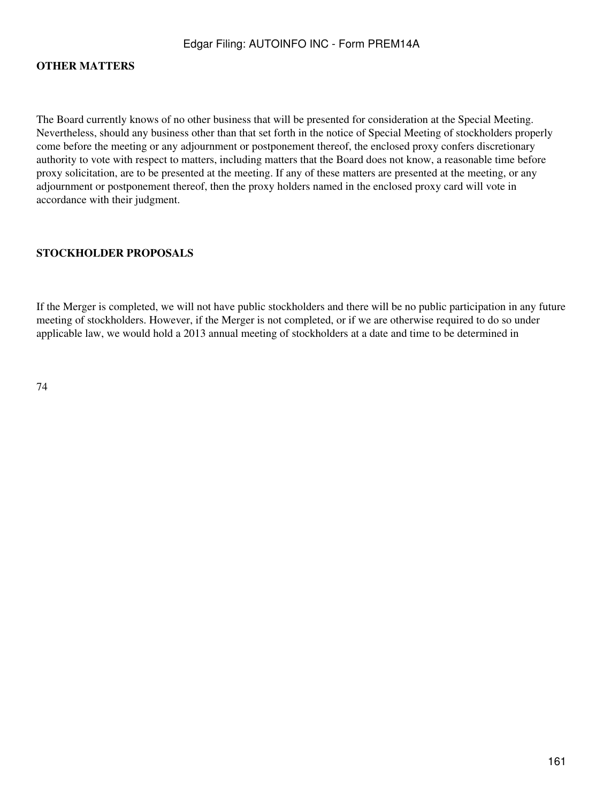#### **OTHER MATTERS**

The Board currently knows of no other business that will be presented for consideration at the Special Meeting. Nevertheless, should any business other than that set forth in the notice of Special Meeting of stockholders properly come before the meeting or any adjournment or postponement thereof, the enclosed proxy confers discretionary authority to vote with respect to matters, including matters that the Board does not know, a reasonable time before proxy solicitation, are to be presented at the meeting. If any of these matters are presented at the meeting, or any adjournment or postponement thereof, then the proxy holders named in the enclosed proxy card will vote in accordance with their judgment.

#### **STOCKHOLDER PROPOSALS**

If the Merger is completed, we will not have public stockholders and there will be no public participation in any future meeting of stockholders. However, if the Merger is not completed, or if we are otherwise required to do so under applicable law, we would hold a 2013 annual meeting of stockholders at a date and time to be determined in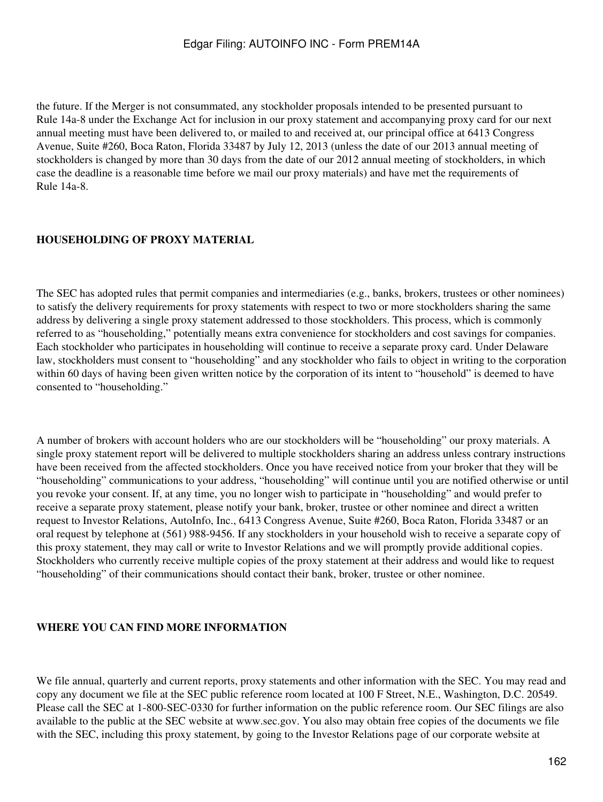the future. If the Merger is not consummated, any stockholder proposals intended to be presented pursuant to Rule 14a-8 under the Exchange Act for inclusion in our proxy statement and accompanying proxy card for our next annual meeting must have been delivered to, or mailed to and received at, our principal office at 6413 Congress Avenue, Suite #260, Boca Raton, Florida 33487 by July 12, 2013 (unless the date of our 2013 annual meeting of stockholders is changed by more than 30 days from the date of our 2012 annual meeting of stockholders, in which case the deadline is a reasonable time before we mail our proxy materials) and have met the requirements of Rule 14a-8.

# **HOUSEHOLDING OF PROXY MATERIAL**

The SEC has adopted rules that permit companies and intermediaries (e.g., banks, brokers, trustees or other nominees) to satisfy the delivery requirements for proxy statements with respect to two or more stockholders sharing the same address by delivering a single proxy statement addressed to those stockholders. This process, which is commonly referred to as "householding," potentially means extra convenience for stockholders and cost savings for companies. Each stockholder who participates in householding will continue to receive a separate proxy card. Under Delaware law, stockholders must consent to "householding" and any stockholder who fails to object in writing to the corporation within 60 days of having been given written notice by the corporation of its intent to "household" is deemed to have consented to "householding."

A number of brokers with account holders who are our stockholders will be "householding" our proxy materials. A single proxy statement report will be delivered to multiple stockholders sharing an address unless contrary instructions have been received from the affected stockholders. Once you have received notice from your broker that they will be "householding" communications to your address, "householding" will continue until you are notified otherwise or until you revoke your consent. If, at any time, you no longer wish to participate in "householding" and would prefer to receive a separate proxy statement, please notify your bank, broker, trustee or other nominee and direct a written request to Investor Relations, AutoInfo, Inc., 6413 Congress Avenue, Suite #260, Boca Raton, Florida 33487 or an oral request by telephone at (561) 988-9456. If any stockholders in your household wish to receive a separate copy of this proxy statement, they may call or write to Investor Relations and we will promptly provide additional copies. Stockholders who currently receive multiple copies of the proxy statement at their address and would like to request "householding" of their communications should contact their bank, broker, trustee or other nominee.

#### **WHERE YOU CAN FIND MORE INFORMATION**

We file annual, quarterly and current reports, proxy statements and other information with the SEC. You may read and copy any document we file at the SEC public reference room located at 100 F Street, N.E., Washington, D.C. 20549. Please call the SEC at 1-800-SEC-0330 for further information on the public reference room. Our SEC filings are also available to the public at the SEC website at www.sec.gov. You also may obtain free copies of the documents we file with the SEC, including this proxy statement, by going to the Investor Relations page of our corporate website at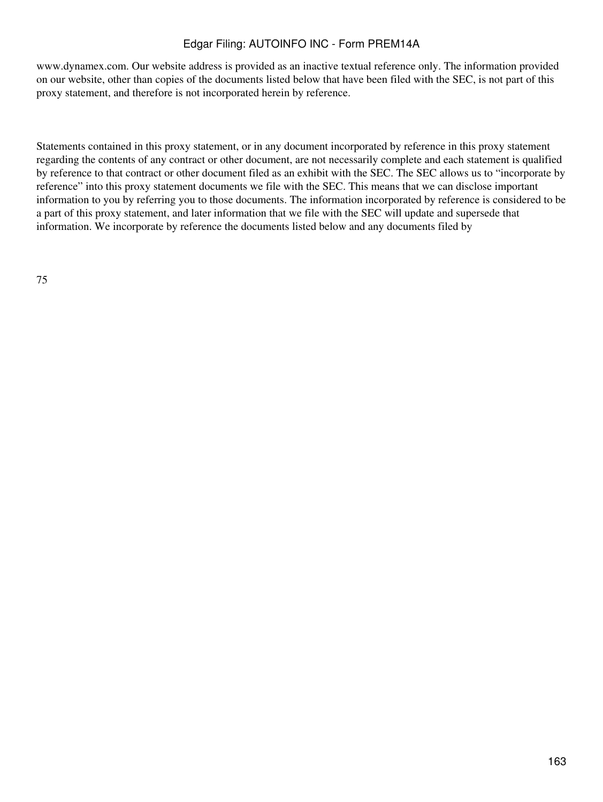www.dynamex.com. Our website address is provided as an inactive textual reference only. The information provided on our website, other than copies of the documents listed below that have been filed with the SEC, is not part of this proxy statement, and therefore is not incorporated herein by reference.

Statements contained in this proxy statement, or in any document incorporated by reference in this proxy statement regarding the contents of any contract or other document, are not necessarily complete and each statement is qualified by reference to that contract or other document filed as an exhibit with the SEC. The SEC allows us to "incorporate by reference" into this proxy statement documents we file with the SEC. This means that we can disclose important information to you by referring you to those documents. The information incorporated by reference is considered to be a part of this proxy statement, and later information that we file with the SEC will update and supersede that information. We incorporate by reference the documents listed below and any documents filed by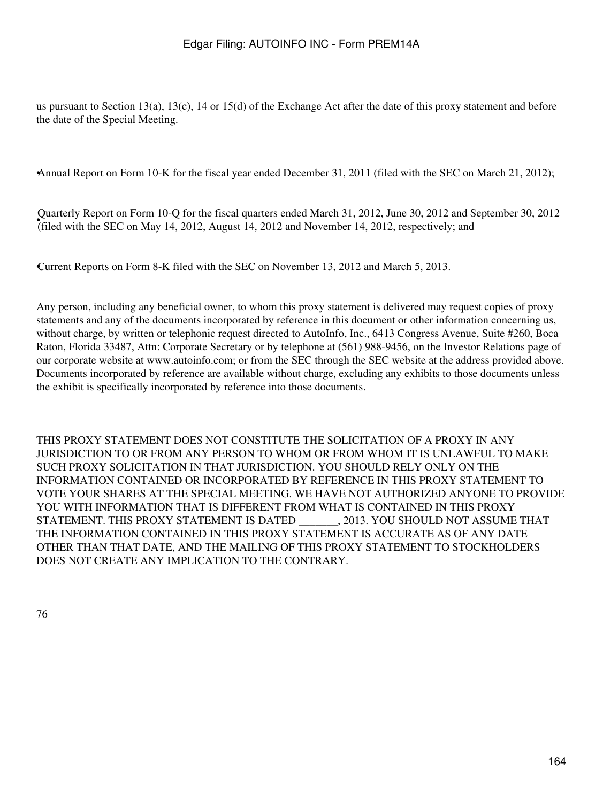us pursuant to Section 13(a), 13(c), 14 or 15(d) of the Exchange Act after the date of this proxy statement and before the date of the Special Meeting.

•Annual Report on Form 10-K for the fiscal year ended December 31, 2011 (filed with the SEC on March 21, 2012);

Full the SEC on May 14, 2012, August 14, 2012 and November 14, 2012, respectively; and (filed with the SEC on May 14, 2012, August 14, 2012 and November 14, 2012, respectively; and Quarterly Report on Form 10-Q for the fiscal quarters ended March 31, 2012, June 30, 2012 and September 30, 2012

•Current Reports on Form 8-K filed with the SEC on November 13, 2012 and March 5, 2013.

Any person, including any beneficial owner, to whom this proxy statement is delivered may request copies of proxy statements and any of the documents incorporated by reference in this document or other information concerning us, without charge, by written or telephonic request directed to AutoInfo, Inc., 6413 Congress Avenue, Suite #260, Boca Raton, Florida 33487, Attn: Corporate Secretary or by telephone at (561) 988-9456, on the Investor Relations page of our corporate website at www.autoinfo.com; or from the SEC through the SEC website at the address provided above. Documents incorporated by reference are available without charge, excluding any exhibits to those documents unless the exhibit is specifically incorporated by reference into those documents.

THIS PROXY STATEMENT DOES NOT CONSTITUTE THE SOLICITATION OF A PROXY IN ANY JURISDICTION TO OR FROM ANY PERSON TO WHOM OR FROM WHOM IT IS UNLAWFUL TO MAKE SUCH PROXY SOLICITATION IN THAT JURISDICTION. YOU SHOULD RELY ONLY ON THE INFORMATION CONTAINED OR INCORPORATED BY REFERENCE IN THIS PROXY STATEMENT TO VOTE YOUR SHARES AT THE SPECIAL MEETING. WE HAVE NOT AUTHORIZED ANYONE TO PROVIDE YOU WITH INFORMATION THAT IS DIFFERENT FROM WHAT IS CONTAINED IN THIS PROXY STATEMENT. THIS PROXY STATEMENT IS DATED \_\_\_\_\_\_\_, 2013. YOU SHOULD NOT ASSUME THAT THE INFORMATION CONTAINED IN THIS PROXY STATEMENT IS ACCURATE AS OF ANY DATE OTHER THAN THAT DATE, AND THE MAILING OF THIS PROXY STATEMENT TO STOCKHOLDERS DOES NOT CREATE ANY IMPLICATION TO THE CONTRARY.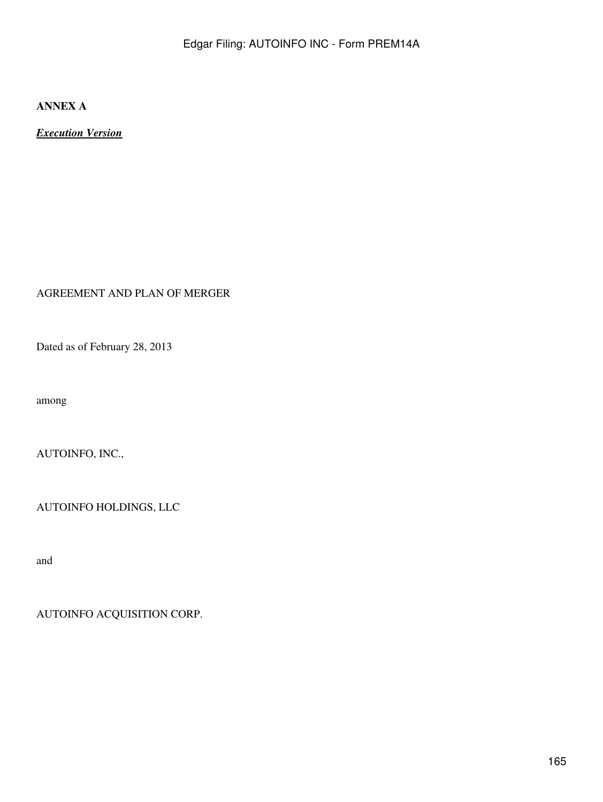**ANNEX A**

*Execution Version*

# AGREEMENT AND PLAN OF MERGER

Dated as of February 28, 2013

among

AUTOINFO, INC.,

AUTOINFO HOLDINGS, LLC

and

AUTOINFO ACQUISITION CORP.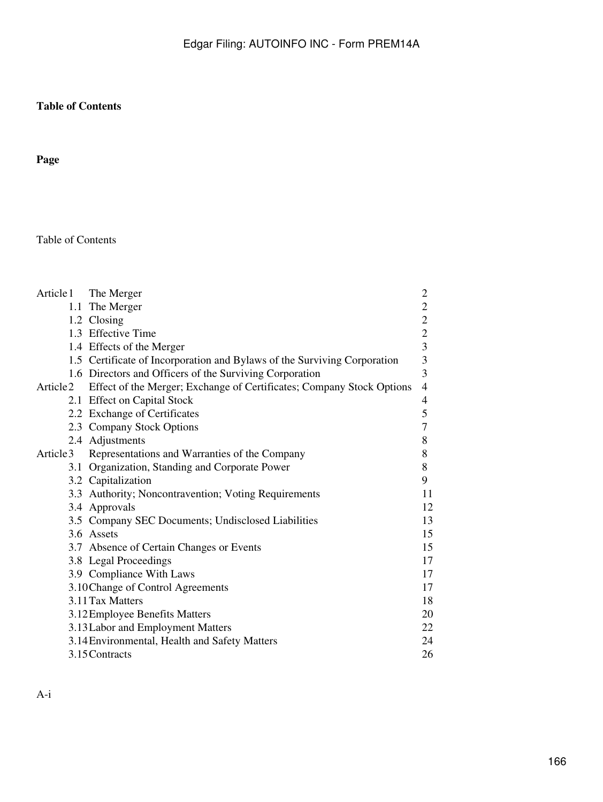# **Page**

Table of Contents

| Article 1 | The Merger                                                               | $\mathbf{2}$             |
|-----------|--------------------------------------------------------------------------|--------------------------|
|           | 1.1 The Merger                                                           | $\overline{c}$           |
|           | 1.2 Closing                                                              | $\overline{c}$           |
|           | 1.3 Effective Time                                                       | $\overline{c}$           |
|           | 1.4 Effects of the Merger                                                | $\overline{\mathbf{3}}$  |
|           | 1.5 Certificate of Incorporation and Bylaws of the Surviving Corporation | $\overline{\mathbf{3}}$  |
|           | 1.6 Directors and Officers of the Surviving Corporation                  | $\overline{3}$           |
| Article 2 | Effect of the Merger; Exchange of Certificates; Company Stock Options    | $\overline{4}$           |
|           | 2.1 Effect on Capital Stock                                              | $\overline{\mathcal{A}}$ |
|           | 2.2 Exchange of Certificates                                             | 5                        |
|           | 2.3 Company Stock Options                                                | $\overline{7}$           |
|           | 2.4 Adjustments                                                          | $\,$ 8 $\,$              |
| Article 3 | Representations and Warranties of the Company                            | $8\,$                    |
| 3.1       | Organization, Standing and Corporate Power                               | 8                        |
|           | 3.2 Capitalization                                                       | 9                        |
|           | 3.3 Authority; Noncontravention; Voting Requirements                     | 11                       |
|           | 3.4 Approvals                                                            | 12                       |
|           | 3.5 Company SEC Documents; Undisclosed Liabilities                       | 13                       |
|           | 3.6 Assets                                                               | 15                       |
|           | 3.7 Absence of Certain Changes or Events                                 | 15                       |
|           | 3.8 Legal Proceedings                                                    | 17                       |
|           | 3.9 Compliance With Laws                                                 | 17                       |
|           | 3.10 Change of Control Agreements                                        | 17                       |
|           | 3.11 Tax Matters                                                         | 18                       |
|           | 3.12 Employee Benefits Matters                                           | 20                       |
|           | 3.13 Labor and Employment Matters                                        | 22                       |
|           | 3.14 Environmental, Health and Safety Matters                            | 24                       |
|           | 3.15 Contracts                                                           | 26                       |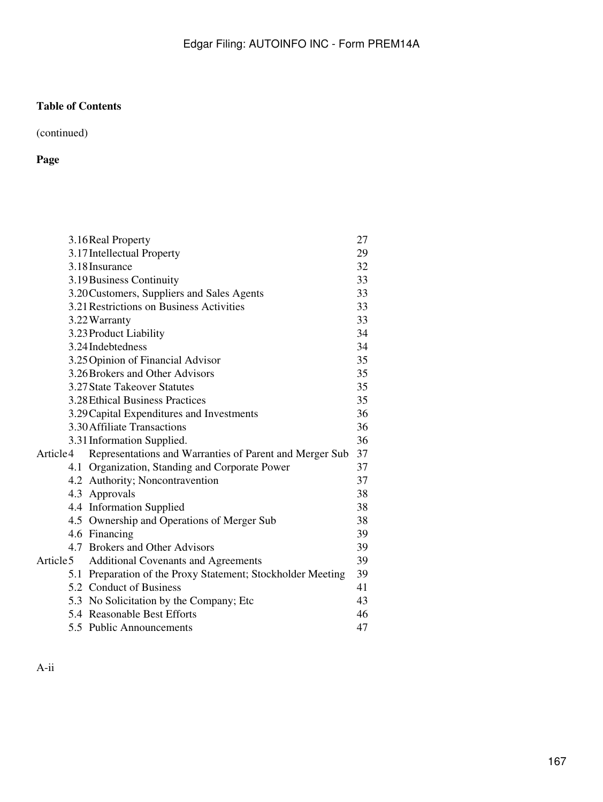(continued)

# **Page**

|           | 3.16 Real Property                                          | 27 |
|-----------|-------------------------------------------------------------|----|
|           | 3.17 Intellectual Property                                  | 29 |
|           | 3.18 Insurance                                              | 32 |
|           | 3.19 Business Continuity                                    | 33 |
|           | 3.20 Customers, Suppliers and Sales Agents                  | 33 |
|           | 3.21 Restrictions on Business Activities                    | 33 |
|           | 3.22 Warranty                                               | 33 |
|           | 3.23 Product Liability                                      | 34 |
|           | 3.24 Indebtedness                                           | 34 |
|           | 3.25 Opinion of Financial Advisor                           | 35 |
|           | 3.26 Brokers and Other Advisors                             | 35 |
|           | 3.27 State Takeover Statutes                                | 35 |
|           | 3.28 Ethical Business Practices                             | 35 |
|           | 3.29 Capital Expenditures and Investments                   | 36 |
|           | 3.30 Affiliate Transactions                                 | 36 |
|           | 3.31 Information Supplied.                                  | 36 |
| Article4  | Representations and Warranties of Parent and Merger Sub     | 37 |
|           | 4.1 Organization, Standing and Corporate Power              | 37 |
|           | 4.2 Authority; Noncontravention                             | 37 |
|           | 4.3 Approvals                                               | 38 |
|           | 4.4 Information Supplied                                    | 38 |
|           | 4.5 Ownership and Operations of Merger Sub                  | 38 |
|           | 4.6 Financing                                               | 39 |
|           | 4.7 Brokers and Other Advisors                              | 39 |
| Article 5 | <b>Additional Covenants and Agreements</b>                  | 39 |
|           | 5.1 Preparation of the Proxy Statement; Stockholder Meeting | 39 |
|           | 5.2 Conduct of Business                                     | 41 |
|           | 5.3 No Solicitation by the Company; Etc.                    | 43 |
|           | 5.4 Reasonable Best Efforts                                 | 46 |
|           | 5.5 Public Announcements                                    | 47 |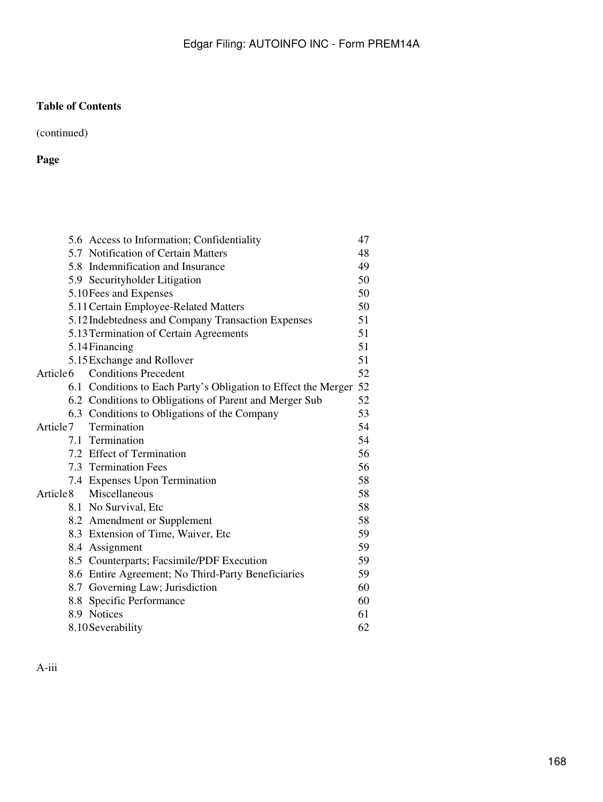(continued)

# **Page**

|           | 5.6 Access to Information; Confidentiality                     | 47 |
|-----------|----------------------------------------------------------------|----|
|           | 5.7 Notification of Certain Matters                            | 48 |
|           | 5.8 Indemnification and Insurance                              | 49 |
|           | 5.9 Securityholder Litigation                                  | 50 |
|           | 5.10 Fees and Expenses                                         | 50 |
|           | 5.11 Certain Employee-Related Matters                          | 50 |
|           | 5.12 Indebtedness and Company Transaction Expenses             | 51 |
|           | 5.13 Termination of Certain Agreements                         | 51 |
|           | 5.14 Financing                                                 | 51 |
|           | 5.15 Exchange and Rollover                                     | 51 |
| Article 6 | <b>Conditions Precedent</b>                                    | 52 |
|           | 6.1 Conditions to Each Party's Obligation to Effect the Merger | 52 |
|           | 6.2 Conditions to Obligations of Parent and Merger Sub         | 52 |
|           | 6.3 Conditions to Obligations of the Company                   | 53 |
| Article 7 | Termination                                                    | 54 |
|           | 7.1 Termination                                                | 54 |
|           | 7.2 Effect of Termination                                      | 56 |
|           | 7.3 Termination Fees                                           | 56 |
|           | 7.4 Expenses Upon Termination                                  | 58 |
|           | Article 8 Miscellaneous                                        | 58 |
|           | 8.1 No Survival, Etc                                           | 58 |
|           | 8.2 Amendment or Supplement                                    | 58 |
|           | 8.3 Extension of Time, Waiver, Etc                             | 59 |
|           | 8.4 Assignment                                                 | 59 |
|           | 8.5 Counterparts; Facsimile/PDF Execution                      | 59 |
|           | 8.6 Entire Agreement; No Third-Party Beneficiaries             | 59 |
|           | 8.7 Governing Law; Jurisdiction                                | 60 |
|           | 8.8 Specific Performance                                       | 60 |
|           | 8.9 Notices                                                    | 61 |
|           | 8.10 Severability                                              | 62 |

A-iii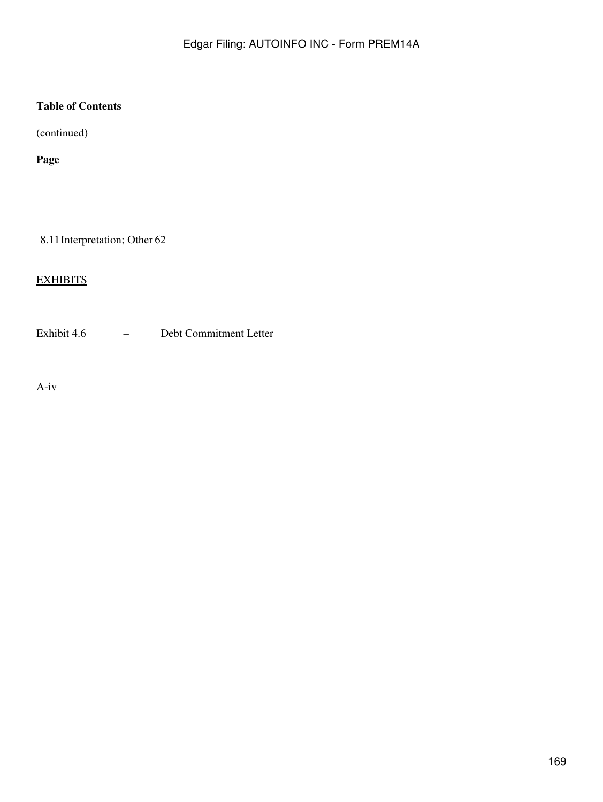(continued)

**Page**

8.11Interpretation; Other 62

# **EXHIBITS**

Exhibit 4.6 – Debt Commitment Letter

A-iv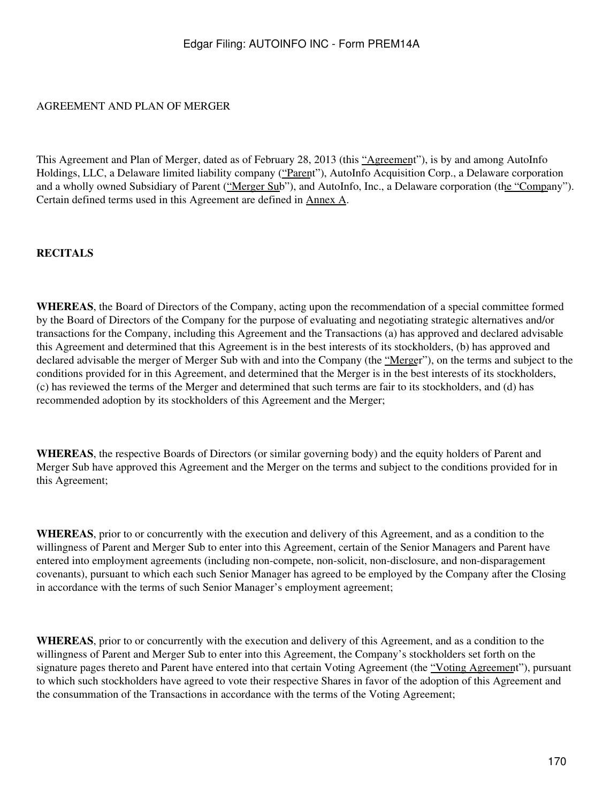#### AGREEMENT AND PLAN OF MERGER

This Agreement and Plan of Merger, dated as of February 28, 2013 (this "Agreement"), is by and among AutoInfo Holdings, LLC, a Delaware limited liability company ("Parent"), AutoInfo Acquisition Corp., a Delaware corporation and a wholly owned Subsidiary of Parent ("Merger Sub"), and AutoInfo, Inc., a Delaware corporation (the "Company"). Certain defined terms used in this Agreement are defined in Annex A.

#### **RECITALS**

**WHEREAS**, the Board of Directors of the Company, acting upon the recommendation of a special committee formed by the Board of Directors of the Company for the purpose of evaluating and negotiating strategic alternatives and/or transactions for the Company, including this Agreement and the Transactions (a) has approved and declared advisable this Agreement and determined that this Agreement is in the best interests of its stockholders, (b) has approved and declared advisable the merger of Merger Sub with and into the Company (the "Merger"), on the terms and subject to the conditions provided for in this Agreement, and determined that the Merger is in the best interests of its stockholders, (c) has reviewed the terms of the Merger and determined that such terms are fair to its stockholders, and (d) has recommended adoption by its stockholders of this Agreement and the Merger;

**WHEREAS**, the respective Boards of Directors (or similar governing body) and the equity holders of Parent and Merger Sub have approved this Agreement and the Merger on the terms and subject to the conditions provided for in this Agreement;

**WHEREAS**, prior to or concurrently with the execution and delivery of this Agreement, and as a condition to the willingness of Parent and Merger Sub to enter into this Agreement, certain of the Senior Managers and Parent have entered into employment agreements (including non-compete, non-solicit, non-disclosure, and non-disparagement covenants), pursuant to which each such Senior Manager has agreed to be employed by the Company after the Closing in accordance with the terms of such Senior Manager's employment agreement;

**WHEREAS**, prior to or concurrently with the execution and delivery of this Agreement, and as a condition to the willingness of Parent and Merger Sub to enter into this Agreement, the Company's stockholders set forth on the signature pages thereto and Parent have entered into that certain Voting Agreement (the "Voting Agreement"), pursuant to which such stockholders have agreed to vote their respective Shares in favor of the adoption of this Agreement and the consummation of the Transactions in accordance with the terms of the Voting Agreement;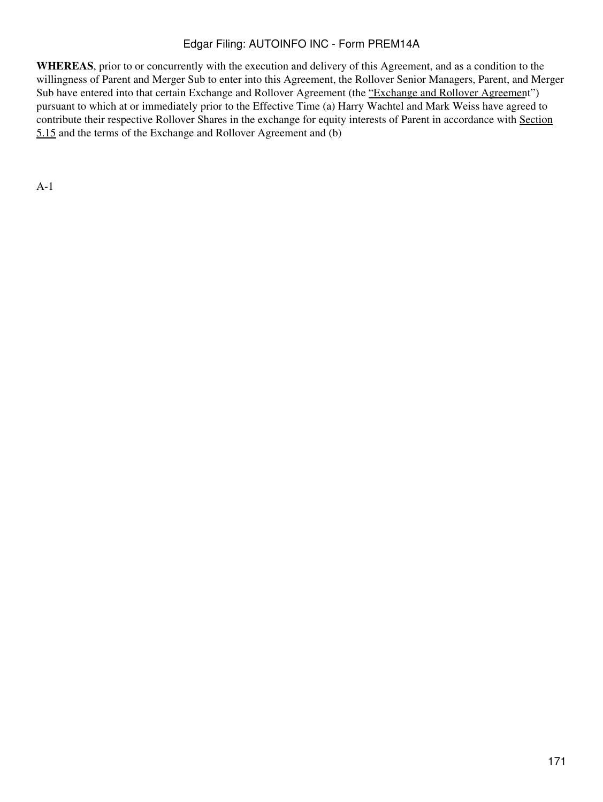**WHEREAS**, prior to or concurrently with the execution and delivery of this Agreement, and as a condition to the willingness of Parent and Merger Sub to enter into this Agreement, the Rollover Senior Managers, Parent, and Merger Sub have entered into that certain Exchange and Rollover Agreement (the "Exchange and Rollover Agreement") pursuant to which at or immediately prior to the Effective Time (a) Harry Wachtel and Mark Weiss have agreed to contribute their respective Rollover Shares in the exchange for equity interests of Parent in accordance with Section 5.15 and the terms of the Exchange and Rollover Agreement and (b)

A-1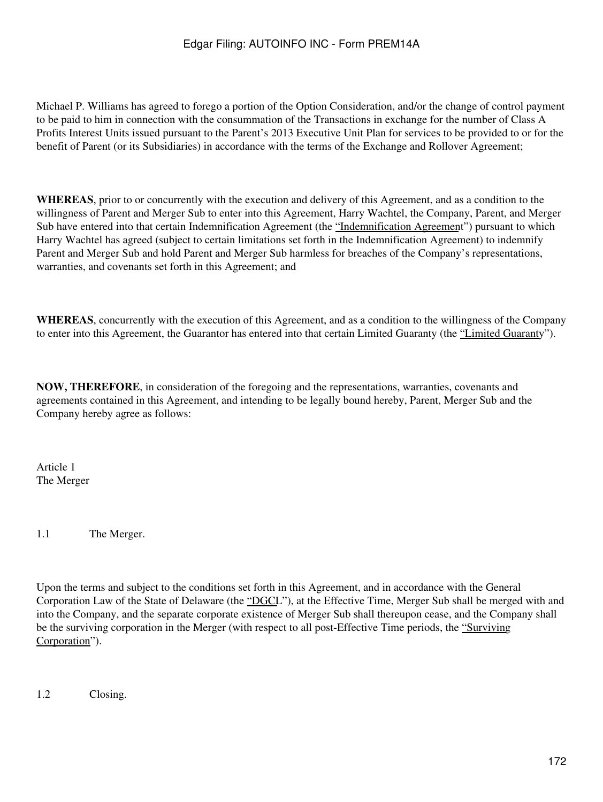Michael P. Williams has agreed to forego a portion of the Option Consideration, and/or the change of control payment to be paid to him in connection with the consummation of the Transactions in exchange for the number of Class A Profits Interest Units issued pursuant to the Parent's 2013 Executive Unit Plan for services to be provided to or for the benefit of Parent (or its Subsidiaries) in accordance with the terms of the Exchange and Rollover Agreement;

**WHEREAS**, prior to or concurrently with the execution and delivery of this Agreement, and as a condition to the willingness of Parent and Merger Sub to enter into this Agreement, Harry Wachtel, the Company, Parent, and Merger Sub have entered into that certain Indemnification Agreement (the "Indemnification Agreement") pursuant to which Harry Wachtel has agreed (subject to certain limitations set forth in the Indemnification Agreement) to indemnify Parent and Merger Sub and hold Parent and Merger Sub harmless for breaches of the Company's representations, warranties, and covenants set forth in this Agreement; and

**WHEREAS**, concurrently with the execution of this Agreement, and as a condition to the willingness of the Company to enter into this Agreement, the Guarantor has entered into that certain Limited Guaranty (the "Limited Guaranty").

**NOW, THEREFORE**, in consideration of the foregoing and the representations, warranties, covenants and agreements contained in this Agreement, and intending to be legally bound hereby, Parent, Merger Sub and the Company hereby agree as follows:

Article 1 The Merger

1.1 The Merger.

Upon the terms and subject to the conditions set forth in this Agreement, and in accordance with the General Corporation Law of the State of Delaware (the "DGCL"), at the Effective Time, Merger Sub shall be merged with and into the Company, and the separate corporate existence of Merger Sub shall thereupon cease, and the Company shall be the surviving corporation in the Merger (with respect to all post-Effective Time periods, the "Surviving" Corporation").

1.2 Closing.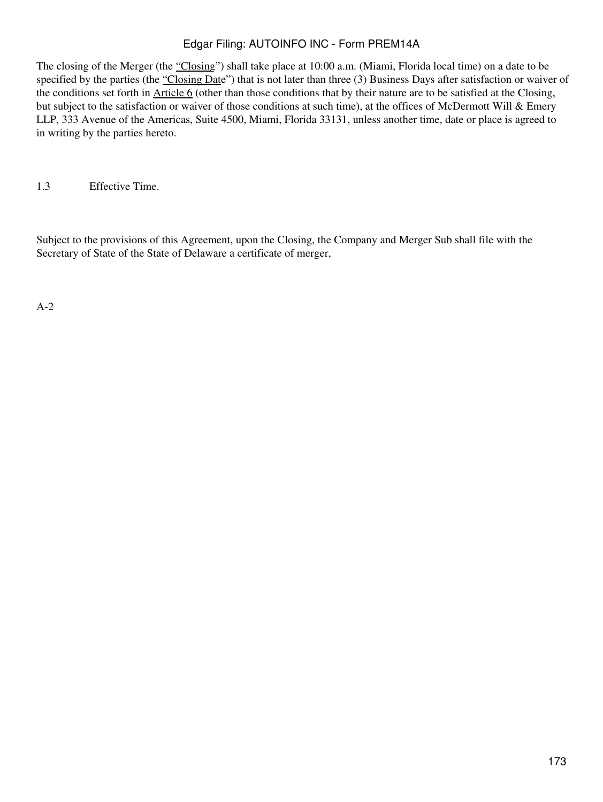The closing of the Merger (the "Closing") shall take place at 10:00 a.m. (Miami, Florida local time) on a date to be specified by the parties (the "Closing Date") that is not later than three (3) Business Days after satisfaction or waiver of the conditions set forth in Article 6 (other than those conditions that by their nature are to be satisfied at the Closing, but subject to the satisfaction or waiver of those conditions at such time), at the offices of McDermott Will & Emery LLP, 333 Avenue of the Americas, Suite 4500, Miami, Florida 33131, unless another time, date or place is agreed to in writing by the parties hereto.

1.3 Effective Time.

Subject to the provisions of this Agreement, upon the Closing, the Company and Merger Sub shall file with the Secretary of State of the State of Delaware a certificate of merger,

A-2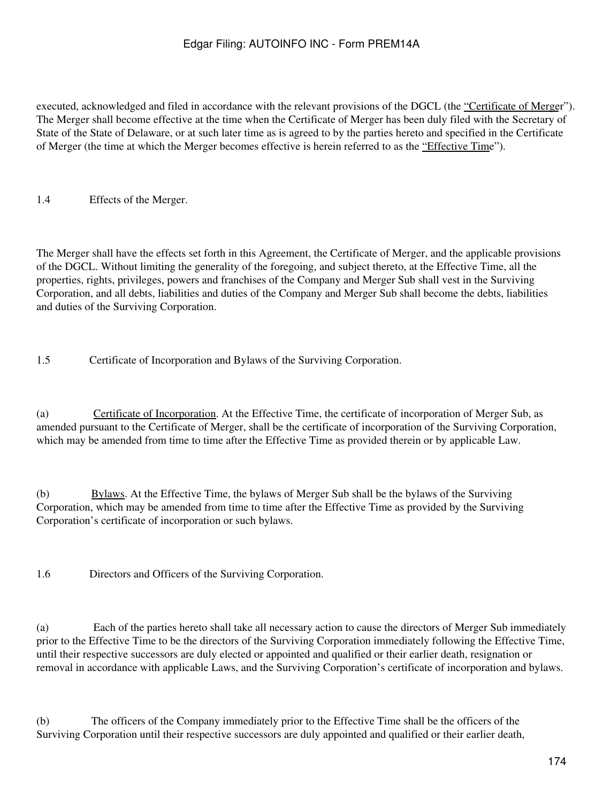executed, acknowledged and filed in accordance with the relevant provisions of the DGCL (the "Certificate of Merger"). The Merger shall become effective at the time when the Certificate of Merger has been duly filed with the Secretary of State of the State of Delaware, or at such later time as is agreed to by the parties hereto and specified in the Certificate of Merger (the time at which the Merger becomes effective is herein referred to as the "Effective Time").

# 1.4 Effects of the Merger.

The Merger shall have the effects set forth in this Agreement, the Certificate of Merger, and the applicable provisions of the DGCL. Without limiting the generality of the foregoing, and subject thereto, at the Effective Time, all the properties, rights, privileges, powers and franchises of the Company and Merger Sub shall vest in the Surviving Corporation, and all debts, liabilities and duties of the Company and Merger Sub shall become the debts, liabilities and duties of the Surviving Corporation.

1.5 Certificate of Incorporation and Bylaws of the Surviving Corporation.

(a) Certificate of Incorporation. At the Effective Time, the certificate of incorporation of Merger Sub, as amended pursuant to the Certificate of Merger, shall be the certificate of incorporation of the Surviving Corporation, which may be amended from time to time after the Effective Time as provided therein or by applicable Law.

(b) Bylaws. At the Effective Time, the bylaws of Merger Sub shall be the bylaws of the Surviving Corporation, which may be amended from time to time after the Effective Time as provided by the Surviving Corporation's certificate of incorporation or such bylaws.

1.6 Directors and Officers of the Surviving Corporation.

(a) Each of the parties hereto shall take all necessary action to cause the directors of Merger Sub immediately prior to the Effective Time to be the directors of the Surviving Corporation immediately following the Effective Time, until their respective successors are duly elected or appointed and qualified or their earlier death, resignation or removal in accordance with applicable Laws, and the Surviving Corporation's certificate of incorporation and bylaws.

(b) The officers of the Company immediately prior to the Effective Time shall be the officers of the Surviving Corporation until their respective successors are duly appointed and qualified or their earlier death,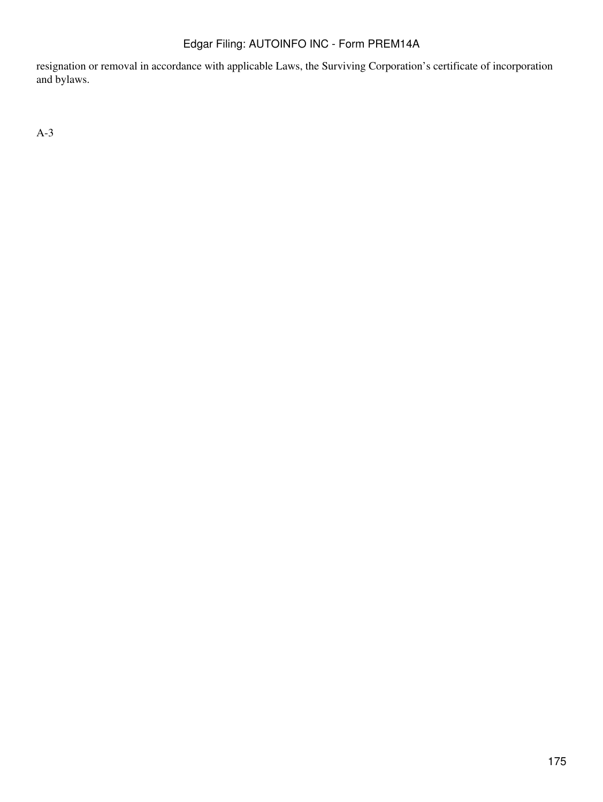resignation or removal in accordance with applicable Laws, the Surviving Corporation's certificate of incorporation and bylaws.

A-3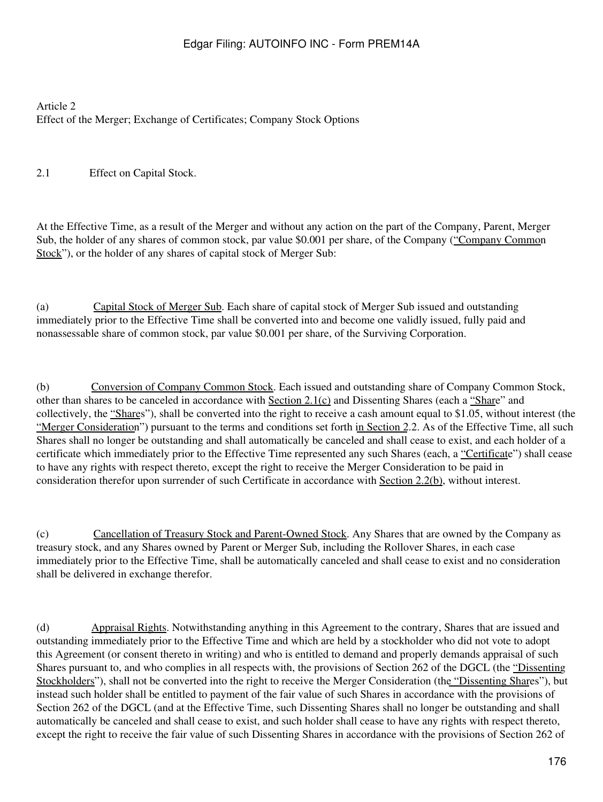Article 2 Effect of the Merger; Exchange of Certificates; Company Stock Options

2.1 Effect on Capital Stock.

At the Effective Time, as a result of the Merger and without any action on the part of the Company, Parent, Merger Sub, the holder of any shares of common stock, par value \$0.001 per share, of the Company ("Company Common Stock"), or the holder of any shares of capital stock of Merger Sub:

(a) Capital Stock of Merger Sub. Each share of capital stock of Merger Sub issued and outstanding immediately prior to the Effective Time shall be converted into and become one validly issued, fully paid and nonassessable share of common stock, par value \$0.001 per share, of the Surviving Corporation.

(b) Conversion of Company Common Stock. Each issued and outstanding share of Company Common Stock, other than shares to be canceled in accordance with Section 2.1(c) and Dissenting Shares (each a "Share" and collectively, the "Shares"), shall be converted into the right to receive a cash amount equal to \$1.05, without interest (the "Merger Consideration") pursuant to the terms and conditions set forth in Section 2.2. As of the Effective Time, all such Shares shall no longer be outstanding and shall automatically be canceled and shall cease to exist, and each holder of a certificate which immediately prior to the Effective Time represented any such Shares (each, a "Certificate") shall cease to have any rights with respect thereto, except the right to receive the Merger Consideration to be paid in consideration therefor upon surrender of such Certificate in accordance with Section 2.2(b), without interest.

(c) Cancellation of Treasury Stock and Parent-Owned Stock. Any Shares that are owned by the Company as treasury stock, and any Shares owned by Parent or Merger Sub, including the Rollover Shares, in each case immediately prior to the Effective Time, shall be automatically canceled and shall cease to exist and no consideration shall be delivered in exchange therefor.

(d) Appraisal Rights. Notwithstanding anything in this Agreement to the contrary, Shares that are issued and outstanding immediately prior to the Effective Time and which are held by a stockholder who did not vote to adopt this Agreement (or consent thereto in writing) and who is entitled to demand and properly demands appraisal of such Shares pursuant to, and who complies in all respects with, the provisions of Section 262 of the DGCL (the "Dissenting Stockholders"), shall not be converted into the right to receive the Merger Consideration (the "Dissenting Shares"), but instead such holder shall be entitled to payment of the fair value of such Shares in accordance with the provisions of Section 262 of the DGCL (and at the Effective Time, such Dissenting Shares shall no longer be outstanding and shall automatically be canceled and shall cease to exist, and such holder shall cease to have any rights with respect thereto, except the right to receive the fair value of such Dissenting Shares in accordance with the provisions of Section 262 of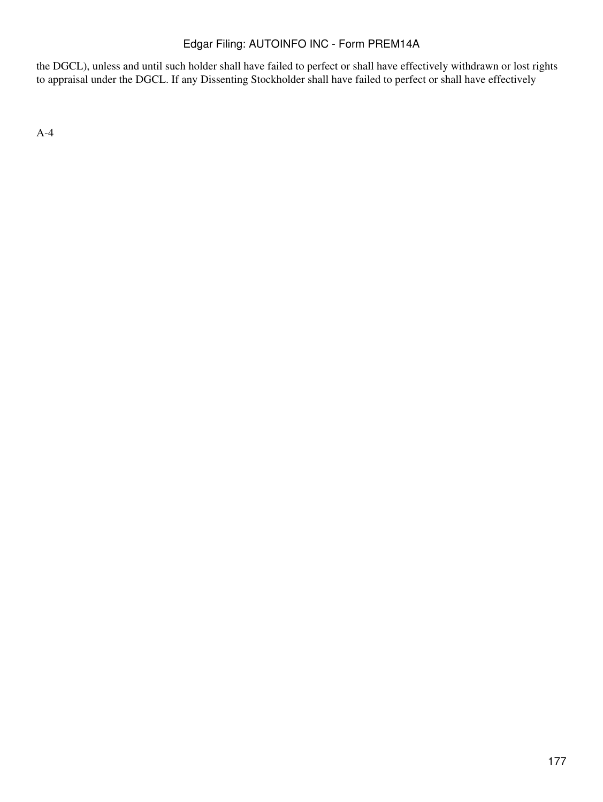the DGCL), unless and until such holder shall have failed to perfect or shall have effectively withdrawn or lost rights to appraisal under the DGCL. If any Dissenting Stockholder shall have failed to perfect or shall have effectively

A-4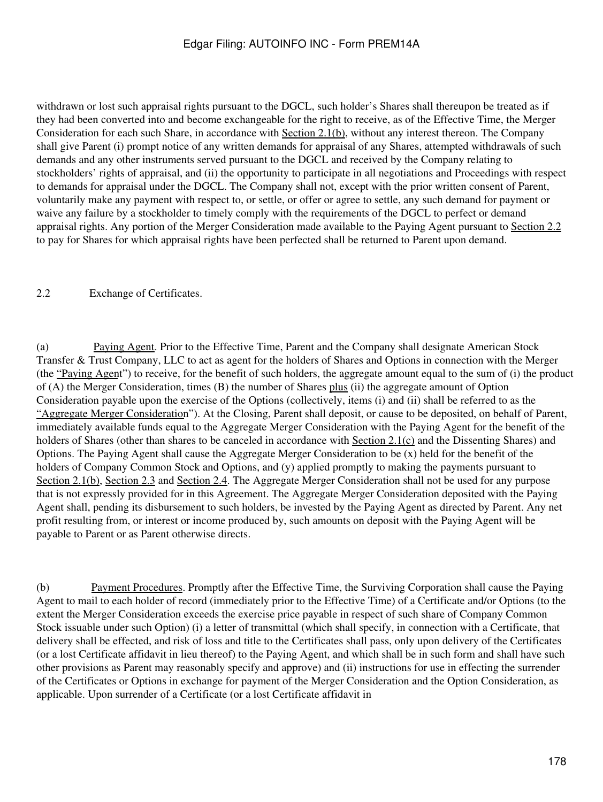withdrawn or lost such appraisal rights pursuant to the DGCL, such holder's Shares shall thereupon be treated as if they had been converted into and become exchangeable for the right to receive, as of the Effective Time, the Merger Consideration for each such Share, in accordance with Section 2.1(b), without any interest thereon. The Company shall give Parent (i) prompt notice of any written demands for appraisal of any Shares, attempted withdrawals of such demands and any other instruments served pursuant to the DGCL and received by the Company relating to stockholders' rights of appraisal, and (ii) the opportunity to participate in all negotiations and Proceedings with respect to demands for appraisal under the DGCL. The Company shall not, except with the prior written consent of Parent, voluntarily make any payment with respect to, or settle, or offer or agree to settle, any such demand for payment or waive any failure by a stockholder to timely comply with the requirements of the DGCL to perfect or demand appraisal rights. Any portion of the Merger Consideration made available to the Paying Agent pursuant to Section 2.2 to pay for Shares for which appraisal rights have been perfected shall be returned to Parent upon demand.

#### 2.2 Exchange of Certificates.

(a) Paying Agent. Prior to the Effective Time, Parent and the Company shall designate American Stock Transfer & Trust Company, LLC to act as agent for the holders of Shares and Options in connection with the Merger (the "Paying Agent") to receive, for the benefit of such holders, the aggregate amount equal to the sum of (i) the product of (A) the Merger Consideration, times (B) the number of Shares plus (ii) the aggregate amount of Option Consideration payable upon the exercise of the Options (collectively, items (i) and (ii) shall be referred to as the "Aggregate Merger Consideration"). At the Closing, Parent shall deposit, or cause to be deposited, on behalf of Parent, immediately available funds equal to the Aggregate Merger Consideration with the Paying Agent for the benefit of the holders of Shares (other than shares to be canceled in accordance with Section 2.1(c) and the Dissenting Shares) and Options. The Paying Agent shall cause the Aggregate Merger Consideration to be (x) held for the benefit of the holders of Company Common Stock and Options, and (y) applied promptly to making the payments pursuant to Section 2.1(b), Section 2.3 and Section 2.4. The Aggregate Merger Consideration shall not be used for any purpose that is not expressly provided for in this Agreement. The Aggregate Merger Consideration deposited with the Paying Agent shall, pending its disbursement to such holders, be invested by the Paying Agent as directed by Parent. Any net profit resulting from, or interest or income produced by, such amounts on deposit with the Paying Agent will be payable to Parent or as Parent otherwise directs.

(b) Payment Procedures. Promptly after the Effective Time, the Surviving Corporation shall cause the Paying Agent to mail to each holder of record (immediately prior to the Effective Time) of a Certificate and/or Options (to the extent the Merger Consideration exceeds the exercise price payable in respect of such share of Company Common Stock issuable under such Option) (i) a letter of transmittal (which shall specify, in connection with a Certificate, that delivery shall be effected, and risk of loss and title to the Certificates shall pass, only upon delivery of the Certificates (or a lost Certificate affidavit in lieu thereof) to the Paying Agent, and which shall be in such form and shall have such other provisions as Parent may reasonably specify and approve) and (ii) instructions for use in effecting the surrender of the Certificates or Options in exchange for payment of the Merger Consideration and the Option Consideration, as applicable. Upon surrender of a Certificate (or a lost Certificate affidavit in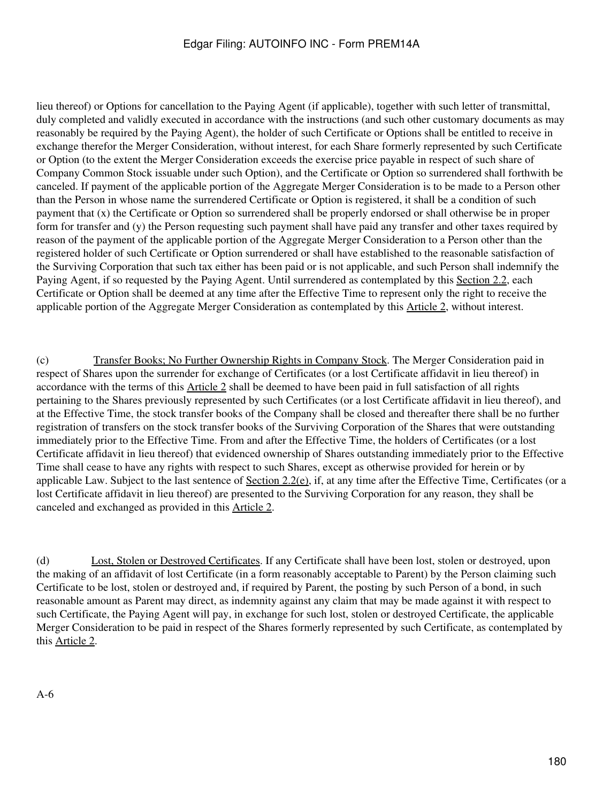lieu thereof) or Options for cancellation to the Paying Agent (if applicable), together with such letter of transmittal, duly completed and validly executed in accordance with the instructions (and such other customary documents as may reasonably be required by the Paying Agent), the holder of such Certificate or Options shall be entitled to receive in exchange therefor the Merger Consideration, without interest, for each Share formerly represented by such Certificate or Option (to the extent the Merger Consideration exceeds the exercise price payable in respect of such share of Company Common Stock issuable under such Option), and the Certificate or Option so surrendered shall forthwith be canceled. If payment of the applicable portion of the Aggregate Merger Consideration is to be made to a Person other than the Person in whose name the surrendered Certificate or Option is registered, it shall be a condition of such payment that (x) the Certificate or Option so surrendered shall be properly endorsed or shall otherwise be in proper form for transfer and (y) the Person requesting such payment shall have paid any transfer and other taxes required by reason of the payment of the applicable portion of the Aggregate Merger Consideration to a Person other than the registered holder of such Certificate or Option surrendered or shall have established to the reasonable satisfaction of the Surviving Corporation that such tax either has been paid or is not applicable, and such Person shall indemnify the Paying Agent, if so requested by the Paying Agent. Until surrendered as contemplated by this Section 2.2, each Certificate or Option shall be deemed at any time after the Effective Time to represent only the right to receive the applicable portion of the Aggregate Merger Consideration as contemplated by this Article 2, without interest.

(c) Transfer Books; No Further Ownership Rights in Company Stock. The Merger Consideration paid in respect of Shares upon the surrender for exchange of Certificates (or a lost Certificate affidavit in lieu thereof) in accordance with the terms of this Article 2 shall be deemed to have been paid in full satisfaction of all rights pertaining to the Shares previously represented by such Certificates (or a lost Certificate affidavit in lieu thereof), and at the Effective Time, the stock transfer books of the Company shall be closed and thereafter there shall be no further registration of transfers on the stock transfer books of the Surviving Corporation of the Shares that were outstanding immediately prior to the Effective Time. From and after the Effective Time, the holders of Certificates (or a lost Certificate affidavit in lieu thereof) that evidenced ownership of Shares outstanding immediately prior to the Effective Time shall cease to have any rights with respect to such Shares, except as otherwise provided for herein or by applicable Law. Subject to the last sentence of Section 2.2(e), if, at any time after the Effective Time, Certificates (or a lost Certificate affidavit in lieu thereof) are presented to the Surviving Corporation for any reason, they shall be canceled and exchanged as provided in this Article 2.

(d) Lost, Stolen or Destroyed Certificates. If any Certificate shall have been lost, stolen or destroyed, upon the making of an affidavit of lost Certificate (in a form reasonably acceptable to Parent) by the Person claiming such Certificate to be lost, stolen or destroyed and, if required by Parent, the posting by such Person of a bond, in such reasonable amount as Parent may direct, as indemnity against any claim that may be made against it with respect to such Certificate, the Paying Agent will pay, in exchange for such lost, stolen or destroyed Certificate, the applicable Merger Consideration to be paid in respect of the Shares formerly represented by such Certificate, as contemplated by this Article 2.

A-6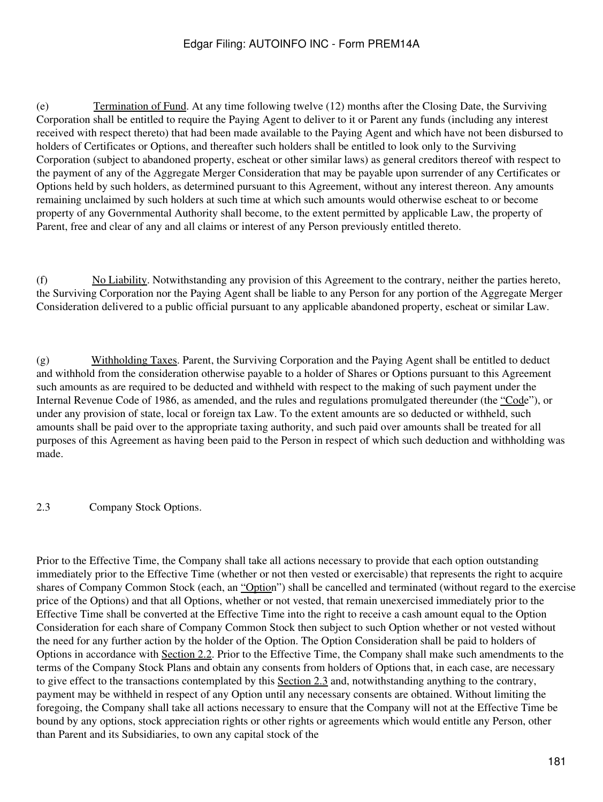(e) Termination of Fund. At any time following twelve (12) months after the Closing Date, the Surviving Corporation shall be entitled to require the Paying Agent to deliver to it or Parent any funds (including any interest received with respect thereto) that had been made available to the Paying Agent and which have not been disbursed to holders of Certificates or Options, and thereafter such holders shall be entitled to look only to the Surviving Corporation (subject to abandoned property, escheat or other similar laws) as general creditors thereof with respect to the payment of any of the Aggregate Merger Consideration that may be payable upon surrender of any Certificates or Options held by such holders, as determined pursuant to this Agreement, without any interest thereon. Any amounts remaining unclaimed by such holders at such time at which such amounts would otherwise escheat to or become property of any Governmental Authority shall become, to the extent permitted by applicable Law, the property of Parent, free and clear of any and all claims or interest of any Person previously entitled thereto.

(f) No Liability. Notwithstanding any provision of this Agreement to the contrary, neither the parties hereto, the Surviving Corporation nor the Paying Agent shall be liable to any Person for any portion of the Aggregate Merger Consideration delivered to a public official pursuant to any applicable abandoned property, escheat or similar Law.

(g) Withholding Taxes. Parent, the Surviving Corporation and the Paying Agent shall be entitled to deduct and withhold from the consideration otherwise payable to a holder of Shares or Options pursuant to this Agreement such amounts as are required to be deducted and withheld with respect to the making of such payment under the Internal Revenue Code of 1986, as amended, and the rules and regulations promulgated thereunder (the "Code"), or under any provision of state, local or foreign tax Law. To the extent amounts are so deducted or withheld, such amounts shall be paid over to the appropriate taxing authority, and such paid over amounts shall be treated for all purposes of this Agreement as having been paid to the Person in respect of which such deduction and withholding was made.

#### 2.3 Company Stock Options.

Prior to the Effective Time, the Company shall take all actions necessary to provide that each option outstanding immediately prior to the Effective Time (whether or not then vested or exercisable) that represents the right to acquire shares of Company Common Stock (each, an "Option") shall be cancelled and terminated (without regard to the exercise price of the Options) and that all Options, whether or not vested, that remain unexercised immediately prior to the Effective Time shall be converted at the Effective Time into the right to receive a cash amount equal to the Option Consideration for each share of Company Common Stock then subject to such Option whether or not vested without the need for any further action by the holder of the Option. The Option Consideration shall be paid to holders of Options in accordance with Section 2.2. Prior to the Effective Time, the Company shall make such amendments to the terms of the Company Stock Plans and obtain any consents from holders of Options that, in each case, are necessary to give effect to the transactions contemplated by this Section 2.3 and, notwithstanding anything to the contrary, payment may be withheld in respect of any Option until any necessary consents are obtained. Without limiting the foregoing, the Company shall take all actions necessary to ensure that the Company will not at the Effective Time be bound by any options, stock appreciation rights or other rights or agreements which would entitle any Person, other than Parent and its Subsidiaries, to own any capital stock of the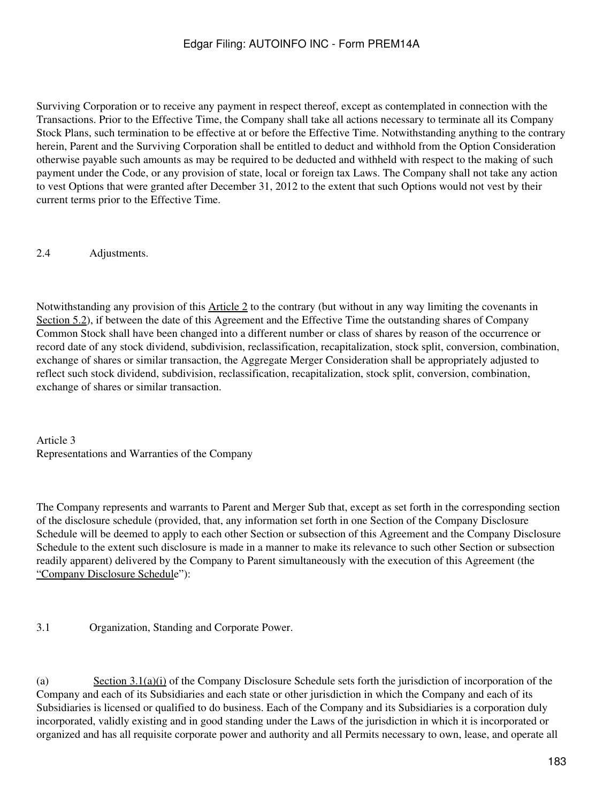Surviving Corporation or to receive any payment in respect thereof, except as contemplated in connection with the Transactions. Prior to the Effective Time, the Company shall take all actions necessary to terminate all its Company Stock Plans, such termination to be effective at or before the Effective Time. Notwithstanding anything to the contrary herein, Parent and the Surviving Corporation shall be entitled to deduct and withhold from the Option Consideration otherwise payable such amounts as may be required to be deducted and withheld with respect to the making of such payment under the Code, or any provision of state, local or foreign tax Laws. The Company shall not take any action to vest Options that were granted after December 31, 2012 to the extent that such Options would not vest by their current terms prior to the Effective Time.

2.4 Adjustments.

Notwithstanding any provision of this Article 2 to the contrary (but without in any way limiting the covenants in Section 5.2), if between the date of this Agreement and the Effective Time the outstanding shares of Company Common Stock shall have been changed into a different number or class of shares by reason of the occurrence or record date of any stock dividend, subdivision, reclassification, recapitalization, stock split, conversion, combination, exchange of shares or similar transaction, the Aggregate Merger Consideration shall be appropriately adjusted to reflect such stock dividend, subdivision, reclassification, recapitalization, stock split, conversion, combination, exchange of shares or similar transaction.

Article 3 Representations and Warranties of the Company

The Company represents and warrants to Parent and Merger Sub that, except as set forth in the corresponding section of the disclosure schedule (provided, that, any information set forth in one Section of the Company Disclosure Schedule will be deemed to apply to each other Section or subsection of this Agreement and the Company Disclosure Schedule to the extent such disclosure is made in a manner to make its relevance to such other Section or subsection readily apparent) delivered by the Company to Parent simultaneously with the execution of this Agreement (the "Company Disclosure Schedule"):

3.1 Organization, Standing and Corporate Power.

(a) Section 3.1(a)(i) of the Company Disclosure Schedule sets forth the jurisdiction of incorporation of the Company and each of its Subsidiaries and each state or other jurisdiction in which the Company and each of its Subsidiaries is licensed or qualified to do business. Each of the Company and its Subsidiaries is a corporation duly incorporated, validly existing and in good standing under the Laws of the jurisdiction in which it is incorporated or organized and has all requisite corporate power and authority and all Permits necessary to own, lease, and operate all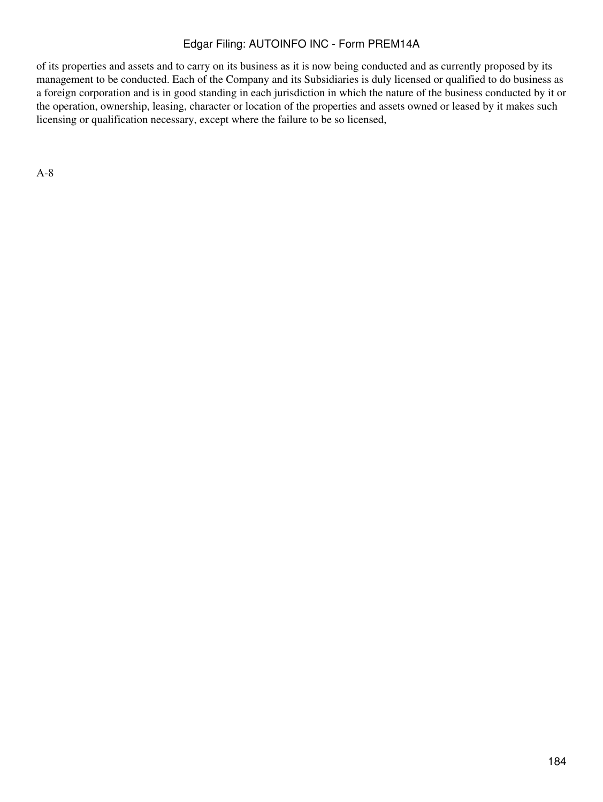of its properties and assets and to carry on its business as it is now being conducted and as currently proposed by its management to be conducted. Each of the Company and its Subsidiaries is duly licensed or qualified to do business as a foreign corporation and is in good standing in each jurisdiction in which the nature of the business conducted by it or the operation, ownership, leasing, character or location of the properties and assets owned or leased by it makes such licensing or qualification necessary, except where the failure to be so licensed,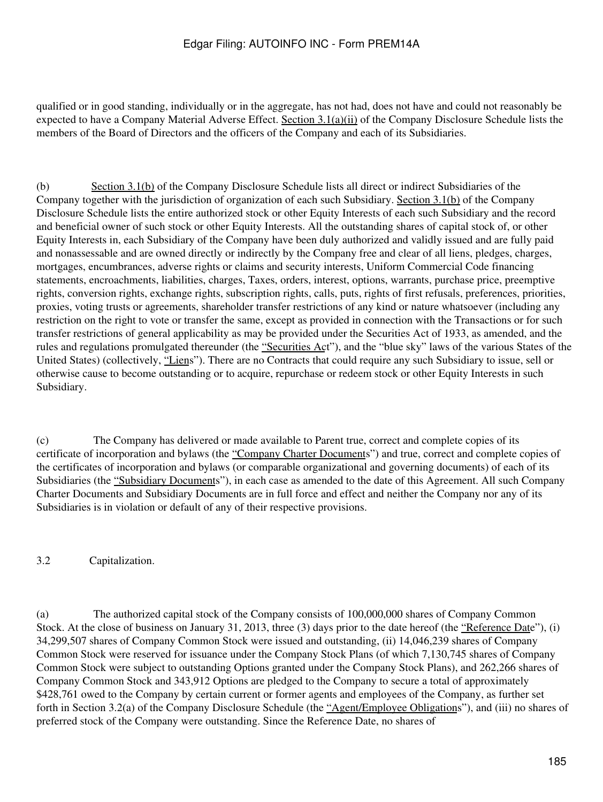qualified or in good standing, individually or in the aggregate, has not had, does not have and could not reasonably be expected to have a Company Material Adverse Effect. Section 3.1(a)(ii) of the Company Disclosure Schedule lists the members of the Board of Directors and the officers of the Company and each of its Subsidiaries.

(b) Section 3.1(b) of the Company Disclosure Schedule lists all direct or indirect Subsidiaries of the Company together with the jurisdiction of organization of each such Subsidiary. Section 3.1(b) of the Company Disclosure Schedule lists the entire authorized stock or other Equity Interests of each such Subsidiary and the record and beneficial owner of such stock or other Equity Interests. All the outstanding shares of capital stock of, or other Equity Interests in, each Subsidiary of the Company have been duly authorized and validly issued and are fully paid and nonassessable and are owned directly or indirectly by the Company free and clear of all liens, pledges, charges, mortgages, encumbrances, adverse rights or claims and security interests, Uniform Commercial Code financing statements, encroachments, liabilities, charges, Taxes, orders, interest, options, warrants, purchase price, preemptive rights, conversion rights, exchange rights, subscription rights, calls, puts, rights of first refusals, preferences, priorities, proxies, voting trusts or agreements, shareholder transfer restrictions of any kind or nature whatsoever (including any restriction on the right to vote or transfer the same, except as provided in connection with the Transactions or for such transfer restrictions of general applicability as may be provided under the Securities Act of 1933, as amended, and the rules and regulations promulgated thereunder (the "Securities Act"), and the "blue sky" laws of the various States of the United States) (collectively, "Liens"). There are no Contracts that could require any such Subsidiary to issue, sell or otherwise cause to become outstanding or to acquire, repurchase or redeem stock or other Equity Interests in such Subsidiary.

(c) The Company has delivered or made available to Parent true, correct and complete copies of its certificate of incorporation and bylaws (the "Company Charter Documents") and true, correct and complete copies of the certificates of incorporation and bylaws (or comparable organizational and governing documents) of each of its Subsidiaries (the "Subsidiary Documents"), in each case as amended to the date of this Agreement. All such Company Charter Documents and Subsidiary Documents are in full force and effect and neither the Company nor any of its Subsidiaries is in violation or default of any of their respective provisions.

3.2 Capitalization.

(a) The authorized capital stock of the Company consists of 100,000,000 shares of Company Common Stock. At the close of business on January 31, 2013, three (3) days prior to the date hereof (the "Reference Date"), (i) 34,299,507 shares of Company Common Stock were issued and outstanding, (ii) 14,046,239 shares of Company Common Stock were reserved for issuance under the Company Stock Plans (of which 7,130,745 shares of Company Common Stock were subject to outstanding Options granted under the Company Stock Plans), and 262,266 shares of Company Common Stock and 343,912 Options are pledged to the Company to secure a total of approximately \$428,761 owed to the Company by certain current or former agents and employees of the Company, as further set forth in Section 3.2(a) of the Company Disclosure Schedule (the "Agent/Employee Obligations"), and (iii) no shares of preferred stock of the Company were outstanding. Since the Reference Date, no shares of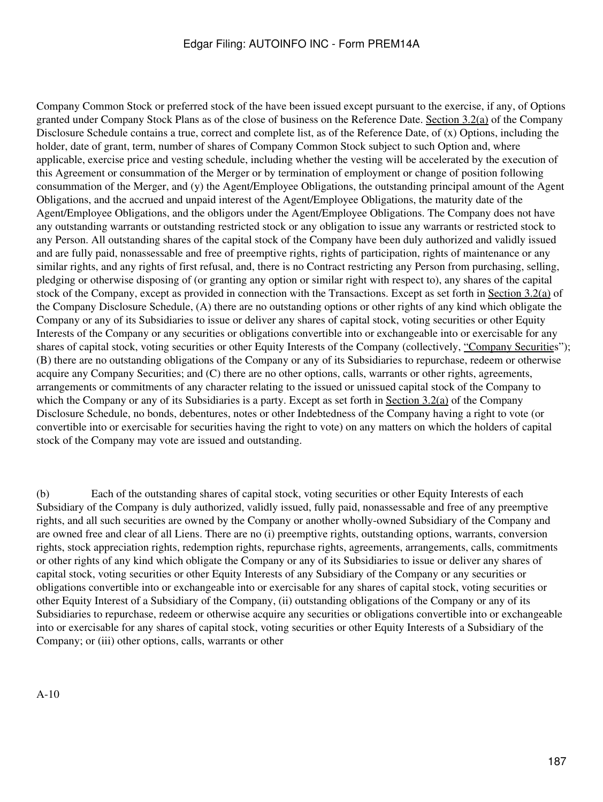Company Common Stock or preferred stock of the have been issued except pursuant to the exercise, if any, of Options granted under Company Stock Plans as of the close of business on the Reference Date. Section 3.2(a) of the Company Disclosure Schedule contains a true, correct and complete list, as of the Reference Date, of (x) Options, including the holder, date of grant, term, number of shares of Company Common Stock subject to such Option and, where applicable, exercise price and vesting schedule, including whether the vesting will be accelerated by the execution of this Agreement or consummation of the Merger or by termination of employment or change of position following consummation of the Merger, and (y) the Agent/Employee Obligations, the outstanding principal amount of the Agent Obligations, and the accrued and unpaid interest of the Agent/Employee Obligations, the maturity date of the Agent/Employee Obligations, and the obligors under the Agent/Employee Obligations. The Company does not have any outstanding warrants or outstanding restricted stock or any obligation to issue any warrants or restricted stock to any Person. All outstanding shares of the capital stock of the Company have been duly authorized and validly issued and are fully paid, nonassessable and free of preemptive rights, rights of participation, rights of maintenance or any similar rights, and any rights of first refusal, and, there is no Contract restricting any Person from purchasing, selling, pledging or otherwise disposing of (or granting any option or similar right with respect to), any shares of the capital stock of the Company, except as provided in connection with the Transactions. Except as set forth in Section 3.2(a) of the Company Disclosure Schedule, (A) there are no outstanding options or other rights of any kind which obligate the Company or any of its Subsidiaries to issue or deliver any shares of capital stock, voting securities or other Equity Interests of the Company or any securities or obligations convertible into or exchangeable into or exercisable for any shares of capital stock, voting securities or other Equity Interests of the Company (collectively, "Company Securities"); (B) there are no outstanding obligations of the Company or any of its Subsidiaries to repurchase, redeem or otherwise acquire any Company Securities; and (C) there are no other options, calls, warrants or other rights, agreements, arrangements or commitments of any character relating to the issued or unissued capital stock of the Company to which the Company or any of its Subsidiaries is a party. Except as set forth in Section 3.2(a) of the Company Disclosure Schedule, no bonds, debentures, notes or other Indebtedness of the Company having a right to vote (or convertible into or exercisable for securities having the right to vote) on any matters on which the holders of capital stock of the Company may vote are issued and outstanding.

(b) Each of the outstanding shares of capital stock, voting securities or other Equity Interests of each Subsidiary of the Company is duly authorized, validly issued, fully paid, nonassessable and free of any preemptive rights, and all such securities are owned by the Company or another wholly-owned Subsidiary of the Company and are owned free and clear of all Liens. There are no (i) preemptive rights, outstanding options, warrants, conversion rights, stock appreciation rights, redemption rights, repurchase rights, agreements, arrangements, calls, commitments or other rights of any kind which obligate the Company or any of its Subsidiaries to issue or deliver any shares of capital stock, voting securities or other Equity Interests of any Subsidiary of the Company or any securities or obligations convertible into or exchangeable into or exercisable for any shares of capital stock, voting securities or other Equity Interest of a Subsidiary of the Company, (ii) outstanding obligations of the Company or any of its Subsidiaries to repurchase, redeem or otherwise acquire any securities or obligations convertible into or exchangeable into or exercisable for any shares of capital stock, voting securities or other Equity Interests of a Subsidiary of the Company; or (iii) other options, calls, warrants or other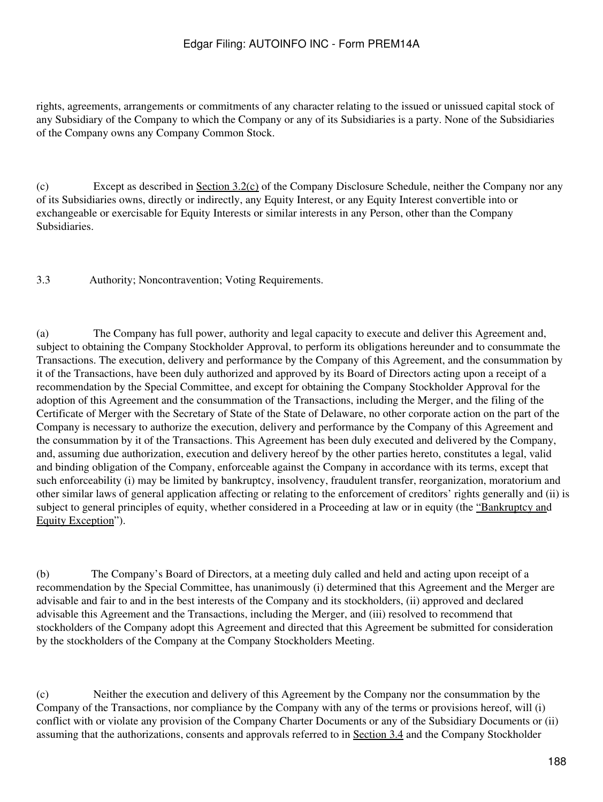rights, agreements, arrangements or commitments of any character relating to the issued or unissued capital stock of any Subsidiary of the Company to which the Company or any of its Subsidiaries is a party. None of the Subsidiaries of the Company owns any Company Common Stock.

(c) Except as described in Section 3.2(c) of the Company Disclosure Schedule, neither the Company nor any of its Subsidiaries owns, directly or indirectly, any Equity Interest, or any Equity Interest convertible into or exchangeable or exercisable for Equity Interests or similar interests in any Person, other than the Company Subsidiaries.

3.3 Authority; Noncontravention; Voting Requirements.

(a) The Company has full power, authority and legal capacity to execute and deliver this Agreement and, subject to obtaining the Company Stockholder Approval, to perform its obligations hereunder and to consummate the Transactions. The execution, delivery and performance by the Company of this Agreement, and the consummation by it of the Transactions, have been duly authorized and approved by its Board of Directors acting upon a receipt of a recommendation by the Special Committee, and except for obtaining the Company Stockholder Approval for the adoption of this Agreement and the consummation of the Transactions, including the Merger, and the filing of the Certificate of Merger with the Secretary of State of the State of Delaware, no other corporate action on the part of the Company is necessary to authorize the execution, delivery and performance by the Company of this Agreement and the consummation by it of the Transactions. This Agreement has been duly executed and delivered by the Company, and, assuming due authorization, execution and delivery hereof by the other parties hereto, constitutes a legal, valid and binding obligation of the Company, enforceable against the Company in accordance with its terms, except that such enforceability (i) may be limited by bankruptcy, insolvency, fraudulent transfer, reorganization, moratorium and other similar laws of general application affecting or relating to the enforcement of creditors' rights generally and (ii) is subject to general principles of equity, whether considered in a Proceeding at law or in equity (the "Bankruptcy and Equity Exception").

(b) The Company's Board of Directors, at a meeting duly called and held and acting upon receipt of a recommendation by the Special Committee, has unanimously (i) determined that this Agreement and the Merger are advisable and fair to and in the best interests of the Company and its stockholders, (ii) approved and declared advisable this Agreement and the Transactions, including the Merger, and (iii) resolved to recommend that stockholders of the Company adopt this Agreement and directed that this Agreement be submitted for consideration by the stockholders of the Company at the Company Stockholders Meeting.

(c) Neither the execution and delivery of this Agreement by the Company nor the consummation by the Company of the Transactions, nor compliance by the Company with any of the terms or provisions hereof, will (i) conflict with or violate any provision of the Company Charter Documents or any of the Subsidiary Documents or (ii) assuming that the authorizations, consents and approvals referred to in Section 3.4 and the Company Stockholder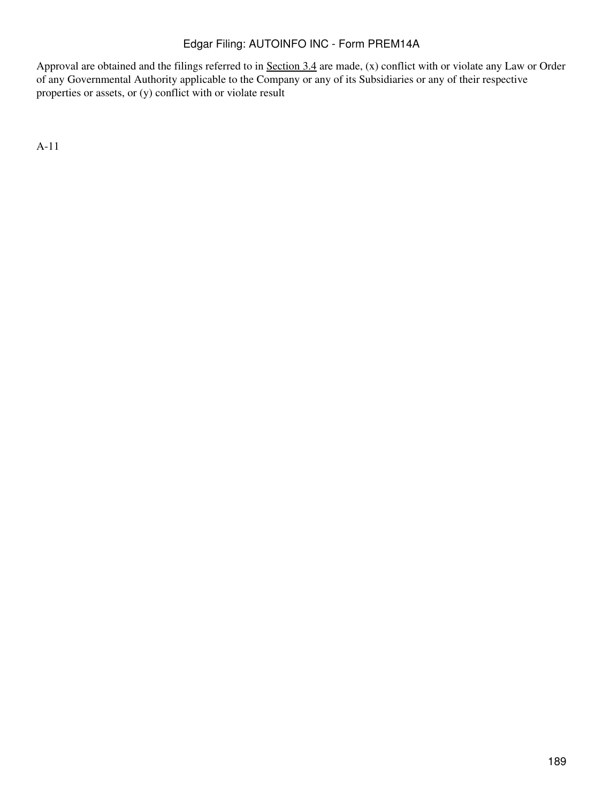Approval are obtained and the filings referred to in Section 3.4 are made, (x) conflict with or violate any Law or Order of any Governmental Authority applicable to the Company or any of its Subsidiaries or any of their respective properties or assets, or (y) conflict with or violate result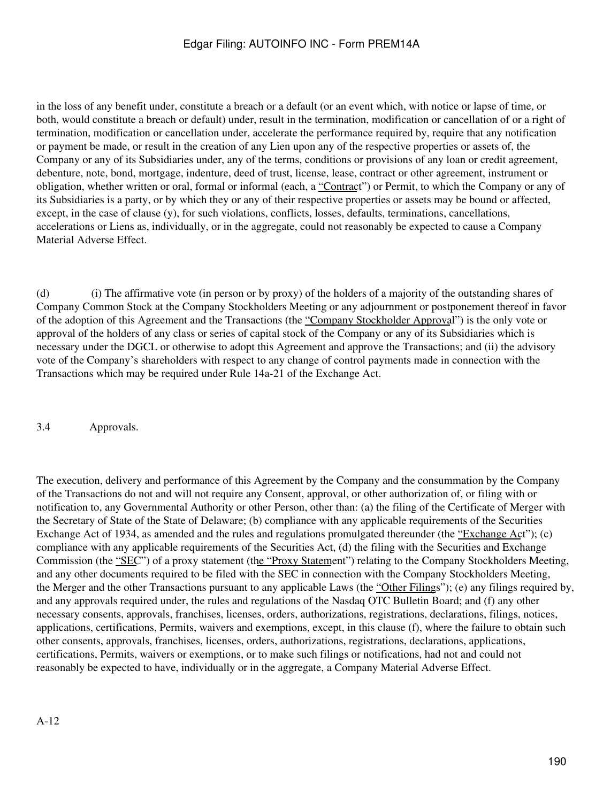in the loss of any benefit under, constitute a breach or a default (or an event which, with notice or lapse of time, or both, would constitute a breach or default) under, result in the termination, modification or cancellation of or a right of termination, modification or cancellation under, accelerate the performance required by, require that any notification or payment be made, or result in the creation of any Lien upon any of the respective properties or assets of, the Company or any of its Subsidiaries under, any of the terms, conditions or provisions of any loan or credit agreement, debenture, note, bond, mortgage, indenture, deed of trust, license, lease, contract or other agreement, instrument or obligation, whether written or oral, formal or informal (each, a "Contract") or Permit, to which the Company or any of its Subsidiaries is a party, or by which they or any of their respective properties or assets may be bound or affected, except, in the case of clause  $(y)$ , for such violations, conflicts, losses, defaults, terminations, cancellations, accelerations or Liens as, individually, or in the aggregate, could not reasonably be expected to cause a Company Material Adverse Effect.

(d) (i) The affirmative vote (in person or by proxy) of the holders of a majority of the outstanding shares of Company Common Stock at the Company Stockholders Meeting or any adjournment or postponement thereof in favor of the adoption of this Agreement and the Transactions (the "Company Stockholder Approval") is the only vote or approval of the holders of any class or series of capital stock of the Company or any of its Subsidiaries which is necessary under the DGCL or otherwise to adopt this Agreement and approve the Transactions; and (ii) the advisory vote of the Company's shareholders with respect to any change of control payments made in connection with the Transactions which may be required under Rule 14a-21 of the Exchange Act.

3.4 Approvals.

The execution, delivery and performance of this Agreement by the Company and the consummation by the Company of the Transactions do not and will not require any Consent, approval, or other authorization of, or filing with or notification to, any Governmental Authority or other Person, other than: (a) the filing of the Certificate of Merger with the Secretary of State of the State of Delaware; (b) compliance with any applicable requirements of the Securities Exchange Act of 1934, as amended and the rules and regulations promulgated thereunder (the "Exchange Act"); (c) compliance with any applicable requirements of the Securities Act, (d) the filing with the Securities and Exchange Commission (the "SEC") of a proxy statement (the "Proxy Statement") relating to the Company Stockholders Meeting, and any other documents required to be filed with the SEC in connection with the Company Stockholders Meeting, the Merger and the other Transactions pursuant to any applicable Laws (the "Other Filings"); (e) any filings required by, and any approvals required under, the rules and regulations of the Nasdaq OTC Bulletin Board; and (f) any other necessary consents, approvals, franchises, licenses, orders, authorizations, registrations, declarations, filings, notices, applications, certifications, Permits, waivers and exemptions, except, in this clause (f), where the failure to obtain such other consents, approvals, franchises, licenses, orders, authorizations, registrations, declarations, applications, certifications, Permits, waivers or exemptions, or to make such filings or notifications, had not and could not reasonably be expected to have, individually or in the aggregate, a Company Material Adverse Effect.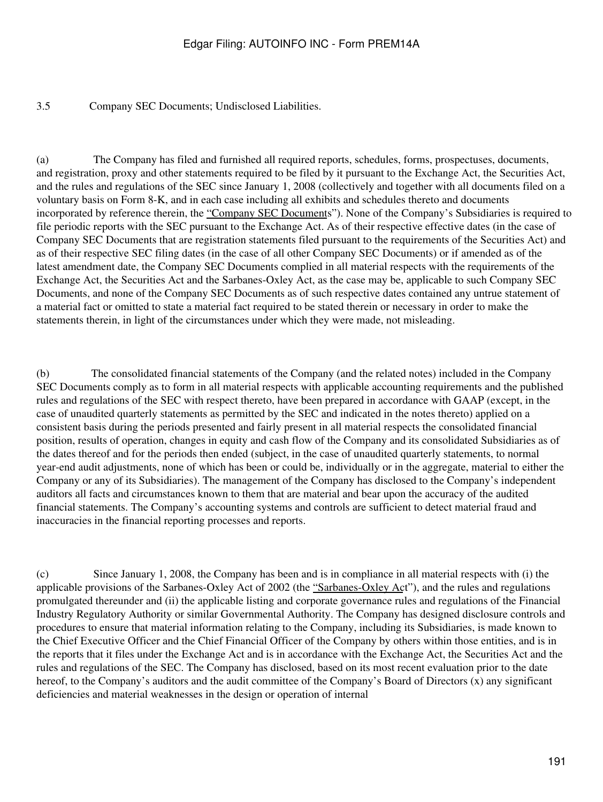#### 3.5 Company SEC Documents; Undisclosed Liabilities.

(a) The Company has filed and furnished all required reports, schedules, forms, prospectuses, documents, and registration, proxy and other statements required to be filed by it pursuant to the Exchange Act, the Securities Act, and the rules and regulations of the SEC since January 1, 2008 (collectively and together with all documents filed on a voluntary basis on Form 8-K, and in each case including all exhibits and schedules thereto and documents incorporated by reference therein, the "Company SEC Documents"). None of the Company's Subsidiaries is required to file periodic reports with the SEC pursuant to the Exchange Act. As of their respective effective dates (in the case of Company SEC Documents that are registration statements filed pursuant to the requirements of the Securities Act) and as of their respective SEC filing dates (in the case of all other Company SEC Documents) or if amended as of the latest amendment date, the Company SEC Documents complied in all material respects with the requirements of the Exchange Act, the Securities Act and the Sarbanes-Oxley Act, as the case may be, applicable to such Company SEC Documents, and none of the Company SEC Documents as of such respective dates contained any untrue statement of a material fact or omitted to state a material fact required to be stated therein or necessary in order to make the statements therein, in light of the circumstances under which they were made, not misleading.

(b) The consolidated financial statements of the Company (and the related notes) included in the Company SEC Documents comply as to form in all material respects with applicable accounting requirements and the published rules and regulations of the SEC with respect thereto, have been prepared in accordance with GAAP (except, in the case of unaudited quarterly statements as permitted by the SEC and indicated in the notes thereto) applied on a consistent basis during the periods presented and fairly present in all material respects the consolidated financial position, results of operation, changes in equity and cash flow of the Company and its consolidated Subsidiaries as of the dates thereof and for the periods then ended (subject, in the case of unaudited quarterly statements, to normal year-end audit adjustments, none of which has been or could be, individually or in the aggregate, material to either the Company or any of its Subsidiaries). The management of the Company has disclosed to the Company's independent auditors all facts and circumstances known to them that are material and bear upon the accuracy of the audited financial statements. The Company's accounting systems and controls are sufficient to detect material fraud and inaccuracies in the financial reporting processes and reports.

(c) Since January 1, 2008, the Company has been and is in compliance in all material respects with (i) the applicable provisions of the Sarbanes-Oxley Act of 2002 (the "Sarbanes-Oxley Act"), and the rules and regulations promulgated thereunder and (ii) the applicable listing and corporate governance rules and regulations of the Financial Industry Regulatory Authority or similar Governmental Authority. The Company has designed disclosure controls and procedures to ensure that material information relating to the Company, including its Subsidiaries, is made known to the Chief Executive Officer and the Chief Financial Officer of the Company by others within those entities, and is in the reports that it files under the Exchange Act and is in accordance with the Exchange Act, the Securities Act and the rules and regulations of the SEC. The Company has disclosed, based on its most recent evaluation prior to the date hereof, to the Company's auditors and the audit committee of the Company's Board of Directors (x) any significant deficiencies and material weaknesses in the design or operation of internal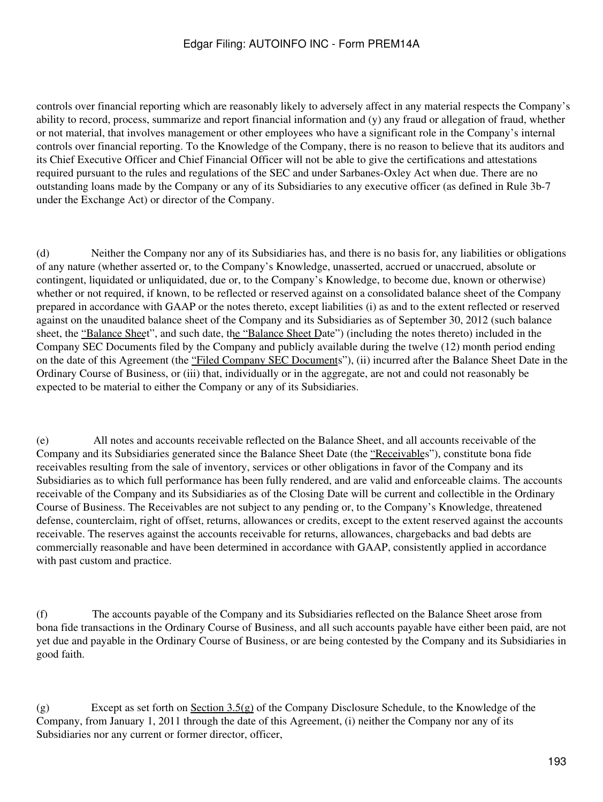controls over financial reporting which are reasonably likely to adversely affect in any material respects the Company's ability to record, process, summarize and report financial information and (y) any fraud or allegation of fraud, whether or not material, that involves management or other employees who have a significant role in the Company's internal controls over financial reporting. To the Knowledge of the Company, there is no reason to believe that its auditors and its Chief Executive Officer and Chief Financial Officer will not be able to give the certifications and attestations required pursuant to the rules and regulations of the SEC and under Sarbanes-Oxley Act when due. There are no outstanding loans made by the Company or any of its Subsidiaries to any executive officer (as defined in Rule 3b-7 under the Exchange Act) or director of the Company.

(d) Neither the Company nor any of its Subsidiaries has, and there is no basis for, any liabilities or obligations of any nature (whether asserted or, to the Company's Knowledge, unasserted, accrued or unaccrued, absolute or contingent, liquidated or unliquidated, due or, to the Company's Knowledge, to become due, known or otherwise) whether or not required, if known, to be reflected or reserved against on a consolidated balance sheet of the Company prepared in accordance with GAAP or the notes thereto, except liabilities (i) as and to the extent reflected or reserved against on the unaudited balance sheet of the Company and its Subsidiaries as of September 30, 2012 (such balance sheet, the "Balance Sheet", and such date, the "Balance Sheet Date") (including the notes thereto) included in the Company SEC Documents filed by the Company and publicly available during the twelve (12) month period ending on the date of this Agreement (the "Filed Company SEC Documents"), (ii) incurred after the Balance Sheet Date in the Ordinary Course of Business, or (iii) that, individually or in the aggregate, are not and could not reasonably be expected to be material to either the Company or any of its Subsidiaries.

(e) All notes and accounts receivable reflected on the Balance Sheet, and all accounts receivable of the Company and its Subsidiaries generated since the Balance Sheet Date (the "Receivables"), constitute bona fide receivables resulting from the sale of inventory, services or other obligations in favor of the Company and its Subsidiaries as to which full performance has been fully rendered, and are valid and enforceable claims. The accounts receivable of the Company and its Subsidiaries as of the Closing Date will be current and collectible in the Ordinary Course of Business. The Receivables are not subject to any pending or, to the Company's Knowledge, threatened defense, counterclaim, right of offset, returns, allowances or credits, except to the extent reserved against the accounts receivable. The reserves against the accounts receivable for returns, allowances, chargebacks and bad debts are commercially reasonable and have been determined in accordance with GAAP, consistently applied in accordance with past custom and practice.

(f) The accounts payable of the Company and its Subsidiaries reflected on the Balance Sheet arose from bona fide transactions in the Ordinary Course of Business, and all such accounts payable have either been paid, are not yet due and payable in the Ordinary Course of Business, or are being contested by the Company and its Subsidiaries in good faith.

(g) Except as set forth on Section 3.5(g) of the Company Disclosure Schedule, to the Knowledge of the Company, from January 1, 2011 through the date of this Agreement, (i) neither the Company nor any of its Subsidiaries nor any current or former director, officer,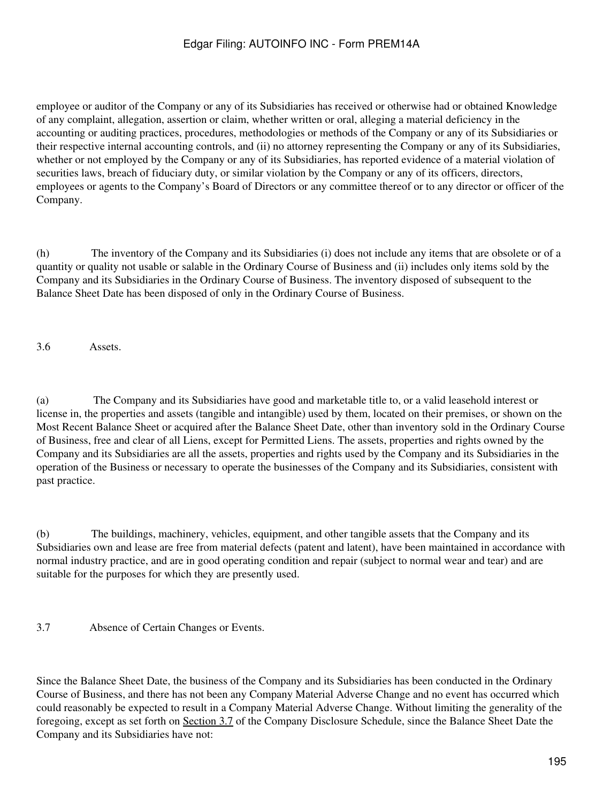employee or auditor of the Company or any of its Subsidiaries has received or otherwise had or obtained Knowledge of any complaint, allegation, assertion or claim, whether written or oral, alleging a material deficiency in the accounting or auditing practices, procedures, methodologies or methods of the Company or any of its Subsidiaries or their respective internal accounting controls, and (ii) no attorney representing the Company or any of its Subsidiaries, whether or not employed by the Company or any of its Subsidiaries, has reported evidence of a material violation of securities laws, breach of fiduciary duty, or similar violation by the Company or any of its officers, directors, employees or agents to the Company's Board of Directors or any committee thereof or to any director or officer of the Company.

(h) The inventory of the Company and its Subsidiaries (i) does not include any items that are obsolete or of a quantity or quality not usable or salable in the Ordinary Course of Business and (ii) includes only items sold by the Company and its Subsidiaries in the Ordinary Course of Business. The inventory disposed of subsequent to the Balance Sheet Date has been disposed of only in the Ordinary Course of Business.

3.6 Assets.

(a) The Company and its Subsidiaries have good and marketable title to, or a valid leasehold interest or license in, the properties and assets (tangible and intangible) used by them, located on their premises, or shown on the Most Recent Balance Sheet or acquired after the Balance Sheet Date, other than inventory sold in the Ordinary Course of Business, free and clear of all Liens, except for Permitted Liens. The assets, properties and rights owned by the Company and its Subsidiaries are all the assets, properties and rights used by the Company and its Subsidiaries in the operation of the Business or necessary to operate the businesses of the Company and its Subsidiaries, consistent with past practice.

(b) The buildings, machinery, vehicles, equipment, and other tangible assets that the Company and its Subsidiaries own and lease are free from material defects (patent and latent), have been maintained in accordance with normal industry practice, and are in good operating condition and repair (subject to normal wear and tear) and are suitable for the purposes for which they are presently used.

3.7 Absence of Certain Changes or Events.

Since the Balance Sheet Date, the business of the Company and its Subsidiaries has been conducted in the Ordinary Course of Business, and there has not been any Company Material Adverse Change and no event has occurred which could reasonably be expected to result in a Company Material Adverse Change. Without limiting the generality of the foregoing, except as set forth on Section 3.7 of the Company Disclosure Schedule, since the Balance Sheet Date the Company and its Subsidiaries have not: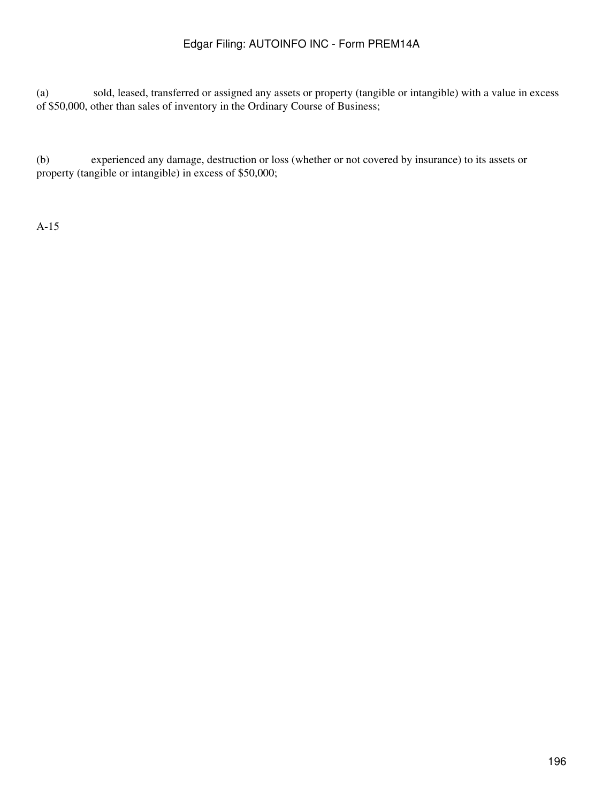(a) sold, leased, transferred or assigned any assets or property (tangible or intangible) with a value in excess of \$50,000, other than sales of inventory in the Ordinary Course of Business;

(b) experienced any damage, destruction or loss (whether or not covered by insurance) to its assets or property (tangible or intangible) in excess of \$50,000;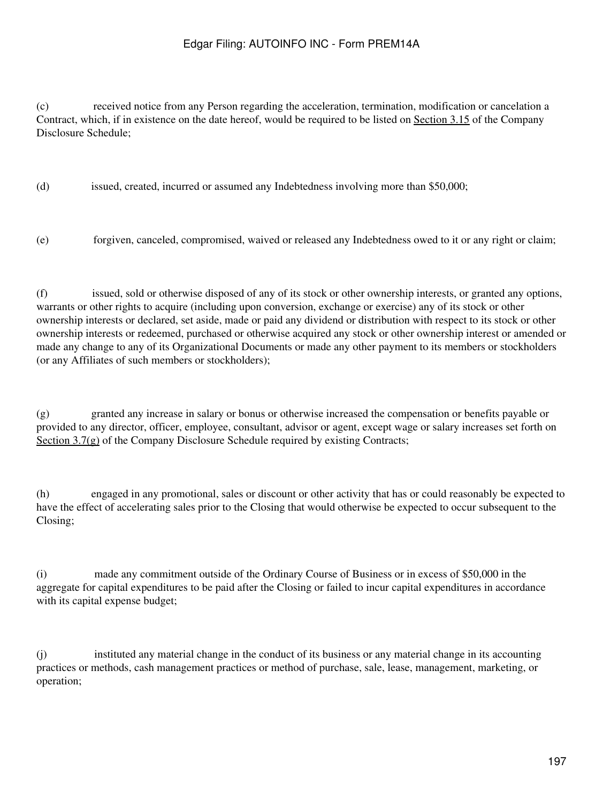(c) received notice from any Person regarding the acceleration, termination, modification or cancelation a Contract, which, if in existence on the date hereof, would be required to be listed on Section 3.15 of the Company Disclosure Schedule;

(d) issued, created, incurred or assumed any Indebtedness involving more than \$50,000;

(e) forgiven, canceled, compromised, waived or released any Indebtedness owed to it or any right or claim;

(f) issued, sold or otherwise disposed of any of its stock or other ownership interests, or granted any options, warrants or other rights to acquire (including upon conversion, exchange or exercise) any of its stock or other ownership interests or declared, set aside, made or paid any dividend or distribution with respect to its stock or other ownership interests or redeemed, purchased or otherwise acquired any stock or other ownership interest or amended or made any change to any of its Organizational Documents or made any other payment to its members or stockholders (or any Affiliates of such members or stockholders);

(g) granted any increase in salary or bonus or otherwise increased the compensation or benefits payable or provided to any director, officer, employee, consultant, advisor or agent, except wage or salary increases set forth on Section 3.7(g) of the Company Disclosure Schedule required by existing Contracts;

(h) engaged in any promotional, sales or discount or other activity that has or could reasonably be expected to have the effect of accelerating sales prior to the Closing that would otherwise be expected to occur subsequent to the Closing;

(i) made any commitment outside of the Ordinary Course of Business or in excess of \$50,000 in the aggregate for capital expenditures to be paid after the Closing or failed to incur capital expenditures in accordance with its capital expense budget;

(j) instituted any material change in the conduct of its business or any material change in its accounting practices or methods, cash management practices or method of purchase, sale, lease, management, marketing, or operation;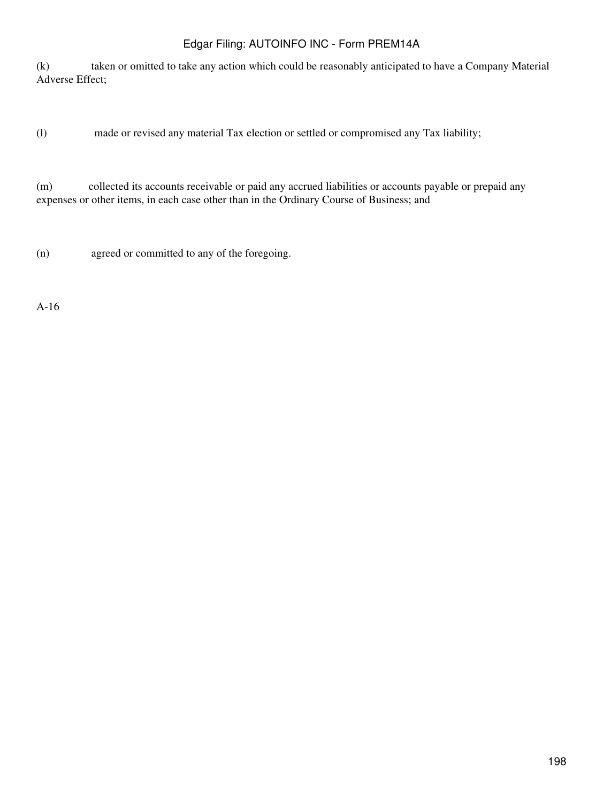(k) taken or omitted to take any action which could be reasonably anticipated to have a Company Material Adverse Effect;

(l) made or revised any material Tax election or settled or compromised any Tax liability;

(m) collected its accounts receivable or paid any accrued liabilities or accounts payable or prepaid any expenses or other items, in each case other than in the Ordinary Course of Business; and

(n) agreed or committed to any of the foregoing.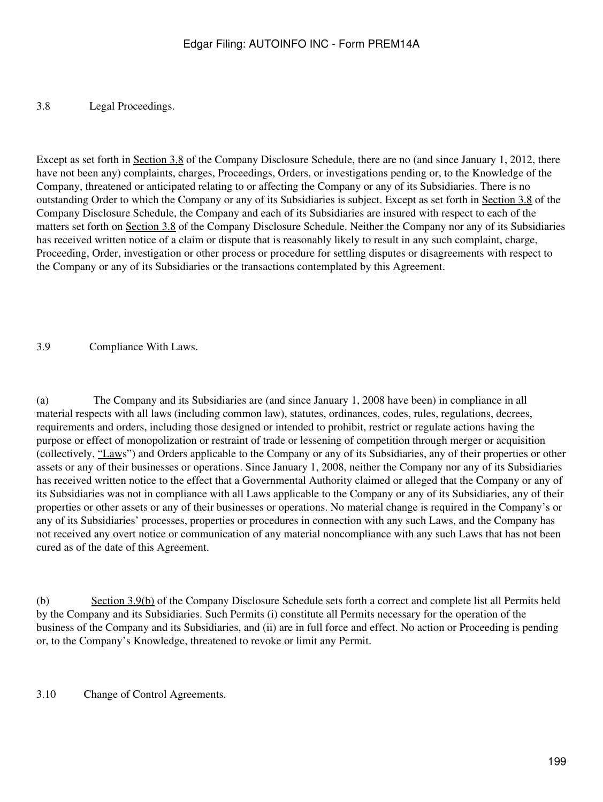#### 3.8 Legal Proceedings.

Except as set forth in <u>Section 3.8</u> of the Company Disclosure Schedule, there are no (and since January 1, 2012, there have not been any) complaints, charges, Proceedings, Orders, or investigations pending or, to the Knowledge of the Company, threatened or anticipated relating to or affecting the Company or any of its Subsidiaries. There is no outstanding Order to which the Company or any of its Subsidiaries is subject. Except as set forth in Section 3.8 of the Company Disclosure Schedule, the Company and each of its Subsidiaries are insured with respect to each of the matters set forth on Section 3.8 of the Company Disclosure Schedule. Neither the Company nor any of its Subsidiaries has received written notice of a claim or dispute that is reasonably likely to result in any such complaint, charge, Proceeding, Order, investigation or other process or procedure for settling disputes or disagreements with respect to the Company or any of its Subsidiaries or the transactions contemplated by this Agreement.

#### 3.9 Compliance With Laws.

(a) The Company and its Subsidiaries are (and since January 1, 2008 have been) in compliance in all material respects with all laws (including common law), statutes, ordinances, codes, rules, regulations, decrees, requirements and orders, including those designed or intended to prohibit, restrict or regulate actions having the purpose or effect of monopolization or restraint of trade or lessening of competition through merger or acquisition (collectively, "Laws") and Orders applicable to the Company or any of its Subsidiaries, any of their properties or other assets or any of their businesses or operations. Since January 1, 2008, neither the Company nor any of its Subsidiaries has received written notice to the effect that a Governmental Authority claimed or alleged that the Company or any of its Subsidiaries was not in compliance with all Laws applicable to the Company or any of its Subsidiaries, any of their properties or other assets or any of their businesses or operations. No material change is required in the Company's or any of its Subsidiaries' processes, properties or procedures in connection with any such Laws, and the Company has not received any overt notice or communication of any material noncompliance with any such Laws that has not been cured as of the date of this Agreement.

(b) Section 3.9(b) of the Company Disclosure Schedule sets forth a correct and complete list all Permits held by the Company and its Subsidiaries. Such Permits (i) constitute all Permits necessary for the operation of the business of the Company and its Subsidiaries, and (ii) are in full force and effect. No action or Proceeding is pending or, to the Company's Knowledge, threatened to revoke or limit any Permit.

3.10 Change of Control Agreements.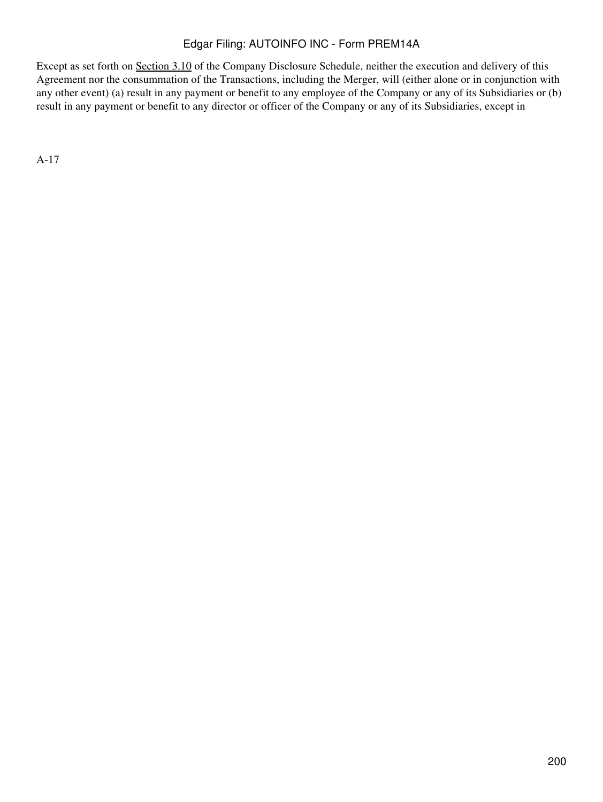Except as set forth on Section 3.10 of the Company Disclosure Schedule, neither the execution and delivery of this Agreement nor the consummation of the Transactions, including the Merger, will (either alone or in conjunction with any other event) (a) result in any payment or benefit to any employee of the Company or any of its Subsidiaries or (b) result in any payment or benefit to any director or officer of the Company or any of its Subsidiaries, except in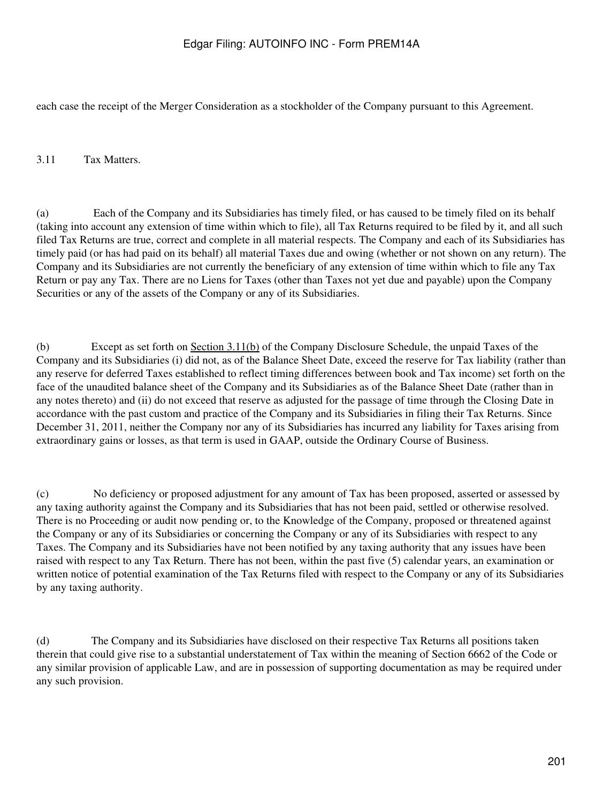each case the receipt of the Merger Consideration as a stockholder of the Company pursuant to this Agreement.

#### 3.11 Tax Matters.

(a) Each of the Company and its Subsidiaries has timely filed, or has caused to be timely filed on its behalf (taking into account any extension of time within which to file), all Tax Returns required to be filed by it, and all such filed Tax Returns are true, correct and complete in all material respects. The Company and each of its Subsidiaries has timely paid (or has had paid on its behalf) all material Taxes due and owing (whether or not shown on any return). The Company and its Subsidiaries are not currently the beneficiary of any extension of time within which to file any Tax Return or pay any Tax. There are no Liens for Taxes (other than Taxes not yet due and payable) upon the Company Securities or any of the assets of the Company or any of its Subsidiaries.

(b) Except as set forth on Section 3.11(b) of the Company Disclosure Schedule, the unpaid Taxes of the Company and its Subsidiaries (i) did not, as of the Balance Sheet Date, exceed the reserve for Tax liability (rather than any reserve for deferred Taxes established to reflect timing differences between book and Tax income) set forth on the face of the unaudited balance sheet of the Company and its Subsidiaries as of the Balance Sheet Date (rather than in any notes thereto) and (ii) do not exceed that reserve as adjusted for the passage of time through the Closing Date in accordance with the past custom and practice of the Company and its Subsidiaries in filing their Tax Returns. Since December 31, 2011, neither the Company nor any of its Subsidiaries has incurred any liability for Taxes arising from extraordinary gains or losses, as that term is used in GAAP, outside the Ordinary Course of Business.

(c) No deficiency or proposed adjustment for any amount of Tax has been proposed, asserted or assessed by any taxing authority against the Company and its Subsidiaries that has not been paid, settled or otherwise resolved. There is no Proceeding or audit now pending or, to the Knowledge of the Company, proposed or threatened against the Company or any of its Subsidiaries or concerning the Company or any of its Subsidiaries with respect to any Taxes. The Company and its Subsidiaries have not been notified by any taxing authority that any issues have been raised with respect to any Tax Return. There has not been, within the past five (5) calendar years, an examination or written notice of potential examination of the Tax Returns filed with respect to the Company or any of its Subsidiaries by any taxing authority.

(d) The Company and its Subsidiaries have disclosed on their respective Tax Returns all positions taken therein that could give rise to a substantial understatement of Tax within the meaning of Section 6662 of the Code or any similar provision of applicable Law, and are in possession of supporting documentation as may be required under any such provision.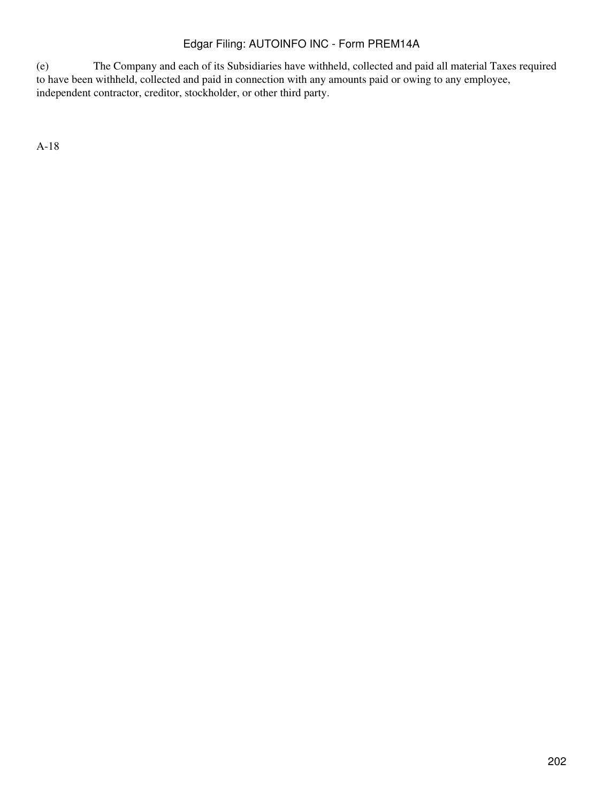(e) The Company and each of its Subsidiaries have withheld, collected and paid all material Taxes required to have been withheld, collected and paid in connection with any amounts paid or owing to any employee, independent contractor, creditor, stockholder, or other third party.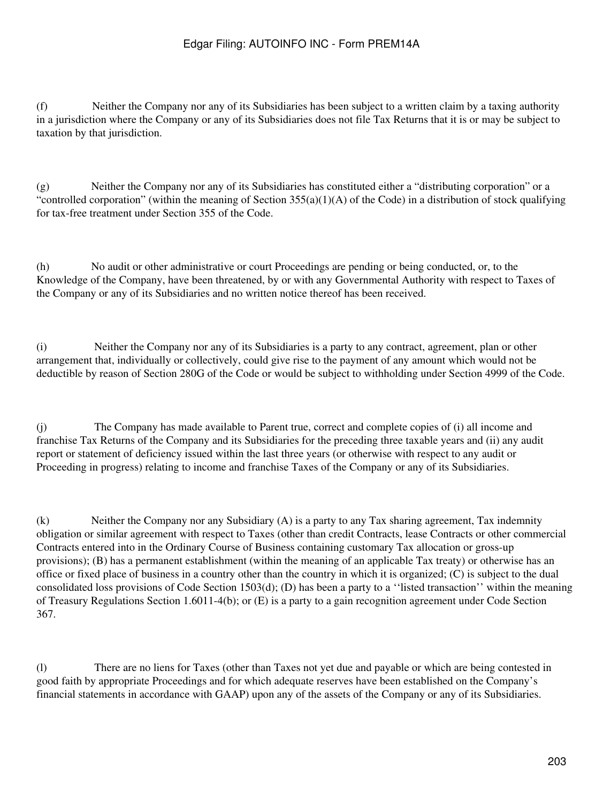(f) Neither the Company nor any of its Subsidiaries has been subject to a written claim by a taxing authority in a jurisdiction where the Company or any of its Subsidiaries does not file Tax Returns that it is or may be subject to taxation by that jurisdiction.

(g) Neither the Company nor any of its Subsidiaries has constituted either a "distributing corporation" or a "controlled corporation" (within the meaning of Section  $355(a)(1)(A)$  of the Code) in a distribution of stock qualifying for tax-free treatment under Section 355 of the Code.

(h) No audit or other administrative or court Proceedings are pending or being conducted, or, to the Knowledge of the Company, have been threatened, by or with any Governmental Authority with respect to Taxes of the Company or any of its Subsidiaries and no written notice thereof has been received.

(i) Neither the Company nor any of its Subsidiaries is a party to any contract, agreement, plan or other arrangement that, individually or collectively, could give rise to the payment of any amount which would not be deductible by reason of Section 280G of the Code or would be subject to withholding under Section 4999 of the Code.

(j) The Company has made available to Parent true, correct and complete copies of (i) all income and franchise Tax Returns of the Company and its Subsidiaries for the preceding three taxable years and (ii) any audit report or statement of deficiency issued within the last three years (or otherwise with respect to any audit or Proceeding in progress) relating to income and franchise Taxes of the Company or any of its Subsidiaries.

(k) Neither the Company nor any Subsidiary (A) is a party to any Tax sharing agreement, Tax indemnity obligation or similar agreement with respect to Taxes (other than credit Contracts, lease Contracts or other commercial Contracts entered into in the Ordinary Course of Business containing customary Tax allocation or gross-up provisions); (B) has a permanent establishment (within the meaning of an applicable Tax treaty) or otherwise has an office or fixed place of business in a country other than the country in which it is organized; (C) is subject to the dual consolidated loss provisions of Code Section 1503(d); (D) has been a party to a ''listed transaction'' within the meaning of Treasury Regulations Section 1.6011-4(b); or (E) is a party to a gain recognition agreement under Code Section 367.

(l) There are no liens for Taxes (other than Taxes not yet due and payable or which are being contested in good faith by appropriate Proceedings and for which adequate reserves have been established on the Company's financial statements in accordance with GAAP) upon any of the assets of the Company or any of its Subsidiaries.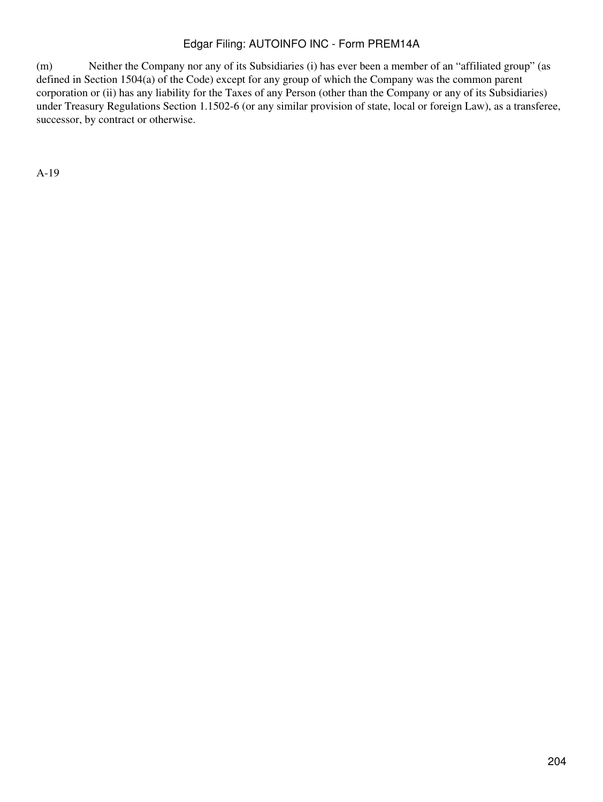(m) Neither the Company nor any of its Subsidiaries (i) has ever been a member of an "affiliated group" (as defined in Section 1504(a) of the Code) except for any group of which the Company was the common parent corporation or (ii) has any liability for the Taxes of any Person (other than the Company or any of its Subsidiaries) under Treasury Regulations Section 1.1502-6 (or any similar provision of state, local or foreign Law), as a transferee, successor, by contract or otherwise.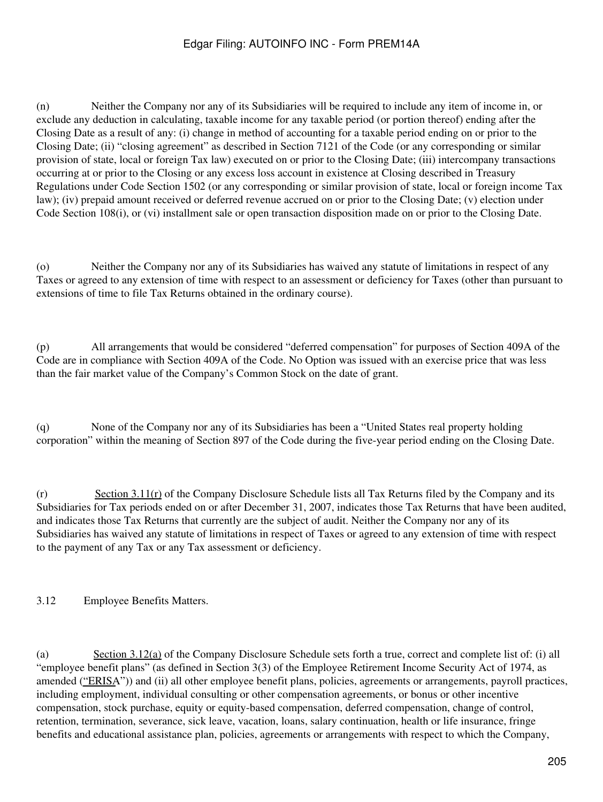(n) Neither the Company nor any of its Subsidiaries will be required to include any item of income in, or exclude any deduction in calculating, taxable income for any taxable period (or portion thereof) ending after the Closing Date as a result of any: (i) change in method of accounting for a taxable period ending on or prior to the Closing Date; (ii) "closing agreement" as described in Section 7121 of the Code (or any corresponding or similar provision of state, local or foreign Tax law) executed on or prior to the Closing Date; (iii) intercompany transactions occurring at or prior to the Closing or any excess loss account in existence at Closing described in Treasury Regulations under Code Section 1502 (or any corresponding or similar provision of state, local or foreign income Tax law); (iv) prepaid amount received or deferred revenue accrued on or prior to the Closing Date; (v) election under Code Section 108(i), or (vi) installment sale or open transaction disposition made on or prior to the Closing Date.

(o) Neither the Company nor any of its Subsidiaries has waived any statute of limitations in respect of any Taxes or agreed to any extension of time with respect to an assessment or deficiency for Taxes (other than pursuant to extensions of time to file Tax Returns obtained in the ordinary course).

(p) All arrangements that would be considered "deferred compensation" for purposes of Section 409A of the Code are in compliance with Section 409A of the Code. No Option was issued with an exercise price that was less than the fair market value of the Company's Common Stock on the date of grant.

(q) None of the Company nor any of its Subsidiaries has been a "United States real property holding corporation" within the meaning of Section 897 of the Code during the five-year period ending on the Closing Date.

(r) Section 3.11(r) of the Company Disclosure Schedule lists all Tax Returns filed by the Company and its Subsidiaries for Tax periods ended on or after December 31, 2007, indicates those Tax Returns that have been audited, and indicates those Tax Returns that currently are the subject of audit. Neither the Company nor any of its Subsidiaries has waived any statute of limitations in respect of Taxes or agreed to any extension of time with respect to the payment of any Tax or any Tax assessment or deficiency.

3.12 Employee Benefits Matters.

(a) Section 3.12(a) of the Company Disclosure Schedule sets forth a true, correct and complete list of: (i) all "employee benefit plans" (as defined in Section 3(3) of the Employee Retirement Income Security Act of 1974, as amended ("ERISA")) and (ii) all other employee benefit plans, policies, agreements or arrangements, payroll practices, including employment, individual consulting or other compensation agreements, or bonus or other incentive compensation, stock purchase, equity or equity-based compensation, deferred compensation, change of control, retention, termination, severance, sick leave, vacation, loans, salary continuation, health or life insurance, fringe benefits and educational assistance plan, policies, agreements or arrangements with respect to which the Company,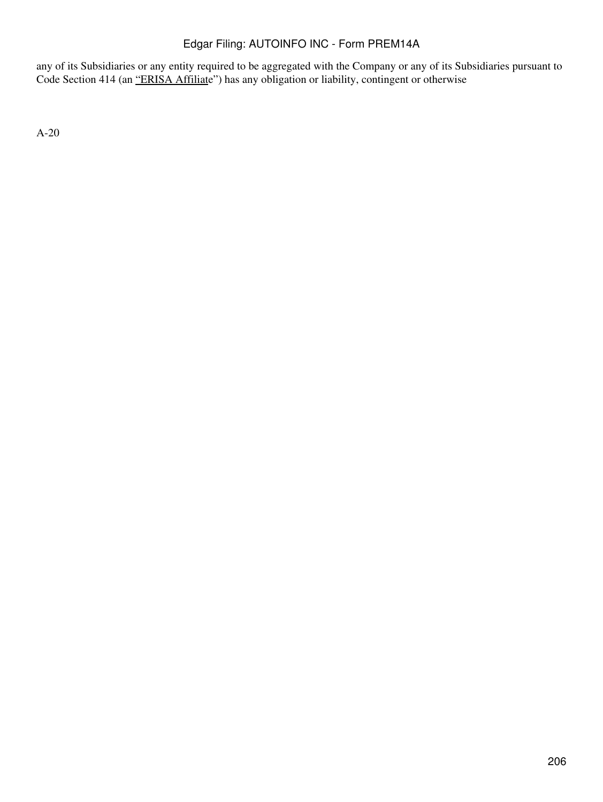any of its Subsidiaries or any entity required to be aggregated with the Company or any of its Subsidiaries pursuant to Code Section 414 (an "ERISA Affiliate") has any obligation or liability, contingent or otherwise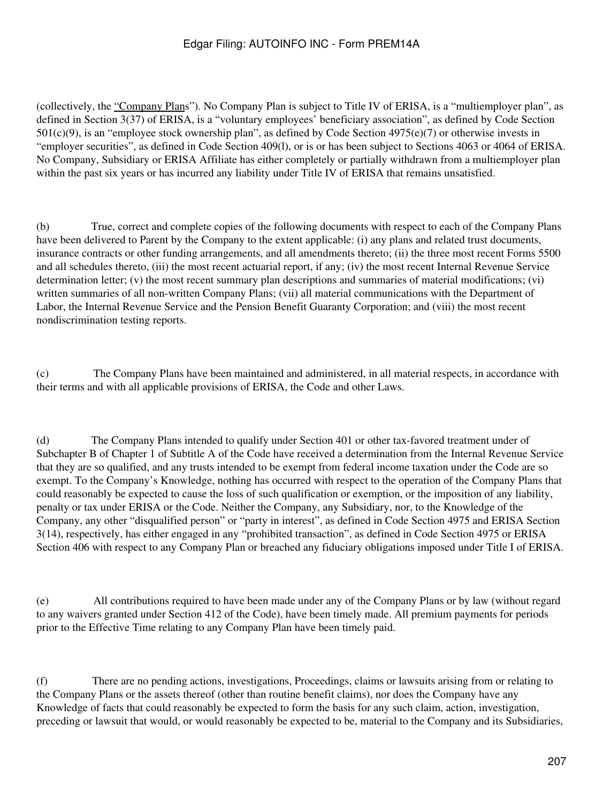(collectively, the "Company Plans"). No Company Plan is subject to Title IV of ERISA, is a "multiemployer plan", as defined in Section 3(37) of ERISA, is a "voluntary employees' beneficiary association", as defined by Code Section 501(c)(9), is an "employee stock ownership plan", as defined by Code Section 4975(e)(7) or otherwise invests in "employer securities", as defined in Code Section 409(l), or is or has been subject to Sections 4063 or 4064 of ERISA. No Company, Subsidiary or ERISA Affiliate has either completely or partially withdrawn from a multiemployer plan within the past six years or has incurred any liability under Title IV of ERISA that remains unsatisfied.

(b) True, correct and complete copies of the following documents with respect to each of the Company Plans have been delivered to Parent by the Company to the extent applicable: (i) any plans and related trust documents, insurance contracts or other funding arrangements, and all amendments thereto; (ii) the three most recent Forms 5500 and all schedules thereto, (iii) the most recent actuarial report, if any; (iv) the most recent Internal Revenue Service determination letter; (v) the most recent summary plan descriptions and summaries of material modifications; (vi) written summaries of all non-written Company Plans; (vii) all material communications with the Department of Labor, the Internal Revenue Service and the Pension Benefit Guaranty Corporation; and (viii) the most recent nondiscrimination testing reports.

(c) The Company Plans have been maintained and administered, in all material respects, in accordance with their terms and with all applicable provisions of ERISA, the Code and other Laws.

(d) The Company Plans intended to qualify under Section 401 or other tax-favored treatment under of Subchapter B of Chapter 1 of Subtitle A of the Code have received a determination from the Internal Revenue Service that they are so qualified, and any trusts intended to be exempt from federal income taxation under the Code are so exempt. To the Company's Knowledge, nothing has occurred with respect to the operation of the Company Plans that could reasonably be expected to cause the loss of such qualification or exemption, or the imposition of any liability, penalty or tax under ERISA or the Code. Neither the Company, any Subsidiary, nor, to the Knowledge of the Company, any other "disqualified person" or "party in interest", as defined in Code Section 4975 and ERISA Section 3(14), respectively, has either engaged in any "prohibited transaction", as defined in Code Section 4975 or ERISA Section 406 with respect to any Company Plan or breached any fiduciary obligations imposed under Title I of ERISA.

(e) All contributions required to have been made under any of the Company Plans or by law (without regard to any waivers granted under Section 412 of the Code), have been timely made. All premium payments for periods prior to the Effective Time relating to any Company Plan have been timely paid.

(f) There are no pending actions, investigations, Proceedings, claims or lawsuits arising from or relating to the Company Plans or the assets thereof (other than routine benefit claims), nor does the Company have any Knowledge of facts that could reasonably be expected to form the basis for any such claim, action, investigation, preceding or lawsuit that would, or would reasonably be expected to be, material to the Company and its Subsidiaries,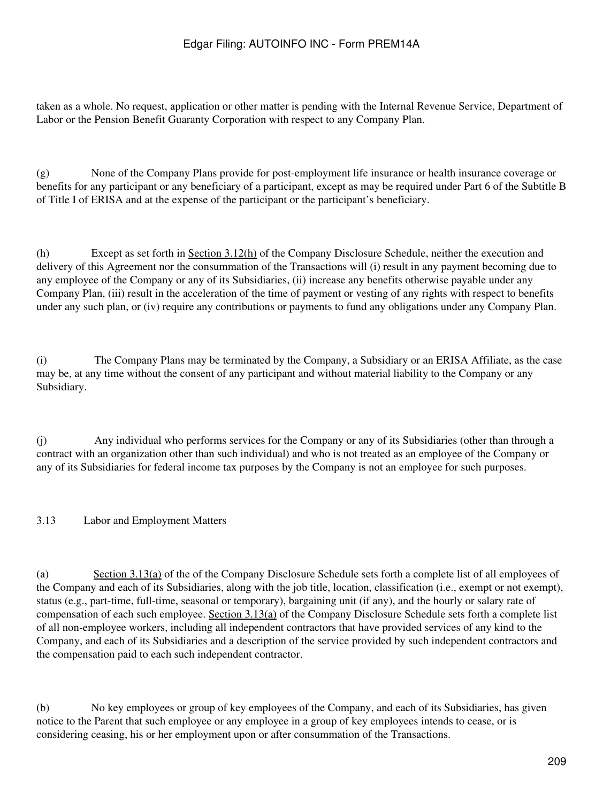taken as a whole. No request, application or other matter is pending with the Internal Revenue Service, Department of Labor or the Pension Benefit Guaranty Corporation with respect to any Company Plan.

(g) None of the Company Plans provide for post-employment life insurance or health insurance coverage or benefits for any participant or any beneficiary of a participant, except as may be required under Part 6 of the Subtitle B of Title I of ERISA and at the expense of the participant or the participant's beneficiary.

(h) Except as set forth in Section 3.12(h) of the Company Disclosure Schedule, neither the execution and delivery of this Agreement nor the consummation of the Transactions will (i) result in any payment becoming due to any employee of the Company or any of its Subsidiaries, (ii) increase any benefits otherwise payable under any Company Plan, (iii) result in the acceleration of the time of payment or vesting of any rights with respect to benefits under any such plan, or (iv) require any contributions or payments to fund any obligations under any Company Plan.

(i) The Company Plans may be terminated by the Company, a Subsidiary or an ERISA Affiliate, as the case may be, at any time without the consent of any participant and without material liability to the Company or any Subsidiary.

(j) Any individual who performs services for the Company or any of its Subsidiaries (other than through a contract with an organization other than such individual) and who is not treated as an employee of the Company or any of its Subsidiaries for federal income tax purposes by the Company is not an employee for such purposes.

3.13 Labor and Employment Matters

(a) Section 3.13(a) of the of the Company Disclosure Schedule sets forth a complete list of all employees of the Company and each of its Subsidiaries, along with the job title, location, classification (i.e., exempt or not exempt), status (e.g., part-time, full-time, seasonal or temporary), bargaining unit (if any), and the hourly or salary rate of compensation of each such employee. Section 3.13(a) of the Company Disclosure Schedule sets forth a complete list of all non-employee workers, including all independent contractors that have provided services of any kind to the Company, and each of its Subsidiaries and a description of the service provided by such independent contractors and the compensation paid to each such independent contractor.

(b) No key employees or group of key employees of the Company, and each of its Subsidiaries, has given notice to the Parent that such employee or any employee in a group of key employees intends to cease, or is considering ceasing, his or her employment upon or after consummation of the Transactions.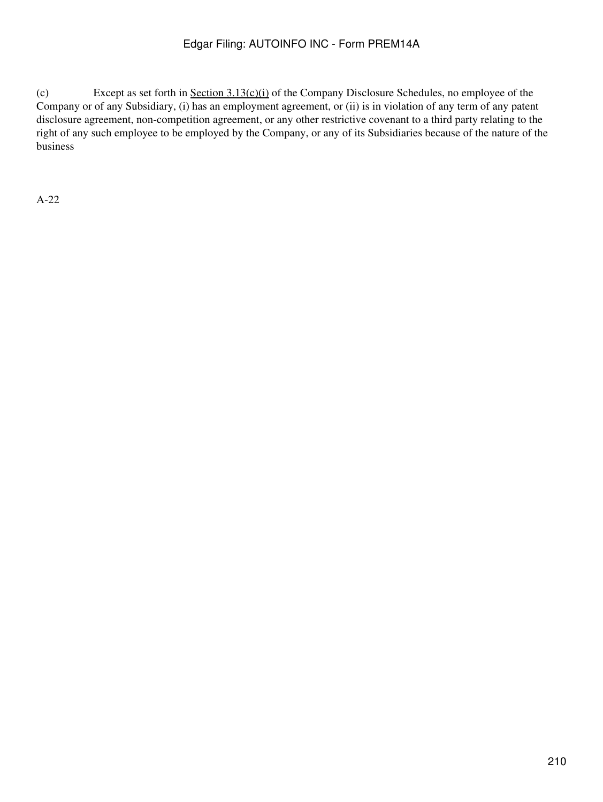(c) Except as set forth in Section 3.13(c)(i) of the Company Disclosure Schedules, no employee of the Company or of any Subsidiary, (i) has an employment agreement, or (ii) is in violation of any term of any patent disclosure agreement, non-competition agreement, or any other restrictive covenant to a third party relating to the right of any such employee to be employed by the Company, or any of its Subsidiaries because of the nature of the business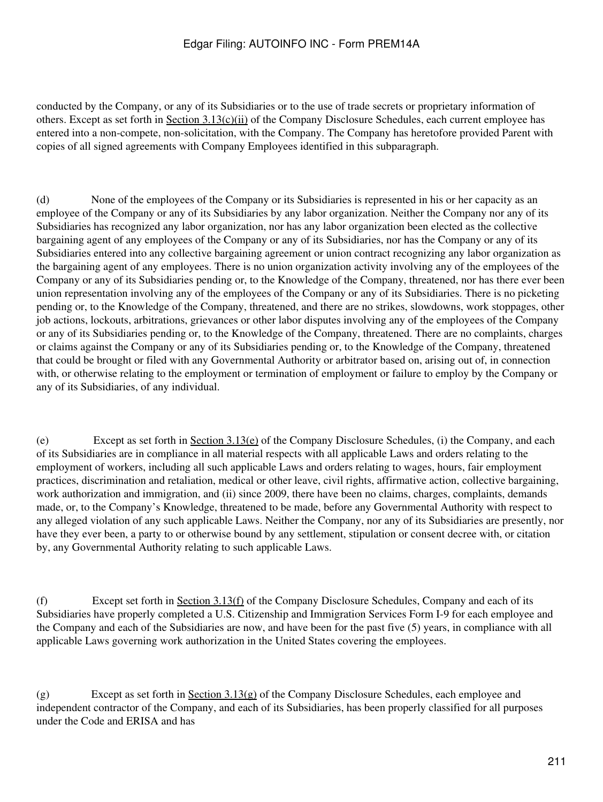conducted by the Company, or any of its Subsidiaries or to the use of trade secrets or proprietary information of others. Except as set forth in Section 3.13(c)(ii) of the Company Disclosure Schedules, each current employee has entered into a non-compete, non-solicitation, with the Company. The Company has heretofore provided Parent with copies of all signed agreements with Company Employees identified in this subparagraph.

(d) None of the employees of the Company or its Subsidiaries is represented in his or her capacity as an employee of the Company or any of its Subsidiaries by any labor organization. Neither the Company nor any of its Subsidiaries has recognized any labor organization, nor has any labor organization been elected as the collective bargaining agent of any employees of the Company or any of its Subsidiaries, nor has the Company or any of its Subsidiaries entered into any collective bargaining agreement or union contract recognizing any labor organization as the bargaining agent of any employees. There is no union organization activity involving any of the employees of the Company or any of its Subsidiaries pending or, to the Knowledge of the Company, threatened, nor has there ever been union representation involving any of the employees of the Company or any of its Subsidiaries. There is no picketing pending or, to the Knowledge of the Company, threatened, and there are no strikes, slowdowns, work stoppages, other job actions, lockouts, arbitrations, grievances or other labor disputes involving any of the employees of the Company or any of its Subsidiaries pending or, to the Knowledge of the Company, threatened. There are no complaints, charges or claims against the Company or any of its Subsidiaries pending or, to the Knowledge of the Company, threatened that could be brought or filed with any Governmental Authority or arbitrator based on, arising out of, in connection with, or otherwise relating to the employment or termination of employment or failure to employ by the Company or any of its Subsidiaries, of any individual.

(e) Except as set forth in Section  $3.13(e)$  of the Company Disclosure Schedules, (i) the Company, and each of its Subsidiaries are in compliance in all material respects with all applicable Laws and orders relating to the employment of workers, including all such applicable Laws and orders relating to wages, hours, fair employment practices, discrimination and retaliation, medical or other leave, civil rights, affirmative action, collective bargaining, work authorization and immigration, and (ii) since 2009, there have been no claims, charges, complaints, demands made, or, to the Company's Knowledge, threatened to be made, before any Governmental Authority with respect to any alleged violation of any such applicable Laws. Neither the Company, nor any of its Subsidiaries are presently, nor have they ever been, a party to or otherwise bound by any settlement, stipulation or consent decree with, or citation by, any Governmental Authority relating to such applicable Laws.

(f) Except set forth in Section 3.13(f) of the Company Disclosure Schedules, Company and each of its Subsidiaries have properly completed a U.S. Citizenship and Immigration Services Form I-9 for each employee and the Company and each of the Subsidiaries are now, and have been for the past five (5) years, in compliance with all applicable Laws governing work authorization in the United States covering the employees.

(g) Except as set forth in Section 3.13(g) of the Company Disclosure Schedules, each employee and independent contractor of the Company, and each of its Subsidiaries, has been properly classified for all purposes under the Code and ERISA and has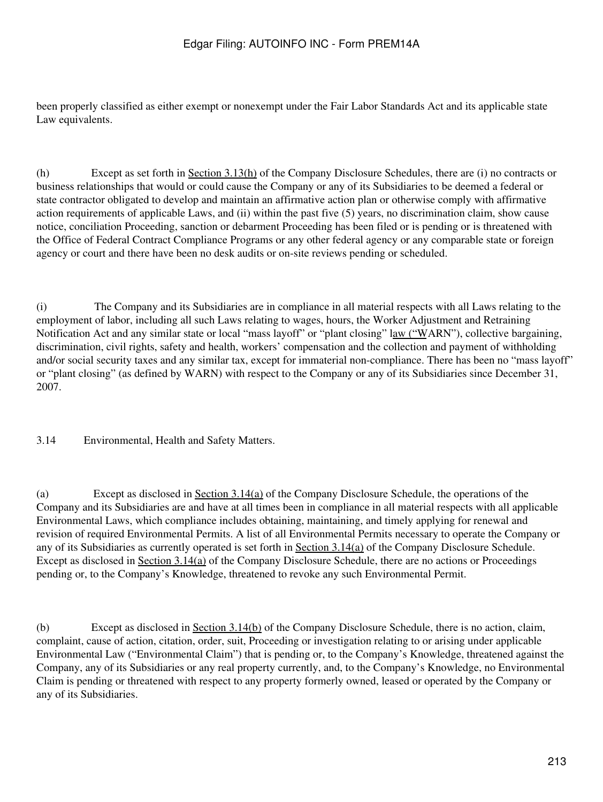been properly classified as either exempt or nonexempt under the Fair Labor Standards Act and its applicable state Law equivalents.

(h) Except as set forth in Section 3.13(h) of the Company Disclosure Schedules, there are (i) no contracts or business relationships that would or could cause the Company or any of its Subsidiaries to be deemed a federal or state contractor obligated to develop and maintain an affirmative action plan or otherwise comply with affirmative action requirements of applicable Laws, and (ii) within the past five (5) years, no discrimination claim, show cause notice, conciliation Proceeding, sanction or debarment Proceeding has been filed or is pending or is threatened with the Office of Federal Contract Compliance Programs or any other federal agency or any comparable state or foreign agency or court and there have been no desk audits or on-site reviews pending or scheduled.

(i) The Company and its Subsidiaries are in compliance in all material respects with all Laws relating to the employment of labor, including all such Laws relating to wages, hours, the Worker Adjustment and Retraining Notification Act and any similar state or local "mass layoff" or "plant closing" law ("WARN"), collective bargaining, discrimination, civil rights, safety and health, workers' compensation and the collection and payment of withholding and/or social security taxes and any similar tax, except for immaterial non-compliance. There has been no "mass layoff" or "plant closing" (as defined by WARN) with respect to the Company or any of its Subsidiaries since December 31, 2007.

3.14 Environmental, Health and Safety Matters.

(a) Except as disclosed in Section 3.14(a) of the Company Disclosure Schedule, the operations of the Company and its Subsidiaries are and have at all times been in compliance in all material respects with all applicable Environmental Laws, which compliance includes obtaining, maintaining, and timely applying for renewal and revision of required Environmental Permits. A list of all Environmental Permits necessary to operate the Company or any of its Subsidiaries as currently operated is set forth in Section 3.14(a) of the Company Disclosure Schedule. Except as disclosed in Section 3.14(a) of the Company Disclosure Schedule, there are no actions or Proceedings pending or, to the Company's Knowledge, threatened to revoke any such Environmental Permit.

(b) Except as disclosed in Section 3.14(b) of the Company Disclosure Schedule, there is no action, claim, complaint, cause of action, citation, order, suit, Proceeding or investigation relating to or arising under applicable Environmental Law ("Environmental Claim") that is pending or, to the Company's Knowledge, threatened against the Company, any of its Subsidiaries or any real property currently, and, to the Company's Knowledge, no Environmental Claim is pending or threatened with respect to any property formerly owned, leased or operated by the Company or any of its Subsidiaries.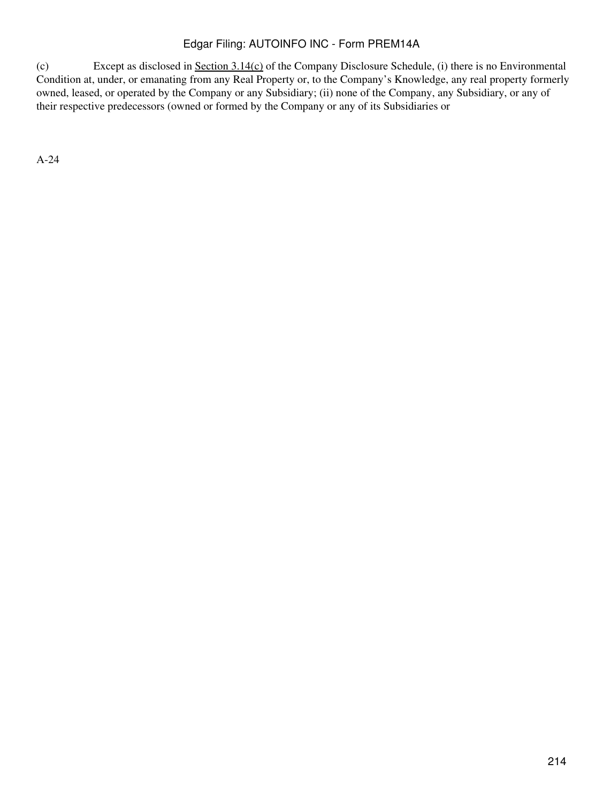(c) Except as disclosed in Section 3.14(c) of the Company Disclosure Schedule, (i) there is no Environmental Condition at, under, or emanating from any Real Property or, to the Company's Knowledge, any real property formerly owned, leased, or operated by the Company or any Subsidiary; (ii) none of the Company, any Subsidiary, or any of their respective predecessors (owned or formed by the Company or any of its Subsidiaries or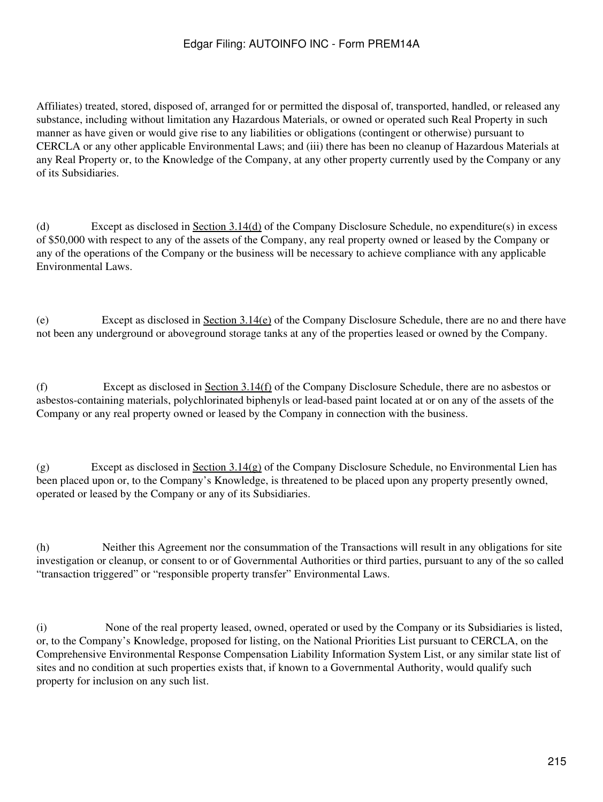Affiliates) treated, stored, disposed of, arranged for or permitted the disposal of, transported, handled, or released any substance, including without limitation any Hazardous Materials, or owned or operated such Real Property in such manner as have given or would give rise to any liabilities or obligations (contingent or otherwise) pursuant to CERCLA or any other applicable Environmental Laws; and (iii) there has been no cleanup of Hazardous Materials at any Real Property or, to the Knowledge of the Company, at any other property currently used by the Company or any of its Subsidiaries.

(d) Except as disclosed in Section 3.14(d) of the Company Disclosure Schedule, no expenditure(s) in excess of \$50,000 with respect to any of the assets of the Company, any real property owned or leased by the Company or any of the operations of the Company or the business will be necessary to achieve compliance with any applicable Environmental Laws.

(e) Except as disclosed in Section 3.14(e) of the Company Disclosure Schedule, there are no and there have not been any underground or aboveground storage tanks at any of the properties leased or owned by the Company.

(f) Except as disclosed in Section 3.14(f) of the Company Disclosure Schedule, there are no asbestos or asbestos-containing materials, polychlorinated biphenyls or lead-based paint located at or on any of the assets of the Company or any real property owned or leased by the Company in connection with the business.

(g) Except as disclosed in <u>Section 3.14(g</u>) of the Company Disclosure Schedule, no Environmental Lien has been placed upon or, to the Company's Knowledge, is threatened to be placed upon any property presently owned, operated or leased by the Company or any of its Subsidiaries.

(h) Neither this Agreement nor the consummation of the Transactions will result in any obligations for site investigation or cleanup, or consent to or of Governmental Authorities or third parties, pursuant to any of the so called "transaction triggered" or "responsible property transfer" Environmental Laws.

(i) None of the real property leased, owned, operated or used by the Company or its Subsidiaries is listed, or, to the Company's Knowledge, proposed for listing, on the National Priorities List pursuant to CERCLA, on the Comprehensive Environmental Response Compensation Liability Information System List, or any similar state list of sites and no condition at such properties exists that, if known to a Governmental Authority, would qualify such property for inclusion on any such list.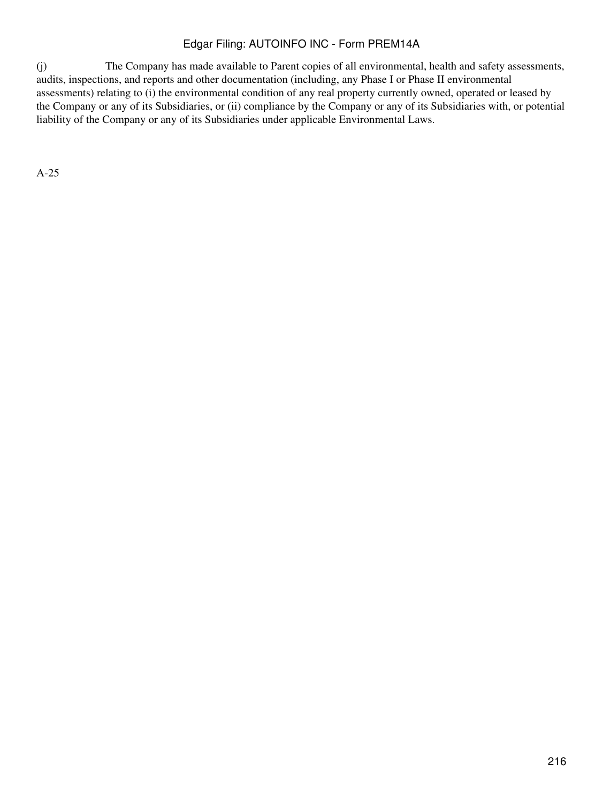(j) The Company has made available to Parent copies of all environmental, health and safety assessments, audits, inspections, and reports and other documentation (including, any Phase I or Phase II environmental assessments) relating to (i) the environmental condition of any real property currently owned, operated or leased by the Company or any of its Subsidiaries, or (ii) compliance by the Company or any of its Subsidiaries with, or potential liability of the Company or any of its Subsidiaries under applicable Environmental Laws.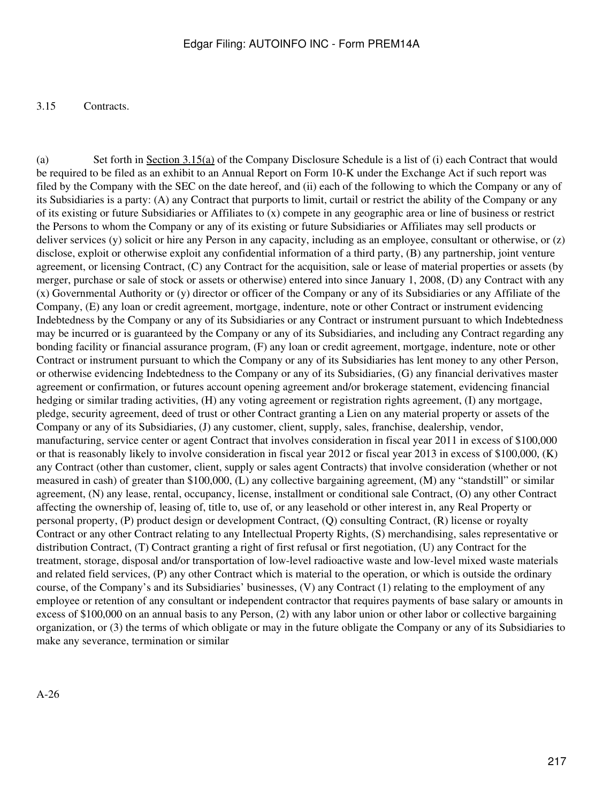### 3.15 Contracts.

(a) Set forth in Section 3.15(a) of the Company Disclosure Schedule is a list of (i) each Contract that would be required to be filed as an exhibit to an Annual Report on Form 10-K under the Exchange Act if such report was filed by the Company with the SEC on the date hereof, and (ii) each of the following to which the Company or any of its Subsidiaries is a party: (A) any Contract that purports to limit, curtail or restrict the ability of the Company or any of its existing or future Subsidiaries or Affiliates to (x) compete in any geographic area or line of business or restrict the Persons to whom the Company or any of its existing or future Subsidiaries or Affiliates may sell products or deliver services (y) solicit or hire any Person in any capacity, including as an employee, consultant or otherwise, or (z) disclose, exploit or otherwise exploit any confidential information of a third party, (B) any partnership, joint venture agreement, or licensing Contract, (C) any Contract for the acquisition, sale or lease of material properties or assets (by merger, purchase or sale of stock or assets or otherwise) entered into since January 1, 2008, (D) any Contract with any (x) Governmental Authority or (y) director or officer of the Company or any of its Subsidiaries or any Affiliate of the Company, (E) any loan or credit agreement, mortgage, indenture, note or other Contract or instrument evidencing Indebtedness by the Company or any of its Subsidiaries or any Contract or instrument pursuant to which Indebtedness may be incurred or is guaranteed by the Company or any of its Subsidiaries, and including any Contract regarding any bonding facility or financial assurance program, (F) any loan or credit agreement, mortgage, indenture, note or other Contract or instrument pursuant to which the Company or any of its Subsidiaries has lent money to any other Person, or otherwise evidencing Indebtedness to the Company or any of its Subsidiaries, (G) any financial derivatives master agreement or confirmation, or futures account opening agreement and/or brokerage statement, evidencing financial hedging or similar trading activities, (H) any voting agreement or registration rights agreement, (I) any mortgage, pledge, security agreement, deed of trust or other Contract granting a Lien on any material property or assets of the Company or any of its Subsidiaries, (J) any customer, client, supply, sales, franchise, dealership, vendor, manufacturing, service center or agent Contract that involves consideration in fiscal year 2011 in excess of \$100,000 or that is reasonably likely to involve consideration in fiscal year 2012 or fiscal year 2013 in excess of \$100,000, (K) any Contract (other than customer, client, supply or sales agent Contracts) that involve consideration (whether or not measured in cash) of greater than \$100,000, (L) any collective bargaining agreement, (M) any "standstill" or similar agreement, (N) any lease, rental, occupancy, license, installment or conditional sale Contract, (O) any other Contract affecting the ownership of, leasing of, title to, use of, or any leasehold or other interest in, any Real Property or personal property, (P) product design or development Contract, (Q) consulting Contract, (R) license or royalty Contract or any other Contract relating to any Intellectual Property Rights, (S) merchandising, sales representative or distribution Contract, (T) Contract granting a right of first refusal or first negotiation, (U) any Contract for the treatment, storage, disposal and/or transportation of low-level radioactive waste and low-level mixed waste materials and related field services, (P) any other Contract which is material to the operation, or which is outside the ordinary course, of the Company's and its Subsidiaries' businesses, (V) any Contract (1) relating to the employment of any employee or retention of any consultant or independent contractor that requires payments of base salary or amounts in excess of \$100,000 on an annual basis to any Person, (2) with any labor union or other labor or collective bargaining organization, or (3) the terms of which obligate or may in the future obligate the Company or any of its Subsidiaries to make any severance, termination or similar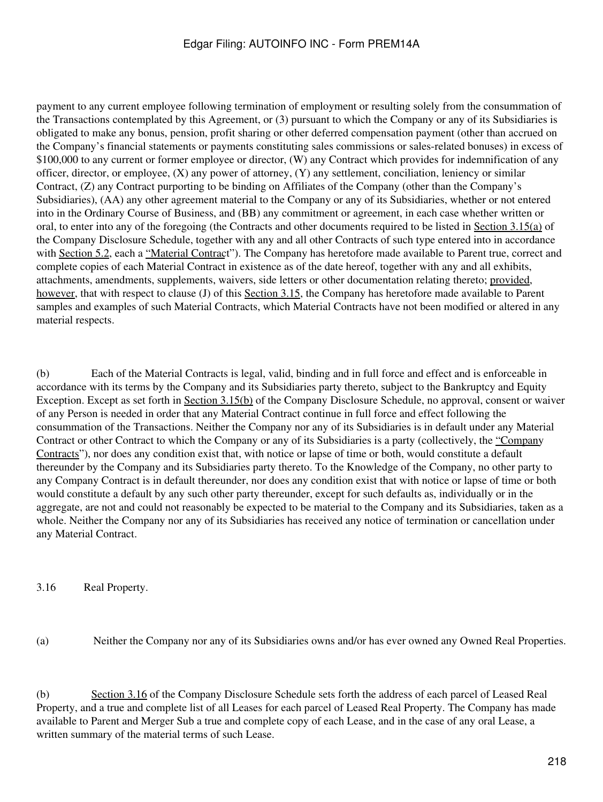payment to any current employee following termination of employment or resulting solely from the consummation of the Transactions contemplated by this Agreement, or (3) pursuant to which the Company or any of its Subsidiaries is obligated to make any bonus, pension, profit sharing or other deferred compensation payment (other than accrued on the Company's financial statements or payments constituting sales commissions or sales-related bonuses) in excess of \$100,000 to any current or former employee or director, (W) any Contract which provides for indemnification of any officer, director, or employee, (X) any power of attorney, (Y) any settlement, conciliation, leniency or similar Contract, (Z) any Contract purporting to be binding on Affiliates of the Company (other than the Company's Subsidiaries), (AA) any other agreement material to the Company or any of its Subsidiaries, whether or not entered into in the Ordinary Course of Business, and (BB) any commitment or agreement, in each case whether written or oral, to enter into any of the foregoing (the Contracts and other documents required to be listed in Section 3.15(a) of the Company Disclosure Schedule, together with any and all other Contracts of such type entered into in accordance with Section 5.2, each a "Material Contract"). The Company has heretofore made available to Parent true, correct and complete copies of each Material Contract in existence as of the date hereof, together with any and all exhibits, attachments, amendments, supplements, waivers, side letters or other documentation relating thereto; provided, however, that with respect to clause (J) of this Section 3.15, the Company has heretofore made available to Parent samples and examples of such Material Contracts, which Material Contracts have not been modified or altered in any material respects.

(b) Each of the Material Contracts is legal, valid, binding and in full force and effect and is enforceable in accordance with its terms by the Company and its Subsidiaries party thereto, subject to the Bankruptcy and Equity Exception. Except as set forth in Section 3.15(b) of the Company Disclosure Schedule, no approval, consent or waiver of any Person is needed in order that any Material Contract continue in full force and effect following the consummation of the Transactions. Neither the Company nor any of its Subsidiaries is in default under any Material Contract or other Contract to which the Company or any of its Subsidiaries is a party (collectively, the "Company Contracts"), nor does any condition exist that, with notice or lapse of time or both, would constitute a default thereunder by the Company and its Subsidiaries party thereto. To the Knowledge of the Company, no other party to any Company Contract is in default thereunder, nor does any condition exist that with notice or lapse of time or both would constitute a default by any such other party thereunder, except for such defaults as, individually or in the aggregate, are not and could not reasonably be expected to be material to the Company and its Subsidiaries, taken as a whole. Neither the Company nor any of its Subsidiaries has received any notice of termination or cancellation under any Material Contract.

3.16 Real Property.

(a) Neither the Company nor any of its Subsidiaries owns and/or has ever owned any Owned Real Properties.

(b) Section 3.16 of the Company Disclosure Schedule sets forth the address of each parcel of Leased Real Property, and a true and complete list of all Leases for each parcel of Leased Real Property. The Company has made available to Parent and Merger Sub a true and complete copy of each Lease, and in the case of any oral Lease, a written summary of the material terms of such Lease.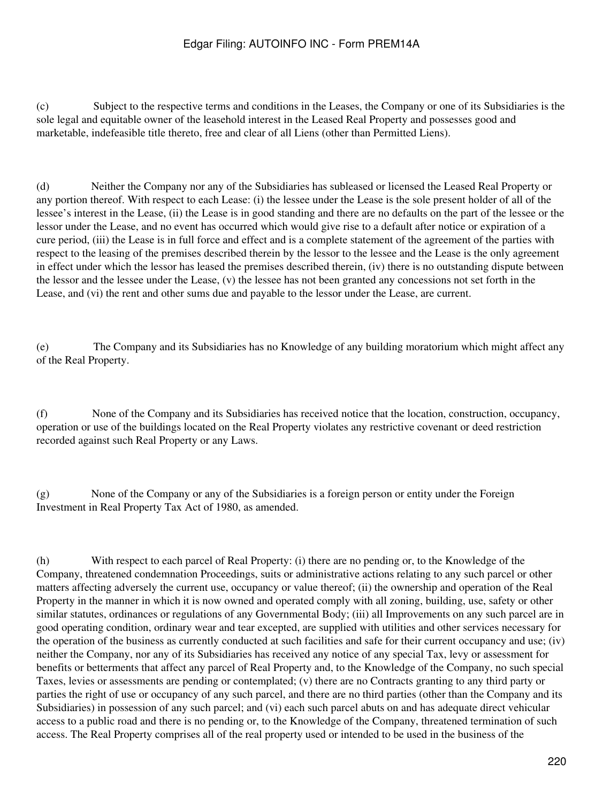(c) Subject to the respective terms and conditions in the Leases, the Company or one of its Subsidiaries is the sole legal and equitable owner of the leasehold interest in the Leased Real Property and possesses good and marketable, indefeasible title thereto, free and clear of all Liens (other than Permitted Liens).

(d) Neither the Company nor any of the Subsidiaries has subleased or licensed the Leased Real Property or any portion thereof. With respect to each Lease: (i) the lessee under the Lease is the sole present holder of all of the lessee's interest in the Lease, (ii) the Lease is in good standing and there are no defaults on the part of the lessee or the lessor under the Lease, and no event has occurred which would give rise to a default after notice or expiration of a cure period, (iii) the Lease is in full force and effect and is a complete statement of the agreement of the parties with respect to the leasing of the premises described therein by the lessor to the lessee and the Lease is the only agreement in effect under which the lessor has leased the premises described therein, (iv) there is no outstanding dispute between the lessor and the lessee under the Lease, (v) the lessee has not been granted any concessions not set forth in the Lease, and (vi) the rent and other sums due and payable to the lessor under the Lease, are current.

(e) The Company and its Subsidiaries has no Knowledge of any building moratorium which might affect any of the Real Property.

(f) None of the Company and its Subsidiaries has received notice that the location, construction, occupancy, operation or use of the buildings located on the Real Property violates any restrictive covenant or deed restriction recorded against such Real Property or any Laws.

(g) None of the Company or any of the Subsidiaries is a foreign person or entity under the Foreign Investment in Real Property Tax Act of 1980, as amended.

(h) With respect to each parcel of Real Property: (i) there are no pending or, to the Knowledge of the Company, threatened condemnation Proceedings, suits or administrative actions relating to any such parcel or other matters affecting adversely the current use, occupancy or value thereof; (ii) the ownership and operation of the Real Property in the manner in which it is now owned and operated comply with all zoning, building, use, safety or other similar statutes, ordinances or regulations of any Governmental Body; (iii) all Improvements on any such parcel are in good operating condition, ordinary wear and tear excepted, are supplied with utilities and other services necessary for the operation of the business as currently conducted at such facilities and safe for their current occupancy and use; (iv) neither the Company, nor any of its Subsidiaries has received any notice of any special Tax, levy or assessment for benefits or betterments that affect any parcel of Real Property and, to the Knowledge of the Company, no such special Taxes, levies or assessments are pending or contemplated; (v) there are no Contracts granting to any third party or parties the right of use or occupancy of any such parcel, and there are no third parties (other than the Company and its Subsidiaries) in possession of any such parcel; and (vi) each such parcel abuts on and has adequate direct vehicular access to a public road and there is no pending or, to the Knowledge of the Company, threatened termination of such access. The Real Property comprises all of the real property used or intended to be used in the business of the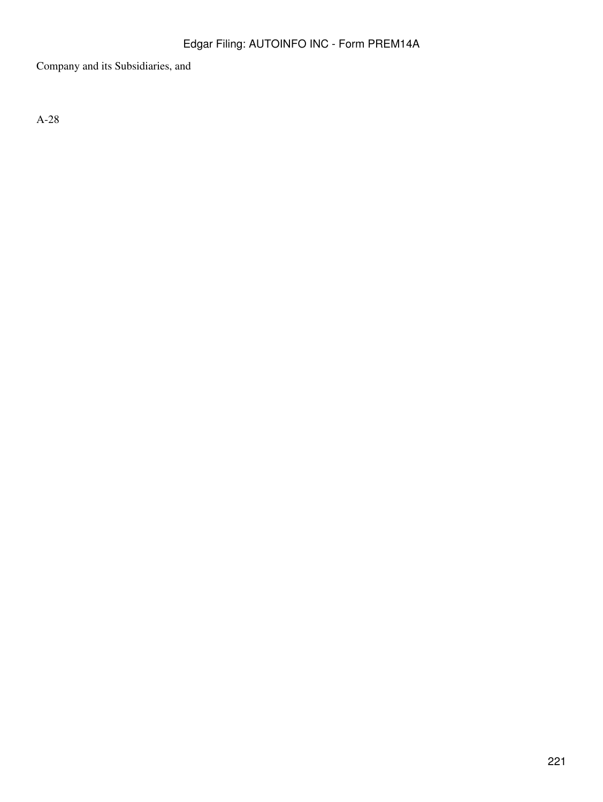Company and its Subsidiaries, and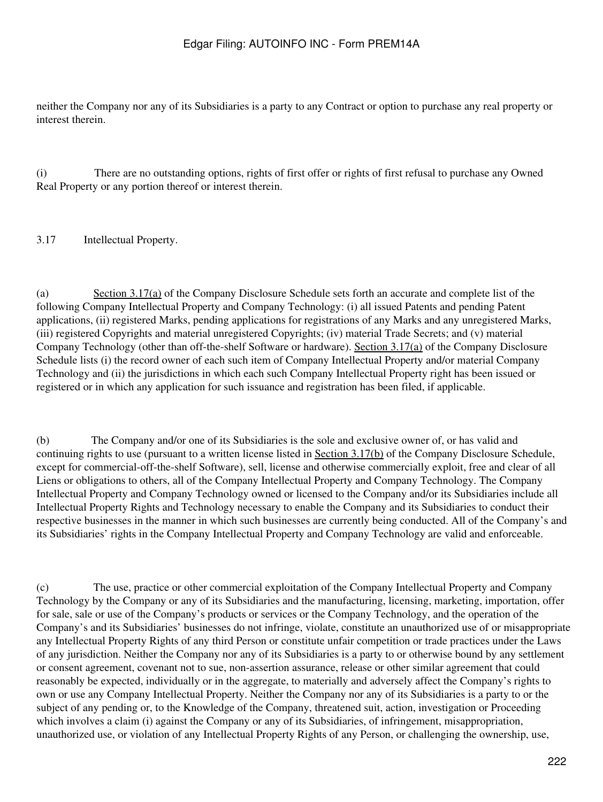neither the Company nor any of its Subsidiaries is a party to any Contract or option to purchase any real property or interest therein.

(i) There are no outstanding options, rights of first offer or rights of first refusal to purchase any Owned Real Property or any portion thereof or interest therein.

3.17 Intellectual Property.

(a) Section 3.17(a) of the Company Disclosure Schedule sets forth an accurate and complete list of the following Company Intellectual Property and Company Technology: (i) all issued Patents and pending Patent applications, (ii) registered Marks, pending applications for registrations of any Marks and any unregistered Marks, (iii) registered Copyrights and material unregistered Copyrights; (iv) material Trade Secrets; and (v) material Company Technology (other than off-the-shelf Software or hardware). Section 3.17(a) of the Company Disclosure Schedule lists (i) the record owner of each such item of Company Intellectual Property and/or material Company Technology and (ii) the jurisdictions in which each such Company Intellectual Property right has been issued or registered or in which any application for such issuance and registration has been filed, if applicable.

(b) The Company and/or one of its Subsidiaries is the sole and exclusive owner of, or has valid and continuing rights to use (pursuant to a written license listed in Section 3.17(b) of the Company Disclosure Schedule, except for commercial-off-the-shelf Software), sell, license and otherwise commercially exploit, free and clear of all Liens or obligations to others, all of the Company Intellectual Property and Company Technology. The Company Intellectual Property and Company Technology owned or licensed to the Company and/or its Subsidiaries include all Intellectual Property Rights and Technology necessary to enable the Company and its Subsidiaries to conduct their respective businesses in the manner in which such businesses are currently being conducted. All of the Company's and its Subsidiaries' rights in the Company Intellectual Property and Company Technology are valid and enforceable.

(c) The use, practice or other commercial exploitation of the Company Intellectual Property and Company Technology by the Company or any of its Subsidiaries and the manufacturing, licensing, marketing, importation, offer for sale, sale or use of the Company's products or services or the Company Technology, and the operation of the Company's and its Subsidiaries' businesses do not infringe, violate, constitute an unauthorized use of or misappropriate any Intellectual Property Rights of any third Person or constitute unfair competition or trade practices under the Laws of any jurisdiction. Neither the Company nor any of its Subsidiaries is a party to or otherwise bound by any settlement or consent agreement, covenant not to sue, non-assertion assurance, release or other similar agreement that could reasonably be expected, individually or in the aggregate, to materially and adversely affect the Company's rights to own or use any Company Intellectual Property. Neither the Company nor any of its Subsidiaries is a party to or the subject of any pending or, to the Knowledge of the Company, threatened suit, action, investigation or Proceeding which involves a claim (i) against the Company or any of its Subsidiaries, of infringement, misappropriation, unauthorized use, or violation of any Intellectual Property Rights of any Person, or challenging the ownership, use,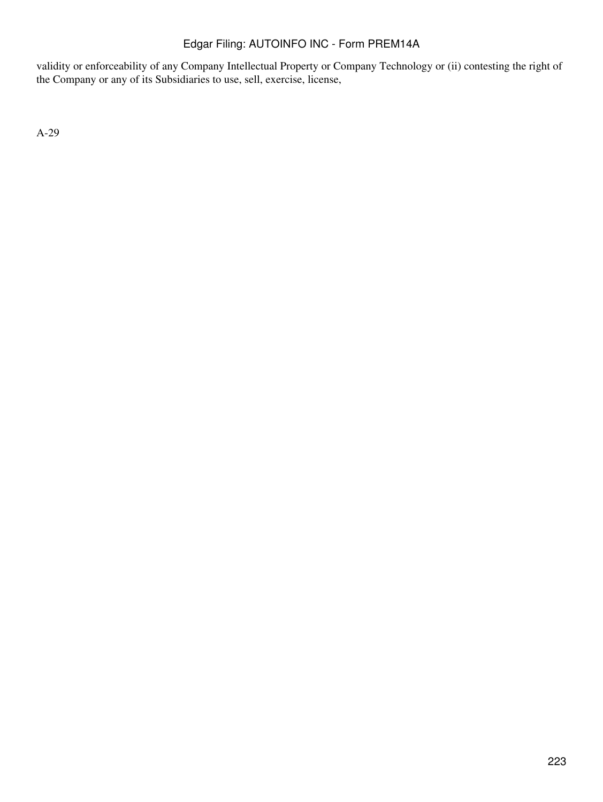validity or enforceability of any Company Intellectual Property or Company Technology or (ii) contesting the right of the Company or any of its Subsidiaries to use, sell, exercise, license,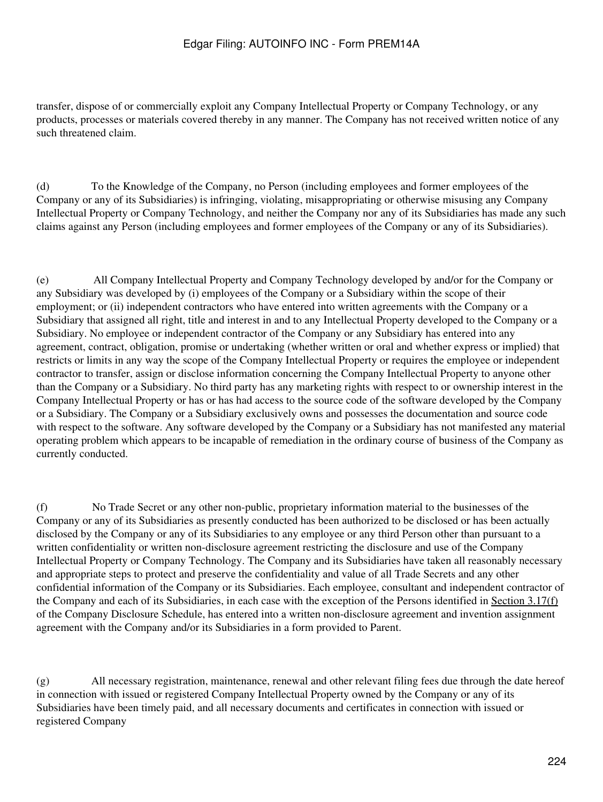transfer, dispose of or commercially exploit any Company Intellectual Property or Company Technology, or any products, processes or materials covered thereby in any manner. The Company has not received written notice of any such threatened claim.

(d) To the Knowledge of the Company, no Person (including employees and former employees of the Company or any of its Subsidiaries) is infringing, violating, misappropriating or otherwise misusing any Company Intellectual Property or Company Technology, and neither the Company nor any of its Subsidiaries has made any such claims against any Person (including employees and former employees of the Company or any of its Subsidiaries).

(e) All Company Intellectual Property and Company Technology developed by and/or for the Company or any Subsidiary was developed by (i) employees of the Company or a Subsidiary within the scope of their employment; or (ii) independent contractors who have entered into written agreements with the Company or a Subsidiary that assigned all right, title and interest in and to any Intellectual Property developed to the Company or a Subsidiary. No employee or independent contractor of the Company or any Subsidiary has entered into any agreement, contract, obligation, promise or undertaking (whether written or oral and whether express or implied) that restricts or limits in any way the scope of the Company Intellectual Property or requires the employee or independent contractor to transfer, assign or disclose information concerning the Company Intellectual Property to anyone other than the Company or a Subsidiary. No third party has any marketing rights with respect to or ownership interest in the Company Intellectual Property or has or has had access to the source code of the software developed by the Company or a Subsidiary. The Company or a Subsidiary exclusively owns and possesses the documentation and source code with respect to the software. Any software developed by the Company or a Subsidiary has not manifested any material operating problem which appears to be incapable of remediation in the ordinary course of business of the Company as currently conducted.

(f) No Trade Secret or any other non-public, proprietary information material to the businesses of the Company or any of its Subsidiaries as presently conducted has been authorized to be disclosed or has been actually disclosed by the Company or any of its Subsidiaries to any employee or any third Person other than pursuant to a written confidentiality or written non-disclosure agreement restricting the disclosure and use of the Company Intellectual Property or Company Technology. The Company and its Subsidiaries have taken all reasonably necessary and appropriate steps to protect and preserve the confidentiality and value of all Trade Secrets and any other confidential information of the Company or its Subsidiaries. Each employee, consultant and independent contractor of the Company and each of its Subsidiaries, in each case with the exception of the Persons identified in Section 3.17(f) of the Company Disclosure Schedule, has entered into a written non-disclosure agreement and invention assignment agreement with the Company and/or its Subsidiaries in a form provided to Parent.

(g) All necessary registration, maintenance, renewal and other relevant filing fees due through the date hereof in connection with issued or registered Company Intellectual Property owned by the Company or any of its Subsidiaries have been timely paid, and all necessary documents and certificates in connection with issued or registered Company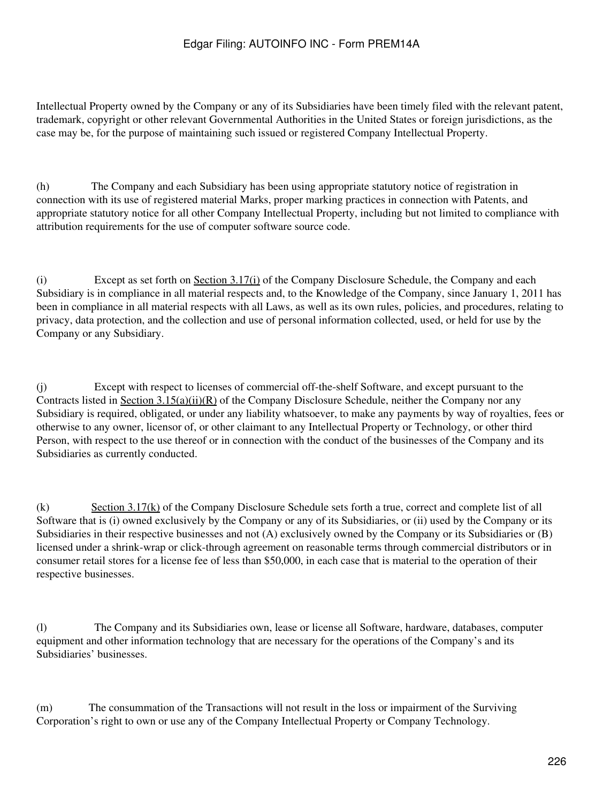Intellectual Property owned by the Company or any of its Subsidiaries have been timely filed with the relevant patent, trademark, copyright or other relevant Governmental Authorities in the United States or foreign jurisdictions, as the case may be, for the purpose of maintaining such issued or registered Company Intellectual Property.

(h) The Company and each Subsidiary has been using appropriate statutory notice of registration in connection with its use of registered material Marks, proper marking practices in connection with Patents, and appropriate statutory notice for all other Company Intellectual Property, including but not limited to compliance with attribution requirements for the use of computer software source code.

(i) Except as set forth on Section 3.17(i) of the Company Disclosure Schedule, the Company and each Subsidiary is in compliance in all material respects and, to the Knowledge of the Company, since January 1, 2011 has been in compliance in all material respects with all Laws, as well as its own rules, policies, and procedures, relating to privacy, data protection, and the collection and use of personal information collected, used, or held for use by the Company or any Subsidiary.

(j) Except with respect to licenses of commercial off-the-shelf Software, and except pursuant to the Contracts listed in Section  $3.15(a)(ii)(R)$  of the Company Disclosure Schedule, neither the Company nor any Subsidiary is required, obligated, or under any liability whatsoever, to make any payments by way of royalties, fees or otherwise to any owner, licensor of, or other claimant to any Intellectual Property or Technology, or other third Person, with respect to the use thereof or in connection with the conduct of the businesses of the Company and its Subsidiaries as currently conducted.

(k) Section 3.17(k) of the Company Disclosure Schedule sets forth a true, correct and complete list of all Software that is (i) owned exclusively by the Company or any of its Subsidiaries, or (ii) used by the Company or its Subsidiaries in their respective businesses and not (A) exclusively owned by the Company or its Subsidiaries or (B) licensed under a shrink-wrap or click-through agreement on reasonable terms through commercial distributors or in consumer retail stores for a license fee of less than \$50,000, in each case that is material to the operation of their respective businesses.

(l) The Company and its Subsidiaries own, lease or license all Software, hardware, databases, computer equipment and other information technology that are necessary for the operations of the Company's and its Subsidiaries' businesses. 

(m) The consummation of the Transactions will not result in the loss or impairment of the Surviving Corporation's right to own or use any of the Company Intellectual Property or Company Technology.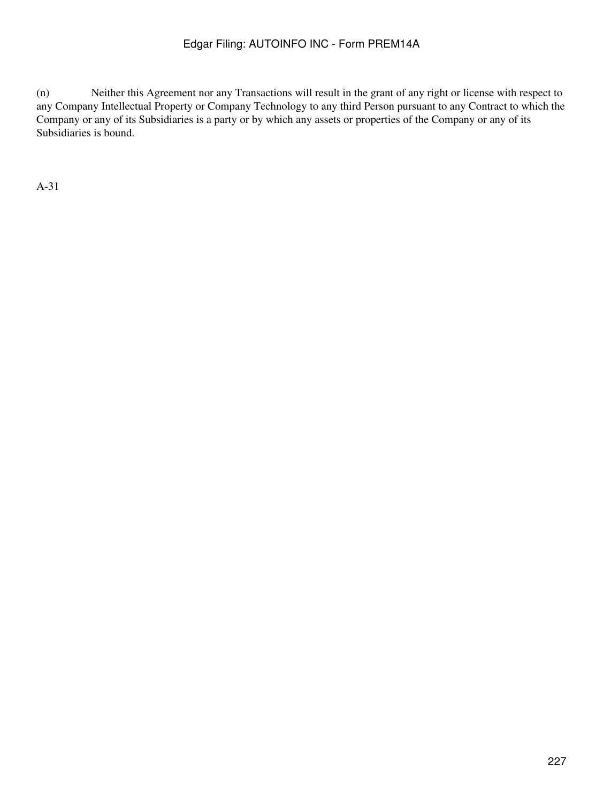(n) Neither this Agreement nor any Transactions will result in the grant of any right or license with respect to any Company Intellectual Property or Company Technology to any third Person pursuant to any Contract to which the Company or any of its Subsidiaries is a party or by which any assets or properties of the Company or any of its Subsidiaries is bound.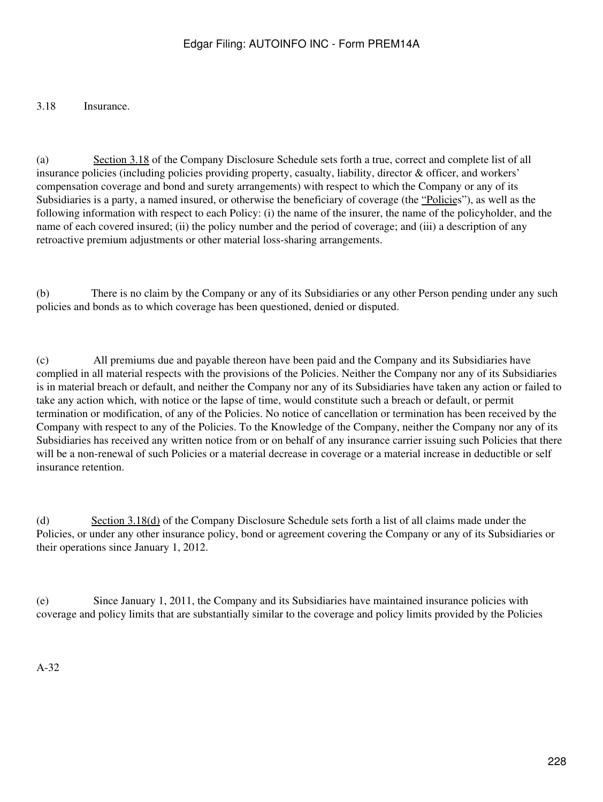## 3.18 Insurance.

(a) Section 3.18 of the Company Disclosure Schedule sets forth a true, correct and complete list of all insurance policies (including policies providing property, casualty, liability, director & officer, and workers' compensation coverage and bond and surety arrangements) with respect to which the Company or any of its Subsidiaries is a party, a named insured, or otherwise the beneficiary of coverage (the "Policies"), as well as the following information with respect to each Policy: (i) the name of the insurer, the name of the policyholder, and the name of each covered insured; (ii) the policy number and the period of coverage; and (iii) a description of any retroactive premium adjustments or other material loss-sharing arrangements.

(b) There is no claim by the Company or any of its Subsidiaries or any other Person pending under any such policies and bonds as to which coverage has been questioned, denied or disputed.

(c) All premiums due and payable thereon have been paid and the Company and its Subsidiaries have complied in all material respects with the provisions of the Policies. Neither the Company nor any of its Subsidiaries is in material breach or default, and neither the Company nor any of its Subsidiaries have taken any action or failed to take any action which, with notice or the lapse of time, would constitute such a breach or default, or permit termination or modification, of any of the Policies. No notice of cancellation or termination has been received by the Company with respect to any of the Policies. To the Knowledge of the Company, neither the Company nor any of its Subsidiaries has received any written notice from or on behalf of any insurance carrier issuing such Policies that there will be a non-renewal of such Policies or a material decrease in coverage or a material increase in deductible or self insurance retention.

(d) Section 3.18(d) of the Company Disclosure Schedule sets forth a list of all claims made under the Policies, or under any other insurance policy, bond or agreement covering the Company or any of its Subsidiaries or their operations since January 1, 2012.

(e) Since January 1, 2011, the Company and its Subsidiaries have maintained insurance policies with coverage and policy limits that are substantially similar to the coverage and policy limits provided by the Policies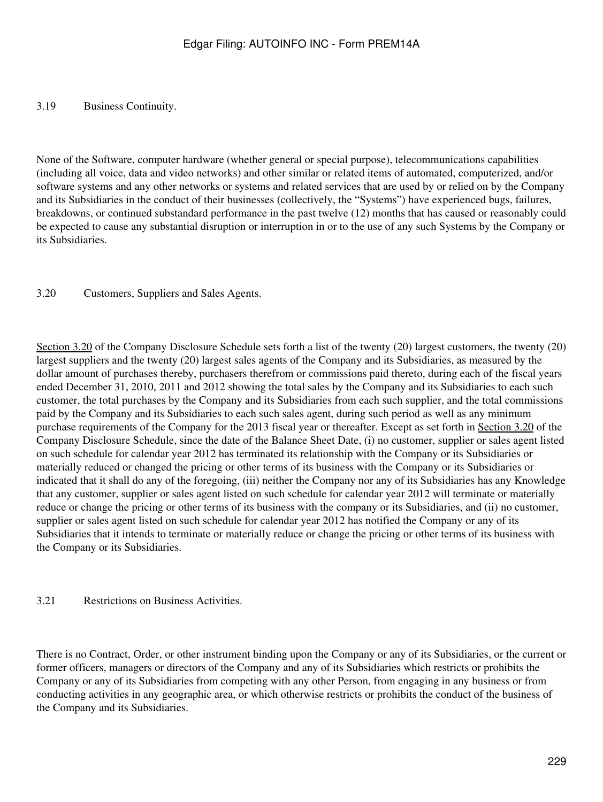### 3.19 Business Continuity.

None of the Software, computer hardware (whether general or special purpose), telecommunications capabilities (including all voice, data and video networks) and other similar or related items of automated, computerized, and/or software systems and any other networks or systems and related services that are used by or relied on by the Company and its Subsidiaries in the conduct of their businesses (collectively, the "Systems") have experienced bugs, failures, breakdowns, or continued substandard performance in the past twelve (12) months that has caused or reasonably could be expected to cause any substantial disruption or interruption in or to the use of any such Systems by the Company or its Subsidiaries.

### 3.20 Customers, Suppliers and Sales Agents.

Section 3.20 of the Company Disclosure Schedule sets forth a list of the twenty (20) largest customers, the twenty (20) largest suppliers and the twenty (20) largest sales agents of the Company and its Subsidiaries, as measured by the dollar amount of purchases thereby, purchasers therefrom or commissions paid thereto, during each of the fiscal years ended December 31, 2010, 2011 and 2012 showing the total sales by the Company and its Subsidiaries to each such customer, the total purchases by the Company and its Subsidiaries from each such supplier, and the total commissions paid by the Company and its Subsidiaries to each such sales agent, during such period as well as any minimum purchase requirements of the Company for the 2013 fiscal year or thereafter. Except as set forth in Section 3.20 of the Company Disclosure Schedule, since the date of the Balance Sheet Date, (i) no customer, supplier or sales agent listed on such schedule for calendar year 2012 has terminated its relationship with the Company or its Subsidiaries or materially reduced or changed the pricing or other terms of its business with the Company or its Subsidiaries or indicated that it shall do any of the foregoing, (iii) neither the Company nor any of its Subsidiaries has any Knowledge that any customer, supplier or sales agent listed on such schedule for calendar year 2012 will terminate or materially reduce or change the pricing or other terms of its business with the company or its Subsidiaries, and (ii) no customer, supplier or sales agent listed on such schedule for calendar year 2012 has notified the Company or any of its Subsidiaries that it intends to terminate or materially reduce or change the pricing or other terms of its business with the Company or its Subsidiaries.

#### 3.21 Restrictions on Business Activities.

There is no Contract, Order, or other instrument binding upon the Company or any of its Subsidiaries, or the current or former officers, managers or directors of the Company and any of its Subsidiaries which restricts or prohibits the Company or any of its Subsidiaries from competing with any other Person, from engaging in any business or from conducting activities in any geographic area, or which otherwise restricts or prohibits the conduct of the business of the Company and its Subsidiaries.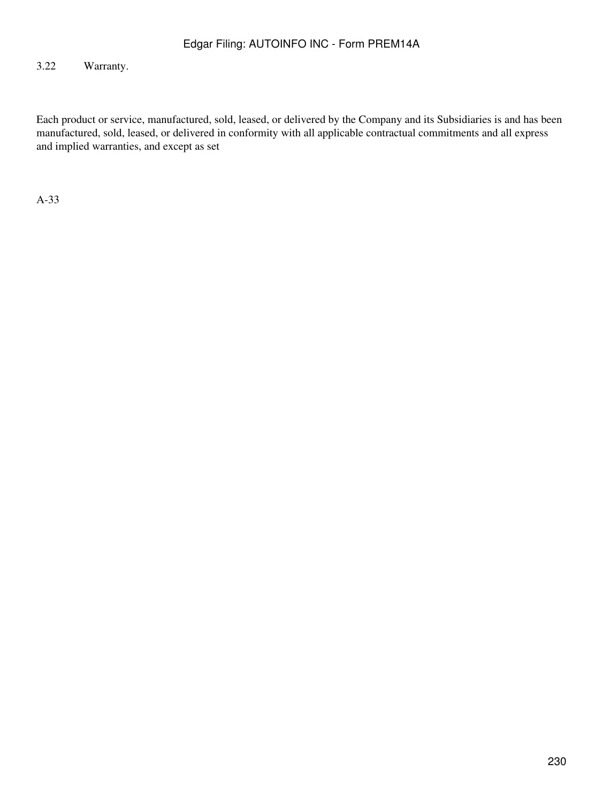### 3.22 Warranty.

Each product or service, manufactured, sold, leased, or delivered by the Company and its Subsidiaries is and has been manufactured, sold, leased, or delivered in conformity with all applicable contractual commitments and all express and implied warranties, and except as set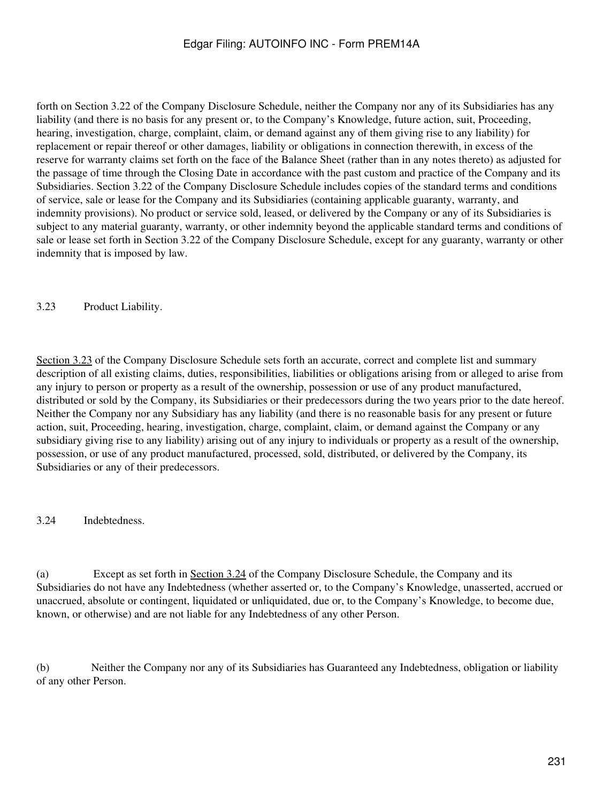forth on Section 3.22 of the Company Disclosure Schedule, neither the Company nor any of its Subsidiaries has any liability (and there is no basis for any present or, to the Company's Knowledge, future action, suit, Proceeding, hearing, investigation, charge, complaint, claim, or demand against any of them giving rise to any liability) for replacement or repair thereof or other damages, liability or obligations in connection therewith, in excess of the reserve for warranty claims set forth on the face of the Balance Sheet (rather than in any notes thereto) as adjusted for the passage of time through the Closing Date in accordance with the past custom and practice of the Company and its Subsidiaries. Section 3.22 of the Company Disclosure Schedule includes copies of the standard terms and conditions of service, sale or lease for the Company and its Subsidiaries (containing applicable guaranty, warranty, and indemnity provisions). No product or service sold, leased, or delivered by the Company or any of its Subsidiaries is subject to any material guaranty, warranty, or other indemnity beyond the applicable standard terms and conditions of sale or lease set forth in Section 3.22 of the Company Disclosure Schedule, except for any guaranty, warranty or other indemnity that is imposed by law.

#### 3.23 Product Liability.

Section 3.23 of the Company Disclosure Schedule sets forth an accurate, correct and complete list and summary description of all existing claims, duties, responsibilities, liabilities or obligations arising from or alleged to arise from any injury to person or property as a result of the ownership, possession or use of any product manufactured, distributed or sold by the Company, its Subsidiaries or their predecessors during the two years prior to the date hereof. Neither the Company nor any Subsidiary has any liability (and there is no reasonable basis for any present or future action, suit, Proceeding, hearing, investigation, charge, complaint, claim, or demand against the Company or any subsidiary giving rise to any liability) arising out of any injury to individuals or property as a result of the ownership, possession, or use of any product manufactured, processed, sold, distributed, or delivered by the Company, its Subsidiaries or any of their predecessors.

3.24 Indebtedness.

(a) Except as set forth in Section 3.24 of the Company Disclosure Schedule, the Company and its Subsidiaries do not have any Indebtedness (whether asserted or, to the Company's Knowledge, unasserted, accrued or unaccrued, absolute or contingent, liquidated or unliquidated, due or, to the Company's Knowledge, to become due, known, or otherwise) and are not liable for any Indebtedness of any other Person.

(b) Neither the Company nor any of its Subsidiaries has Guaranteed any Indebtedness, obligation or liability of any other Person.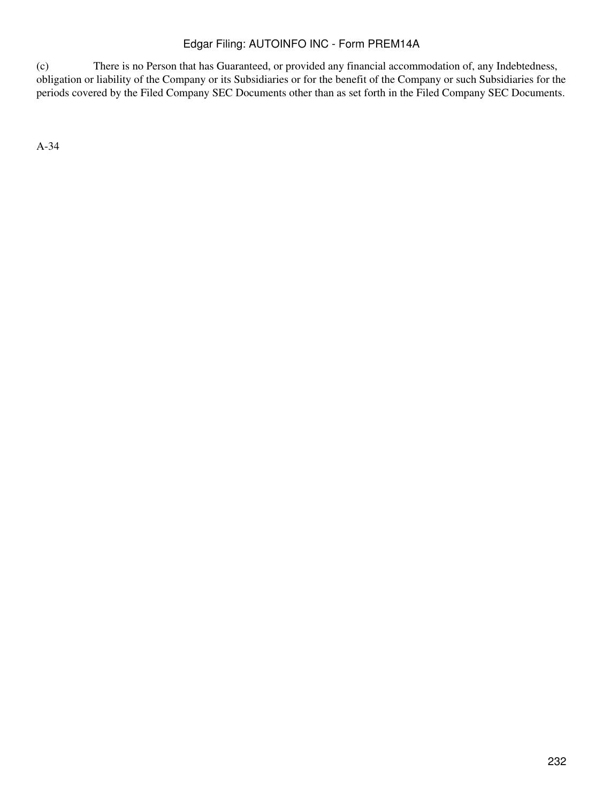(c) There is no Person that has Guaranteed, or provided any financial accommodation of, any Indebtedness, obligation or liability of the Company or its Subsidiaries or for the benefit of the Company or such Subsidiaries for the periods covered by the Filed Company SEC Documents other than as set forth in the Filed Company SEC Documents.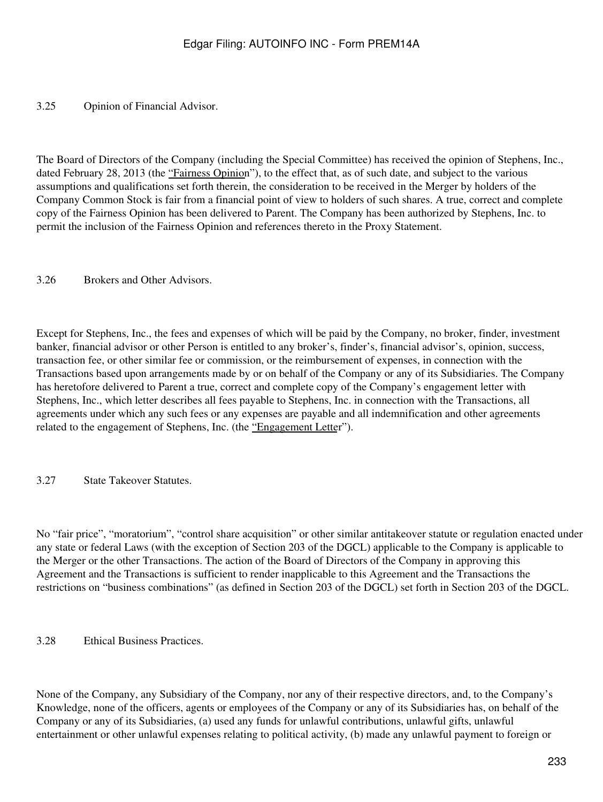3.25 Opinion of Financial Advisor.

The Board of Directors of the Company (including the Special Committee) has received the opinion of Stephens, Inc., dated February 28, 2013 (the "Fairness Opinion"), to the effect that, as of such date, and subject to the various assumptions and qualifications set forth therein, the consideration to be received in the Merger by holders of the Company Common Stock is fair from a financial point of view to holders of such shares. A true, correct and complete copy of the Fairness Opinion has been delivered to Parent. The Company has been authorized by Stephens, Inc. to permit the inclusion of the Fairness Opinion and references thereto in the Proxy Statement.

### 3.26 Brokers and Other Advisors.

Except for Stephens, Inc., the fees and expenses of which will be paid by the Company, no broker, finder, investment banker, financial advisor or other Person is entitled to any broker's, finder's, financial advisor's, opinion, success, transaction fee, or other similar fee or commission, or the reimbursement of expenses, in connection with the Transactions based upon arrangements made by or on behalf of the Company or any of its Subsidiaries. The Company has heretofore delivered to Parent a true, correct and complete copy of the Company's engagement letter with Stephens, Inc., which letter describes all fees payable to Stephens, Inc. in connection with the Transactions, all agreements under which any such fees or any expenses are payable and all indemnification and other agreements related to the engagement of Stephens, Inc. (the "Engagement Letter").

3.27 State Takeover Statutes.

No "fair price", "moratorium", "control share acquisition" or other similar antitakeover statute or regulation enacted under any state or federal Laws (with the exception of Section 203 of the DGCL) applicable to the Company is applicable to the Merger or the other Transactions. The action of the Board of Directors of the Company in approving this Agreement and the Transactions is sufficient to render inapplicable to this Agreement and the Transactions the restrictions on "business combinations" (as defined in Section 203 of the DGCL) set forth in Section 203 of the DGCL.

3.28 Ethical Business Practices.

None of the Company, any Subsidiary of the Company, nor any of their respective directors, and, to the Company's Knowledge, none of the officers, agents or employees of the Company or any of its Subsidiaries has, on behalf of the Company or any of its Subsidiaries, (a) used any funds for unlawful contributions, unlawful gifts, unlawful entertainment or other unlawful expenses relating to political activity, (b) made any unlawful payment to foreign or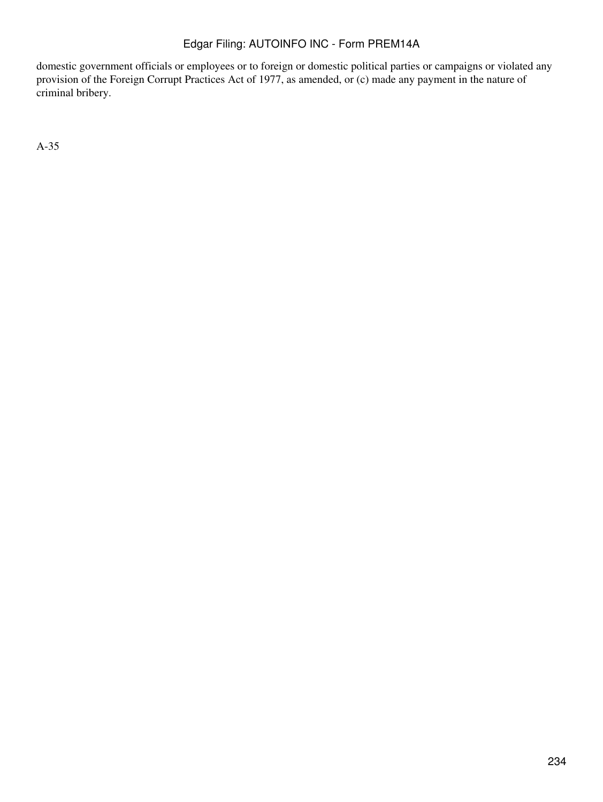domestic government officials or employees or to foreign or domestic political parties or campaigns or violated any provision of the Foreign Corrupt Practices Act of 1977, as amended, or (c) made any payment in the nature of criminal bribery.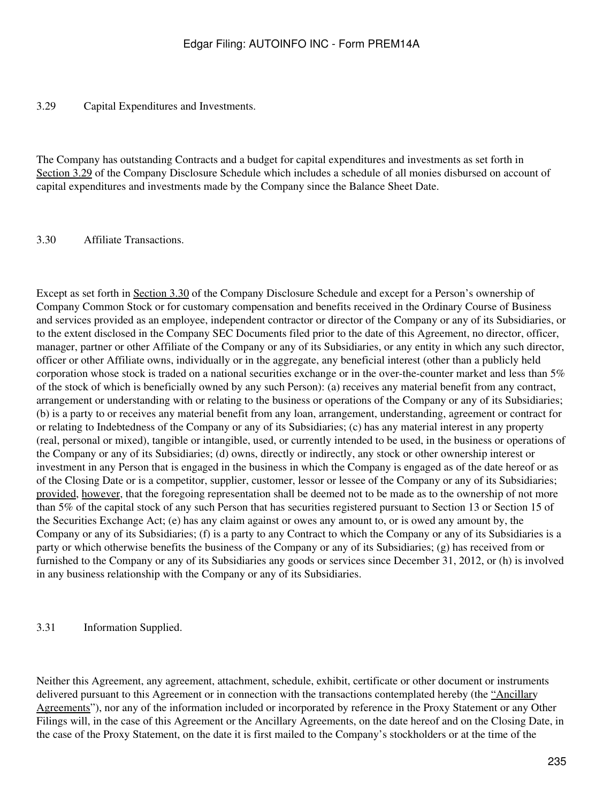3.29 Capital Expenditures and Investments.

The Company has outstanding Contracts and a budget for capital expenditures and investments as set forth in Section 3.29 of the Company Disclosure Schedule which includes a schedule of all monies disbursed on account of capital expenditures and investments made by the Company since the Balance Sheet Date.

### 3.30 Affiliate Transactions.

Except as set forth in Section 3.30 of the Company Disclosure Schedule and except for a Person's ownership of Company Common Stock or for customary compensation and benefits received in the Ordinary Course of Business and services provided as an employee, independent contractor or director of the Company or any of its Subsidiaries, or to the extent disclosed in the Company SEC Documents filed prior to the date of this Agreement, no director, officer, manager, partner or other Affiliate of the Company or any of its Subsidiaries, or any entity in which any such director, officer or other Affiliate owns, individually or in the aggregate, any beneficial interest (other than a publicly held corporation whose stock is traded on a national securities exchange or in the over-the-counter market and less than 5% of the stock of which is beneficially owned by any such Person): (a) receives any material benefit from any contract, arrangement or understanding with or relating to the business or operations of the Company or any of its Subsidiaries; (b) is a party to or receives any material benefit from any loan, arrangement, understanding, agreement or contract for or relating to Indebtedness of the Company or any of its Subsidiaries; (c) has any material interest in any property (real, personal or mixed), tangible or intangible, used, or currently intended to be used, in the business or operations of the Company or any of its Subsidiaries; (d) owns, directly or indirectly, any stock or other ownership interest or investment in any Person that is engaged in the business in which the Company is engaged as of the date hereof or as of the Closing Date or is a competitor, supplier, customer, lessor or lessee of the Company or any of its Subsidiaries; provided, however, that the foregoing representation shall be deemed not to be made as to the ownership of not more than 5% of the capital stock of any such Person that has securities registered pursuant to Section 13 or Section 15 of the Securities Exchange Act; (e) has any claim against or owes any amount to, or is owed any amount by, the Company or any of its Subsidiaries; (f) is a party to any Contract to which the Company or any of its Subsidiaries is a party or which otherwise benefits the business of the Company or any of its Subsidiaries; (g) has received from or furnished to the Company or any of its Subsidiaries any goods or services since December 31, 2012, or (h) is involved in any business relationship with the Company or any of its Subsidiaries.

#### 3.31 Information Supplied.

Neither this Agreement, any agreement, attachment, schedule, exhibit, certificate or other document or instruments delivered pursuant to this Agreement or in connection with the transactions contemplated hereby (the "Ancillary Agreements"), nor any of the information included or incorporated by reference in the Proxy Statement or any Other Filings will, in the case of this Agreement or the Ancillary Agreements, on the date hereof and on the Closing Date, in the case of the Proxy Statement, on the date it is first mailed to the Company's stockholders or at the time of the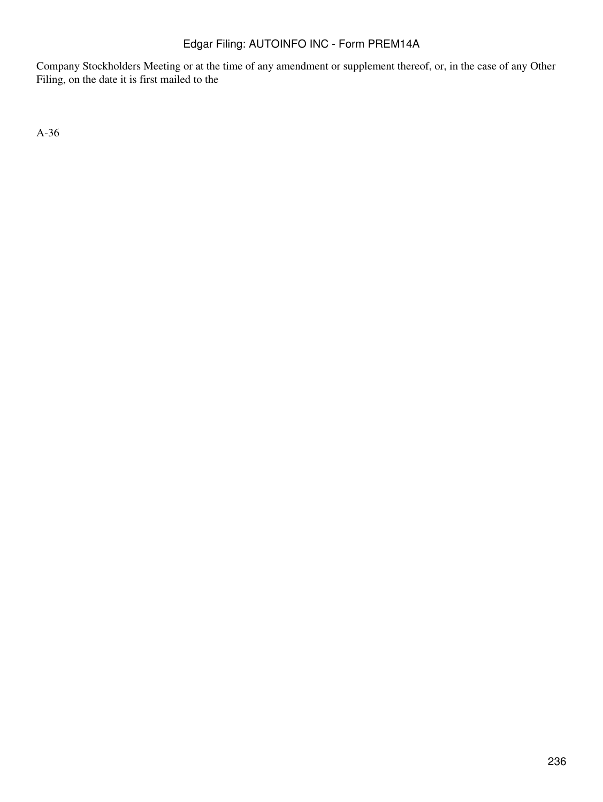Company Stockholders Meeting or at the time of any amendment or supplement thereof, or, in the case of any Other Filing, on the date it is first mailed to the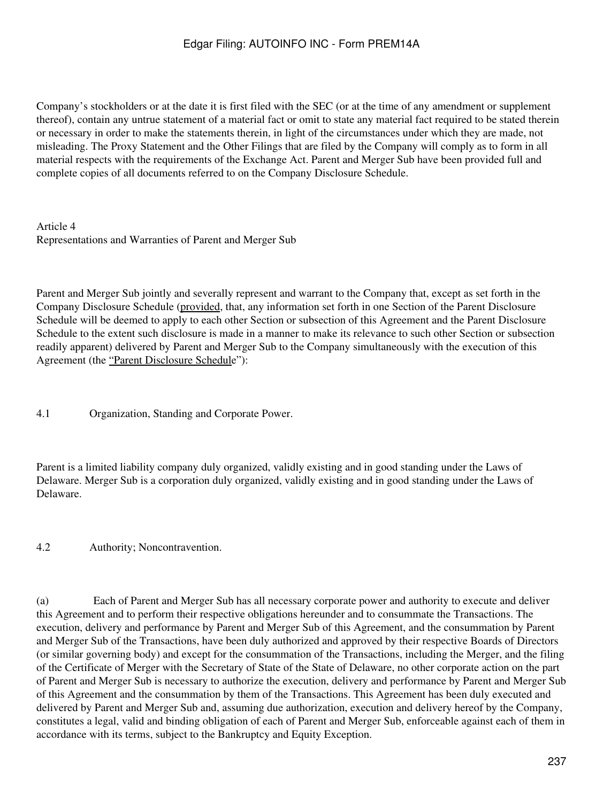Company's stockholders or at the date it is first filed with the SEC (or at the time of any amendment or supplement thereof), contain any untrue statement of a material fact or omit to state any material fact required to be stated therein or necessary in order to make the statements therein, in light of the circumstances under which they are made, not misleading. The Proxy Statement and the Other Filings that are filed by the Company will comply as to form in all material respects with the requirements of the Exchange Act. Parent and Merger Sub have been provided full and complete copies of all documents referred to on the Company Disclosure Schedule.

Article 4 Representations and Warranties of Parent and Merger Sub

Parent and Merger Sub jointly and severally represent and warrant to the Company that, except as set forth in the Company Disclosure Schedule (provided, that, any information set forth in one Section of the Parent Disclosure Schedule will be deemed to apply to each other Section or subsection of this Agreement and the Parent Disclosure Schedule to the extent such disclosure is made in a manner to make its relevance to such other Section or subsection readily apparent) delivered by Parent and Merger Sub to the Company simultaneously with the execution of this Agreement (the "Parent Disclosure Schedule"):

4.1 Organization, Standing and Corporate Power.

Parent is a limited liability company duly organized, validly existing and in good standing under the Laws of Delaware. Merger Sub is a corporation duly organized, validly existing and in good standing under the Laws of Delaware.

4.2 Authority; Noncontravention.

(a) Each of Parent and Merger Sub has all necessary corporate power and authority to execute and deliver this Agreement and to perform their respective obligations hereunder and to consummate the Transactions. The execution, delivery and performance by Parent and Merger Sub of this Agreement, and the consummation by Parent and Merger Sub of the Transactions, have been duly authorized and approved by their respective Boards of Directors (or similar governing body) and except for the consummation of the Transactions, including the Merger, and the filing of the Certificate of Merger with the Secretary of State of the State of Delaware, no other corporate action on the part of Parent and Merger Sub is necessary to authorize the execution, delivery and performance by Parent and Merger Sub of this Agreement and the consummation by them of the Transactions. This Agreement has been duly executed and delivered by Parent and Merger Sub and, assuming due authorization, execution and delivery hereof by the Company, constitutes a legal, valid and binding obligation of each of Parent and Merger Sub, enforceable against each of them in accordance with its terms, subject to the Bankruptcy and Equity Exception.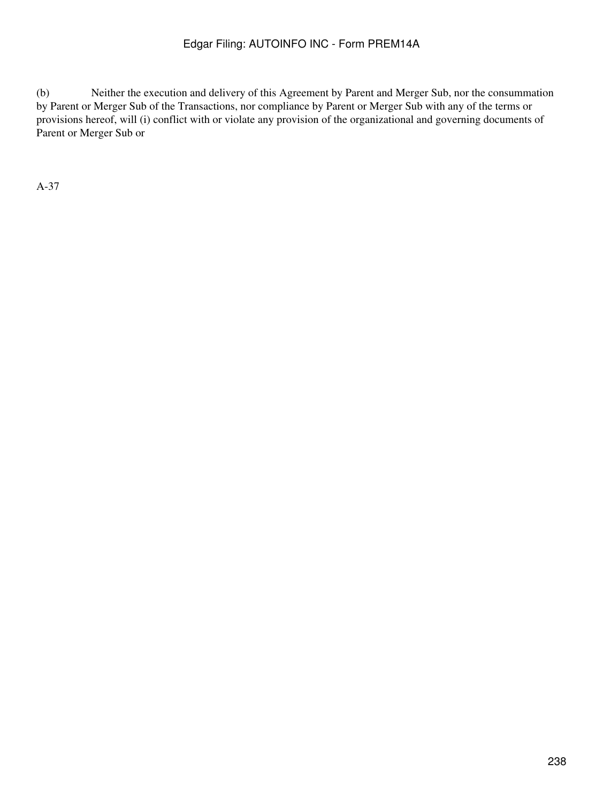(b) Neither the execution and delivery of this Agreement by Parent and Merger Sub, nor the consummation by Parent or Merger Sub of the Transactions, nor compliance by Parent or Merger Sub with any of the terms or provisions hereof, will (i) conflict with or violate any provision of the organizational and governing documents of Parent or Merger Sub or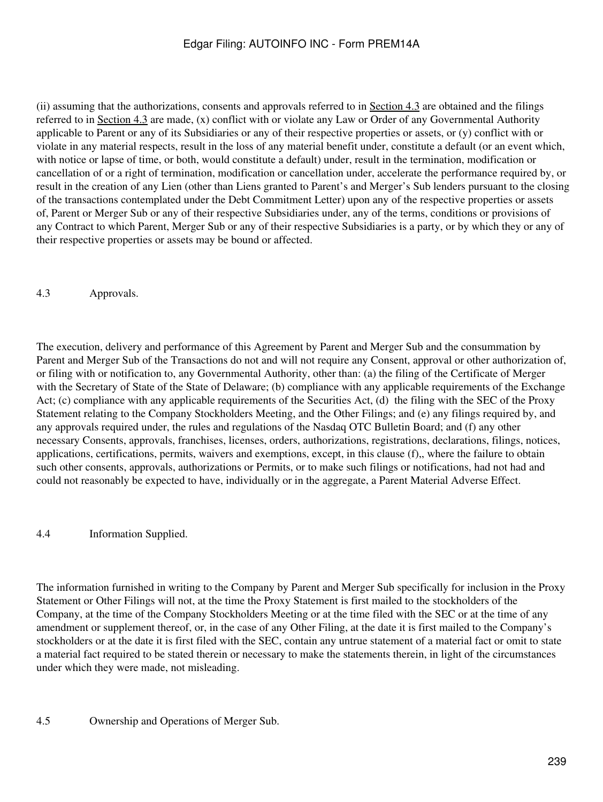(ii) assuming that the authorizations, consents and approvals referred to in Section 4.3 are obtained and the filings referred to in Section 4.3 are made, (x) conflict with or violate any Law or Order of any Governmental Authority applicable to Parent or any of its Subsidiaries or any of their respective properties or assets, or (y) conflict with or violate in any material respects, result in the loss of any material benefit under, constitute a default (or an event which, with notice or lapse of time, or both, would constitute a default) under, result in the termination, modification or cancellation of or a right of termination, modification or cancellation under, accelerate the performance required by, or result in the creation of any Lien (other than Liens granted to Parent's and Merger's Sub lenders pursuant to the closing of the transactions contemplated under the Debt Commitment Letter) upon any of the respective properties or assets of, Parent or Merger Sub or any of their respective Subsidiaries under, any of the terms, conditions or provisions of any Contract to which Parent, Merger Sub or any of their respective Subsidiaries is a party, or by which they or any of their respective properties or assets may be bound or affected.

4.3 Approvals.

The execution, delivery and performance of this Agreement by Parent and Merger Sub and the consummation by Parent and Merger Sub of the Transactions do not and will not require any Consent, approval or other authorization of, or filing with or notification to, any Governmental Authority, other than: (a) the filing of the Certificate of Merger with the Secretary of State of the State of Delaware; (b) compliance with any applicable requirements of the Exchange Act; (c) compliance with any applicable requirements of the Securities Act, (d) the filing with the SEC of the Proxy Statement relating to the Company Stockholders Meeting, and the Other Filings; and (e) any filings required by, and any approvals required under, the rules and regulations of the Nasdaq OTC Bulletin Board; and (f) any other necessary Consents, approvals, franchises, licenses, orders, authorizations, registrations, declarations, filings, notices, applications, certifications, permits, waivers and exemptions, except, in this clause (f),, where the failure to obtain such other consents, approvals, authorizations or Permits, or to make such filings or notifications, had not had and could not reasonably be expected to have, individually or in the aggregate, a Parent Material Adverse Effect.

4.4 Information Supplied.

The information furnished in writing to the Company by Parent and Merger Sub specifically for inclusion in the Proxy Statement or Other Filings will not, at the time the Proxy Statement is first mailed to the stockholders of the Company, at the time of the Company Stockholders Meeting or at the time filed with the SEC or at the time of any amendment or supplement thereof, or, in the case of any Other Filing, at the date it is first mailed to the Company's stockholders or at the date it is first filed with the SEC, contain any untrue statement of a material fact or omit to state a material fact required to be stated therein or necessary to make the statements therein, in light of the circumstances under which they were made, not misleading.

4.5 Ownership and Operations of Merger Sub.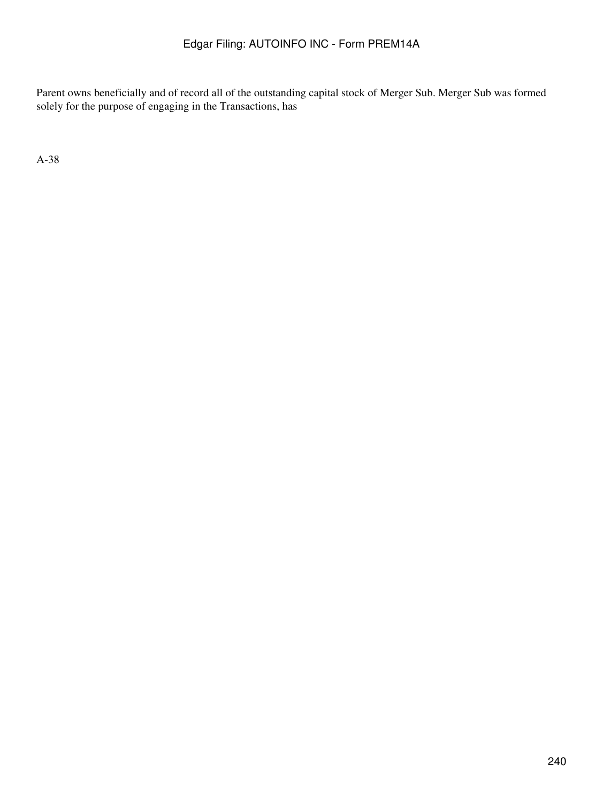Parent owns beneficially and of record all of the outstanding capital stock of Merger Sub. Merger Sub was formed solely for the purpose of engaging in the Transactions, has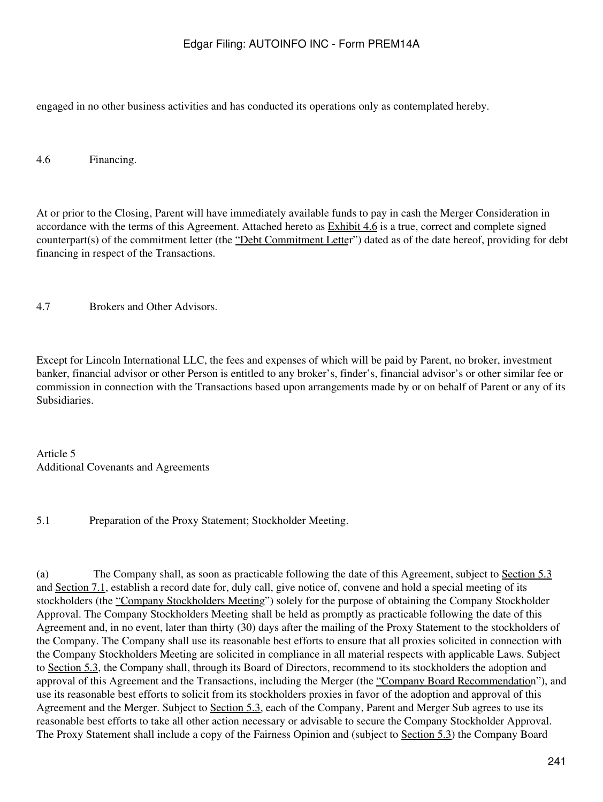engaged in no other business activities and has conducted its operations only as contemplated hereby.

4.6 Financing.

At or prior to the Closing, Parent will have immediately available funds to pay in cash the Merger Consideration in accordance with the terms of this Agreement. Attached hereto as Exhibit 4.6 is a true, correct and complete signed counterpart(s) of the commitment letter (the "Debt Commitment Letter") dated as of the date hereof, providing for debt financing in respect of the Transactions.

4.7 Brokers and Other Advisors.

Except for Lincoln International LLC, the fees and expenses of which will be paid by Parent, no broker, investment banker, financial advisor or other Person is entitled to any broker's, finder's, financial advisor's or other similar fee or commission in connection with the Transactions based upon arrangements made by or on behalf of Parent or any of its Subsidiaries.

Article 5 Additional Covenants and Agreements

5.1 Preparation of the Proxy Statement; Stockholder Meeting.

(a) The Company shall, as soon as practicable following the date of this Agreement, subject to Section 5.3 and Section 7.1, establish a record date for, duly call, give notice of, convene and hold a special meeting of its stockholders (the "Company Stockholders Meeting") solely for the purpose of obtaining the Company Stockholder Approval. The Company Stockholders Meeting shall be held as promptly as practicable following the date of this Agreement and, in no event, later than thirty (30) days after the mailing of the Proxy Statement to the stockholders of the Company. The Company shall use its reasonable best efforts to ensure that all proxies solicited in connection with the Company Stockholders Meeting are solicited in compliance in all material respects with applicable Laws. Subject to Section 5.3, the Company shall, through its Board of Directors, recommend to its stockholders the adoption and approval of this Agreement and the Transactions, including the Merger (the "Company Board Recommendation"), and use its reasonable best efforts to solicit from its stockholders proxies in favor of the adoption and approval of this Agreement and the Merger. Subject to Section 5.3, each of the Company, Parent and Merger Sub agrees to use its reasonable best efforts to take all other action necessary or advisable to secure the Company Stockholder Approval. The Proxy Statement shall include a copy of the Fairness Opinion and (subject to Section 5.3) the Company Board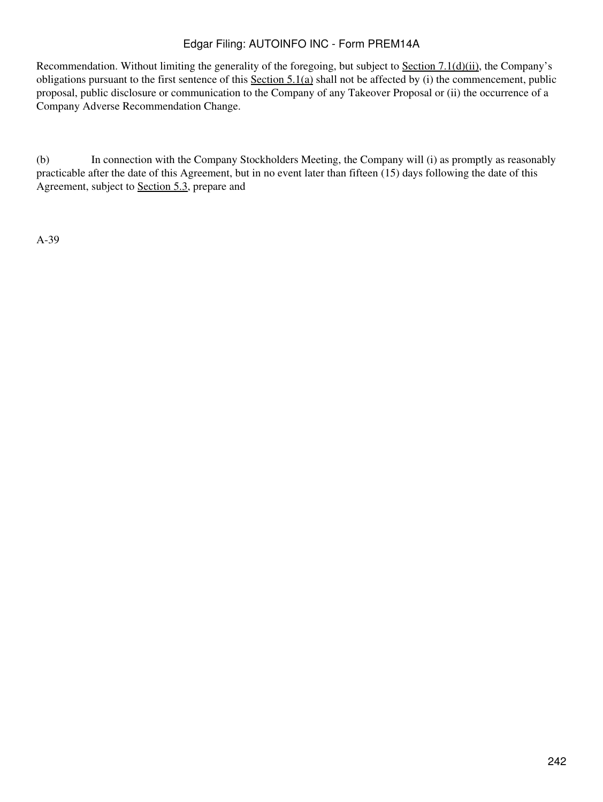Recommendation. Without limiting the generality of the foregoing, but subject to Section 7.1(d)(ii), the Company's obligations pursuant to the first sentence of this Section 5.1(a) shall not be affected by (i) the commencement, public proposal, public disclosure or communication to the Company of any Takeover Proposal or (ii) the occurrence of a Company Adverse Recommendation Change.

(b) In connection with the Company Stockholders Meeting, the Company will (i) as promptly as reasonably practicable after the date of this Agreement, but in no event later than fifteen (15) days following the date of this Agreement, subject to Section 5.3, prepare and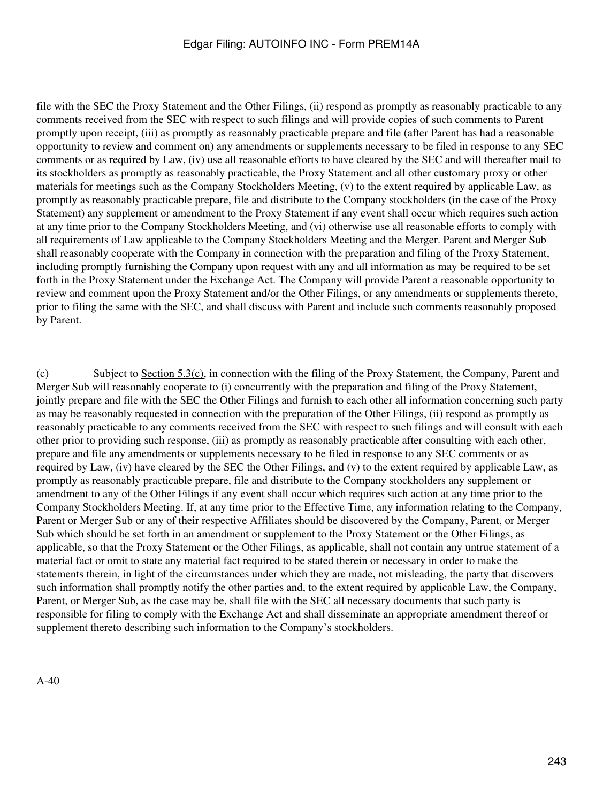file with the SEC the Proxy Statement and the Other Filings, (ii) respond as promptly as reasonably practicable to any comments received from the SEC with respect to such filings and will provide copies of such comments to Parent promptly upon receipt, (iii) as promptly as reasonably practicable prepare and file (after Parent has had a reasonable opportunity to review and comment on) any amendments or supplements necessary to be filed in response to any SEC comments or as required by Law, (iv) use all reasonable efforts to have cleared by the SEC and will thereafter mail to its stockholders as promptly as reasonably practicable, the Proxy Statement and all other customary proxy or other materials for meetings such as the Company Stockholders Meeting, (v) to the extent required by applicable Law, as promptly as reasonably practicable prepare, file and distribute to the Company stockholders (in the case of the Proxy Statement) any supplement or amendment to the Proxy Statement if any event shall occur which requires such action at any time prior to the Company Stockholders Meeting, and (vi) otherwise use all reasonable efforts to comply with all requirements of Law applicable to the Company Stockholders Meeting and the Merger. Parent and Merger Sub shall reasonably cooperate with the Company in connection with the preparation and filing of the Proxy Statement, including promptly furnishing the Company upon request with any and all information as may be required to be set forth in the Proxy Statement under the Exchange Act. The Company will provide Parent a reasonable opportunity to review and comment upon the Proxy Statement and/or the Other Filings, or any amendments or supplements thereto, prior to filing the same with the SEC, and shall discuss with Parent and include such comments reasonably proposed by Parent.

(c) Subject to Section 5.3(c), in connection with the filing of the Proxy Statement, the Company, Parent and Merger Sub will reasonably cooperate to (i) concurrently with the preparation and filing of the Proxy Statement, jointly prepare and file with the SEC the Other Filings and furnish to each other all information concerning such party as may be reasonably requested in connection with the preparation of the Other Filings, (ii) respond as promptly as reasonably practicable to any comments received from the SEC with respect to such filings and will consult with each other prior to providing such response, (iii) as promptly as reasonably practicable after consulting with each other, prepare and file any amendments or supplements necessary to be filed in response to any SEC comments or as required by Law, (iv) have cleared by the SEC the Other Filings, and (v) to the extent required by applicable Law, as promptly as reasonably practicable prepare, file and distribute to the Company stockholders any supplement or amendment to any of the Other Filings if any event shall occur which requires such action at any time prior to the Company Stockholders Meeting. If, at any time prior to the Effective Time, any information relating to the Company, Parent or Merger Sub or any of their respective Affiliates should be discovered by the Company, Parent, or Merger Sub which should be set forth in an amendment or supplement to the Proxy Statement or the Other Filings, as applicable, so that the Proxy Statement or the Other Filings, as applicable, shall not contain any untrue statement of a material fact or omit to state any material fact required to be stated therein or necessary in order to make the statements therein, in light of the circumstances under which they are made, not misleading, the party that discovers such information shall promptly notify the other parties and, to the extent required by applicable Law, the Company, Parent, or Merger Sub, as the case may be, shall file with the SEC all necessary documents that such party is responsible for filing to comply with the Exchange Act and shall disseminate an appropriate amendment thereof or supplement thereto describing such information to the Company's stockholders.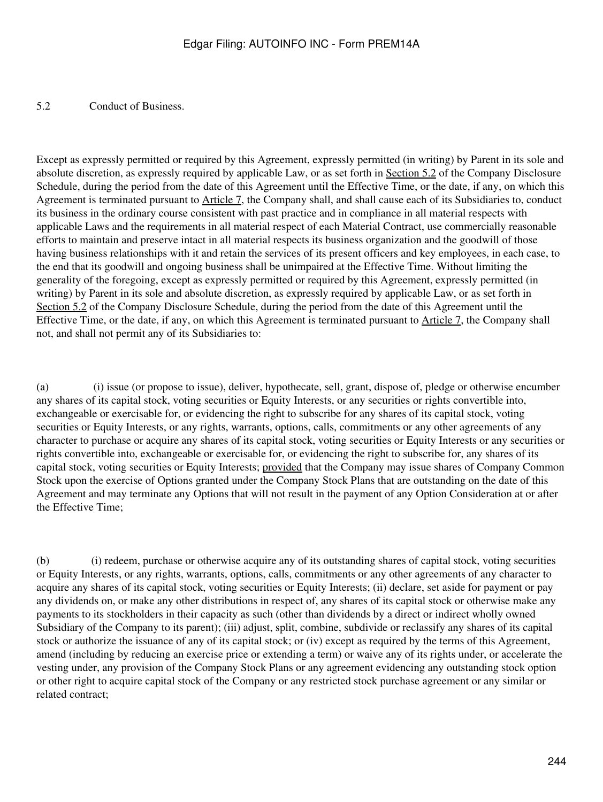### 5.2 Conduct of Business.

Except as expressly permitted or required by this Agreement, expressly permitted (in writing) by Parent in its sole and absolute discretion, as expressly required by applicable Law, or as set forth in Section 5.2 of the Company Disclosure Schedule, during the period from the date of this Agreement until the Effective Time, or the date, if any, on which this Agreement is terminated pursuant to Article 7, the Company shall, and shall cause each of its Subsidiaries to, conduct its business in the ordinary course consistent with past practice and in compliance in all material respects with applicable Laws and the requirements in all material respect of each Material Contract, use commercially reasonable efforts to maintain and preserve intact in all material respects its business organization and the goodwill of those having business relationships with it and retain the services of its present officers and key employees, in each case, to the end that its goodwill and ongoing business shall be unimpaired at the Effective Time. Without limiting the generality of the foregoing, except as expressly permitted or required by this Agreement, expressly permitted (in writing) by Parent in its sole and absolute discretion, as expressly required by applicable Law, or as set forth in Section 5.2 of the Company Disclosure Schedule, during the period from the date of this Agreement until the Effective Time, or the date, if any, on which this Agreement is terminated pursuant to Article 7, the Company shall not, and shall not permit any of its Subsidiaries to:

(a) (i) issue (or propose to issue), deliver, hypothecate, sell, grant, dispose of, pledge or otherwise encumber any shares of its capital stock, voting securities or Equity Interests, or any securities or rights convertible into, exchangeable or exercisable for, or evidencing the right to subscribe for any shares of its capital stock, voting securities or Equity Interests, or any rights, warrants, options, calls, commitments or any other agreements of any character to purchase or acquire any shares of its capital stock, voting securities or Equity Interests or any securities or rights convertible into, exchangeable or exercisable for, or evidencing the right to subscribe for, any shares of its capital stock, voting securities or Equity Interests; provided that the Company may issue shares of Company Common Stock upon the exercise of Options granted under the Company Stock Plans that are outstanding on the date of this Agreement and may terminate any Options that will not result in the payment of any Option Consideration at or after the Effective Time;

(b) (i) redeem, purchase or otherwise acquire any of its outstanding shares of capital stock, voting securities or Equity Interests, or any rights, warrants, options, calls, commitments or any other agreements of any character to acquire any shares of its capital stock, voting securities or Equity Interests; (ii) declare, set aside for payment or pay any dividends on, or make any other distributions in respect of, any shares of its capital stock or otherwise make any payments to its stockholders in their capacity as such (other than dividends by a direct or indirect wholly owned Subsidiary of the Company to its parent); (iii) adjust, split, combine, subdivide or reclassify any shares of its capital stock or authorize the issuance of any of its capital stock; or (iv) except as required by the terms of this Agreement, amend (including by reducing an exercise price or extending a term) or waive any of its rights under, or accelerate the vesting under, any provision of the Company Stock Plans or any agreement evidencing any outstanding stock option or other right to acquire capital stock of the Company or any restricted stock purchase agreement or any similar or related contract;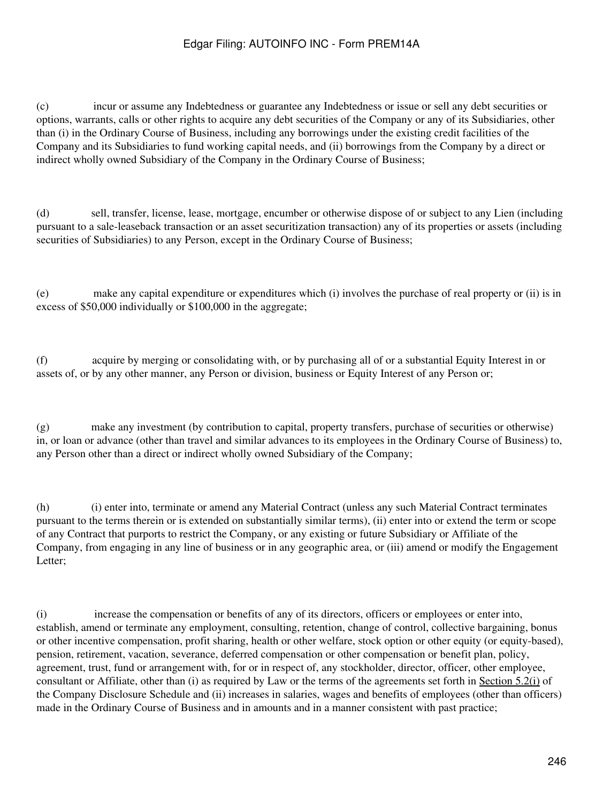(c) incur or assume any Indebtedness or guarantee any Indebtedness or issue or sell any debt securities or options, warrants, calls or other rights to acquire any debt securities of the Company or any of its Subsidiaries, other than (i) in the Ordinary Course of Business, including any borrowings under the existing credit facilities of the Company and its Subsidiaries to fund working capital needs, and (ii) borrowings from the Company by a direct or indirect wholly owned Subsidiary of the Company in the Ordinary Course of Business;

(d) sell, transfer, license, lease, mortgage, encumber or otherwise dispose of or subject to any Lien (including pursuant to a sale-leaseback transaction or an asset securitization transaction) any of its properties or assets (including securities of Subsidiaries) to any Person, except in the Ordinary Course of Business;

(e) make any capital expenditure or expenditures which (i) involves the purchase of real property or (ii) is in excess of \$50,000 individually or \$100,000 in the aggregate;

(f) acquire by merging or consolidating with, or by purchasing all of or a substantial Equity Interest in or assets of, or by any other manner, any Person or division, business or Equity Interest of any Person or;

(g) make any investment (by contribution to capital, property transfers, purchase of securities or otherwise) in, or loan or advance (other than travel and similar advances to its employees in the Ordinary Course of Business) to, any Person other than a direct or indirect wholly owned Subsidiary of the Company;

(h) (i) enter into, terminate or amend any Material Contract (unless any such Material Contract terminates pursuant to the terms therein or is extended on substantially similar terms), (ii) enter into or extend the term or scope of any Contract that purports to restrict the Company, or any existing or future Subsidiary or Affiliate of the Company, from engaging in any line of business or in any geographic area, or (iii) amend or modify the Engagement Letter;

(i) increase the compensation or benefits of any of its directors, officers or employees or enter into, establish, amend or terminate any employment, consulting, retention, change of control, collective bargaining, bonus or other incentive compensation, profit sharing, health or other welfare, stock option or other equity (or equity-based), pension, retirement, vacation, severance, deferred compensation or other compensation or benefit plan, policy, agreement, trust, fund or arrangement with, for or in respect of, any stockholder, director, officer, other employee, consultant or Affiliate, other than (i) as required by Law or the terms of the agreements set forth in Section 5.2(i) of the Company Disclosure Schedule and (ii) increases in salaries, wages and benefits of employees (other than officers) made in the Ordinary Course of Business and in amounts and in a manner consistent with past practice;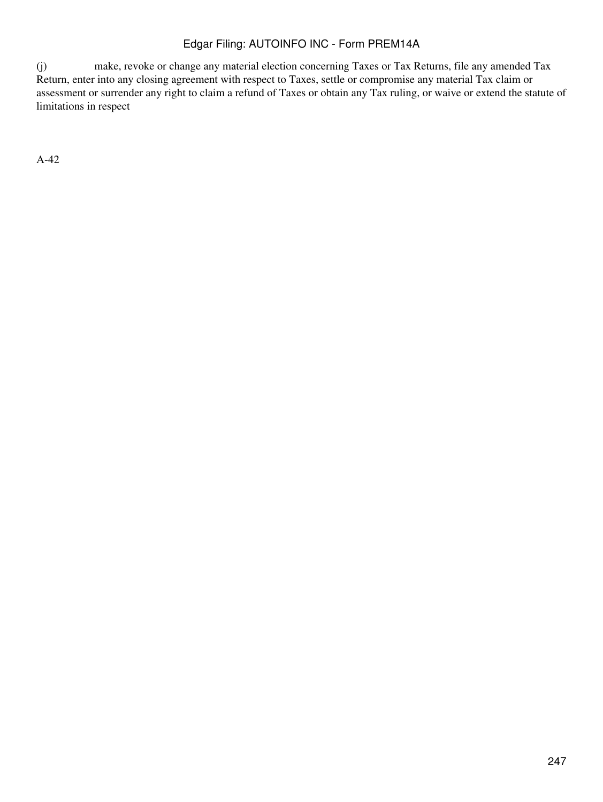(j) make, revoke or change any material election concerning Taxes or Tax Returns, file any amended Tax Return, enter into any closing agreement with respect to Taxes, settle or compromise any material Tax claim or assessment or surrender any right to claim a refund of Taxes or obtain any Tax ruling, or waive or extend the statute of limitations in respect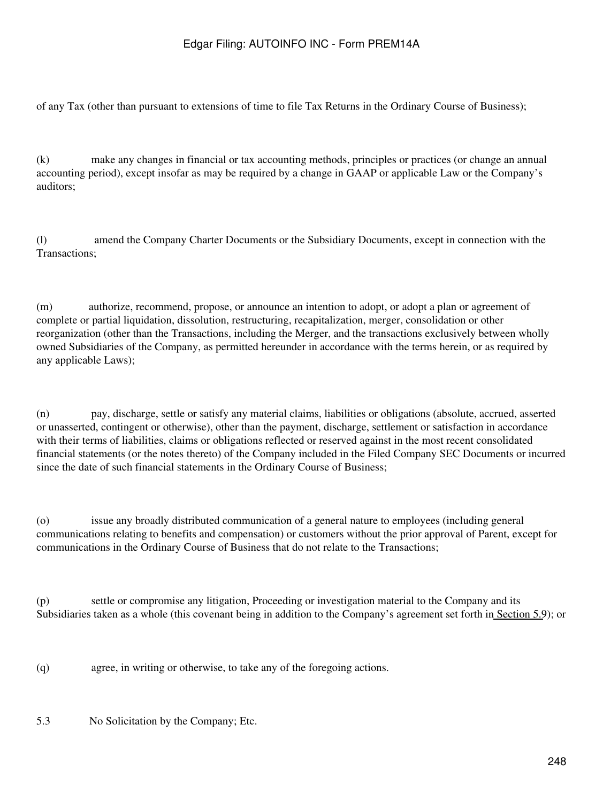of any Tax (other than pursuant to extensions of time to file Tax Returns in the Ordinary Course of Business);

(k) make any changes in financial or tax accounting methods, principles or practices (or change an annual accounting period), except insofar as may be required by a change in GAAP or applicable Law or the Company's auditors;

(l) amend the Company Charter Documents or the Subsidiary Documents, except in connection with the Transactions;

(m) authorize, recommend, propose, or announce an intention to adopt, or adopt a plan or agreement of complete or partial liquidation, dissolution, restructuring, recapitalization, merger, consolidation or other reorganization (other than the Transactions, including the Merger, and the transactions exclusively between wholly owned Subsidiaries of the Company, as permitted hereunder in accordance with the terms herein, or as required by any applicable Laws);

(n) pay, discharge, settle or satisfy any material claims, liabilities or obligations (absolute, accrued, asserted or unasserted, contingent or otherwise), other than the payment, discharge, settlement or satisfaction in accordance with their terms of liabilities, claims or obligations reflected or reserved against in the most recent consolidated financial statements (or the notes thereto) of the Company included in the Filed Company SEC Documents or incurred since the date of such financial statements in the Ordinary Course of Business;

(o) issue any broadly distributed communication of a general nature to employees (including general communications relating to benefits and compensation) or customers without the prior approval of Parent, except for communications in the Ordinary Course of Business that do not relate to the Transactions;

(p) settle or compromise any litigation, Proceeding or investigation material to the Company and its Subsidiaries taken as a whole (this covenant being in addition to the Company's agreement set forth in Section 5.9); or

(q) agree, in writing or otherwise, to take any of the foregoing actions.

5.3 No Solicitation by the Company; Etc.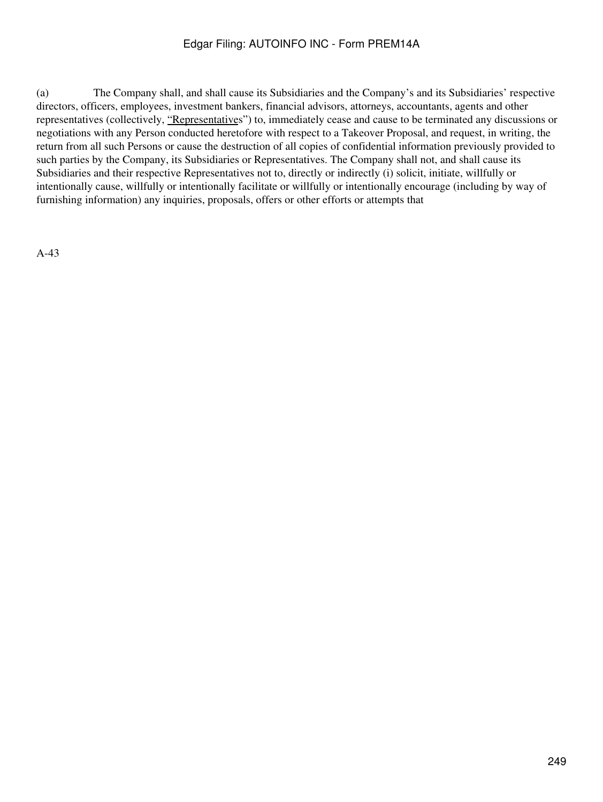(a) The Company shall, and shall cause its Subsidiaries and the Company's and its Subsidiaries' respective directors, officers, employees, investment bankers, financial advisors, attorneys, accountants, agents and other representatives (collectively, "Representatives") to, immediately cease and cause to be terminated any discussions or negotiations with any Person conducted heretofore with respect to a Takeover Proposal, and request, in writing, the return from all such Persons or cause the destruction of all copies of confidential information previously provided to such parties by the Company, its Subsidiaries or Representatives. The Company shall not, and shall cause its Subsidiaries and their respective Representatives not to, directly or indirectly (i) solicit, initiate, willfully or intentionally cause, willfully or intentionally facilitate or willfully or intentionally encourage (including by way of furnishing information) any inquiries, proposals, offers or other efforts or attempts that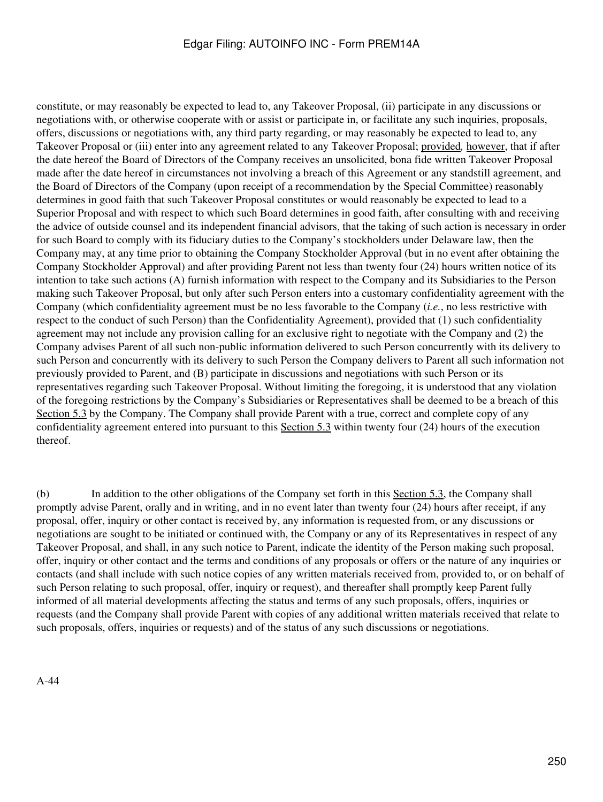constitute, or may reasonably be expected to lead to, any Takeover Proposal, (ii) participate in any discussions or negotiations with, or otherwise cooperate with or assist or participate in, or facilitate any such inquiries, proposals, offers, discussions or negotiations with, any third party regarding, or may reasonably be expected to lead to, any Takeover Proposal or (iii) enter into any agreement related to any Takeover Proposal; provided*,* however, that if after the date hereof the Board of Directors of the Company receives an unsolicited, bona fide written Takeover Proposal made after the date hereof in circumstances not involving a breach of this Agreement or any standstill agreement, and the Board of Directors of the Company (upon receipt of a recommendation by the Special Committee) reasonably determines in good faith that such Takeover Proposal constitutes or would reasonably be expected to lead to a Superior Proposal and with respect to which such Board determines in good faith, after consulting with and receiving the advice of outside counsel and its independent financial advisors, that the taking of such action is necessary in order for such Board to comply with its fiduciary duties to the Company's stockholders under Delaware law, then the Company may, at any time prior to obtaining the Company Stockholder Approval (but in no event after obtaining the Company Stockholder Approval) and after providing Parent not less than twenty four (24) hours written notice of its intention to take such actions (A) furnish information with respect to the Company and its Subsidiaries to the Person making such Takeover Proposal, but only after such Person enters into a customary confidentiality agreement with the Company (which confidentiality agreement must be no less favorable to the Company (*i.e.*, no less restrictive with respect to the conduct of such Person) than the Confidentiality Agreement), provided that (1) such confidentiality agreement may not include any provision calling for an exclusive right to negotiate with the Company and (2) the Company advises Parent of all such non-public information delivered to such Person concurrently with its delivery to such Person and concurrently with its delivery to such Person the Company delivers to Parent all such information not previously provided to Parent, and (B) participate in discussions and negotiations with such Person or its representatives regarding such Takeover Proposal. Without limiting the foregoing, it is understood that any violation of the foregoing restrictions by the Company's Subsidiaries or Representatives shall be deemed to be a breach of this Section 5.3 by the Company. The Company shall provide Parent with a true, correct and complete copy of any confidentiality agreement entered into pursuant to this Section 5.3 within twenty four (24) hours of the execution thereof.

(b) In addition to the other obligations of the Company set forth in this Section 5.3, the Company shall promptly advise Parent, orally and in writing, and in no event later than twenty four (24) hours after receipt, if any proposal, offer, inquiry or other contact is received by, any information is requested from, or any discussions or negotiations are sought to be initiated or continued with, the Company or any of its Representatives in respect of any Takeover Proposal, and shall, in any such notice to Parent, indicate the identity of the Person making such proposal, offer, inquiry or other contact and the terms and conditions of any proposals or offers or the nature of any inquiries or contacts (and shall include with such notice copies of any written materials received from, provided to, or on behalf of such Person relating to such proposal, offer, inquiry or request), and thereafter shall promptly keep Parent fully informed of all material developments affecting the status and terms of any such proposals, offers, inquiries or requests (and the Company shall provide Parent with copies of any additional written materials received that relate to such proposals, offers, inquiries or requests) and of the status of any such discussions or negotiations.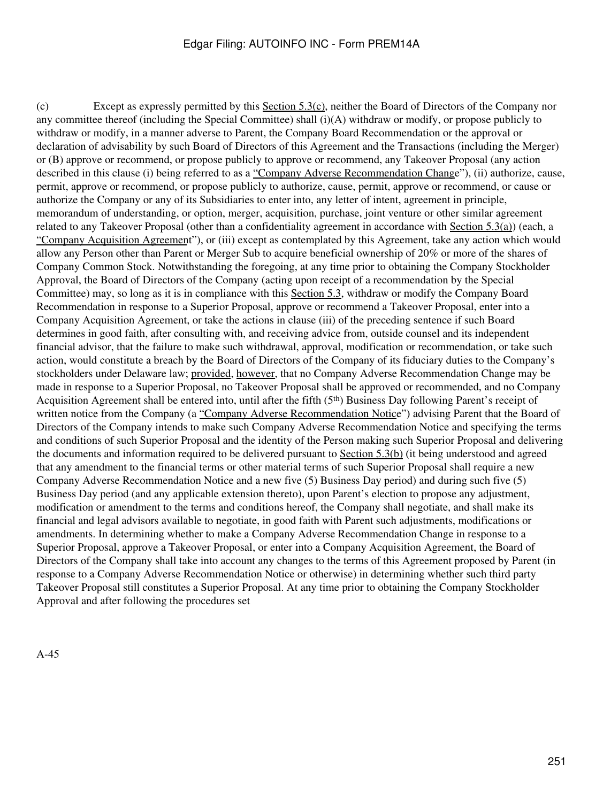(c) Except as expressly permitted by this Section 5.3(c), neither the Board of Directors of the Company nor any committee thereof (including the Special Committee) shall (i)(A) withdraw or modify, or propose publicly to withdraw or modify, in a manner adverse to Parent, the Company Board Recommendation or the approval or declaration of advisability by such Board of Directors of this Agreement and the Transactions (including the Merger) or (B) approve or recommend, or propose publicly to approve or recommend, any Takeover Proposal (any action described in this clause (i) being referred to as a "Company Adverse Recommendation Change"), (ii) authorize, cause, permit, approve or recommend, or propose publicly to authorize, cause, permit, approve or recommend, or cause or authorize the Company or any of its Subsidiaries to enter into, any letter of intent, agreement in principle, memorandum of understanding, or option, merger, acquisition, purchase, joint venture or other similar agreement related to any Takeover Proposal (other than a confidentiality agreement in accordance with Section 5.3(a)) (each, a "Company Acquisition Agreement"), or (iii) except as contemplated by this Agreement, take any action which would allow any Person other than Parent or Merger Sub to acquire beneficial ownership of 20% or more of the shares of Company Common Stock. Notwithstanding the foregoing, at any time prior to obtaining the Company Stockholder Approval, the Board of Directors of the Company (acting upon receipt of a recommendation by the Special Committee) may, so long as it is in compliance with this Section 5.3, withdraw or modify the Company Board Recommendation in response to a Superior Proposal, approve or recommend a Takeover Proposal, enter into a Company Acquisition Agreement, or take the actions in clause (iii) of the preceding sentence if such Board determines in good faith, after consulting with, and receiving advice from, outside counsel and its independent financial advisor, that the failure to make such withdrawal, approval, modification or recommendation, or take such action, would constitute a breach by the Board of Directors of the Company of its fiduciary duties to the Company's stockholders under Delaware law; provided, however, that no Company Adverse Recommendation Change may be made in response to a Superior Proposal, no Takeover Proposal shall be approved or recommended, and no Company Acquisition Agreement shall be entered into, until after the fifth (5th) Business Day following Parent's receipt of written notice from the Company (a "Company Adverse Recommendation Notice") advising Parent that the Board of Directors of the Company intends to make such Company Adverse Recommendation Notice and specifying the terms and conditions of such Superior Proposal and the identity of the Person making such Superior Proposal and delivering the documents and information required to be delivered pursuant to Section 5.3(b) (it being understood and agreed that any amendment to the financial terms or other material terms of such Superior Proposal shall require a new Company Adverse Recommendation Notice and a new five (5) Business Day period) and during such five (5) Business Day period (and any applicable extension thereto), upon Parent's election to propose any adjustment, modification or amendment to the terms and conditions hereof, the Company shall negotiate, and shall make its financial and legal advisors available to negotiate, in good faith with Parent such adjustments, modifications or amendments. In determining whether to make a Company Adverse Recommendation Change in response to a Superior Proposal, approve a Takeover Proposal, or enter into a Company Acquisition Agreement, the Board of Directors of the Company shall take into account any changes to the terms of this Agreement proposed by Parent (in response to a Company Adverse Recommendation Notice or otherwise) in determining whether such third party Takeover Proposal still constitutes a Superior Proposal. At any time prior to obtaining the Company Stockholder Approval and after following the procedures set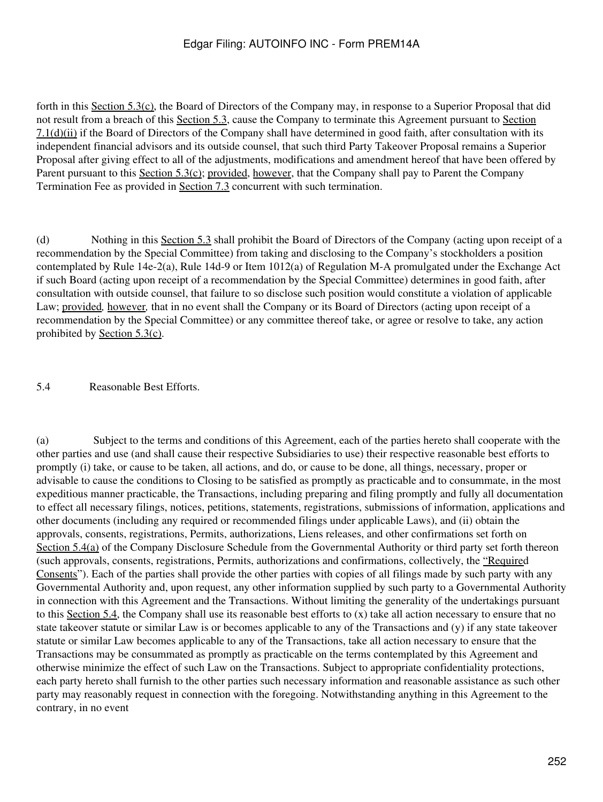forth in this Section 5.3(c), the Board of Directors of the Company may, in response to a Superior Proposal that did not result from a breach of this Section 5.3, cause the Company to terminate this Agreement pursuant to Section 7.1(d)(ii) if the Board of Directors of the Company shall have determined in good faith, after consultation with its independent financial advisors and its outside counsel, that such third Party Takeover Proposal remains a Superior Proposal after giving effect to all of the adjustments, modifications and amendment hereof that have been offered by Parent pursuant to this Section 5.3(c); provided, however, that the Company shall pay to Parent the Company Termination Fee as provided in Section 7.3 concurrent with such termination.

(d) Nothing in this Section 5.3 shall prohibit the Board of Directors of the Company (acting upon receipt of a recommendation by the Special Committee) from taking and disclosing to the Company's stockholders a position contemplated by Rule 14e-2(a), Rule 14d-9 or Item 1012(a) of Regulation M-A promulgated under the Exchange Act if such Board (acting upon receipt of a recommendation by the Special Committee) determines in good faith, after consultation with outside counsel, that failure to so disclose such position would constitute a violation of applicable Law; provided*,* however*,* that in no event shall the Company or its Board of Directors (acting upon receipt of a recommendation by the Special Committee) or any committee thereof take, or agree or resolve to take, any action prohibited by Section 5.3(c).

5.4 Reasonable Best Efforts.

(a) Subject to the terms and conditions of this Agreement, each of the parties hereto shall cooperate with the other parties and use (and shall cause their respective Subsidiaries to use) their respective reasonable best efforts to promptly (i) take, or cause to be taken, all actions, and do, or cause to be done, all things, necessary, proper or advisable to cause the conditions to Closing to be satisfied as promptly as practicable and to consummate, in the most expeditious manner practicable, the Transactions, including preparing and filing promptly and fully all documentation to effect all necessary filings, notices, petitions, statements, registrations, submissions of information, applications and other documents (including any required or recommended filings under applicable Laws), and (ii) obtain the approvals, consents, registrations, Permits, authorizations, Liens releases, and other confirmations set forth on Section 5.4(a) of the Company Disclosure Schedule from the Governmental Authority or third party set forth thereon (such approvals, consents, registrations, Permits, authorizations and confirmations, collectively, the "Required Consents"). Each of the parties shall provide the other parties with copies of all filings made by such party with any Governmental Authority and, upon request, any other information supplied by such party to a Governmental Authority in connection with this Agreement and the Transactions. Without limiting the generality of the undertakings pursuant to this Section 5.4, the Company shall use its reasonable best efforts to  $(x)$  take all action necessary to ensure that no state takeover statute or similar Law is or becomes applicable to any of the Transactions and (y) if any state takeover statute or similar Law becomes applicable to any of the Transactions, take all action necessary to ensure that the Transactions may be consummated as promptly as practicable on the terms contemplated by this Agreement and otherwise minimize the effect of such Law on the Transactions. Subject to appropriate confidentiality protections, each party hereto shall furnish to the other parties such necessary information and reasonable assistance as such other party may reasonably request in connection with the foregoing. Notwithstanding anything in this Agreement to the contrary, in no event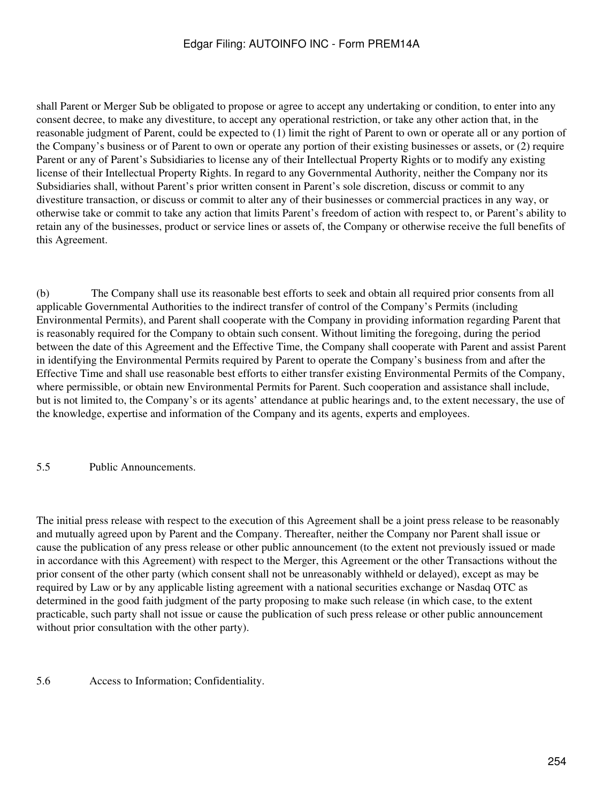shall Parent or Merger Sub be obligated to propose or agree to accept any undertaking or condition, to enter into any consent decree, to make any divestiture, to accept any operational restriction, or take any other action that, in the reasonable judgment of Parent, could be expected to (1) limit the right of Parent to own or operate all or any portion of the Company's business or of Parent to own or operate any portion of their existing businesses or assets, or (2) require Parent or any of Parent's Subsidiaries to license any of their Intellectual Property Rights or to modify any existing license of their Intellectual Property Rights. In regard to any Governmental Authority, neither the Company nor its Subsidiaries shall, without Parent's prior written consent in Parent's sole discretion, discuss or commit to any divestiture transaction, or discuss or commit to alter any of their businesses or commercial practices in any way, or otherwise take or commit to take any action that limits Parent's freedom of action with respect to, or Parent's ability to retain any of the businesses, product or service lines or assets of, the Company or otherwise receive the full benefits of this Agreement.

(b) The Company shall use its reasonable best efforts to seek and obtain all required prior consents from all applicable Governmental Authorities to the indirect transfer of control of the Company's Permits (including Environmental Permits), and Parent shall cooperate with the Company in providing information regarding Parent that is reasonably required for the Company to obtain such consent. Without limiting the foregoing, during the period between the date of this Agreement and the Effective Time, the Company shall cooperate with Parent and assist Parent in identifying the Environmental Permits required by Parent to operate the Company's business from and after the Effective Time and shall use reasonable best efforts to either transfer existing Environmental Permits of the Company, where permissible, or obtain new Environmental Permits for Parent. Such cooperation and assistance shall include, but is not limited to, the Company's or its agents' attendance at public hearings and, to the extent necessary, the use of the knowledge, expertise and information of the Company and its agents, experts and employees.

5.5 Public Announcements.

The initial press release with respect to the execution of this Agreement shall be a joint press release to be reasonably and mutually agreed upon by Parent and the Company. Thereafter, neither the Company nor Parent shall issue or cause the publication of any press release or other public announcement (to the extent not previously issued or made in accordance with this Agreement) with respect to the Merger, this Agreement or the other Transactions without the prior consent of the other party (which consent shall not be unreasonably withheld or delayed), except as may be required by Law or by any applicable listing agreement with a national securities exchange or Nasdaq OTC as determined in the good faith judgment of the party proposing to make such release (in which case, to the extent practicable, such party shall not issue or cause the publication of such press release or other public announcement without prior consultation with the other party).

5.6 Access to Information; Confidentiality.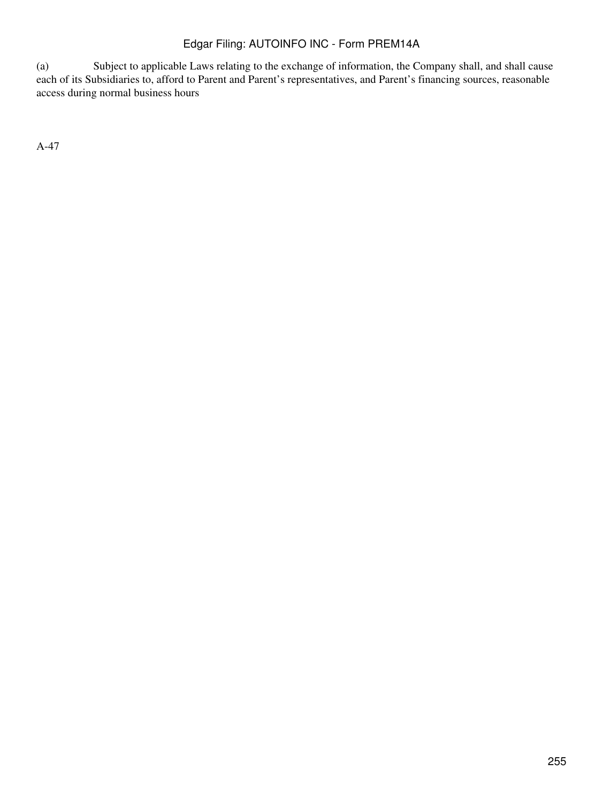(a) Subject to applicable Laws relating to the exchange of information, the Company shall, and shall cause each of its Subsidiaries to, afford to Parent and Parent's representatives, and Parent's financing sources, reasonable access during normal business hours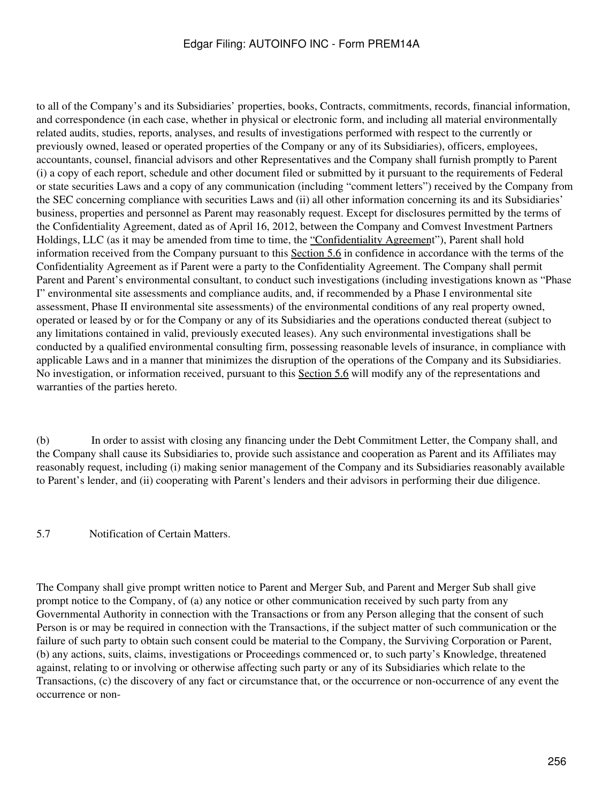to all of the Company's and its Subsidiaries' properties, books, Contracts, commitments, records, financial information, and correspondence (in each case, whether in physical or electronic form, and including all material environmentally related audits, studies, reports, analyses, and results of investigations performed with respect to the currently or previously owned, leased or operated properties of the Company or any of its Subsidiaries), officers, employees, accountants, counsel, financial advisors and other Representatives and the Company shall furnish promptly to Parent (i) a copy of each report, schedule and other document filed or submitted by it pursuant to the requirements of Federal or state securities Laws and a copy of any communication (including "comment letters") received by the Company from the SEC concerning compliance with securities Laws and (ii) all other information concerning its and its Subsidiaries' business, properties and personnel as Parent may reasonably request. Except for disclosures permitted by the terms of the Confidentiality Agreement, dated as of April 16, 2012, between the Company and Comvest Investment Partners Holdings, LLC (as it may be amended from time to time, the "Confidentiality Agreement"), Parent shall hold information received from the Company pursuant to this Section 5.6 in confidence in accordance with the terms of the Confidentiality Agreement as if Parent were a party to the Confidentiality Agreement. The Company shall permit Parent and Parent's environmental consultant, to conduct such investigations (including investigations known as "Phase I" environmental site assessments and compliance audits, and, if recommended by a Phase I environmental site assessment, Phase II environmental site assessments) of the environmental conditions of any real property owned, operated or leased by or for the Company or any of its Subsidiaries and the operations conducted thereat (subject to any limitations contained in valid, previously executed leases). Any such environmental investigations shall be conducted by a qualified environmental consulting firm, possessing reasonable levels of insurance, in compliance with applicable Laws and in a manner that minimizes the disruption of the operations of the Company and its Subsidiaries. No investigation, or information received, pursuant to this Section 5.6 will modify any of the representations and warranties of the parties hereto.

(b) In order to assist with closing any financing under the Debt Commitment Letter, the Company shall, and the Company shall cause its Subsidiaries to, provide such assistance and cooperation as Parent and its Affiliates may reasonably request, including (i) making senior management of the Company and its Subsidiaries reasonably available to Parent's lender, and (ii) cooperating with Parent's lenders and their advisors in performing their due diligence.

#### 5.7 Notification of Certain Matters.

The Company shall give prompt written notice to Parent and Merger Sub, and Parent and Merger Sub shall give prompt notice to the Company, of (a) any notice or other communication received by such party from any Governmental Authority in connection with the Transactions or from any Person alleging that the consent of such Person is or may be required in connection with the Transactions, if the subject matter of such communication or the failure of such party to obtain such consent could be material to the Company, the Surviving Corporation or Parent, (b) any actions, suits, claims, investigations or Proceedings commenced or, to such party's Knowledge, threatened against, relating to or involving or otherwise affecting such party or any of its Subsidiaries which relate to the Transactions, (c) the discovery of any fact or circumstance that, or the occurrence or non-occurrence of any event the occurrence or non-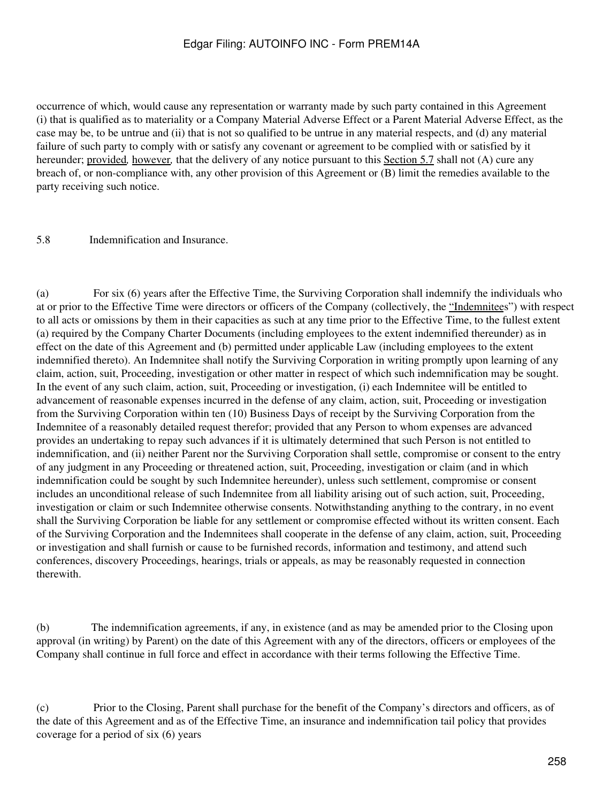occurrence of which, would cause any representation or warranty made by such party contained in this Agreement (i) that is qualified as to materiality or a Company Material Adverse Effect or a Parent Material Adverse Effect, as the case may be, to be untrue and (ii) that is not so qualified to be untrue in any material respects, and (d) any material failure of such party to comply with or satisfy any covenant or agreement to be complied with or satisfied by it hereunder; provided*,* however*,* that the delivery of any notice pursuant to this Section 5.7 shall not (A) cure any breach of, or non-compliance with, any other provision of this Agreement or (B) limit the remedies available to the party receiving such notice.

#### 5.8 Indemnification and Insurance.

(a) For six (6) years after the Effective Time, the Surviving Corporation shall indemnify the individuals who at or prior to the Effective Time were directors or officers of the Company (collectively, the "Indemnitees") with respect to all acts or omissions by them in their capacities as such at any time prior to the Effective Time, to the fullest extent (a) required by the Company Charter Documents (including employees to the extent indemnified thereunder) as in effect on the date of this Agreement and (b) permitted under applicable Law (including employees to the extent indemnified thereto). An Indemnitee shall notify the Surviving Corporation in writing promptly upon learning of any claim, action, suit, Proceeding, investigation or other matter in respect of which such indemnification may be sought. In the event of any such claim, action, suit, Proceeding or investigation, (i) each Indemnitee will be entitled to advancement of reasonable expenses incurred in the defense of any claim, action, suit, Proceeding or investigation from the Surviving Corporation within ten (10) Business Days of receipt by the Surviving Corporation from the Indemnitee of a reasonably detailed request therefor; provided that any Person to whom expenses are advanced provides an undertaking to repay such advances if it is ultimately determined that such Person is not entitled to indemnification, and (ii) neither Parent nor the Surviving Corporation shall settle, compromise or consent to the entry of any judgment in any Proceeding or threatened action, suit, Proceeding, investigation or claim (and in which indemnification could be sought by such Indemnitee hereunder), unless such settlement, compromise or consent includes an unconditional release of such Indemnitee from all liability arising out of such action, suit, Proceeding, investigation or claim or such Indemnitee otherwise consents. Notwithstanding anything to the contrary, in no event shall the Surviving Corporation be liable for any settlement or compromise effected without its written consent. Each of the Surviving Corporation and the Indemnitees shall cooperate in the defense of any claim, action, suit, Proceeding or investigation and shall furnish or cause to be furnished records, information and testimony, and attend such conferences, discovery Proceedings, hearings, trials or appeals, as may be reasonably requested in connection therewith.

(b) The indemnification agreements, if any, in existence (and as may be amended prior to the Closing upon approval (in writing) by Parent) on the date of this Agreement with any of the directors, officers or employees of the Company shall continue in full force and effect in accordance with their terms following the Effective Time.

(c) Prior to the Closing, Parent shall purchase for the benefit of the Company's directors and officers, as of the date of this Agreement and as of the Effective Time, an insurance and indemnification tail policy that provides coverage for a period of six (6) years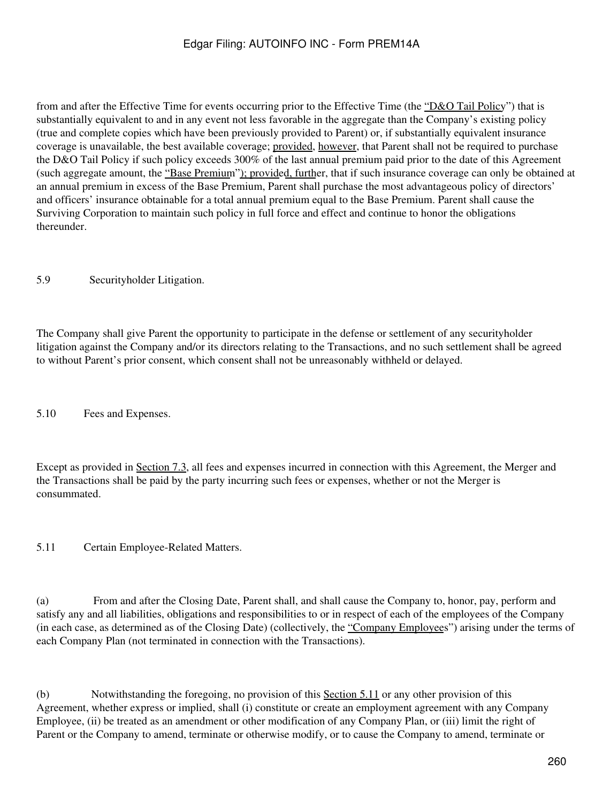from and after the Effective Time for events occurring prior to the Effective Time (the "D&O Tail Policy") that is substantially equivalent to and in any event not less favorable in the aggregate than the Company's existing policy (true and complete copies which have been previously provided to Parent) or, if substantially equivalent insurance coverage is unavailable, the best available coverage; provided, however, that Parent shall not be required to purchase the D&O Tail Policy if such policy exceeds 300% of the last annual premium paid prior to the date of this Agreement (such aggregate amount, the "Base Premium"); provided, further, that if such insurance coverage can only be obtained at an annual premium in excess of the Base Premium, Parent shall purchase the most advantageous policy of directors' and officers' insurance obtainable for a total annual premium equal to the Base Premium. Parent shall cause the Surviving Corporation to maintain such policy in full force and effect and continue to honor the obligations thereunder.

5.9 Securityholder Litigation.

The Company shall give Parent the opportunity to participate in the defense or settlement of any securityholder litigation against the Company and/or its directors relating to the Transactions, and no such settlement shall be agreed to without Parent's prior consent, which consent shall not be unreasonably withheld or delayed.

5.10 Fees and Expenses.

Except as provided in Section 7.3, all fees and expenses incurred in connection with this Agreement, the Merger and the Transactions shall be paid by the party incurring such fees or expenses, whether or not the Merger is consummated.

5.11 Certain Employee-Related Matters.

(a) From and after the Closing Date, Parent shall, and shall cause the Company to, honor, pay, perform and satisfy any and all liabilities, obligations and responsibilities to or in respect of each of the employees of the Company (in each case, as determined as of the Closing Date) (collectively, the "Company Employees") arising under the terms of each Company Plan (not terminated in connection with the Transactions).

(b) Notwithstanding the foregoing, no provision of this Section 5.11 or any other provision of this Agreement, whether express or implied, shall (i) constitute or create an employment agreement with any Company Employee, (ii) be treated as an amendment or other modification of any Company Plan, or (iii) limit the right of Parent or the Company to amend, terminate or otherwise modify, or to cause the Company to amend, terminate or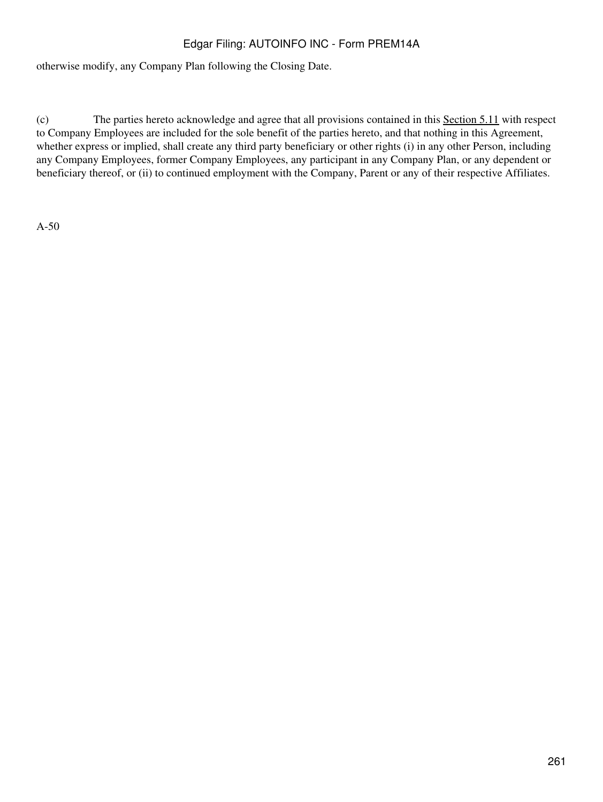otherwise modify, any Company Plan following the Closing Date.

(c) The parties hereto acknowledge and agree that all provisions contained in this Section 5.11 with respect to Company Employees are included for the sole benefit of the parties hereto, and that nothing in this Agreement, whether express or implied, shall create any third party beneficiary or other rights (i) in any other Person, including any Company Employees, former Company Employees, any participant in any Company Plan, or any dependent or beneficiary thereof, or (ii) to continued employment with the Company, Parent or any of their respective Affiliates.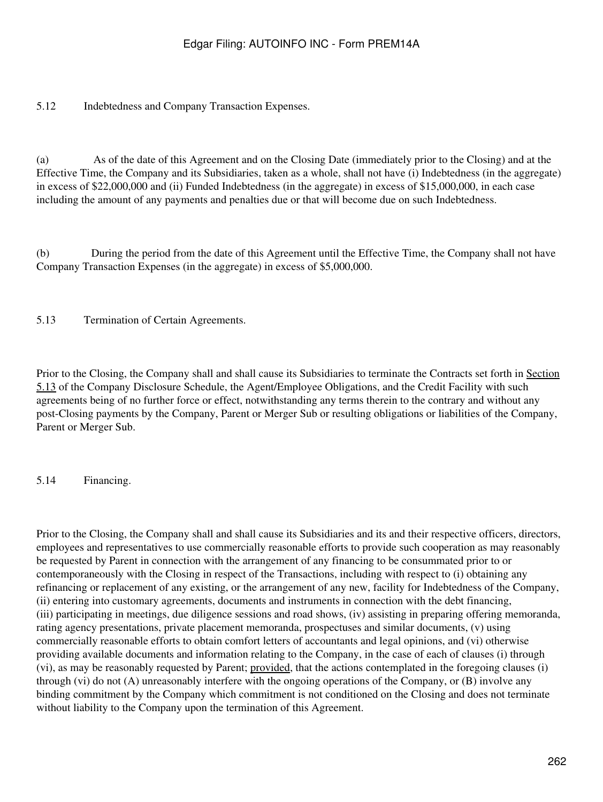#### 5.12 Indebtedness and Company Transaction Expenses.

(a) As of the date of this Agreement and on the Closing Date (immediately prior to the Closing) and at the Effective Time, the Company and its Subsidiaries, taken as a whole, shall not have (i) Indebtedness (in the aggregate) in excess of \$22,000,000 and (ii) Funded Indebtedness (in the aggregate) in excess of \$15,000,000, in each case including the amount of any payments and penalties due or that will become due on such Indebtedness.

(b) During the period from the date of this Agreement until the Effective Time, the Company shall not have Company Transaction Expenses (in the aggregate) in excess of \$5,000,000.

5.13 Termination of Certain Agreements.

Prior to the Closing, the Company shall and shall cause its Subsidiaries to terminate the Contracts set forth in Section 5.13 of the Company Disclosure Schedule, the Agent/Employee Obligations, and the Credit Facility with such agreements being of no further force or effect, notwithstanding any terms therein to the contrary and without any post-Closing payments by the Company, Parent or Merger Sub or resulting obligations or liabilities of the Company, Parent or Merger Sub.

5.14 Financing.

Prior to the Closing, the Company shall and shall cause its Subsidiaries and its and their respective officers, directors, employees and representatives to use commercially reasonable efforts to provide such cooperation as may reasonably be requested by Parent in connection with the arrangement of any financing to be consummated prior to or contemporaneously with the Closing in respect of the Transactions, including with respect to (i) obtaining any refinancing or replacement of any existing, or the arrangement of any new, facility for Indebtedness of the Company, (ii) entering into customary agreements, documents and instruments in connection with the debt financing, (iii) participating in meetings, due diligence sessions and road shows, (iv) assisting in preparing offering memoranda, rating agency presentations, private placement memoranda, prospectuses and similar documents, (v) using commercially reasonable efforts to obtain comfort letters of accountants and legal opinions, and (vi) otherwise providing available documents and information relating to the Company, in the case of each of clauses (i) through (vi), as may be reasonably requested by Parent; provided, that the actions contemplated in the foregoing clauses (i) through (vi) do not (A) unreasonably interfere with the ongoing operations of the Company, or (B) involve any binding commitment by the Company which commitment is not conditioned on the Closing and does not terminate without liability to the Company upon the termination of this Agreement.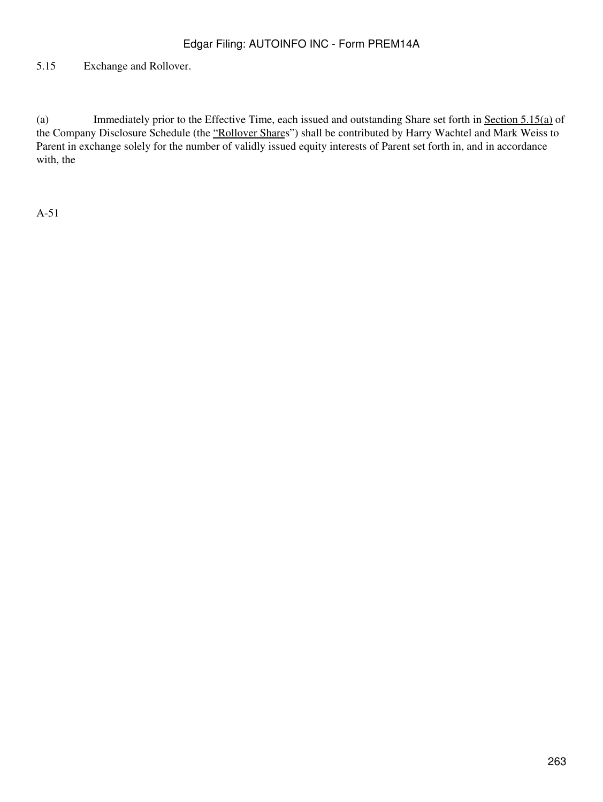### 5.15 Exchange and Rollover.

(a) Immediately prior to the Effective Time, each issued and outstanding Share set forth in Section 5.15(a) of the Company Disclosure Schedule (the "Rollover Shares") shall be contributed by Harry Wachtel and Mark Weiss to Parent in exchange solely for the number of validly issued equity interests of Parent set forth in, and in accordance with, the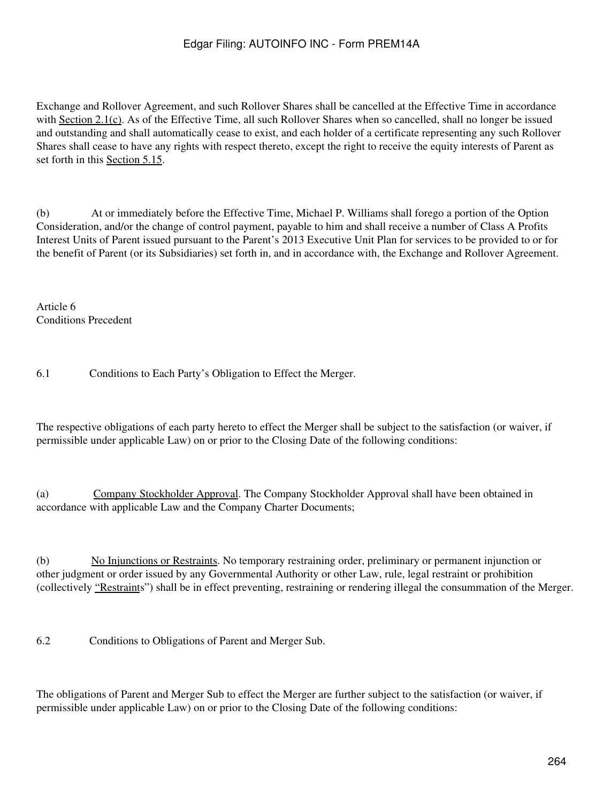Exchange and Rollover Agreement, and such Rollover Shares shall be cancelled at the Effective Time in accordance with Section 2.1(c). As of the Effective Time, all such Rollover Shares when so cancelled, shall no longer be issued and outstanding and shall automatically cease to exist, and each holder of a certificate representing any such Rollover Shares shall cease to have any rights with respect thereto, except the right to receive the equity interests of Parent as set forth in this Section 5.15.

(b) At or immediately before the Effective Time, Michael P. Williams shall forego a portion of the Option Consideration, and/or the change of control payment, payable to him and shall receive a number of Class A Profits Interest Units of Parent issued pursuant to the Parent's 2013 Executive Unit Plan for services to be provided to or for the benefit of Parent (or its Subsidiaries) set forth in, and in accordance with, the Exchange and Rollover Agreement.

Article 6 Conditions Precedent

6.1 Conditions to Each Party's Obligation to Effect the Merger.

The respective obligations of each party hereto to effect the Merger shall be subject to the satisfaction (or waiver, if permissible under applicable Law) on or prior to the Closing Date of the following conditions:

(a) Company Stockholder Approval. The Company Stockholder Approval shall have been obtained in accordance with applicable Law and the Company Charter Documents;

(b) No Injunctions or Restraints. No temporary restraining order, preliminary or permanent injunction or other judgment or order issued by any Governmental Authority or other Law, rule, legal restraint or prohibition (collectively "Restraints") shall be in effect preventing, restraining or rendering illegal the consummation of the Merger.

6.2 Conditions to Obligations of Parent and Merger Sub.

The obligations of Parent and Merger Sub to effect the Merger are further subject to the satisfaction (or waiver, if permissible under applicable Law) on or prior to the Closing Date of the following conditions: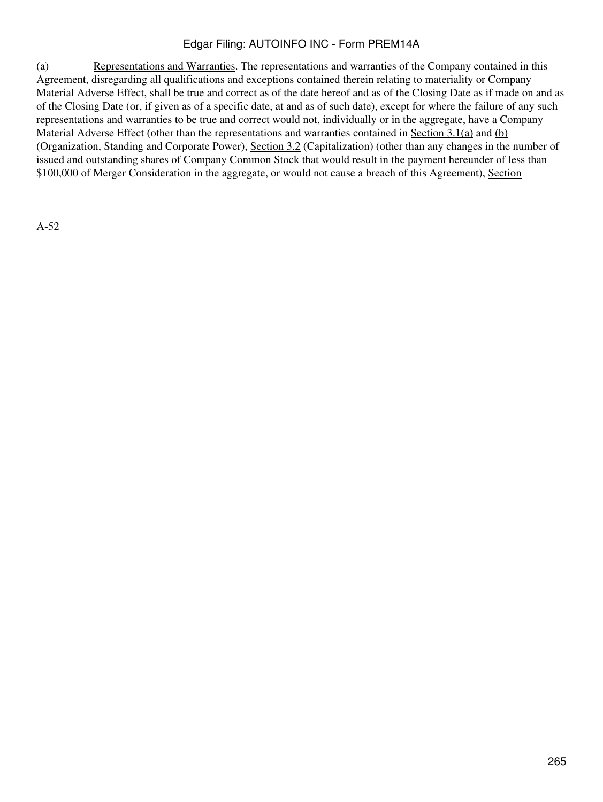(a) Representations and Warranties. The representations and warranties of the Company contained in this Agreement, disregarding all qualifications and exceptions contained therein relating to materiality or Company Material Adverse Effect, shall be true and correct as of the date hereof and as of the Closing Date as if made on and as of the Closing Date (or, if given as of a specific date, at and as of such date), except for where the failure of any such representations and warranties to be true and correct would not, individually or in the aggregate, have a Company Material Adverse Effect (other than the representations and warranties contained in Section 3.1(a) and (b) (Organization, Standing and Corporate Power), Section 3.2 (Capitalization) (other than any changes in the number of issued and outstanding shares of Company Common Stock that would result in the payment hereunder of less than \$100,000 of Merger Consideration in the aggregate, or would not cause a breach of this Agreement), Section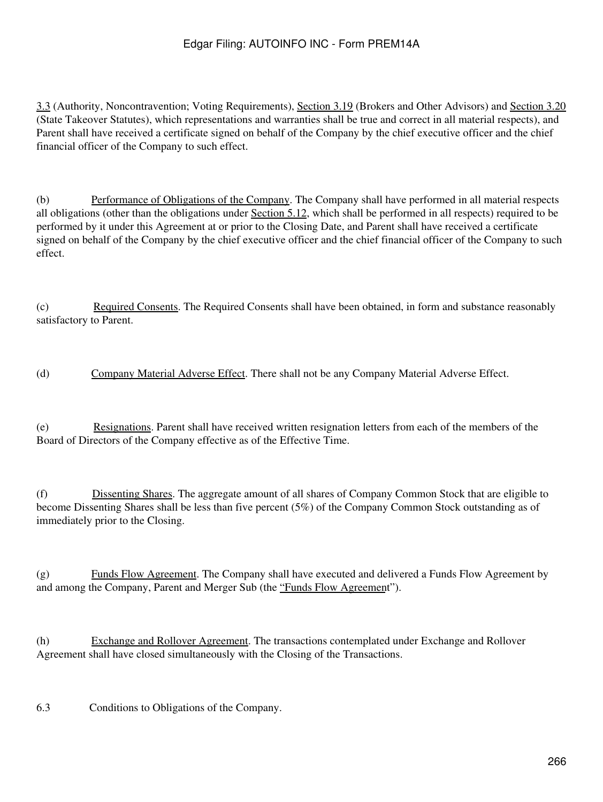3.3 (Authority, Noncontravention; Voting Requirements), Section 3.19 (Brokers and Other Advisors) and Section 3.20 (State Takeover Statutes), which representations and warranties shall be true and correct in all material respects), and Parent shall have received a certificate signed on behalf of the Company by the chief executive officer and the chief financial officer of the Company to such effect.

(b) Performance of Obligations of the Company. The Company shall have performed in all material respects all obligations (other than the obligations under Section 5.12, which shall be performed in all respects) required to be performed by it under this Agreement at or prior to the Closing Date, and Parent shall have received a certificate signed on behalf of the Company by the chief executive officer and the chief financial officer of the Company to such effect.

(c) Required Consents. The Required Consents shall have been obtained, in form and substance reasonably satisfactory to Parent.

(d) Company Material Adverse Effect. There shall not be any Company Material Adverse Effect.

(e) Resignations. Parent shall have received written resignation letters from each of the members of the Board of Directors of the Company effective as of the Effective Time.

(f) Dissenting Shares. The aggregate amount of all shares of Company Common Stock that are eligible to become Dissenting Shares shall be less than five percent (5%) of the Company Common Stock outstanding as of immediately prior to the Closing.

(g) Funds Flow Agreement. The Company shall have executed and delivered a Funds Flow Agreement by and among the Company, Parent and Merger Sub (the "Funds Flow Agreement").

(h) Exchange and Rollover Agreement. The transactions contemplated under Exchange and Rollover Agreement shall have closed simultaneously with the Closing of the Transactions.

6.3 Conditions to Obligations of the Company.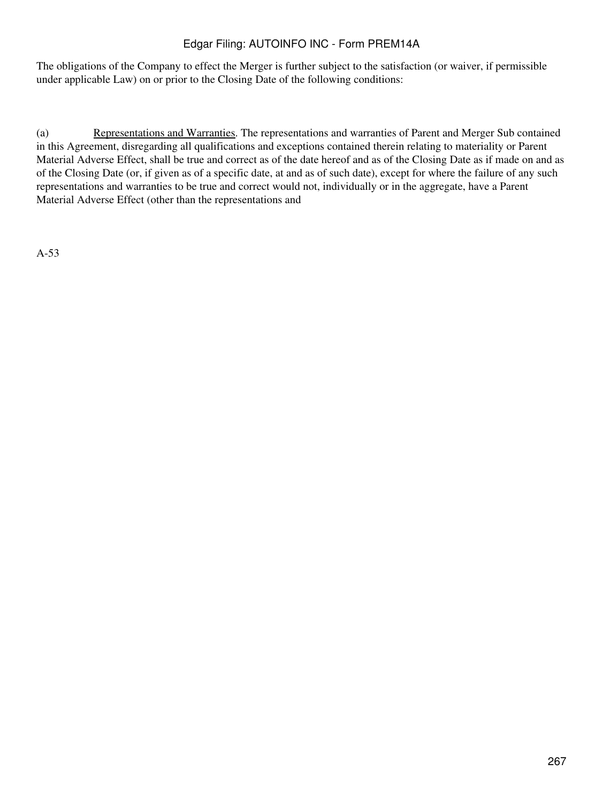The obligations of the Company to effect the Merger is further subject to the satisfaction (or waiver, if permissible under applicable Law) on or prior to the Closing Date of the following conditions:

(a) Representations and Warranties. The representations and warranties of Parent and Merger Sub contained in this Agreement, disregarding all qualifications and exceptions contained therein relating to materiality or Parent Material Adverse Effect, shall be true and correct as of the date hereof and as of the Closing Date as if made on and as of the Closing Date (or, if given as of a specific date, at and as of such date), except for where the failure of any such representations and warranties to be true and correct would not, individually or in the aggregate, have a Parent Material Adverse Effect (other than the representations and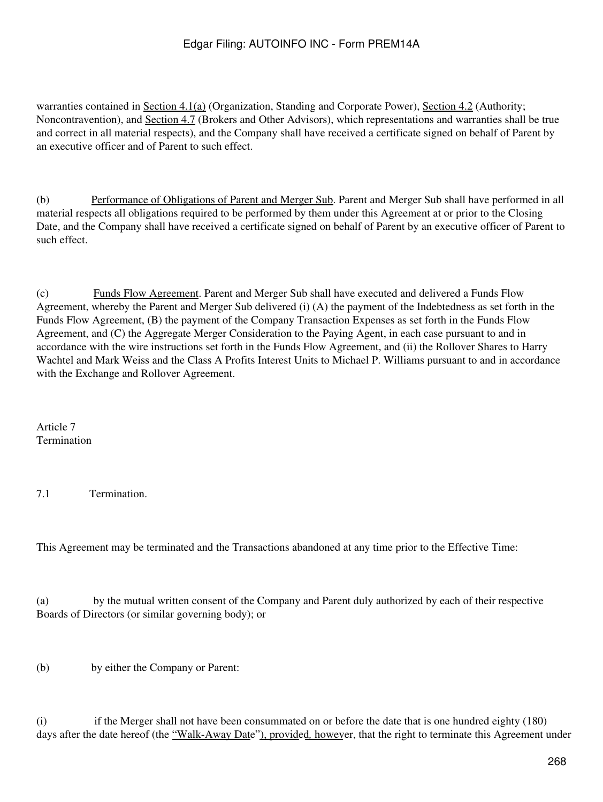warranties contained in Section 4.1(a) (Organization, Standing and Corporate Power), Section 4.2 (Authority; Noncontravention), and Section 4.7 (Brokers and Other Advisors), which representations and warranties shall be true and correct in all material respects), and the Company shall have received a certificate signed on behalf of Parent by an executive officer and of Parent to such effect.

(b) Performance of Obligations of Parent and Merger Sub. Parent and Merger Sub shall have performed in all material respects all obligations required to be performed by them under this Agreement at or prior to the Closing Date, and the Company shall have received a certificate signed on behalf of Parent by an executive officer of Parent to such effect.

(c) Funds Flow Agreement. Parent and Merger Sub shall have executed and delivered a Funds Flow Agreement, whereby the Parent and Merger Sub delivered (i) (A) the payment of the Indebtedness as set forth in the Funds Flow Agreement, (B) the payment of the Company Transaction Expenses as set forth in the Funds Flow Agreement, and (C) the Aggregate Merger Consideration to the Paying Agent, in each case pursuant to and in accordance with the wire instructions set forth in the Funds Flow Agreement, and (ii) the Rollover Shares to Harry Wachtel and Mark Weiss and the Class A Profits Interest Units to Michael P. Williams pursuant to and in accordance with the Exchange and Rollover Agreement.

Article 7 Termination

7.1 Termination.

This Agreement may be terminated and the Transactions abandoned at any time prior to the Effective Time:

(a) by the mutual written consent of the Company and Parent duly authorized by each of their respective Boards of Directors (or similar governing body); or

(b) by either the Company or Parent:

(i) if the Merger shall not have been consummated on or before the date that is one hundred eighty (180) days after the date hereof (the "Walk-Away Date"), provided, however, that the right to terminate this Agreement under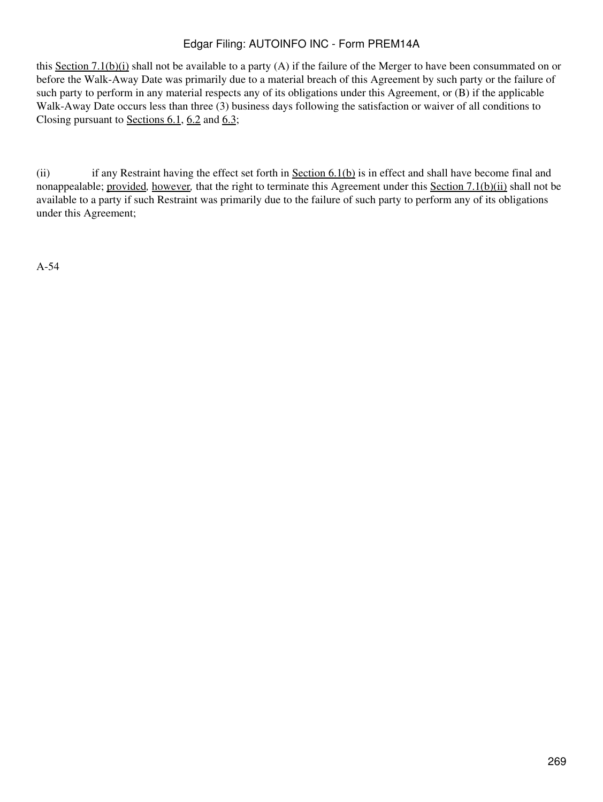this Section 7.1(b)(i) shall not be available to a party (A) if the failure of the Merger to have been consummated on or before the Walk-Away Date was primarily due to a material breach of this Agreement by such party or the failure of such party to perform in any material respects any of its obligations under this Agreement, or (B) if the applicable Walk-Away Date occurs less than three (3) business days following the satisfaction or waiver of all conditions to Closing pursuant to Sections 6.1, 6.2 and 6.3;

(ii) if any Restraint having the effect set forth in Section  $6.1(b)$  is in effect and shall have become final and nonappealable; provided*,* however*,* that the right to terminate this Agreement under this Section 7.1(b)(ii) shall not be available to a party if such Restraint was primarily due to the failure of such party to perform any of its obligations under this Agreement;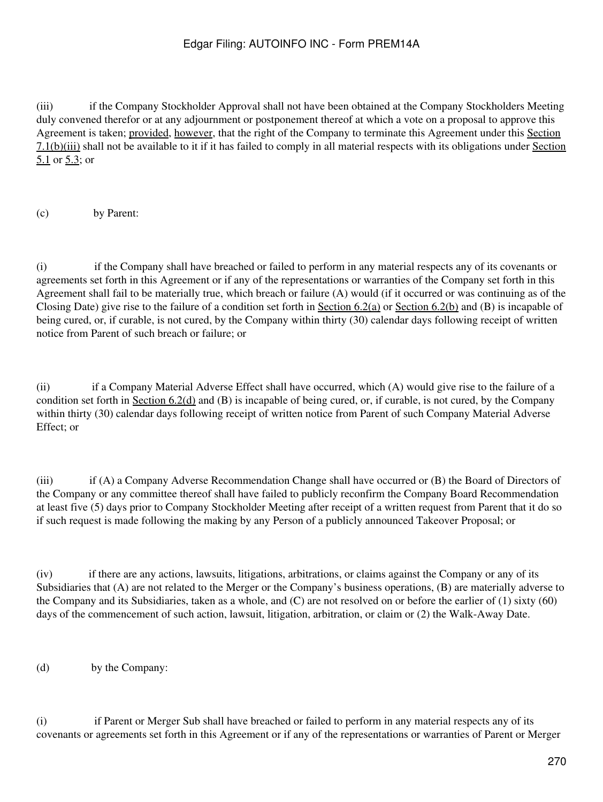(iii) if the Company Stockholder Approval shall not have been obtained at the Company Stockholders Meeting duly convened therefor or at any adjournment or postponement thereof at which a vote on a proposal to approve this Agreement is taken; provided, however, that the right of the Company to terminate this Agreement under this Section 7.1(b)(iii) shall not be available to it if it has failed to comply in all material respects with its obligations under Section 5.1 or 5.3; or

(c) by Parent:

(i) if the Company shall have breached or failed to perform in any material respects any of its covenants or agreements set forth in this Agreement or if any of the representations or warranties of the Company set forth in this Agreement shall fail to be materially true, which breach or failure (A) would (if it occurred or was continuing as of the Closing Date) give rise to the failure of a condition set forth in Section 6.2(a) or Section 6.2(b) and (B) is incapable of being cured, or, if curable, is not cured, by the Company within thirty (30) calendar days following receipt of written notice from Parent of such breach or failure; or

(ii) if a Company Material Adverse Effect shall have occurred, which (A) would give rise to the failure of a condition set forth in Section 6.2(d) and (B) is incapable of being cured, or, if curable, is not cured, by the Company within thirty (30) calendar days following receipt of written notice from Parent of such Company Material Adverse Effect; or

(iii) if (A) a Company Adverse Recommendation Change shall have occurred or (B) the Board of Directors of the Company or any committee thereof shall have failed to publicly reconfirm the Company Board Recommendation at least five (5) days prior to Company Stockholder Meeting after receipt of a written request from Parent that it do so if such request is made following the making by any Person of a publicly announced Takeover Proposal; or

(iv) if there are any actions, lawsuits, litigations, arbitrations, or claims against the Company or any of its Subsidiaries that (A) are not related to the Merger or the Company's business operations, (B) are materially adverse to the Company and its Subsidiaries, taken as a whole, and (C) are not resolved on or before the earlier of (1) sixty (60) days of the commencement of such action, lawsuit, litigation, arbitration, or claim or (2) the Walk-Away Date.

(d) by the Company:

(i) if Parent or Merger Sub shall have breached or failed to perform in any material respects any of its covenants or agreements set forth in this Agreement or if any of the representations or warranties of Parent or Merger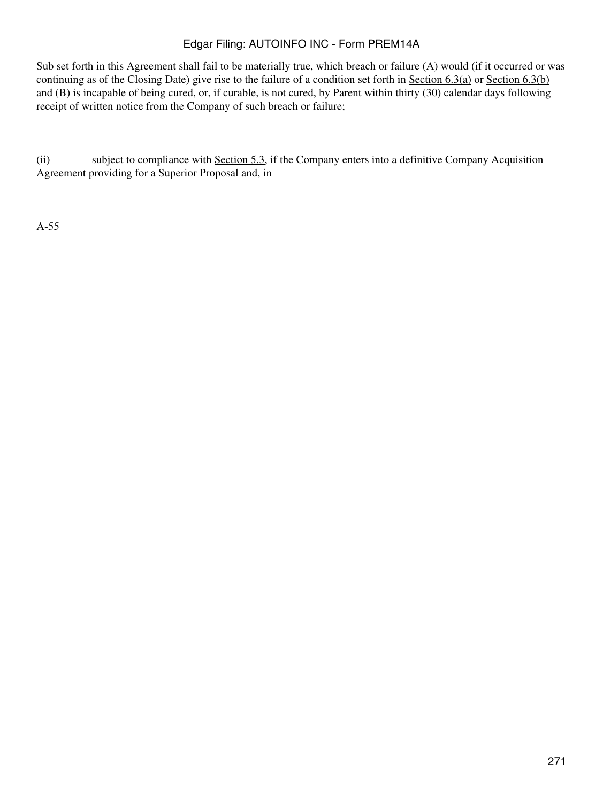Sub set forth in this Agreement shall fail to be materially true, which breach or failure (A) would (if it occurred or was continuing as of the Closing Date) give rise to the failure of a condition set forth in Section 6.3(a) or Section 6.3(b) and (B) is incapable of being cured, or, if curable, is not cured, by Parent within thirty (30) calendar days following receipt of written notice from the Company of such breach or failure;

(ii) subject to compliance with Section 5.3, if the Company enters into a definitive Company Acquisition Agreement providing for a Superior Proposal and, in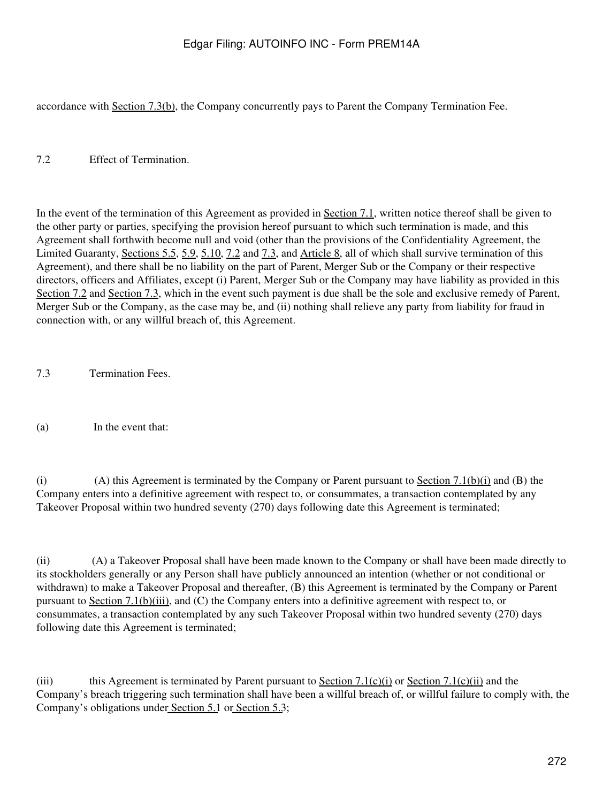accordance with Section 7.3(b), the Company concurrently pays to Parent the Company Termination Fee.

#### 7.2 Effect of Termination.

In the event of the termination of this Agreement as provided in Section 7.1, written notice thereof shall be given to the other party or parties, specifying the provision hereof pursuant to which such termination is made, and this Agreement shall forthwith become null and void (other than the provisions of the Confidentiality Agreement, the Limited Guaranty, Sections 5.5, 5.9, 5.10, 7.2 and 7.3, and Article 8, all of which shall survive termination of this Agreement), and there shall be no liability on the part of Parent, Merger Sub or the Company or their respective directors, officers and Affiliates, except (i) Parent, Merger Sub or the Company may have liability as provided in this Section 7.2 and Section 7.3, which in the event such payment is due shall be the sole and exclusive remedy of Parent, Merger Sub or the Company, as the case may be, and (ii) nothing shall relieve any party from liability for fraud in connection with, or any willful breach of, this Agreement.

7.3 Termination Fees.

(a) In the event that:

(i) (A) this Agreement is terminated by the Company or Parent pursuant to Section 7.1(b)(i) and (B) the Company enters into a definitive agreement with respect to, or consummates, a transaction contemplated by any Takeover Proposal within two hundred seventy (270) days following date this Agreement is terminated;

(ii) (A) a Takeover Proposal shall have been made known to the Company or shall have been made directly to its stockholders generally or any Person shall have publicly announced an intention (whether or not conditional or withdrawn) to make a Takeover Proposal and thereafter, (B) this Agreement is terminated by the Company or Parent pursuant to Section 7.1(b)(iii), and (C) the Company enters into a definitive agreement with respect to, or consummates, a transaction contemplated by any such Takeover Proposal within two hundred seventy (270) days following date this Agreement is terminated;

(iii) this Agreement is terminated by Parent pursuant to <u>Section 7.1(c)(i</u>) or Section 7.1(c)(ii) and the Company's breach triggering such termination shall have been a willful breach of, or willful failure to comply with, the Company's obligations under Section 5.1 or Section 5.3;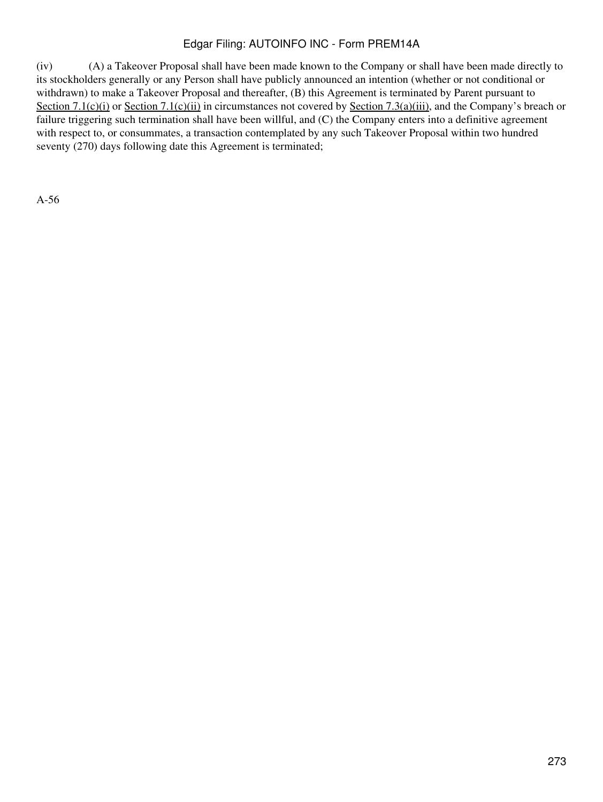(iv) (A) a Takeover Proposal shall have been made known to the Company or shall have been made directly to its stockholders generally or any Person shall have publicly announced an intention (whether or not conditional or withdrawn) to make a Takeover Proposal and thereafter, (B) this Agreement is terminated by Parent pursuant to Section 7.1(c)(i) or Section 7.1(c)(ii) in circumstances not covered by Section 7.3(a)(iii), and the Company's breach or failure triggering such termination shall have been willful, and (C) the Company enters into a definitive agreement with respect to, or consummates, a transaction contemplated by any such Takeover Proposal within two hundred seventy (270) days following date this Agreement is terminated;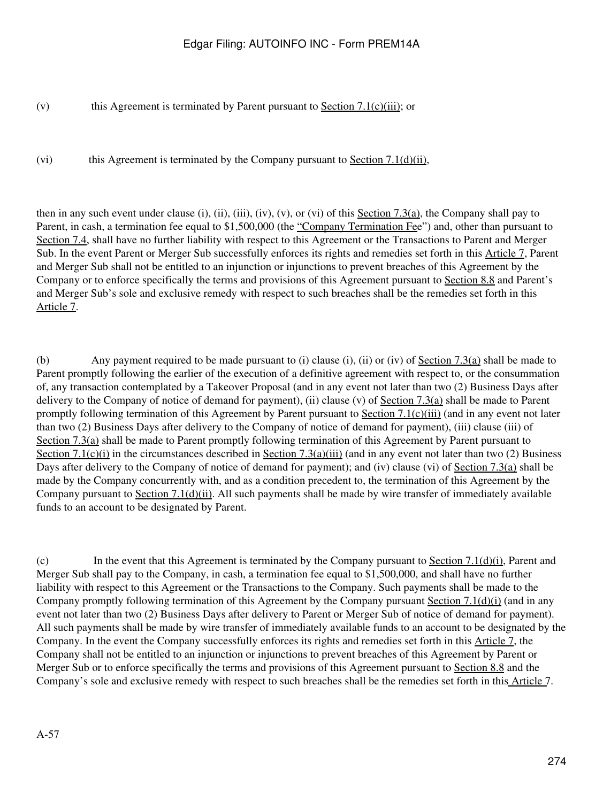#### (v) this Agreement is terminated by Parent pursuant to Section 7.1(c)(iii); or

(vi) this Agreement is terminated by the Company pursuant to Section 7.1(d)(ii),

then in any such event under clause (i), (ii), (iii), (iv), (v), or (vi) of this Section 7.3(a), the Company shall pay to Parent, in cash, a termination fee equal to \$1,500,000 (the "Company Termination Fee") and, other than pursuant to Section 7.4, shall have no further liability with respect to this Agreement or the Transactions to Parent and Merger Sub. In the event Parent or Merger Sub successfully enforces its rights and remedies set forth in this Article 7, Parent and Merger Sub shall not be entitled to an injunction or injunctions to prevent breaches of this Agreement by the Company or to enforce specifically the terms and provisions of this Agreement pursuant to Section 8.8 and Parent's and Merger Sub's sole and exclusive remedy with respect to such breaches shall be the remedies set forth in this Article 7.

(b) Any payment required to be made pursuant to (i) clause (i), (ii) or (iv) of  $S$ ection 7.3(a) shall be made to Parent promptly following the earlier of the execution of a definitive agreement with respect to, or the consummation of, any transaction contemplated by a Takeover Proposal (and in any event not later than two (2) Business Days after delivery to the Company of notice of demand for payment), (ii) clause (v) of Section 7.3(a) shall be made to Parent promptly following termination of this Agreement by Parent pursuant to Section 7.1(c)(iii) (and in any event not later than two (2) Business Days after delivery to the Company of notice of demand for payment), (iii) clause (iii) of Section 7.3(a) shall be made to Parent promptly following termination of this Agreement by Parent pursuant to Section 7.1(c)(i) in the circumstances described in Section 7.3(a)(iii) (and in any event not later than two (2) Business Days after delivery to the Company of notice of demand for payment); and (iv) clause (vi) of Section 7.3(a) shall be made by the Company concurrently with, and as a condition precedent to, the termination of this Agreement by the Company pursuant to Section 7.1(d)(ii). All such payments shall be made by wire transfer of immediately available funds to an account to be designated by Parent.

(c) In the event that this Agreement is terminated by the Company pursuant to Section 7.1(d)(i), Parent and Merger Sub shall pay to the Company, in cash, a termination fee equal to \$1,500,000, and shall have no further liability with respect to this Agreement or the Transactions to the Company. Such payments shall be made to the Company promptly following termination of this Agreement by the Company pursuant Section 7.1(d)(i) (and in any event not later than two (2) Business Days after delivery to Parent or Merger Sub of notice of demand for payment). All such payments shall be made by wire transfer of immediately available funds to an account to be designated by the Company. In the event the Company successfully enforces its rights and remedies set forth in this Article 7, the Company shall not be entitled to an injunction or injunctions to prevent breaches of this Agreement by Parent or Merger Sub or to enforce specifically the terms and provisions of this Agreement pursuant to Section 8.8 and the Company's sole and exclusive remedy with respect to such breaches shall be the remedies set forth in this Article 7.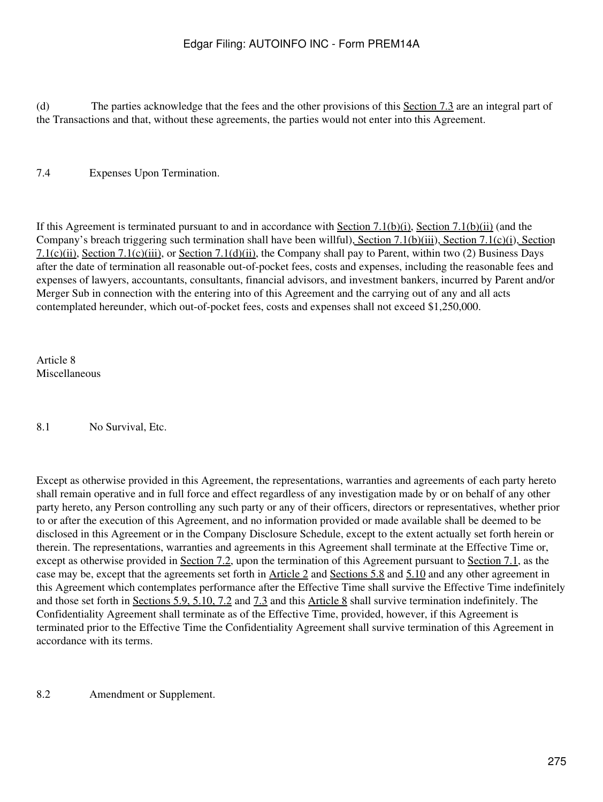(d) The parties acknowledge that the fees and the other provisions of this Section 7.3 are an integral part of the Transactions and that, without these agreements, the parties would not enter into this Agreement.

#### 7.4 Expenses Upon Termination.

If this Agreement is terminated pursuant to and in accordance with Section 7.1(b)(i), Section 7.1(b)(ii) (and the Company's breach triggering such termination shall have been willful), Section 7.1(b)(iii), Section 7.1(c)(i), Section 7.1(c)(ii), Section 7.1(c)(iii), or Section 7.1(d)(ii), the Company shall pay to Parent, within two (2) Business Days after the date of termination all reasonable out-of-pocket fees, costs and expenses, including the reasonable fees and expenses of lawyers, accountants, consultants, financial advisors, and investment bankers, incurred by Parent and/or Merger Sub in connection with the entering into of this Agreement and the carrying out of any and all acts contemplated hereunder, which out-of-pocket fees, costs and expenses shall not exceed \$1,250,000.

Article 8 Miscellaneous

8.1 No Survival, Etc.

Except as otherwise provided in this Agreement, the representations, warranties and agreements of each party hereto shall remain operative and in full force and effect regardless of any investigation made by or on behalf of any other party hereto, any Person controlling any such party or any of their officers, directors or representatives, whether prior to or after the execution of this Agreement, and no information provided or made available shall be deemed to be disclosed in this Agreement or in the Company Disclosure Schedule, except to the extent actually set forth herein or therein. The representations, warranties and agreements in this Agreement shall terminate at the Effective Time or, except as otherwise provided in <u>Section 7.2</u>, upon the termination of this Agreement pursuant to Section 7.1, as the case may be, except that the agreements set forth in Article 2 and Sections 5.8 and 5.10 and any other agreement in this Agreement which contemplates performance after the Effective Time shall survive the Effective Time indefinitely and those set forth in Sections 5.9, 5.10, 7.2 and 7.3 and this Article 8 shall survive termination indefinitely. The Confidentiality Agreement shall terminate as of the Effective Time, provided, however, if this Agreement is terminated prior to the Effective Time the Confidentiality Agreement shall survive termination of this Agreement in accordance with its terms.

8.2 Amendment or Supplement.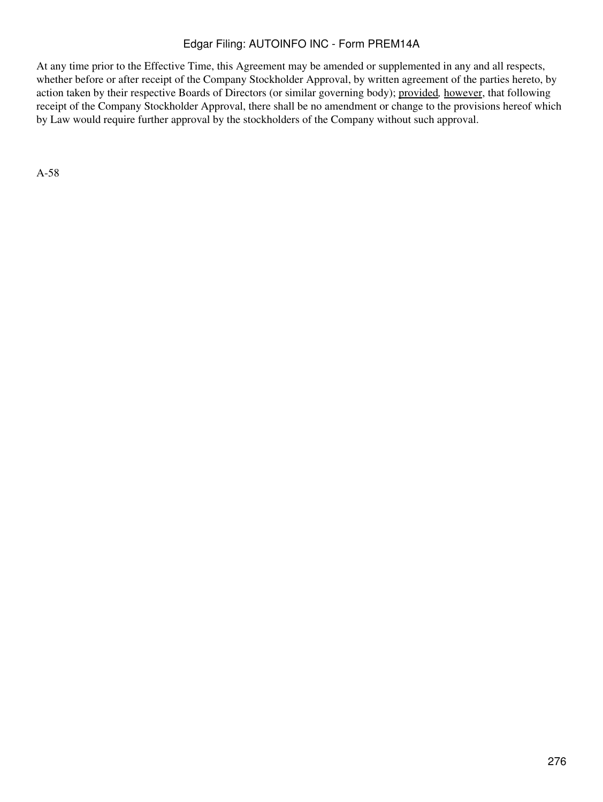At any time prior to the Effective Time, this Agreement may be amended or supplemented in any and all respects, whether before or after receipt of the Company Stockholder Approval, by written agreement of the parties hereto, by action taken by their respective Boards of Directors (or similar governing body); provided*,* however, that following receipt of the Company Stockholder Approval, there shall be no amendment or change to the provisions hereof which by Law would require further approval by the stockholders of the Company without such approval.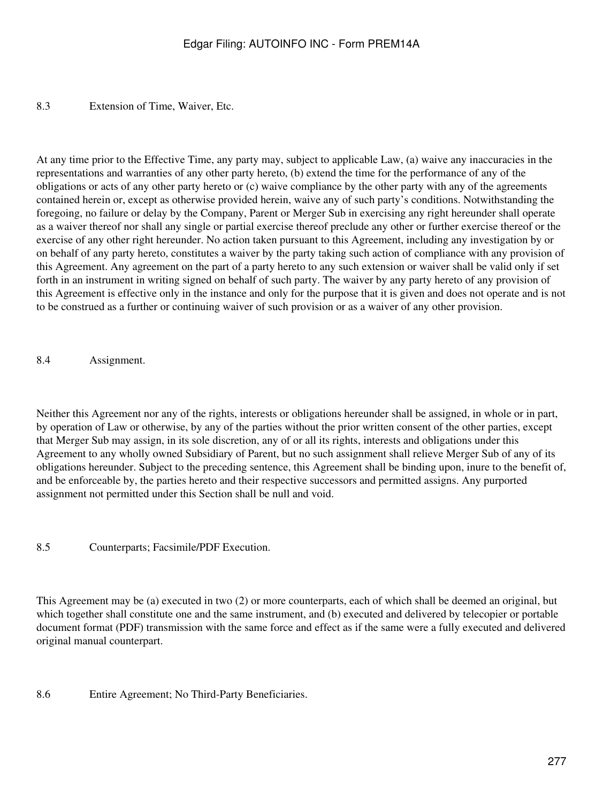#### 8.3 Extension of Time, Waiver, Etc.

At any time prior to the Effective Time, any party may, subject to applicable Law, (a) waive any inaccuracies in the representations and warranties of any other party hereto, (b) extend the time for the performance of any of the obligations or acts of any other party hereto or (c) waive compliance by the other party with any of the agreements contained herein or, except as otherwise provided herein, waive any of such party's conditions. Notwithstanding the foregoing, no failure or delay by the Company, Parent or Merger Sub in exercising any right hereunder shall operate as a waiver thereof nor shall any single or partial exercise thereof preclude any other or further exercise thereof or the exercise of any other right hereunder. No action taken pursuant to this Agreement, including any investigation by or on behalf of any party hereto, constitutes a waiver by the party taking such action of compliance with any provision of this Agreement. Any agreement on the part of a party hereto to any such extension or waiver shall be valid only if set forth in an instrument in writing signed on behalf of such party. The waiver by any party hereto of any provision of this Agreement is effective only in the instance and only for the purpose that it is given and does not operate and is not to be construed as a further or continuing waiver of such provision or as a waiver of any other provision.

8.4 Assignment.

Neither this Agreement nor any of the rights, interests or obligations hereunder shall be assigned, in whole or in part, by operation of Law or otherwise, by any of the parties without the prior written consent of the other parties, except that Merger Sub may assign, in its sole discretion, any of or all its rights, interests and obligations under this Agreement to any wholly owned Subsidiary of Parent, but no such assignment shall relieve Merger Sub of any of its obligations hereunder. Subject to the preceding sentence, this Agreement shall be binding upon, inure to the benefit of, and be enforceable by, the parties hereto and their respective successors and permitted assigns. Any purported assignment not permitted under this Section shall be null and void.

8.5 Counterparts; Facsimile/PDF Execution.

This Agreement may be (a) executed in two (2) or more counterparts, each of which shall be deemed an original, but which together shall constitute one and the same instrument, and (b) executed and delivered by telecopier or portable document format (PDF) transmission with the same force and effect as if the same were a fully executed and delivered original manual counterpart.

8.6 Entire Agreement; No Third-Party Beneficiaries.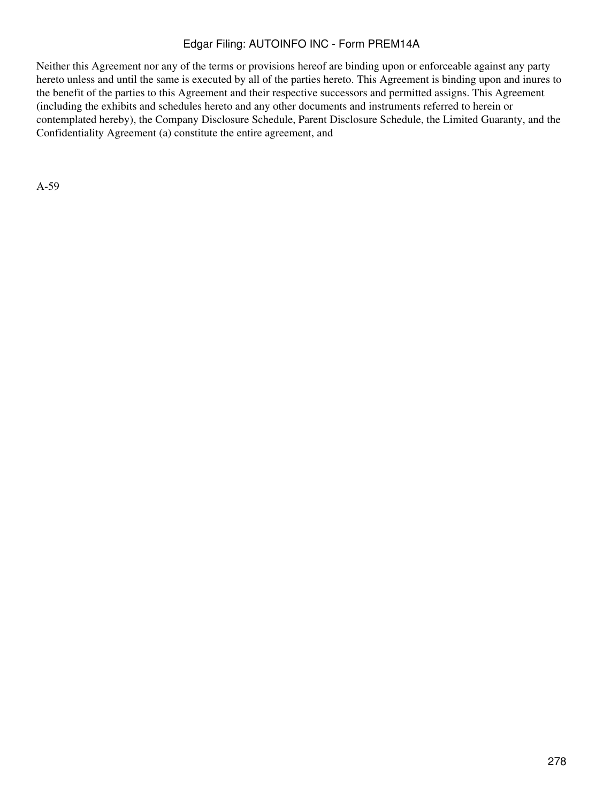Neither this Agreement nor any of the terms or provisions hereof are binding upon or enforceable against any party hereto unless and until the same is executed by all of the parties hereto. This Agreement is binding upon and inures to the benefit of the parties to this Agreement and their respective successors and permitted assigns. This Agreement (including the exhibits and schedules hereto and any other documents and instruments referred to herein or contemplated hereby), the Company Disclosure Schedule, Parent Disclosure Schedule, the Limited Guaranty, and the Confidentiality Agreement (a) constitute the entire agreement, and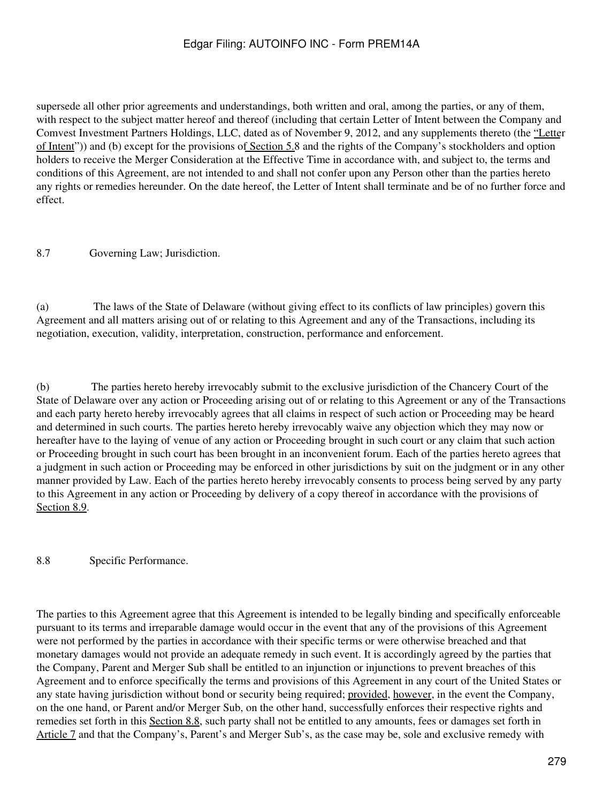supersede all other prior agreements and understandings, both written and oral, among the parties, or any of them, with respect to the subject matter hereof and thereof (including that certain Letter of Intent between the Company and Comvest Investment Partners Holdings, LLC, dated as of November 9, 2012, and any supplements thereto (the "Letter of Intent")) and (b) except for the provisions of Section 5.8 and the rights of the Company's stockholders and option holders to receive the Merger Consideration at the Effective Time in accordance with, and subject to, the terms and conditions of this Agreement, are not intended to and shall not confer upon any Person other than the parties hereto any rights or remedies hereunder. On the date hereof, the Letter of Intent shall terminate and be of no further force and effect.

#### 8.7 Governing Law; Jurisdiction.

(a) The laws of the State of Delaware (without giving effect to its conflicts of law principles) govern this Agreement and all matters arising out of or relating to this Agreement and any of the Transactions, including its negotiation, execution, validity, interpretation, construction, performance and enforcement.

(b) The parties hereto hereby irrevocably submit to the exclusive jurisdiction of the Chancery Court of the State of Delaware over any action or Proceeding arising out of or relating to this Agreement or any of the Transactions and each party hereto hereby irrevocably agrees that all claims in respect of such action or Proceeding may be heard and determined in such courts. The parties hereto hereby irrevocably waive any objection which they may now or hereafter have to the laying of venue of any action or Proceeding brought in such court or any claim that such action or Proceeding brought in such court has been brought in an inconvenient forum. Each of the parties hereto agrees that a judgment in such action or Proceeding may be enforced in other jurisdictions by suit on the judgment or in any other manner provided by Law. Each of the parties hereto hereby irrevocably consents to process being served by any party to this Agreement in any action or Proceeding by delivery of a copy thereof in accordance with the provisions of Section 8.9.

8.8 Specific Performance.

The parties to this Agreement agree that this Agreement is intended to be legally binding and specifically enforceable pursuant to its terms and irreparable damage would occur in the event that any of the provisions of this Agreement were not performed by the parties in accordance with their specific terms or were otherwise breached and that monetary damages would not provide an adequate remedy in such event. It is accordingly agreed by the parties that the Company, Parent and Merger Sub shall be entitled to an injunction or injunctions to prevent breaches of this Agreement and to enforce specifically the terms and provisions of this Agreement in any court of the United States or any state having jurisdiction without bond or security being required; provided, however, in the event the Company, on the one hand, or Parent and/or Merger Sub, on the other hand, successfully enforces their respective rights and remedies set forth in this Section 8.8, such party shall not be entitled to any amounts, fees or damages set forth in Article 7 and that the Company's, Parent's and Merger Sub's, as the case may be, sole and exclusive remedy with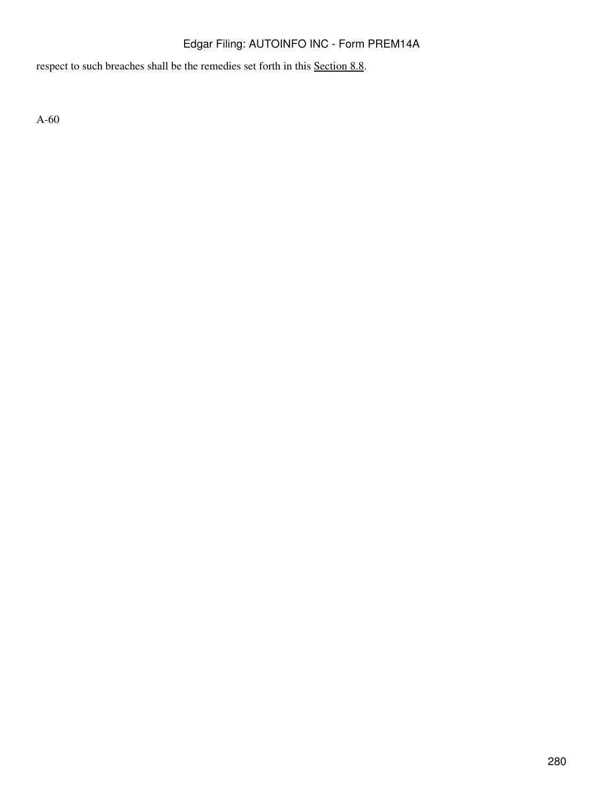respect to such breaches shall be the remedies set forth in this Section 8.8.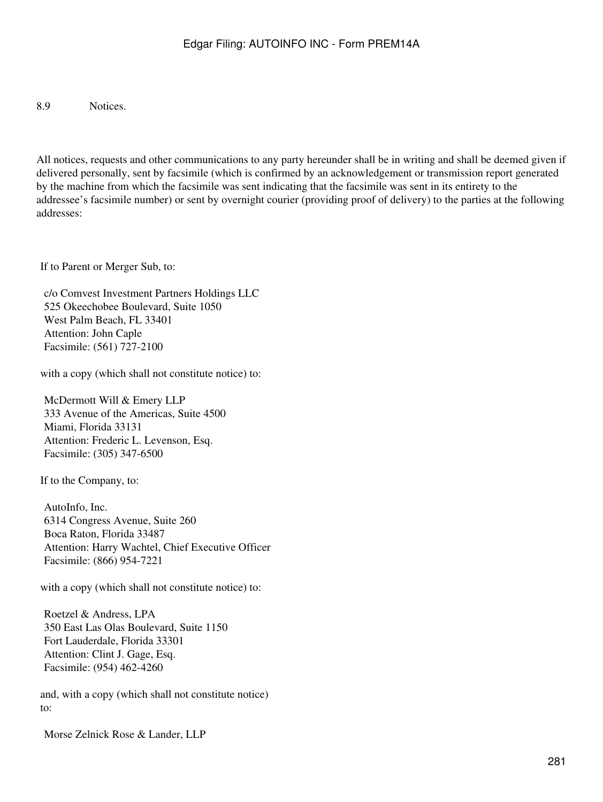#### 8.9 Notices.

All notices, requests and other communications to any party hereunder shall be in writing and shall be deemed given if delivered personally, sent by facsimile (which is confirmed by an acknowledgement or transmission report generated by the machine from which the facsimile was sent indicating that the facsimile was sent in its entirety to the addressee's facsimile number) or sent by overnight courier (providing proof of delivery) to the parties at the following addresses:

If to Parent or Merger Sub, to:

c/o Comvest Investment Partners Holdings LLC 525 Okeechobee Boulevard, Suite 1050 West Palm Beach, FL 33401 Attention: John Caple Facsimile: (561) 727-2100

with a copy (which shall not constitute notice) to:

McDermott Will & Emery LLP 333 Avenue of the Americas, Suite 4500 Miami, Florida 33131 Attention: Frederic L. Levenson, Esq. Facsimile: (305) 347-6500

If to the Company, to:

AutoInfo, Inc. 6314 Congress Avenue, Suite 260 Boca Raton, Florida 33487 Attention: Harry Wachtel, Chief Executive Officer Facsimile: (866) 954-7221

with a copy (which shall not constitute notice) to:

Roetzel & Andress, LPA 350 East Las Olas Boulevard, Suite 1150 Fort Lauderdale, Florida 33301 Attention: Clint J. Gage, Esq. Facsimile: (954) 462-4260

and, with a copy (which shall not constitute notice) to:

Morse Zelnick Rose & Lander, LLP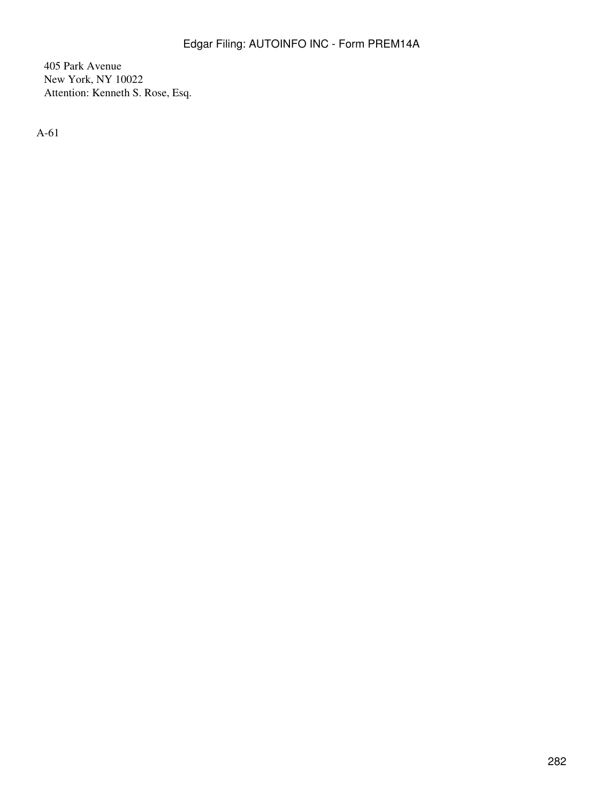405 Park Avenue New York, NY 10022 Attention: Kenneth S. Rose, Esq.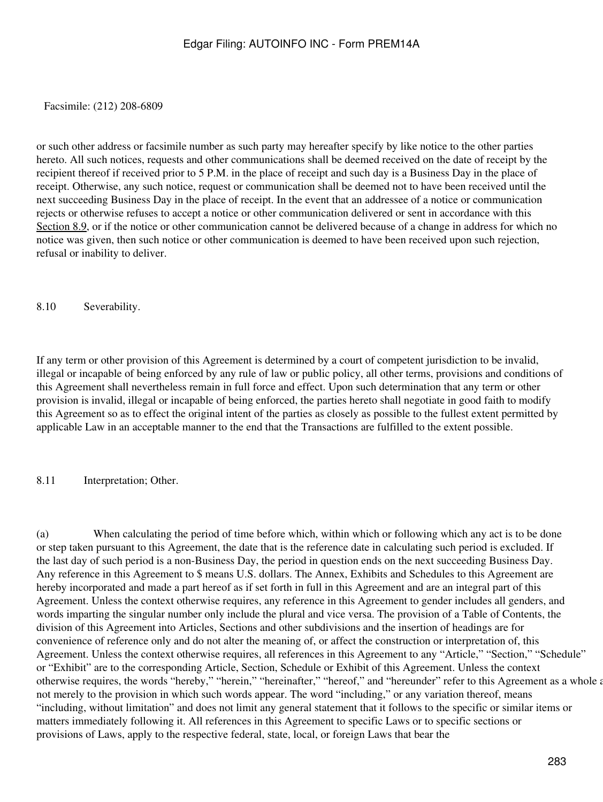#### Facsimile: (212) 208-6809

or such other address or facsimile number as such party may hereafter specify by like notice to the other parties hereto. All such notices, requests and other communications shall be deemed received on the date of receipt by the recipient thereof if received prior to 5 P.M. in the place of receipt and such day is a Business Day in the place of receipt. Otherwise, any such notice, request or communication shall be deemed not to have been received until the next succeeding Business Day in the place of receipt. In the event that an addressee of a notice or communication rejects or otherwise refuses to accept a notice or other communication delivered or sent in accordance with this Section 8.9, or if the notice or other communication cannot be delivered because of a change in address for which no notice was given, then such notice or other communication is deemed to have been received upon such rejection, refusal or inability to deliver.

#### 8.10 Severability.

If any term or other provision of this Agreement is determined by a court of competent jurisdiction to be invalid, illegal or incapable of being enforced by any rule of law or public policy, all other terms, provisions and conditions of this Agreement shall nevertheless remain in full force and effect. Upon such determination that any term or other provision is invalid, illegal or incapable of being enforced, the parties hereto shall negotiate in good faith to modify this Agreement so as to effect the original intent of the parties as closely as possible to the fullest extent permitted by applicable Law in an acceptable manner to the end that the Transactions are fulfilled to the extent possible.

#### 8.11 Interpretation; Other.

(a) When calculating the period of time before which, within which or following which any act is to be done or step taken pursuant to this Agreement, the date that is the reference date in calculating such period is excluded. If the last day of such period is a non-Business Day, the period in question ends on the next succeeding Business Day. Any reference in this Agreement to \$ means U.S. dollars. The Annex, Exhibits and Schedules to this Agreement are hereby incorporated and made a part hereof as if set forth in full in this Agreement and are an integral part of this Agreement. Unless the context otherwise requires, any reference in this Agreement to gender includes all genders, and words imparting the singular number only include the plural and vice versa. The provision of a Table of Contents, the division of this Agreement into Articles, Sections and other subdivisions and the insertion of headings are for convenience of reference only and do not alter the meaning of, or affect the construction or interpretation of, this Agreement. Unless the context otherwise requires, all references in this Agreement to any "Article," "Section," "Schedule" or "Exhibit" are to the corresponding Article, Section, Schedule or Exhibit of this Agreement. Unless the context otherwise requires, the words "hereby," "herein," "hereinafter," "hereof," and "hereunder" refer to this Agreement as a whole and not merely to the provision in which such words appear. The word "including," or any variation thereof, means "including, without limitation" and does not limit any general statement that it follows to the specific or similar items or matters immediately following it. All references in this Agreement to specific Laws or to specific sections or provisions of Laws, apply to the respective federal, state, local, or foreign Laws that bear the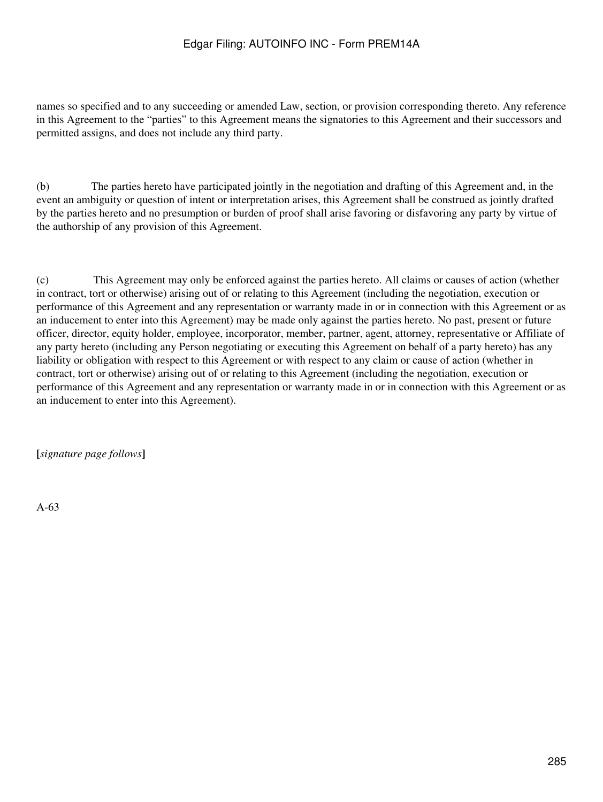names so specified and to any succeeding or amended Law, section, or provision corresponding thereto. Any reference in this Agreement to the "parties" to this Agreement means the signatories to this Agreement and their successors and permitted assigns, and does not include any third party.

(b) The parties hereto have participated jointly in the negotiation and drafting of this Agreement and, in the event an ambiguity or question of intent or interpretation arises, this Agreement shall be construed as jointly drafted by the parties hereto and no presumption or burden of proof shall arise favoring or disfavoring any party by virtue of the authorship of any provision of this Agreement.

(c) This Agreement may only be enforced against the parties hereto. All claims or causes of action (whether in contract, tort or otherwise) arising out of or relating to this Agreement (including the negotiation, execution or performance of this Agreement and any representation or warranty made in or in connection with this Agreement or as an inducement to enter into this Agreement) may be made only against the parties hereto. No past, present or future officer, director, equity holder, employee, incorporator, member, partner, agent, attorney, representative or Affiliate of any party hereto (including any Person negotiating or executing this Agreement on behalf of a party hereto) has any liability or obligation with respect to this Agreement or with respect to any claim or cause of action (whether in contract, tort or otherwise) arising out of or relating to this Agreement (including the negotiation, execution or performance of this Agreement and any representation or warranty made in or in connection with this Agreement or as an inducement to enter into this Agreement).

**[***signature page follows***]**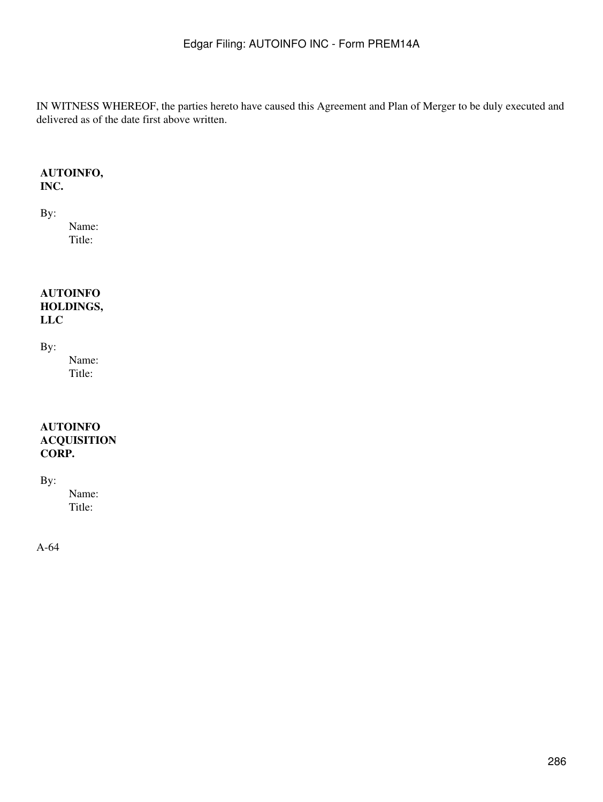IN WITNESS WHEREOF, the parties hereto have caused this Agreement and Plan of Merger to be duly executed and delivered as of the date first above written.

#### **AUTOINFO, INC.**

By:

Name: Title:

### **AUTOINFO HOLDINGS, LLC**

By:

Name: Title:

### **AUTOINFO ACQUISITION CORP.**

By:

Name: Title: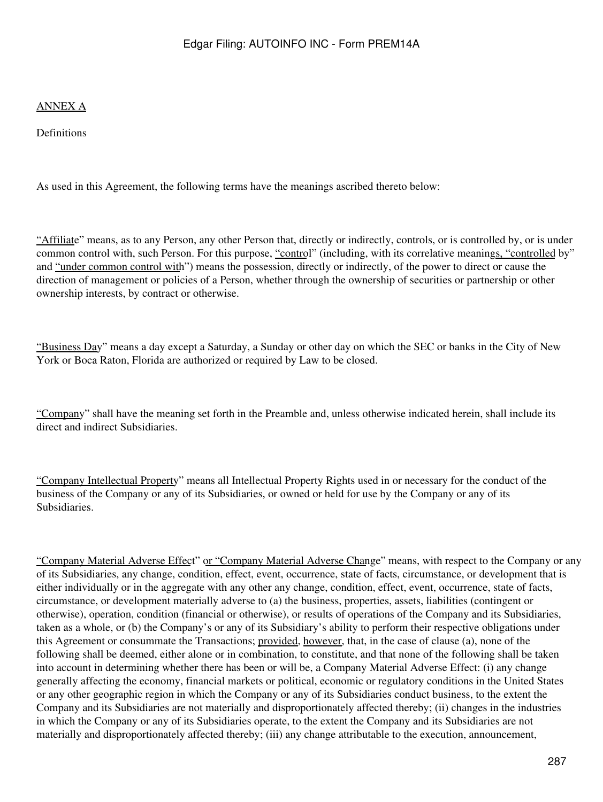# ANNEX A

**Definitions** 

As used in this Agreement, the following terms have the meanings ascribed thereto below:

"Affiliate" means, as to any Person, any other Person that, directly or indirectly, controls, or is controlled by, or is under common control with, such Person. For this purpose, "control" (including, with its correlative meanings, "controlled by" and "under common control with") means the possession, directly or indirectly, of the power to direct or cause the direction of management or policies of a Person, whether through the ownership of securities or partnership or other ownership interests, by contract or otherwise.

"Business Day" means a day except a Saturday, a Sunday or other day on which the SEC or banks in the City of New York or Boca Raton, Florida are authorized or required by Law to be closed.

"Company" shall have the meaning set forth in the Preamble and, unless otherwise indicated herein, shall include its direct and indirect Subsidiaries.

"Company Intellectual Property" means all Intellectual Property Rights used in or necessary for the conduct of the business of the Company or any of its Subsidiaries, or owned or held for use by the Company or any of its Subsidiaries.

"Company Material Adverse Effect" or "Company Material Adverse Change" means, with respect to the Company or any of its Subsidiaries, any change, condition, effect, event, occurrence, state of facts, circumstance, or development that is either individually or in the aggregate with any other any change, condition, effect, event, occurrence, state of facts, circumstance, or development materially adverse to (a) the business, properties, assets, liabilities (contingent or otherwise), operation, condition (financial or otherwise), or results of operations of the Company and its Subsidiaries, taken as a whole, or (b) the Company's or any of its Subsidiary's ability to perform their respective obligations under this Agreement or consummate the Transactions; provided, however, that, in the case of clause (a), none of the following shall be deemed, either alone or in combination, to constitute, and that none of the following shall be taken into account in determining whether there has been or will be, a Company Material Adverse Effect: (i) any change generally affecting the economy, financial markets or political, economic or regulatory conditions in the United States or any other geographic region in which the Company or any of its Subsidiaries conduct business, to the extent the Company and its Subsidiaries are not materially and disproportionately affected thereby; (ii) changes in the industries in which the Company or any of its Subsidiaries operate, to the extent the Company and its Subsidiaries are not materially and disproportionately affected thereby; (iii) any change attributable to the execution, announcement,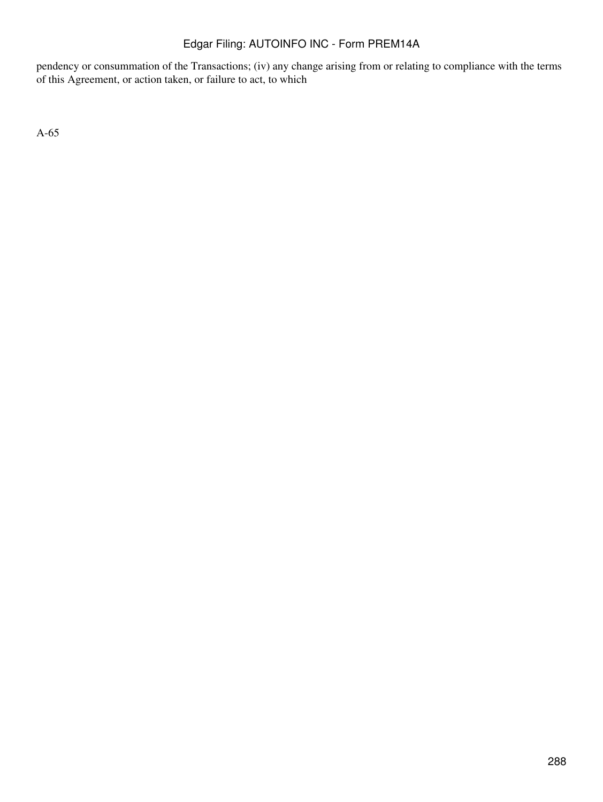pendency or consummation of the Transactions; (iv) any change arising from or relating to compliance with the terms of this Agreement, or action taken, or failure to act, to which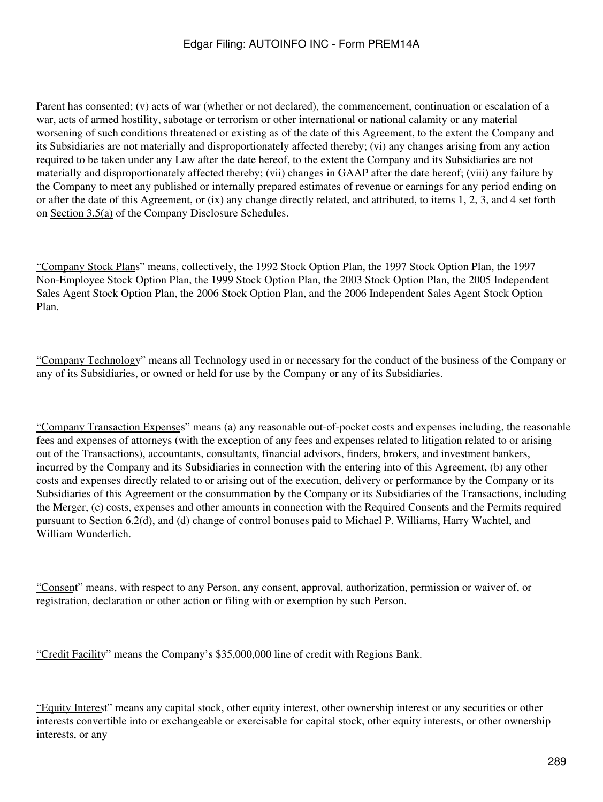Parent has consented; (v) acts of war (whether or not declared), the commencement, continuation or escalation of a war, acts of armed hostility, sabotage or terrorism or other international or national calamity or any material worsening of such conditions threatened or existing as of the date of this Agreement, to the extent the Company and its Subsidiaries are not materially and disproportionately affected thereby; (vi) any changes arising from any action required to be taken under any Law after the date hereof, to the extent the Company and its Subsidiaries are not materially and disproportionately affected thereby; (vii) changes in GAAP after the date hereof; (viii) any failure by the Company to meet any published or internally prepared estimates of revenue or earnings for any period ending on or after the date of this Agreement, or (ix) any change directly related, and attributed, to items 1, 2, 3, and 4 set forth on Section 3.5(a) of the Company Disclosure Schedules.

"Company Stock Plans" means, collectively, the 1992 Stock Option Plan, the 1997 Stock Option Plan, the 1997 Non-Employee Stock Option Plan, the 1999 Stock Option Plan, the 2003 Stock Option Plan, the 2005 Independent Sales Agent Stock Option Plan, the 2006 Stock Option Plan, and the 2006 Independent Sales Agent Stock Option Plan.

"Company Technology" means all Technology used in or necessary for the conduct of the business of the Company or any of its Subsidiaries, or owned or held for use by the Company or any of its Subsidiaries.

"Company Transaction Expenses" means (a) any reasonable out-of-pocket costs and expenses including, the reasonable fees and expenses of attorneys (with the exception of any fees and expenses related to litigation related to or arising out of the Transactions), accountants, consultants, financial advisors, finders, brokers, and investment bankers, incurred by the Company and its Subsidiaries in connection with the entering into of this Agreement, (b) any other costs and expenses directly related to or arising out of the execution, delivery or performance by the Company or its Subsidiaries of this Agreement or the consummation by the Company or its Subsidiaries of the Transactions, including the Merger, (c) costs, expenses and other amounts in connection with the Required Consents and the Permits required pursuant to Section 6.2(d), and (d) change of control bonuses paid to Michael P. Williams, Harry Wachtel, and William Wunderlich.

"Consent" means, with respect to any Person, any consent, approval, authorization, permission or waiver of, or registration, declaration or other action or filing with or exemption by such Person.

"Credit Facility" means the Company's \$35,000,000 line of credit with Regions Bank.

"Equity Interest" means any capital stock, other equity interest, other ownership interest or any securities or other interests convertible into or exchangeable or exercisable for capital stock, other equity interests, or other ownership interests, or any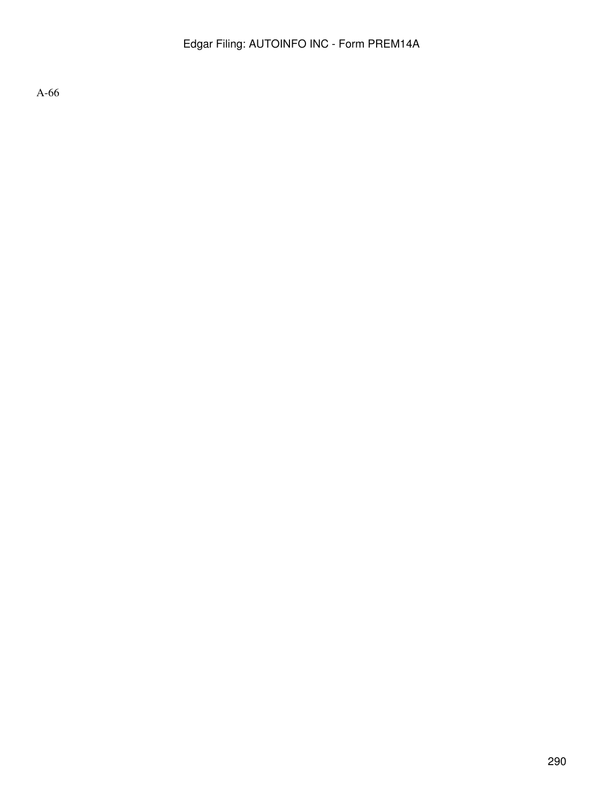A-66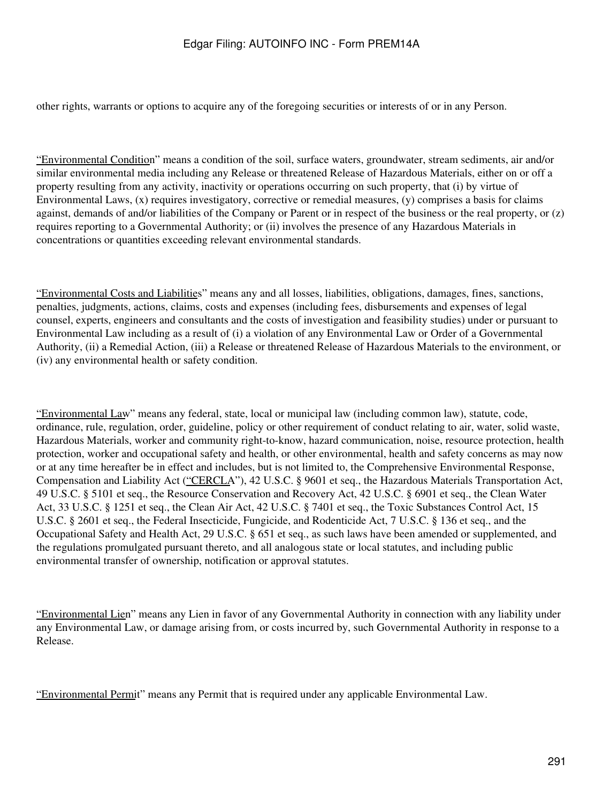other rights, warrants or options to acquire any of the foregoing securities or interests of or in any Person.

"Environmental Condition" means a condition of the soil, surface waters, groundwater, stream sediments, air and/or similar environmental media including any Release or threatened Release of Hazardous Materials, either on or off a property resulting from any activity, inactivity or operations occurring on such property, that (i) by virtue of Environmental Laws,  $(x)$  requires investigatory, corrective or remedial measures,  $(y)$  comprises a basis for claims against, demands of and/or liabilities of the Company or Parent or in respect of the business or the real property, or (z) requires reporting to a Governmental Authority; or (ii) involves the presence of any Hazardous Materials in concentrations or quantities exceeding relevant environmental standards.

"Environmental Costs and Liabilities" means any and all losses, liabilities, obligations, damages, fines, sanctions, penalties, judgments, actions, claims, costs and expenses (including fees, disbursements and expenses of legal counsel, experts, engineers and consultants and the costs of investigation and feasibility studies) under or pursuant to Environmental Law including as a result of (i) a violation of any Environmental Law or Order of a Governmental Authority, (ii) a Remedial Action, (iii) a Release or threatened Release of Hazardous Materials to the environment, or (iv) any environmental health or safety condition.

"Environmental Law" means any federal, state, local or municipal law (including common law), statute, code, ordinance, rule, regulation, order, guideline, policy or other requirement of conduct relating to air, water, solid waste, Hazardous Materials, worker and community right-to-know, hazard communication, noise, resource protection, health protection, worker and occupational safety and health, or other environmental, health and safety concerns as may now or at any time hereafter be in effect and includes, but is not limited to, the Comprehensive Environmental Response, Compensation and Liability Act ("CERCLA"), 42 U.S.C. § 9601 et seq., the Hazardous Materials Transportation Act, 49 U.S.C. § 5101 et seq., the Resource Conservation and Recovery Act, 42 U.S.C. § 6901 et seq., the Clean Water Act, 33 U.S.C. § 1251 et seq., the Clean Air Act, 42 U.S.C. § 7401 et seq., the Toxic Substances Control Act, 15 U.S.C. § 2601 et seq., the Federal Insecticide, Fungicide, and Rodenticide Act, 7 U.S.C. § 136 et seq., and the Occupational Safety and Health Act, 29 U.S.C. § 651 et seq., as such laws have been amended or supplemented, and the regulations promulgated pursuant thereto, and all analogous state or local statutes, and including public environmental transfer of ownership, notification or approval statutes.

"Environmental Lien" means any Lien in favor of any Governmental Authority in connection with any liability under any Environmental Law, or damage arising from, or costs incurred by, such Governmental Authority in response to a Release.

"Environmental Permit" means any Permit that is required under any applicable Environmental Law.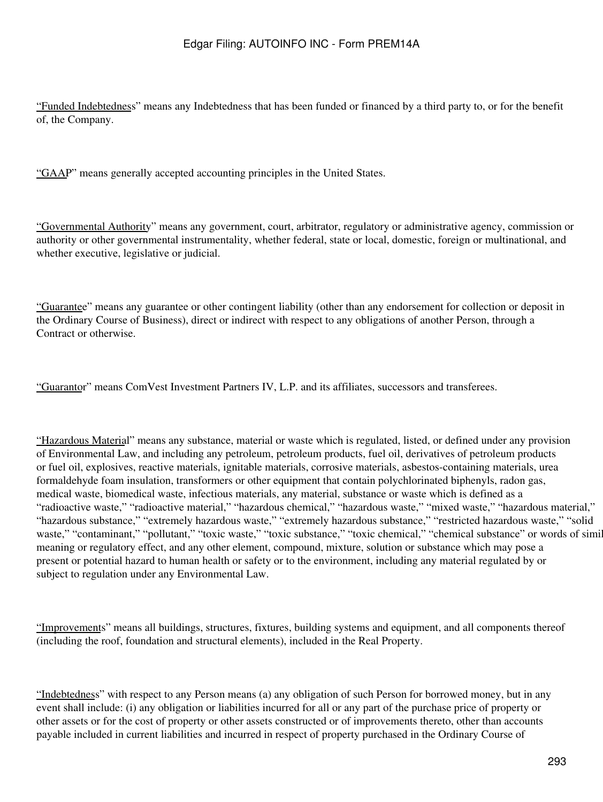"Funded Indebtedness" means any Indebtedness that has been funded or financed by a third party to, or for the benefit of, the Company.

"GAAP" means generally accepted accounting principles in the United States.

"Governmental Authority" means any government, court, arbitrator, regulatory or administrative agency, commission or authority or other governmental instrumentality, whether federal, state or local, domestic, foreign or multinational, and whether executive, legislative or judicial.

"Guarantee" means any guarantee or other contingent liability (other than any endorsement for collection or deposit in the Ordinary Course of Business), direct or indirect with respect to any obligations of another Person, through a Contract or otherwise.

"Guarantor" means ComVest Investment Partners IV, L.P. and its affiliates, successors and transferees.

"Hazardous Material" means any substance, material or waste which is regulated, listed, or defined under any provision of Environmental Law, and including any petroleum, petroleum products, fuel oil, derivatives of petroleum products or fuel oil, explosives, reactive materials, ignitable materials, corrosive materials, asbestos-containing materials, urea formaldehyde foam insulation, transformers or other equipment that contain polychlorinated biphenyls, radon gas, medical waste, biomedical waste, infectious materials, any material, substance or waste which is defined as a "radioactive waste," "radioactive material," "hazardous chemical," "hazardous waste," "mixed waste," "hazardous material," "hazardous substance," "extremely hazardous waste," "extremely hazardous substance," "restricted hazardous waste," "solid waste," "contaminant," "pollutant," "toxic waste," "toxic substance," "toxic chemical," "chemical substance" or words of simil meaning or regulatory effect, and any other element, compound, mixture, solution or substance which may pose a present or potential hazard to human health or safety or to the environment, including any material regulated by or subject to regulation under any Environmental Law.

"Improvements" means all buildings, structures, fixtures, building systems and equipment, and all components thereof (including the roof, foundation and structural elements), included in the Real Property.

"Indebtedness" with respect to any Person means (a) any obligation of such Person for borrowed money, but in any event shall include: (i) any obligation or liabilities incurred for all or any part of the purchase price of property or other assets or for the cost of property or other assets constructed or of improvements thereto, other than accounts payable included in current liabilities and incurred in respect of property purchased in the Ordinary Course of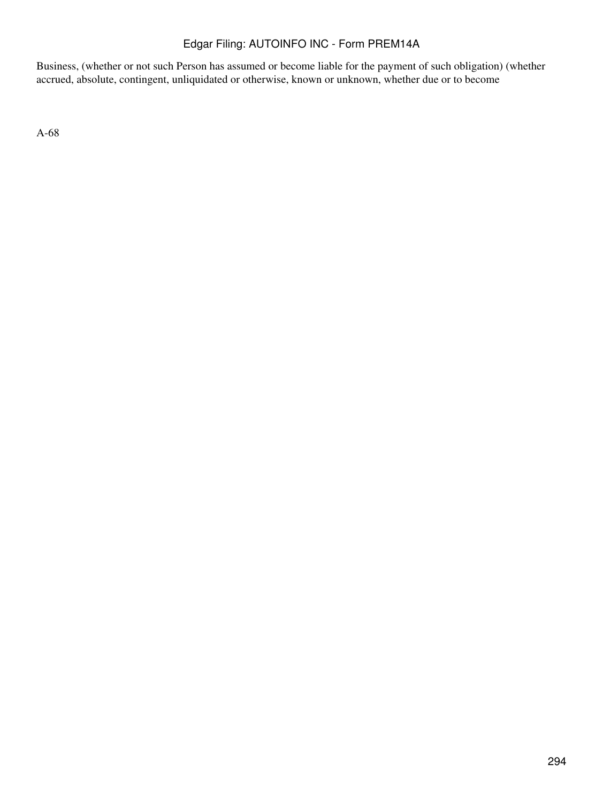Business, (whether or not such Person has assumed or become liable for the payment of such obligation) (whether accrued, absolute, contingent, unliquidated or otherwise, known or unknown, whether due or to become

A-68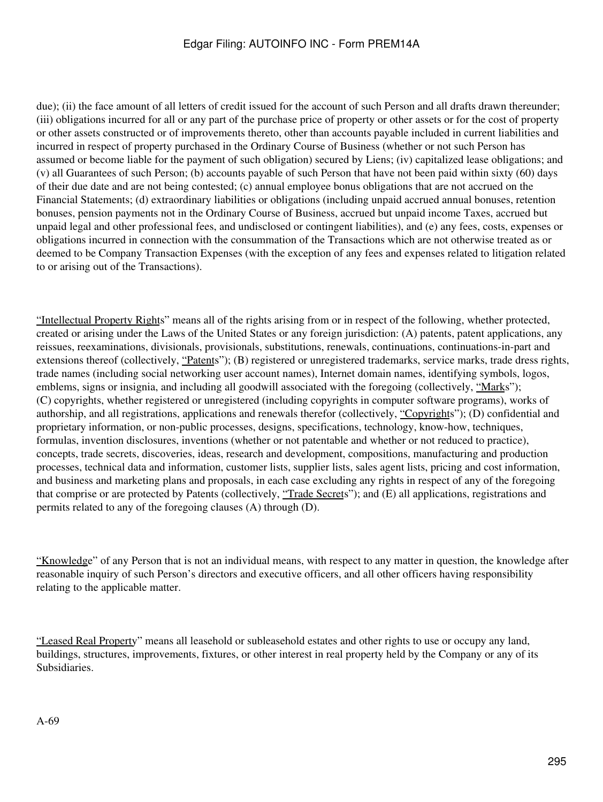due); (ii) the face amount of all letters of credit issued for the account of such Person and all drafts drawn thereunder; (iii) obligations incurred for all or any part of the purchase price of property or other assets or for the cost of property or other assets constructed or of improvements thereto, other than accounts payable included in current liabilities and incurred in respect of property purchased in the Ordinary Course of Business (whether or not such Person has assumed or become liable for the payment of such obligation) secured by Liens; (iv) capitalized lease obligations; and (v) all Guarantees of such Person; (b) accounts payable of such Person that have not been paid within sixty (60) days of their due date and are not being contested; (c) annual employee bonus obligations that are not accrued on the Financial Statements; (d) extraordinary liabilities or obligations (including unpaid accrued annual bonuses, retention bonuses, pension payments not in the Ordinary Course of Business, accrued but unpaid income Taxes, accrued but unpaid legal and other professional fees, and undisclosed or contingent liabilities), and (e) any fees, costs, expenses or obligations incurred in connection with the consummation of the Transactions which are not otherwise treated as or deemed to be Company Transaction Expenses (with the exception of any fees and expenses related to litigation related to or arising out of the Transactions).

"Intellectual Property Rights" means all of the rights arising from or in respect of the following, whether protected, created or arising under the Laws of the United States or any foreign jurisdiction: (A) patents, patent applications, any reissues, reexaminations, divisionals, provisionals, substitutions, renewals, continuations, continuations-in-part and extensions thereof (collectively, "Patents"); (B) registered or unregistered trademarks, service marks, trade dress rights, trade names (including social networking user account names), Internet domain names, identifying symbols, logos, emblems, signs or insignia, and including all goodwill associated with the foregoing (collectively, "Marks"); (C) copyrights, whether registered or unregistered (including copyrights in computer software programs), works of authorship, and all registrations, applications and renewals therefor (collectively, "Copyrights"); (D) confidential and proprietary information, or non-public processes, designs, specifications, technology, know-how, techniques, formulas, invention disclosures, inventions (whether or not patentable and whether or not reduced to practice), concepts, trade secrets, discoveries, ideas, research and development, compositions, manufacturing and production processes, technical data and information, customer lists, supplier lists, sales agent lists, pricing and cost information, and business and marketing plans and proposals, in each case excluding any rights in respect of any of the foregoing that comprise or are protected by Patents (collectively, "Trade Secrets"); and (E) all applications, registrations and permits related to any of the foregoing clauses (A) through (D).

"Knowledge" of any Person that is not an individual means, with respect to any matter in question, the knowledge after reasonable inquiry of such Person's directors and executive officers, and all other officers having responsibility relating to the applicable matter.

"Leased Real Property" means all leasehold or subleasehold estates and other rights to use or occupy any land, buildings, structures, improvements, fixtures, or other interest in real property held by the Company or any of its Subsidiaries.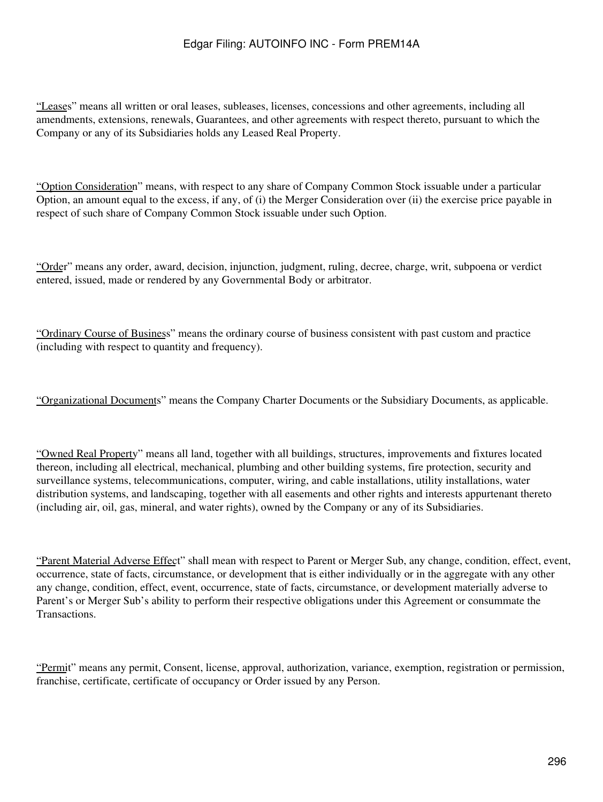"Leases" means all written or oral leases, subleases, licenses, concessions and other agreements, including all amendments, extensions, renewals, Guarantees, and other agreements with respect thereto, pursuant to which the Company or any of its Subsidiaries holds any Leased Real Property.

"Option Consideration" means, with respect to any share of Company Common Stock issuable under a particular Option, an amount equal to the excess, if any, of (i) the Merger Consideration over (ii) the exercise price payable in respect of such share of Company Common Stock issuable under such Option.

"Order" means any order, award, decision, injunction, judgment, ruling, decree, charge, writ, subpoena or verdict entered, issued, made or rendered by any Governmental Body or arbitrator.

"Ordinary Course of Business" means the ordinary course of business consistent with past custom and practice (including with respect to quantity and frequency).

"Organizational Documents" means the Company Charter Documents or the Subsidiary Documents, as applicable.

"Owned Real Property" means all land, together with all buildings, structures, improvements and fixtures located thereon, including all electrical, mechanical, plumbing and other building systems, fire protection, security and surveillance systems, telecommunications, computer, wiring, and cable installations, utility installations, water distribution systems, and landscaping, together with all easements and other rights and interests appurtenant thereto (including air, oil, gas, mineral, and water rights), owned by the Company or any of its Subsidiaries.

"Parent Material Adverse Effect" shall mean with respect to Parent or Merger Sub, any change, condition, effect, event, occurrence, state of facts, circumstance, or development that is either individually or in the aggregate with any other any change, condition, effect, event, occurrence, state of facts, circumstance, or development materially adverse to Parent's or Merger Sub's ability to perform their respective obligations under this Agreement or consummate the Transactions.

"Permit" means any permit, Consent, license, approval, authorization, variance, exemption, registration or permission, franchise, certificate, certificate of occupancy or Order issued by any Person.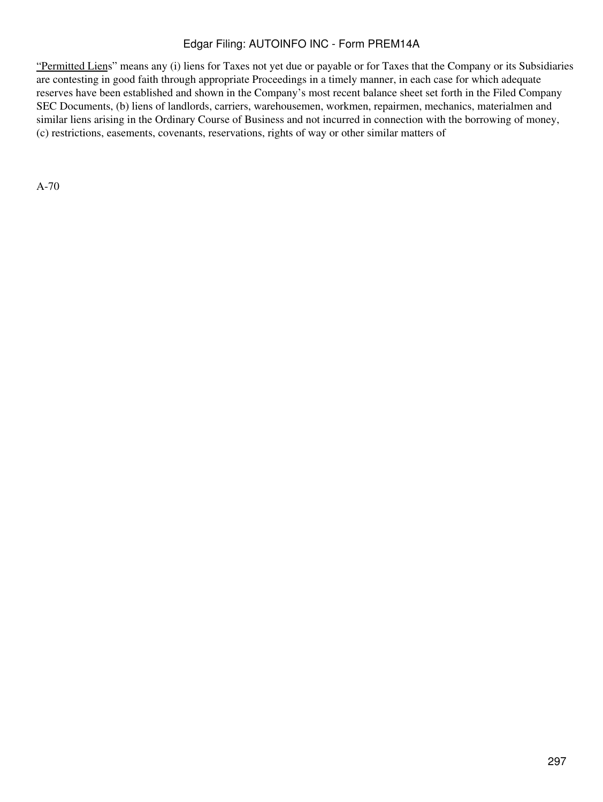"Permitted Liens" means any (i) liens for Taxes not yet due or payable or for Taxes that the Company or its Subsidiaries are contesting in good faith through appropriate Proceedings in a timely manner, in each case for which adequate reserves have been established and shown in the Company's most recent balance sheet set forth in the Filed Company SEC Documents, (b) liens of landlords, carriers, warehousemen, workmen, repairmen, mechanics, materialmen and similar liens arising in the Ordinary Course of Business and not incurred in connection with the borrowing of money, (c) restrictions, easements, covenants, reservations, rights of way or other similar matters of

A-70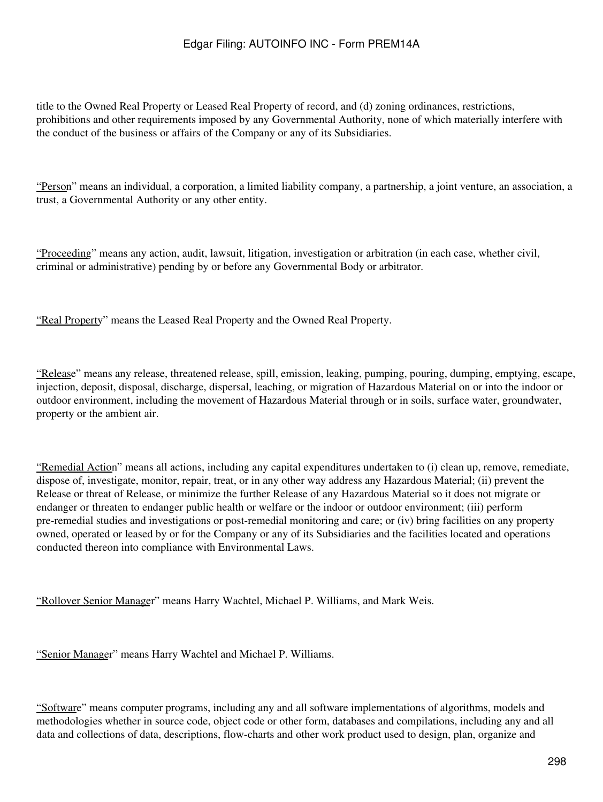title to the Owned Real Property or Leased Real Property of record, and (d) zoning ordinances, restrictions, prohibitions and other requirements imposed by any Governmental Authority, none of which materially interfere with the conduct of the business or affairs of the Company or any of its Subsidiaries.

"Person" means an individual, a corporation, a limited liability company, a partnership, a joint venture, an association, a trust, a Governmental Authority or any other entity.

"Proceeding" means any action, audit, lawsuit, litigation, investigation or arbitration (in each case, whether civil, criminal or administrative) pending by or before any Governmental Body or arbitrator.

"Real Property" means the Leased Real Property and the Owned Real Property.

"Release" means any release, threatened release, spill, emission, leaking, pumping, pouring, dumping, emptying, escape, injection, deposit, disposal, discharge, dispersal, leaching, or migration of Hazardous Material on or into the indoor or outdoor environment, including the movement of Hazardous Material through or in soils, surface water, groundwater, property or the ambient air.

"Remedial Action" means all actions, including any capital expenditures undertaken to (i) clean up, remove, remediate, dispose of, investigate, monitor, repair, treat, or in any other way address any Hazardous Material; (ii) prevent the Release or threat of Release, or minimize the further Release of any Hazardous Material so it does not migrate or endanger or threaten to endanger public health or welfare or the indoor or outdoor environment; (iii) perform pre-remedial studies and investigations or post-remedial monitoring and care; or (iv) bring facilities on any property owned, operated or leased by or for the Company or any of its Subsidiaries and the facilities located and operations conducted thereon into compliance with Environmental Laws.

"Rollover Senior Manager" means Harry Wachtel, Michael P. Williams, and Mark Weis.

"Senior Manager" means Harry Wachtel and Michael P. Williams.

"Software" means computer programs, including any and all software implementations of algorithms, models and methodologies whether in source code, object code or other form, databases and compilations, including any and all data and collections of data, descriptions, flow-charts and other work product used to design, plan, organize and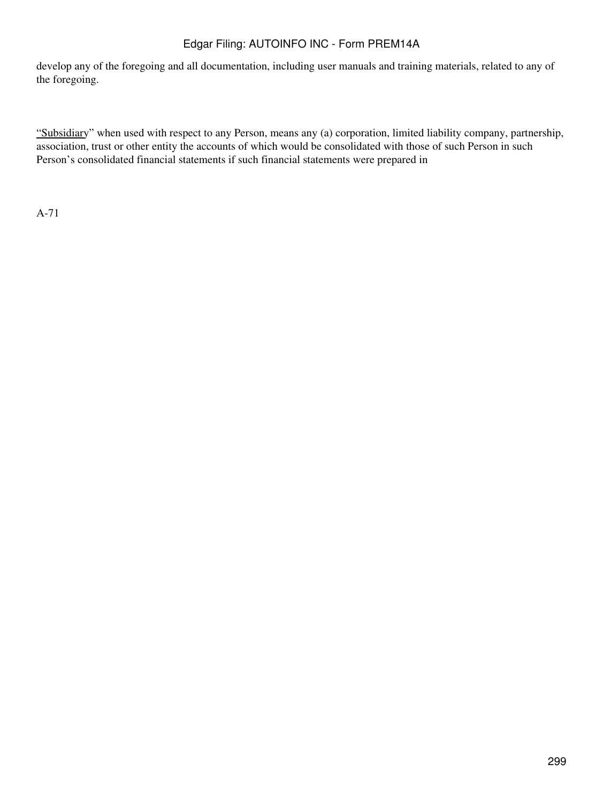develop any of the foregoing and all documentation, including user manuals and training materials, related to any of the foregoing.

"Subsidiary" when used with respect to any Person, means any (a) corporation, limited liability company, partnership, association, trust or other entity the accounts of which would be consolidated with those of such Person in such Person's consolidated financial statements if such financial statements were prepared in

A-71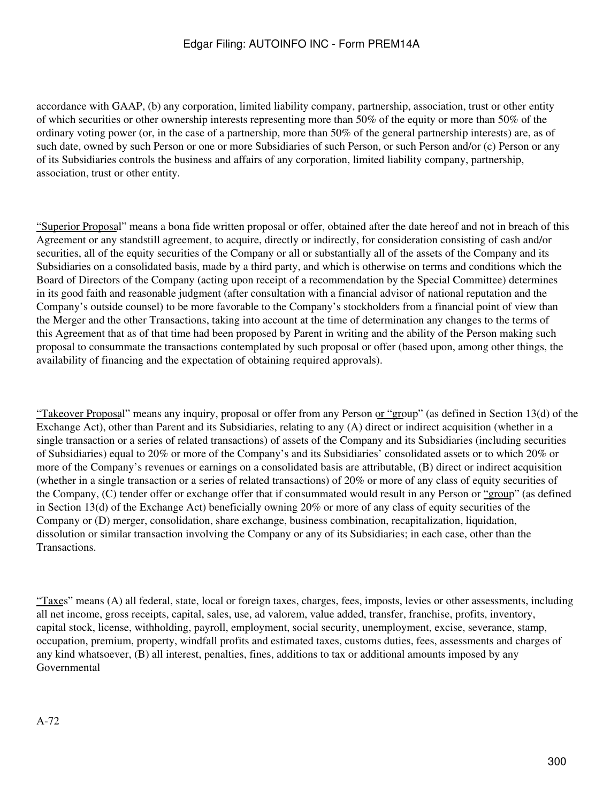accordance with GAAP, (b) any corporation, limited liability company, partnership, association, trust or other entity of which securities or other ownership interests representing more than 50% of the equity or more than 50% of the ordinary voting power (or, in the case of a partnership, more than 50% of the general partnership interests) are, as of such date, owned by such Person or one or more Subsidiaries of such Person, or such Person and/or (c) Person or any of its Subsidiaries controls the business and affairs of any corporation, limited liability company, partnership, association, trust or other entity.

"Superior Proposal" means a bona fide written proposal or offer, obtained after the date hereof and not in breach of this Agreement or any standstill agreement, to acquire, directly or indirectly, for consideration consisting of cash and/or securities, all of the equity securities of the Company or all or substantially all of the assets of the Company and its Subsidiaries on a consolidated basis, made by a third party, and which is otherwise on terms and conditions which the Board of Directors of the Company (acting upon receipt of a recommendation by the Special Committee) determines in its good faith and reasonable judgment (after consultation with a financial advisor of national reputation and the Company's outside counsel) to be more favorable to the Company's stockholders from a financial point of view than the Merger and the other Transactions, taking into account at the time of determination any changes to the terms of this Agreement that as of that time had been proposed by Parent in writing and the ability of the Person making such proposal to consummate the transactions contemplated by such proposal or offer (based upon, among other things, the availability of financing and the expectation of obtaining required approvals).

"Takeover Proposal" means any inquiry, proposal or offer from any Person or "group" (as defined in Section 13(d) of the Exchange Act), other than Parent and its Subsidiaries, relating to any (A) direct or indirect acquisition (whether in a single transaction or a series of related transactions) of assets of the Company and its Subsidiaries (including securities of Subsidiaries) equal to 20% or more of the Company's and its Subsidiaries' consolidated assets or to which 20% or more of the Company's revenues or earnings on a consolidated basis are attributable, (B) direct or indirect acquisition (whether in a single transaction or a series of related transactions) of 20% or more of any class of equity securities of the Company, (C) tender offer or exchange offer that if consummated would result in any Person or "group" (as defined in Section 13(d) of the Exchange Act) beneficially owning 20% or more of any class of equity securities of the Company or (D) merger, consolidation, share exchange, business combination, recapitalization, liquidation, dissolution or similar transaction involving the Company or any of its Subsidiaries; in each case, other than the Transactions.

"Taxes" means (A) all federal, state, local or foreign taxes, charges, fees, imposts, levies or other assessments, including all net income, gross receipts, capital, sales, use, ad valorem, value added, transfer, franchise, profits, inventory, capital stock, license, withholding, payroll, employment, social security, unemployment, excise, severance, stamp, occupation, premium, property, windfall profits and estimated taxes, customs duties, fees, assessments and charges of any kind whatsoever, (B) all interest, penalties, fines, additions to tax or additional amounts imposed by any Governmental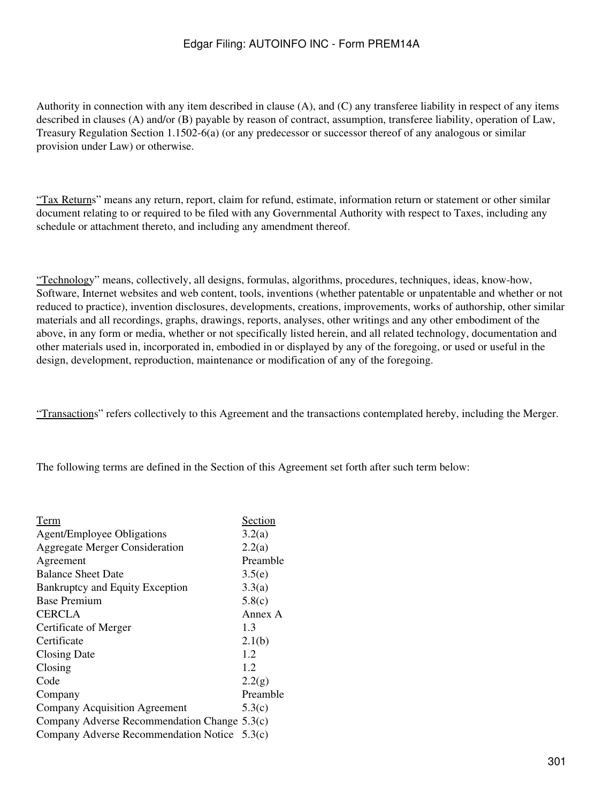Authority in connection with any item described in clause (A), and (C) any transferee liability in respect of any items described in clauses (A) and/or (B) payable by reason of contract, assumption, transferee liability, operation of Law, Treasury Regulation Section 1.1502-6(a) (or any predecessor or successor thereof of any analogous or similar provision under Law) or otherwise.

"Tax Returns" means any return, report, claim for refund, estimate, information return or statement or other similar document relating to or required to be filed with any Governmental Authority with respect to Taxes, including any schedule or attachment thereto, and including any amendment thereof.

"Technology" means, collectively, all designs, formulas, algorithms, procedures, techniques, ideas, know-how, Software, Internet websites and web content, tools, inventions (whether patentable or unpatentable and whether or not reduced to practice), invention disclosures, developments, creations, improvements, works of authorship, other similar materials and all recordings, graphs, drawings, reports, analyses, other writings and any other embodiment of the above, in any form or media, whether or not specifically listed herein, and all related technology, documentation and other materials used in, incorporated in, embodied in or displayed by any of the foregoing, or used or useful in the design, development, reproduction, maintenance or modification of any of the foregoing.

"Transactions" refers collectively to this Agreement and the transactions contemplated hereby, including the Merger.

The following terms are defined in the Section of this Agreement set forth after such term below:

| Term                                         | Section  |
|----------------------------------------------|----------|
| <b>Agent/Employee Obligations</b>            | 3.2(a)   |
| <b>Aggregate Merger Consideration</b>        | 2.2(a)   |
| Agreement                                    | Preamble |
| <b>Balance Sheet Date</b>                    | 3.5(e)   |
| <b>Bankruptcy and Equity Exception</b>       | 3.3(a)   |
| <b>Base Premium</b>                          | 5.8(c)   |
| <b>CERCLA</b>                                | Annex A  |
| Certificate of Merger                        | 1.3      |
| Certificate                                  | 2.1(b)   |
| Closing Date                                 | 1.2      |
| Closing                                      | 1.2      |
| Code                                         | 2.2(g)   |
| Company                                      | Preamble |
| Company Acquisition Agreement                | 5.3(c)   |
| Company Adverse Recommendation Change 5.3(c) |          |
| Company Adverse Recommendation Notice 5.3(c) |          |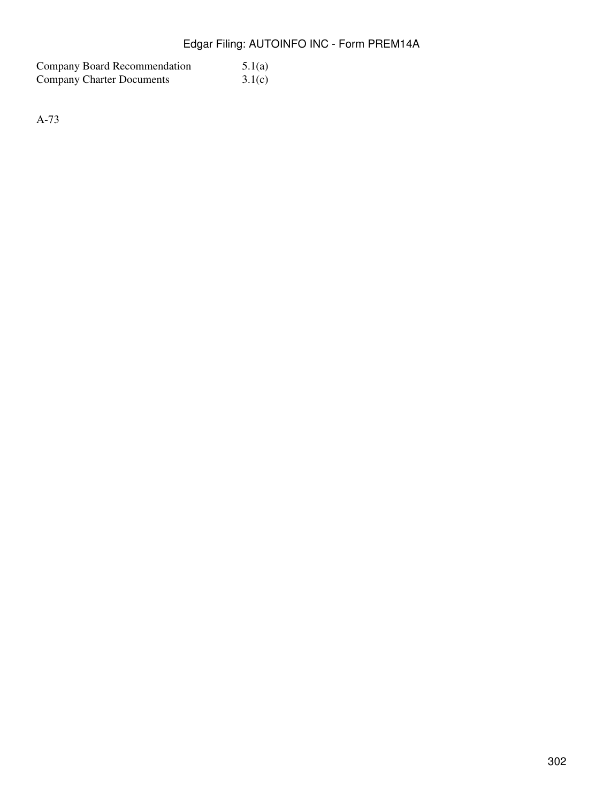| Company Board Recommendation     | 5.1(a) |
|----------------------------------|--------|
| <b>Company Charter Documents</b> | 3.1(c) |

A-73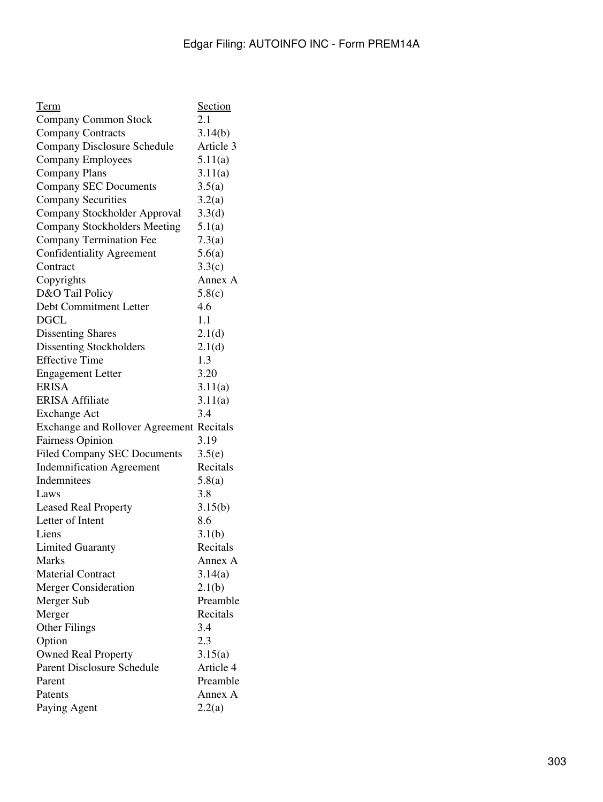| Term                                     | <b>Section</b> |
|------------------------------------------|----------------|
| <b>Company Common Stock</b>              | 2.1            |
| <b>Company Contracts</b>                 | 3.14(b)        |
| Company Disclosure Schedule              | Article 3      |
| <b>Company Employees</b>                 | 5.11(a)        |
| <b>Company Plans</b>                     | 3.11(a)        |
| <b>Company SEC Documents</b>             | 3.5(a)         |
| <b>Company Securities</b>                | 3.2(a)         |
| Company Stockholder Approval             | 3.3(d)         |
| <b>Company Stockholders Meeting</b>      | 5.1(a)         |
| <b>Company Termination Fee</b>           | 7.3(a)         |
| <b>Confidentiality Agreement</b>         | 5.6(a)         |
| Contract                                 | 3.3(c)         |
| Copyrights                               | Annex A        |
| D&O Tail Policy                          | 5.8(c)         |
| Debt Commitment Letter                   | 4.6            |
| <b>DGCL</b>                              | 1.1            |
| <b>Dissenting Shares</b>                 | 2.1(d)         |
| <b>Dissenting Stockholders</b>           | 2.1(d)         |
| <b>Effective Time</b>                    | 1.3            |
| <b>Engagement Letter</b>                 | 3.20           |
| <b>ERISA</b>                             | 3.11(a)        |
| <b>ERISA Affiliate</b>                   | 3.11(a)        |
| <b>Exchange Act</b>                      | 3.4            |
| Exchange and Rollover Agreement Recitals |                |
| <b>Fairness Opinion</b>                  | 3.19           |
| <b>Filed Company SEC Documents</b>       | 3.5(e)         |
| <b>Indemnification Agreement</b>         | Recitals       |
| Indemnitees                              | 5.8(a)         |
| Laws                                     | 3.8            |
| <b>Leased Real Property</b>              | 3.15(b)        |
| Letter of Intent                         | 8.6            |
| Liens                                    | 3.1(b)         |
| <b>Limited Guaranty</b>                  | Recitals       |
| <b>Marks</b>                             | Annex A        |
| <b>Material Contract</b>                 | 3.14(a)        |
| <b>Merger Consideration</b>              | 2.1(b)         |
| Merger Sub                               | Preamble       |
| Merger                                   | Recitals       |
| <b>Other Filings</b>                     | 3.4            |
| Option                                   | 2.3            |
| <b>Owned Real Property</b>               | 3.15(a)        |
| <b>Parent Disclosure Schedule</b>        | Article 4      |
| Parent                                   | Preamble       |
| Patents                                  | Annex A        |
| Paying Agent                             | 2.2(a)         |
|                                          |                |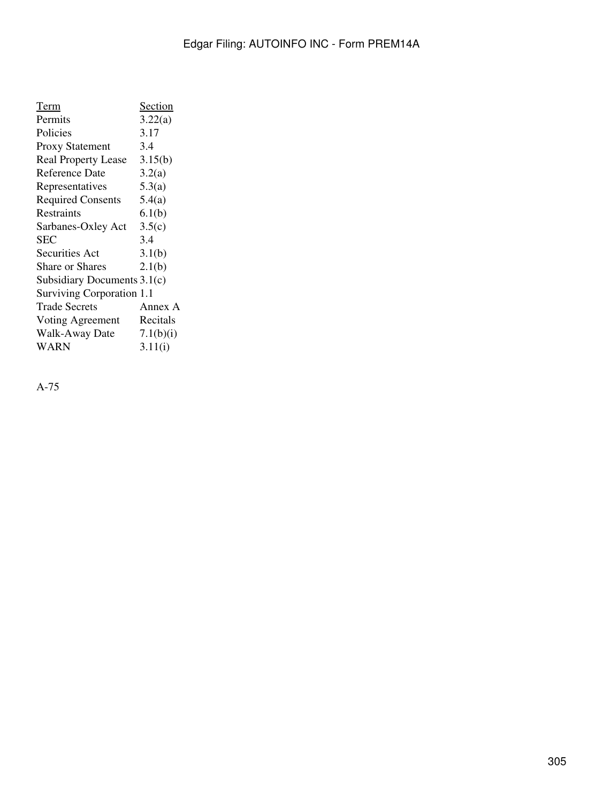| <b>Term</b>                 | <u>Section</u> |
|-----------------------------|----------------|
| Permits                     | 3.22(a)        |
| Policies                    | 3.17           |
| <b>Proxy Statement</b>      | 3.4            |
| <b>Real Property Lease</b>  | 3.15(b)        |
| Reference Date              | 3.2(a)         |
| Representatives             | 5.3(a)         |
| <b>Required Consents</b>    | 5.4(a)         |
| Restraints                  | 6.1(b)         |
| Sarbanes-Oxley Act          | 3.5(c)         |
| SEC                         | 3.4            |
| <b>Securities Act</b>       | 3.1(b)         |
| <b>Share or Shares</b>      | 2.1(b)         |
| Subsidiary Documents 3.1(c) |                |
| Surviving Corporation 1.1   |                |
| <b>Trade Secrets</b>        | Annex A        |
| Voting Agreement            | Recitals       |
| Walk-Away Date              | 7.1(b)(i)      |
| <b>WARN</b>                 | 3.11(i)        |

A-75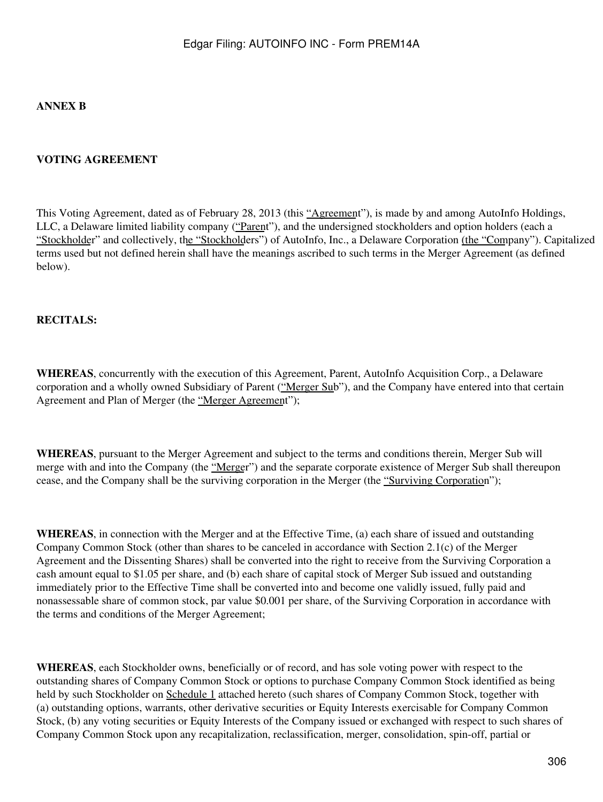#### **ANNEX B**

#### **VOTING AGREEMENT**

This Voting Agreement, dated as of February 28, 2013 (this "Agreement"), is made by and among AutoInfo Holdings, LLC, a Delaware limited liability company ("Parent"), and the undersigned stockholders and option holders (each a "Stockholder" and collectively, the "Stockholders") of AutoInfo, Inc., a Delaware Corporation (the "Company"). Capitalized terms used but not defined herein shall have the meanings ascribed to such terms in the Merger Agreement (as defined below).

#### **RECITALS:**

**WHEREAS**, concurrently with the execution of this Agreement, Parent, AutoInfo Acquisition Corp., a Delaware corporation and a wholly owned Subsidiary of Parent ("Merger Sub"), and the Company have entered into that certain Agreement and Plan of Merger (the "Merger Agreement");

**WHEREAS**, pursuant to the Merger Agreement and subject to the terms and conditions therein, Merger Sub will merge with and into the Company (the "Merger") and the separate corporate existence of Merger Sub shall thereupon cease, and the Company shall be the surviving corporation in the Merger (the "Surviving Corporation");

**WHEREAS**, in connection with the Merger and at the Effective Time, (a) each share of issued and outstanding Company Common Stock (other than shares to be canceled in accordance with Section 2.1(c) of the Merger Agreement and the Dissenting Shares) shall be converted into the right to receive from the Surviving Corporation a cash amount equal to \$1.05 per share, and (b) each share of capital stock of Merger Sub issued and outstanding immediately prior to the Effective Time shall be converted into and become one validly issued, fully paid and nonassessable share of common stock, par value \$0.001 per share, of the Surviving Corporation in accordance with the terms and conditions of the Merger Agreement;

**WHEREAS**, each Stockholder owns, beneficially or of record, and has sole voting power with respect to the outstanding shares of Company Common Stock or options to purchase Company Common Stock identified as being held by such Stockholder on Schedule 1 attached hereto (such shares of Company Common Stock, together with (a) outstanding options, warrants, other derivative securities or Equity Interests exercisable for Company Common Stock, (b) any voting securities or Equity Interests of the Company issued or exchanged with respect to such shares of Company Common Stock upon any recapitalization, reclassification, merger, consolidation, spin-off, partial or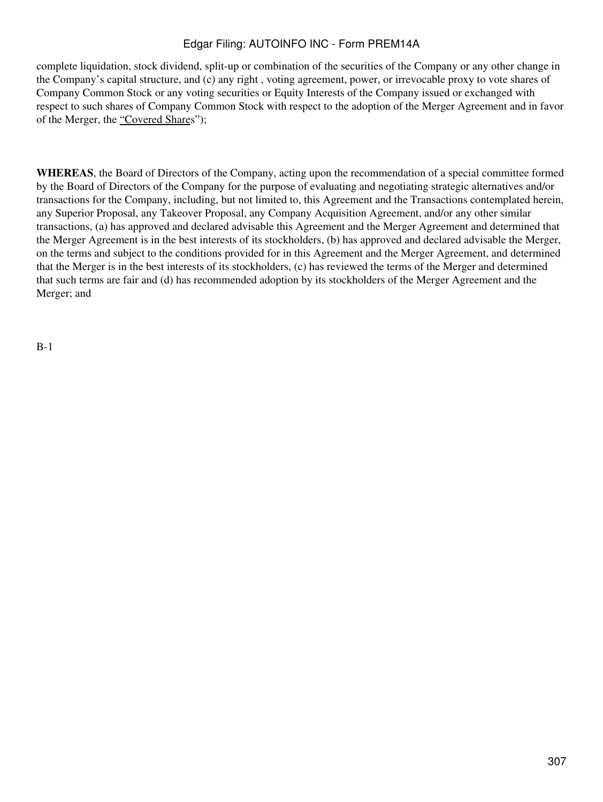complete liquidation, stock dividend, split-up or combination of the securities of the Company or any other change in the Company's capital structure, and (c) any right , voting agreement, power, or irrevocable proxy to vote shares of Company Common Stock or any voting securities or Equity Interests of the Company issued or exchanged with respect to such shares of Company Common Stock with respect to the adoption of the Merger Agreement and in favor of the Merger, the "Covered Shares");

**WHEREAS**, the Board of Directors of the Company, acting upon the recommendation of a special committee formed by the Board of Directors of the Company for the purpose of evaluating and negotiating strategic alternatives and/or transactions for the Company, including, but not limited to, this Agreement and the Transactions contemplated herein, any Superior Proposal, any Takeover Proposal, any Company Acquisition Agreement, and/or any other similar transactions, (a) has approved and declared advisable this Agreement and the Merger Agreement and determined that the Merger Agreement is in the best interests of its stockholders, (b) has approved and declared advisable the Merger, on the terms and subject to the conditions provided for in this Agreement and the Merger Agreement, and determined that the Merger is in the best interests of its stockholders, (c) has reviewed the terms of the Merger and determined that such terms are fair and (d) has recommended adoption by its stockholders of the Merger Agreement and the Merger; and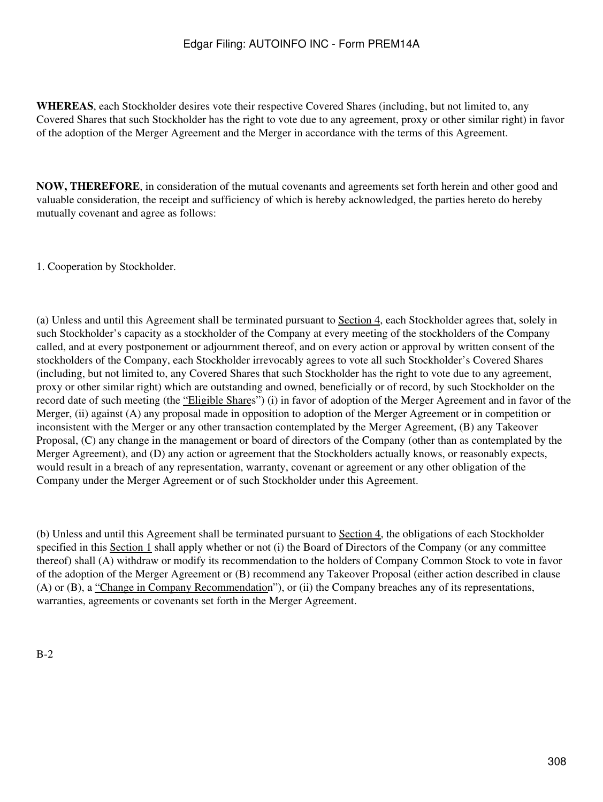**WHEREAS**, each Stockholder desires vote their respective Covered Shares (including, but not limited to, any Covered Shares that such Stockholder has the right to vote due to any agreement, proxy or other similar right) in favor of the adoption of the Merger Agreement and the Merger in accordance with the terms of this Agreement.

**NOW, THEREFORE**, in consideration of the mutual covenants and agreements set forth herein and other good and valuable consideration, the receipt and sufficiency of which is hereby acknowledged, the parties hereto do hereby mutually covenant and agree as follows:

1. Cooperation by Stockholder.

(a) Unless and until this Agreement shall be terminated pursuant to Section 4, each Stockholder agrees that, solely in such Stockholder's capacity as a stockholder of the Company at every meeting of the stockholders of the Company called, and at every postponement or adjournment thereof, and on every action or approval by written consent of the stockholders of the Company, each Stockholder irrevocably agrees to vote all such Stockholder's Covered Shares (including, but not limited to, any Covered Shares that such Stockholder has the right to vote due to any agreement, proxy or other similar right) which are outstanding and owned, beneficially or of record, by such Stockholder on the record date of such meeting (the "Eligible Shares") (i) in favor of adoption of the Merger Agreement and in favor of the Merger, (ii) against (A) any proposal made in opposition to adoption of the Merger Agreement or in competition or inconsistent with the Merger or any other transaction contemplated by the Merger Agreement, (B) any Takeover Proposal, (C) any change in the management or board of directors of the Company (other than as contemplated by the Merger Agreement), and (D) any action or agreement that the Stockholders actually knows, or reasonably expects, would result in a breach of any representation, warranty, covenant or agreement or any other obligation of the Company under the Merger Agreement or of such Stockholder under this Agreement.

(b) Unless and until this Agreement shall be terminated pursuant to Section 4, the obligations of each Stockholder specified in this Section 1 shall apply whether or not (i) the Board of Directors of the Company (or any committee thereof) shall (A) withdraw or modify its recommendation to the holders of Company Common Stock to vote in favor of the adoption of the Merger Agreement or (B) recommend any Takeover Proposal (either action described in clause (A) or (B), a "Change in Company Recommendation"), or (ii) the Company breaches any of its representations, warranties, agreements or covenants set forth in the Merger Agreement.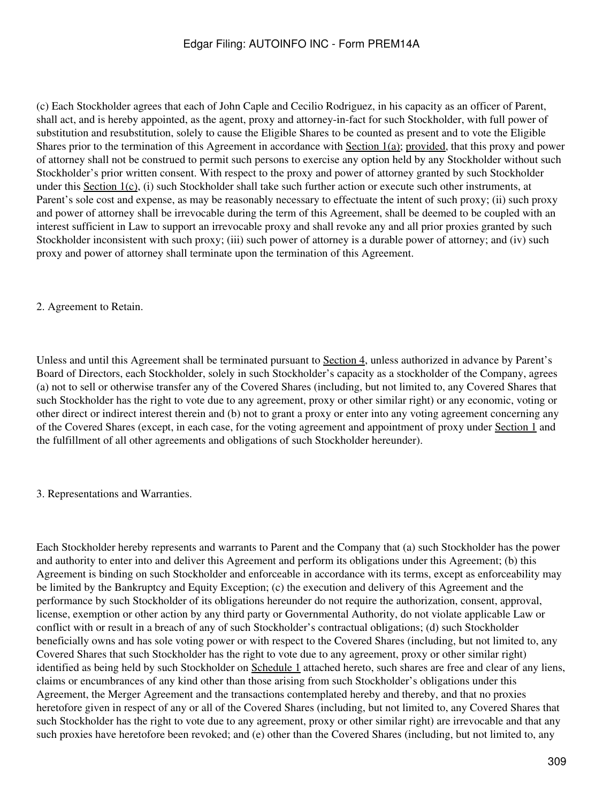(c) Each Stockholder agrees that each of John Caple and Cecilio Rodriguez, in his capacity as an officer of Parent, shall act, and is hereby appointed, as the agent, proxy and attorney-in-fact for such Stockholder, with full power of substitution and resubstitution, solely to cause the Eligible Shares to be counted as present and to vote the Eligible Shares prior to the termination of this Agreement in accordance with Section 1(a); provided, that this proxy and power of attorney shall not be construed to permit such persons to exercise any option held by any Stockholder without such Stockholder's prior written consent. With respect to the proxy and power of attorney granted by such Stockholder under this Section 1(c), (i) such Stockholder shall take such further action or execute such other instruments, at Parent's sole cost and expense, as may be reasonably necessary to effectuate the intent of such proxy; (ii) such proxy and power of attorney shall be irrevocable during the term of this Agreement, shall be deemed to be coupled with an interest sufficient in Law to support an irrevocable proxy and shall revoke any and all prior proxies granted by such Stockholder inconsistent with such proxy; (iii) such power of attorney is a durable power of attorney; and (iv) such proxy and power of attorney shall terminate upon the termination of this Agreement.

2. Agreement to Retain.

Unless and until this Agreement shall be terminated pursuant to Section 4, unless authorized in advance by Parent's Board of Directors, each Stockholder, solely in such Stockholder's capacity as a stockholder of the Company, agrees (a) not to sell or otherwise transfer any of the Covered Shares (including, but not limited to, any Covered Shares that such Stockholder has the right to vote due to any agreement, proxy or other similar right) or any economic, voting or other direct or indirect interest therein and (b) not to grant a proxy or enter into any voting agreement concerning any of the Covered Shares (except, in each case, for the voting agreement and appointment of proxy under Section 1 and the fulfillment of all other agreements and obligations of such Stockholder hereunder).

3. Representations and Warranties.

Each Stockholder hereby represents and warrants to Parent and the Company that (a) such Stockholder has the power and authority to enter into and deliver this Agreement and perform its obligations under this Agreement; (b) this Agreement is binding on such Stockholder and enforceable in accordance with its terms, except as enforceability may be limited by the Bankruptcy and Equity Exception; (c) the execution and delivery of this Agreement and the performance by such Stockholder of its obligations hereunder do not require the authorization, consent, approval, license, exemption or other action by any third party or Governmental Authority, do not violate applicable Law or conflict with or result in a breach of any of such Stockholder's contractual obligations; (d) such Stockholder beneficially owns and has sole voting power or with respect to the Covered Shares (including, but not limited to, any Covered Shares that such Stockholder has the right to vote due to any agreement, proxy or other similar right) identified as being held by such Stockholder on Schedule 1 attached hereto, such shares are free and clear of any liens, claims or encumbrances of any kind other than those arising from such Stockholder's obligations under this Agreement, the Merger Agreement and the transactions contemplated hereby and thereby, and that no proxies heretofore given in respect of any or all of the Covered Shares (including, but not limited to, any Covered Shares that such Stockholder has the right to vote due to any agreement, proxy or other similar right) are irrevocable and that any such proxies have heretofore been revoked; and (e) other than the Covered Shares (including, but not limited to, any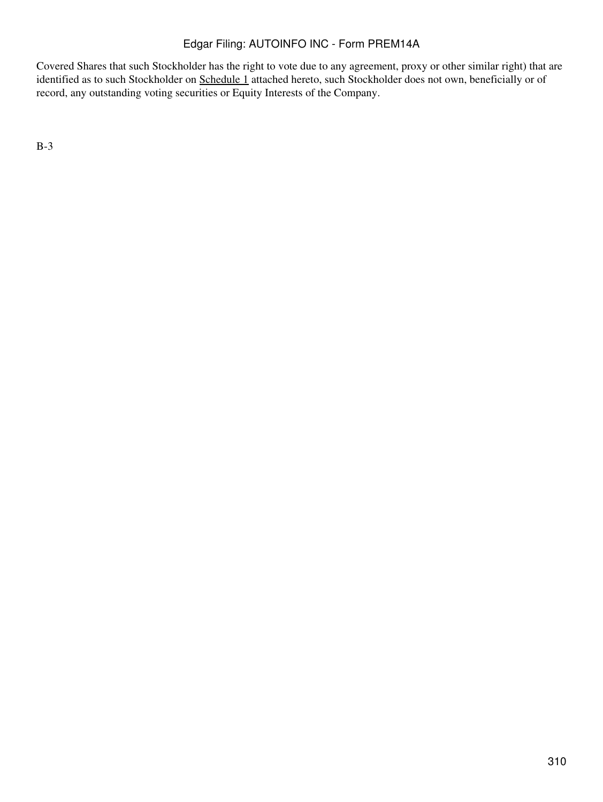Covered Shares that such Stockholder has the right to vote due to any agreement, proxy or other similar right) that are identified as to such Stockholder on Schedule 1 attached hereto, such Stockholder does not own, beneficially or of record, any outstanding voting securities or Equity Interests of the Company.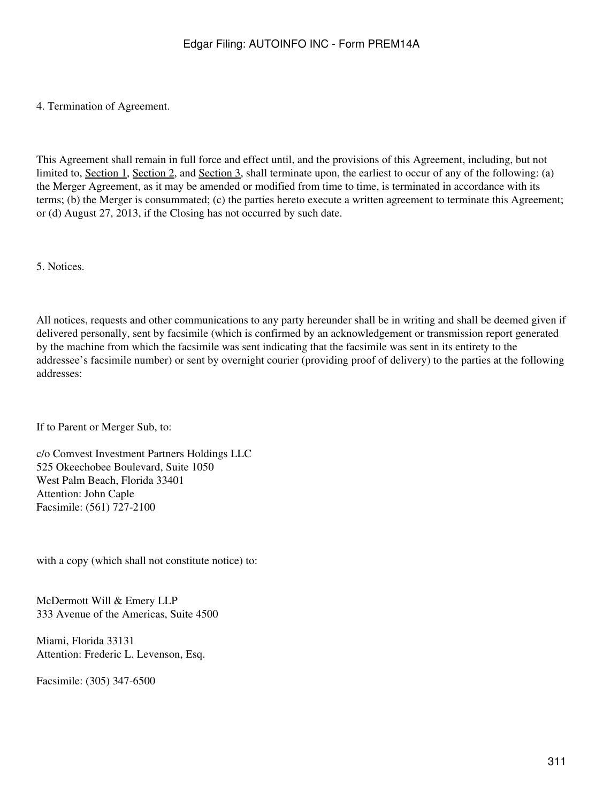#### 4. Termination of Agreement.

This Agreement shall remain in full force and effect until, and the provisions of this Agreement, including, but not limited to, Section 1, Section 2, and Section 3, shall terminate upon, the earliest to occur of any of the following: (a) the Merger Agreement, as it may be amended or modified from time to time, is terminated in accordance with its terms; (b) the Merger is consummated; (c) the parties hereto execute a written agreement to terminate this Agreement; or (d) August 27, 2013, if the Closing has not occurred by such date.

5. Notices.

All notices, requests and other communications to any party hereunder shall be in writing and shall be deemed given if delivered personally, sent by facsimile (which is confirmed by an acknowledgement or transmission report generated by the machine from which the facsimile was sent indicating that the facsimile was sent in its entirety to the addressee's facsimile number) or sent by overnight courier (providing proof of delivery) to the parties at the following addresses:

If to Parent or Merger Sub, to:

c/o Comvest Investment Partners Holdings LLC 525 Okeechobee Boulevard, Suite 1050 West Palm Beach, Florida 33401 Attention: John Caple Facsimile: (561) 727-2100

with a copy (which shall not constitute notice) to:

McDermott Will & Emery LLP 333 Avenue of the Americas, Suite 4500

Miami, Florida 33131 Attention: Frederic L. Levenson, Esq.

Facsimile: (305) 347-6500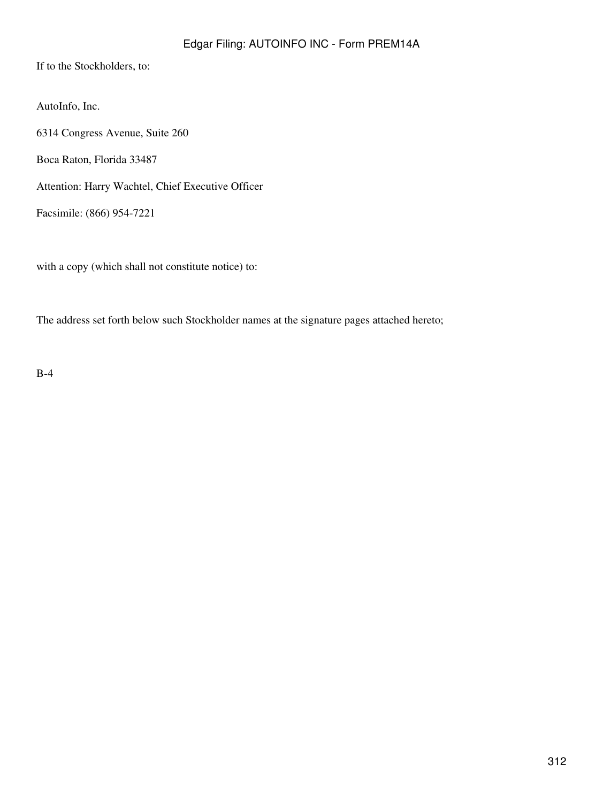If to the Stockholders, to:

AutoInfo, Inc.

6314 Congress Avenue, Suite 260

Boca Raton, Florida 33487

Attention: Harry Wachtel, Chief Executive Officer

Facsimile: (866) 954-7221

with a copy (which shall not constitute notice) to:

The address set forth below such Stockholder names at the signature pages attached hereto;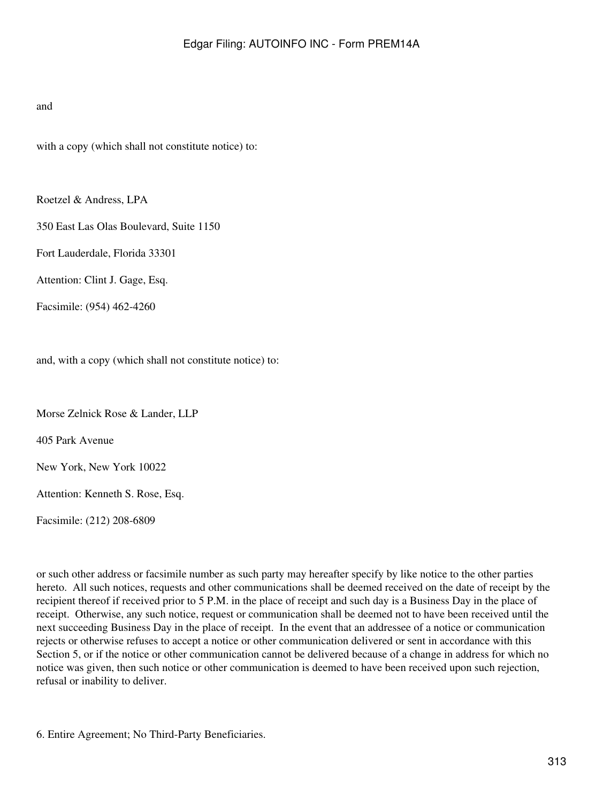#### and

with a copy (which shall not constitute notice) to:

Roetzel & Andress, LPA

350 East Las Olas Boulevard, Suite 1150

Fort Lauderdale, Florida 33301

Attention: Clint J. Gage, Esq.

Facsimile: (954) 462-4260

and, with a copy (which shall not constitute notice) to:

Morse Zelnick Rose & Lander, LLP

405 Park Avenue

New York, New York 10022

Attention: Kenneth S. Rose, Esq.

Facsimile: (212) 208-6809

or such other address or facsimile number as such party may hereafter specify by like notice to the other parties hereto. All such notices, requests and other communications shall be deemed received on the date of receipt by the recipient thereof if received prior to 5 P.M. in the place of receipt and such day is a Business Day in the place of receipt. Otherwise, any such notice, request or communication shall be deemed not to have been received until the next succeeding Business Day in the place of receipt. In the event that an addressee of a notice or communication rejects or otherwise refuses to accept a notice or other communication delivered or sent in accordance with this Section 5, or if the notice or other communication cannot be delivered because of a change in address for which no notice was given, then such notice or other communication is deemed to have been received upon such rejection, refusal or inability to deliver.

6. Entire Agreement; No Third-Party Beneficiaries.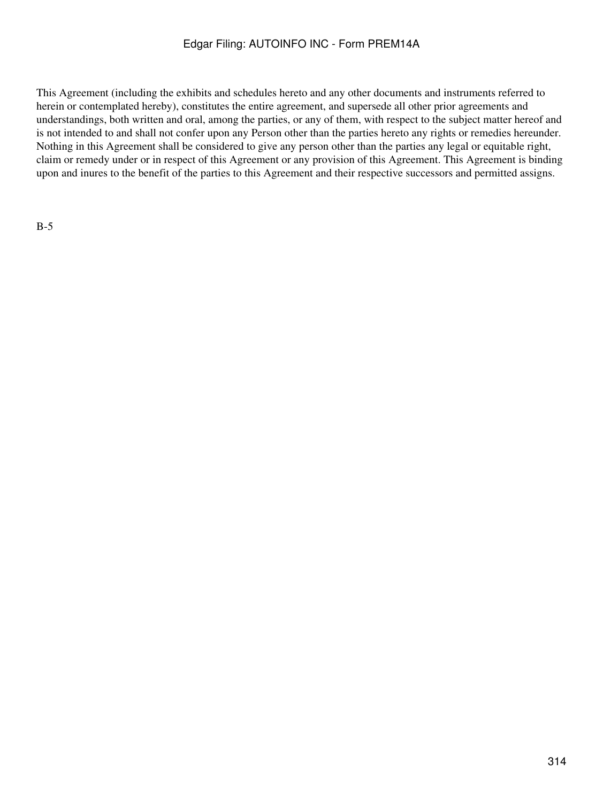This Agreement (including the exhibits and schedules hereto and any other documents and instruments referred to herein or contemplated hereby), constitutes the entire agreement, and supersede all other prior agreements and understandings, both written and oral, among the parties, or any of them, with respect to the subject matter hereof and is not intended to and shall not confer upon any Person other than the parties hereto any rights or remedies hereunder. Nothing in this Agreement shall be considered to give any person other than the parties any legal or equitable right, claim or remedy under or in respect of this Agreement or any provision of this Agreement. This Agreement is binding upon and inures to the benefit of the parties to this Agreement and their respective successors and permitted assigns.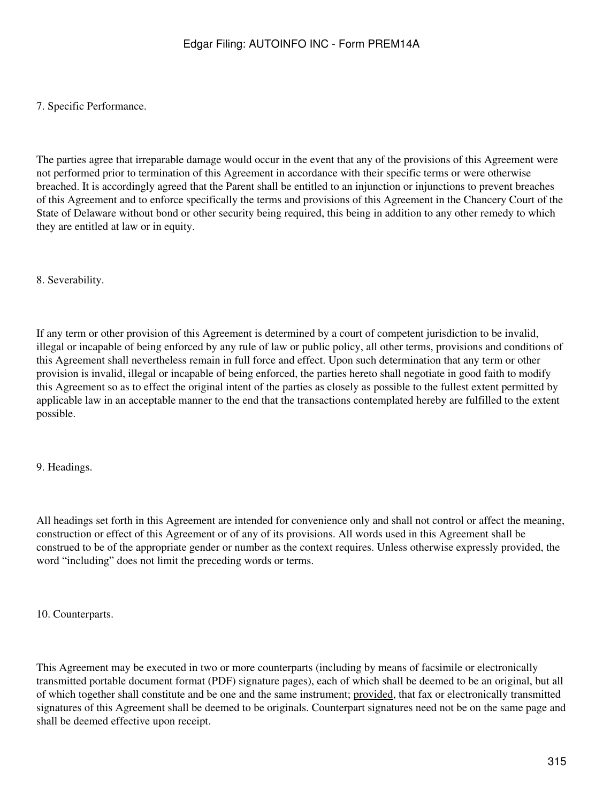7. Specific Performance.

The parties agree that irreparable damage would occur in the event that any of the provisions of this Agreement were not performed prior to termination of this Agreement in accordance with their specific terms or were otherwise breached. It is accordingly agreed that the Parent shall be entitled to an injunction or injunctions to prevent breaches of this Agreement and to enforce specifically the terms and provisions of this Agreement in the Chancery Court of the State of Delaware without bond or other security being required, this being in addition to any other remedy to which they are entitled at law or in equity.

8. Severability.

If any term or other provision of this Agreement is determined by a court of competent jurisdiction to be invalid, illegal or incapable of being enforced by any rule of law or public policy, all other terms, provisions and conditions of this Agreement shall nevertheless remain in full force and effect. Upon such determination that any term or other provision is invalid, illegal or incapable of being enforced, the parties hereto shall negotiate in good faith to modify this Agreement so as to effect the original intent of the parties as closely as possible to the fullest extent permitted by applicable law in an acceptable manner to the end that the transactions contemplated hereby are fulfilled to the extent possible.

9. Headings.

All headings set forth in this Agreement are intended for convenience only and shall not control or affect the meaning, construction or effect of this Agreement or of any of its provisions. All words used in this Agreement shall be construed to be of the appropriate gender or number as the context requires. Unless otherwise expressly provided, the word "including" does not limit the preceding words or terms.

10. Counterparts.

This Agreement may be executed in two or more counterparts (including by means of facsimile or electronically transmitted portable document format (PDF) signature pages), each of which shall be deemed to be an original, but all of which together shall constitute and be one and the same instrument; provided, that fax or electronically transmitted signatures of this Agreement shall be deemed to be originals. Counterpart signatures need not be on the same page and shall be deemed effective upon receipt.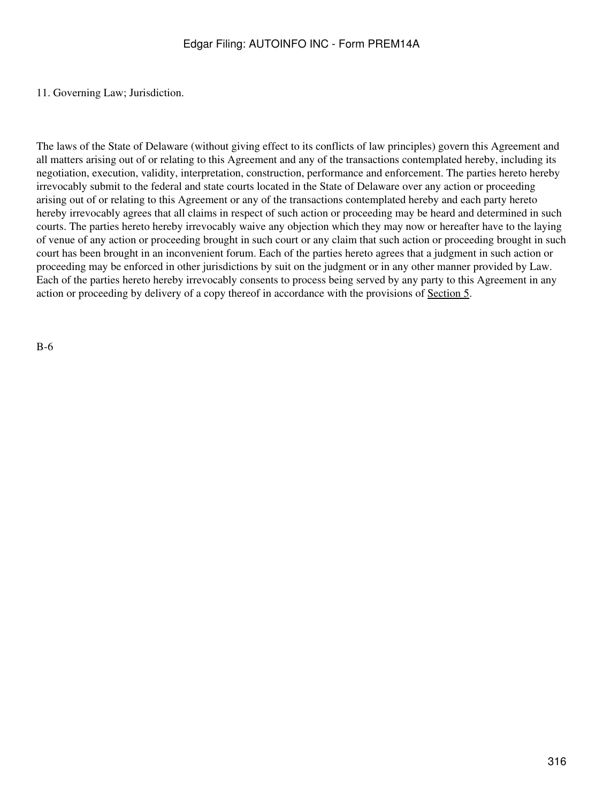#### 11. Governing Law; Jurisdiction.

The laws of the State of Delaware (without giving effect to its conflicts of law principles) govern this Agreement and all matters arising out of or relating to this Agreement and any of the transactions contemplated hereby, including its negotiation, execution, validity, interpretation, construction, performance and enforcement. The parties hereto hereby irrevocably submit to the federal and state courts located in the State of Delaware over any action or proceeding arising out of or relating to this Agreement or any of the transactions contemplated hereby and each party hereto hereby irrevocably agrees that all claims in respect of such action or proceeding may be heard and determined in such courts. The parties hereto hereby irrevocably waive any objection which they may now or hereafter have to the laying of venue of any action or proceeding brought in such court or any claim that such action or proceeding brought in such court has been brought in an inconvenient forum. Each of the parties hereto agrees that a judgment in such action or proceeding may be enforced in other jurisdictions by suit on the judgment or in any other manner provided by Law. Each of the parties hereto hereby irrevocably consents to process being served by any party to this Agreement in any action or proceeding by delivery of a copy thereof in accordance with the provisions of Section 5.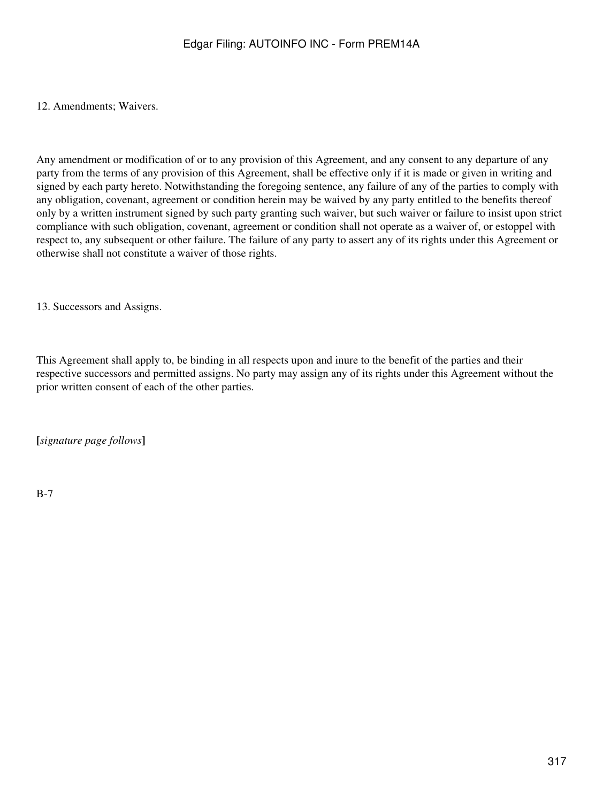12. Amendments; Waivers.

Any amendment or modification of or to any provision of this Agreement, and any consent to any departure of any party from the terms of any provision of this Agreement, shall be effective only if it is made or given in writing and signed by each party hereto. Notwithstanding the foregoing sentence, any failure of any of the parties to comply with any obligation, covenant, agreement or condition herein may be waived by any party entitled to the benefits thereof only by a written instrument signed by such party granting such waiver, but such waiver or failure to insist upon strict compliance with such obligation, covenant, agreement or condition shall not operate as a waiver of, or estoppel with respect to, any subsequent or other failure. The failure of any party to assert any of its rights under this Agreement or otherwise shall not constitute a waiver of those rights.

13. Successors and Assigns.

This Agreement shall apply to, be binding in all respects upon and inure to the benefit of the parties and their respective successors and permitted assigns. No party may assign any of its rights under this Agreement without the prior written consent of each of the other parties.

**[***signature page follows***]**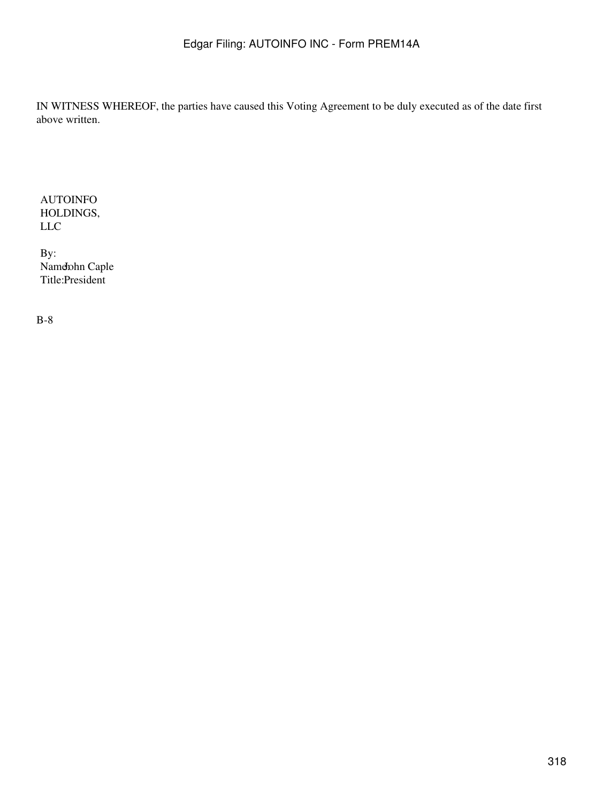IN WITNESS WHEREOF, the parties have caused this Voting Agreement to be duly executed as of the date first above written.

AUTOINFO HOLDINGS, LLC

By: NameJohn Caple Title:President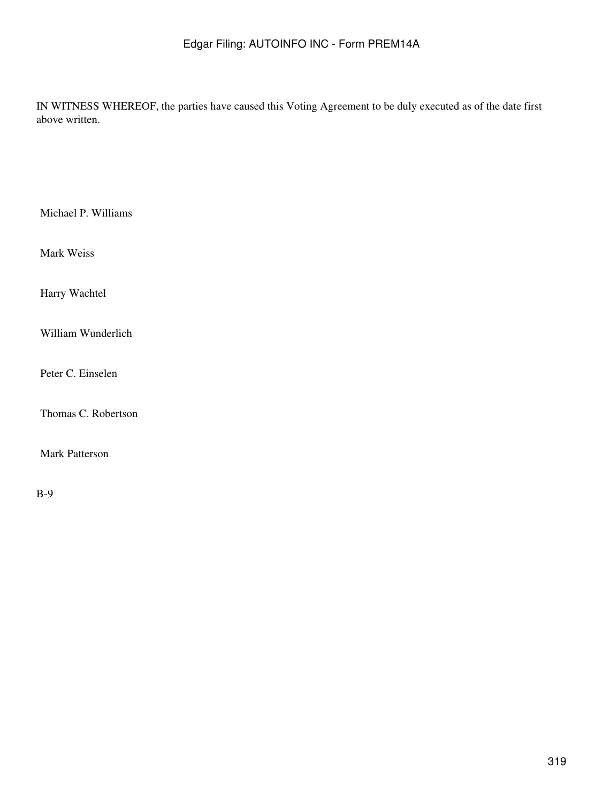IN WITNESS WHEREOF, the parties have caused this Voting Agreement to be duly executed as of the date first above written.

Michael P. Williams

Mark Weiss

Harry Wachtel

William Wunderlich

Peter C. Einselen

Thomas C. Robertson

Mark Patterson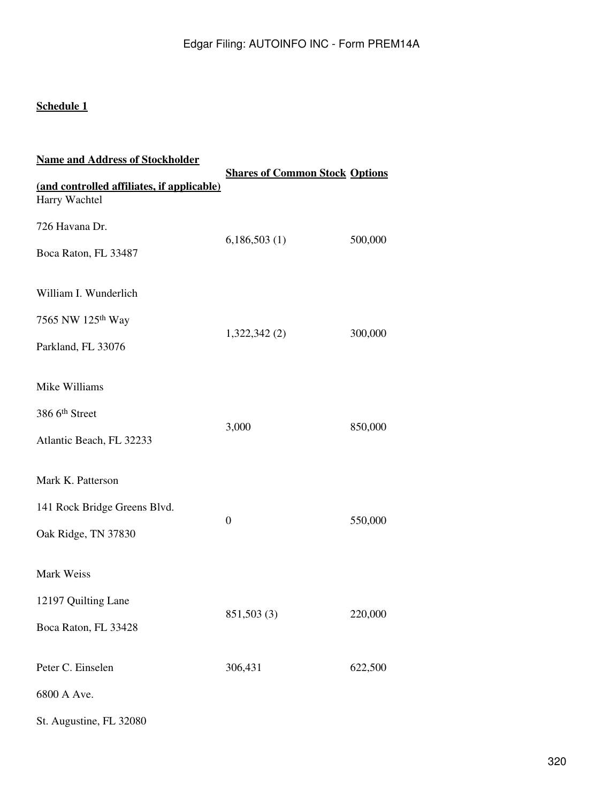# **Schedule 1**

| <b>Name and Address of Stockholder</b>                                       |                                       |         |
|------------------------------------------------------------------------------|---------------------------------------|---------|
| (and controlled affiliates, if applicable)<br>Harry Wachtel                  | <b>Shares of Common Stock Options</b> |         |
| 726 Havana Dr.<br>Boca Raton, FL 33487                                       | 6,186,503(1)                          | 500,000 |
| William I. Wunderlich<br>7565 NW 125 <sup>th</sup> Way<br>Parkland, FL 33076 | 1,322,342(2)                          | 300,000 |
| Mike Williams<br>386 6 <sup>th</sup> Street<br>Atlantic Beach, FL 32233      | 3,000                                 | 850,000 |
| Mark K. Patterson<br>141 Rock Bridge Greens Blvd.<br>Oak Ridge, TN 37830     | $\boldsymbol{0}$                      | 550,000 |
| Mark Weiss<br>12197 Quilting Lane<br>Boca Raton, FL 33428                    | 851,503 (3)                           | 220,000 |
| Peter C. Einselen<br>6800 A Ave.<br>St. Augustine, FL 32080                  | 306,431                               | 622,500 |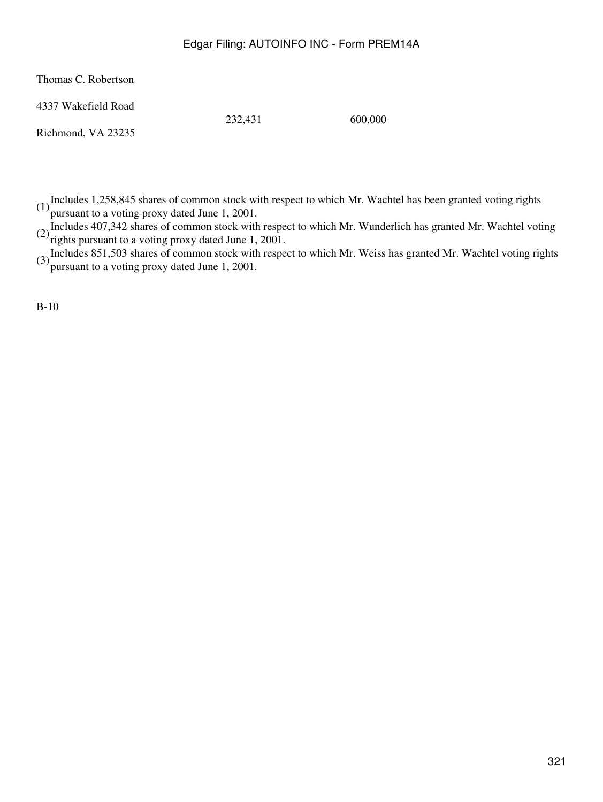Thomas C. Robertson

4337 Wakefield Road

232,431 600,000

Richmond, VA 23235

(1) Includes 1,258,845 shares of common stock with respect to which Mr. Wachtel has been granted voting rights pursuant to a voting proxy dated June 1, 2001.

(2) Includes 407,342 shares of common stock with respect to which Mr. Wunderlich has granted Mr. Wachtel voting rights pursuant to a voting proxy dated June 1, 2001.

(3) Includes 851,503 shares of common stock with respect to which Mr. Weiss has granted Mr. Wachtel voting rights pursuant to a voting proxy dated June 1, 2001.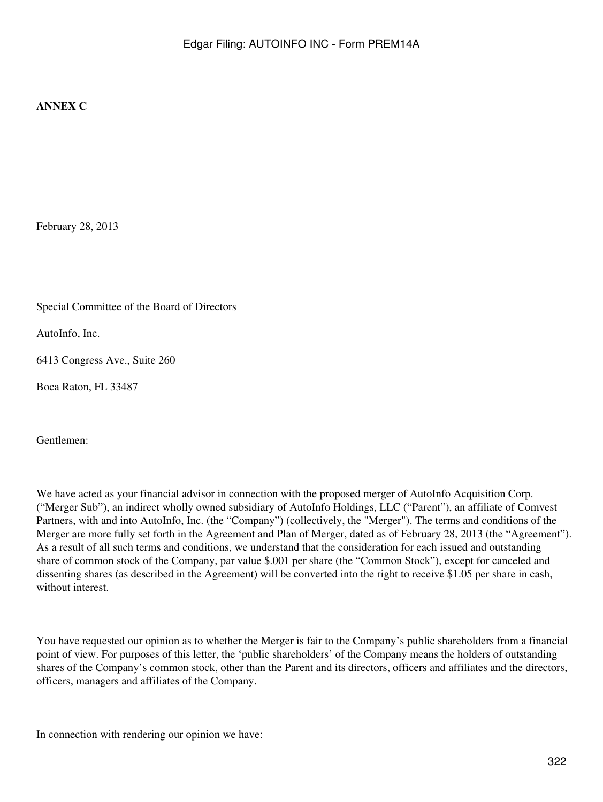#### **ANNEX C**

February 28, 2013

Special Committee of the Board of Directors

AutoInfo, Inc.

6413 Congress Ave., Suite 260

Boca Raton, FL 33487

Gentlemen:

We have acted as your financial advisor in connection with the proposed merger of AutoInfo Acquisition Corp. ("Merger Sub"), an indirect wholly owned subsidiary of AutoInfo Holdings, LLC ("Parent"), an affiliate of Comvest Partners, with and into AutoInfo, Inc. (the "Company") (collectively, the "Merger"). The terms and conditions of the Merger are more fully set forth in the Agreement and Plan of Merger, dated as of February 28, 2013 (the "Agreement"). As a result of all such terms and conditions, we understand that the consideration for each issued and outstanding share of common stock of the Company, par value \$.001 per share (the "Common Stock"), except for canceled and dissenting shares (as described in the Agreement) will be converted into the right to receive \$1.05 per share in cash, without interest.

You have requested our opinion as to whether the Merger is fair to the Company's public shareholders from a financial point of view. For purposes of this letter, the 'public shareholders' of the Company means the holders of outstanding shares of the Company's common stock, other than the Parent and its directors, officers and affiliates and the directors, officers, managers and affiliates of the Company.

In connection with rendering our opinion we have: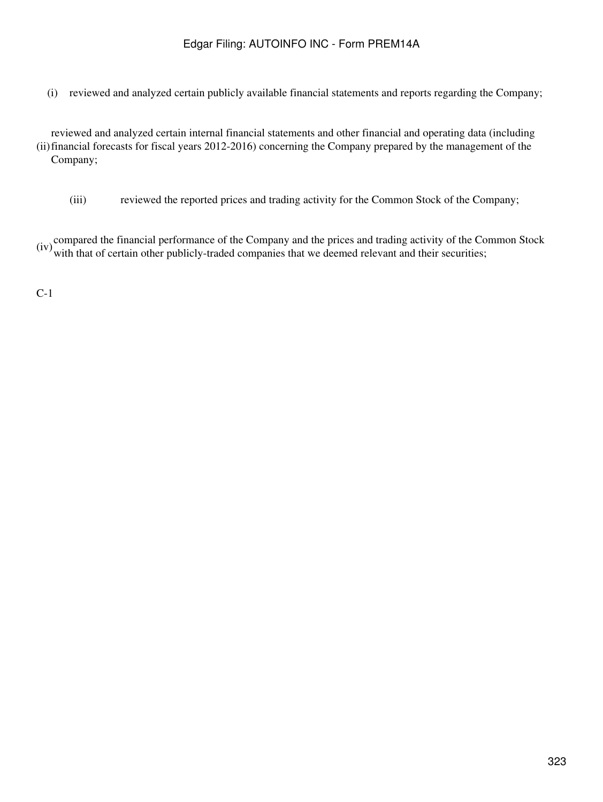(i) reviewed and analyzed certain publicly available financial statements and reports regarding the Company;

(ii) financial forecasts for fiscal years 2012-2016) concerning the Company prepared by the management of the reviewed and analyzed certain internal financial statements and other financial and operating data (including Company;

(iii) reviewed the reported prices and trading activity for the Common Stock of the Company;

(iv) compared the financial performance of the Company and the prices and trading activity of the Common Stock<br>with that of certain other publicly-traded companies that we deemed relevant and their securities;

C-1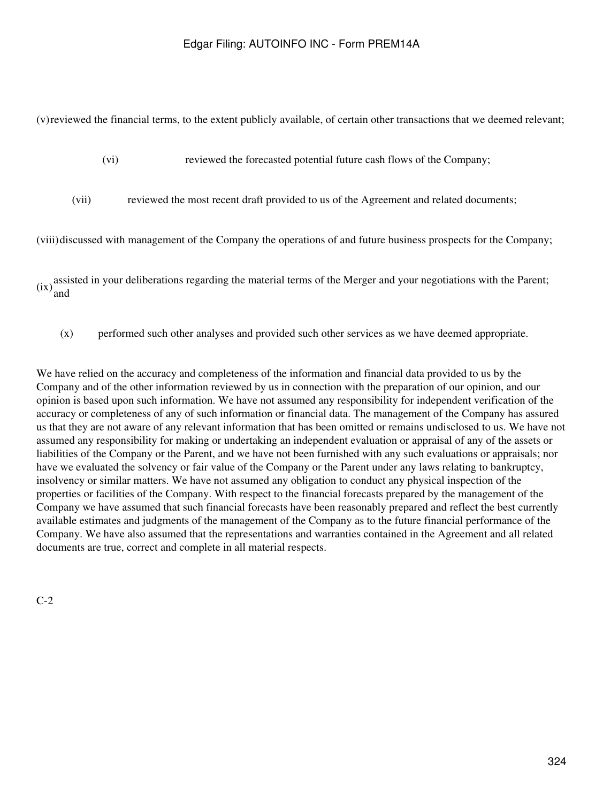(v)reviewed the financial terms, to the extent publicly available, of certain other transactions that we deemed relevant;

- (vi) reviewed the forecasted potential future cash flows of the Company;
- (vii) reviewed the most recent draft provided to us of the Agreement and related documents;

(viii)discussed with management of the Company the operations of and future business prospects for the Company;

 $(ix)$ <sup>assisted in your deliberations regarding the material terms of the Merger and your negotiations with the Parent;</sup> and

(x) performed such other analyses and provided such other services as we have deemed appropriate.

We have relied on the accuracy and completeness of the information and financial data provided to us by the Company and of the other information reviewed by us in connection with the preparation of our opinion, and our opinion is based upon such information. We have not assumed any responsibility for independent verification of the accuracy or completeness of any of such information or financial data. The management of the Company has assured us that they are not aware of any relevant information that has been omitted or remains undisclosed to us. We have not assumed any responsibility for making or undertaking an independent evaluation or appraisal of any of the assets or liabilities of the Company or the Parent, and we have not been furnished with any such evaluations or appraisals; nor have we evaluated the solvency or fair value of the Company or the Parent under any laws relating to bankruptcy, insolvency or similar matters. We have not assumed any obligation to conduct any physical inspection of the properties or facilities of the Company. With respect to the financial forecasts prepared by the management of the Company we have assumed that such financial forecasts have been reasonably prepared and reflect the best currently available estimates and judgments of the management of the Company as to the future financial performance of the Company. We have also assumed that the representations and warranties contained in the Agreement and all related documents are true, correct and complete in all material respects.

C-2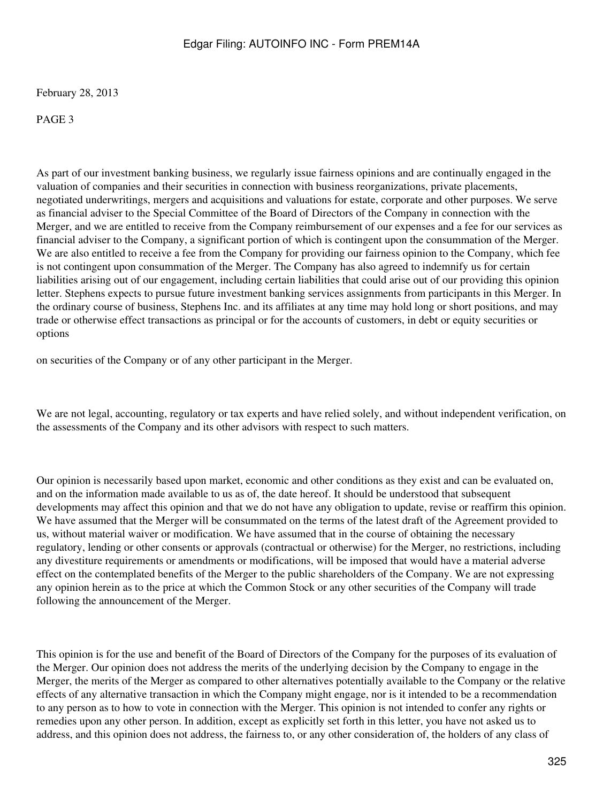February 28, 2013 

PAGE 3

As part of our investment banking business, we regularly issue fairness opinions and are continually engaged in the valuation of companies and their securities in connection with business reorganizations, private placements, negotiated underwritings, mergers and acquisitions and valuations for estate, corporate and other purposes. We serve as financial adviser to the Special Committee of the Board of Directors of the Company in connection with the Merger, and we are entitled to receive from the Company reimbursement of our expenses and a fee for our services as financial adviser to the Company, a significant portion of which is contingent upon the consummation of the Merger. We are also entitled to receive a fee from the Company for providing our fairness opinion to the Company, which fee is not contingent upon consummation of the Merger. The Company has also agreed to indemnify us for certain liabilities arising out of our engagement, including certain liabilities that could arise out of our providing this opinion letter. Stephens expects to pursue future investment banking services assignments from participants in this Merger. In the ordinary course of business, Stephens Inc. and its affiliates at any time may hold long or short positions, and may trade or otherwise effect transactions as principal or for the accounts of customers, in debt or equity securities or options

on securities of the Company or of any other participant in the Merger.

We are not legal, accounting, regulatory or tax experts and have relied solely, and without independent verification, on the assessments of the Company and its other advisors with respect to such matters.

Our opinion is necessarily based upon market, economic and other conditions as they exist and can be evaluated on, and on the information made available to us as of, the date hereof. It should be understood that subsequent developments may affect this opinion and that we do not have any obligation to update, revise or reaffirm this opinion. We have assumed that the Merger will be consummated on the terms of the latest draft of the Agreement provided to us, without material waiver or modification. We have assumed that in the course of obtaining the necessary regulatory, lending or other consents or approvals (contractual or otherwise) for the Merger, no restrictions, including any divestiture requirements or amendments or modifications, will be imposed that would have a material adverse effect on the contemplated benefits of the Merger to the public shareholders of the Company. We are not expressing any opinion herein as to the price at which the Common Stock or any other securities of the Company will trade following the announcement of the Merger.

This opinion is for the use and benefit of the Board of Directors of the Company for the purposes of its evaluation of the Merger. Our opinion does not address the merits of the underlying decision by the Company to engage in the Merger, the merits of the Merger as compared to other alternatives potentially available to the Company or the relative effects of any alternative transaction in which the Company might engage, nor is it intended to be a recommendation to any person as to how to vote in connection with the Merger. This opinion is not intended to confer any rights or remedies upon any other person. In addition, except as explicitly set forth in this letter, you have not asked us to address, and this opinion does not address, the fairness to, or any other consideration of, the holders of any class of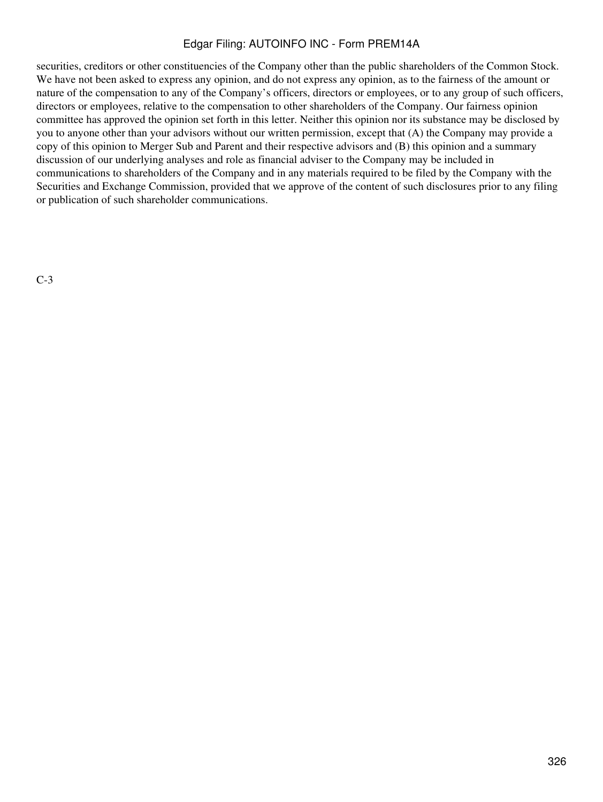securities, creditors or other constituencies of the Company other than the public shareholders of the Common Stock. We have not been asked to express any opinion, and do not express any opinion, as to the fairness of the amount or nature of the compensation to any of the Company's officers, directors or employees, or to any group of such officers, directors or employees, relative to the compensation to other shareholders of the Company. Our fairness opinion committee has approved the opinion set forth in this letter. Neither this opinion nor its substance may be disclosed by you to anyone other than your advisors without our written permission, except that (A) the Company may provide a copy of this opinion to Merger Sub and Parent and their respective advisors and (B) this opinion and a summary discussion of our underlying analyses and role as financial adviser to the Company may be included in communications to shareholders of the Company and in any materials required to be filed by the Company with the Securities and Exchange Commission, provided that we approve of the content of such disclosures prior to any filing or publication of such shareholder communications.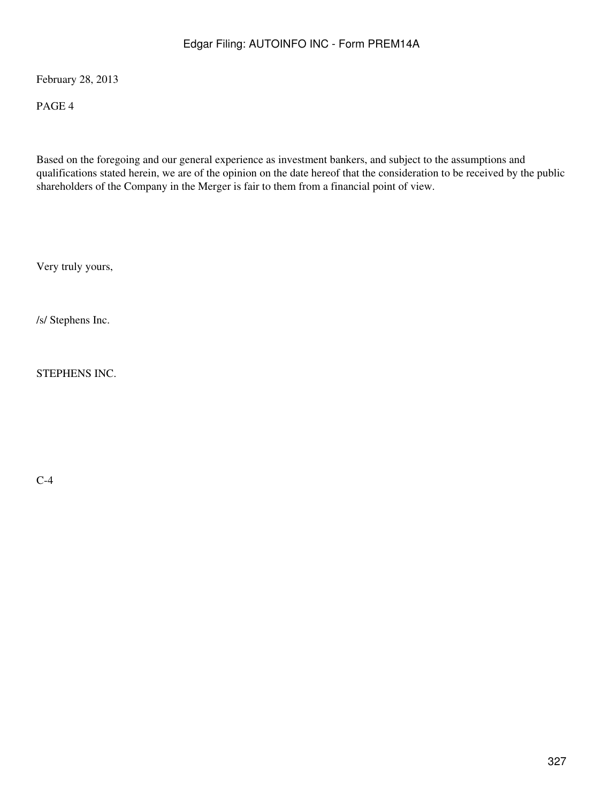February 28, 2013 

PAGE 4

Based on the foregoing and our general experience as investment bankers, and subject to the assumptions and qualifications stated herein, we are of the opinion on the date hereof that the consideration to be received by the public shareholders of the Company in the Merger is fair to them from a financial point of view.

Very truly yours,

/s/ Stephens Inc.

STEPHENS INC.

C-4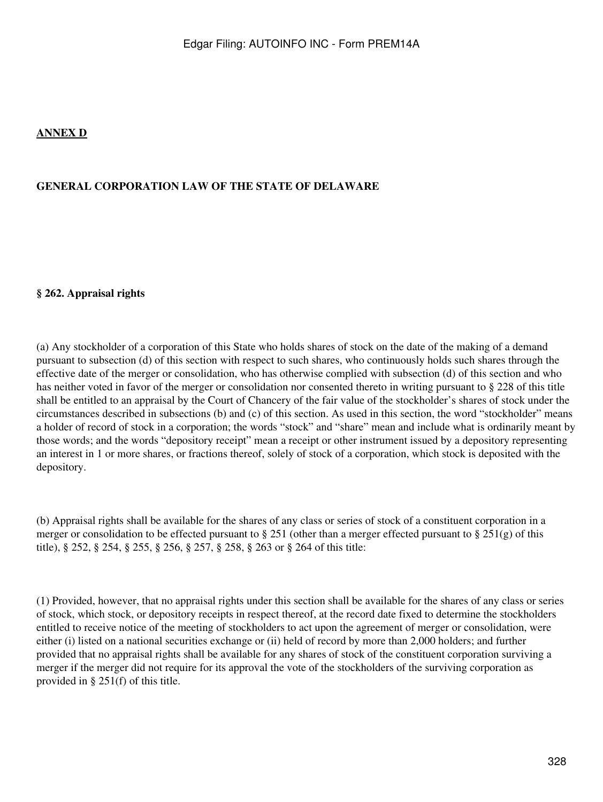#### **ANNEX D**

#### **GENERAL CORPORATION LAW OF THE STATE OF DELAWARE**

#### **§ 262. Appraisal rights**

(a) Any stockholder of a corporation of this State who holds shares of stock on the date of the making of a demand pursuant to subsection (d) of this section with respect to such shares, who continuously holds such shares through the effective date of the merger or consolidation, who has otherwise complied with subsection (d) of this section and who has neither voted in favor of the merger or consolidation nor consented thereto in writing pursuant to § 228 of this title shall be entitled to an appraisal by the Court of Chancery of the fair value of the stockholder's shares of stock under the circumstances described in subsections (b) and (c) of this section. As used in this section, the word "stockholder" means a holder of record of stock in a corporation; the words "stock" and "share" mean and include what is ordinarily meant by those words; and the words "depository receipt" mean a receipt or other instrument issued by a depository representing an interest in 1 or more shares, or fractions thereof, solely of stock of a corporation, which stock is deposited with the depository.

(b) Appraisal rights shall be available for the shares of any class or series of stock of a constituent corporation in a merger or consolidation to be effected pursuant to § 251 (other than a merger effected pursuant to § 251(g) of this title), § 252, § 254, § 255, § 256, § 257, § 258, § 263 or § 264 of this title:

(1) Provided, however, that no appraisal rights under this section shall be available for the shares of any class or series of stock, which stock, or depository receipts in respect thereof, at the record date fixed to determine the stockholders entitled to receive notice of the meeting of stockholders to act upon the agreement of merger or consolidation, were either (i) listed on a national securities exchange or (ii) held of record by more than 2,000 holders; and further provided that no appraisal rights shall be available for any shares of stock of the constituent corporation surviving a merger if the merger did not require for its approval the vote of the stockholders of the surviving corporation as provided in § 251(f) of this title.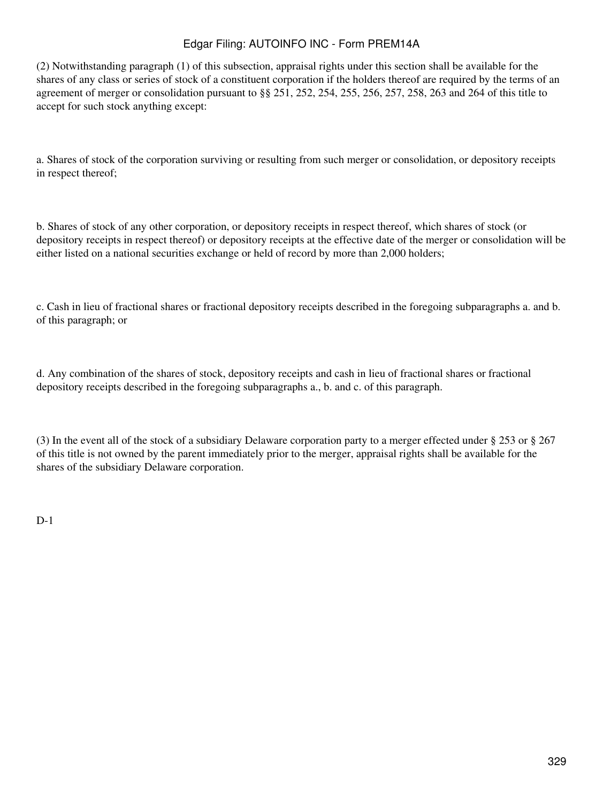(2) Notwithstanding paragraph (1) of this subsection, appraisal rights under this section shall be available for the shares of any class or series of stock of a constituent corporation if the holders thereof are required by the terms of an agreement of merger or consolidation pursuant to §§ 251, 252, 254, 255, 256, 257, 258, 263 and 264 of this title to accept for such stock anything except:

a. Shares of stock of the corporation surviving or resulting from such merger or consolidation, or depository receipts in respect thereof;

b. Shares of stock of any other corporation, or depository receipts in respect thereof, which shares of stock (or depository receipts in respect thereof) or depository receipts at the effective date of the merger or consolidation will be either listed on a national securities exchange or held of record by more than 2,000 holders;

c. Cash in lieu of fractional shares or fractional depository receipts described in the foregoing subparagraphs a. and b. of this paragraph; or

d. Any combination of the shares of stock, depository receipts and cash in lieu of fractional shares or fractional depository receipts described in the foregoing subparagraphs a., b. and c. of this paragraph.

(3) In the event all of the stock of a subsidiary Delaware corporation party to a merger effected under § 253 or § 267 of this title is not owned by the parent immediately prior to the merger, appraisal rights shall be available for the shares of the subsidiary Delaware corporation.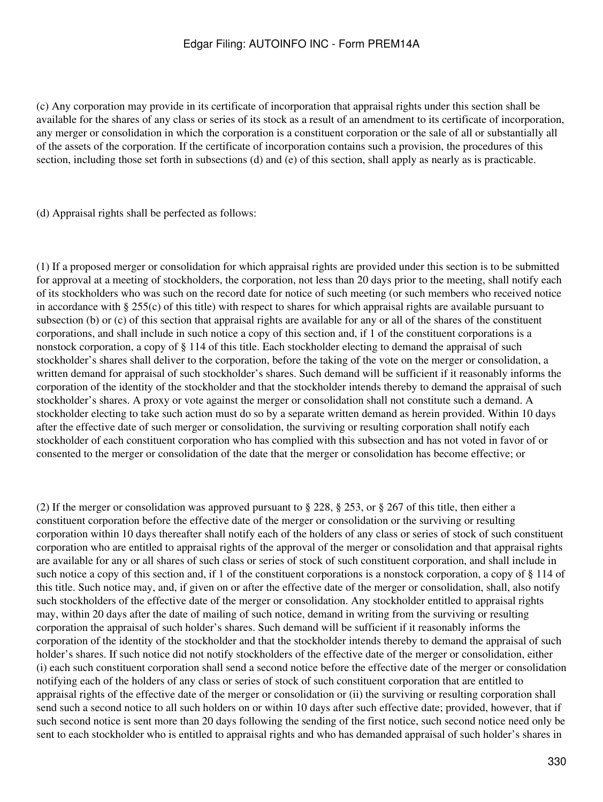(c) Any corporation may provide in its certificate of incorporation that appraisal rights under this section shall be available for the shares of any class or series of its stock as a result of an amendment to its certificate of incorporation, any merger or consolidation in which the corporation is a constituent corporation or the sale of all or substantially all of the assets of the corporation. If the certificate of incorporation contains such a provision, the procedures of this section, including those set forth in subsections (d) and (e) of this section, shall apply as nearly as is practicable.

(d) Appraisal rights shall be perfected as follows:

(1) If a proposed merger or consolidation for which appraisal rights are provided under this section is to be submitted for approval at a meeting of stockholders, the corporation, not less than 20 days prior to the meeting, shall notify each of its stockholders who was such on the record date for notice of such meeting (or such members who received notice in accordance with § 255(c) of this title) with respect to shares for which appraisal rights are available pursuant to subsection (b) or (c) of this section that appraisal rights are available for any or all of the shares of the constituent corporations, and shall include in such notice a copy of this section and, if 1 of the constituent corporations is a nonstock corporation, a copy of § 114 of this title. Each stockholder electing to demand the appraisal of such stockholder's shares shall deliver to the corporation, before the taking of the vote on the merger or consolidation, a written demand for appraisal of such stockholder's shares. Such demand will be sufficient if it reasonably informs the corporation of the identity of the stockholder and that the stockholder intends thereby to demand the appraisal of such stockholder's shares. A proxy or vote against the merger or consolidation shall not constitute such a demand. A stockholder electing to take such action must do so by a separate written demand as herein provided. Within 10 days after the effective date of such merger or consolidation, the surviving or resulting corporation shall notify each stockholder of each constituent corporation who has complied with this subsection and has not voted in favor of or consented to the merger or consolidation of the date that the merger or consolidation has become effective; or

(2) If the merger or consolidation was approved pursuant to § 228, § 253, or § 267 of this title, then either a constituent corporation before the effective date of the merger or consolidation or the surviving or resulting corporation within 10 days thereafter shall notify each of the holders of any class or series of stock of such constituent corporation who are entitled to appraisal rights of the approval of the merger or consolidation and that appraisal rights are available for any or all shares of such class or series of stock of such constituent corporation, and shall include in such notice a copy of this section and, if 1 of the constituent corporations is a nonstock corporation, a copy of § 114 of this title. Such notice may, and, if given on or after the effective date of the merger or consolidation, shall, also notify such stockholders of the effective date of the merger or consolidation. Any stockholder entitled to appraisal rights may, within 20 days after the date of mailing of such notice, demand in writing from the surviving or resulting corporation the appraisal of such holder's shares. Such demand will be sufficient if it reasonably informs the corporation of the identity of the stockholder and that the stockholder intends thereby to demand the appraisal of such holder's shares. If such notice did not notify stockholders of the effective date of the merger or consolidation, either (i) each such constituent corporation shall send a second notice before the effective date of the merger or consolidation notifying each of the holders of any class or series of stock of such constituent corporation that are entitled to appraisal rights of the effective date of the merger or consolidation or (ii) the surviving or resulting corporation shall send such a second notice to all such holders on or within 10 days after such effective date; provided, however, that if such second notice is sent more than 20 days following the sending of the first notice, such second notice need only be sent to each stockholder who is entitled to appraisal rights and who has demanded appraisal of such holder's shares in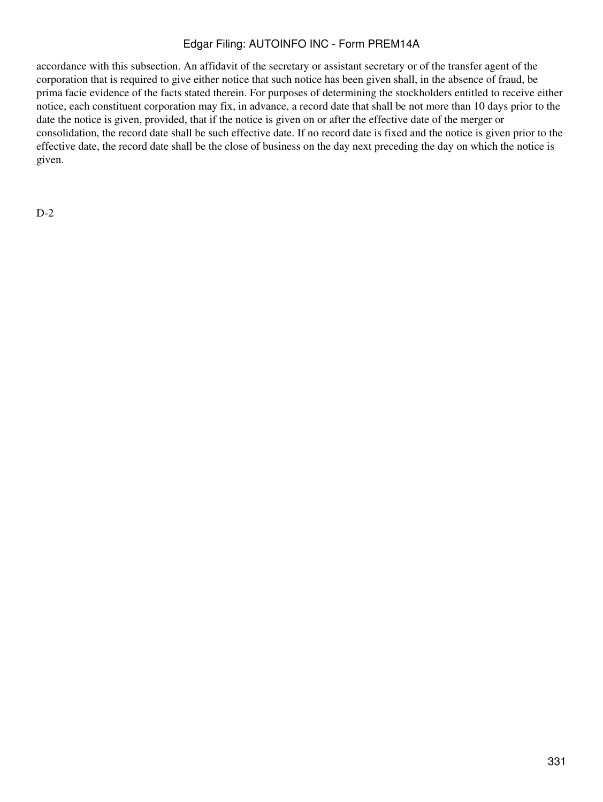accordance with this subsection. An affidavit of the secretary or assistant secretary or of the transfer agent of the corporation that is required to give either notice that such notice has been given shall, in the absence of fraud, be prima facie evidence of the facts stated therein. For purposes of determining the stockholders entitled to receive either notice, each constituent corporation may fix, in advance, a record date that shall be not more than 10 days prior to the date the notice is given, provided, that if the notice is given on or after the effective date of the merger or consolidation, the record date shall be such effective date. If no record date is fixed and the notice is given prior to the effective date, the record date shall be the close of business on the day next preceding the day on which the notice is given.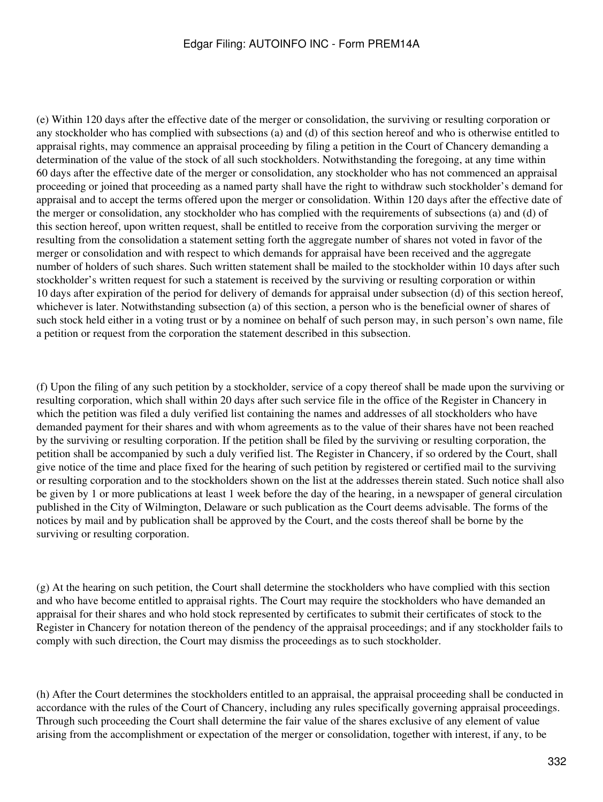(e) Within 120 days after the effective date of the merger or consolidation, the surviving or resulting corporation or any stockholder who has complied with subsections (a) and (d) of this section hereof and who is otherwise entitled to appraisal rights, may commence an appraisal proceeding by filing a petition in the Court of Chancery demanding a determination of the value of the stock of all such stockholders. Notwithstanding the foregoing, at any time within 60 days after the effective date of the merger or consolidation, any stockholder who has not commenced an appraisal proceeding or joined that proceeding as a named party shall have the right to withdraw such stockholder's demand for appraisal and to accept the terms offered upon the merger or consolidation. Within 120 days after the effective date of the merger or consolidation, any stockholder who has complied with the requirements of subsections (a) and (d) of this section hereof, upon written request, shall be entitled to receive from the corporation surviving the merger or resulting from the consolidation a statement setting forth the aggregate number of shares not voted in favor of the merger or consolidation and with respect to which demands for appraisal have been received and the aggregate number of holders of such shares. Such written statement shall be mailed to the stockholder within 10 days after such stockholder's written request for such a statement is received by the surviving or resulting corporation or within 10 days after expiration of the period for delivery of demands for appraisal under subsection (d) of this section hereof, whichever is later. Notwithstanding subsection (a) of this section, a person who is the beneficial owner of shares of such stock held either in a voting trust or by a nominee on behalf of such person may, in such person's own name, file a petition or request from the corporation the statement described in this subsection.

(f) Upon the filing of any such petition by a stockholder, service of a copy thereof shall be made upon the surviving or resulting corporation, which shall within 20 days after such service file in the office of the Register in Chancery in which the petition was filed a duly verified list containing the names and addresses of all stockholders who have demanded payment for their shares and with whom agreements as to the value of their shares have not been reached by the surviving or resulting corporation. If the petition shall be filed by the surviving or resulting corporation, the petition shall be accompanied by such a duly verified list. The Register in Chancery, if so ordered by the Court, shall give notice of the time and place fixed for the hearing of such petition by registered or certified mail to the surviving or resulting corporation and to the stockholders shown on the list at the addresses therein stated. Such notice shall also be given by 1 or more publications at least 1 week before the day of the hearing, in a newspaper of general circulation published in the City of Wilmington, Delaware or such publication as the Court deems advisable. The forms of the notices by mail and by publication shall be approved by the Court, and the costs thereof shall be borne by the surviving or resulting corporation.

(g) At the hearing on such petition, the Court shall determine the stockholders who have complied with this section and who have become entitled to appraisal rights. The Court may require the stockholders who have demanded an appraisal for their shares and who hold stock represented by certificates to submit their certificates of stock to the Register in Chancery for notation thereon of the pendency of the appraisal proceedings; and if any stockholder fails to comply with such direction, the Court may dismiss the proceedings as to such stockholder.

(h) After the Court determines the stockholders entitled to an appraisal, the appraisal proceeding shall be conducted in accordance with the rules of the Court of Chancery, including any rules specifically governing appraisal proceedings. Through such proceeding the Court shall determine the fair value of the shares exclusive of any element of value arising from the accomplishment or expectation of the merger or consolidation, together with interest, if any, to be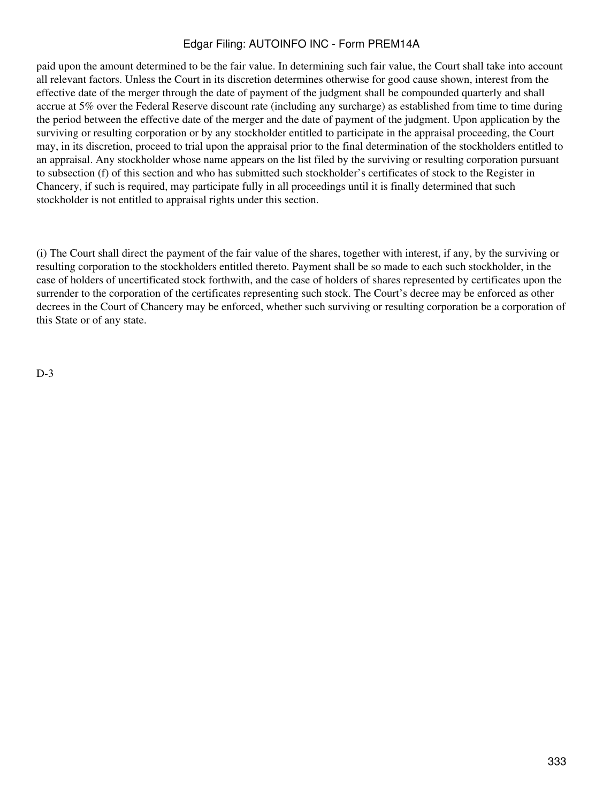paid upon the amount determined to be the fair value. In determining such fair value, the Court shall take into account all relevant factors. Unless the Court in its discretion determines otherwise for good cause shown, interest from the effective date of the merger through the date of payment of the judgment shall be compounded quarterly and shall accrue at 5% over the Federal Reserve discount rate (including any surcharge) as established from time to time during the period between the effective date of the merger and the date of payment of the judgment. Upon application by the surviving or resulting corporation or by any stockholder entitled to participate in the appraisal proceeding, the Court may, in its discretion, proceed to trial upon the appraisal prior to the final determination of the stockholders entitled to an appraisal. Any stockholder whose name appears on the list filed by the surviving or resulting corporation pursuant to subsection (f) of this section and who has submitted such stockholder's certificates of stock to the Register in Chancery, if such is required, may participate fully in all proceedings until it is finally determined that such stockholder is not entitled to appraisal rights under this section.

(i) The Court shall direct the payment of the fair value of the shares, together with interest, if any, by the surviving or resulting corporation to the stockholders entitled thereto. Payment shall be so made to each such stockholder, in the case of holders of uncertificated stock forthwith, and the case of holders of shares represented by certificates upon the surrender to the corporation of the certificates representing such stock. The Court's decree may be enforced as other decrees in the Court of Chancery may be enforced, whether such surviving or resulting corporation be a corporation of this State or of any state.